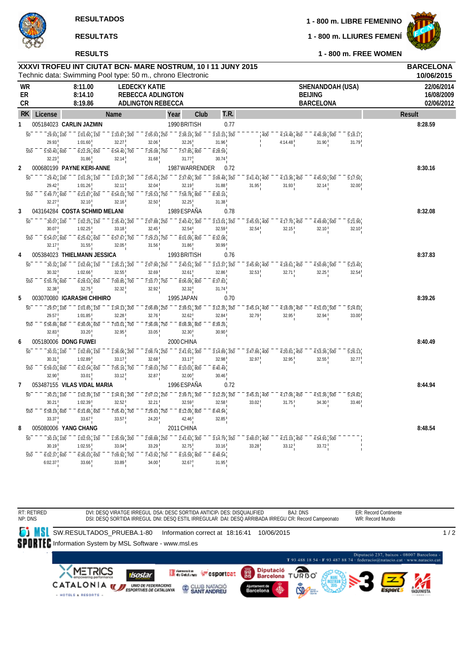

**RESULTS**

**1 - 800 m. LLIURES FEMENÍ**

**1 - 800 m. FREE WOMEN**

|                |                                        | XXXVI TROFEU INT CIUTAT BCN- MARE NOSTRUM, 10 I 11 JUNY 2015<br>Technic data: Swimming Pool type: 50 m., chrono Electronic |                                                                                              |                                                                              |                                                                          |      |                            |                              |                                                    |                                                        |                                            | <b>BARCELONA</b><br>10/06/2015         |
|----------------|----------------------------------------|----------------------------------------------------------------------------------------------------------------------------|----------------------------------------------------------------------------------------------|------------------------------------------------------------------------------|--------------------------------------------------------------------------|------|----------------------------|------------------------------|----------------------------------------------------|--------------------------------------------------------|--------------------------------------------|----------------------------------------|
| WR<br>ER<br>СR |                                        | 8:11.00<br>8:14.10<br>8:19.86                                                                                              |                                                                                              | <b>LEDECKY KATIE</b><br><b>REBECCA ADLINGTON</b><br><b>ADLINGTON REBECCA</b> |                                                                          |      |                            |                              |                                                    | SHENANDOAH (USA)<br><b>BEIJING</b><br><b>BARCELONA</b> |                                            | 22/06/2014<br>16/08/2009<br>02/06/2012 |
| RK.            | License                                |                                                                                                                            | Name                                                                                         |                                                                              | Year                                                                     | Club | T.R.                       |                              |                                                    |                                                        |                                            | <b>Result</b>                          |
| $\mathbf{1}$   |                                        | 005184023 CARLIN JAZMIN                                                                                                    |                                                                                              |                                                                              | 1990 BRITISH                                                             |      | 0.77                       |                              |                                                    |                                                        |                                            | 8:28.59                                |
|                | $\overline{50}$<br>29.93, 100          | $\overline{1:}0\overline{1}.\overline{60}$ , $\overline{150}$                                                              | $\overline{1:}3\overline{3}.\overline{87}$ , $\overline{2}0\overline{0}$                     | $2:05.\overline{93}$ , $250$                                                 | 2:38.19, 300                                                             |      | $3:10.15$ , $350$          | 400                          | $4:14.48$ , $450$                                  | $4:46.\overline{38}$ 500                               | 5:18.17                                    |                                        |
|                | 29.93                                  | 1:01.60                                                                                                                    | 32.27                                                                                        | 32.06                                                                        | 32.26                                                                    |      | 31.96                      |                              | 4:14.48                                            | 31.90                                                  | 31.79                                      |                                        |
|                | $5:50.\overline{40}$ , $600$<br>550    | $6:22.26$ , 650                                                                                                            | $6:54.40$ , 700                                                                              | $\overline{7:26.08}$ , 750                                                   | $7:57.85$ <sub>1</sub> 800                                               |      | 8:28.59                    |                              |                                                    |                                                        |                                            |                                        |
|                | 32.23                                  | 31.86                                                                                                                      | 32.14                                                                                        | 31.68                                                                        | 31.77                                                                    |      | 30.74                      |                              |                                                    |                                                        |                                            |                                        |
| 2              |                                        | 000680199 PAYNE KERI-ANNE                                                                                                  |                                                                                              |                                                                              | 1987 WARRENDER                                                           |      | 0.72                       |                              |                                                    |                                                        |                                            | 8:30.16                                |
|                | $\overline{50}$<br>29.42, 100<br>29.42 | $\overline{1:}0\overline{1}.\overline{26}$ , $\overline{150}$<br>1:01.26                                                   | $\overline{1:}3\overline{3}.\overline{37}$ , 200                                             | $2:05.41$ , 250<br>32.04                                                     | $\overline{2:}3\overline{7}.\overline{60}$ , $\overline{300}$<br>32.19   |      | $3:09.48$ , $350$<br>31.88 | $3:41.43$ , 400<br>31.95     | $4:13.36$ , 450<br>31.93                           | $4:45.50$ 500                                          | 5:17.50<br>32.00                           |                                        |
|                | $5:49.77$ , 600<br>550                 | $6:21.87$ <sub>1</sub> 650                                                                                                 | 32.11<br>$6:54.03$ , 700                                                                     | $7:26.53$ , 750                                                              | $7:58.78$ , 800                                                          |      | 8:30.16                    |                              |                                                    | 32.14                                                  |                                            |                                        |
|                | 32.27                                  | 32.10                                                                                                                      | 32.16                                                                                        | 32.50                                                                        | 32.25                                                                    |      | 31.38                      |                              |                                                    |                                                        |                                            |                                        |
| 3              |                                        | 043164284 COSTA SCHMID MELANI                                                                                              |                                                                                              |                                                                              | 1989 ESPAÑA                                                              |      | 0.78                       |                              |                                                    |                                                        |                                            | 8:32.08                                |
|                | $\overline{50}$<br>30.07, 100          | $\overline{1:}0\overline{2}.\overline{25}$ , $\overline{150}$                                                              | $\overline{1:35.43}$ , 200                                                                   | $2:07.88$ , $250$                                                            | $\overline{2:}4\overline{0}.\overline{42}$ , $\overline{300}$            |      | $3:13.01$ , $350$          | $3:45.55$ , $400$            | $\overline{4:17.70}$ , $\overline{450}$            | 4:49.80.500                                            | 5:27.90                                    |                                        |
|                | 30.07                                  | 1:02.25                                                                                                                    | 33.18                                                                                        | 32.45                                                                        | 32.54                                                                    |      | 32.59                      | 32.54                        | 32.15                                              | 32.10                                                  | 32.10                                      |                                        |
|                | $5:54.07$ , 600<br>550                 | $6:25.\overline{62}$ , $650$                                                                                               | $6:57.\overline{67}$ , 700                                                                   | $\overline{7:}29.\overline{23}$ , 750                                        | $8:01.09$ , $800$                                                        |      | 8:32.08                    |                              |                                                    |                                                        |                                            |                                        |
|                | 32.17                                  | 31.55                                                                                                                      | 32.05                                                                                        | 31.56                                                                        | 31.86                                                                    |      | 30.99                      |                              |                                                    |                                                        |                                            |                                        |
| 4              |                                        | 005384023 THIELMANN JESSICA                                                                                                |                                                                                              |                                                                              | 1993 BRITISH                                                             |      | 0.76                       |                              |                                                    |                                                        |                                            | 8:37.83                                |
|                | $\overline{50}$<br>30.32, 100          | $\overline{1:}0\overline{2}.\overline{66}$ , $\overline{150}$                                                              | $\overline{1:35.21}$ , 200                                                                   | $2:07.90$ , $250$                                                            | $\overline{2:}4\overline{0}.\overline{51}$ , $\overline{3}0\overline{0}$ |      | $3:13.37$ , $350$          | $3:45.\overline{90}$ , $400$ | $\overline{4:18.61}$ , $\overline{450}$            | $4:50.\overline{86}$ , $500$                           | $\overline{5:}2\overline{3}.\overline{40}$ |                                        |
|                | 30.32                                  | 1:02.66                                                                                                                    | 32.55                                                                                        | 32.69                                                                        | 32.61                                                                    |      | 32.86                      | 32.53                        | 32.71                                              | 32.25                                                  | 32.54                                      |                                        |
|                | $5:55.\overline{78}$ , 600<br>550      | $6:28.53$ <sub>1</sub> 650                                                                                                 | $\overline{7:00.85}$ , $\overline{700}$                                                      | $\overline{7:}3\overline{3}.\overline{77}$ , 750                             | $8:06.09$ , 800                                                          |      | 8:37.83                    |                              |                                                    |                                                        |                                            |                                        |
|                | 32.38                                  | 32.75                                                                                                                      | 32.32                                                                                        | 32.92                                                                        | 32.32                                                                    |      | 31.74                      |                              |                                                    |                                                        |                                            |                                        |
| 5              |                                        | 003070080 IGARASHI CHIHIRO                                                                                                 |                                                                                              |                                                                              | 1995 JAPAN                                                               |      | 0.70                       |                              |                                                    |                                                        |                                            | 8:39.26                                |
|                | $\overline{50}$<br>29.57, 100          | $\overline{1:01.85}$ , $\overline{150}$                                                                                    | $\overline{1:34.13}$ , 200                                                                   | $2:06.89$ , $250$                                                            | $2:39.51$ , 300                                                          |      | $3:12.35$ , $350$          | $3:45.14$ , 400              | $4:18.09$ , $450$                                  | $4:51.03$ , 500                                        | 5:24.03                                    |                                        |
|                | 29.57                                  | 1:01.85                                                                                                                    | 32.28                                                                                        | 32.76                                                                        | 32.62                                                                    |      | 32.84                      | 32.79                        | 32.95                                              | 32.94                                                  | 33.00                                      |                                        |
|                | 550<br>$5:56.86$ , $600$<br>32.83      | $6:30.06$ , $650$<br>33.20                                                                                                 | $\overline{7:}0\overline{3}.\overline{0}\overline{1}$ , $\overline{7}0\overline{0}$<br>32.95 | $\overline{7:}3\overline{6}.06$ , $\overline{750}$<br>33.05                  | $8:08.36$ , $800$<br>32.30                                               |      | 8:39.26<br>30.90           |                              |                                                    |                                                        |                                            |                                        |
| 6              |                                        | 005180006 DONG FUWEI                                                                                                       |                                                                                              |                                                                              | 2000 CHINA                                                               |      |                            |                              |                                                    |                                                        |                                            | 8:40.49                                |
|                | $\overline{50}$<br>30.31, 100          | $\overline{1:02.89}$ , $\overline{150}$                                                                                    | $1:36.06$ , 200                                                                              | $2:08.74$ , 250                                                              | $2:41.91$ , 300                                                          |      | $3:14.89$ , 350            | $3:47.86$ , 400              | $4:20.81$ , 450                                    | $4:53.\overline{36}$ 500                               | $\overline{5:26.13}$                       |                                        |
|                | 30.31                                  | 1:02.89                                                                                                                    | 33.17                                                                                        | 32.68                                                                        | 33.17                                                                    |      | 32.98                      | 32.97                        | 32.95                                              | 32.55                                                  | 32.77                                      |                                        |
|                | $\overline{550}$<br>5:59.03, 600       | 6:32.04, 650                                                                                                               | $\overline{7:}0\overline{5}.\overline{16}$ , $\overline{7}0\overline{0}$                     | $\overline{7:}3\overline{8.03}$ , 750                                        | $8:10.03$ , $800$                                                        |      | 8:40.49                    |                              |                                                    |                                                        |                                            |                                        |
|                | 32.90                                  | 33.01                                                                                                                      | 33.12                                                                                        | 32.87                                                                        | 32.00                                                                    |      | 30.46                      |                              |                                                    |                                                        |                                            |                                        |
| 7              |                                        | 053487155 VILAS VIDAL MARIA                                                                                                |                                                                                              |                                                                              | 1996 ESPAÑA                                                              |      | 0.72                       |                              |                                                    |                                                        |                                            | 8:44.94                                |
|                | $\overline{50}$<br>30.21, 100          | $\overline{1:02.39}$ , $\overline{150}$                                                                                    | $\overline{1:34.91}$ , 200                                                                   | $2:07.12$ , $250$                                                            | $2:39.71$ , $300$                                                        |      | $3:12.29$ , $350$          | $3:45.\overline{31}$ , $400$ | $\overline{4:}17.\overline{06}$ , $\overline{450}$ | $4:51.\overline{36}$ 500                               | 5:24.82                                    |                                        |
|                | 30.21                                  | 1:02.39                                                                                                                    | 32.52                                                                                        | 32.21                                                                        | 32.59                                                                    |      | 32.58                      | 33.02                        | 31.75                                              | 34.30                                                  | 33.46                                      |                                        |
|                | $\overline{550}$<br>5:58.19, 600       | $\overline{6:}3\overline{1}.\overline{86}$ , $\overline{650}$                                                              | $\overline{7:}0\overline{5}.\overline{4}3$ , $\overline{7}0\overline{0}$                     | $\overline{7:}2\overline{9}.\overline{63}$ , $\overline{750}$                | $8:12.09$ , $800$                                                        |      | 8:44.94                    |                              |                                                    |                                                        |                                            |                                        |
|                | 33.37                                  | 33.67                                                                                                                      | 33.57                                                                                        | $24.20$ !                                                                    | 42.46                                                                    |      | 32.85                      |                              |                                                    |                                                        |                                            |                                        |
| 8              |                                        | 005080006 YANG CHANG                                                                                                       |                                                                                              |                                                                              | 2011 CHINA                                                               |      |                            |                              |                                                    |                                                        |                                            | 8:48.54                                |
|                | $\overline{50}$<br>30.19, 100          | $\overline{1:02.55}$ , $\overline{150}$                                                                                    | 1:35.59 200                                                                                  | $2:08.88$ , $250$                                                            | $\overline{2:}4\overline{1}.\overline{63}$ , 300                         |      | $3:14.79$ , 350            | $3:48.07$ , $400$            | $4:21.19$ , $450$                                  | $4:54.91$ 500                                          |                                            |                                        |
|                | 30.19                                  | 1:02.55                                                                                                                    | 33.04                                                                                        | 33.29                                                                        | 32.75                                                                    |      | 33.16                      | 33.28                        | 33.12                                              | 33.72                                                  |                                            |                                        |
|                | $6:02.37$ , $600$<br>550               | $\overline{6:}3\overline{6}.\overline{03}$ , $\overline{650}$                                                              | $\overline{7}:\overline{09}.\overline{92}$ , $\overline{7}0\overline{0}$                     | $\overline{7:}4\overline{3}.\overline{92}$ , $\overline{750}$                | $8:16.59$ , $800$                                                        |      | 8:48.54                    |                              |                                                    |                                                        |                                            |                                        |
|                | 6:02.37                                | 33.66                                                                                                                      | 33.89                                                                                        | $34.00$ !                                                                    | 32.67                                                                    |      | 31.95                      |                              |                                                    |                                                        |                                            |                                        |

RT: RETIRED BAJ: DNS ER: Record Continente DVI: DESQ VIRATGE IRREGUL DSA: DESC SORTIDA ANTICIP/ DES: DISQUALIFIED NP: DNS WR: Record Mundo DSI: DESQ SORTIDA IRREGUL DNI: DESQ ESTIL IRREGULAR DAI: DESQ ARRIBADA IRREGU CR: Record Campeonato SW.RESULTADOS\_PRUEBA.1-80 Information correct at 18:16:41 10/06/2015  $1/2$ SPORTEC Information System by MSL Software - www.msl.es Diputació 237, baixos - 08007 Barcelona -<br>T 93 488 18 54 - F 93 487 88 74 - federacio@natacio.cat - www.natacio.cat Diputació<br>Barcelona TURBO **XMETRICS** Generator Weigsportcat 麗 isostar CATALONIA WE UND DE FEDERACIONS CLUB NATACIÓ - HOTELS & RESORTS -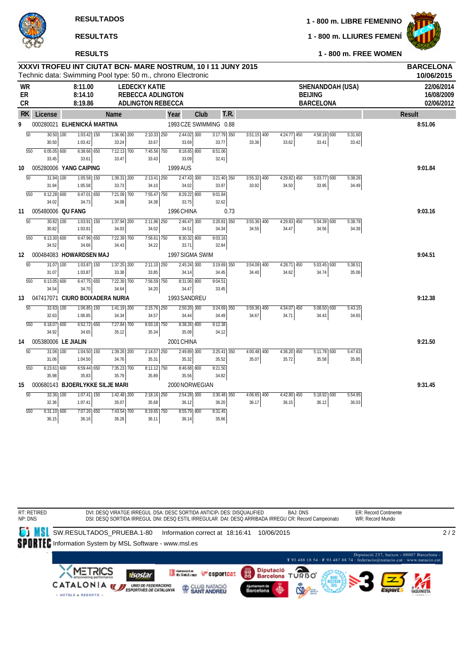#### **RESULTS**

**1 - 800 m. LIBRE FEMENINO**

**1 - 800 m. LLIURES FEMENÍ**



**1 - 800 m. FREE WOMEN**

|                              |                             |                               |                                     | XXXVI TROFEU INT CIUTAT BCN- MARE NOSTRUM, 10 I 11 JUNY 2015<br>Technic data: Swimming Pool type: 50 m., chrono Electronic |                 |                        |                        |       |               |                        |                                                        |                  | <b>BARCELONA</b><br>10/06/2015         |
|------------------------------|-----------------------------|-------------------------------|-------------------------------------|----------------------------------------------------------------------------------------------------------------------------|-----------------|------------------------|------------------------|-------|---------------|------------------------|--------------------------------------------------------|------------------|----------------------------------------|
| <b>WR</b><br>ER<br><b>CR</b> |                             | 8:11.00<br>8:14.10<br>8:19.86 |                                     | <b>LEDECKY KATIE</b><br><b>REBECCA ADLINGTON</b><br><b>ADLINGTON REBECCA</b>                                               |                 |                        |                        |       |               |                        | SHENANDOAH (USA)<br><b>BEIJING</b><br><b>BARCELONA</b> |                  | 22/06/2014<br>16/08/2009<br>02/06/2012 |
| <b>RK</b>                    | License                     |                               | Name                                |                                                                                                                            | Year            |                        | T.R.<br>Club           |       |               |                        |                                                        |                  | <b>Result</b>                          |
| 9                            | 000280021 ELHENICKÁ MARTINA |                               |                                     |                                                                                                                            |                 |                        | 1993 CZE SWIMMING 0.88 |       |               |                        |                                                        |                  | 8:51.06                                |
| $\overline{50}$              | $30.50$ $\overline{100}$    | $1:03.42$ 150                 | $1:36.66$ 200                       |                                                                                                                            | $2:10.33$ $250$ | 2:44.02 300            | $3:17.79$ 350          |       | $3:51.15$ 400 | $4:24.77$ 450          | $4:58.18$ 500                                          | 5:31.60          |                                        |
|                              | 30.50                       | 1:03.42                       | 33.24                               | 33.67                                                                                                                      |                 | 33.69                  | 33.77                  | 33.36 |               | 33.62                  | 33.41                                                  | 33.42            |                                        |
| 550                          | $6:05.05$ 600<br>33.45      | 6:38.66 650<br>33.61          | $7:12.13$ $\overline{700}$<br>33.47 | 33.43                                                                                                                      | 7:45.56 750     | $8:18.65$ 800<br>33.09 | 8:51.06<br>32.41       |       |               |                        |                                                        |                  |                                        |
| 10                           | 005280006 YANG CAIPING      |                               |                                     |                                                                                                                            | 1999 AUS        |                        |                        |       |               |                        |                                                        |                  | 9:01.84                                |
| 50                           | 31.94 100                   | $1:05.58$ 150                 | $1:39.31$ 200                       |                                                                                                                            | $2:13.41$ 250   | $2:47.43$ 300          | $3:21.40$ 350          |       | $3:55.32$ 400 | 4:29.82 450            | 5:03.77 500                                            | 5:38.26          |                                        |
|                              | 31.94                       | 1:05.58                       | 33.73                               | 34.10                                                                                                                      |                 | 34.02                  | 33.97                  | 33.92 |               | 34.50                  | 33.95                                                  | 34.49            |                                        |
| 550                          | $6:12.28$ 600               | $6:47.01$ 650                 | 7:21.09 700                         |                                                                                                                            | 7:55.47 750     | 8:29.22 800            | 9:01.84                |       |               |                        |                                                        |                  |                                        |
|                              | 34.02                       | 34.73                         | 34.08                               | 34.38                                                                                                                      |                 | 33.75                  | 32.62                  |       |               |                        |                                                        |                  |                                        |
| 11                           | 005480006 QU FANG           |                               |                                     |                                                                                                                            |                 | 1996 CHINA             |                        | 0.73  |               |                        |                                                        |                  | 9:03.16                                |
| $\overline{50}$              | 30.82 100                   | $1:03.91$ 150                 | $1:37.94$ 200                       |                                                                                                                            | 2:11.96 250     | $2:46.47$ 300          | $3:20.81$ 350          |       | $3:55.36$ 400 | $4:29.83$ 450          | 5:04.39 500                                            | 5:38.78          |                                        |
| 550                          | 30.82<br>$6:13.30$ 600      | 1:03.91<br>6:47.96 650        | 34.03<br>7:22.39 700                | 34.02                                                                                                                      | 7:56.61 750     | 34.51<br>8:30.32 800   | 34.34<br>9:03.16       | 34.55 |               | 34.47                  | 34.56                                                  | 34.39            |                                        |
|                              | 34.52                       | 34.66                         | 34.43                               | 34.22                                                                                                                      |                 | 33.71                  | 32.84                  |       |               |                        |                                                        |                  |                                        |
| 12                           | 000484083 HOWARDSEN MAJ     |                               |                                     |                                                                                                                            |                 | 1997 SIGMA SWIM        |                        |       |               |                        |                                                        |                  | 9:04.51                                |
| $\overline{50}$              | 31.07 100                   | $1:03.87$ 150                 | $1:37.25$ 200                       |                                                                                                                            | $2:11.10$ 250   | $2:45.24$ 300          | $3:19.69$ 350          |       | $3:54.09$ 400 | $4:28.71$ 450          | $5:03.45$ 500                                          | 5:38.51          |                                        |
|                              | 31.07                       | 1:03.87                       | 33.38                               | 33.85                                                                                                                      |                 | 34.14                  | 34.45                  | 34.40 |               | 34.62                  | 34.74                                                  | 35.06            |                                        |
| 550                          | $6:13.05$ 600               | $6:47.75$ 650                 | 7:22.39 700                         |                                                                                                                            | 7:56.59 750     | 8:31.06 800            | 9:04.51                |       |               |                        |                                                        |                  |                                        |
|                              | 34.54                       | 34.70                         | 34.64                               | 34.20                                                                                                                      |                 | 34.47                  | 33.45                  |       |               |                        |                                                        |                  |                                        |
| 13                           |                             |                               | 047417071 CIURO BOIXADERA NURIA     |                                                                                                                            |                 | 1993 SANDREU           |                        |       |               |                        |                                                        |                  | 9:12.38                                |
| 50                           | 32.63 100                   | $1:06.85$ 150                 | 1:41.19 200                         |                                                                                                                            | $2:15.76$ 250   | 2:50.20 300<br>34.44   | 3:24.69 350            |       | $3:59.36$ 400 | 4:34.07 450            | 5:08.50 500                                            | 5:43.15          |                                        |
| 550                          | 32.63<br>$6:18.07$ 600      | 1:06.85<br>$6:52.72$ 650      | 34.34<br>$7:27.84$ 700              | 34.57                                                                                                                      | $8:03.18$ 750   | $8:38.26$ 800          | 34.49<br>9:12.38       | 34.67 |               | 34.71                  | 34.43                                                  | 34.65            |                                        |
|                              | 34.92                       | 34.65                         | 35.12                               | 35.34                                                                                                                      |                 | 35.08                  | 34.12                  |       |               |                        |                                                        |                  |                                        |
| 14                           | 005380006 LE JIALIN         |                               |                                     |                                                                                                                            |                 | 2001 CHINA             |                        |       |               |                        |                                                        |                  | 9:21.50                                |
| $\overline{50}$              | $31.06$ $\overline{100}$    | $1:04.50$ $\overline{150}$    | $1:39.26$ 200                       |                                                                                                                            | $2:14.57$ 250   | 2:49.89 300            | $3:25.41$ 350          |       | $4:00.48$ 400 | $4:36.20$ 450          | $5:1\overline{1.78}$ 500                               | 5:47.63          |                                        |
|                              | 31.06                       | 1:04.50                       | 34.76                               | 35.31                                                                                                                      |                 | 35.32                  | 35.52                  | 35.07 |               | 35.72                  | 35.58                                                  | 35.85            |                                        |
| 550                          | $6:23.61$ 600               | $6:59.44$ 650                 | 7:35.23 700                         |                                                                                                                            | $8:11.12$ 750   | $8:46.68$ 800          | 9:21.50                |       |               |                        |                                                        |                  |                                        |
|                              | 35.98                       | 35.83                         | 35.79                               | 35.89                                                                                                                      |                 | 35.56                  | 34.82                  |       |               |                        |                                                        |                  |                                        |
| 15                           |                             |                               | 000680143 BJOERLYKKE SILJE MARI     |                                                                                                                            |                 | 2000 NORWEGIAN         |                        |       |               |                        |                                                        |                  | 9:31.45                                |
| $\overline{50}$              | 32.36 100<br>32.36          | $1:07.41$ 150<br>1:07.41      | 1:42.48 200<br>35.07                | 35.68                                                                                                                      | $2:18.16$ $250$ | 2:54.28 300<br>36.12   | 3:30.48 350<br>36.20   | 36.17 | $4:06.65$ 400 | $4:42.80$ 450<br>36.15 | $5:18.92$ 500<br>36.12                                 | 5:54.95<br>36.03 |                                        |
| 550                          | $6:31.10$ 600               | 7:07.26 650                   | 7:43.54 700                         |                                                                                                                            | $8:19.65$ 750   | 8:55.79 800            | 9:31.45                |       |               |                        |                                                        |                  |                                        |
|                              | 36.15                       | 36.16                         | 36.28                               | 36.11                                                                                                                      |                 | 36.14                  | 35.66                  |       |               |                        |                                                        |                  |                                        |

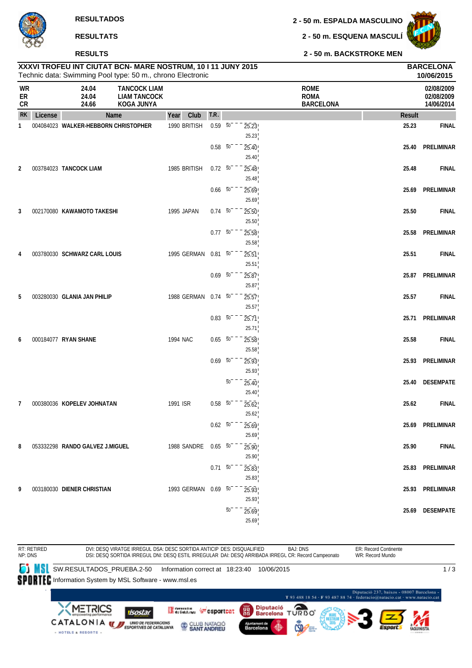**2 - 50 m. ESPALDA MASCULINO**

**2 - 50 m. ESQUENA MASCULÍ**



**10/06/2015**

**2 - 50 m. BACKSTROKE MEN**

| WR<br>ER<br><b>CR</b> |         | 24.04<br>24.04<br>24.66         | <b>TANCOCK LIAM</b><br><b>LIAM TANCOCK</b><br>KOGA JUNYA |                                   |                          |                 |                | <b>ROME</b><br><b>ROMA</b><br><b>BARCELONA</b> |               | 02/08/2009<br>02/08/2009<br>14/06/2014 |
|-----------------------|---------|---------------------------------|----------------------------------------------------------|-----------------------------------|--------------------------|-----------------|----------------|------------------------------------------------|---------------|----------------------------------------|
| <b>RK</b>             | License |                                 | Name                                                     | Club<br>Year                      | T.R.                     |                 |                |                                                | <b>Result</b> |                                        |
| 1                     |         |                                 | 004084023 WALKER-HEBBORN CHRISTOPHER                     | 1990 BRITISH                      | $0.59\overline{50}$      |                 | 25.23<br>25.23 |                                                | 25.23         | <b>FINAL</b>                           |
|                       |         |                                 |                                                          |                                   | $0.58$ 50                |                 | 25.40          |                                                | 25.40         | PRELIMINAR                             |
|                       |         |                                 |                                                          |                                   |                          |                 | 25.40          |                                                |               |                                        |
| 2                     |         | 003784023 TANCOCK LIAM          |                                                          | 1985 BRITISH                      | $0.72\ 50$               |                 | 25.48<br>25.48 |                                                | 25.48         | <b>FINAL</b>                           |
|                       |         |                                 |                                                          |                                   | $0.66\quad 50$           |                 | 25.69          |                                                | 25.69         | PRELIMINAR                             |
|                       |         |                                 |                                                          |                                   |                          |                 | 25.69          |                                                |               |                                        |
| 3                     |         | 002170080 KAWAMOTO TAKESHI      |                                                          | 1995 JAPAN                        | $0.74\ 50$               |                 | 25.50          |                                                | 25.50         | <b>FINAL</b>                           |
|                       |         |                                 |                                                          |                                   |                          |                 | 25.50          |                                                |               |                                        |
|                       |         |                                 |                                                          |                                   | $0.77\ 50$               |                 | 25.58          |                                                | 25.58         | PRELIMINAR                             |
|                       |         |                                 |                                                          |                                   |                          |                 | 25.58          |                                                |               |                                        |
| 4                     |         | 003780030 SCHWARZ CARL LOUIS    |                                                          | 1995 GERMAN                       | $0.81\ 50$               |                 | 25.51          |                                                | 25.51         | <b>FINAL</b>                           |
|                       |         |                                 |                                                          |                                   |                          |                 | 25.51          |                                                |               |                                        |
|                       |         |                                 |                                                          |                                   | $0.69\ 50$               |                 | 25.87          |                                                |               | 25.87 PRELIMINAR                       |
|                       |         |                                 |                                                          |                                   |                          |                 | 25.87          |                                                |               |                                        |
| 5                     |         | 003280030 GLANIA JAN PHILIP     |                                                          | 1988 GERMAN 0.74 50               |                          |                 | 25.57<br>25.57 |                                                | 25.57         | <b>FINAL</b>                           |
|                       |         |                                 |                                                          |                                   | $0.83\ 50$               |                 | 25.71          |                                                | 25.71         | PRELIMINAR                             |
|                       |         |                                 |                                                          |                                   |                          |                 | 25.71          |                                                |               |                                        |
| 6                     |         | 000184077 RYAN SHANE            |                                                          | 1994 NAC                          | $0.65 - 50$              |                 | 25.58          |                                                | 25.58         | <b>FINAL</b>                           |
|                       |         |                                 |                                                          |                                   |                          |                 | 25.58          |                                                |               |                                        |
|                       |         |                                 |                                                          |                                   | $0.69\ 50$               |                 | 25.93          |                                                |               | 25.93 PRELIMINAR                       |
|                       |         |                                 |                                                          |                                   |                          |                 | 25.93          |                                                |               |                                        |
|                       |         |                                 |                                                          |                                   |                          | $\overline{50}$ | 25.40          |                                                | 25.40         | <b>DESEMPATE</b>                       |
|                       |         |                                 |                                                          |                                   |                          |                 | 25.40          |                                                |               |                                        |
| $\mathcal{I}$         |         | 000380036 KOPELEV JOHNATAN      |                                                          | 1991 ISR                          | $0.58\quad 50$           |                 | 25.62          |                                                | 25.62         | <b>FINAL</b>                           |
|                       |         |                                 |                                                          |                                   |                          |                 | 25.62          |                                                |               |                                        |
|                       |         |                                 |                                                          |                                   | $0.62 - 50^{-1}$         |                 | 25.69          |                                                | 25.69         | PRELIMINAR                             |
|                       |         |                                 |                                                          |                                   |                          |                 | 25.69          |                                                |               |                                        |
| 8                     |         | 053332298 RANDO GALVEZ J.MIGUEL |                                                          | 1988 SANDRE 0.65 50 <sup>-1</sup> |                          |                 | 25.90<br>25.90 |                                                | 25.90         | <b>FINAL</b>                           |
|                       |         |                                 |                                                          |                                   | $0.71\overline{50}^{-1}$ |                 | 25.83          |                                                |               | 25.83 PRELIMINAR                       |
|                       |         |                                 |                                                          |                                   |                          |                 | 25.83          |                                                |               |                                        |
| 9                     |         | 003180030 DIENER CHRISTIAN      |                                                          | 1993 GERMAN 0.69 50               |                          |                 | 25.93          |                                                |               | 25.93 PRELIMINAR                       |
|                       |         |                                 |                                                          |                                   |                          |                 | 25.93          |                                                |               |                                        |
|                       |         |                                 |                                                          |                                   |                          | $\overline{50}$ | 25.69          |                                                |               | 25.69 DESEMPATE                        |
|                       |         |                                 |                                                          |                                   |                          |                 | 25.69          |                                                |               |                                        |

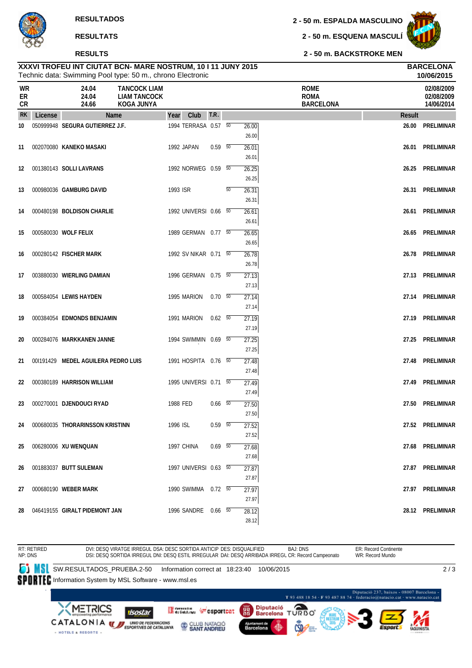#### **RESULTS**

**2 - 50 m. ESPALDA MASCULINO**

**2 - 50 m. ESQUENA MASCULÍ**

**2 - 50 m. BACKSTROKE MEN**

|                |         |                                     | Technic data: Swimming Pool type: 50 m., chrono Electronic      |            |                       |             |    |                         |                                                |        | 10/06/2015                             |
|----------------|---------|-------------------------------------|-----------------------------------------------------------------|------------|-----------------------|-------------|----|-------------------------|------------------------------------------------|--------|----------------------------------------|
| WR<br>ER<br>CR |         | 24.04<br>24.04<br>24.66             | <b>TANCOCK LIAM</b><br><b>LIAM TANCOCK</b><br><b>KOGA JUNYA</b> |            |                       |             |    |                         | <b>ROME</b><br><b>ROMA</b><br><b>BARCELONA</b> |        | 02/08/2009<br>02/08/2009<br>14/06/2014 |
| <b>RK</b>      | License |                                     | <b>Name</b>                                                     | Year       | Club                  | T.R.        |    |                         |                                                | Result |                                        |
| 10             |         | 050999948 SEGURA GUTIERREZ J.F.     |                                                                 |            | 1994 TERRASA 0.57 50  |             |    | 26.00<br>26.00          |                                                | 26.00  | <b>PRELIMINAR</b>                      |
| 11             |         | 002070080 KANEKO MASAKI             |                                                                 | 1992 JAPAN |                       | $0.59 - 50$ |    | 26.01<br>26.01          |                                                | 26.01  | PRELIMINAR                             |
| 12             |         | 001380143 SOLLI LAVRANS             |                                                                 |            | 1992 NORWEG 0.59 50   |             |    | 26.25<br>26.25          |                                                | 26.25  | PRELIMINAR                             |
| 13             |         | 000980036 GAMBURG DAVID             |                                                                 | 1993 ISR   |                       |             | 50 | 26.31<br>26.31          |                                                | 26.31  | <b>PRELIMINAR</b>                      |
| 14             |         | 000480198 BOLDISON CHARLIE          |                                                                 |            | 1992 UNIVERSI 0.66 50 |             |    | 26.61<br>26.61          |                                                | 26.61  | PRELIMINAR                             |
| 15             |         | 000580030 WOLF FELIX                |                                                                 |            | 1989 GERMAN 0.77 50   |             |    | 26.65                   |                                                | 26.65  | <b>PRELIMINAR</b>                      |
| 16             |         | 000280142 FISCHER MARK              |                                                                 |            | 1992 SV NIKAR 0.71 50 |             |    | 26.65<br>26.78          |                                                | 26.78  | PRELIMINAR                             |
| 17             |         | 003880030 WIERLING DAMIAN           |                                                                 |            | 1996 GERMAN 0.75 50   |             |    | 26.78<br>27.13          |                                                | 27.13  | PRELIMINAR                             |
| 18             |         | 000584054 LEWIS HAYDEN              |                                                                 |            | 1995 MARION           | 0.70 50     |    | 27.13<br>27.14          |                                                | 27.14  | PRELIMINAR                             |
| 19             |         | 000384054 EDMONDS BENJAMIN          |                                                                 |            | 1991 MARION           | 0.62 50     |    | 27.14<br>27.19          |                                                | 27.19  | PRELIMINAR                             |
| 20             |         | 000284076 MARKKANEN JANNE           |                                                                 |            | 1994 SWIMMIN 0.69 50  |             |    | 27.19<br>27.25          |                                                | 27.25  | PRELIMINAR                             |
| 21             |         | 00I191429 MEDEL AGUILERA PEDRO LUIS |                                                                 |            | 1991 HOSPITA 0.76 50  |             |    | 27.25<br>27.48          |                                                | 27.48  | PRELIMINAR                             |
| 22             |         | 000380189 HARRISON WILLIAM          |                                                                 |            | 1995 UNIVERSI 0.71 50 |             |    | 27.48<br>27.49          |                                                | 27.49  | PRELIMINAR                             |
| 23             |         | 000270001 DJENDOUCI RYAD            |                                                                 | 1988 FED   |                       | $0.66$ 50   |    | 27.49<br>27.50          |                                                | 27.50  | <b>PRELIMINAR</b>                      |
|                |         | 24 000680035 THORARINSSON KRISTINN  |                                                                 | 1996 ISL   |                       | $0.59\ 50$  |    | 27.50<br>27.52          |                                                |        | 27.52 PRELIMINAR                       |
| 25             |         | 006280006 XU WENQUAN                |                                                                 | 1997 CHINA |                       | $0.69$ 50   |    | 27.52<br>27.68          |                                                |        | 27.68 PRELIMINAR                       |
| 26             |         | 001883037 BUTT SULEMAN              |                                                                 |            | 1997 UNIVERSI 0.63 50 |             |    | 27.68<br>27.87          |                                                |        | 27.87 PRELIMINAR                       |
| 27             |         | 000680190 WEBER MARK                |                                                                 |            | 1990 SWIMMA 0.72 50   |             |    | 27.87<br>27.97          |                                                |        | 27.97 PRELIMINAR                       |
|                |         | 28 046419155 GIRALT PIDEMONT JAN    |                                                                 |            | 1996 SANDRE 0.66 50   |             |    | 27.97<br>28.12<br>28.12 |                                                |        | 28.12 PRELIMINAR                       |

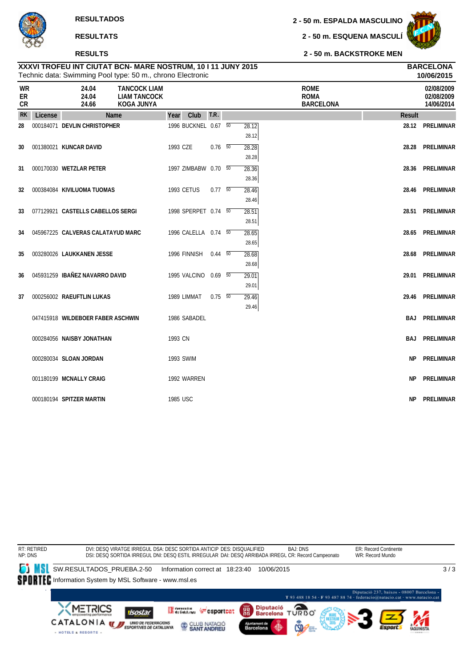#### **RESULTS**

**2 - 50 m. ESPALDA MASCULINO**

**2 - 50 m. ESQUENA MASCULÍ**



|                       | 10/06/2015<br>Technic data: Swimming Pool type: 50 m., chrono Electronic |                                   |                                                                 |          |                      |                          |  |                |                                                |               |                                        |
|-----------------------|--------------------------------------------------------------------------|-----------------------------------|-----------------------------------------------------------------|----------|----------------------|--------------------------|--|----------------|------------------------------------------------|---------------|----------------------------------------|
| <b>WR</b><br>ER<br>CR |                                                                          | 24.04<br>24.04<br>24.66           | <b>TANCOCK LIAM</b><br><b>LIAM TANCOCK</b><br><b>KOGA JUNYA</b> |          |                      |                          |  |                | <b>ROME</b><br><b>ROMA</b><br><b>BARCELONA</b> |               | 02/08/2009<br>02/08/2009<br>14/06/2014 |
| <b>RK</b>             | License                                                                  |                                   | Name                                                            | Year     | Club                 | T.R.                     |  |                |                                                | <b>Result</b> |                                        |
| 28                    |                                                                          | 000184071 DEVLIN CHRISTOPHER      |                                                                 |          | 1996 BUCKNEL 0.67 50 |                          |  | 28.12<br>28.12 |                                                |               | 28.12 PRELIMINAR                       |
| 30                    |                                                                          | 001380021 KUNCAR DAVID            |                                                                 | 1993 CZE |                      | $0.76$ 50                |  | 28.28<br>28.28 |                                                |               | 28.28 PRELIMINAR                       |
| 31                    |                                                                          | 000170030 WETZLAR PETER           |                                                                 |          | 1997 ZIMBABW 0.70 50 |                          |  | 28.36<br>28.36 |                                                |               | 28.36 PRELIMINAR                       |
| 32                    |                                                                          | 000384084 KIVILUOMA TUOMAS        |                                                                 |          | <b>1993 CETUS</b>    | $0.77\quad\overline{50}$ |  | 28.46<br>28.46 |                                                |               | 28.46 PRELIMINAR                       |
| 33                    |                                                                          | 077129921 CASTELLS CABELLOS SERGI |                                                                 |          | 1998 SPERPET 0.74 50 |                          |  | 28.51<br>28.51 |                                                | 28.51         | PRELIMINAR                             |
| 34                    |                                                                          | 045967225 CALVERAS CALATAYUD MARC |                                                                 |          | 1996 CALELLA 0.74 50 |                          |  | 28.65<br>28.65 |                                                |               | 28.65 PRELIMINAR                       |
| 35                    |                                                                          | 003280026 LAUKKANEN JESSE         |                                                                 |          | 1996 FINNISH         | $0.44\overline{50}$      |  | 28.68<br>28.68 |                                                |               | 28.68 PRELIMINAR                       |
| 36                    |                                                                          | 045931259 IBAÑEZ NAVARRO DAVID    |                                                                 |          | 1995 VALCINO 0.69 50 |                          |  | 29.01<br>29.01 |                                                | 29.01         | PRELIMINAR                             |
| 37                    |                                                                          | 000256002 RAEUFTLIN LUKAS         |                                                                 |          | 1989 LIMMAT          | $0.75\ 50$               |  | 29.46<br>29.46 |                                                |               | 29.46 PRELIMINAR                       |
|                       |                                                                          | 047415918 WILDEBOER FABER ASCHWIN |                                                                 |          | 1986 SABADEL         |                          |  |                |                                                |               | <b>BAJ PRELIMINAR</b>                  |
|                       |                                                                          | 000284056 NAISBY JONATHAN         |                                                                 | 1993 CN  |                      |                          |  |                |                                                |               | <b>BAJ PRELIMINAR</b>                  |
|                       |                                                                          | 000280034 SLOAN JORDAN            |                                                                 |          | 1993 SWIM            |                          |  |                |                                                | ΝP            | PRELIMINAR                             |
|                       |                                                                          | 001180199 MCNALLY CRAIG           |                                                                 |          | 1992 WARREN          |                          |  |                |                                                | NΡ            | PRELIMINAR                             |
|                       |                                                                          | 000180194 SPITZER MARTIN          |                                                                 | 1985 USC |                      |                          |  |                |                                                | NP.           | PRELIMINAR                             |

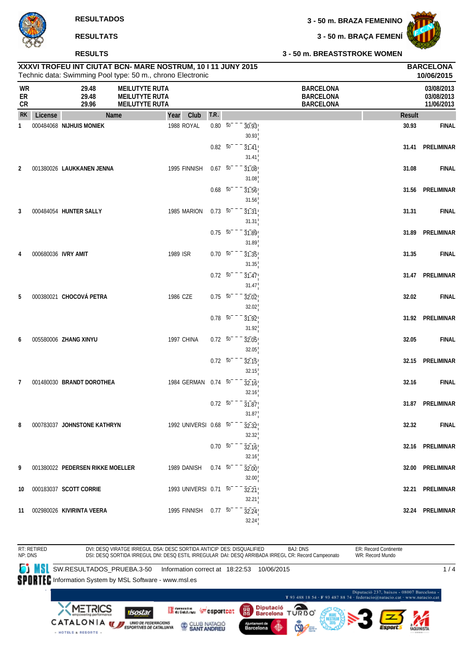

#### **RESULTS**

**3 - 50 m. BRAÇA FEMENÍ**



#### **3 - 50 m. BREASTSTROKE WOMEN**

|                |         |                                  | XXXVI TROFEU INT CIUTAT BCN- MARE NOSTRUM, 10 I 11 JUNY 2015<br>Technic data: Swimming Pool type: 50 m., chrono Electronic |                  |                 |                             |                                                          |               | <b>BARCELONA</b><br>10/06/2015         |
|----------------|---------|----------------------------------|----------------------------------------------------------------------------------------------------------------------------|------------------|-----------------|-----------------------------|----------------------------------------------------------|---------------|----------------------------------------|
| WR<br>ER<br>CR |         | 29.48<br>29.48<br>29.96          | <b>MEILUTYTE RUTA</b><br><b>MEILUTYTE RUTA</b><br><b>MEILUTYTE RUTA</b>                                                    |                  |                 |                             | <b>BARCELONA</b><br><b>BARCELONA</b><br><b>BARCELONA</b> |               | 03/08/2013<br>03/08/2013<br>11/06/2013 |
| <b>RK</b>      | License |                                  | Name<br>Year<br>Club                                                                                                       | T.R.             |                 |                             |                                                          | <b>Result</b> |                                        |
| 1              |         | 000484068 NIJHUIS MONIEK         | 1988 ROYAL                                                                                                                 | $0.80\ 50^{-}$   |                 | 30.93<br>30.93              |                                                          | 30.93         | <b>FINAL</b>                           |
|                |         |                                  |                                                                                                                            | $0.82 - 50^{-1}$ |                 | 31.41<br>31.41              |                                                          | 31.41         | PRELIMINAR                             |
| 2              |         | 001380026 LAUKKANEN JENNA        | 1995 FINNISH                                                                                                               | $0.67 - 50$      |                 | 31.08<br>31.08              |                                                          | 31.08         | <b>FINAL</b>                           |
|                |         |                                  |                                                                                                                            | $0.68$ 50        |                 | 31.56<br>31.56              |                                                          | 31.56         | PRELIMINAR                             |
| 3              |         | 000484054 HUNTER SALLY           | 1985 MARION                                                                                                                | $0.73 - 50$      |                 | 31.31<br>31.31              |                                                          | 31.31         | <b>FINAL</b>                           |
|                |         |                                  |                                                                                                                            | $0.75 - 50^{-1}$ |                 | 31.89<br>31.89              |                                                          | 31.89         | PRELIMINAR                             |
| 4              |         | 000680036 IVRY AMIT              | 1989 ISR                                                                                                                   | $0.70\ 50$       |                 | 31.35<br>31.35              |                                                          | 31.35         | <b>FINAL</b>                           |
|                |         |                                  |                                                                                                                            | $0.72\ 50$       |                 | $\overline{31.47}$<br>31.47 |                                                          | 31.47         | PRELIMINAR                             |
| 5              |         | 000380021 CHOCOVÁ PETRA          | 1986 CZE                                                                                                                   | $0.75 - 50^{-1}$ |                 | 32.02<br>32.02              |                                                          | 32.02         | <b>FINAL</b>                           |
|                |         |                                  |                                                                                                                            | $0.78\ 50$       |                 | 31.92<br>31.92              |                                                          |               | 31.92 PRELIMINAR                       |
| 6              |         | 005580006 ZHANG XINYU            | 1997 CHINA                                                                                                                 | $0.72 - 50$      |                 | 32.05<br>32.05              |                                                          | 32.05         | <b>FINAL</b>                           |
|                |         |                                  |                                                                                                                            | $0.72\ 50$       |                 | 32.15<br>32.15              |                                                          | 32.15         | PRELIMINAR                             |
| 7              |         | 001480030 BRANDT DOROTHEA        | 1984 GERMAN 0.74 50                                                                                                        |                  |                 | 32.16<br>32.16              |                                                          | 32.16         | <b>FINAL</b>                           |
|                |         |                                  |                                                                                                                            | $0.72 - 50$      |                 | 31.87<br>31.87              |                                                          | 31.87         | PRELIMINAR                             |
| 8              |         | 000783037 JOHNSTONE KATHRYN      | 1992 UNIVERSI 0.68 50                                                                                                      |                  |                 | 32.32<br>32.32              |                                                          | 32.32         | <b>FINAL</b>                           |
|                |         |                                  |                                                                                                                            |                  | $0.70\ 50^{-1}$ | 32.16<br>32.16              |                                                          |               | 32.16 PRELIMINAR                       |
| 9              |         | 001380022 PEDERSEN RIKKE MOELLER | 1989 DANISH                                                                                                                | $0.74$ 50        |                 | 32.00<br>32.00              |                                                          |               | 32.00 PRELIMINAR                       |
| 10             |         | 000183037 SCOTT CORRIE           | 1993 UNIVERSI 0.71 50                                                                                                      |                  |                 | 32.21<br>32.21              |                                                          |               | 32.21 PRELIMINAR                       |
|                |         | 11 002980026 KIVIRINTA VEERA     | 1995 FINNISH 0.77 50                                                                                                       |                  |                 | 32.24<br>32.24              |                                                          |               | 32.24 PRELIMINAR                       |

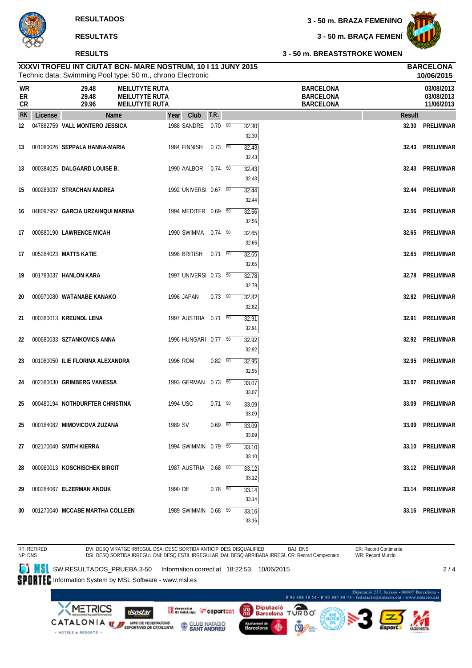#### **RESULTS**



**10/06/2015**

**3 - 50 m. BRAÇA FEMENÍ**

**3 - 50 m. BREASTSTROKE WOMEN**

|                        |         |                                      | Technic data: Swimming Pool type: 50 m., chrono Electronic |      |              |             |                |                                     |               | 10/06/2015                             |
|------------------------|---------|--------------------------------------|------------------------------------------------------------|------|--------------|-------------|----------------|-------------------------------------|---------------|----------------------------------------|
| <b>WR</b><br>ER<br>CR. |         | 29.48<br>29.48<br>29.96              | MEILUTYTE RUTA<br>MEILUTYTE RUTA<br>MEILUTYTE RUTA         |      |              |             |                | BARCELONA<br>BARCELONA<br>BARCELONA |               | 03/08/2013<br>03/08/2013<br>11/06/2013 |
| RK                     | License |                                      | <b>Name</b>                                                | Year | Club         | T.R.        |                |                                     | <b>Result</b> |                                        |
| 12                     |         | 047882759 VALL MONTERO JESSICA       |                                                            |      | 1988 SANDRE  | $0.70\ 50$  | 32.30<br>32.30 |                                     | 32.30         | PRELIMINAL                             |
|                        |         | 13 - ΛΛ1ΛԶΛΛ26 - SEPPALA HANNA MARIA |                                                            |      | 1084 FINNISH | $0.73 - 50$ | 2212           |                                     | <b>22 13</b>  | <b>PRELIMINAL</b>                      |

| <b>RK</b> | License | <b>Name</b>                       | Year       | Club                  | T.R.                     |                | <b>Result</b> |                   |
|-----------|---------|-----------------------------------|------------|-----------------------|--------------------------|----------------|---------------|-------------------|
| 12        |         | 047882759 VALL MONTERO JESSICA    |            | 1988 SANDRE           | $0.70\ 50$               | 32.30<br>32.30 | 32.30         | PRELIMINAR        |
| 13        |         | 001080026 SEPPALA HANNA-MARIA     |            | 1984 FINNISH          | $0.73\ 50$               | 32.43<br>32.43 | 32.43         | PRELIMINAR        |
| 13        |         | 000384025 DALGAARD LOUISE B.      |            | 1990 AALBOR           | $0.74$ 50                | 32.43<br>32.43 | 32.43         | PRELIMINAR        |
| 15        |         | 000283037 STRACHAN ANDREA         |            | 1992 UNIVERSI 0.67 50 |                          | 32.44<br>32.44 | 32.44         | <b>PRELIMINAR</b> |
| 16        |         | 048097952 GARCIA URZAINQUI MARINA |            | 1994 MEDITER 0.69 50  |                          | 32.56          | 32.56         | <b>PRELIMINAR</b> |
| 17        |         | 000880190 LAWRENCE MICAH          |            | 1990 SWIMMA  0.74  50 |                          | 32.56<br>32.65 | 32.65         | <b>PRELIMINAR</b> |
| 17        |         | 005284023 MATTS KATIE             |            | 1998 BRITISH          | $0.71\ 50$               | 32.65<br>32.65 | 32.65         | <b>PRELIMINAR</b> |
| 19        |         | 001783037 HANLON KARA             |            | 1997 UNIVERSI 0.73 50 |                          | 32.65<br>32.78 | 32.78         | PRELIMINAR        |
| 20        |         | 000970080 WATANABE KANAKO         | 1996 JAPAN |                       | $0.73\quad\overline{50}$ | 32.78<br>32.82 | 32.82         | PRELIMINAR        |
| 21        |         | 000380013 KREUNDL LENA            |            | 1997 AUSTRIA 0.71 50  |                          | 32.82<br>32.91 |               | 32.91 PRELIMINAR  |
| 22        |         | 000680033 SZTANKOVICS ANNA        |            | 1996 HUNGARI 0.77 50  |                          | 32.91<br>32.92 | 32.92         | PRELIMINAR        |
| 23        |         | 001080050 ILIE FLORINA ALEXANDRA  | 1996 ROM   |                       | $0.82\ 50$               | 32.92<br>32.95 | 32.95         | <b>PRELIMINAR</b> |
| 24        |         | 002380030 GRIMBERG VANESSA        |            | 1993 GERMAN           | $0.73\ 50$               | 32.95<br>33.07 | 33.07         | PRELIMINAR        |
| 25        |         | 000480194 NOTHDURFTER CHRISTINA   | 1994 USC   |                       | $0.71\ 50$               | 33.07<br>33.09 | 33.09         | PRELIMINAR        |
| 25        |         | 000184082 MIMOVICOVA ZUZANA       | 1989 SV    |                       | $0.69$ 50                | 33.09<br>33.09 | 33.09         | <b>PRELIMINAR</b> |
| 27        |         | 002170040 SMITH KIERRA            |            | 1994 SWIMMIN 0.79 50  |                          | 33.09<br>33.10 | 33.10         | <b>PRELIMINAR</b> |
| 28        |         | 000980013 KOSCHISCHEK BIRGIT      |            | 1987 AUSTRIA 0.68 50  |                          | 33.10<br>33.12 | 33.12         | <b>PRELIMINAR</b> |
|           |         |                                   |            |                       |                          | 33.12          |               |                   |
| 29        |         | 000284067 ELZERMAN ANOUK          | 1990 DE    |                       | $0.78\quad 50$           | 33.14<br>33.14 | 33.14         | <b>PRELIMINAR</b> |
| 30        |         | 001270040 MCCABE MARTHA COLLEEN   |            | 1989 SWIMMIN 0.68 50  |                          | 33.16<br>33.16 | 33.16         | <b>PRELIMINAR</b> |

**XXXVI TROFEU INT CIUTAT BCN- MARE NOSTRUM, 10 I 11 JUNY 2015 BARCELONA**

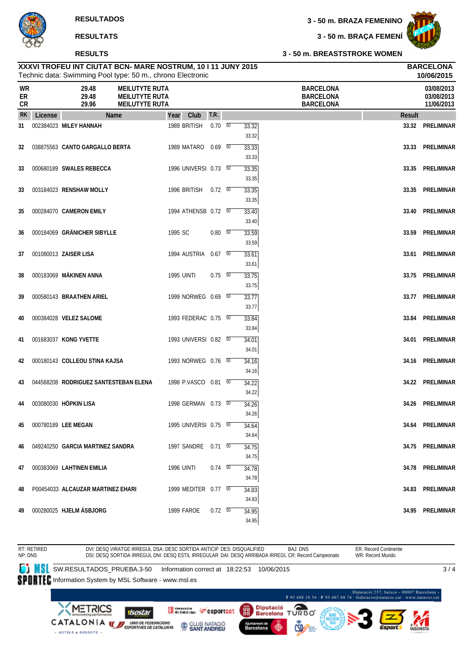#### **RESULTS**

**3 - 50 m. BRAÇA FEMENÍ**



|                       |         | <b>RESULTS</b>                                                                                                             |                                                                         |                       |             |                |                                                          | 3 - 50 m. BREASTSTROKE WOMEN |                                        |
|-----------------------|---------|----------------------------------------------------------------------------------------------------------------------------|-------------------------------------------------------------------------|-----------------------|-------------|----------------|----------------------------------------------------------|------------------------------|----------------------------------------|
|                       |         | XXXVI TROFEU INT CIUTAT BCN- MARE NOSTRUM, 10 I 11 JUNY 2015<br>Technic data: Swimming Pool type: 50 m., chrono Electronic |                                                                         |                       |             |                |                                                          |                              | <b>BARCELONA</b><br>10/06/2015         |
| <b>WR</b><br>ER<br>CR |         | 29.48<br>29.48<br>29.96                                                                                                    | <b>MEILUTYTE RUTA</b><br><b>MEILUTYTE RUTA</b><br><b>MEILUTYTE RUTA</b> |                       |             |                | <b>BARCELONA</b><br><b>BARCELONA</b><br><b>BARCELONA</b> |                              | 03/08/2013<br>03/08/2013<br>11/06/2013 |
| <b>RK</b>             | License | <b>Name</b>                                                                                                                |                                                                         | Club<br>Year          | T.R.        |                |                                                          | Result                       |                                        |
| 31                    |         | 002384023 MILEY HANNAH                                                                                                     |                                                                         | 1989 BRITISH          | $0.70\ 50$  | 33.32<br>33.32 |                                                          |                              | 33.32 PRELIMINAR                       |
| 32                    |         | 038875563 CANTO GARGALLO BERTA                                                                                             |                                                                         | 1989 MATARO 0.69 50   |             | 33.33<br>33.33 |                                                          | 33.33                        | PRELIMINAR                             |
| 33                    |         | 000680189 SWALES REBECCA                                                                                                   |                                                                         | 1996 UNIVERSI 0.73 50 |             | 33.35<br>33.35 |                                                          | 33.35                        | PRELIMINAR                             |
| 33                    |         | 003184023 RENSHAW MOLLY                                                                                                    |                                                                         | 1996 BRITISH          | $0.72\ 50$  | 33.35<br>33.35 |                                                          |                              | 33.35 PRELIMINAR                       |
| 35                    |         | 000284070 CAMERON EMILY                                                                                                    |                                                                         | 1994 ATHENSB 0.72 50  |             | 33.40<br>33.40 |                                                          | 33.40                        | PRELIMINAR                             |
| 36                    |         | 000184069 GRÄNICHER SIBYLLE                                                                                                |                                                                         | 1995 SC               | $0.80\, 50$ | 33.59<br>33.59 |                                                          | 33.59                        | PRELIMINAR                             |
| 37                    |         | 001080013 ZAISER LISA                                                                                                      |                                                                         | 1994 AUSTRIA 0.67 50  |             | 33.61<br>33.61 |                                                          |                              | 33.61 PRELIMINAR                       |
| 38                    |         | 000183069 MÄKINEN ANNA                                                                                                     |                                                                         | <b>1995 UINTI</b>     | $0.75\ 50$  | 33.75<br>33.75 |                                                          | 33.75                        | PRELIMINAR                             |
| 39                    |         | 000580143 BRAATHEN ARIEL                                                                                                   |                                                                         | 1999 NORWEG 0.69 50   |             | 33.77<br>33.77 |                                                          |                              | 33.77 PRELIMINAR                       |
| 40                    |         | 000384028 VELEZ SALOME                                                                                                     |                                                                         | 1993 FEDERAC 0.75 50  |             | 33.84<br>33.84 |                                                          | 33.84                        | <b>PRELIMINAR</b>                      |
| 41                    |         | 001683037 KONG YVETTE                                                                                                      |                                                                         | 1993 UNIVERSI 0.82 50 |             | 34.01<br>34.01 |                                                          | 34.01                        | PRELIMINAR                             |
| 42                    |         | 000180143 COLLEOU STINA KAJSA                                                                                              |                                                                         | 1993 NORWEG 0.76 50   |             | 34.16<br>34.16 |                                                          |                              | 34.16 PRELIMINAR                       |
| 43                    |         | 044568208 RODRIGUEZ SANTESTEBAN ELENA                                                                                      |                                                                         | 1998 P.VASCO 0.81 50  |             | 34.22<br>34.22 |                                                          |                              | 34.22 PRELIMINAR                       |
| 44                    |         | 003080030 HÖPKIN LISA                                                                                                      |                                                                         | 1998 GERMAN 0.73 50   |             | 34.26<br>34.26 |                                                          | 34.26                        | PRELIMINAR                             |
| 45                    |         | 000780189 LEE MEGAN                                                                                                        |                                                                         | 1995 UNIVERSI 0.75 50 |             | 34.64<br>34.64 |                                                          |                              | 34.64 PRELIMINAR                       |

BAJ: DNS ER: Record Continente RT: RETIRED NP: DNS DVI: DESQ VIRATGE IRREGUL DSA: DESC SORTIDA ANTICIP DES: DISQUALIFIED DSI: DESQ SORTIDA IRREGUL DNI: DESQ ESTIL IRREGULAR DAI: DESQ ARRIBADA IRREGL CR: Record Campeonato WR: Record Mundo **SW.RESULTADOS\_PRUEBA.3-50** Information correct at 18:22:53 10/06/2015  $3/4$ SPORTEC Information System by MSL Software - www.msl.es ó 237, baixos - 08007 Barcelona T 93 488 18 54 - F 93 487 88 74 - federacio@natacio.cat - www.natacio.cat METRICS Diputació Θ Germann Wesportcat 嚻 **isostar** Barcelona т **URBO** CATALONIA WE UNDER FEDERACIONS CLUB NATACIÓ Barcelona HOTELS & RESORTS +

**46** 049240250 **GARCIA MARTINEZ SANDRA** 1997 SANDRE 0.71 <sup>50</sup> 34.75 **34.75 PRELIMINAR**

**47** 000383069 **LAHTINEN EMILIA** 1996 UINTI 0.74 <sup>50</sup> 34.78 **34.78 PRELIMINAR**

**48** P00454033 **ALCAUZAR MARTINEZ EHARI** 1999 MEDITER 0.77 <sup>50</sup> 34.83 **34.83 PRELIMINAR**

**49** 000280025 **HJELM ÁSBJORG** 1999 FAROE 0.72 <sup>50</sup> 34.95 **34.95 PRELIMINAR**

34.75

34.78

34.83

34.95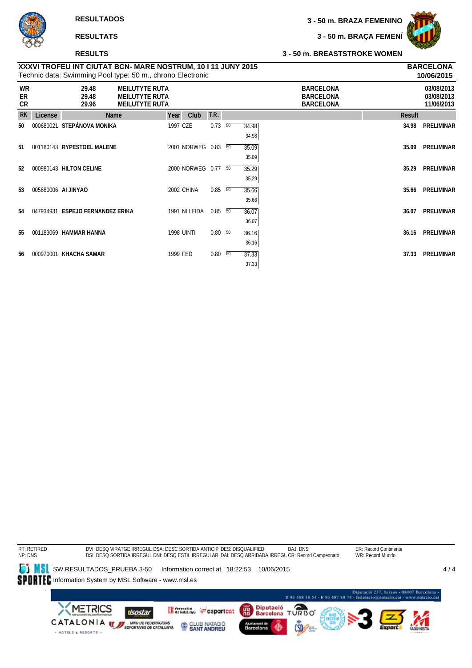

#### **RESULTS**

**3 - 50 m. BRAÇA FEMENÍ**



#### **3 - 50 m. BREASTSTROKE WOMEN**

|                |                     | .                                                                                                                          |                                                                         |          |                     |             |    |                |                                                          |        |                                        |
|----------------|---------------------|----------------------------------------------------------------------------------------------------------------------------|-------------------------------------------------------------------------|----------|---------------------|-------------|----|----------------|----------------------------------------------------------|--------|----------------------------------------|
|                |                     | XXXVI TROFEU INT CIUTAT BCN- MARE NOSTRUM, 10 I 11 JUNY 2015<br>Technic data: Swimming Pool type: 50 m., chrono Electronic |                                                                         |          |                     |             |    |                |                                                          |        | <b>BARCELONA</b><br>10/06/2015         |
| WR<br>ER<br>CR |                     | 29.48<br>29.48<br>29.96                                                                                                    | <b>MEILUTYTE RUTA</b><br><b>MEILUTYTE RUTA</b><br><b>MEILUTYTE RUTA</b> |          |                     |             |    |                | <b>BARCELONA</b><br><b>BARCELONA</b><br><b>BARCELONA</b> |        | 03/08/2013<br>03/08/2013<br>11/06/2013 |
| <b>RK</b>      | License             | Name                                                                                                                       |                                                                         | Year     | Club                | T.R.        |    |                |                                                          | Result |                                        |
| 50             | 000680021           | STEPÁNOVA MONIKA                                                                                                           |                                                                         | 1997 CZE |                     | 0.73        | 50 | 34.98<br>34.98 |                                                          | 34.98  | <b>PRELIMINAR</b>                      |
| 51             |                     | 001180143 RYPESTOEL MALENE                                                                                                 |                                                                         |          | 2001 NORWEG 0.83 50 |             |    | 35.09<br>35.09 |                                                          | 35.09  | <b>PRELIMINAR</b>                      |
| 52             |                     | 000980143 HILTON CELINE                                                                                                    |                                                                         |          | 2000 NORWEG 0.77 50 |             |    | 35.29<br>35.29 |                                                          | 35.29  | <b>PRELIMINAR</b>                      |
| 53             | 005680006 AI JINYAO |                                                                                                                            |                                                                         |          | 2002 CHINA          | $0.85\ 50$  |    | 35.66<br>35.66 |                                                          | 35.66  | PRELIMINAR                             |
| 54             |                     | 047934931 ESPEJO FERNANDEZ ERIKA                                                                                           |                                                                         |          | 1991 NLLEIDA        | $0.85\ 50$  |    | 36.07<br>36.07 |                                                          | 36.07  | <b>PRELIMINAR</b>                      |
| 55             |                     | 001183069 HAMMAR HANNA                                                                                                     |                                                                         |          | <b>1998 UINTI</b>   | $0.80\, 50$ |    | 36.16<br>36.16 |                                                          | 36.16  | <b>PRELIMINAR</b>                      |
| 56             | 000970001           | KHACHA SAMAR                                                                                                               |                                                                         | 1999 FED |                     | $0.80\, 50$ |    | 37.33<br>37.33 |                                                          | 37.33  | PRELIMINAR                             |

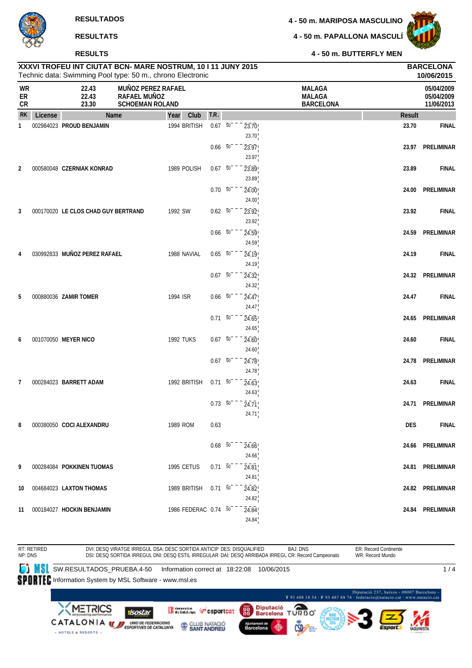

|                |         | <b>RESULTATS</b>                                                                                                           |                                                              |                  |                          |                          |                             | 4 - 50 m. PAPALLONA MASCULÍ                        |               |                                        |
|----------------|---------|----------------------------------------------------------------------------------------------------------------------------|--------------------------------------------------------------|------------------|--------------------------|--------------------------|-----------------------------|----------------------------------------------------|---------------|----------------------------------------|
|                |         | <b>RESULTS</b>                                                                                                             |                                                              |                  |                          |                          |                             | 4 - 50 m. BUTTERFLY MEN                            |               |                                        |
|                |         | XXXVI TROFEU INT CIUTAT BCN- MARE NOSTRUM, 10 I 11 JUNY 2015<br>Technic data: Swimming Pool type: 50 m., chrono Electronic |                                                              |                  |                          |                          |                             |                                                    |               | <b>BARCELONA</b><br>10/06/2015         |
| WR<br>ER<br>CR |         | 22.43<br>22.43<br>23.30                                                                                                    | MUÑOZ PEREZ RAFAEL<br>RAFAEL MUÑOZ<br><b>SCHOEMAN ROLAND</b> |                  |                          |                          |                             | <b>MALAGA</b><br><b>MALAGA</b><br><b>BARCELONA</b> |               | 05/04/2009<br>05/04/2009<br>11/06/2013 |
| <b>RK</b>      | License | <b>Name</b>                                                                                                                |                                                              | Club<br>Year     | T.R.                     |                          |                             |                                                    | <b>Result</b> |                                        |
| 1              |         | 002984023 PROUD BENJAMIN                                                                                                   |                                                              | 1994 BRITISH     | $0.67 - 50^{-}$          |                          | 23.70<br>23.70              |                                                    | 23.70         | <b>FINAL</b>                           |
|                |         |                                                                                                                            |                                                              |                  | $0.66\quad 50$           |                          | 23.97<br>23.97              |                                                    | 23.97         | <b>PRELIMINAR</b>                      |
| $\overline{2}$ |         | 000580048 CZERNIAK KONRAD                                                                                                  |                                                              | 1989 POLISH      | $0.67 - 50$              |                          | 23.89<br>23.89              |                                                    | 23.89         | <b>FINAL</b>                           |
|                |         |                                                                                                                            |                                                              |                  | $0.70\ 50^{-}$           |                          | 24.00<br>24.00              |                                                    | 24.00         | <b>PRELIMINAR</b>                      |
| 3              |         | 000170020 LE CLOS CHAD GUY BERTRAND                                                                                        |                                                              | 1992 SW          | $0.62 - 50^{-1}$         |                          | 23.92<br>23.92              |                                                    | 23.92         | <b>FINAL</b>                           |
|                |         |                                                                                                                            |                                                              |                  | $0.66\quad 50$           |                          | 24.59<br>24.59              |                                                    | 24.59         | <b>PRELIMINAR</b>                      |
| 4              |         | 030992833 MUÑOZ PEREZ RAFAEL                                                                                               |                                                              | 1988 NAVIAL      | $0.65 - 50^{-1}$         |                          | 24.19<br>24.19              |                                                    | 24.19         | <b>FINAL</b>                           |
|                |         |                                                                                                                            |                                                              |                  | $0.67 - 50^{-}$          |                          | $\overline{24.32}$<br>24.32 |                                                    | 24.32         | <b>PRELIMINAR</b>                      |
| 5              |         | 000880036 ZAMIR TOMER                                                                                                      |                                                              | 1994 ISR         | $0.66\quad\overline{50}$ |                          | 24.47<br>24.47              |                                                    | 24.47         | <b>FINAL</b>                           |
|                |         |                                                                                                                            |                                                              |                  | $0.71 - 50^{-1}$         |                          | 24.65<br>24.65              |                                                    | 24.65         | PRELIMINAR                             |
| 6              |         | 001070050 MEYER NICO                                                                                                       |                                                              | <b>1992 TUKS</b> | $0.67 - 50^{-1}$         |                          | 24.60<br>24.60              |                                                    | 24.60         | <b>FINAL</b>                           |
|                |         |                                                                                                                            |                                                              |                  | $0.67$ 50                |                          | 24.78<br>24.78              |                                                    | 24.78         | <b>PRELIMINAR</b>                      |
| 7              |         | 000284023 BARRETT ADAM                                                                                                     |                                                              | 1992 BRITISH     | $0.71\ 50$               |                          | 24.63                       |                                                    | 24.63         | <b>FINAL</b>                           |
|                |         |                                                                                                                            |                                                              |                  | $0.73\ 50^{-}$           |                          | 24.63<br>24.71              |                                                    |               | 24.71 PRELIMINAR                       |
| 8              |         | 000380050 COCI ALEXANDRU                                                                                                   |                                                              | 1989 ROM         | 0.63                     |                          | 24.71                       |                                                    | <b>DES</b>    | <b>FINAL</b>                           |
|                |         |                                                                                                                            |                                                              |                  |                          | $0.68\overline{50}^{-1}$ | 24.66<br>24.66              |                                                    |               | 24.66 PRELIMINAR                       |

**11** 000184027 **HOCKIN BENJAMIN** 1986 FEDERAC 0.74 <sup>50</sup> 24.84 **24.84 PRELIMINAR** 24.84 BAJ: DNS ER: Record Continente RT: RETIRED NP: DNS DVI: DESQ VIRATGE IRREGUL DSA: DESC SORTIDA ANTICIP DES: DISQUALIFIED WR: Record Mundo DSI: DESQ SORTIDA IRREGUL DNI: DESQ ESTIL IRREGULAR DAI: DESQ ARRIBADA IRREGL CR: Record Campeonato **SW.RESULTADOS\_PRUEBA.4-50 Information correct at 18:22:08 10/06/2015**  $1/4$ SPORTEC Information System by MSL Software - www.msl.es ió 237, baixos - 08007 Barcelona T 93 488 18 54 - F 93 487 88 74 - federacio@natacio.cat - www.natacio.cat **TURBO METRICS** Diputació Greenin (Fesportcat 麗 isostar **Barcelona** CATALONIA WEBPORTAGE DE CATALLUNYA CLUB NATACIÓ Barcelona - HOTELS & RESORTS -

**9** 000284084 **POKKINEN TUOMAS** 1995 CETUS 0.71 <sup>50</sup> 24.81 **24.81 PRELIMINAR**

**10** 004684023 **LAXTON THOMAS** 1989 BRITISH 0.71 <sup>50</sup> 24.82 **24.82 PRELIMINAR**

24.81

24.82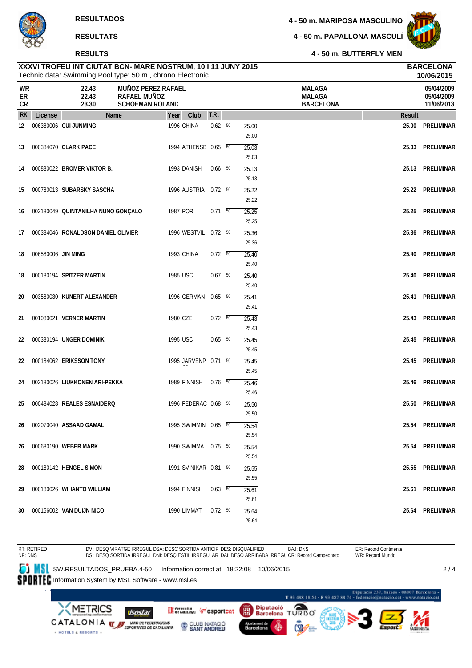#### **RESULTS**

**4 - 50 m. PAPALLONA MASCULÍ**



**4 - 50 m. BUTTERFLY MEN**

|                |                    | Technic data: Swimming Pool type: 50 m., chrono Electronic |                                                                     |          |                       |                          |                         |                                                    |        | 10/06/2015                             |
|----------------|--------------------|------------------------------------------------------------|---------------------------------------------------------------------|----------|-----------------------|--------------------------|-------------------------|----------------------------------------------------|--------|----------------------------------------|
| WR<br>ER<br>CR |                    | 22.43<br>22.43<br>23.30                                    | <b>MUÑOZ PEREZ RAFAEL</b><br>RAFAEL MUÑOZ<br><b>SCHOEMAN ROLAND</b> |          |                       |                          |                         | <b>MALAGA</b><br><b>MALAGA</b><br><b>BARCELONA</b> |        | 05/04/2009<br>05/04/2009<br>11/06/2013 |
| <b>RK</b>      | License            | <b>Name</b>                                                |                                                                     | Year     | Club                  | T.R.                     |                         |                                                    | Result |                                        |
| 12             |                    | 006380006 CUI JUNMING                                      |                                                                     |          | 1996 CHINA            | $0.62\quad 50$           | 25.00<br>25.00          |                                                    | 25.00  | <b>PRELIMINAR</b>                      |
| 13             |                    | 000384070 CLARK PACE                                       |                                                                     |          | 1994 ATHENSB 0.65 50  |                          | 25.03<br>25.03          |                                                    | 25.03  | PRELIMINAR                             |
| 14             |                    | 000880022 BROMER VIKTOR B.                                 |                                                                     |          | 1993 DANISH           | $0.66$ 50                | 25.13<br>25.13          |                                                    | 25.13  | PRELIMINAR                             |
| 15             |                    | 000780013 SUBARSKY SASCHA                                  |                                                                     |          | 1996 AUSTRIA 0.72 50  |                          | 25.22<br>25.22          |                                                    |        | 25.22 PRELIMINAR                       |
| 16             |                    | 002180049 QUINTANILHA NUNO GONÇALO                         |                                                                     | 1987 POR |                       | $0.71\ 50$               | 25.25<br>25.25          |                                                    | 25.25  | PRELIMINAR                             |
| 17             |                    | 000384046 RONALDSON DANIEL OLIVIER                         |                                                                     |          | 1996 WESTVIL 0.72 50  |                          | 25.36<br>25.36          |                                                    | 25.36  | PRELIMINAR                             |
| 18             | 006580006 JIN MING |                                                            |                                                                     |          | 1993 CHINA            | $0.72\ 50$               | 25.40<br>25.40          |                                                    | 25.40  | PRELIMINAR                             |
| 18             |                    | 000180194 SPITZER MARTIN                                   |                                                                     | 1985 USC |                       | $0.67$ 50                | 25.40<br>25.40          |                                                    | 25.40  | PRELIMINAR                             |
| 20             |                    | 003580030 KUNERT ALEXANDER                                 |                                                                     |          | 1996 GERMAN           | $0.65\quad\overline{50}$ | 25.41<br>25.41          |                                                    | 25.41  | PRELIMINAR                             |
| 21             |                    | 001080021 VERNER MARTIN                                    |                                                                     | 1980 CZE |                       | $0.72\ 50$               | 25.43<br>25.43          |                                                    | 25.43  | PRELIMINAR                             |
| 22             |                    | 000380194 UNGER DOMINIK                                    |                                                                     | 1995 USC |                       | $0.65\quad 50$           | 25.45<br>25.45          |                                                    | 25.45  | PRELIMINAR                             |
| 22             |                    | 000184062 ERIKSSON TONY                                    |                                                                     |          | 1995 JÄRVENP 0.71 50  |                          | 25.45<br>25.45          |                                                    | 25.45  | PRELIMINAR                             |
| 24             |                    | 002180026 LIUKKONEN ARI-PEKKA                              |                                                                     |          | 1989 FINNISH          | $0.76$ 50                | 25.46                   |                                                    | 25.46  | PRELIMINAR                             |
| 25             |                    | 000484028 REALES ESNAIDERQ                                 |                                                                     |          | 1996 FEDERAC 0.68 50  |                          | 25.46<br>25.50          |                                                    | 25.50  | <b>PRELIMINAR</b>                      |
| 26             |                    | 002070040 ASSAAD GAMAL                                     |                                                                     |          | 1995 SWIMMIN 0.65 50  |                          | 25.50<br>25.54          |                                                    |        | 25.54 PRELIMINAR                       |
| 26             |                    | 000680190 WEBER MARK                                       |                                                                     |          | 1990 SWIMMA  0.75  50 |                          | 25.54<br>25.54          |                                                    |        | 25.54 PRELIMINAR                       |
| 28             |                    | 000180142 HENGEL SIMON                                     |                                                                     |          | 1991 SV NIKAR 0.81 50 |                          | 25.54<br>25.55          |                                                    |        | 25.55 PRELIMINAR                       |
| 29             |                    | 000180026 WIHANTO WILLIAM                                  |                                                                     |          | 1994 FINNISH 0.63 50  |                          | 25.55<br>25.61          |                                                    |        | 25.61 PRELIMINAR                       |
| 30             |                    | 000156002 VAN DUIJN NICO                                   |                                                                     |          | 1990 LIMMAT 0.72 50   |                          | 25.61<br>25.64<br>25.64 |                                                    |        | 25.64 PRELIMINAR                       |

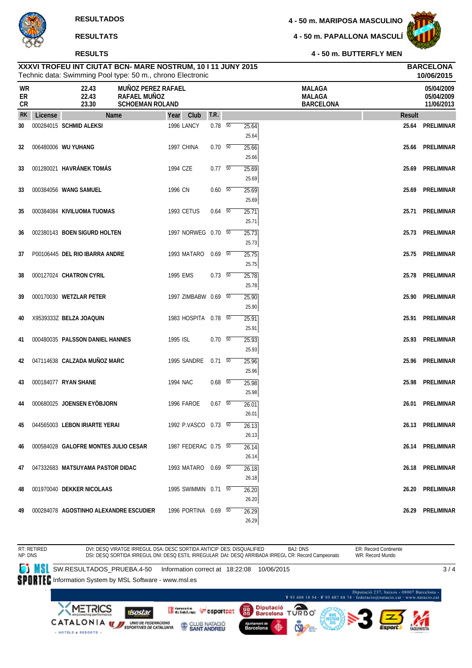#### **RESULTS**

**4 - 50 m. PAPALLONA MASCULÍ**



**4 - 50 m. BUTTERFLY MEN**

|                              | 10/06/2015<br>Technic data: Swimming Pool type: 50 m., chrono Electronic |                                        |                                                              |            |                      |                |  |                         |                                                    |        |                                        |  |
|------------------------------|--------------------------------------------------------------------------|----------------------------------------|--------------------------------------------------------------|------------|----------------------|----------------|--|-------------------------|----------------------------------------------------|--------|----------------------------------------|--|
| <b>WR</b><br>ER<br><b>CR</b> |                                                                          | 22.43<br>22.43<br>23.30                | MUÑOZ PEREZ RAFAEL<br>RAFAEL MUÑOZ<br><b>SCHOEMAN ROLAND</b> |            |                      |                |  |                         | <b>MALAGA</b><br><b>MALAGA</b><br><b>BARCELONA</b> |        | 05/04/2009<br>05/04/2009<br>11/06/2013 |  |
| <b>RK</b>                    | License                                                                  | Name                                   |                                                              | Year       | Club                 | T.R.           |  |                         |                                                    | Result |                                        |  |
| 30                           |                                                                          | 000284015 SCHMID ALEKSI                |                                                              | 1996 LANCY |                      | $0.78$ 50      |  | 25.64<br>25.64          |                                                    |        | 25.64 PRELIMINAR                       |  |
| 32                           |                                                                          | 006480006 WU YUHANG                    |                                                              | 1997 CHINA |                      | $0.70\ 50$     |  | 25.66<br>25.66          |                                                    |        | 25.66 PRELIMINAR                       |  |
| 33                           |                                                                          | 001280021 HAVRÁNEK TOMÁS               |                                                              | 1994 CZE   |                      | $0.77 - 50$    |  | 25.69<br>25.69          |                                                    | 25.69  | PRELIMINAR                             |  |
| 33                           |                                                                          | 000384056 WANG SAMUEL                  |                                                              | 1996 CN    |                      | $0.60\quad 50$ |  | 25.69<br>25.69          |                                                    |        | 25.69 PRELIMINAR                       |  |
| 35                           |                                                                          | 000384084 KIVILUOMA TUOMAS             |                                                              | 1993 CETUS |                      | $0.64$ 50      |  | 25.71<br>25.71          |                                                    |        | 25.71 PRELIMINAR                       |  |
| 36                           |                                                                          | 002380143 BOEN SIGURD HOLTEN           |                                                              |            | 1997 NORWEG 0.70 50  |                |  | 25.73<br>25.73          |                                                    |        | 25.73 PRELIMINAR                       |  |
| 37                           |                                                                          | P00106445 DEL RIO IBARRA ANDRE         |                                                              |            | 1993 MATARO          | $0.69$ 50      |  | 25.75<br>25.75          |                                                    |        | 25.75 PRELIMINAR                       |  |
| 38                           |                                                                          | 000127024 CHATRON CYRIL                |                                                              | 1995 EMS   |                      | $0.73\ 50$     |  | 25.78                   |                                                    |        | 25.78 PRELIMINAR                       |  |
| 39                           |                                                                          | 000170030 WETZLAR PETER                |                                                              |            | 1997 ZIMBABW 0.69 50 |                |  | 25.78<br>25.90          |                                                    |        | 25.90 PRELIMINAR                       |  |
| 40                           |                                                                          | X9539333Z BELZA JOAQUIN                |                                                              |            | 1983 HOSPITA 0.78 50 |                |  | 25.90<br>25.91          |                                                    |        | 25.91 PRELIMINAR                       |  |
| 41                           |                                                                          | 000480035 PALSSON DANIEL HANNES        |                                                              | 1995 ISL   |                      | $0.70\ 50$     |  | 25.91<br>25.93          |                                                    |        | 25.93 PRELIMINAR                       |  |
| 42                           |                                                                          | 047114638 CALZADA MUÑOZ MARC           |                                                              |            | 1995 SANDRE 0.71 50  |                |  | 25.93<br>25.96          |                                                    |        | 25.96 PRELIMINAR                       |  |
| 43                           |                                                                          | 000184077 RYAN SHANE                   |                                                              | 1994 NAC   |                      | $0.68$ 50      |  | 25.96<br>25.98          |                                                    | 25.98  | PRELIMINAR                             |  |
| 44                           |                                                                          | 000680025 JOENSEN EYÖBJORN             |                                                              | 1996 FAROE |                      | $0.67$ 50      |  | 25.98<br>26.01          |                                                    |        | 26.01 PRELIMINAR                       |  |
| 45                           |                                                                          | 044565003 LEBON IRIARTE YERAI          |                                                              |            | 1992 P.VASCO 0.73 50 |                |  | 26.01<br>26.13          |                                                    |        | 26.13 PRELIMINAR                       |  |
| 46                           |                                                                          | 000584028 GALOFRE MONTES JULIO CESAR   |                                                              |            | 1987 FEDERAC 0.75 50 |                |  | 26.13<br>26.14          |                                                    |        | 26.14 PRELIMINAR                       |  |
| 47                           |                                                                          | 047332683 MATSUYAMA PASTOR DIDAC       |                                                              |            | 1993 MATARO 0.69 50  |                |  | 26.14<br>26.18          |                                                    |        | 26.18 PRELIMINAR                       |  |
| 48                           |                                                                          | 001970040 DEKKER NICOLAAS              |                                                              |            | 1995 SWIMMIN 0.71 50 |                |  | 26.18<br>26.20          |                                                    |        | 26.20 PRELIMINAR                       |  |
| 49                           |                                                                          | 000284078 AGOSTINHO ALEXANDRE ESCUDIER |                                                              |            | 1996 PORTINA 0.69 50 |                |  | 26.20<br>26.29<br>26.29 |                                                    |        | 26.29 PRELIMINAR                       |  |

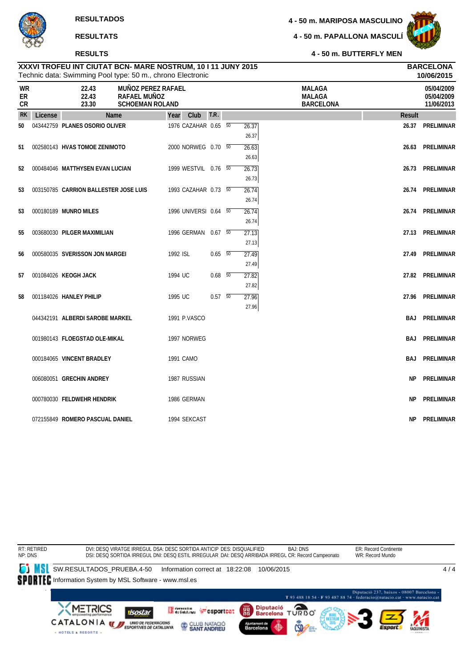#### **RESULTS**

**4 - 50 m. PAPALLONA MASCULÍ**



**4 - 50 m. BUTTERFLY MEN**

|                       |         |                                       | Technic data: Swimming Pool type: 50 m., chrono Electronic          |          |                       |                |                |                                                    |            | 10/06/2015                             |
|-----------------------|---------|---------------------------------------|---------------------------------------------------------------------|----------|-----------------------|----------------|----------------|----------------------------------------------------|------------|----------------------------------------|
| <b>WR</b><br>ER<br>CR |         | 22.43<br>22.43<br>23.30               | <b>MUÑOZ PEREZ RAFAEL</b><br>RAFAEL MUÑOZ<br><b>SCHOEMAN ROLAND</b> |          |                       |                |                | <b>MALAGA</b><br><b>MALAGA</b><br><b>BARCELONA</b> |            | 05/04/2009<br>05/04/2009<br>11/06/2013 |
| <b>RK</b>             | License |                                       | Name                                                                | Year     | Club                  | T.R.           |                |                                                    | Result     |                                        |
| 50                    |         | 043442759 PLANES OSORIO OLIVER        |                                                                     |          | 1976 CAZAHAR 0.65 50  |                | 26.37<br>26.37 |                                                    | 26.37      | PRELIMINAR                             |
| 51                    |         | 002580143 HVAS TOMOE ZENIMOTO         |                                                                     |          | 2000 NORWEG 0.70 50   |                | 26.63<br>26.63 |                                                    | 26.63      | PRELIMINAR                             |
| 52                    |         | 000484046 MATTHYSEN EVAN LUCIAN       |                                                                     |          | 1999 WESTVIL 0.76 50  |                | 26.73<br>26.73 |                                                    |            | 26.73 PRELIMINAR                       |
| 53                    |         | 003150785 CARRION BALLESTER JOSE LUIS |                                                                     |          | 1993 CAZAHAR 0.73 50  |                | 26.74<br>26.74 |                                                    |            | 26.74 PRELIMINAR                       |
| 53                    |         | 000180189 MUNRO MILES                 |                                                                     |          | 1996 UNIVERSI 0.64 50 |                | 26.74<br>26.74 |                                                    | 26.74      | PRELIMINAR                             |
| 55                    |         | 003680030 PILGER MAXIMILIAN           |                                                                     |          | 1996 GERMAN 0.67 50   |                | 27.13<br>27.13 |                                                    | 27.13      | PRELIMINAR                             |
| 56                    |         | 000580035 SVERISSON JON MARGEI        |                                                                     | 1992 ISL |                       | $0.65\quad 50$ | 27.49<br>27.49 |                                                    | 27.49      | PRELIMINAR                             |
| 57                    |         | 001084026 KEOGH JACK                  |                                                                     | 1994 UC  |                       | $0.68$ 50      | 27.82<br>27.82 |                                                    |            | 27.82 PRELIMINAR                       |
| 58                    |         | 001184026 HANLEY PHILIP               |                                                                     | 1995 UC  |                       | $0.57 - 50$    | 27.96<br>27.96 |                                                    |            | 27.96 PRELIMINAR                       |
|                       |         | 044342191 ALBERDI SAROBE MARKEL       |                                                                     |          | 1991 P.VASCO          |                |                |                                                    | <b>BAJ</b> | PRELIMINAR                             |
|                       |         | 001980143 FLOEGSTAD OLE-MIKAL         |                                                                     |          | 1997 NORWEG           |                |                |                                                    | BAJ        | PRELIMINAR                             |
|                       |         | 000184065 VINCENT BRADLEY             |                                                                     |          | 1991 CAMO             |                |                |                                                    | BAJ        | PRELIMINAR                             |
|                       |         | 006080051 GRECHIN ANDREY              |                                                                     |          | 1987 RUSSIAN          |                |                |                                                    | NP.        | PRELIMINAR                             |
|                       |         | 000780030 FELDWEHR HENDRIK            |                                                                     |          | 1986 GERMAN           |                |                |                                                    | <b>NP</b>  | PRELIMINAR                             |
|                       |         | 072155849 ROMERO PASCUAL DANIEL       |                                                                     |          | 1994 SEKCAST          |                |                |                                                    | NP.        | PRELIMINAR                             |

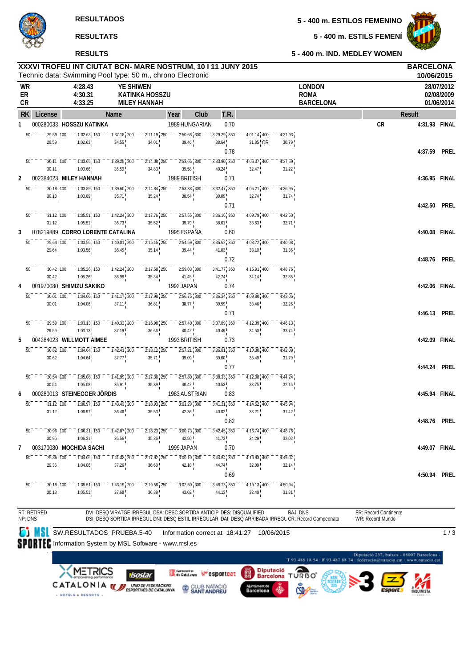**5 - 400 m. ESTILS FEMENÍ**



**5 - 400 m. IND. MEDLEY WOMEN**

### Technic data: Swimming Pool type: 50 m., chrono Electronic **XXXVI TROFEU INT CIUTAT BCN- MARE NOSTRUM, 10 I 11 JUNY 2015 BARCELONA RESULTS**

|                |                                        | Technic data: Swimming Pool type: 50 m., chrono Electronic               |                                                                                     |                                                                           |                              |                                                             |                           |                                 |                                                  |           | 10/06/2015    |                                        |
|----------------|----------------------------------------|--------------------------------------------------------------------------|-------------------------------------------------------------------------------------|---------------------------------------------------------------------------|------------------------------|-------------------------------------------------------------|---------------------------|---------------------------------|--------------------------------------------------|-----------|---------------|----------------------------------------|
| WR<br>ER<br>CR |                                        | 4:28.43<br>4:30.31<br>4:33.25                                            | <b>YE SHIWEN</b>                                                                    | <b>KATINKA HOSSZU</b><br><b>MILEY HANNAH</b>                              |                              |                                                             |                           |                                 | <b>LONDON</b><br><b>ROMA</b><br><b>BARCELONA</b> |           |               | 28/07/2012<br>02/08/2009<br>01/06/2014 |
|                | RK License                             |                                                                          | Name                                                                                |                                                                           | Year<br>Club                 | T.R.                                                        |                           |                                 |                                                  |           | Result        |                                        |
| 1              |                                        | 000280033 HOSSZU KATINKA                                                 |                                                                                     |                                                                           | 1989 HUNGARIAN               | 0.70                                                        |                           |                                 |                                                  | <b>CR</b> | 4:31.93 FINAL |                                        |
|                | 29.59, 100<br>50<br>29.59              | $\overline{1:02.63}$ , $\overline{150}$<br>1:02.63                       | $1:37.18$ , 200<br>34.55                                                            | $\overline{2:}1\overline{1}.19$ , $\overline{250}$<br>34.01               | $2:50.65$ , 300<br>39.46     | $3:29.29$ , $350$<br>38.64                                  | $4:01.14$ 400<br>31.85 CR | 4:31.93<br>30.79                |                                                  |           |               |                                        |
|                | $\overline{50}$<br>30.11, 100<br>30.11 | $1:03.66$ , $150$<br>1:03.66                                             | $\overline{1:39.25}$ , 200<br>35.59                                                 | $\overline{2:}1\overline{4.08}$ , 250<br>34.83                            | $2:53.66$ 300<br>39.58       | 0.78<br>$3:33.90$ , $350$<br>40.24                          | $4:06.37$ 400<br>32.47    | 4:37.59<br>$31.22$ <sup>1</sup> |                                                  |           | 4:37.59 PREL  |                                        |
| 2              |                                        | 002384023 MILEY HANNAH                                                   |                                                                                     |                                                                           | 1989 BRITISH                 | 0.71                                                        |                           |                                 |                                                  |           | 4:36.95 FINAL |                                        |
|                | $\overline{50}$<br>30.18, 100<br>30.18 | $1:03.89$ , 150<br>1:03.89                                               | $\overline{1:39.60}$ , 200<br>35.71                                                 | $2:14.84$ , 250<br>35.24                                                  | $2:53.38$ 300<br>38.54       | $3:32.47$ , $350$<br>$39.09$ <sup>1</sup>                   | 4:05.21 400<br>32.74      | 4:36.95<br>31.74                |                                                  |           |               |                                        |
|                | 50<br>31.12, 100<br>31.12              | $\overline{1:}0\overline{5}.\overline{51}$ , $\overline{150}$<br>1:05.51 | $1:42.24$ , 200<br>36.73                                                            | $2:17.76$ , $250$<br>35.52                                                | 2:57.55 300<br>39.79         | 0.71<br>$3:36.16$ , $350$<br>38.61                          | $4:09.79$ 400<br>33.63    | 4:42.50<br>32.71                |                                                  |           | 4:42.50 PREL  |                                        |
| 3              |                                        | 078219889 CORRO LORENTE CATALINA                                         |                                                                                     |                                                                           | 1995 ESPAÑA                  | 0.60                                                        |                           |                                 |                                                  |           | 4:40.08 FINAL |                                        |
|                | 50<br>29.64, 100<br>29.64              | $1:03.56$ , $150$<br>1:03.56                                             | $1:40.01$ , 200<br>36.45                                                            | $2:15.15$ , 250<br>$35.14$ !                                              | 2:54.59 300<br>39.44         | $3:35.62$ , $350$<br>41.03 <sup>1</sup>                     | 4:08.72 400<br>33.10      | 4:40.08<br>31.36                |                                                  |           |               |                                        |
|                |                                        |                                                                          |                                                                                     |                                                                           |                              | 0.72                                                        |                           |                                 |                                                  |           | 4:48.76 PREL  |                                        |
|                | $\overline{50}$<br>30.42, 100<br>30.42 | $1:05.26$ , $150$<br>1:05.26                                             | $\overline{1:}4\overline{2}.\overline{24}$ , $\overline{200}$<br>36.98              | $2:17.58$ , 250<br>35.34                                                  | $2:59.03$ , $300$<br>41.45   | $3:4\overline{1}.\overline{77}$ , $35\overline{0}$<br>42.74 | 4:15.91 400<br>34.14      | 4:48.76<br>32.85                |                                                  |           |               |                                        |
| 4              |                                        | 001970080 SHIMIZU SAKIKO                                                 |                                                                                     |                                                                           | 1992 JAPAN                   | 0.74                                                        |                           |                                 |                                                  |           | 4:42.06 FINAL |                                        |
|                | 50<br>30.01, 100                       | $1:04.06$ , $150$                                                        | $1:41.17$ , 200                                                                     | $2:17.98$ , 250                                                           | $2:56.75$ 300                | $3:36.34$ , 350                                             | 4:09.80 400               | 4:42.06                         |                                                  |           |               |                                        |
|                | 30.01                                  | 1:04.06                                                                  | 37.11                                                                               | 36.81                                                                     | 38.77                        | $39.59$ <sup>1</sup>                                        | 33.46                     | 32.26                           |                                                  |           |               |                                        |
|                | $\overline{50}$                        |                                                                          |                                                                                     |                                                                           |                              | 0.71                                                        |                           |                                 |                                                  |           | 4:46.13 PREL  |                                        |
|                | 29.59, 100<br>29.59                    | $\overline{1:}0\overline{3}.13$ , $\overline{150}$<br>1:03.13            | $1:40.32$ , 200<br>37.19                                                            | $2:16.98$ , 250<br>36.66                                                  | $2:57.40$ 300<br>40.42       | $3:37.89$ , $350$<br>$40.49$ <sup>1</sup>                   | $4:12.39$ 400<br>34.50    | 4:46.13<br>33.74                |                                                  |           |               |                                        |
| 5              |                                        | 004284023 WILLMOTT AIMEE                                                 |                                                                                     |                                                                           | 1993 BRITISH                 | 0.73                                                        |                           |                                 |                                                  |           | 4:42.09 FINAL |                                        |
|                | 50<br>30.62, 100                       | $1:04.64$ , $150$                                                        | $\overline{1:}4\overline{2}.\overline{4}\overline{1}$ , $\overline{2}0\overline{0}$ | $\overline{2:}1\overline{8}.\overline{12}$ , $\overline{250}$             | $2:57.\overline{21}$ 300     | $3:36.81$ , $350$                                           | $4:10.30$ , $400$         | 4:42.09                         |                                                  |           |               |                                        |
|                | 30.62                                  | 1:04.64                                                                  | 37.77                                                                               | 35.71                                                                     | 39.09                        | 39.60                                                       | 33.49                     | $31.79$ <sup>1</sup>            |                                                  |           |               |                                        |
|                | 50<br>30.54 100                        | $1:05.08$ , 150                                                          | $\overline{1:}4\overline{1}.99$ , $\overline{2}0\overline{0}$                       | $2:17.38$ , 250                                                           | 2:57.80 300                  | 0.77<br>$3:38.33$ , $350$                                   | 4:12.08 400               | 4:44.24                         |                                                  |           | 4:44.24 PREL  |                                        |
|                | 30.54                                  | 1:05.08                                                                  | 36.91                                                                               | $35.39$ !                                                                 | 40.42                        | $40.53$ !                                                   | $33.75$ !                 | 32.16                           |                                                  |           |               |                                        |
| 6              |                                        | 000280013 STEINEGGER JÖRDIS                                              |                                                                                     |                                                                           | 1983 AUSTRIAN                | 0.83                                                        |                           |                                 |                                                  |           | 4:45.94 FINAL |                                        |
|                | 31.12, 100<br>50                       | $1:06.97$ , $150$                                                        | $1:43.43$ , 200                                                                     | $\overline{2:}1\overline{8}.\overline{9}3'$ <sub>1</sub> $\overline{250}$ | $3:01.29$ 300                | $3:41.31$ , $350$                                           | $4:14.52$ 400             | 4:45.94                         |                                                  |           |               |                                        |
|                | 31.12                                  | 1:06.97                                                                  | 36.46                                                                               | 35.50                                                                     | 42.36                        | 40.02 <sup>1</sup>                                          | 33.21                     | 31.42                           |                                                  |           |               |                                        |
|                | 50<br>$30.96 \, 100$                   | $\frac{1}{106.31}$ , $\frac{1}{150}$                                     | $1:42.87$ , 200                                                                     | $2:18.23$ , $250$                                                         | $3:00.73$ 300                | 0.82<br>$3:42.45$ , $350$                                   | 4:16.74 400               | 4:48.76                         |                                                  |           | 4:48.76 PREL  |                                        |
|                | 30.96                                  | 1:06.31                                                                  | 36.56                                                                               | 35.36                                                                     | 42.50                        | $41.72$ !                                                   | 34.29                     | 32.02                           |                                                  |           |               |                                        |
| 7              |                                        | 003170080 MOCHIDA SACHI                                                  |                                                                                     |                                                                           | 1999 JAPAN                   | 0.70                                                        |                           |                                 |                                                  |           | 4:49.07 FINAL |                                        |
|                | 29.36, 100<br>$\overline{50}$          | $\overline{1:}0\overline{4}.06$ , $\overline{150}$                       | $\overline{1:}4\overline{1}.\overline{32}$ , $\overline{2}0\overline{0}$            | $2:17.92$ , $250$                                                         | $3:00.\overline{10}$ , $300$ | $3:44.84$ , $350$                                           | $4:16.93$ 400             | 4:49.07                         |                                                  |           |               |                                        |
|                | 29.36                                  | 1:04.06                                                                  | 37.26                                                                               | 36.60                                                                     | 42.18                        | 44.74<br>0.69                                               | 32.09                     | 32.14                           |                                                  |           | 4:50.94 PREL  |                                        |
|                | $\overline{50}$<br>30.18, 100<br>30.18 | $\overline{1:}0\overline{5}.\overline{51}$ , $\overline{150}$<br>1:05.51 | $\overline{1:}4\overline{3}\cdot\overline{19}$ , $\overline{200}$<br>37.68          | $2:19.58$ , $250$<br>36.39                                                | $3:02.60$ 300<br>43.02       | $3:46.73$ , $350$<br>$44.13$ <sup>1</sup>                   | $4:19.13$ $400$<br>32.40  | 4:50.94<br>31.81                |                                                  |           |               |                                        |
|                |                                        |                                                                          |                                                                                     |                                                                           |                              |                                                             |                           |                                 |                                                  |           |               |                                        |

RT: RETIRED NP: DNS

DVI: DESQ VIRATGE IRREGUL DSA: DESC SORTIDA ANTICIP DES: DISQUALIFIED BAJ: DNS<br>DSI: DESQ SORTIDA IRREGUL DNI: DESQ ESTIL IRREGULAR DAI: DESQ ARRIBADA IRREGL CR: Record Campeonato ER: Record Continente

WR: Record Mundo

**SU**SW.RESULTADOS\_PRUEBA.5-40 Information correct at 18:41:27 10/06/2015

1 / 3

SPORTEC Information System by MSL Software - www.msl.es

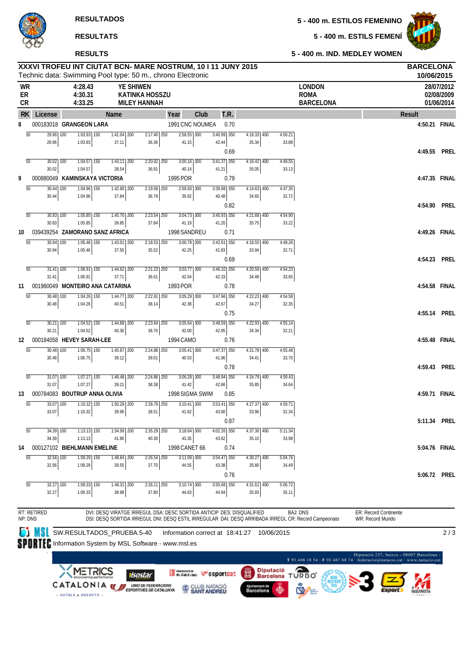**5 - 400 m. ESTILOS FEMENINO**

**5 - 400 m. ESTILS FEMENÍ**

**5 - 400 m. IND. MEDLEY WOMEN**

**RESULTADOS**



#### **RESULTATS**

#### **RESULTS**

Technic data: Swimming Pool type: 50 m., chrono Electronic **XXXVI TROFEU INT CIUTAT BCN- MARE NOSTRUM, 10 I 11 JUNY 2015 BARCELONA 10/06/2015 WR 4:28.43 YE SHIWEN LONDON 28/07/2012 ER 4:30.31 KATINKA HOSSZU ROMA 02/08/2009 CR 4:33.25 MILEY HANNAH BARCELONA 01/06/2014 RK License Name Year Club T.R. Result 8** 000183018 **GRANGEON LARA** 1991 CNC NOUMEA 0.70 **4:50.21 FINAL** 50 29.96 29.96 100 1:03.93 1:03.93  $\overline{150}$   $\overline{1:41.04}$   $\overline{200}$ 37.11  $2:17.40$   $250$ 36.36 250 2:58.55 41.15 300 3:40.99 42.44 350 4:16.33 35.34 4:50.21 33.88 0.69 **4:49.55 PREL**  $\overline{50}$  30.02 30.02  $\frac{100}{100}$  1:04.57 1:04.57  $\frac{1}{150}$  1:43.11  $\frac{1}{200}$ 38.54  $2.2002$   $250$ 36.91  $3:00.16$ 40.14  $\overline{300}$   $\overline{3:41.37}$   $\overline{350}$ 41.21  $4:16.42$ 35.05 400 4:49.55 33.13 **9** 000880049 **KAMINSKAYA VICTORIA** 1995 POR 0.79 **4:47.35 FINAL** 50 30.44 30.44  $100$   $1:04.96$   $150$ 1:04.96  $1:42.80$  200 37.84  $2.1958$  250 36.78  $2.59.50$ 39.92 300 3:39.98 40.48  $\overline{350}$  4:14.63 400 34.65  $4.47.35$ 32.72 0.82 **4:54.90 PREL** 50 30.83 30.83 100 1:05.85 1:05.85  $\frac{1}{150}$  1:45.70  $\frac{1}{200}$ 39.85  $2.23.54$   $250$ 37.84  $3:04.73$ 41.19 300 3:45.93 41.20  $\overline{350}$   $4.21.68$   $\overline{400}$ 35.75  $4.54.90$ 33.22 **10** 039439254 **ZAMORANO SANZ AFRICA** 1998 SANDREU 0.71 **4:49.26 FINAL**  $50 - 30.04$ 30.94  $\frac{100}{100}$  1.05.46  $\frac{1}{150}$ 1:05.46  $1.43.01$   $\overline{200}$ 37.55  $2.10 E2$ 35.52  $200.78$ 42.25  $3.43.41$ 41.83  $350$   $4:16.55$   $400$ 33.94  $4.402$ 32.71 0.69 **4:54.23 PREL** 50 31.41 31.41 100 1:06.91 1:06.91  $\overline{150}$  1:44.62 200 37.71  $2:21.23$   $250$ 36.61  $3:03.77$ 42.54 3:46.10 42.33 350 4:20.58 34.48  $4:54.23$ 33.65 **11** 001980049 **MONTEIRO ANA CATARINA** 1993 POR 0.78 **4:54.58 FINAL** 50 30.48 30.48  $\overline{100}$   $\overline{1:04.26}$   $\overline{150}$ 1:04.26  $1:44.77$   $200$ 40.51  $2:22.91$   $250$ 38.14  $3:05.29$ 42.38 3:00 3:47.96 42.67 350 4:22.23 34.27 4:54.58 32.35 0.75 **4:55.14 PREL** 50 30.21 30.21 1:04.52 1:04.52 150 1:44.88 40.36 200 2:23.64 38.76  $3:05.64$ 42.00 3:48.59 42.95 350 4:22.93 34.34 4:55.14 32.21 **12** 000184058 **HEVEY SARAH-LEE** 1994 CAMO 0.76 **4:55.48 FINAL** 50 30.48 30.48  $\frac{100}{100}$  1:06.75  $\frac{150}{150}$ 1:06.75  $1:45.87$  200 39.12  $2.24.88$   $250$ 39.01  $3:05.41$ 40.53  $300$   $3.47.37$   $350$ 41.96  $4.21.78$ 34.41  $4.55.48$ 33.70 0.78 **4:59.43 PREL** 50 31.07 31.07 100 1:07.27 1:07.27 150 1:46.48 200 39.21  $2:24.86$   $250$ 38.38 3:06.28 41.42 300 3:48.94 42.66 350 4:24.79 35.85 400 4:59.43 34.64 **13** 000784083 **BOUTRUP ANNA OLIVIA** 1998 SIGMA SWIM 0.85 **4:59.71 FINAL** 50 33.07 100 33.07  $1:10.32$ 1:10.32  $1\overline{150}$   $1:50.28$  $\overline{200}$ 39.96  $2:28.79$   $250$ 38.51  $3:10.41$  300 41.62  $3:53.41$ 43.00  $350 \t 4:27.37$ 33.96 4:59.71 32.34 0.87 **5:11.34 PREL**  $\frac{1}{50}$  34.39  $\frac{1}{100}$ 34.39  $1:13.13$  150 1:13.13  $1:54.99$  200 41.86  $2:35.29$  250 40.30  $3.1864$  300 43.35  $4:02.26$ 43.62  $350$   $4.37.36$   $400$ 35.10 5:11.34 33.98 **14** 000127102 **BIEHLMANN EMELINE** 1998 CANET 66 0.74 **5:04.76 FINAL** 50 32.56  $\overline{100}$ 32.56  $1:09.29$  150 1:09.29  $1:48.84$  200 39.55  $2:26.54$   $250$ 37.70  $3:11.09$   $300$ 44.55  $3:54.47$  350 43.38  $4:30.27$   $400$ 35.80 5:04.76 34.49 0.76 **5:06.72 PREL** 50 32.27 100 32.27  $1:09.33$ 1:09.33 150 1:48.31 200 38.98  $2:26.11$   $250$ 37.80 3:10.74 44.63  $\overline{300}$   $\overline{3:55.68}$   $\overline{350}$ 44.94 4:31.61 400 35.93 5:06.72 35.11

RT: RETIRED NP: DNS

DVI: DESQ VIRATGE IRREGUL DSA: DESC SORTIDA ANTICIP DES: DISQUALIFIED DSI: DESQ SORTIDA IRREGUL DNI: DESQ ESTIL IRREGULAR DAI: DESQ ARRIBADA IRREGL CR: Record Campeonato BAJ: DNS ER: Record Continente

WR: Record Mundo

**SU**SW.RESULTADOS\_PRUEBA.5-40 Information correct at 18:41:27 10/06/2015

2 / 3

SPORTFC Information System by MSL Software - www.msl.es

HOTELS & RESORTS -

METRICS Germann Fesportcat 圞 isostar CATALONIA WEBPORTAGE DE CATALLONIA CLUB NATACIÓ



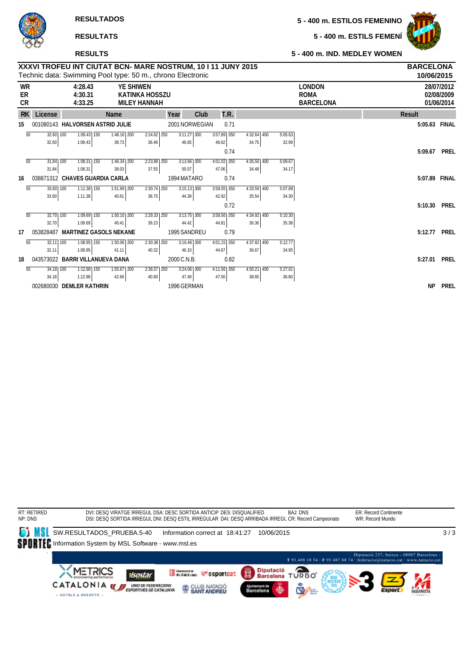**5 - 400 m. ESTILS FEMENÍ**



### **RESULTATS**

#### **RESULTS**

### **XXXVI TROFEU INT CIUTAT BCN- MARE NOSTRUM, 10 I 11 JUNY 2015 BARCELONA 5 - 400 m. IND. MEDLEY WOMEN**

|                       |               |                               | Technic data: Swimming Pool type: 50 m., chrono Electronic |                                                                  |                |      |               |               |         |                                                  | 10/06/2015    |                                        |
|-----------------------|---------------|-------------------------------|------------------------------------------------------------|------------------------------------------------------------------|----------------|------|---------------|---------------|---------|--------------------------------------------------|---------------|----------------------------------------|
| <b>WR</b><br>ER<br>CR |               | 4:28.43<br>4:30.31<br>4:33.25 |                                                            | <b>YE SHIWEN</b><br><b>KATINKA HOSSZU</b><br><b>MILEY HANNAH</b> |                |      |               |               |         | <b>LONDON</b><br><b>ROMA</b><br><b>BARCELONA</b> |               | 28/07/2012<br>02/08/2009<br>01/06/2014 |
| <b>RK</b>             | License       |                               | Name                                                       |                                                                  | Year           | Club | T.R.          |               |         |                                                  | <b>Result</b> |                                        |
| 15                    |               |                               | 001080143 HALVORSEN ASTRID JULIE                           |                                                                  | 2001 NORWEGIAN |      | 0.71          |               |         |                                                  | 5:05.63 FINAL |                                        |
| 50                    | $32.60$ 100   | $1:09.43$ 150                 | $1:48.16$ 200                                              | $2:24.62$ 250                                                    | $3:11.27$ 300  |      | 3:57.89 350   | $4:32.64$ 400 | 5:05.63 |                                                  |               |                                        |
|                       | 32.60         | 1:09.43                       | 38.73                                                      | 36.46                                                            | 46.65          |      | 46.62         | 34.75         | 32.99   |                                                  |               |                                        |
|                       |               |                               |                                                            |                                                                  |                |      | 0.74          |               |         |                                                  | 5:09.67       | <b>PREL</b>                            |
| $\overline{50}$       | 31.84 100     | $7:08.31$ $\overline{150}$    | $1:46.34$ <sup>200</sup>                                   | $2:23.89$ $250$                                                  | $3:13.96$ 300  |      | $4:01.02$ 350 | $4:35.50$ 400 | 5:09.67 |                                                  |               |                                        |
|                       | 31.84         | 1:08.31                       | 38.03                                                      | 37.55                                                            | 50.07          |      | 47.06         | 34.48         | 34.17   |                                                  |               |                                        |
| 16                    |               |                               | 038871312 CHAVES GUARDIA CARLA                             |                                                                  | 1994 MATARO    |      | 0.74          |               |         |                                                  | 5:07.89       | FINAL                                  |
| 50                    | 33.60 100     | $1:11.38$ 150                 | 1:51.99 200                                                | 2:30.74 250                                                      | $3:15.13$ 300  |      | $3:58.05$ 350 | 4:33.59 400   | 5:07.89 |                                                  |               |                                        |
|                       | 33.60         | 1:11.38                       | 40.61                                                      | 38.75                                                            | 44.39          |      | 42.92         | 35.54         | 34.30   |                                                  |               |                                        |
|                       |               |                               |                                                            |                                                                  |                |      | 0.72          |               |         |                                                  | 5:10.30       | <b>PREL</b>                            |
| 50                    | $32.70$ 100   | $1:09.69$ 150                 | $1:50.10$ 200                                              | $2:29.33$ $250$                                                  | $3:13.75$ 300  |      | $3:58.56$ 350 | $4:34.92$ 400 | 5:10.30 |                                                  |               |                                        |
|                       | 32.70         | 1:09.69                       | 40.41                                                      | 39.23                                                            | 44.42          |      | 44.81         | 36.36         | 35.38   |                                                  |               |                                        |
| 17                    | 053828487     |                               | <b>MARTINEZ GASOLS NEKANE</b>                              |                                                                  | 1995 SANDREU   |      | 0.79          |               |         |                                                  | 5:12.77       | <b>PREL</b>                            |
| 50                    | $32.11$ $100$ | $1:08.95$ 150                 | $1:50.06$ 200                                              | $2:30.38$ 250                                                    | $3:16.48$ 300  |      | $4:01.15$ 350 | $4:37.82$ 400 | 5:12.77 |                                                  |               |                                        |
|                       | 32.11         | 1:08.95                       | 41.11                                                      | 40.32                                                            | 46.10          |      | 44.67         | 36.67         | 34.95   |                                                  |               |                                        |
| 18                    |               |                               | 043573022 BARRI VILLANUEVA DANA                            |                                                                  | 2000 C.N.B.    |      | 0.82          |               |         |                                                  | 5:27.01       | <b>PREL</b>                            |
| 50                    | 34.18 100     | $1:12.98$ 150                 | $7:55.67$ 200                                              | $2:36.57$ 250                                                    | $3:24.06$ 300  |      | $4:11.56$ 350 | $4:50.21$ 400 | 5:27.01 |                                                  |               |                                        |
|                       | 34.18         | 1:12.98                       | 42.69                                                      | 40.90                                                            | 47.49          |      | 47.50         | 38.65         | 36.80   |                                                  |               |                                        |
|                       |               | 002680030 DEMLER KATHRIN      |                                                            |                                                                  | 1996 GERMAN    |      |               |               |         |                                                  | <b>NP</b>     | <b>PREL</b>                            |

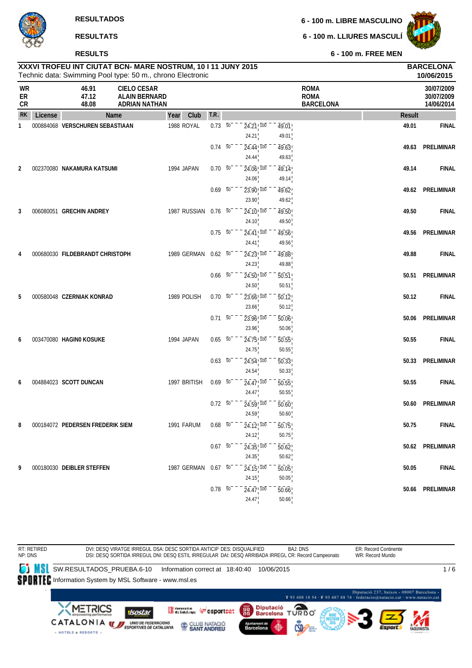#### **RESULTS**

**6 - 100 m. LIBRE MASCULINO**

**6 - 100 m. LLIURES MASCULÍ**



**6 - 100 m. FREE MEN**

|     | XXXVI TROFEU INT CIUTAT BCN- MARE NOSTRUM, 10   11 JUNY 2015<br>Technic data: Swimming Pool type: 50 m., chrono Electronic |               | <b>BARCELONA</b><br>10/06/2015 |            |
|-----|----------------------------------------------------------------------------------------------------------------------------|---------------|--------------------------------|------------|
| WR  | 46.91                                                                                                                      | CIFLO CESAR   | <b>ROMA</b>                    | 30/07/2009 |
| ER  | 47.12                                                                                                                      | ALAIN BERNARD | <b>ROMA</b>                    | 30/07/2009 |
| CR. | 48.08                                                                                                                      | ADRIAN NATHAN | <b>RARCELONA</b>               | 14/06/2014 |

| ЕK.<br>CR      |         | 47.IZ<br>48.08                   | <b>ALAIN DERIVARD</b><br><b>ADRIAN NATHAN</b> |      |                      |                |                                 |                    | <b>KUIVIA</b><br><b>BARCELONA</b> | <b>SUIDITZUUY</b><br>14/06/2014 |
|----------------|---------|----------------------------------|-----------------------------------------------|------|----------------------|----------------|---------------------------------|--------------------|-----------------------------------|---------------------------------|
| <b>RK</b>      | License | Name                             |                                               | Year | Club                 | T.R.           |                                 |                    | <b>Result</b>                     |                                 |
| $\mathbf{1}$   |         | 000884068 VERSCHUREN SEBASTIAAN  |                                               |      | 1988 ROYAL           | $0.73\ 50^{-}$ | $24.21$ , $100$                 | 49.01              | 49.01                             | <b>FINAL</b>                    |
|                |         |                                  |                                               |      |                      |                | 24.21                           | 49.01              |                                   |                                 |
|                |         |                                  |                                               |      |                      | $0.74\quad 50$ | 24.44 100                       | 49.63              | 49.63                             | <b>PRELIMINAR</b>               |
|                |         |                                  |                                               |      |                      |                | 24.44                           | 49.63              |                                   |                                 |
| $\overline{2}$ |         | 002370080 NAKAMURA KATSUMI       |                                               |      | 1994 JAPAN           | 0.70 50        | 24.06 100                       | 49.14              | 49.14                             | <b>FINAL</b>                    |
|                |         |                                  |                                               |      |                      |                | 24.06                           | 49.14              |                                   |                                 |
|                |         |                                  |                                               |      |                      | $0.69$ 50      | 23.90 100                       | 49.62              |                                   | 49.62 PRELIMINAR                |
|                |         |                                  |                                               |      |                      |                | 23.90                           | 49.62              |                                   |                                 |
| 3              |         | 006080051 GRECHIN ANDREY         |                                               |      | 1987 RUSSIAN 0.76 50 |                | 24.10, 100<br>24.10             | 49.50<br>49.50     | 49.50                             | <b>FINAL</b>                    |
|                |         |                                  |                                               |      |                      | $0.75\ 50$     | 24.41, 100                      | 49.56              | 49.56                             | PRELIMINAR                      |
|                |         |                                  |                                               |      |                      |                | 24.41                           | 49.56              |                                   |                                 |
| 4              |         | 000680030 FILDEBRANDT CHRISTOPH  |                                               |      | 1989 GERMAN          | $0.62\ 50$     | $24.23$ <sup>100</sup>          | 49.88              | 49.88                             | <b>FINAL</b>                    |
|                |         |                                  |                                               |      |                      |                | 24.23                           | 49.88              |                                   |                                 |
|                |         |                                  |                                               |      |                      | $0.66\quad 50$ | $24.50$ <sup>100</sup>          | $\overline{50.51}$ | 50.51                             | <b>PRELIMINAR</b>               |
|                |         |                                  |                                               |      |                      |                | 24.50                           | 50.51              |                                   |                                 |
| 5              |         | 000580048 CZERNIAK KONRAD        |                                               |      | 1989 POLISH          | $0.70\ 50^{-}$ | $23.66$ <sup>1</sup> $100$      | $\overline{50.12}$ | 50.12                             | <b>FINAL</b>                    |
|                |         |                                  |                                               |      |                      |                | 23.66                           | 50.12              |                                   |                                 |
|                |         |                                  |                                               |      |                      | $0.71\ 50$     | $23.96$ <sub>,100</sub>         | 50.06              |                                   | 50.06 PRELIMINAR                |
|                |         |                                  |                                               |      |                      |                | 23.96                           | 50.06              |                                   |                                 |
| 6              |         | 003470080 HAGIN0 KOSUKE          |                                               |      | 1994 JAPAN           | $0.65 - 50$    | 24.75, 100                      | 50.55              | 50.55                             | <b>FINAL</b>                    |
|                |         |                                  |                                               |      |                      |                | 24.75                           | 50.55              |                                   |                                 |
|                |         |                                  |                                               |      |                      | $0.63\ 50$     | $24.54 + 100$                   | $\overline{50.33}$ |                                   | 50.33 PRELIMINAR                |
|                |         |                                  |                                               |      |                      |                | 24.54                           | 50.33              |                                   |                                 |
| 6              |         | 004884023 SCOTT DUNCAN           |                                               |      | 1997 BRITISH         | $0.69\ 50$     | $24.47$ ! $100$                 | 50.55              | 50.55                             | <b>FINAL</b>                    |
|                |         |                                  |                                               |      |                      |                | 24.47                           | 50.55              |                                   |                                 |
|                |         |                                  |                                               |      |                      | $0.72\ 50$     | $24.59$ <sup>100</sup><br>24.59 | 50.60<br>50.60     | 50.60                             | <b>PRELIMINAR</b>               |
| 8              |         | 000184072 PEDERSEN FREDERIK SIEM |                                               |      | 1991 FARUM           | $0.68$ 50      | 24.12, 100                      |                    | 50.75                             | <b>FINAL</b>                    |
|                |         |                                  |                                               |      |                      |                | 24.12                           | 50.75<br>50.75     |                                   |                                 |
|                |         |                                  |                                               |      |                      | $0.67\ 50$     | $24.35$ ! $100$                 | $\overline{50.62}$ |                                   | 50.62 PRELIMINAR                |
|                |         |                                  |                                               |      |                      |                | 24.35                           | 50.62              |                                   |                                 |
| 9              |         | 000180030 DEIBLER STEFFEN        |                                               |      | 1987 GERMAN          | $0.67\ 50$     | $24.15$ , $100$                 | 50.05              | 50.05                             | <b>FINAL</b>                    |
|                |         |                                  |                                               |      |                      |                | 24.15                           | 50.05              |                                   |                                 |
|                |         |                                  |                                               |      |                      | $0.78\ 50$     | $24.47\substack{+ 70 0 }$       | 50.66              | 50.66                             | <b>PRELIMINAR</b>               |
|                |         |                                  |                                               |      |                      |                | 24.47                           | 50.66              |                                   |                                 |

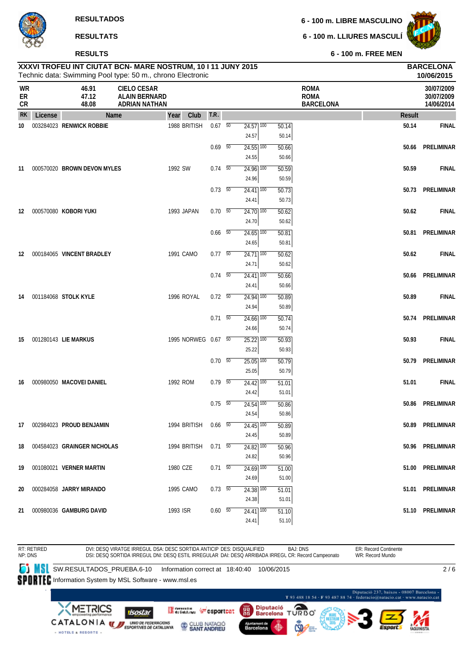**RESULTS**

**6 - 100 m. LLIURES MASCULÍ**



**10/06/2015**

**6 - 100 m. FREE MEN**

# Technic data: Swimming Pool type: 50 m., chrono Electronic **XXXVI TROFEU INT CIUTAT BCN- MARE NOSTRUM, 10 I 11 JUNY 2015 BARCELONA**

| WR<br>ER<br>CR |         | 46.91<br>47.12<br>48.08        | <b>CIELO CESAR</b><br><b>ALAIN BERNARD</b><br>ADRIAN NATHAN |            |                      |                          |                                              |                | <b>ROMA</b><br><b>ROMA</b><br><b>BARCELONA</b> |        | 30/07/2009<br>30/07/2009<br>14/06/2014 |
|----------------|---------|--------------------------------|-------------------------------------------------------------|------------|----------------------|--------------------------|----------------------------------------------|----------------|------------------------------------------------|--------|----------------------------------------|
| <b>RK</b>      | License | Name                           |                                                             | Year       | Club                 | T.R.                     |                                              |                |                                                | Result |                                        |
| 10             |         | 003284023 RENWICK ROBBIE       |                                                             |            | 1988 BRITISH         | $0.67$ 50                | $24.57$ 100<br>24.57                         | 50.14<br>50.14 |                                                | 50.14  | <b>FINAL</b>                           |
|                |         |                                |                                                             |            |                      | $0.69$ 50                | $24.55$ $\overline{100}$<br>24.55            | 50.66<br>50.66 |                                                |        | 50.66 PRELIMINAR                       |
| 11             |         | 000570020 BROWN DEVON MYLES    |                                                             | 1992 SW    |                      | $0.74\quad 50$           | $24.96$ 100<br>24.96                         | 50.59<br>50.59 |                                                | 50.59  | <b>FINAL</b>                           |
|                |         |                                |                                                             |            |                      | $0.73$ 50                | $24.41$ <sup>100</sup><br>24.41              | 50.73<br>50.73 |                                                |        | 50.73 PRELIMINAR                       |
|                |         | 12 000570080 KOBORI YUKI       |                                                             | 1993 JAPAN |                      | $0.70\ 50$               | $24.70$ $100$<br>24.70                       | 50.62<br>50.62 |                                                | 50.62  | <b>FINAL</b>                           |
|                |         |                                |                                                             |            |                      | $0.66\quad\overline{50}$ | $\overline{24.65}$ $\overline{100}$<br>24.65 | 50.81<br>50.81 |                                                |        | 50.81 PRELIMINAR                       |
| 12             |         | 000184065 VINCENT BRADLEY      |                                                             | 1991 CAMO  |                      | $0.77\quad\overline{50}$ | $24.71$ 100<br>24.71                         | 50.62<br>50.62 |                                                | 50.62  | <b>FINAL</b>                           |
|                |         |                                |                                                             |            |                      | $0.74\quad 50$           | $\overline{24.41}$ $\overline{100}$<br>24.41 | 50.66<br>50.66 |                                                |        | 50.66 PRELIMINAR                       |
| 14             |         | 001184068 STOLK KYLE           |                                                             | 1996 ROYAL |                      | $0.72\ 50$               | $24.94$ $100$<br>24.94                       | 50.89<br>50.89 |                                                | 50.89  | <b>FINAL</b>                           |
|                |         |                                |                                                             |            |                      | $0.71\ 50$               | $24.66$ $\overline{100}$<br>24.66            | 50.74<br>50.74 |                                                |        | 50.74 PRELIMINAR                       |
| 15             |         | 001280143 LIE MARKUS           |                                                             |            | 1995 NORWEG 0.67 50  |                          | $25.22$ $\overline{100}$<br>25.22            | 50.93<br>50.93 |                                                | 50.93  | <b>FINAL</b>                           |
|                |         |                                |                                                             |            |                      | $0.70\ 50$               | $25.05$ $\overline{100}$<br>25.05            | 50.79<br>50.79 |                                                |        | 50.79 PRELIMINAR                       |
| 16             |         | 000980050 MACOVEI DANIEL       |                                                             | 1992 ROM   |                      | $0.79$ 50                | 24.42 100<br>24.42                           | 51.01<br>51.01 |                                                | 51.01  | <b>FINAL</b>                           |
|                |         |                                |                                                             |            |                      | $0.75\ 50$               | $24.54$ $\overline{100}$<br>24.54            | 50.86<br>50.86 |                                                | 50.86  | PRELIMINAR                             |
|                |         | 17 002984023 PROUD BENJAMIN    |                                                             |            | 1994 BRITISH         | $0.66\quad\overline{50}$ | $24.45$ $\overline{100}$<br>24.45            | 50.89<br>50.89 |                                                | 50.89  | PRELIMINAR                             |
|                |         | 18 004584023 GRAINGER NICHOLAS |                                                             |            | 1994 BRITISH 0.71 50 |                          | $24.82$ $\overline{100}$<br>24.82            | 50.96<br>50.96 |                                                |        | 50.96 PRELIMINAR                       |
|                |         | 19 001080021 VERNER MARTIN     |                                                             | 1980 CZE   |                      | $0.71\ 50$               | $\overline{24.69}$ $\overline{100}$<br>24.69 | 51.00<br>51.00 |                                                |        | 51.00 PRELIMINAR                       |
|                |         | 20 000284058 JARRY MIRANDO     |                                                             | 1995 CAMO  |                      | $0.73\ 50$               | $24.38$ $\overline{100}$<br>24.38            | 51.01<br>51.01 |                                                |        | 51.01 PRELIMINAR                       |
|                |         | 21 000980036 GAMBURG DAVID     |                                                             | 1993 ISR   |                      | $0.60\quad\overline{50}$ | $24.41$ 100<br>24.41                         | 51.10<br>51.10 |                                                |        | 51.10 PRELIMINAR                       |

BAJ: DNS ER: Record Continente RT: RETIRED NP: DNS DVI: DESQ VIRATGE IRREGUL DSA: DESC SORTIDA ANTICIP DES: DISQUALIFIED WR: Record Mundo DSI: DESQ SORTIDA IRREGUL DNI: DESQ ESTIL IRREGULAR DAI: DESQ ARRIBADA IRREGL CR: Record Campeonato **SW.RESULTADOS\_PRUEBA.6-10** Information correct at 18:40:40 10/06/2015  $\overline{2/6}$ SPORTEC Information System by MSL Software - www.msl.es Diputació 237, baixos - 08007 Barcelona - T 93 488 18 54 - F 93 487 88 74 - federacio@natacio.cat - www.natacio.cat Diputació<br>Barcelona **METRICS** ≏ Generation ( csportcat 龗 isostar T **URBO** CATALONIA **WE UNDER FEDERACIONS** CLUB NATACIÓ Barcelona - HOTELS & RESORTS -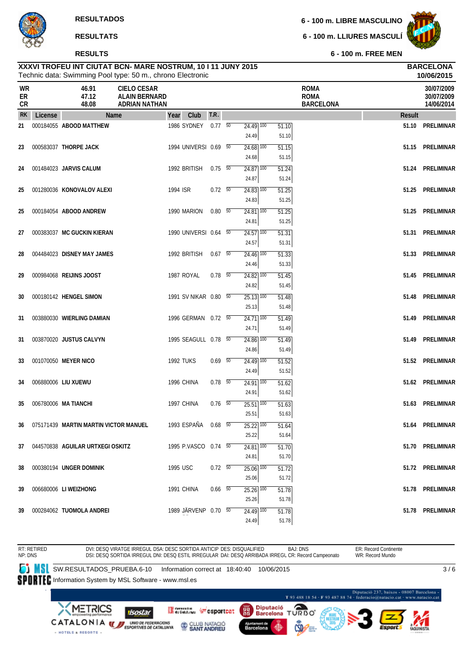### **RESULTS**

**6 - 100 m. LIBRE MASCULINO**

**6 - 100 m. LLIURES MASCULÍ**



**6 - 100 m. FREE MEN**

| Technic data: Swimming Pool type: 50 m., chrono Electronic |         |                                       |                                                                    |                  |                       |             |  |                                              |                         |                                                |        | 10/06/2015                             |
|------------------------------------------------------------|---------|---------------------------------------|--------------------------------------------------------------------|------------------|-----------------------|-------------|--|----------------------------------------------|-------------------------|------------------------------------------------|--------|----------------------------------------|
| WR<br>ER<br>CR                                             |         | 46.91<br>47.12<br>48.08               | <b>CIELO CESAR</b><br><b>ALAIN BERNARD</b><br><b>ADRIAN NATHAN</b> |                  |                       |             |  |                                              |                         | <b>ROMA</b><br><b>ROMA</b><br><b>BARCELONA</b> |        | 30/07/2009<br>30/07/2009<br>14/06/2014 |
| <b>RK</b>                                                  | License |                                       | Name                                                               | Year             | Club                  | T.R.        |  |                                              |                         |                                                | Result |                                        |
| 21                                                         |         | 000184055 ABOOD MATTHEW               |                                                                    |                  | 1986 SYDNEY 0.77 50   |             |  | $24.49$ $\overline{100}$<br>24.49            | 51.10<br>51.10          |                                                | 51.10  | <b>PRELIMINAR</b>                      |
| 23                                                         |         | 000583037 THORPE JACK                 |                                                                    |                  | 1994 UNIVERSI 0.69 50 |             |  | $24.68$ $\overline{100}$<br>24.68            | 51.15<br>51.15          |                                                | 51.15  | PRELIMINAR                             |
| 24                                                         |         | 001484023 JARVIS CALUM                |                                                                    |                  | 1992 BRITISH          | $0.75 - 50$ |  | $24.87$ 100<br>24.87                         | 51.24<br>51.24          |                                                | 51.24  | PRELIMINAR                             |
| 25                                                         |         | 001280036 KONOVALOV ALEXI             |                                                                    | 1994 ISR         |                       | $0.72\t 50$ |  | $24.83$ $\overline{100}$<br>24.83            | 51.25<br>51.25          |                                                | 51.25  | PRELIMINAR                             |
| 25                                                         |         | 000184054 ABOOD ANDREW                |                                                                    |                  | 1990 MARION           | $0.80\ 50$  |  | $24.81$ 100<br>24.81                         | 51.25<br>51.25          |                                                | 51.25  | PRELIMINAR                             |
| 27                                                         |         | 000383037 MC GUCKIN KIERAN            |                                                                    |                  | 1990 UNIVERSI 0.64 50 |             |  | $24.57$ 100<br>24.57                         | 51.31<br>51.31          |                                                | 51.31  | PRELIMINAR                             |
| 28                                                         |         | 004484023 DISNEY MAY JAMES            |                                                                    |                  | 1992 BRITISH          | 0.67 50     |  | $24.46$ 100<br>24.46                         | 51.33<br>51.33          |                                                | 51.33  | PRELIMINAR                             |
| 29                                                         |         | 000984068 REIJINS JOOST               |                                                                    |                  | 1987 ROYAL            | $0.78$ 50   |  | $\overline{24.82}$ 100<br>24.82              | 51.45<br>51.45          |                                                | 51.45  | PRELIMINAR                             |
| 30                                                         |         | 000180142 HENGEL SIMON                |                                                                    |                  | 1991 SV NIKAR 0.80 50 |             |  | $\overline{25.13}$ $\overline{100}$<br>25.13 | 51.48<br>51.48          |                                                | 51.48  | PRELIMINAR                             |
| 31                                                         |         | 003880030 WIERLING DAMIAN             |                                                                    |                  | 1996 GERMAN 0.72 50   |             |  | $24.71$ 100<br>24.71                         | 51.49<br>51.49          |                                                | 51.49  | PRELIMINAR                             |
| 31                                                         |         | 003870020 JUSTUS CALVYN               |                                                                    |                  | 1995 SEAGULL 0.78 50  |             |  | $24.86$ $\overline{100}$<br>24.86            | 51.49<br>51.49          |                                                | 51.49  | PRELIMINAR                             |
| 33                                                         |         | 001070050 MEYER NICO                  |                                                                    | <b>1992 TUKS</b> |                       | $0.69$ 50   |  | $24.49$ 100<br>24.49                         | 51.52<br>51.52          |                                                |        | 51.52 PRELIMINAR                       |
| 34                                                         |         | 006880006 LIU XUEWU                   |                                                                    |                  | 1996 CHINA            | $0.78$ 50   |  | $24.91$ 100<br>24.91                         | 51.62<br>51.62          |                                                | 51.62  | PRELIMINAR                             |
| 35                                                         |         | 006780006 MA TIANCHI                  |                                                                    |                  | 1997 CHINA            | $0.76$ 50   |  | $25.51$ 100<br>25.51                         | 51.63<br>51.63          |                                                | 51.63  | PRELIMINAR                             |
| 36                                                         |         | 075171439 MARTIN MARTIN VICTOR MANUEL |                                                                    |                  | 1993 ESPAÑA           | $0.68$ 50   |  | $25.22$ $\overline{100}$<br>25.22            | 51.64<br>51.64          |                                                |        | 51.64 PRELIMINAR                       |
| 37                                                         |         | 044570838 AGUILAR URTXEGI OSKITZ      |                                                                    |                  | 1995 P.VASCO 0.74 50  |             |  | 24.81 100                                    | 51.70                   |                                                |        | 51.70 PRELIMINAR                       |
| 38                                                         |         | 000380194 UNGER DOMINIK               |                                                                    | 1995 USC         |                       | 0.72 50     |  | 24.81<br>$25.06$ $\overline{100}$            | 51.70<br>51.72          |                                                |        | 51.72 PRELIMINAR                       |
| 39                                                         |         | 006680006 LI WEIZHONG                 |                                                                    |                  | 1991 CHINA            | $0.66$ 50   |  | 25.06<br>$25.26$ $\overline{100}$            | 51.72<br>51.78          |                                                |        | 51.78 PRELIMINAR                       |
| 39                                                         |         | 000284062 TUOMOLA ANDREI              |                                                                    |                  | 1989 JÄRVENP 0.70 50  |             |  | 25.26<br>$24.49$ 100<br>24.49                | 51.78<br>51.78<br>51.78 |                                                |        | 51.78 PRELIMINAR                       |

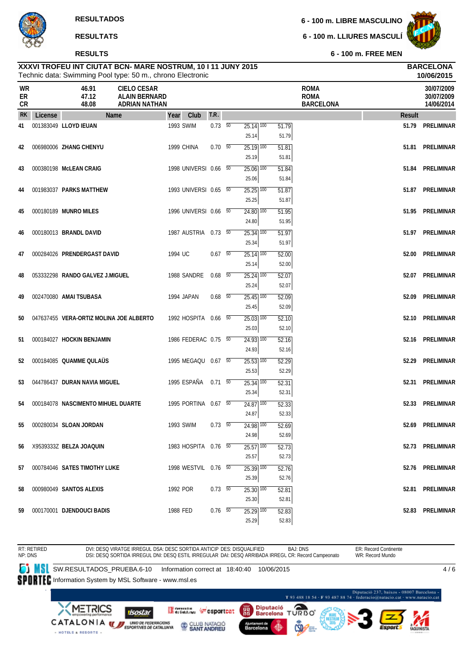#### **RESULTS**

**6 - 100 m. LIBRE MASCULINO**

**6 - 100 m. LLIURES MASCULÍ**



**6 - 100 m. FREE MEN**

#### Technic data: Swimming Pool type: 50 m., chrono Electronic **XXXVI TROFEU INT CIUTAT BCN- MARE NOSTRUM, 10 I 11 JUNY 2015 BARCELONA**

|                |         |                                         | Technic data: Swimming Pool type: 50 m., chrono Electronic         |                       |      |            |                                   |                         |                                                |        | 10/06/2015                             |
|----------------|---------|-----------------------------------------|--------------------------------------------------------------------|-----------------------|------|------------|-----------------------------------|-------------------------|------------------------------------------------|--------|----------------------------------------|
| WR<br>ER<br>CR |         | 46.91<br>47.12<br>48.08                 | <b>CIELO CESAR</b><br><b>ALAIN BERNARD</b><br><b>ADRIAN NATHAN</b> |                       |      |            |                                   |                         | <b>ROMA</b><br><b>ROMA</b><br><b>BARCELONA</b> |        | 30/07/2009<br>30/07/2009<br>14/06/2014 |
| <b>RK</b>      | License |                                         | <b>Name</b>                                                        | Year                  | Club | T.R.       |                                   |                         |                                                | Result |                                        |
| 41             |         | 001383049 LLOYD IEUAN                   |                                                                    | 1993 SWIM             |      | $0.73\ 50$ | $25.14$ $\overline{100}$<br>25.14 | 51.79<br>51.79          |                                                | 51.79  | <b>PRELIMINAR</b>                      |
| 42             |         | 006980006 ZHANG CHENYU                  |                                                                    | 1999 CHINA            |      | $0.70\ 50$ | $\overline{25.19}$ 100<br>25.19   | 51.81<br>51.81          |                                                | 51.81  | PRELIMINAR                             |
| 43             |         | 000380198 McLEAN CRAIG                  |                                                                    | 1998 UNIVERSI 0.66 50 |      |            | $25.06$ $\overline{100}$<br>25.06 | 51.84<br>51.84          |                                                | 51.84  | PRELIMINAR                             |
| 44             |         | 001983037 PARKS MATTHEW                 |                                                                    | 1993 UNIVERSI 0.65 50 |      |            | $25.25$ 100<br>25.25              | 51.87<br>51.87          |                                                | 51.87  | PRELIMINAR                             |
| 45             |         | 000180189 MUNRO MILES                   |                                                                    | 1996 UNIVERSI 0.66 50 |      |            | $24.80$ $100$<br>24.80            | 51.95<br>51.95          |                                                | 51.95  | PRELIMINAR                             |
| 46             |         | 000180013 BRANDL DAVID                  |                                                                    | 1987 AUSTRIA 0.73 50  |      |            | $25.34$ $100$<br>25.34            | 51.97<br>51.97          |                                                | 51.97  | PRELIMINAR                             |
| 47             |         | 000284026 PRENDERGAST DAVID             |                                                                    | 1994 UC               |      | $0.67$ 50  | $25.14$ $\overline{100}$<br>25.14 | 52.00<br>52.00          |                                                | 52.00  | PRELIMINAR                             |
| 48             |         | 053332298 RANDO GALVEZ J.MIGUEL         |                                                                    | 1988 SANDRE           |      | $0.68$ 50  | $25.24$ 100<br>25.24              | 52.07<br>52.07          |                                                | 52.07  | PRELIMINAR                             |
| 49             |         | 002470080 AMAI TSUBASA                  |                                                                    | 1994 JAPAN            |      | $0.68$ 50  | $25.45$ $\overline{100}$<br>25.45 | 52.09<br>52.09          |                                                | 52.09  | PRELIMINAR                             |
| 50             |         | 047637455 VERA-ORTIZ MOLINA JOE ALBERTO |                                                                    | 1992 HOSPITA 0.66 50  |      |            | $25.03$ $\overline{100}$<br>25.03 | 52.10<br>52.10          |                                                | 52.10  | PRELIMINAR                             |
| 51             |         | 000184027 HOCKIN BENJAMIN               |                                                                    | 1986 FEDERAC 0.75 50  |      |            | $24.93$ $\overline{100}$<br>24.93 | 52.16<br>52.16          |                                                | 52.16  | PRELIMINAR                             |
| 52             |         | 000184085 QUAMME QULAUS                 |                                                                    | 1995 MEGAQU 0.67 50   |      |            | $25.53$ $\overline{100}$<br>25.53 | 52.29<br>52.29          |                                                | 52.29  | PRELIMINAR                             |
| 53             |         | 044786437 DURAN NAVIA MIGUEL            |                                                                    | 1995 ESPAÑA           |      | $0.71\ 50$ | $25.34$ $\overline{100}$<br>25.34 | 52.31<br>52.31          |                                                | 52.31  | PRELIMINAR                             |
| 54             |         | 000184078 NASCIMENTO MIHUEL DUARTE      |                                                                    | 1995 PORTINA 0.67 50  |      |            | 24.87 100<br>24.87                | 52.33<br>52.33          |                                                | 52.33  | <b>PRELIMINAR</b>                      |
| 55             |         | 000280034 SLOAN JORDAN                  |                                                                    | 1993 SWIM             |      | $0.73\ 50$ | $24.98$ $\overline{100}$<br>24.98 | 52.69<br>52.69          |                                                | 52.69  | <b>PRELIMINAR</b>                      |
|                |         | 56 X9539333Z BELZA JOAQUIN              |                                                                    | 1983 HOSPITA 0.76 50  |      |            | $25.57$ 100                       | 52.73                   |                                                |        | 52.73 PRELIMINAR                       |
| 57             |         | 000784046 SATES TIMOTHY LUKE            |                                                                    | 1998 WESTVIL 0.76 50  |      |            | 25.57<br>25.39 100                | 52.73<br>52.76          |                                                |        | 52.76 PRELIMINAR                       |
| 58             |         | 000980049 SANTOS ALEXIS                 |                                                                    | 1992 POR              |      | 0.73 50    | 25.39<br>$25.30$ $100$            | 52.76<br>52.81          |                                                |        | 52.81 PRELIMINAR                       |
| 59             |         | 000170001 DJENDOUCI BADIS               |                                                                    | 1988 FED              |      | $0.76$ 50  | 25.30<br>$25.29$ 100<br>25.29     | 52.81<br>52.83<br>52.83 |                                                |        | 52.83 PRELIMINAR                       |

ER: Record Continente RT: RETIRED NP: DNS DVI: DESQ VIRATGE IRREGUL DSA: DESC SORTIDA ANTICIP DES: DISQUALIFIED BAJ: DNS<br>DSI: DESQ SORTIDA IRREGUL DNI: DESQ ESTIL IRREGULAR DAI: DESQ ARRIBADA IRREGL CR: Record Campeonato WR: Record Mundo **SW.RESULTADOS\_PRUEBA.6-10** Information correct at 18:40:40 10/06/2015  $4/6$ SPORTEC Information System by MSL Software - www.msl.es -<br>Diputació 237, baixos - 08007 Barcelona<br>T 93 488 18 54 - F 93 487 88 74 - federacio@natacio.cat - www.natacio.cat Diputació<br>Barcelona Δ **METRICS** Generation ( csportcat 鹽 isostar T **URBO** CATALONIA WEBPORTAGE CATALONIS CLUB NATACIÓ Barcelona - HOTELS & RESORTS -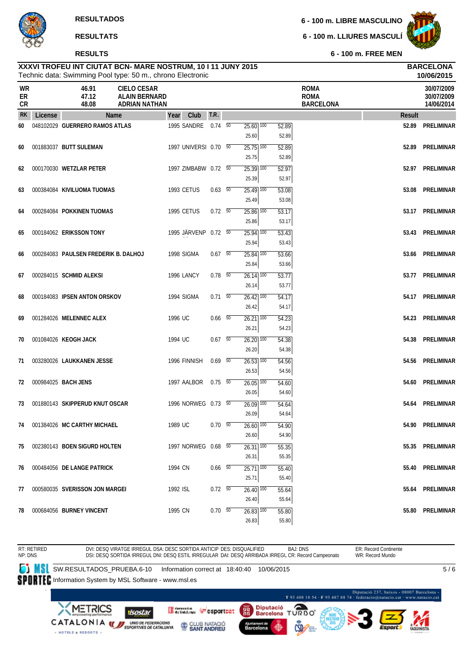#### **RESULTS**

**6 - 100 m. LIBRE MASCULINO**

**6 - 100 m. LLIURES MASCULÍ**



**10/06/2015**

**6 - 100 m. FREE MEN**

| WR<br>ER<br>CR |         | 46.91<br>47.12<br>48.08              | <b>CIELO CESAR</b><br><b>ALAIN BERNARD</b><br><b>ADRIAN NATHAN</b> |          |                       |                          |                                   |                | <b>ROMA</b><br><b>ROMA</b><br><b>BARCELONA</b> |        | 30/07/2009<br>30/07/2009<br>14/06/2014 |
|----------------|---------|--------------------------------------|--------------------------------------------------------------------|----------|-----------------------|--------------------------|-----------------------------------|----------------|------------------------------------------------|--------|----------------------------------------|
| <b>RK</b>      | License | Name                                 |                                                                    | Year     | Club                  | T.R.                     |                                   |                |                                                | Result |                                        |
| 60             |         | 048102029 GUERRERO RAMOS ATLAS       |                                                                    |          | 1995 SANDRE           | $0.74\quad 50$           | $25.60$ $\overline{100}$<br>25.60 | 52.89<br>52.89 |                                                |        | 52.89 PRELIMINAR                       |
| 60             |         | 001883037 BUTT SULEMAN               |                                                                    |          | 1997 UNIVERSI 0.70 50 |                          | $\overline{25.75}$ 100<br>25.75   | 52.89<br>52.89 |                                                | 52.89  | PRELIMINAR                             |
| 62             |         | 000170030 WETZLAR PETER              |                                                                    |          | 1997 ZIMBABW 0.72 50  |                          | $25.39$ 100<br>25.39              | 52.97<br>52.97 |                                                |        | 52.97 PRELIMINAR                       |
| 63             |         | 000384084 KIVILUOMA TUOMAS           |                                                                    |          | 1993 CETUS            | 0.63 50                  | $25.49$ 100<br>25.49              | 53.08<br>53.08 |                                                |        | 53.08 PRELIMINAR                       |
| 64             |         | 000284084 POKKINEN TUOMAS            |                                                                    |          | 1995 CETUS            | $0.72\ 50$               | $25.86$ $\overline{100}$<br>25.86 | 53.17<br>53.17 |                                                |        | 53.17 PRELIMINAR                       |
| 65             |         | 000184062 ERIKSSON TONY              |                                                                    |          | 1995 JÄRVENP 0.72 50  |                          | $25.94$ $\overline{100}$<br>25.94 | 53.43<br>53.43 |                                                |        | 53.43 PRELIMINAR                       |
| 66             |         | 000284083 PAULSEN FREDERIK B. DALHOJ |                                                                    |          | 1998 SIGMA            | $0.67$ 50                | $25.84$ $\overline{100}$<br>25.84 | 53.66<br>53.66 |                                                |        | 53.66 PRELIMINAR                       |
| 67             |         | 000284015 SCHMID ALEKSI              |                                                                    |          | 1996 LANCY            | $0.78$ 50                | $\overline{26.14}$ 100<br>26.14   | 53.77<br>53.77 |                                                |        | 53.77 PRELIMINAR                       |
| 68             |         | 000184083 IPSEN ANTON ORSKOV         |                                                                    |          | 1994 SIGMA            | $0.71\ 50$               | $\overline{26.42}$ 100<br>26.42   | 54.17<br>54.17 |                                                |        | 54.17 PRELIMINAR                       |
| 69             |         | 001284026 MELENNEC ALEX              |                                                                    | 1996 UC  |                       | $0.66\quad\overline{50}$ | $26.21$ 100<br>26.21              | 54.23<br>54.23 |                                                |        | 54.23 PRELIMINAR                       |
| 70             |         | 001084026 KEOGH JACK                 |                                                                    | 1994 UC  |                       | $0.67$ 50                | $26.20$ 100<br>26.20              | 54.38<br>54.38 |                                                | 54.38  | PRELIMINAR                             |
| 71             |         | 003280026 LAUKKANEN JESSE            |                                                                    |          | 1996 FINNISH          | $0.69$ 50                | $26.53$ $\overline{100}$<br>26.53 | 54.56<br>54.56 |                                                | 54.56  | PRELIMINAR                             |
| 72             |         | 000984025 BACH JENS                  |                                                                    |          | 1997 AALBOR           | $0.75 - 50$              | $26.05$ $\overline{100}$<br>26.05 | 54.60<br>54.60 |                                                | 54.60  | PRELIMINAR                             |
| 73             |         | 001880143 SKIPPERUD KNUT OSCAR       |                                                                    |          | 1996 NORWEG 0.73 50   |                          | $26.09$ 100<br>26.09              | 54.64<br>54.64 |                                                | 54.64  | PRELIMINAR                             |
| 74             |         | 001384026 MC CARTHY MICHAEL          |                                                                    | 1989 UC  |                       | $0.70\ 50$               | $26.60$ $\overline{100}$<br>26.60 | 54.90<br>54.90 |                                                | 54.90  | PRELIMINAR                             |
| 75             |         | 002380143 BOEN SIGURD HOLTEN         |                                                                    |          | 1997 NORWEG 0.68 50   |                          | $26.31$ $\overline{100}$<br>26.31 | 55.35<br>55.35 |                                                |        | 55.35 PRELIMINAR                       |
| 76             |         | 000484056 DE LANGE PATRICK           |                                                                    | 1994 CN  |                       | $0.66$ 50                | $25.71$ 100<br>25.71              | 55.40<br>55.40 |                                                |        | 55.40 PRELIMINAR                       |
| 77             |         | 000580035 SVERISSON JON MARGEI       |                                                                    | 1992 ISL |                       | $0.72\ 50$               | $26.40$ 100<br>26.40              | 55.64<br>55.64 |                                                |        | 55.64 PRELIMINAR                       |
| 78             |         | 000684056 BURNEY VINCENT             |                                                                    | 1995 CN  |                       | $0.70\ 50$               | $26.83$ 100<br>26.83              | 55.80<br>55.80 |                                                |        | 55.80 PRELIMINAR                       |

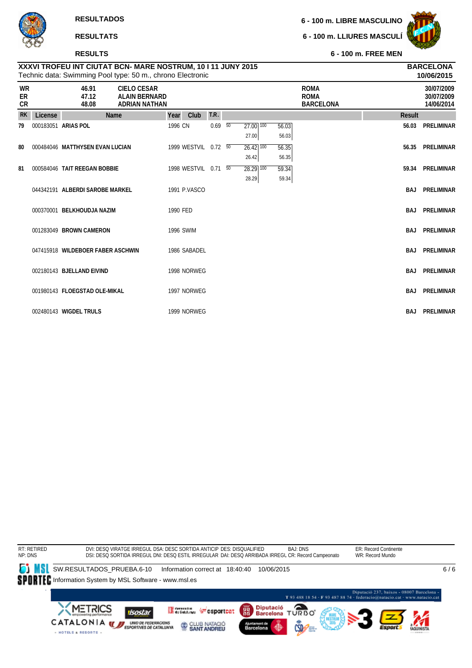#### **RESULTS**

**6 - 100 m. LIBRE MASCULINO**

**6 - 100 m. LLIURES MASCULÍ**



**6 - 100 m. FREE MEN**

|                |         |                                   | Technic data: Swimming Pool type: 50 m., chrono Electronic         |                  |                      |      |                 |                                   |                |                                                |               | 10/06/2015                             |
|----------------|---------|-----------------------------------|--------------------------------------------------------------------|------------------|----------------------|------|-----------------|-----------------------------------|----------------|------------------------------------------------|---------------|----------------------------------------|
| WR<br>ER<br>CR |         | 46.91<br>47.12<br>48.08           | <b>CIELO CESAR</b><br><b>ALAIN BERNARD</b><br><b>ADRIAN NATHAN</b> |                  |                      |      |                 |                                   |                | <b>ROMA</b><br><b>ROMA</b><br><b>BARCELONA</b> |               | 30/07/2009<br>30/07/2009<br>14/06/2014 |
| <b>RK</b>      | License |                                   | Name                                                               | Year             | Club                 | T.R. |                 |                                   |                |                                                | <b>Result</b> |                                        |
| 79             |         | 000183051 ARIAS POL               |                                                                    | 1996 CN          |                      | 0.69 | $\overline{50}$ | $27.00$ $\overline{100}$<br>27.00 | 56.03<br>56.03 |                                                | 56.03         | <b>PRELIMINAR</b>                      |
| 80             |         | 000484046 MATTHYSEN EVAN LUCIAN   |                                                                    |                  | 1999 WESTVIL 0.72 50 |      |                 | $26.42$ 100                       | 56.35          |                                                | 56.35         | <b>PRELIMINAR</b>                      |
|                |         |                                   |                                                                    |                  |                      |      |                 | 26.42                             | 56.35          |                                                |               |                                        |
| 81             |         | 000584046 TAIT REEGAN BOBBIE      |                                                                    |                  | 1998 WESTVIL 0.71 50 |      |                 | $\overline{28.29}$ 100            | 59.34          |                                                | 59.34         | <b>PRELIMINAR</b>                      |
|                |         |                                   |                                                                    |                  |                      |      |                 | 28.29                             | 59.34          |                                                |               |                                        |
|                |         | 044342191 ALBERDI SAROBE MARKEL   |                                                                    |                  | 1991 P.VASCO         |      |                 |                                   |                |                                                | BAJ           | <b>PRELIMINAR</b>                      |
|                |         | 000370001 BELKHOUDJA NAZIM        |                                                                    | 1990 FED         |                      |      |                 |                                   |                |                                                | <b>BAJ</b>    | <b>PRELIMINAR</b>                      |
|                |         | 001283049 BROWN CAMERON           |                                                                    | <b>1996 SWIM</b> |                      |      |                 |                                   |                |                                                | BAJ           | PRELIMINAR                             |
|                |         |                                   |                                                                    |                  |                      |      |                 |                                   |                |                                                |               |                                        |
|                |         | 047415918 WILDEBOER FABER ASCHWIN |                                                                    |                  | 1986 SABADEL         |      |                 |                                   |                |                                                | <b>BAJ</b>    | <b>PRELIMINAR</b>                      |
|                |         |                                   |                                                                    |                  |                      |      |                 |                                   |                |                                                |               |                                        |
|                |         | 002180143 BJELLAND EIVIND         |                                                                    |                  | 1998 NORWEG          |      |                 |                                   |                |                                                | <b>BAJ</b>    | <b>PRELIMINAR</b>                      |
|                |         | 001980143 FLOEGSTAD OLE-MIKAL     |                                                                    |                  | 1997 NORWEG          |      |                 |                                   |                |                                                | BAJ           | <b>PRELIMINAR</b>                      |
|                |         | 002480143 WIGDEL TRULS            |                                                                    |                  | 1999 NORWEG          |      |                 |                                   |                |                                                | BAJ           | <b>PRELIMINAR</b>                      |

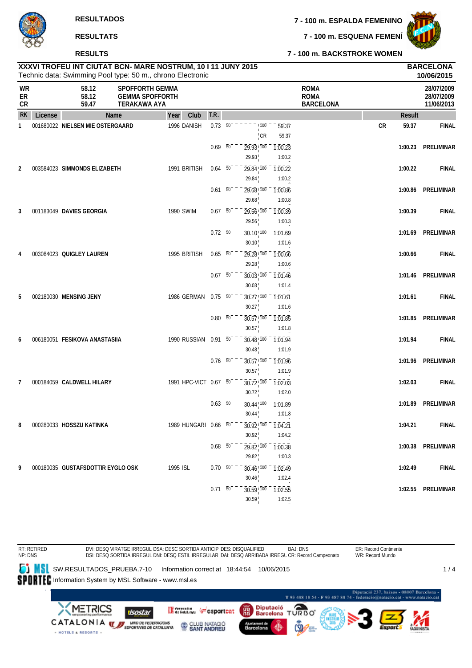**7 - 100 m. ESQUENA FEMENÍ**



**7 - 100 m. BACKSTROKE WOMEN**

# **RESULTATS**

#### **RESULTS**

|                | 10/06/2015<br>Technic data: Swimming Pool type: 50 m., chrono Electronic |                                   |                                                                         |                       |                     |                 |                                                                                  |                                |                                                |            |               |                                        |
|----------------|--------------------------------------------------------------------------|-----------------------------------|-------------------------------------------------------------------------|-----------------------|---------------------|-----------------|----------------------------------------------------------------------------------|--------------------------------|------------------------------------------------|------------|---------------|----------------------------------------|
| WR<br>ER<br>CR |                                                                          | 58.12<br>58.12<br>59.47           | <b>SPOFFORTH GEMMA</b><br><b>GEMMA SPOFFORTH</b><br><b>TERAKAWA AYA</b> |                       |                     |                 |                                                                                  |                                | <b>ROMA</b><br><b>ROMA</b><br><b>BARCELONA</b> |            |               | 28/07/2009<br>28/07/2009<br>11/06/2013 |
| <b>RK</b>      | License                                                                  |                                   | Name                                                                    | Club<br>Year          | T.R.                |                 |                                                                                  |                                |                                                |            | <b>Result</b> |                                        |
| $\mathbf{1}$   |                                                                          | 001680022 NIELSEN MIE OSTERGAARD  |                                                                         | 1996 DANISH           | $0.73\overline{50}$ |                 | $\overline{100}$<br>$\frac{1}{1}$ CR                                             | $\overline{59.37}$<br>59.37    |                                                | ${\sf CR}$ | 59.37         | <b>FINAL</b>                           |
|                |                                                                          |                                   |                                                                         |                       | 0.69                | $\overline{50}$ | 29.93! 100<br>29.93                                                              | $\overline{1:00.23}$<br>1:00.2 |                                                |            | 1:00.23       | PRELIMINAR                             |
| 2              |                                                                          | 003584023 SIMMONDS ELIZABETH      |                                                                         | 1991 BRITISH          | $0.64$ 50           |                 | 29.84 100<br>29.84                                                               | 1:00.22<br>1:00.2              |                                                |            | 1:00.22       | <b>FINAL</b>                           |
|                |                                                                          |                                   |                                                                         |                       | $0.61\ 50$          |                 | $29.68$ <sup>100</sup><br>29.68                                                  | 1:00.86<br>1:00.8              |                                                |            | 1:00.86       | PRELIMINAR                             |
| 3              |                                                                          | 001183049 DAVIES GEORGIA          |                                                                         | 1990 SWIM             | $0.67 - 50^{-1}$    |                 | $29.56$ <sup>100</sup><br>29.56                                                  | 1:00.39<br>1:00.3              |                                                |            | 1:00.39       | <b>FINAL</b>                           |
|                |                                                                          |                                   |                                                                         |                       | $0.72\ 50$          |                 | 30.10 100                                                                        | 1:01.69                        |                                                |            | 1:01.69       | PRELIMINAR                             |
| 4              |                                                                          | 003084023 QUIGLEY LAUREN          |                                                                         | 1995 BRITISH          | $0.65\ 50$          |                 | 30.10<br>$29.28$ <sup>1</sup> $100$                                              | 1:01.6<br>1:00.66              |                                                |            | 1:00.66       | <b>FINAL</b>                           |
|                |                                                                          |                                   |                                                                         |                       | $0.67\ 50$          |                 | 29.28<br>$30.03$ ! $100$                                                         | 1:00.6<br>1:01.46              |                                                |            | 1:01.46       | PRELIMINAR                             |
| 5              |                                                                          | 002180030 MENSING JENY            |                                                                         | 1986 GERMAN           | $0.75 - 50^{-1}$    |                 | 30.03<br>$30.27$ <sup>100</sup>                                                  | 1:01.4<br>1:01.61              |                                                |            | 1:01.61       | <b>FINAL</b>                           |
|                |                                                                          |                                   |                                                                         |                       | $0.80\ 50$          |                 | 30.27<br>$30.57$ ! $100$                                                         | 1:01.6<br>1:01.85              |                                                |            | 1:01.85       | PRELIMINAR                             |
| 6              |                                                                          | 006180051 FESIKOVA ANASTASIIA     |                                                                         | 1990 RUSSIAN          | $0.91\ 50$          |                 | 30.57<br>30.48 100                                                               | 1:01.8<br>1:01.94              |                                                |            | 1:01.94       | <b>FINAL</b>                           |
|                |                                                                          |                                   |                                                                         |                       | $0.76\ 50$          |                 | 30.48<br>$30.57$ <sup>100</sup>                                                  | 1:01.9<br>1:01.96              |                                                |            | 1:01.96       | PRELIMINAR                             |
| 7              |                                                                          | 000184059 CALDWELL HILARY         |                                                                         | 1991 HPC-VICT 0.67 50 |                     |                 | 30.57<br>30.72, 100                                                              | 1:01.9<br>1:02.03              |                                                |            | 1:02.03       | <b>FINAL</b>                           |
|                |                                                                          |                                   |                                                                         |                       |                     |                 | 30.72                                                                            | 1:02.0                         |                                                |            |               |                                        |
|                |                                                                          |                                   |                                                                         |                       | $0.63\ 50$          |                 | $30.44$ ! $100$<br>30.44                                                         | 1:01.89<br>1:01.8              |                                                |            | 1:01.89       | <b>PRELIMINAR</b>                      |
| 8              |                                                                          | 000280033 HOSSZU KATINKA          |                                                                         | 1989 HUNGARI 0.66 50  |                     |                 | $\overline{30.92}$ <sup>1</sup> $\overline{100}$ - $\overline{1.04.21}$<br>30.92 | 1:04.2                         |                                                |            | 1:04.21       | <b>FINAL</b>                           |
|                |                                                                          |                                   |                                                                         |                       | $0.68\overline{50}$ |                 | $29.82$ ! $100$<br>29.82                                                         | $\overline{1:00.38}$<br>1:00.3 |                                                |            |               | 1:00.38 PRELIMINAR                     |
| 9              |                                                                          | 000180035 GUSTAFSDOTTIR EYGLO OSK |                                                                         | 1995 ISL              | $0.70\ 50$          |                 | $30.46$ , $100$<br>30.46                                                         | $\overline{1:02.49}$<br>1:02.4 |                                                |            | 1:02.49       | <b>FINAL</b>                           |
|                |                                                                          |                                   |                                                                         |                       | $0.71\ 50$          |                 | $30.59$ ! $100$<br>30.59                                                         | $\overline{1:02.55}$<br>1:02.5 |                                                |            |               | 1:02.55 PRELIMINAR                     |
|                |                                                                          |                                   |                                                                         |                       |                     |                 |                                                                                  |                                |                                                |            |               |                                        |

**XXXVI TROFEU INT CIUTAT BCN- MARE NOSTRUM, 10 I 11 JUNY 2015 BARCELONA**

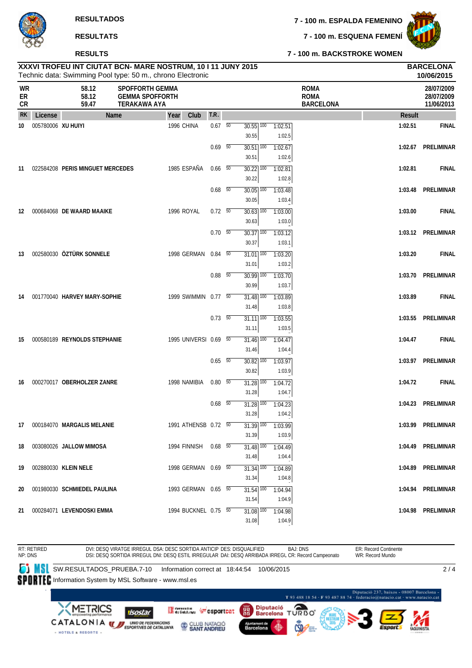**7 - 100 m. ESQUENA FEMENÍ**



#### **7 - 100 m. BACKSTROKE WOMEN**

|                       |                    | Technic data: Swimming Pool type: 50 m., chrono Electronic |                                                                         |            |                       |                |                                   |                   |                                                |         | 10/06/2015                             |
|-----------------------|--------------------|------------------------------------------------------------|-------------------------------------------------------------------------|------------|-----------------------|----------------|-----------------------------------|-------------------|------------------------------------------------|---------|----------------------------------------|
| <b>WR</b><br>ER<br>CR |                    | 58.12<br>58.12<br>59.47                                    | <b>SPOFFORTH GEMMA</b><br><b>GEMMA SPOFFORTH</b><br><b>TERAKAWA AYA</b> |            |                       |                |                                   |                   | <b>ROMA</b><br><b>ROMA</b><br><b>BARCELONA</b> |         | 28/07/2009<br>28/07/2009<br>11/06/2013 |
| <b>RK</b>             | License            | Name                                                       |                                                                         | Year       | Club                  | T.R.           |                                   |                   |                                                | Result  |                                        |
| 10                    | 005780006 XU HUIYI |                                                            |                                                                         | 1996 CHINA |                       | $0.67$ 50      | $30.55$ $\overline{100}$<br>30.55 | 1:02.51<br>1:02.5 |                                                | 1:02.51 | <b>FINAL</b>                           |
|                       |                    |                                                            |                                                                         |            |                       | $0.69$ 50      | $30.51$ 100<br>30.51              | 1:02.67<br>1:02.6 |                                                | 1:02.67 | <b>PRELIMINAR</b>                      |
| 11                    |                    | 022584208 PERIS MINGUET MERCEDES                           |                                                                         |            | 1985 ESPAÑA           | $0.66$ 50      | $30.22$ $\overline{100}$<br>30.22 | 1:02.81<br>1:02.8 |                                                | 1:02.81 | <b>FINAL</b>                           |
|                       |                    |                                                            |                                                                         |            |                       | $0.68$ 50      | $30.05$ $\overline{100}$<br>30.05 | 1:03.48<br>1:03.4 |                                                | 1:03.48 | PRELIMINAR                             |
| 12                    |                    | 000684068 DE WAARD MAAIKE                                  |                                                                         |            | 1996 ROYAL            | $0.72\ 50$     | $30.63$ $\overline{100}$<br>30.63 | 1:03.00<br>1:03.0 |                                                | 1:03.00 | <b>FINAL</b>                           |
|                       |                    |                                                            |                                                                         |            |                       | $0.70\ 50$     | $30.37$ $\overline{100}$<br>30.37 | 1:03.12<br>1:03.1 |                                                | 1:03.12 | PRELIMINAR                             |
| 13                    |                    | 002580030 ÖZTÜRK SONNELE                                   |                                                                         |            | 1998 GERMAN           | $0.84$ 50      | $31.01$ $\overline{100}$<br>31.01 | 1:03.20<br>1:03.2 |                                                | 1:03.20 | <b>FINAL</b>                           |
|                       |                    |                                                            |                                                                         |            |                       | $0.88\quad 50$ | $30.99$ $\overline{100}$<br>30.99 | 1:03.70<br>1:03.7 |                                                | 1:03.70 | PRELIMINAR                             |
| 14                    |                    | 001770040 HARVEY MARY-SOPHIE                               |                                                                         |            | 1999 SWIMMIN 0.77 50  |                | $31.48$ $\overline{100}$<br>31.48 | 1:03.89<br>1:03.8 |                                                | 1:03.89 | <b>FINAL</b>                           |
|                       |                    |                                                            |                                                                         |            |                       | $0.73\quad 50$ | $31.11$ $\overline{100}$<br>31.11 | 1:03.55<br>1:03.5 |                                                | 1:03.55 | <b>PRELIMINAR</b>                      |
| 15                    |                    | 000580189 REYNOLDS STEPHANIE                               |                                                                         |            | 1995 UNIVERSI 0.69 50 |                | $31.46$ $\overline{100}$<br>31.46 | 1:04.47<br>1:04.4 |                                                | 1:04.47 | <b>FINAL</b>                           |
|                       |                    |                                                            |                                                                         |            |                       | $0.65\quad 50$ | $30.82$ $\overline{100}$<br>30.82 | 1:03.97<br>1:03.9 |                                                |         | 1:03.97 PRELIMINAR                     |
| 16                    |                    | 000270017 OBERHOLZER ZANRE                                 |                                                                         |            | 1998 NAMIBIA          | $0.80\ 50$     | $31.28$ $\overline{100}$<br>31.28 | 1:04.72<br>1:04.7 |                                                | 1:04.72 | <b>FINAL</b>                           |
|                       |                    |                                                            |                                                                         |            |                       | $0.68$ 50      | $31.28$ $\overline{100}$<br>31.28 | 1:04.23<br>1:04.2 |                                                | 1:04.23 | <b>PRELIMINAR</b>                      |
|                       |                    | 17 000184070 MARGALIS MELANIE                              |                                                                         |            | 1991 ATHENSB 0.72 50  |                | $31.39$ $\overline{100}$<br>31.39 | 1:03.99<br>1:03.9 |                                                | 1:03.99 | PRELIMINAR                             |
| 18                    |                    | 003080026 JALLOW MIMOSA                                    |                                                                         |            | 1994 FINNISH 0.68 50  |                | $31.48$ $\overline{100}$<br>31.48 | 1:04.49<br>1:04.4 |                                                |         | 1:04.49 PRELIMINAR                     |
| 19                    |                    | 002880030 KLEIN NELE                                       |                                                                         |            | 1998 GERMAN 0.69 50   |                | $31.34$ $\overline{100}$<br>31.34 | 1:04.89<br>1:04.8 |                                                |         | 1:04.89 PRELIMINAR                     |
| 20                    |                    | 001980030 SCHMIEDEL PAULINA                                |                                                                         |            | 1993 GERMAN 0.65 50   |                | $31.54$ 100<br>31.54              | 1:04.94<br>1:04.9 |                                                |         | 1:04.94 PRELIMINAR                     |
|                       |                    | 21 000284071 LEVENDOSKI EMMA                               |                                                                         |            | 1994 BUCKNEL 0.75 50  |                | 31.08 100<br>31.08                | 1:04.98<br>1:04.9 |                                                |         | 1:04.98 PRELIMINAR                     |

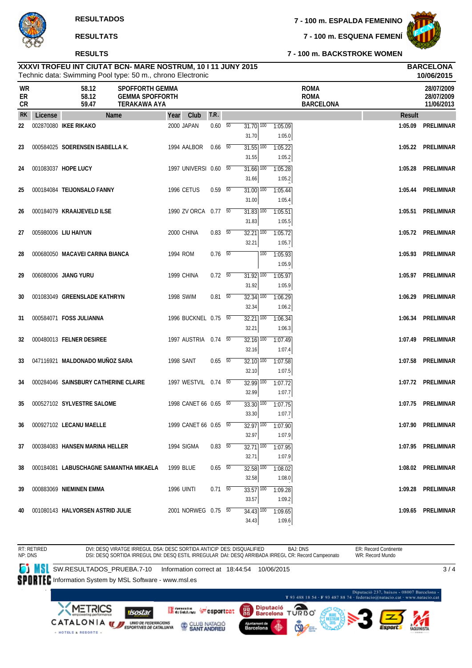#### **RESULTS**

**7 - 100 m. ESPALDA FEMENINO**

**7 - 100 m. ESQUENA FEMENÍ**



**7 - 100 m. BACKSTROKE WOMEN**

#### Technic data: Swimming Pool type: 50 m., chrono Electronic **XXXVI TROFEU INT CIUTAT BCN- MARE NOSTRUM, 10 I 11 JUNY 2015 BARCELONA**

|                | 10/06/2015<br>Technic data: Swimming Pool type: 50 m., chrono Electronic |                                        |                                                                         |      |                       |                          |  |                                   |     |                   |                                                |         |                                        |
|----------------|--------------------------------------------------------------------------|----------------------------------------|-------------------------------------------------------------------------|------|-----------------------|--------------------------|--|-----------------------------------|-----|-------------------|------------------------------------------------|---------|----------------------------------------|
| WR<br>ER<br>CR |                                                                          | 58.12<br>58.12<br>59.47                | <b>SPOFFORTH GEMMA</b><br><b>GEMMA SPOFFORTH</b><br><b>TERAKAWA AYA</b> |      |                       |                          |  |                                   |     |                   | <b>ROMA</b><br><b>ROMA</b><br><b>BARCELONA</b> |         | 28/07/2009<br>28/07/2009<br>11/06/2013 |
| <b>RK</b>      | License                                                                  |                                        | <b>Name</b>                                                             | Year | Club                  | T.R.                     |  |                                   |     |                   |                                                | Result  |                                        |
| 22             |                                                                          | 002870080 IKEE RIKAKO                  |                                                                         |      | 2000 JAPAN            | $0.60\quad 50$           |  | $31.70$ $\overline{100}$<br>31.70 |     | 1:05.09<br>1:05.0 |                                                | 1:05.09 | <b>PRELIMINAR</b>                      |
| 23             |                                                                          | 000584025 SOERENSEN ISABELLA K.        |                                                                         |      | 1994 AALBOR           | $0.66$ 50                |  | $31.55$ $\overline{100}$<br>31.55 |     | 1:05.22<br>1:05.2 |                                                | 1:05.22 | PRELIMINAR                             |
| 24             |                                                                          | 001083037 HOPE LUCY                    |                                                                         |      | 1997 UNIVERSI 0.60 50 |                          |  | $31.66$ $\overline{100}$<br>31.66 |     | 1:05.28<br>1:05.2 |                                                | 1:05.28 | PRELIMINAR                             |
| 25             |                                                                          | 000184084 TEIJONSALO FANNY             |                                                                         |      | <b>1996 CETUS</b>     | 0.59 50                  |  | $31.00$ $\overline{100}$<br>31.00 |     | 1:05.44<br>1:05.4 |                                                | 1:05.44 | PRELIMINAR                             |
| 26             |                                                                          | 000184079 KRAAIJEVELD ILSE             |                                                                         |      | 1990 ZV ORCA 0.77 50  |                          |  | $31.83$ $\overline{100}$<br>31.83 |     | 1:05.51<br>1:05.5 |                                                | 1:05.51 | <b>PRELIMINAR</b>                      |
| 27             |                                                                          | 005980006 LIU HAIYUN                   |                                                                         |      | 2000 CHINA            | $0.83\quad 50$           |  | $32.21$ $\overline{100}$<br>32.21 |     | 1:05.72<br>1:05.7 |                                                |         | 1:05.72 PRELIMINAR                     |
| 28             |                                                                          | 000680050 MACAVEI CARINA BIANCA        |                                                                         |      | 1994 ROM              | $0.76$ 50                |  |                                   | 100 | 1:05.93<br>1:05.9 |                                                | 1:05.93 | PRELIMINAR                             |
| 29             |                                                                          | 006080006 JIANG YURU                   |                                                                         |      | 1999 CHINA            | 0.72 50                  |  | $31.92$ $\overline{100}$<br>31.92 |     | 1:05.97<br>1:05.9 |                                                |         | 1:05.97 PRELIMINAR                     |
| 30             |                                                                          | 001083049 GREENSLADE KATHRYN           |                                                                         |      | <b>1998 SWIM</b>      | $0.81\quad\overline{50}$ |  | $32.34$ $\overline{100}$<br>32.34 |     | 1:06.29<br>1:06.2 |                                                | 1:06.29 | PRELIMINAR                             |
| 31             |                                                                          | 000584071 FOSS JULIANNA                |                                                                         |      | 1996 BUCKNEL 0.75 50  |                          |  | $32.21$ 100<br>32.21              |     | 1:06.34<br>1:06.3 |                                                | 1:06.34 | PRELIMINAR                             |
| 32             |                                                                          | 000480013 FELNER DESIREE               |                                                                         |      | 1997 AUSTRIA 0.74 50  |                          |  | $32.16$ $\overline{100}$<br>32.16 |     | 1:07.49<br>1:07.4 |                                                | 1:07.49 | PRELIMINAR                             |
| 33             |                                                                          | 047116921 MALDONADO MUÑOZ SARA         |                                                                         |      | <b>1998 SANT</b>      | $0.65$ 50                |  | 32.10 100<br>32.10                |     | 1:07.58<br>1:07.5 |                                                | 1:07.58 | PRELIMINAR                             |
| 34             |                                                                          | 000284046 SAINSBURY CATHERINE CLAIRE   |                                                                         |      | 1997 WESTVIL 0.74 50  |                          |  | $32.99$ $\overline{100}$<br>32.99 |     | 1:07.72<br>1:07.7 |                                                |         | 1:07.72 PRELIMINAR                     |
| 35             |                                                                          | 000527102 SYLVESTRE SALOME             |                                                                         |      | 1998 CANET 66 0.65 50 |                          |  | 33.30 100<br>33.30                |     | 1:07.75<br>1:07.7 |                                                | 1:07.75 | PRELIMINAR                             |
| 36             |                                                                          | 000927102 LECANU MAELLE                |                                                                         |      | 1999 CANET 66 0.65 50 |                          |  | $32.97$ $\overline{100}$<br>32.97 |     | 1:07.90<br>1:07.9 |                                                |         | 1:07.90 PRELIMINAR                     |
| 37             |                                                                          | 000384083 HANSEN MARINA HELLER         |                                                                         |      | 1994 SIGMA            | 0.83 50                  |  | 32.71   100<br>32.71              |     | 1:07.95<br>1:07.9 |                                                |         | 1:07.95 PRELIMINAR                     |
| 38             |                                                                          | 000184081 LABUSCHAGNE SAMANTHA MIKAELA |                                                                         |      | 1999 BLUE             | $0.65$ 50                |  | $32.58$ $\overline{100}$<br>32.58 |     | 1:08.02<br>1:08.0 |                                                |         | 1:08.02 PRELIMINAR                     |
| 39             |                                                                          | 000883069 NIEMINEN EMMA                |                                                                         |      | 1996 UINTI            | $0.71 - 50$              |  | 33.57 100<br>33.57                |     | 1:09.28<br>1:09.2 |                                                |         | 1:09.28 PRELIMINAR                     |
| 40             |                                                                          | 001080143 HALVORSEN ASTRID JULIE       |                                                                         |      | 2001 NORWEG 0.75 50   |                          |  | $34.43$ $\overline{100}$<br>34.43 |     | 1:09.65<br>1:09.6 |                                                |         | 1:09.65 PRELIMINAR                     |
|                |                                                                          |                                        |                                                                         |      |                       |                          |  |                                   |     |                   |                                                |         |                                        |

BAJ: DNS ER: Record Continente RT: RETIRED NP: DNS DVI: DESQ VIRATGE IRREGUL DSA: DESC SORTIDA ANTICIP DES: DISQUALIFIED WR: Record Mundo DSI: DESQ SORTIDA IRREGUL DNI: DESQ ESTIL IRREGULAR DAI: DESQ ARRIBADA IRREGL CR: Record Campeonato **SW.RESULTADOS\_PRUEBA.7-10** Information correct at 18:44:54 10/06/2015  $3/4$ SPORTEC Information System by MSL Software - www.msl.es -<br>Diputació 237, baixos - 08007 Barcelona<br>T 93 488 18 54 - F 93 487 88 74 - federacio@natacio.cat - www.natacio.cat Diputació ≏ **METRICS** Generation ( csportcat 龗 isostar **Barcelona DORD** 

Barcelona

CLUB NATACIÓ

CATALONIA **WE UNDER FEDERACIONS** 

- HOTELS & RESORTS -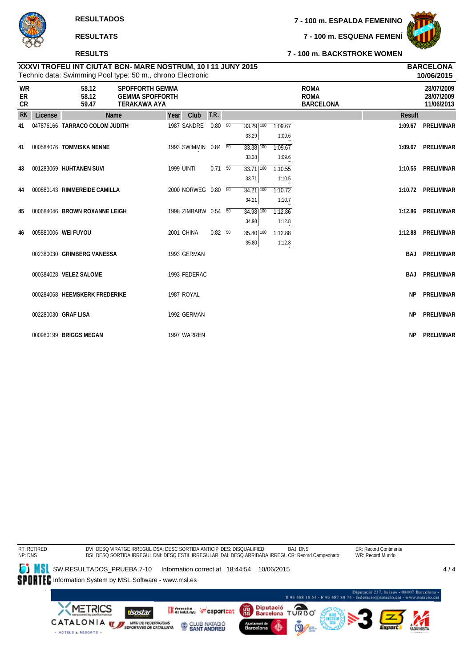#### **RESULTS**

**7 - 100 m. ESPALDA FEMENINO**

**7 - 100 m. ESQUENA FEMENÍ**



**10/06/2015**

#### **7 - 100 m. BACKSTROKE WOMEN**

|                |         |                                | <b>Technic data: Ownfirming Foot type: 50 filli, chrono Electronic</b>  |      |                      |                |                                   |                   |                                                |           | ,,,,,,,,,,,                            |
|----------------|---------|--------------------------------|-------------------------------------------------------------------------|------|----------------------|----------------|-----------------------------------|-------------------|------------------------------------------------|-----------|----------------------------------------|
| WR<br>ER<br>CR |         | 58.12<br>58.12<br>59.47        | <b>SPOFFORTH GEMMA</b><br><b>GEMMA SPOFFORTH</b><br><b>TERAKAWA AYA</b> |      |                      |                |                                   |                   | <b>ROMA</b><br><b>ROMA</b><br><b>BARCELONA</b> |           | 28/07/2009<br>28/07/2009<br>11/06/2013 |
| <b>RK</b>      | License |                                | Name                                                                    | Year | Club                 | T.R.           |                                   |                   |                                                | Result    |                                        |
| 41             |         | 047876166 TARRACO COLOM JUDITH |                                                                         |      | 1987 SANDRE          | $0.80\quad 50$ | $33.29$ 100<br>33.29              | 1:09.67<br>1:09.6 |                                                | 1:09.67   | <b>PRELIMINAR</b>                      |
| 41             |         | 000584076 TOMMISKA NENNE       |                                                                         |      | 1993 SWIMMIN 0.84 50 |                | 33.38 100<br>33.38                | 1:09.67<br>1:09.6 |                                                | 1:09.67   | PRELIMINAR                             |
| 43             |         | 001283069 HUHTANEN SUVI        |                                                                         |      | <b>1999 UINTI</b>    | $0.71\ 50$     | 33.71 100<br>33.71                | 1:10.55<br>1:10.5 |                                                | 1:10.55   | PRELIMINAR                             |
| 44             |         | 000880143 RIMMEREIDE CAMILLA   |                                                                         |      | 2000 NORWEG 0.80 50  |                | $34.21$ $\overline{100}$<br>34.21 | 1:10.72<br>1:10.7 |                                                |           | 1:10.72 PRELIMINAR                     |
| 45             |         | 000684046 BROWN ROXANNE LEIGH  |                                                                         |      | 1998 ZIMBABW 0.54 50 |                | 34.98 100<br>34.98                | 1:12.86<br>1:12.8 |                                                | 1:12.86   | PRELIMINAR                             |
| 46             |         | 005880006 WEI FUYOU            |                                                                         |      | 2001 CHINA           | $0.82\ 50$     | 35.80 100<br>35.80                | 1:12.88<br>1:12.8 |                                                | 1:12.88   | PRELIMINAR                             |
|                |         | 002380030 GRIMBERG VANESSA     |                                                                         |      | 1993 GERMAN          |                |                                   |                   |                                                |           | <b>BAJ PRELIMINAR</b>                  |
|                |         | 000384028 VELEZ SALOME         |                                                                         |      | 1993 FEDERAC         |                |                                   |                   |                                                |           | <b>BAJ PRELIMINAR</b>                  |
|                |         | 000284068 HEEMSKERK FREDERIKE  |                                                                         |      | 1987 ROYAL           |                |                                   |                   |                                                | <b>NP</b> | PRELIMINAR                             |
|                |         | 002280030 GRAF LISA            |                                                                         |      | 1992 GERMAN          |                |                                   |                   |                                                | <b>NP</b> | <b>PRELIMINAR</b>                      |
|                |         | 000980199 BRIGGS MEGAN         |                                                                         |      | 1997 WARREN          |                |                                   |                   |                                                |           | NP PRELIMINAR                          |

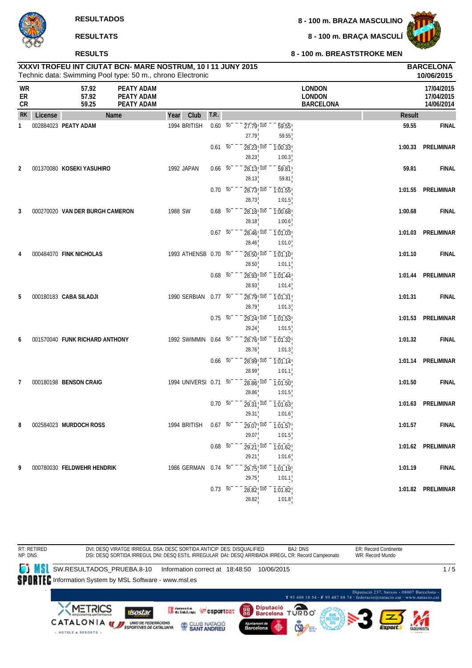#### **RESULTS**

**8 - 100 m. BRAZA MASCULINO**

**8 - 100 m. BRAÇA MASCULÍ**



|                       | XXXVI TROFEU INT CIUTAT BCN- MARE NOSTRUM, 10 I 11 JUNY 2015<br>Technic data: Swimming Pool type: 50 m., chrono Electronic |                                 | <b>BARCELONA</b><br>10/06/2015                |                       |                          |                                      |                                |                                                    |               |                                        |
|-----------------------|----------------------------------------------------------------------------------------------------------------------------|---------------------------------|-----------------------------------------------|-----------------------|--------------------------|--------------------------------------|--------------------------------|----------------------------------------------------|---------------|----------------------------------------|
| <b>WR</b><br>ER<br>CR |                                                                                                                            | 57.92<br>57.92<br>59.25         | <b>PEATY ADAM</b><br>PEATY ADAM<br>PEATY ADAM |                       |                          |                                      |                                | <b>LONDON</b><br><b>LONDON</b><br><b>BARCELONA</b> |               | 17/04/2015<br>17/04/2015<br>14/06/2014 |
| <b>RK</b>             | License                                                                                                                    |                                 | Name                                          | Year<br>Club          | T.R.                     |                                      |                                |                                                    | <b>Result</b> |                                        |
| 1                     |                                                                                                                            | 002884023 PEATY ADAM            |                                               | 1994 BRITISH          | $0.60\quad\overline{50}$ | $27.79$ <sup>100</sup><br>27.79      | 59.55<br>59.55                 |                                                    | 59.55         | <b>FINAL</b>                           |
|                       |                                                                                                                            |                                 |                                               |                       | $0.61 - 50$              | $28.23 \cdot 100$<br>28.23           | 1:00.33<br>1:00.3              |                                                    | 1:00.33       | <b>PRELIMINAR</b>                      |
| 2                     |                                                                                                                            | 001370080 KOSEKI YASUHIRO       |                                               | 1992 JAPAN            | $0.66\quad 50$           | 28.13 100<br>28.13                   | 59.81<br>59.81                 |                                                    | 59.81         | <b>FINAL</b>                           |
|                       |                                                                                                                            |                                 |                                               |                       | $0.70\ 50$               | $28.73$ <sup>100</sup><br>28.73      | 1:01.55<br>1:01.5              |                                                    | 1:01.55       | <b>PRELIMINAR</b>                      |
| 3                     |                                                                                                                            | 000270020 VAN DER BURGH CAMERON |                                               | 1988 SW               | $0.68$ 50                | 28.18! 100<br>28.18                  | $\overline{1:00.68}$<br>1:00.6 |                                                    | 1:00.68       | <b>FINAL</b>                           |
|                       |                                                                                                                            |                                 |                                               |                       | $0.67\ 50$               | $28.46$ <sup>1</sup> $100$<br>28.46  | $\overline{1:01.03}$<br>1:01.0 |                                                    | 1:01.03       | <b>PRELIMINAR</b>                      |
| 4                     |                                                                                                                            | 000484070 FINK NICHOLAS         |                                               | 1993 ATHENSB 0.70 50  |                          | $28.50$ ! $100$<br>28.50             | $\overline{1:01.10}$<br>1:01.1 |                                                    | 1:01.10       | <b>FINAL</b>                           |
|                       |                                                                                                                            |                                 |                                               |                       | $0.68\overline{50}$      | $28.93$ ! $100$<br>28.93             | 1:01.44<br>1:01.4              |                                                    | 1:01.44       | PRELIMINAR                             |
| 5                     |                                                                                                                            | 000180183 CABA SILADJI          |                                               | 1990 SERBIAN          | $0.77\ 50$               | $28.79$ ! $100$<br>28.79             | $\overline{1:01.31}$<br>1:01.3 |                                                    | 1:01.31       | <b>FINAL</b>                           |
|                       |                                                                                                                            |                                 |                                               |                       | $0.75\ 50$               | $29.24 \cdot 700$<br>29.24           | 1:01.53<br>1:01.5              |                                                    | 1:01.53       | <b>PRELIMINAR</b>                      |
| 6                     |                                                                                                                            | 001570040 FUNK RICHARD ANTHONY  |                                               | 1992 SWIMMIN          | $0.64\quad 50$           | $28.76$ <sup>100</sup><br>28.76      | $\overline{1:01.32}$<br>1:01.3 |                                                    | 1:01.32       | <b>FINAL</b>                           |
|                       |                                                                                                                            |                                 |                                               |                       | $0.66\quad 50$           | 28.99 100<br>28.99                   | 1:01.14<br>1:01.1              |                                                    | 1:01.14       | PRELIMINAR                             |
| 7                     |                                                                                                                            | 000180198 BENSON CRAIG          |                                               | 1994 UNIVERSI 0.71 50 |                          | 28.86 100<br>28.86                   | $\overline{1:01.50}$<br>1:01.5 |                                                    | 1:01.50       | <b>FINAL</b>                           |
|                       |                                                                                                                            |                                 |                                               |                       | $0.70\ 50$               | 29.31 100<br>29.31                   | $\overline{1:01.63}$<br>1:01.6 |                                                    | 1:01.63       | PRELIMINAR                             |
| 8                     |                                                                                                                            | 002584023 MURDOCH ROSS          |                                               | 1994 BRITISH          | $0.67\ 50^{-}$           | $29.07$ ! $100 - 1.01.57$ !<br>29.07 |                                |                                                    | 1:01.57       | <b>FINAL</b>                           |
|                       |                                                                                                                            |                                 |                                               |                       | $0.68\overline{50}^{-}$  | $29.21$ , $100 - 1.01.62$            | 1:01.5<br>1:01.6               |                                                    |               | 1:01.62 PRELIMINAR                     |
| 9                     |                                                                                                                            | 000780030 FELDWEHR HENDRIK      |                                               | 1986 GERMAN           | $0.74\ 50$               | 29.21<br>$29.75$ ! $100$             | $\overline{1:01.19}$           |                                                    | 1:01.19       | <b>FINAL</b>                           |
|                       |                                                                                                                            |                                 |                                               |                       | $0.73\overline{50}$      | 29.75<br>$28.82$ , $100$             | 1:01.1<br>$\overline{1:01.82}$ |                                                    |               | 1:01.82 PRELIMINAR                     |
|                       |                                                                                                                            |                                 |                                               |                       |                          | 28.82                                | 1:01.8                         |                                                    |               |                                        |

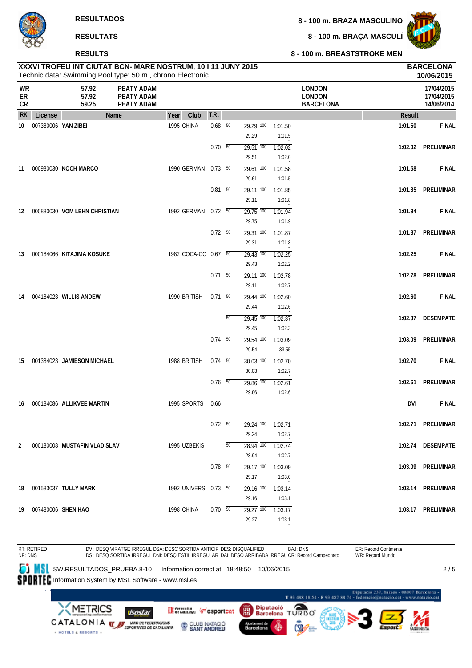#### **RESULTS**

**8 - 100 m. BRAÇA MASCULÍ**



#### **8 - 100 m. BREASTSTROKE MEN**

|                       |                       |                              | XXXVI TROFEU INT CIUTAT BCN- MARE NOSTRUM, 10 I 11 JUNY 2015<br>Technic data: Swimming Pool type: 50 m., chrono Electronic |      |                       |                          |                 |                                              |                   |                                                    |               | <b>BARCELONA</b><br>10/06/2015         |
|-----------------------|-----------------------|------------------------------|----------------------------------------------------------------------------------------------------------------------------|------|-----------------------|--------------------------|-----------------|----------------------------------------------|-------------------|----------------------------------------------------|---------------|----------------------------------------|
| <b>WR</b><br>ER<br>CR |                       | 57.92<br>57.92<br>59.25      | PEATY ADAM<br>PEATY ADAM<br>PEATY ADAM                                                                                     |      |                       |                          |                 |                                              |                   | <b>LONDON</b><br><b>LONDON</b><br><b>BARCELONA</b> |               | 17/04/2015<br>17/04/2015<br>14/06/2014 |
| RK                    | License               |                              | Name                                                                                                                       | Year | Club                  | T.R.                     |                 |                                              |                   |                                                    | <b>Result</b> |                                        |
| 10                    | 007380006 YAN ZIBEI   |                              |                                                                                                                            |      | 1995 CHINA            | $0.68\quad\overline{50}$ |                 | $29.29$ 100<br>29.29                         | 1:01.50<br>1:01.5 |                                                    | 1:01.50       | <b>FINAL</b>                           |
|                       |                       |                              |                                                                                                                            |      |                       | $0.70\quad\overline{50}$ |                 | $29.51$ $\overline{100}$<br>29.51            | 1:02.02<br>1:02.0 |                                                    | 1:02.02       | PRELIMINAR                             |
| 11                    |                       | 000980030 KOCH MARCO         |                                                                                                                            |      | 1990 GERMAN           | $0.73\quad 50$           |                 | $29.61$ 100<br>29.61                         | 1:01.58<br>1:01.5 |                                                    | 1:01.58       | <b>FINAL</b>                           |
|                       |                       |                              |                                                                                                                            |      |                       | $0.81$ 50                |                 | $29.11$ $\overline{100}$<br>29.11            | 1:01.85<br>1:01.8 |                                                    | 1:01.85       | PRELIMINAR                             |
| 12                    |                       | 000880030 VOM LEHN CHRISTIAN |                                                                                                                            |      | 1992 GERMAN           | $0.72\ 50$               |                 | $29.75$ 100<br>29.75                         | 1:01.94<br>1:01.9 |                                                    | 1:01.94       | <b>FINAL</b>                           |
|                       |                       |                              |                                                                                                                            |      |                       | $0.72\ 50$               |                 | $\overline{29.31}$ $\overline{100}$<br>29.31 | 1:01.87<br>1:01.8 |                                                    |               | 1:01.87 PRELIMINAR                     |
| 13                    |                       | 000184066 KITAJIMA KOSUKE    |                                                                                                                            |      | 1982 COCA-CO 0.67 50  |                          |                 | $29.43$ 100<br>29.43                         | 1:02.25<br>1:02.2 |                                                    | 1:02.25       | <b>FINAL</b>                           |
|                       |                       |                              |                                                                                                                            |      |                       | $0.71 - 50$              |                 | $\overline{29.11}$ 100<br>29.11              | 1:02.78<br>1:02.7 |                                                    | 1:02.78       | PRELIMINAR                             |
| 14                    |                       | 004184023 WILLIS ANDEW       |                                                                                                                            |      | 1990 BRITISH          | $0.71\ 50$               |                 | $29.44$ 100<br>29.44                         | 1:02.60<br>1:02.6 |                                                    | 1:02.60       | <b>FINAL</b>                           |
|                       |                       |                              |                                                                                                                            |      |                       |                          | $\overline{50}$ | $29.45$ $100$<br>29.45                       | 1:02.37<br>1:02.3 |                                                    | 1:02.37       | <b>DESEMPATE</b>                       |
|                       |                       |                              |                                                                                                                            |      |                       | $0.74\quad 50$           |                 | $29.54$ $\overline{100}$<br>29.54            | 1:03.09<br>33.55  |                                                    | 1:03.09       | <b>PRELIMINAR</b>                      |
| 15                    |                       | 001384023 JAMIESON MICHAEL   |                                                                                                                            |      | 1988 BRITISH          | $0.74\quad 50$           |                 | $30.03$ $\overline{100}$<br>30.03            | 1:02.70<br>1:02.7 |                                                    | 1:02.70       | <b>FINAL</b>                           |
|                       |                       |                              |                                                                                                                            |      |                       | $0.76$ 50                |                 | $29.86$ <sup>100</sup><br>29.86              | 1:02.61<br>1:02.6 |                                                    | 1:02.61       | PRELIMINAR                             |
| 16                    |                       | 000184086 ALLIKVEE MARTIN    |                                                                                                                            |      | 1995 SPORTS           | 0.66                     |                 |                                              |                   |                                                    | <b>DVI</b>    | <b>FINAL</b>                           |
|                       |                       |                              |                                                                                                                            |      |                       | $0.72\ 50$               |                 | 29.24 100<br>29.24                           | 1:02.71<br>1:02.7 |                                                    |               | 1:02.71 PRELIMINAR                     |
| $\overline{2}$        |                       | 000180008 MUSTAFIN VLADISLAV |                                                                                                                            |      | 1995 UZBEKIS          |                          | 50              | 28.94 100<br>28.94                           | 1:02.74<br>1:02.7 |                                                    |               | 1:02.74 DESEMPATE                      |
|                       |                       |                              |                                                                                                                            |      |                       | $0.78\ 50$               |                 | $29.17$ 100<br>29.17                         | 1:03.09<br>1:03.0 |                                                    |               | 1:03.09 PRELIMINAR                     |
|                       |                       | 18  001583037  TULLY MARK    |                                                                                                                            |      | 1992 UNIVERSI 0.73 50 |                          |                 | $29.16$ 100<br>29.16                         | 1:03.14<br>1:03.1 |                                                    |               | 1:03.14 PRELIMINAR                     |
|                       | 19 007480006 SHEN HAO |                              |                                                                                                                            |      | 1998 CHINA            | $0.70\ 50$               |                 | $29.27$ $\overline{100}$<br>29.27            | 1:03.17<br>1:03.1 |                                                    |               | 1:03.17 PRELIMINAR                     |
|                       |                       |                              |                                                                                                                            |      |                       |                          |                 |                                              |                   |                                                    |               |                                        |

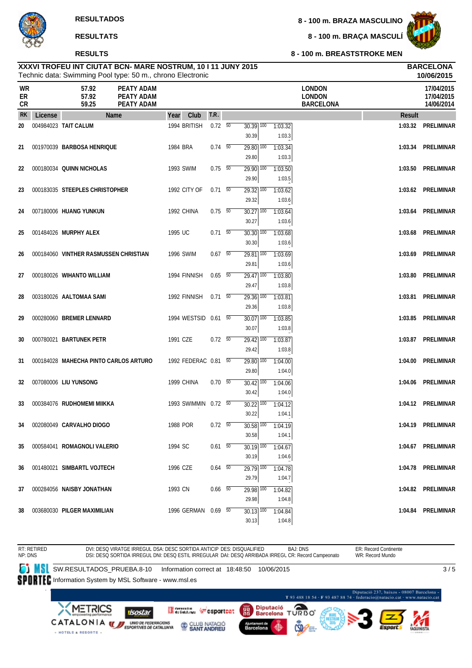#### **RESULTS**

**8 - 100 m. BRAZA MASCULINO**

**8 - 100 m. BRAÇA MASCULÍ**



**8 - 100 m. BREASTSTROKE MEN**

#### Technic data: Swimming Pool type: 50 m., chrono Electronic **XXXVI TROFEU INT CIUTAT BCN- MARE NOSTRUM, 10 I 11 JUNY 2015 BARCELONA**

|                | Technic data: Swimming Pool type: 50 m., chrono Electronic<br>10/06/2015 |                                       |                                               |                      |                          |  |                                   |                   |                                                    |               |                                        |
|----------------|--------------------------------------------------------------------------|---------------------------------------|-----------------------------------------------|----------------------|--------------------------|--|-----------------------------------|-------------------|----------------------------------------------------|---------------|----------------------------------------|
| WR<br>ER<br>CR |                                                                          | 57.92<br>57.92<br>59.25               | <b>PEATY ADAM</b><br>PEATY ADAM<br>PEATY ADAM |                      |                          |  |                                   |                   | <b>LONDON</b><br><b>LONDON</b><br><b>BARCELONA</b> |               | 17/04/2015<br>17/04/2015<br>14/06/2014 |
| <b>RK</b>      | License                                                                  |                                       | <b>Name</b>                                   | Club<br>Year         | T.R.                     |  |                                   |                   |                                                    | <b>Result</b> |                                        |
| 20             |                                                                          | 004984023 TAIT CALUM                  |                                               | 1994 BRITISH         | $0.72\ 50$               |  | $30.39$ $\overline{100}$<br>30.39 | 1:03.32<br>1:03.3 |                                                    | 1:03.32       | <b>PRELIMINAR</b>                      |
| 21             |                                                                          | 001970039 BARBOSA HENRIQUE            |                                               | 1984 BRA             | $0.74$ 50                |  | 29.80 100<br>29.80                | 1:03.34<br>1:03.3 |                                                    | 1:03.34       | <b>PRELIMINAR</b>                      |
| 22             |                                                                          | 000180034 QUINN NICHOLAS              |                                               | 1993 SWIM            | $0.75\ 50$               |  | $29.90$ 100<br>29.90              | 1:03.50<br>1:03.5 |                                                    | 1:03.50       | PRELIMINAR                             |
| 23             |                                                                          | 000183035 STEEPLES CHRISTOPHER        |                                               | 1992 CITY OF         | $0.71 - 50$              |  | $29.32$ $\overline{100}$<br>29.32 | 1:03.62<br>1:03.6 |                                                    | 1:03.62       | PRELIMINAR                             |
| 24             |                                                                          | 007180006 HUANG YUNKUN                |                                               | 1992 CHINA           | $0.75 - 50$              |  | $30.27$ $\overline{100}$<br>30.27 | 1:03.64<br>1:03.6 |                                                    | 1:03.64       | <b>PRELIMINAR</b>                      |
| 25             |                                                                          | 001484026 MURPHY ALEX                 |                                               | 1995 UC              | $0.71 - 50$              |  | 30.30 100<br>30.30                | 1:03.68<br>1:03.6 |                                                    | 1:03.68       | <b>PRELIMINAR</b>                      |
| 26             |                                                                          | 000184060 VINTHER RASMUSSEN CHRISTIAN |                                               | <b>1996 SWIM</b>     | $0.67$ 50                |  | $29.81$ 100<br>29.81              | 1:03.69<br>1:03.6 |                                                    | 1:03.69       | <b>PRELIMINAR</b>                      |
| 27             |                                                                          | 000180026 WIHANTO WILLIAM             |                                               | 1994 FINNISH         | 0.65 50                  |  | $29.47$ $\overline{100}$<br>29.47 | 1:03.80<br>1:03.8 |                                                    | 1:03.80       | <b>PRELIMINAR</b>                      |
| 28             |                                                                          | 003180026 AALTOMAA SAMI               |                                               | 1992 FINNISH         | $0.71$ 50                |  | $29.36$ 100<br>29.36              | 1:03.81<br>1:03.8 |                                                    | 1:03.81       | <b>PRELIMINAR</b>                      |
| 29             |                                                                          | 000280060 BREMER LENNARD              |                                               | 1994 WESTSID 0.61 50 |                          |  | 30.07 100<br>30.07                | 1:03.85<br>1:03.8 |                                                    | 1:03.85       | <b>PRELIMINAR</b>                      |
| 30             |                                                                          | 000780021 BARTUNEK PETR               |                                               | 1991 CZE             | $0.72\ 50$               |  | $29.42$ 100<br>29.42              | 1:03.87<br>1:03.8 |                                                    | 1:03.87       | <b>PRELIMINAR</b>                      |
| 31             |                                                                          | 000184028 MAHECHA PINTO CARLOS ARTURO |                                               | 1992 FEDERAC 0.81 50 |                          |  | 29.80 100<br>29.80                | 1:04.00<br>1:04.0 |                                                    | 1:04.00       | PRELIMINAR                             |
| 32             |                                                                          | 007080006 LIU YUNSONG                 |                                               | 1999 CHINA           | $0.70\ 50$               |  | $30.42$ $\overline{100}$<br>30.42 | 1:04.06<br>1:04.0 |                                                    | 1:04.06       | <b>PRELIMINAR</b>                      |
| 33             |                                                                          | 000384076 RUDHOMEMI MIIKKA            |                                               | 1993 SWIMMIN 0.72 50 |                          |  | 30.22 100<br>30.22                | 1:04.12<br>1:04.1 |                                                    | 1:04.12       | <b>PRELIMINAR</b>                      |
| 34             |                                                                          | 002080049 CARVALHO DIOGO              |                                               | 1988 POR             | $0.72\ 50$               |  | $30.58$ $\overline{100}$<br>30.58 | 1:04.19<br>1:04.1 |                                                    | 1:04.19       | PRELIMINAR                             |
| 35             |                                                                          | 000584041 ROMAGNOLI VALERIO           |                                               | 1994 SC              | $0.61\quad\overline{50}$ |  | $30.19$ 100<br>30.19              | 1:04.67<br>1:04.6 |                                                    |               | 1:04.67 PRELIMINAR                     |
| 36             |                                                                          | 001480021 SIMBARTL VOJTECH            |                                               | 1996 CZE             | $0.64$ 50                |  | $\overline{29.79}$ 100<br>29.79   | 1:04.78<br>1:04.7 |                                                    |               | 1:04.78 PRELIMINAR                     |
| 37             |                                                                          | 000284056 NAISBY JONATHAN             |                                               | 1993 CN              | $0.66\quad 50$           |  | 29.98 100<br>29.98                | 1:04.82<br>1:04.8 |                                                    |               | 1:04.82 PRELIMINAR                     |
| 38             |                                                                          | 003680030 PILGER MAXIMILIAN           |                                               | 1996 GERMAN 0.69 50  |                          |  | $30.13$ $\overline{100}$<br>30.13 | 1:04.84<br>1:04.8 |                                                    |               | 1:04.84 PRELIMINAR                     |
|                |                                                                          |                                       |                                               |                      |                          |  |                                   |                   |                                                    |               |                                        |

BAJ: DNS ER: Record Continente RT: RETIRED NP: DNS DVI: DESQ VIRATGE IRREGUL DSA: DESC SORTIDA ANTICIP DES: DISQUALIFIED WR: Record Mundo DSI: DESQ SORTIDA IRREGUL DNI: DESQ ESTIL IRREGULAR DAI: DESQ ARRIBADA IRREGL CR: Record Campeonato **SW.RESULTADOS\_PRUEBA.8-10** Information correct at 18:48:50 10/06/2015  $3/5$ SPORTEC Information System by MSL Software - www.msl.es -<br>Diputació 237, baixos - 08007 Barcelona<br>T 93 488 18 54 - F 93 487 88 74 - federacio@natacio.cat - www.natacio.cat Diputació<br>Barcelona **TURBO METRICS** Generation ( csportcat 龗 isostar CATALONIA **WE UNDER FEDERACIONS** CLUB NATACIÓ Barcelona - HOTELS & RESORTS -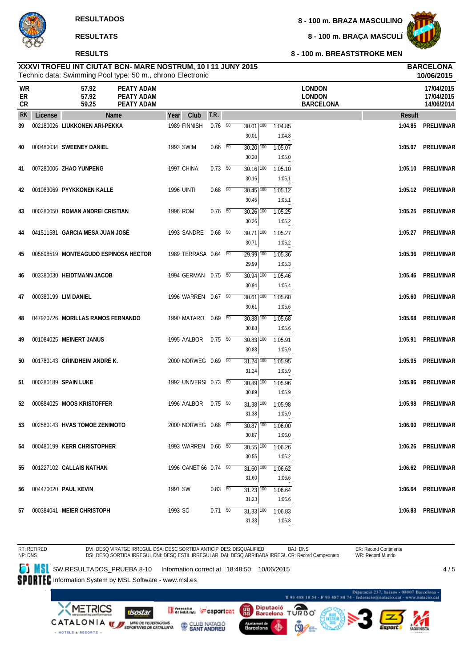#### **RESULTS**

**8 - 100 m. BRAZA MASCULINO**

**8 - 100 m. BRAÇA MASCULÍ**



|                       |         |                                      | Technic data: Swimming Pool type: 50 m., chrono Electronic |                   |                       |                          |                                   |                                                                    |                                                    |         | 10/06/2015                             |
|-----------------------|---------|--------------------------------------|------------------------------------------------------------|-------------------|-----------------------|--------------------------|-----------------------------------|--------------------------------------------------------------------|----------------------------------------------------|---------|----------------------------------------|
| <b>WR</b><br>ER<br>CR |         | 57.92<br>57.92<br>59.25              | PEATY ADAM<br><b>PEATY ADAM</b><br>PEATY ADAM              |                   |                       |                          |                                   |                                                                    | <b>LONDON</b><br><b>LONDON</b><br><b>BARCELONA</b> |         | 17/04/2015<br>17/04/2015<br>14/06/2014 |
| <b>RK</b>             | License |                                      | Name                                                       | Year              | Club                  | T.R.                     |                                   |                                                                    |                                                    | Result  |                                        |
| 39                    |         | 002180026 LIUKKONEN ARI-PEKKA        |                                                            |                   | 1989 FINNISH          | $0.76\quad\overline{50}$ | $30.01$ $\overline{100}$<br>30.01 | 1:04.85<br>1:04.8                                                  |                                                    | 1:04.85 | PRELIMINAR                             |
| 40                    |         | 000480034 SWEENEY DANIEL             |                                                            | 1993 SWIM         |                       | $0.66\quad 50$           | 30.20 100<br>30.20                | 1:05.07<br>1:05.0                                                  |                                                    | 1:05.07 | PRELIMINAR                             |
| 41                    |         | 007280006 ZHAO YUNPENG               |                                                            | 1997 CHINA        |                       | $0.73\quad\overline{50}$ | 30.16 100<br>30.16                | 1:05.10<br>1:05.1                                                  |                                                    | 1:05.10 | PRELIMINAR                             |
| 42                    |         | 001083069 PYYKKONEN KALLE            |                                                            | <b>1996 UINTI</b> |                       | $0.68$ 50                | $30.45$ $\overline{100}$<br>30.45 | 1:05.12<br>1:05.1                                                  |                                                    |         | 1:05.12 PRELIMINAR                     |
| 43                    |         | 000280050 ROMAN ANDREI CRISTIAN      |                                                            | 1996 ROM          |                       | $0.76$ 50                | $30.26$ $\overline{100}$          | 1:05.25                                                            |                                                    | 1:05.25 | PRELIMINAR                             |
| 44                    |         | 041511581 GARCIA MESA JUAN JOSÉ      |                                                            |                   | 1993 SANDRE           | $0.68$ 50                | 30.26<br>$30.71$ $\overline{100}$ | 1:05.2<br>1:05.27                                                  |                                                    | 1:05.27 | PRELIMINAR                             |
| 45                    |         | 005698519 MONTEAGUDO ESPINOSA HECTOR |                                                            |                   | 1989 TERRASA 0.64 50  |                          | 30.71<br>$\overline{29.99}$ 100   | 1:05.2<br>1:05.36                                                  |                                                    |         | 1:05.36 PRELIMINAR                     |
| 46                    |         | 003380030 HEIDTMANN JACOB            |                                                            |                   | 1994 GERMAN 0.75 50   |                          | 29.99<br>$30.94$ $\overline{100}$ | 1:05.3<br>1:05.46                                                  |                                                    |         | 1:05.46 PRELIMINAR                     |
| 47                    |         | 000380199 LIM DANIEL                 |                                                            |                   | 1996 WARREN 0.67 50   |                          | 30.94<br>$30.61$ $\overline{100}$ | 1:05.4<br>1:05.60                                                  |                                                    | 1:05.60 | PRELIMINAR                             |
| 48                    |         | 047920726 MORILLAS RAMOS FERNANDO    |                                                            |                   | 1990 MATARO           | 0.69 50                  | 30.61<br>30.88 100<br>30.88       | 1:05.6<br>1:05.68<br>1:05.6                                        |                                                    | 1:05.68 | PRELIMINAR                             |
| 49                    |         | 001084025 MEINERT JANUS              |                                                            |                   | 1995 AALBOR           | $0.75 - 50$              | $30.83$ $\overline{100}$<br>30.83 | 1:05.91<br>1:05.9                                                  |                                                    |         | 1:05.91 PRELIMINAR                     |
| 50                    |         | 001780143 GRINDHEIM ANDRÉK.          |                                                            |                   | 2000 NORWEG 0.69 50   |                          | $31.24$ 100<br>31.24              | 1:05.95<br>1:05.9                                                  |                                                    | 1:05.95 | PRELIMINAR                             |
| 51                    |         | 000280189 SPAIN LUKE                 |                                                            |                   | 1992 UNIVERSI 0.73 50 |                          | $30.89$ $\overline{100}$<br>30.89 | 1:05.96<br>1:05.9                                                  |                                                    | 1:05.96 | PRELIMINAR                             |
| 52                    |         | 000884025 MOOS KRISTOFFER            |                                                            |                   | 1996 AALBOR           | $0.75 - 50$              | 31.38 100<br>31.38                | 1:05.98<br>1:05.9                                                  |                                                    | 1:05.98 | PRELIMINAR                             |
|                       |         | 53 002580143 HVAS TOMOE ZENIMOTO     |                                                            |                   | 2000 NORWEG 0.68 50   |                          | 30.87                             | $\overline{30.87}$ $\overline{100}$ $\overline{1:06.00}$<br>1:06.0 |                                                    |         | 1:06.00 PRELIMINAR                     |
| 54                    |         | 000480199 KERR CHRISTOPHER           |                                                            |                   | 1993 WARREN 0.66 50   |                          | $30.55$ 100<br>30.55              | 1:06.26<br>1:06.2                                                  |                                                    |         | 1:06.26 PRELIMINAR                     |
| 55                    |         | 001227102 CALLAIS NATHAN             |                                                            |                   | 1996 CANET 66 0.74 50 |                          | $31.60$ $\overline{100}$<br>31.60 | 1:06.62<br>1:06.6                                                  |                                                    |         | 1:06.62 PRELIMINAR                     |
| 56                    |         | 004470020 PAUL KEVIN                 |                                                            | 1991 SW           |                       | $0.83\ 50$               | $31.23$ $\overline{100}$<br>31.23 | 1:06.64<br>1:06.6                                                  |                                                    |         | 1:06.64 PRELIMINAR                     |
| 57                    |         | 000384041 MEIER CHRISTOPH            |                                                            | 1993 SC           |                       | $0.71\ 50$               | 31.33   100<br>31.33              | 1:06.83<br>1:06.8                                                  |                                                    |         | 1:06.83 PRELIMINAR                     |
|                       |         |                                      |                                                            |                   |                       |                          |                                   |                                                                    |                                                    |         |                                        |

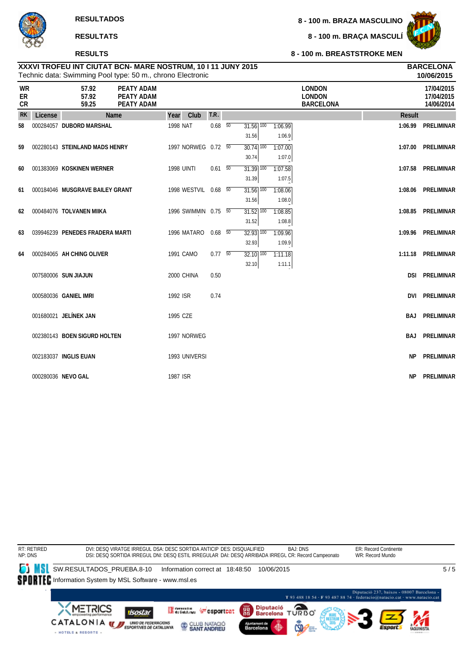#### **RESULTS**

**8 - 100 m. BRAZA MASCULINO**

**8 - 100 m. BRAÇA MASCULÍ**



**8 - 100 m. BREASTSTROKE MEN**

|                       | 10/06/2015<br>Technic data: Swimming Pool type: 50 m., chrono Electronic |                                 |                                                      |                   |                      |                          |  |                                              |                   |                                                    |               |                                        |
|-----------------------|--------------------------------------------------------------------------|---------------------------------|------------------------------------------------------|-------------------|----------------------|--------------------------|--|----------------------------------------------|-------------------|----------------------------------------------------|---------------|----------------------------------------|
| <b>WR</b><br>ER<br>CR |                                                                          | 57.92<br>57.92<br>59.25         | PEATY ADAM<br><b>PEATY ADAM</b><br><b>PEATY ADAM</b> |                   |                      |                          |  |                                              |                   | <b>LONDON</b><br><b>LONDON</b><br><b>BARCELONA</b> |               | 17/04/2015<br>17/04/2015<br>14/06/2014 |
| <b>RK</b>             | License                                                                  |                                 | Name                                                 | Year              | Club                 | T.R.                     |  |                                              |                   |                                                    | <b>Result</b> |                                        |
| 58                    |                                                                          | 000284057 DUBORD MARSHAL        |                                                      | 1998 NAT          |                      | $0.68$ 50                |  | $31.56$ $\overline{100}$<br>31.56            | 1:06.99<br>1:06.9 |                                                    | 1:06.99       | PRELIMINAR                             |
| 59                    |                                                                          | 002280143 STEINLAND MADS HENRY  |                                                      |                   | 1997 NORWEG 0.72 50  |                          |  | $\overline{30.74}$ $\overline{100}$<br>30.74 | 1:07.00<br>1:07.0 |                                                    | 1:07.00       | PRELIMINAR                             |
| 60                    |                                                                          | 001383069 KOSKINEN WERNER       |                                                      | <b>1998 UINTI</b> |                      | $0.61\quad 50$           |  | $31.39$ $\overline{100}$<br>31.39            | 1:07.58<br>1:07.5 |                                                    |               | 1:07.58 PRELIMINAR                     |
| 61                    |                                                                          | 000184046 MUSGRAVE BAILEY GRANT |                                                      |                   | 1998 WESTVIL 0.68 50 |                          |  | $31.56$ $\overline{100}$<br>31.56            | 1:08.06<br>1:08.0 |                                                    |               | 1:08.06 PRELIMINAR                     |
| 62                    |                                                                          | 000484076 TOLVANEN MIIKA        |                                                      |                   | 1996 SWIMMIN 0.75 50 |                          |  | $31.52$ $\overline{100}$<br>31.52            | 1:08.85<br>1:08.8 |                                                    | 1:08.85       | PRELIMINAR                             |
| 63                    |                                                                          | 039946239 PENEDES FRADERA MARTI |                                                      |                   | 1996 MATARO 0.68 50  |                          |  | $32.93$ $\overline{100}$<br>32.93            | 1:09.96<br>1:09.9 |                                                    |               | 1:09.96 PRELIMINAR                     |
| 64                    |                                                                          | 000284065 AH CHING OLIVER       |                                                      |                   | 1991 CAMO            | $0.77\quad\overline{50}$ |  | $32.10$ $\overline{100}$<br>32.10            | 1:11.18<br>1:11.1 |                                                    | 1:11.18       | PRELIMINAR                             |
|                       |                                                                          | 007580006 SUN JIAJUN            |                                                      |                   | 2000 CHINA           | 0.50                     |  |                                              |                   |                                                    |               | <b>DSI PRELIMINAR</b>                  |
|                       |                                                                          | 000580036 GANIEL IMRI           |                                                      | 1992 ISR          |                      | 0.74                     |  |                                              |                   |                                                    |               | <b>DVI PRELIMINAR</b>                  |
|                       |                                                                          | 001680021 JELÍNEK JAN           |                                                      | 1995 CZE          |                      |                          |  |                                              |                   |                                                    | BAJ           | PRELIMINAR                             |
|                       |                                                                          | 002380143 BOEN SIGURD HOLTEN    |                                                      |                   | 1997 NORWEG          |                          |  |                                              |                   |                                                    | BAJ           | PRELIMINAR                             |
|                       |                                                                          | 002183037 INGLIS EUAN           |                                                      |                   | 1993 UNIVERSI        |                          |  |                                              |                   |                                                    | <b>NP</b>     | PRELIMINAR                             |
|                       |                                                                          | 000280036 NEVO GAL              |                                                      | 1987 ISR          |                      |                          |  |                                              |                   |                                                    | NP.           | PRELIMINAR                             |

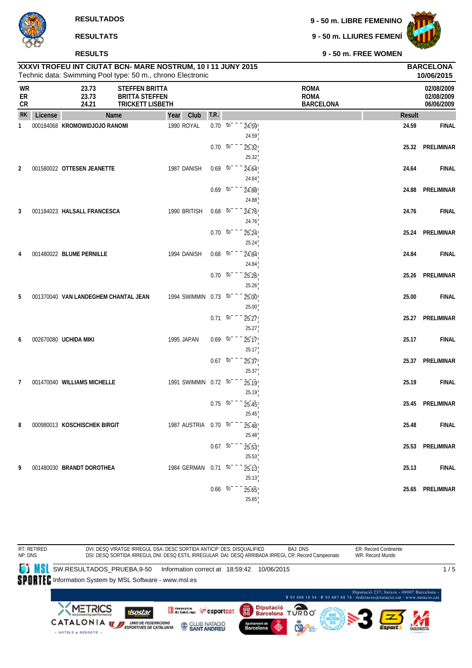**9 - 50 m. LIBRE FEMENINO**

**9 - 50 m. LLIURES FEMENÍ**



**9 - 50 m. FREE WOMEN**

|                       |         | <b>RESULTS</b>                |                                                                           |                                                                                                                            |      |             | 9 - 50 m. FREE WOMEN                           |                                |                                        |
|-----------------------|---------|-------------------------------|---------------------------------------------------------------------------|----------------------------------------------------------------------------------------------------------------------------|------|-------------|------------------------------------------------|--------------------------------|----------------------------------------|
|                       |         |                               |                                                                           | XXXVI TROFEU INT CIUTAT BCN- MARE NOSTRUM, 10 I 11 JUNY 2015<br>Technic data: Swimming Pool type: 50 m., chrono Electronic |      |             |                                                | <b>BARCELONA</b><br>10/06/2015 |                                        |
| <b>WR</b><br>ER<br>CR |         | 23.73<br>23.73<br>24.21       | <b>STEFFEN BRITTA</b><br><b>BRITTA STEFFEN</b><br><b>TRICKETT LISBETH</b> |                                                                                                                            |      |             | <b>ROMA</b><br><b>ROMA</b><br><b>BARCELONA</b> |                                | 02/08/2009<br>02/08/2009<br>06/06/2009 |
| <b>RK</b>             | License |                               | Name                                                                      | Year<br>Club                                                                                                               | T.R. |             |                                                | Result                         |                                        |
|                       |         | 000184068 KROMOWIDJOJO RANOMI |                                                                           | 1990 ROYAL                                                                                                                 | 0.70 | 50<br>24.59 |                                                | 24.59                          | <b>FINAI</b>                           |
|                       |         |                               |                                                                           |                                                                                                                            |      | 24.59       |                                                |                                |                                        |
|                       |         |                               |                                                                           |                                                                                                                            | 0.70 | 50<br>25.32 |                                                | 25.32                          | PRELIMINAL                             |
|                       |         |                               |                                                                           |                                                                                                                            |      | 25.32       |                                                |                                |                                        |
| $\mathfrak{p}$        |         | 001580022 OTTESEN JEANETTE    |                                                                           | 1987 DANISH                                                                                                                | 0.69 | 50<br>24.64 |                                                | 24.64                          | <b>FINA</b>                            |
|                       |         |                               |                                                                           |                                                                                                                            |      | 24.64       |                                                |                                |                                        |
|                       |         |                               |                                                                           |                                                                                                                            | 0.69 | 50<br>24.88 |                                                | 24.88                          | PRELIMINAL                             |
|                       |         |                               |                                                                           |                                                                                                                            |      | 24.88       |                                                |                                |                                        |

| ER<br><b>CR</b> |         | 23.73<br>24.21                       | <b>BRITTA STEFFEN</b><br><b>TRICKETT LISBETH</b> |                          |                               | ROMA<br><b>BARCELONA</b> |               | 02/08/2009<br>06/06/2009 |
|-----------------|---------|--------------------------------------|--------------------------------------------------|--------------------------|-------------------------------|--------------------------|---------------|--------------------------|
| <b>RK</b>       | License | <b>Name</b>                          | Club<br>Year                                     | T.R.                     |                               |                          | <b>Result</b> |                          |
| $\mathbf{1}$    |         | 000184068 KROMOWIDJOJO RANOMI        | 1990 ROYAL                                       | $0.70\ 50$               | 24.59<br>24.59                |                          | 24.59         | <b>FINAL</b>             |
|                 |         |                                      |                                                  | $0.70\ 50$               | 25.32<br>25.32                |                          |               | 25.32 PRELIMINAR         |
| 2               |         | 001580022 OTTESEN JEANETTE           | 1987 DANISH                                      | $0.69\ 50$               | 24.64<br>24.64                |                          | 24.64         | <b>FINAL</b>             |
|                 |         |                                      |                                                  |                          | $0.69$ 50<br>24.88<br>24.88   |                          |               | 24.88 PRELIMINAR         |
| 3               |         | 001184023 HALSALL FRANCESCA          | 1990 BRITISH                                     | $0.68$ 50                | 24.76                         |                          | 24.76         | <b>FINAL</b>             |
|                 |         |                                      |                                                  | $0.70\ 50$               | 24.76<br>25.24                |                          |               | 25.24 PRELIMINAR         |
| 4               |         | 001480022 BLUME PERNILLE             | 1994 DANISH                                      | $0.68$ 50                | 25.24<br>24.84                |                          | 24.84         | <b>FINAL</b>             |
|                 |         |                                      |                                                  | $0.70\ 50^{-}$           | 24.84<br>25.26                |                          |               | 25.26 PRELIMINAR         |
| 5               |         | 001370040 VAN LANDEGHEM CHANTAL JEAN | 1994 SWIMMIN 0.73 50                             |                          | 25.26<br>25.00                |                          | 25.00         | <b>FINAL</b>             |
|                 |         |                                      |                                                  |                          | 25.00<br>$0.71 - 50$<br>25.27 |                          |               | 25.27 PRELIMINAR         |
| 6               |         | 002670080 UCHIDA MIKI                | 1995 JAPAN                                       | $0.69\ 50$               | 25.27<br>25.17                |                          | 25.17         | <b>FINAL</b>             |
|                 |         |                                      |                                                  | $0.67 - 50$              | 25.17<br>25.37                |                          |               | 25.37 PRELIMINAR         |
| 7               |         | 001470040 WILLIAMS MICHELLE          | 1991 SWIMMIN 0.72 50                             |                          | 25.37<br>25.19                |                          | 25.19         | <b>FINAL</b>             |
|                 |         |                                      |                                                  | $0.75\ 50$               | 25.19<br>25.45                |                          | 25.45         | PRELIMINAR               |
| 8               |         | 000980013 KOSCHISCHEK BIRGIT         | 1987 AUSTRIA                                     | $0.70\ 50$               | 25.45<br>25.48                |                          | 25.48         | <b>FINAL</b>             |
|                 |         |                                      |                                                  | $0.67\quad\overline{50}$ | 25.48<br>25.53                |                          | 25.53         | PRELIMINAR               |
| 9               |         | 001480030 BRANDT DOROTHEA            | 1984 GERMAN                                      | $0.71\ 50$               | 25.53<br>25.13                |                          | 25.13         | <b>FINAL</b>             |
|                 |         |                                      |                                                  | $0.66\quad 50$           | 25.13                         |                          |               | 25.65 PRELIMINAR         |
|                 |         |                                      |                                                  |                          | 25.65<br>25.65                |                          |               |                          |

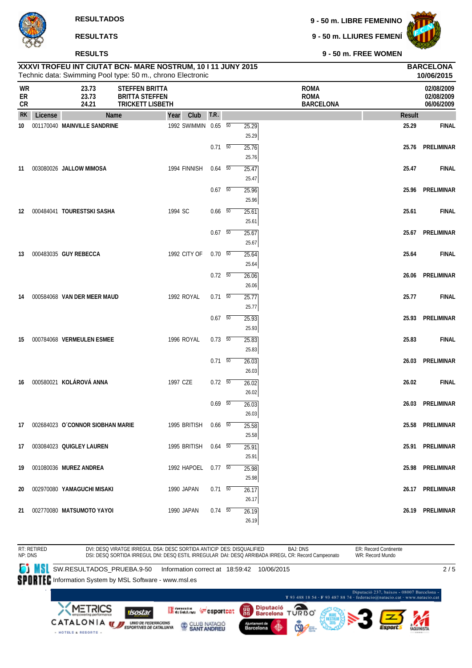**9 - 50 m. LIBRE FEMENINO**

|                |         | <b>RESULTATS</b>                    |                                                                                                                            |                |                | 9 - 50 m. LLIURES FEMENÍ                       |               |                                        |
|----------------|---------|-------------------------------------|----------------------------------------------------------------------------------------------------------------------------|----------------|----------------|------------------------------------------------|---------------|----------------------------------------|
|                |         | <b>RESULTS</b>                      |                                                                                                                            |                |                | 9 - 50 m. FREE WOMEN                           |               |                                        |
|                |         |                                     | XXXVI TROFEU INT CIUTAT BCN- MARE NOSTRUM, 10 I 11 JUNY 2015<br>Technic data: Swimming Pool type: 50 m., chrono Electronic |                |                |                                                |               | <b>BARCELONA</b><br>10/06/2015         |
| WR<br>ER<br>CR |         | 23.73<br>23.73<br>24.21             | <b>STEFFEN BRITTA</b><br><b>BRITTA STEFFEN</b><br><b>TRICKETT LISBETH</b>                                                  |                |                | <b>ROMA</b><br><b>ROMA</b><br><b>BARCELONA</b> |               | 02/08/2009<br>02/08/2009<br>06/06/2009 |
| <b>RK</b>      | License | Name                                | Club<br>Year                                                                                                               | T.R.           |                |                                                | <b>Result</b> |                                        |
| 10             |         | 001170040 MAINVILLE SANDRINE        | 1992 SWIMMIN 0.65 50                                                                                                       |                | 25.29          |                                                | 25.29         | <b>FINAL</b>                           |
|                |         |                                     |                                                                                                                            |                | 25.29          |                                                |               |                                        |
|                |         |                                     |                                                                                                                            | $0.71\ 50$     | 25.76          |                                                | 25.76         | PRELIMINAR                             |
| 11             |         | 003080026 JALLOW MIMOSA             | 1994 FINNISH                                                                                                               | $0.64$ 50      | 25.76<br>25.47 |                                                | 25.47         | <b>FINAL</b>                           |
|                |         |                                     |                                                                                                                            |                | 25.47          |                                                |               |                                        |
|                |         |                                     |                                                                                                                            | $0.67$ 50      | 25.96          |                                                | 25.96         | PRELIMINAR                             |
|                |         |                                     |                                                                                                                            |                | 25.96          |                                                |               |                                        |
|                |         | 12 000484041 TOURESTSKI SASHA       | 1994 SC                                                                                                                    | $0.66\quad 50$ | 25.61          |                                                | 25.61         | <b>FINAL</b>                           |
|                |         |                                     |                                                                                                                            |                | 25.61          |                                                |               |                                        |
|                |         |                                     |                                                                                                                            | $0.67$ 50      | 25.67          |                                                | 25.67         | PRELIMINAR                             |
|                |         |                                     |                                                                                                                            |                | 25.67          |                                                |               |                                        |
| 13             |         | 000483035 GUY REBECCA               | 1992 CITY OF                                                                                                               | $0.70\ 50$     | 25.64          |                                                | 25.64         | <b>FINAL</b>                           |
|                |         |                                     |                                                                                                                            | $0.72\ 50$     | 25.64          |                                                |               | PRELIMINAR                             |
|                |         |                                     |                                                                                                                            |                | 26.06<br>26.06 |                                                | 26.06         |                                        |
| 14             |         | 000584068 VAN DER MEER MAUD         | 1992 ROYAL                                                                                                                 | $0.71\ 50$     | 25.77          |                                                | 25.77         | <b>FINAL</b>                           |
|                |         |                                     |                                                                                                                            |                | 25.77          |                                                |               |                                        |
|                |         |                                     |                                                                                                                            | $0.67 - 50$    | 25.93          |                                                | 25.93         | PRELIMINAR                             |
|                |         |                                     |                                                                                                                            |                | 25.93          |                                                |               |                                        |
| 15             |         | 000784068 VERMEULEN ESMEE           | 1996 ROYAL                                                                                                                 | $0.73\quad 50$ | 25.83          |                                                | 25.83         | <b>FINAL</b>                           |
|                |         |                                     |                                                                                                                            |                | 25.83          |                                                |               |                                        |
|                |         |                                     |                                                                                                                            | $0.71\ 50$     | 26.03          |                                                | 26.03         | PRELIMINAR                             |
|                |         | 16 000580021 KOLÁROVÁ ANNA          | 1997 CZE                                                                                                                   | $0.72\ 50$     | 26.03          |                                                | 26.02         | <b>FINAL</b>                           |
|                |         |                                     |                                                                                                                            |                | 26.02<br>26.02 |                                                |               |                                        |
|                |         |                                     |                                                                                                                            | 0.69 50        | 26.03          |                                                |               | 26.03 PRELIMINAR                       |
|                |         |                                     |                                                                                                                            |                | 26.03          |                                                |               |                                        |
|                |         | 17 002684023 O'CONNOR SIOBHAN MARIE | 1995 BRITISH                                                                                                               | $0.66$ 50      | 25.58          |                                                | 25.58         | PRELIMINAR                             |
|                |         |                                     |                                                                                                                            |                | 25.58          |                                                |               |                                        |
|                |         | 17 003084023 QUIGLEY LAUREN         | 1995 BRITISH                                                                                                               | $0.64\quad 50$ | 25.91          |                                                |               | 25.91 PRELIMINAR                       |
|                |         |                                     |                                                                                                                            |                | 25.91          |                                                |               |                                        |
| 19             |         | 001080036 MUREZ ANDREA              | 1992 HAPOEL                                                                                                                | $0.77\ 50$     | 25.98          |                                                | 25.98         | PRELIMINAR                             |
|                |         |                                     |                                                                                                                            |                | 25.98          |                                                |               |                                        |
| 20             |         | 002970080 YAMAGUCHI MISAKI          | 1990 JAPAN                                                                                                                 | $0.71 - 50$    | 26.17<br>26.17 |                                                |               | 26.17 PRELIMINAR                       |
|                |         | 21 002770080 MATSUMOTO YAYOI        | 1990 JAPAN                                                                                                                 | $0.74\quad 50$ | 26.19          |                                                |               | 26.19 PRELIMINAR                       |

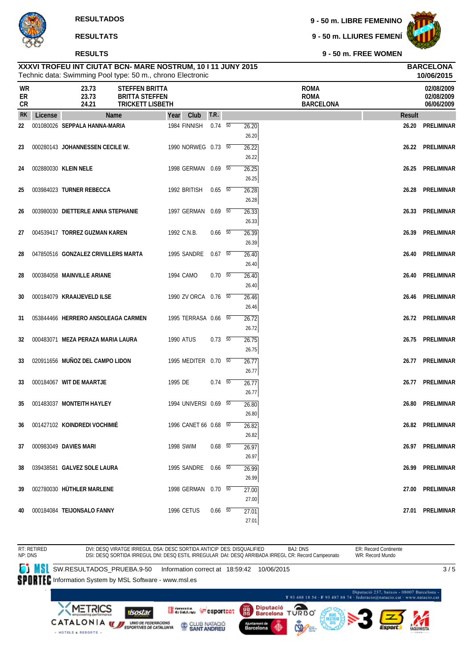#### **RESULTS**

**9 - 50 m. LIBRE FEMENINO**

**9 - 50 m. LLIURES FEMENÍ**



**9 - 50 m. FREE WOMEN**

|                |         |                                     | Technic data: Swimming Pool type: 50 m., chrono Electronic                |                  |                       |                |                |                                                |        | 10/06/2015                             |
|----------------|---------|-------------------------------------|---------------------------------------------------------------------------|------------------|-----------------------|----------------|----------------|------------------------------------------------|--------|----------------------------------------|
| WR<br>ER<br>CR |         | 23.73<br>23.73<br>24.21             | <b>STEFFEN BRITTA</b><br><b>BRITTA STEFFEN</b><br><b>TRICKETT LISBETH</b> |                  |                       |                |                | <b>ROMA</b><br><b>ROMA</b><br><b>BARCELONA</b> |        | 02/08/2009<br>02/08/2009<br>06/06/2009 |
| <b>RK</b>      | License |                                     | Name                                                                      | Year             | Club                  | T.R.           |                |                                                | Result |                                        |
| 22             |         | 001080026 SEPPALA HANNA-MARIA       |                                                                           |                  | 1984 FINNISH          | $0.74\quad 50$ | 26.20<br>26.20 |                                                | 26.20  | <b>PRELIMINAR</b>                      |
| 23             |         | 000280143 JOHANNESSEN CECILE W.     |                                                                           |                  | 1990 NORWEG 0.73 50   |                | 26.22<br>26.22 |                                                |        | 26.22 PRELIMINAR                       |
| 24             |         | 002880030 KLEIN NELE                |                                                                           |                  | 1998 GERMAN 0.69 50   |                | 26.25<br>26.25 |                                                | 26.25  | PRELIMINAR                             |
| 25             |         | 003984023 TURNER REBECCA            |                                                                           |                  | 1992 BRITISH          | $0.65$ 50      | 26.28<br>26.28 |                                                | 26.28  | PRELIMINAR                             |
| 26             |         | 003980030 DIETTERLE ANNA STEPHANIE  |                                                                           |                  | 1997 GERMAN 0.69 50   |                | 26.33<br>26.33 |                                                |        | 26.33 PRELIMINAR                       |
| 27             |         | 004539417 TORREZ GUZMAN KAREN       |                                                                           | 1992 C.N.B.      |                       | $0.66$ 50      | 26.39<br>26.39 |                                                | 26.39  | PRELIMINAR                             |
| 28             |         | 047850516 GONZALEZ CRIVILLERS MARTA |                                                                           |                  | 1995 SANDRE           | $0.67$ 50      | 26.40<br>26.40 |                                                | 26.40  | PRELIMINAR                             |
| 28             |         | 000384058 MAINVILLE ARIANE          |                                                                           | 1994 CAMO        |                       | 0.70 50        | 26.40<br>26.40 |                                                |        | 26.40 PRELIMINAR                       |
| 30             |         | 000184079 KRAAIJEVELD ILSE          |                                                                           |                  | 1990 ZV ORCA 0.76 50  |                | 26.46<br>26.46 |                                                |        | 26.46 PRELIMINAR                       |
| 31             |         |                                     | 053844466 HERRERO ANSOLEAGA CARMEN                                        |                  | 1995 TERRASA 0.66 50  |                | 26.72<br>26.72 |                                                |        | 26.72 PRELIMINAR                       |
| 32             |         | 000483071 MEZA PERAZA MARIA LAURA   |                                                                           | <b>1990 ATUS</b> |                       | $0.73$ 50      | 26.75<br>26.75 |                                                |        | 26.75 PRELIMINAR                       |
| 33             |         | 020911656 MUÑOZ DEL CAMPO LIDON     |                                                                           |                  | 1995 MEDITER 0.70 50  |                | 26.77<br>26.77 |                                                |        | 26.77 PRELIMINAR                       |
| 33             |         | 000184067 WIT DE MAARTJE            |                                                                           | 1995 DE          |                       | $0.74\quad 50$ | 26.77<br>26.77 |                                                |        | 26.77 PRELIMINAR                       |
| 35             |         | 001483037 MONTEITH HAYLEY           |                                                                           |                  | 1994 UNIVERSI 0.69 50 |                | 26.80<br>26.80 |                                                | 26.80  | PRELIMINAR                             |
| 36             |         | 001427102 KOINDREDI VOCHIMIÉ        |                                                                           |                  | 1996 CANET 66 0.68 50 |                | 26.82<br>26.82 |                                                |        | 26.82 PRELIMINAR                       |
| 37             |         | 000983049 DAVIES MARI               |                                                                           | 1998 SWIM        |                       | $0.68$ 50      | 26.97<br>26.97 |                                                |        | 26.97 PRELIMINAR                       |
| 38             |         | 039438581 GALVEZ SOLE LAURA         |                                                                           |                  | 1995 SANDRE  0.66  50 |                | 26.99<br>26.99 |                                                |        | 26.99 PRELIMINAR                       |
| 39             |         | 002780030 HUTHLER MARLENE           |                                                                           |                  | 1998 GERMAN  0.70  50 |                | 27.00<br>27.00 |                                                |        | 27.00 PRELIMINAR                       |
| 40             |         | 000184084 TEIJONSALO FANNY          |                                                                           |                  | 1996 CETUS            | $0.66$ 50      | 27.01<br>27.01 |                                                |        | 27.01 PRELIMINAR                       |

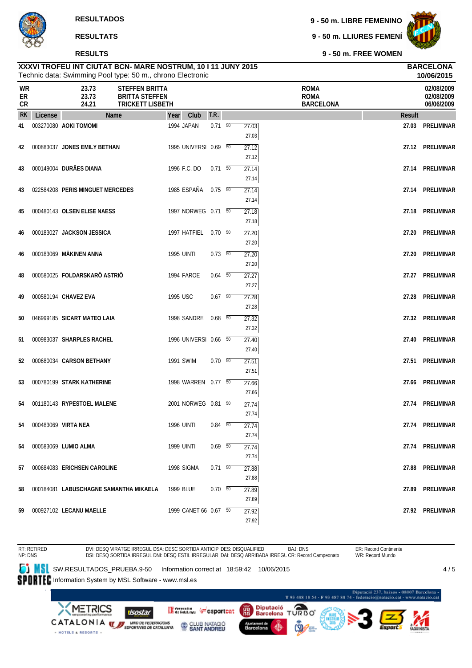#### **RESULTS**

**9 - 50 m. LIBRE FEMENINO**

**9 - 50 m. LLIURES FEMENÍ**



**9 - 50 m. FREE WOMEN**

| Technic data: Swimming Pool type: 50 m., chrono Electronic |         |                                                                                                      |                   |                       |             |  |                |                                                |        | 10/06/2015                             |
|------------------------------------------------------------|---------|------------------------------------------------------------------------------------------------------|-------------------|-----------------------|-------------|--|----------------|------------------------------------------------|--------|----------------------------------------|
| WR<br>ER<br>CR                                             |         | 23.73<br><b>STEFFEN BRITTA</b><br>23.73<br><b>BRITTA STEFFEN</b><br>24.21<br><b>TRICKETT LISBETH</b> |                   |                       |             |  |                | <b>ROMA</b><br><b>ROMA</b><br><b>BARCELONA</b> |        | 02/08/2009<br>02/08/2009<br>06/06/2009 |
| <b>RK</b>                                                  | License | Name                                                                                                 | Year              | Club                  | T.R.        |  |                |                                                | Result |                                        |
| 41                                                         |         | 003270080 AOKI TOMOMI                                                                                | 1994 JAPAN        |                       | $0.71\ 50$  |  | 27.03<br>27.03 |                                                | 27.03  | <b>PRELIMINAR</b>                      |
| 42                                                         |         | 000883037 JONES EMILY BETHAN                                                                         |                   | 1995 UNIVERSI 0.69 50 |             |  | 27.12<br>27.12 |                                                |        | 27.12 PRELIMINAR                       |
| 43                                                         |         | 000149004 DURÄES DIANA                                                                               | 1996 F.C. DO      |                       | $0.71 - 50$ |  | 27.14<br>27.14 |                                                | 27.14  | PRELIMINAR                             |
| 43                                                         |         | 022584208 PERIS MINGUET MERCEDES                                                                     | 1985 ESPAÑA       |                       | $0.75 - 50$ |  | 27.14<br>27.14 |                                                |        | 27.14 PRELIMINAR                       |
| 45                                                         |         | 000480143 OLSEN ELISE NAESS                                                                          |                   | 1997 NORWEG 0.71 50   |             |  | 27.18<br>27.18 |                                                | 27.18  | PRELIMINAR                             |
| 46                                                         |         | 000183027 JACKSON JESSICA                                                                            |                   | 1997 HATFIEL          | $0.70\ 50$  |  | 27.20<br>27.20 |                                                | 27.20  | PRELIMINAR                             |
| 46                                                         |         | 000183069 MÄKINEN ANNA                                                                               | <b>1995 UINTI</b> |                       | $0.73\ 50$  |  | 27.20<br>27.20 |                                                | 27.20  | PRELIMINAR                             |
| 48                                                         |         | 000580025 FOLDARSKARÖ ASTRIÖ                                                                         | 1994 FAROE        |                       | $0.64$ 50   |  | 27.27<br>27.27 |                                                |        | 27.27 PRELIMINAR                       |
| 49                                                         |         | 000580194 CHAVEZ EVA                                                                                 | 1995 USC          |                       | $0.67$ 50   |  | 27.28<br>27.28 |                                                | 27.28  | PRELIMINAR                             |
| 50                                                         |         | 046999185 SICART MATEO LAIA                                                                          |                   | 1998 SANDRE           | $0.68$ 50   |  | 27.32<br>27.32 |                                                | 27.32  | PRELIMINAR                             |
| 51                                                         |         | 000983037 SHARPLES RACHEL                                                                            |                   | 1996 UNIVERSI 0.66 50 |             |  | 27.40<br>27.40 |                                                | 27.40  | PRELIMINAR                             |
| 52                                                         |         | 000680034 CARSON BETHANY                                                                             | 1991 SWIM         |                       | $0.70\ 50$  |  | 27.51<br>27.51 |                                                |        | 27.51 PRELIMINAR                       |
| 53                                                         |         | 000780199 STARK KATHERINE                                                                            |                   | 1998 WARREN 0.77 50   |             |  | 27.66<br>27.66 |                                                | 27.66  | PRELIMINAR                             |
| 54                                                         |         | 001180143 RYPESTOEL MALENE                                                                           |                   | 2001 NORWEG 0.81 50   |             |  | 27.74<br>27.74 |                                                | 27.74  | PRELIMINAR                             |
| 54                                                         |         | 000483069 VIRTA NEA                                                                                  | <b>1996 UINTI</b> |                       | $0.84$ 50   |  | 27.74<br>27.74 |                                                |        | 27.74 PRELIMINAR                       |
| 54                                                         |         | 000583069 LUMIO ALMA                                                                                 | 1999 UINTI        |                       | $0.69$ 50   |  | 27.74<br>27.74 |                                                |        | 27.74 PRELIMINAR                       |
| 57                                                         |         | 000684083 ERICHSEN CAROLINE                                                                          | 1998 SIGMA        |                       | $0.71\ 50$  |  | 27.88<br>27.88 |                                                |        | 27.88 PRELIMINAR                       |
| 58                                                         |         | 000184081 LABUSCHAGNE SAMANTHA MIKAELA                                                               | 1999 BLUE         |                       | $0.70\ 50$  |  | 27.89<br>27.89 |                                                |        | 27.89 PRELIMINAR                       |
| 59                                                         |         | 000927102 LECANU MAELLE                                                                              |                   | 1999 CANET 66 0.67 50 |             |  | 27.92<br>27.92 |                                                |        | 27.92 PRELIMINAR                       |

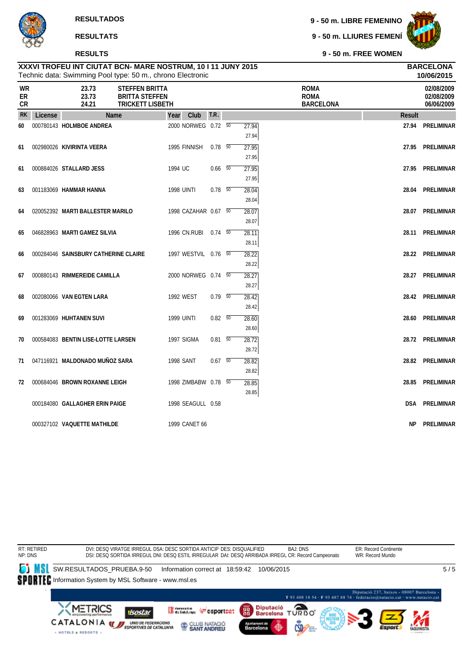#### **RESULTS**

**9 - 50 m. LIBRE FEMENINO**

**9 - 50 m. LLIURES FEMENÍ**



**10/06/2015**

**9 - 50 m. FREE WOMEN**

| WR<br>ER<br>CR |         | 23.73<br>23.73<br>24.21              | <b>STEFFEN BRITTA</b><br><b>BRITTA STEFFEN</b><br><b>TRICKETT LISBETH</b> |                      |                |                | <b>ROMA</b><br><b>ROMA</b><br><b>BARCELONA</b> |               | 02/08/2009<br>02/08/2009<br>06/06/2009 |
|----------------|---------|--------------------------------------|---------------------------------------------------------------------------|----------------------|----------------|----------------|------------------------------------------------|---------------|----------------------------------------|
| <b>RK</b>      | License | Name                                 | Year                                                                      | Club                 | T.R.           |                |                                                | <b>Result</b> |                                        |
| 60             |         | 000780143 HOLMBOE ANDREA             |                                                                           | 2000 NORWEG 0.72 50  |                | 27.94<br>27.94 |                                                |               | 27.94 PRELIMINAR                       |
| 61             |         | 002980026 KIVIRINTA VEERA            |                                                                           | 1995 FINNISH         | $0.78$ 50      | 27.95<br>27.95 |                                                |               | 27.95 PRELIMINAR                       |
| 61             |         | 000884026 STALLARD JESS              |                                                                           | 1994 UC              | $0.66\quad 50$ | 27.95<br>27.95 |                                                |               | 27.95 PRELIMINAR                       |
| 63             |         | 001183069 HAMMAR HANNA               |                                                                           | <b>1998 UINTI</b>    | $0.78$ 50      | 28.04<br>28.04 |                                                |               | 28.04 PRELIMINAR                       |
| 64             |         | 020052392 MARTI BALLESTER MARILO     |                                                                           | 1998 CAZAHAR 0.67 50 |                | 28.07<br>28.07 |                                                |               | 28.07 PRELIMINAR                       |
| 65             |         | 046828963 MARTI GAMEZ SILVIA         |                                                                           | 1996 CN.RUBI 0.74 50 |                | 28.11<br>28.11 |                                                |               | 28.11 PRELIMINAR                       |
| 66             |         | 000284046 SAINSBURY CATHERINE CLAIRE |                                                                           | 1997 WESTVIL 0.76 50 |                | 28.22<br>28.22 |                                                |               | 28.22 PRELIMINAR                       |
| 67             |         | 000880143 RIMMEREIDE CAMILLA         |                                                                           | 2000 NORWEG 0.74 50  |                | 28.27<br>28.27 |                                                |               | 28.27 PRELIMINAR                       |
| 68             |         | 002080066 VAN EGTEN LARA             |                                                                           | 1992 WEST            | $0.79$ 50      | 28.42<br>28.42 |                                                |               | 28.42 PRELIMINAR                       |
| 69             |         | 001283069 HUHTANEN SUVI              |                                                                           | <b>1999 UINTI</b>    | $0.82\quad 50$ | 28.60<br>28.60 |                                                |               | 28.60 PRELIMINAR                       |
| 70             |         | 000584083 BENTIN LISE-LOTTE LARSEN   |                                                                           | 1997 SIGMA           | $0.81\ 50$     | 28.72<br>28.72 |                                                |               | 28.72 PRELIMINAR                       |
| 71             |         | 047116921 MALDONADO MUÑOZ SARA       |                                                                           | <b>1998 SANT</b>     | $0.67$ 50      | 28.82<br>28.82 |                                                |               | 28.82 PRELIMINAR                       |
| 72             |         | 000684046 BROWN ROXANNE LEIGH        |                                                                           | 1998 ZIMBABW 0.78 50 |                | 28.85<br>28.85 |                                                |               | 28.85 PRELIMINAR                       |
|                |         | 000184080 GALLAGHER ERIN PAIGE       |                                                                           | 1998 SEAGULL 0.58    |                |                |                                                |               | <b>DSA PRELIMINAR</b>                  |
|                |         | 000327102 VAQUETTE MATHILDE          |                                                                           | 1999 CANET 66        |                |                |                                                | NP.           | PRELIMINAR                             |

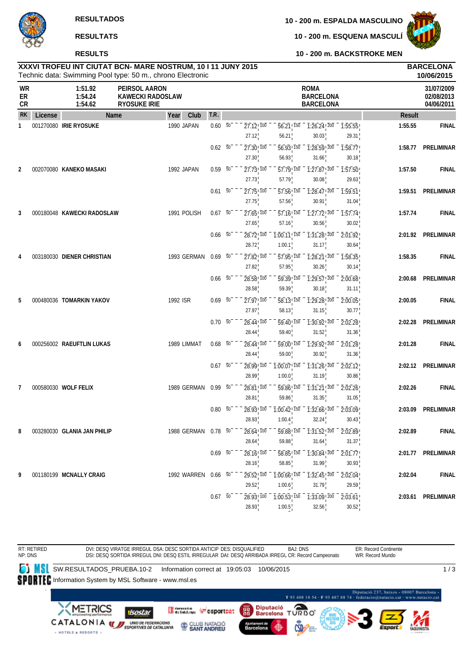# **RESULTS**

**10 - 200 m. ESQUENA MASCULÍ**



**10 - 200 m. BACKSTROKE MEN**

# Technic data: Swimming Pool type: 50 m., chrono Electronic **XXXVI TROFEU INT CIUTAT BCN- MARE NOSTRUM, 10 I 11 JUNY 2015 BARCELONA**

|                              |         |                               | Technic data: Swimming Pool type: 50 m., chrono Electronic      |                          |                                                |                                                |                                                     |                  |         | 10/06/2015                             |
|------------------------------|---------|-------------------------------|-----------------------------------------------------------------|--------------------------|------------------------------------------------|------------------------------------------------|-----------------------------------------------------|------------------|---------|----------------------------------------|
| <b>WR</b><br>ER<br><b>CR</b> |         | 1:51.92<br>1:54.24<br>1:54.62 | PEIRSOL AARON<br><b>KAWECKI RADOSLAW</b><br><b>RYOSUKE IRIE</b> |                          |                                                |                                                | <b>ROMA</b><br><b>BARCELONA</b><br><b>BARCELONA</b> |                  |         | 31/07/2009<br>02/08/2013<br>04/06/2011 |
| <b>RK</b>                    | License |                               | <b>Name</b><br>Year                                             | T.R.<br>Club             |                                                |                                                |                                                     |                  | Result  |                                        |
| 1                            |         | 001270080 IRIE RYOSUKE        | 1990 JAPAN                                                      | $0.60\quad\overline{50}$ | $27.12$ <sup>100</sup><br>27.12                | 56.21 150<br>56.21                             | $\overline{1:26.24}$ $\overline{200}$<br>30.03      | 1:55.55<br>29.31 | 1:55.55 | <b>FINAL</b>                           |
|                              |         |                               |                                                                 | 0.62 50                  | 27.30 100<br>27.30                             | $\overline{56.93}$ ! $\overline{150}$<br>56.93 | $\overline{1:28.59}$ $\overline{200}$<br>31.66      | 1:58.77<br>30.18 | 1:58.77 | <b>PRELIMINAR</b>                      |
| 2                            |         | 002070080 KANEKO MASAKI       | 1992 JAPAN                                                      | $0.59 - 50$              | $27.73$ <sup>100</sup><br>27.73                | $\overline{57.79}$ <sup>150</sup><br>57.79     | $\overline{1:}27.87$ $\overline{200}$<br>30.08      | 1:57.50<br>29.63 | 1:57.50 | <b>FINAL</b>                           |
|                              |         |                               |                                                                 | $0.61\ 50$               | $27.75$ ! $100$<br>27.75                       | 57.56 150<br>57.56                             | 1:28.47! 200<br>30.91                               | 1:59.51<br>31.04 | 1:59.51 | PRELIMINAR                             |
| 3                            |         | 000180048 KAWECKI RADOSLAW    | 1991 POLISH                                                     | $0.67$ 50                | $27.65$ ! $100$<br>27.65                       | 57.16, 150<br>57.16                            | 1:27.72! 200<br>30.56                               | 1:57.74<br>30.02 | 1:57.74 | <b>FINAL</b>                           |
|                              |         |                               |                                                                 | $0.66$ 50                | 28.72 100<br>28.72                             | $1:00.11$ ! 150<br>1:00.1                      | 1:31.28 200<br>31.17                                | 2:01.92<br>30.64 | 2:01.92 | PRELIMINAR                             |
| 4                            |         | 003180030 DIENER CHRISTIAN    | 1993 GERMAN                                                     | $0.69$ 50                | $\overline{27.82}$ , $\overline{100}$<br>27.82 | 57.95 150<br>57.95                             | $\overline{1:28.21}$ $\overline{200}$<br>30.26      | 1:58.35<br>30.14 | 1:58.35 | <b>FINAL</b>                           |
|                              |         |                               |                                                                 | $0.66$ 50                | $28.58$ <sup>100</sup><br>28.58                | $\overline{59.39}$ 150<br>59.39                | $\overline{1:29.57}$ , $\overline{200}$<br>30.18    | 2:00.68<br>31.11 | 2:00.68 | <b>PRELIMINAR</b>                      |
| 5                            |         | 000480036 TOMARKIN YAKOV      | 1992 ISR                                                        | $0.69$ 50                | 27.97 100<br>27.97                             | 58.13! 150<br>58.13                            | $1:29.28$ ! 200<br>31.15                            | 2:00.05<br>30.77 | 2:00.05 | <b>FINAL</b>                           |
|                              |         |                               |                                                                 | $0.70\ 50^{-}$           | 28.44 100                                      | 59.40 150                                      | 1:30.92 200                                         | 2:02.28          | 2:02.28 | PRELIMINAR                             |
| 6                            |         | 000256002 RAEUFTLIN LUKAS     | 1989 LIMMAT                                                     | $0.68$ 50                | 28.44<br>$28.44$ <sup>100</sup>                | 59.40<br>59.00 150                             | 31.52<br>$\overline{1:29.92!}$ 200                  | 31.36<br>2:01.28 | 2:01.28 | <b>FINAL</b>                           |
|                              |         |                               |                                                                 | $0.67 - 50^{-1}$         | 28.44<br>28.99 100                             | 59.00<br>$1:00.07$ <sup>150</sup>              | 30.92<br>$1:31.26$ <sup>200</sup>                   | 31.36<br>2:02.12 | 2:02.12 | PRELIMINAR                             |
| 7                            |         | 000580030 WOLF FELIX          | 1989 GERMAN                                                     | 0.99 50                  | 28.99<br>$28.81$ <sup>100</sup>                | 1:00.0<br>59.86 150                            | 31.19<br>1:31.21 200                                | 30.86<br>2:02.26 | 2:02.26 | <b>FINAL</b>                           |
|                              |         |                               |                                                                 | 0.80 50                  | 28.81<br>28.93! 100                            | 59.86<br>$1:00.42$ ! $150$                     | 31.35<br>$\overline{1:32.66}$ $\overline{200}$      | 31.05<br>2:03.09 | 2:03.09 | <b>PRELIMINAR</b>                      |
| 8                            |         | 003280030 GLANIA JAN PHILIP   |                                                                 | 1988 GERMAN 0.78 50      | 28.93<br>28.64 100                             | 1:00.4                                         | 32.24<br>59.88 150 1:31.52 200 2:02.89              | 30.43            | 2:02.89 | <b>FINAL</b>                           |
|                              |         |                               |                                                                 | $0.69$ 50                | 28.64<br>$28.16$ <sup>100</sup>                | 59.88<br>58.85 150                             | 31.64<br>$\overline{1:30.84}$ $\overline{200}$      | 31.37<br>2:01.77 |         | 2:01.77 PRELIMINAR                     |
| 9                            |         | 001180199 MCNALLY CRAIG       |                                                                 | 1992 WARREN 0.66 50      | 28.16<br>29.52, 100                            | 58.85<br>1:00.66 150                           | 31.99<br>1:32.45 200                                | 30.93<br>2:02.04 | 2:02.04 | <b>FINAL</b>                           |
|                              |         |                               |                                                                 | 0.67 50                  | 29.52<br>28.93 100                             | 1:00.6<br>$1:00.53$ ! 150                      | 31.79<br>1:33.09 200                                | 29.59<br>2:03.61 |         | 2:03.61 PRELIMINAR                     |
|                              |         |                               |                                                                 |                          | 28.93                                          | 1:00.5                                         | 32.56                                               | 30.52            |         |                                        |

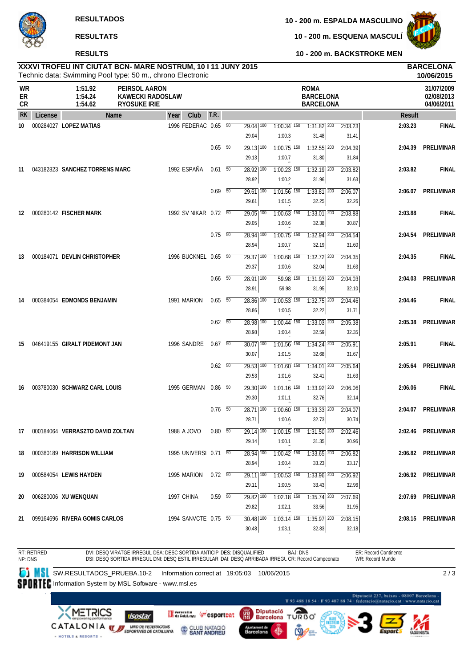

### **RESULTS**

**10 - 200 m. ESQUENA MASCULÍ**



**10 - 200 m. BACKSTROKE MEN**

### Technic data: Swimming Pool type: 50 m., chrono Electronic **XXXVI TROFEU INT CIUTAT BCN- MARE NOSTRUM, 10 I 11 JUNY 2015 BARCELONA**

|                       |         |                                     | Technic data: Swimming Pool type: 50 m., chrono Electronic      |                          |                                              |                                      |                                                     |                  |         | 10/06/2015                             |
|-----------------------|---------|-------------------------------------|-----------------------------------------------------------------|--------------------------|----------------------------------------------|--------------------------------------|-----------------------------------------------------|------------------|---------|----------------------------------------|
| <b>WR</b><br>ER<br>CR |         | 1:51.92<br>1:54.24<br>1:54.62       | PEIRSOL AARON<br><b>KAWECKI RADOSLAW</b><br><b>RYOSUKE IRIE</b> |                          |                                              |                                      | <b>ROMA</b><br><b>BARCELONA</b><br><b>BARCELONA</b> |                  |         | 31/07/2009<br>02/08/2013<br>04/06/2011 |
| <b>RK</b>             | License | <b>Name</b>                         | Club<br>Year                                                    | T.R.                     |                                              |                                      |                                                     |                  | Result  |                                        |
| 10                    |         | 000284027 LOPEZ MATIAS              | 1996 FEDERAC 0.65 50                                            |                          | $\overline{29.04}$ $\overline{100}$<br>29.04 | $1:00.34$ <sup>150</sup><br>1:00.3   | $1:31.82$ $200$<br>31.48                            | 2:03.23<br>31.41 | 2:03.23 | <b>FINAL</b>                           |
|                       |         |                                     |                                                                 | $0.65\quad\overline{50}$ | $\overline{29.13}$ 100<br>29.13              | $1:00.75$ <sup>150</sup><br>1:00.7   | $1:32.55$ <sup>200</sup><br>31.80                   | 2:04.39<br>31.84 | 2:04.39 | PRELIMINAR                             |
| 11                    |         | 043182823 SANCHEZ TORRENS MARC      | 1992 ESPAÑA                                                     | $0.61$ 50                | $28.92$ 100<br>28.92                         | $1:00.23$ <sup>150</sup><br>1:00.2   | $1:32.19$ <sup>200</sup><br>31.96                   | 2:03.82<br>31.63 | 2:03.82 | <b>FINAL</b>                           |
|                       |         |                                     |                                                                 | $0.69$ 50                | $29.61$ 100<br>29.61                         | $1:01.56$ <sup>150</sup><br>1:01.5   | $1:33.81$ $200$<br>32.25                            | 2:06.07<br>32.26 | 2:06.07 | PRELIMINAR                             |
| 12                    |         | 000280142 FISCHER MARK              | 1992 SV NIKAR 0.72 50                                           |                          | $29.05$ $\overline{100}$<br>29.05            | $1:00.63$ <sup>150</sup><br>1:00.6   | $1:33.01$ $200$<br>32.38                            | 2:03.88<br>30.87 | 2:03.88 | <b>FINAL</b>                           |
|                       |         |                                     |                                                                 | $0.75\ 50$               | $\overline{28.94}$ 100<br>28.94              | $1:00.75$ <sup>150</sup><br>1:00.7   | $1:32.94$ <sup>200</sup><br>32.19                   | 2:04.54<br>31.60 | 2:04.54 | <b>PRELIMINAR</b>                      |
| 13                    |         | 000184071 DEVLIN CHRISTOPHER        | 1996 BUCKNEL 0.65 50                                            |                          | $\overline{29.37}$ 100<br>29.37              | $1:00.68$ <sup>150</sup><br>1:00.6   | $1:32.72$ 200<br>32.04                              | 2:04.35<br>31.63 | 2:04.35 | <b>FINAL</b>                           |
|                       |         |                                     |                                                                 | $0.66\quad\overline{50}$ | $28.91$ $\overline{100}$<br>28.91            | 59.98 150<br>59.98                   | $1:31.93$ <sup>200</sup><br>31.95                   | 2:04.03<br>32.10 | 2:04.03 | PRELIMINAR                             |
| 14                    |         | 000384054 EDMONDS BENJAMIN          | 1991 MARION                                                     | $0.65$ 50                | 28.86 100<br>28.86                           | $1:00.53$ 150<br>1:00.5              | $1:32.75$ <sup>200</sup><br>32.22                   | 2:04.46<br>31.71 | 2:04.46 | <b>FINAL</b>                           |
|                       |         |                                     |                                                                 | $0.62\quad\overline{50}$ | 28.98 100<br>28.98                           | $1:00.44$ <sup>150</sup><br>1:00.4   | $1:33.03$ <sup>200</sup><br>32.59                   | 2:05.38<br>32.35 | 2:05.38 | PRELIMINAR                             |
| 15                    |         | 046419155 GIRALT PIDEMONT JAN       | 1996 SANDRE                                                     | $0.67$ 50                | $30.07$ $100$<br>30.07                       | $1:01.56$ <sup>150</sup><br>1:01.5   | $1:34.24$ $200$<br>32.68                            | 2:05.91<br>31.67 | 2:05.91 | <b>FINAL</b>                           |
|                       |         |                                     |                                                                 | $0.62$ 50                | $29.53$ $\overline{100}$<br>29.53            | $1:01.60$ 150<br>1:01.6              | $1:34.01$ 200<br>32.41                              | 2:05.64<br>31.63 | 2:05.64 | PRELIMINAR                             |
| 16                    |         | 003780030 SCHWARZ CARL LOUIS        | 1995 GERMAN                                                     | $0.86\quad\overline{50}$ | $29.30$ $\overline{100}$<br>29.30            | $1:01.16$ <sup>150</sup><br>1:01.1   | $1:33.92$ $200$<br>32.76                            | 2:06.06<br>32.14 | 2:06.06 | <b>FINAL</b>                           |
|                       |         |                                     |                                                                 | $0.76$ 50                | $28.71$ 100<br>28.71                         | $1:00.60$ 150<br>1:00.6              | $1:33.33$ $200$<br>32.73                            | 2:04.07<br>30.74 | 2:04.07 | PRELIMINAR                             |
|                       |         | 17 000184064 VERRASZTO DAVID ZOLTAN | 1988 A JOVO                                                     | 0.80 50                  | $29.14$ 100<br>29.14                         | 1:00.1                               | $1:00.15$ $1:50$ $1:31.50$ $200$<br>31.35           | 2:02.46<br>30.96 |         | 2:02.46 PRELIMINAR                     |
| 18                    |         | 000380189 HARRISON WILLIAM          | 1995 UNIVERSI 0.71 50                                           |                          | $28.94$ 100<br>28.94                         | $1:00.42$ $\overline{150}$<br>1:00.4 | $1:33.65$ 200<br>33.23                              | 2:06.82<br>33.17 |         | 2:06.82 PRELIMINAR                     |
| 19                    |         | 000584054 LEWIS HAYDEN              | 1995 MARION                                                     | $0.72\t 50$              | 29.11 100<br>29.11                           | $1:00.53$ 150<br>1:00.5              | 1:33.96 200<br>33.43                                | 2:06.92<br>32.96 |         | 2:06.92 PRELIMINAR                     |
| 20                    |         | 006280006 XU WENQUAN                | 1997 CHINA                                                      | 0.59 50                  | 29.82 100<br>29.82                           | $1:02.18$ <sup>150</sup><br>1:02.1   | $1:35.74$ <sup>200</sup><br>33.56                   | 2:07.69<br>31.95 |         | 2:07.69 PRELIMINAR                     |
| 21                    |         | 099164696 RIVERA GOMIS CARLOS       | 1994 SANVCTE 0.75 50                                            |                          | $30.48$ 100<br>30.48                         | $1:03.14$ 150<br>1:03.1              | $1:35.97$ 200<br>32.83                              | 2:08.15<br>32.18 |         | 2:08.15 PRELIMINAR                     |

RT: RETIRED NP: DNS DVI: DESQ VIRATGE IRREGUL DSA: DESC SORTIDA ANTICIP DES: DISQUALIFIED DSI: DESQ SORTIDA IRREGUL DNI: DESQ ESTIL IRREGULAR DAI: DESQ ARRIBADA IRREGL CR: Record Campeonato BAJ: DNS ER: Record Continente WR: Record Mundo **SW.RESULTADOS\_PRUEBA.10-2** Information correct at 19:05:03 10/06/2015 SPORTEC Information System by MSL Software - www.msl.es  $\overline{2/3}$ 

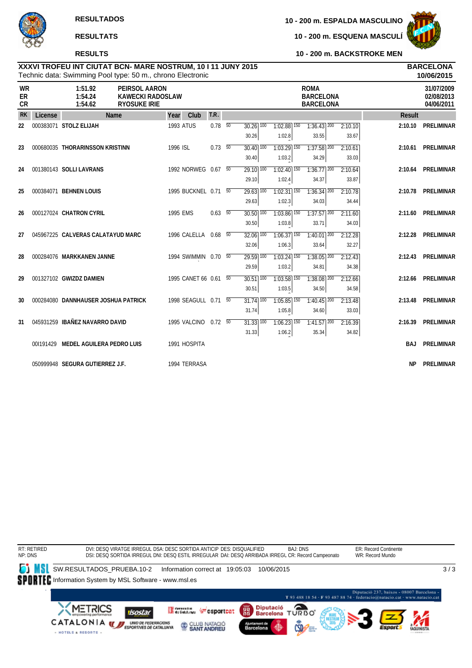# **RESULTS**

**10 - 200 m. ESPALDA MASCULINO**

**10 - 200 m. ESQUENA MASCULÍ**



**10 - 200 m. BACKSTROKE MEN**

### Technic data: Swimming Pool type: 50 m., chrono Electronic **XXXVI TROFEU INT CIUTAT BCN- MARE NOSTRUM, 10 I 11 JUNY 2015 BARCELONA**

|                       |         | Technic data: Swimming Pool type: 50 m., chrono Electronic |                                                                        |                  |                       |                          |                                   |                                      |                                                     |                  |               | 10/06/2015                             |
|-----------------------|---------|------------------------------------------------------------|------------------------------------------------------------------------|------------------|-----------------------|--------------------------|-----------------------------------|--------------------------------------|-----------------------------------------------------|------------------|---------------|----------------------------------------|
| <b>WR</b><br>ER<br>CR |         | 1:51.92<br>1:54.24<br>1:54.62                              | <b>PEIRSOL AARON</b><br><b>KAWECKI RADOSLAW</b><br><b>RYOSUKE IRIE</b> |                  |                       |                          |                                   |                                      | <b>ROMA</b><br><b>BARCELONA</b><br><b>BARCELONA</b> |                  |               | 31/07/2009<br>02/08/2013<br>04/06/2011 |
| <b>RK</b>             | License |                                                            | Name                                                                   | Year             | Club                  | T.R.                     |                                   |                                      |                                                     |                  | <b>Result</b> |                                        |
| 22                    |         | 000383071 STOLZ ELIJAH                                     |                                                                        | <b>1993 ATUS</b> |                       | $0.78$ 50                | $30.26$ $\overline{100}$<br>30.26 | $1:02.88$ $\overline{150}$<br>1:02.8 | $1:36.43$ <sup>200</sup><br>33.55                   | 2:10.10<br>33.67 | 2:10.10       | PRELIMINAR                             |
| 23                    |         | 000680035 THORARINSSON KRISTINN                            |                                                                        | 1996 ISL         |                       | $0.73\quad\overline{50}$ | $30.40$ $\overline{100}$<br>30.40 | $1:03.29$ 150<br>1:03.2              | $1:37.58$ <sup>200</sup><br>34.29                   | 2:10.61<br>33.03 | 2:10.61       | PRELIMINAR                             |
| 24                    |         | 001380143 SOLLI LAVRANS                                    |                                                                        |                  | 1992 NORWEG 0.67 50   |                          | $\overline{29.10}$ 100<br>29.10   | $1:02.40$ 150<br>1:02.4              | $1:36.77$ <sup>200</sup><br>34.37                   | 2:10.64<br>33.87 | 2:10.64       | PRELIMINAR                             |
| 25                    |         | 000384071 BEHNEN LOUIS                                     |                                                                        |                  | 1995 BUCKNEL 0.71 50  |                          | $29.63$ 100<br>29.63              | $1:02.31$ 150<br>1:02.3              | $1:36.34$ 200<br>34.03                              | 2:10.78<br>34.44 | 2:10.78       | PRELIMINAR                             |
| 26                    |         | 000127024 CHATRON CYRIL                                    |                                                                        | 1995 EMS         |                       | $0.63\quad\overline{50}$ | $30.50$ $\overline{100}$<br>30.50 | $1:03.86$ <sup>150</sup><br>1:03.8   | $1:37.57$ <sup>200</sup><br>33.71                   | 2:11.60<br>34.03 | 2:11.60       | PRELIMINAR                             |
| 27                    |         | 045967225 CALVERAS CALATAYUD MARC                          |                                                                        |                  | 1996 CALELLA 0.68 50  |                          | $32.06$ $\overline{100}$<br>32.06 | $1:06.37$ <sup>150</sup><br>1:06.3   | $1:40.01$ 200<br>33.64                              | 2:12.28<br>32.27 |               | 2:12.28 PRELIMINAR                     |
| 28                    |         | 000284076 MARKKANEN JANNE                                  |                                                                        |                  | 1994 SWIMMIN 0.70 50  |                          | 29.59 100<br>29.59                | $1:03.24$ 150<br>1:03.2              | $1:38.05$ 200<br>34.81                              | 2:12.43<br>34.38 |               | 2:12.43 PRELIMINAR                     |
| 29                    |         | 001327102 GWIZDZ DAMIEN                                    |                                                                        |                  | 1995 CANET 66 0.61 50 |                          | $30.51$ $100$<br>30.51            | $1:03.58$ <sup>150</sup><br>1:03.5   | $1:38.08$ <sup>200</sup><br>34.50                   | 2:12.66<br>34.58 |               | 2:12.66 PRELIMINAR                     |
| 30                    |         | 000284080 DANNHAUSER JOSHUA PATRICK                        |                                                                        |                  | 1998 SEAGULL 0.71 50  |                          | $31.74$ $\overline{100}$<br>31.74 | $1:05.85$ 150<br>1:05.8              | $1:40.45$ <sup>200</sup><br>34.60                   | 2:13.48<br>33.03 |               | 2:13.48 PRELIMINAR                     |
| 31                    |         | 045931259 IBAÑEZ NAVARRO DAVID                             |                                                                        |                  | 1995 VALCINO 0.72 50  |                          | $31.33$ $\overline{100}$<br>31.33 | $1:06.23$ <sup>150</sup><br>1:06.2   | $1:41.57$ <sup>200</sup><br>35.34                   | 2:16.39<br>34.82 |               | 2:16.39 PRELIMINAR                     |
|                       |         | 001191429 MEDEL AGUILERA PEDRO LUIS                        |                                                                        |                  | 1991 HOSPITA          |                          |                                   |                                      |                                                     |                  | BAJ           | PRELIMINAR                             |
|                       |         | 050999948 SEGURA GUTIERREZ J.F.                            |                                                                        |                  | 1994 TERRASA          |                          |                                   |                                      |                                                     |                  | ΝP            | PRELIMINAR                             |

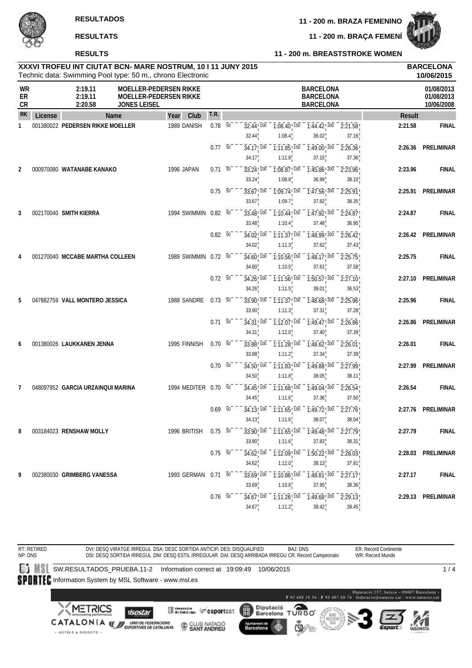**11 - 200 m. BRAÇA FEMENÍ**



**RESULTS RESULTATS**

# **11 - 200 m. BREASTSTROKE WOMEN**

|                |         | XXXVI TROFEU INT CIUTAT BCN- MARE NOSTRUM, 10 I 11 JUNY 2015<br>Technic data: Swimming Pool type: 50 m., chrono Electronic |                                                                |                |                 |                                     |                                               |                                                                                                                 |                  |               | <b>BARCELONA</b><br>10/06/2015         |
|----------------|---------|----------------------------------------------------------------------------------------------------------------------------|----------------------------------------------------------------|----------------|-----------------|-------------------------------------|-----------------------------------------------|-----------------------------------------------------------------------------------------------------------------|------------------|---------------|----------------------------------------|
| WR<br>ER<br>CR |         | 2:19.11<br>2:19.11<br>2:20.58<br><b>JONES LEISEL</b>                                                                       | <b>MOELLER-PEDERSEN RIKKE</b><br><b>MOELLER-PEDERSEN RIKKE</b> |                |                 |                                     |                                               | <b>BARCELONA</b><br><b>BARCELONA</b><br><b>BARCELONA</b>                                                        |                  |               | 01/08/2013<br>01/08/2013<br>10/06/2008 |
| RK             | License | Name                                                                                                                       | Club<br>Year                                                   | T.R.           |                 |                                     |                                               |                                                                                                                 |                  | <b>Result</b> |                                        |
| 1              |         | 001380022 PEDERSEN RIKKE MOELLER                                                                                           | 1989 DANISH                                                    | 0.78           | $\overline{50}$ | $32.44$ <sup>1</sup> $100$<br>32.44 | $\overline{1:08.40}$ 150<br>1:08.4            | $-7:44.42$ , $200 - 2:21.58$<br>36.02                                                                           | 37.16            | 2:21.58       | <b>FINAL</b>                           |
|                |         |                                                                                                                            |                                                                | 0.77           | $\overline{50}$ | 34.17!100                           | 1:11.85!150                                   | 1:49.00 200                                                                                                     | 2:26.36          | 2:26.36       | <b>PRELIMINAR</b>                      |
| 2              |         | 000970080 WATANABE KANAKO                                                                                                  | 1996 JAPAN                                                     | 0.71           | 50              | 34.17<br>33.24 100                  | 1:11.8<br>1:08.87 ! 150                       | 37.15<br>1:45.86 200                                                                                            | 37.36<br>2:23.96 | 2:23.96       | <b>FINAL</b>                           |
|                |         |                                                                                                                            |                                                                | 0.75           | 50              | 33.24<br>$33.67$ ! $100$            | 1:08.8<br>$1:09.74$ , 150                     | 36.99<br>$1:47.56$ <sup>200</sup>                                                                               | 38.10<br>2:25.91 | 2:25.91       | <b>PRELIMINAR</b>                      |
|                |         |                                                                                                                            |                                                                |                |                 | 33.67                               | 1:09.7                                        | 37.82                                                                                                           | 38.35            |               |                                        |
| 3              |         | 002170040 SMITH KIERRA                                                                                                     | 1994 SWIMMIN 0.82 50                                           |                |                 | 33.48 100<br>33.48                  | $1:10.44$ ! 150<br>1:10.4                     | $\frac{1}{1.47.92}$ $\frac{1}{200}$<br>37.48                                                                    | 2:24.87<br>36.95 | 2:24.87       | <b>FINAL</b>                           |
|                |         |                                                                                                                            |                                                                | $0.82\ 50$     |                 | $34.02^{+700}$<br>34.02             | $1:11.37$ <sup>150</sup><br>1:11.3            | 1:48.99 200<br>37.62                                                                                            | 2:26.42<br>37.43 | 2:26.42       | <b>PRELIMINAR</b>                      |
|                |         | 001270040 MCCABE MARTHA COLLEEN                                                                                            | 1989 SWIMMIN                                                   | $0.72\ 50$     |                 | $34.60$ ! $100$<br>34.60            | $1:10.56$ <sup>150</sup><br>1:10.5            | $1:48.17$ ! $200$<br>37.61                                                                                      | 2:25.75<br>37.58 | 2:25.75       | <b>FINAL</b>                           |
|                |         |                                                                                                                            |                                                                | $0.72\ 50$     |                 | 34.26 100                           | $1:11.56$ <sup>150</sup>                      | $1:50.57$ ! 200<br>39.01                                                                                        | 2:27.10<br>36.53 | 2:27.10       | <b>PRELIMINAR</b>                      |
| 5              |         | 047882759 VALL MONTERO JESSICA                                                                                             | 1988 SANDRE                                                    | $0.73 - 50$    |                 | 34.26<br>33.90 100                  | 1:11.5<br>1:11.37!150                         | 1:48.68 200                                                                                                     | 2:25.96          | 2:25.96       | <b>FINAL</b>                           |
|                |         |                                                                                                                            |                                                                | 0.71           | $\overline{50}$ | 33.90<br>$34.31$ ! $100$            | 1:11.3<br>$\overline{1:}12.07$ <sup>150</sup> | 37.31<br>1:49.47 200                                                                                            | 37.28<br>2:26.86 | 2:26.86       | <b>PRELIMINAR</b>                      |
|                |         | 001380026 LAUKKANEN JENNA                                                                                                  | 1995 FINNISH                                                   | $0.70\ 50$     |                 | 34.31<br>33.88 100                  | 1:12.0<br>$1:11.28$ ! 150                     | 37.40<br>1:48.62 200                                                                                            | 37.39<br>2:26.01 | 2:26.01       | <b>FINAL</b>                           |
|                |         |                                                                                                                            |                                                                | 0.70           | 50              | 33.88<br>34.50 100                  | 1:11.2<br>$1:11.83$ ! 150                     | 37.34<br>1:49.88 200                                                                                            | 37.39<br>2:27.99 | 2:27.99       | <b>PRELIMINAR</b>                      |
|                |         | 048097952 GARCIA URZAINQUI MARINA                                                                                          | 1994 MEDITER 0.70                                              |                | 50              | 34.50<br>$34.45$ ! $100$            | 1:11.8<br>$1:11.68$ ! 150                     | 38.05<br>1:49.04 200                                                                                            | 38.11<br>2:26.54 | 2:26.54       | <b>FINAL</b>                           |
|                |         |                                                                                                                            |                                                                | 0.69           | $\overline{50}$ | 34.45                               | 1:11.6                                        | 37.36<br>$34.13\frac{1}{1}$ $100 - 1:11.65\frac{1}{1}$ $150 - 1:49.72\frac{1}{1}$ $200 - 2:27.76\frac{1}{1}$    | 37.50            | 2:27.76       | PRELIMINAR                             |
| 8              |         | 003184023 RENSHAW MOLLY                                                                                                    | 1996 BRITISH 0.75 50                                           |                |                 | 34.13<br>$33.90^{+100}$             | 1:11.6                                        | 38.07<br>$1:11.65$ , $150 - 1:49.48$ , $200 - 2:27.79$                                                          | 38.04            | 2:27.79       | <b>FINAL</b>                           |
|                |         |                                                                                                                            |                                                                | $0.75\ 50^{-}$ |                 | 33.90                               | 1:11.6                                        | 37.83<br>$34.62$ <sup>100</sup> - $1.12.09$ <sup>150</sup> - $1.50.22$ <sup>1200</sup> - $2.28.03$ <sup>1</sup> | 38.31            |               | 2:28.03 PRELIMINAR                     |
| 9              |         | 002380030 GRIMBERG VANESSA                                                                                                 | 1993 GERMAN 0.71 50                                            |                |                 | 34.62                               | $1:12.0^{\frac{1}{2}}$                        | 38.13<br>$33.69$ <sup>100</sup> $- 1.10.86$ <sup>150</sup> $- 1.48.81$ <sup>200</sup> $- 2.27.17$               | 37.81            | 2:27.17       | <b>FINAL</b>                           |



33.69

 $34.67$ 

 $1:10.8$  $\frac{1}{100} - \frac{1}{111.26}$ 

 $1:11.2$ 

37.95

 $1:49.68$ !  $200$ 38.42

 $0.76 \overline{50}$   $\overline{50}$   $\overline{34.67}$   $\overline{100}$   $\overline{1.11.26}$   $\overline{150}$   $\overline{1.49.68}$   $\overline{200}$   $\overline{2.29.13}$  **2.29.13 PRELIMINAR** 

38.36

 $\overline{2:}29.13$  $39.45$ <sup>1</sup>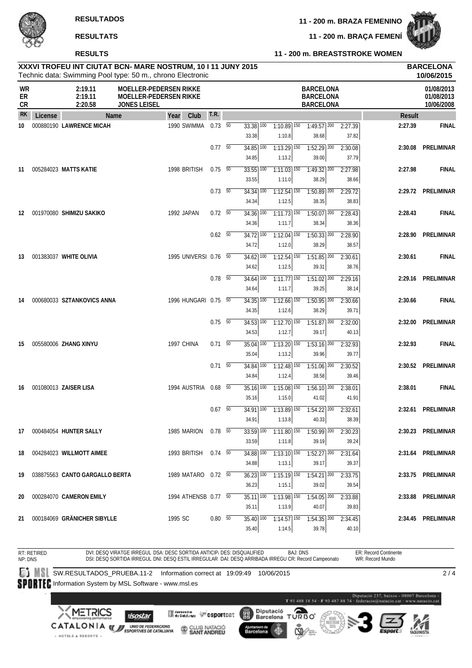**11 - 200 m. BRAÇA FEMENÍ**



|                |         | <b>RESULTS</b>                                                                                                             |                                                                                       |                       |      |                          |    |                                   |                                                 | 11 - 200 m. BREASTSTROKE WOMEN                           |                  |               |                                        |
|----------------|---------|----------------------------------------------------------------------------------------------------------------------------|---------------------------------------------------------------------------------------|-----------------------|------|--------------------------|----|-----------------------------------|-------------------------------------------------|----------------------------------------------------------|------------------|---------------|----------------------------------------|
|                |         | XXXVI TROFEU INT CIUTAT BCN- MARE NOSTRUM, 10 I 11 JUNY 2015<br>Technic data: Swimming Pool type: 50 m., chrono Electronic |                                                                                       |                       |      |                          |    |                                   |                                                 |                                                          |                  |               | <b>BARCELONA</b><br>10/06/2015         |
| WR<br>ER<br>CR |         | 2:19.11<br>2:19.11<br>2:20.58                                                                                              | <b>MOELLER-PEDERSEN RIKKE</b><br><b>MOELLER-PEDERSEN RIKKE</b><br><b>JONES LEISEL</b> |                       |      |                          |    |                                   |                                                 | <b>BARCELONA</b><br><b>BARCELONA</b><br><b>BARCELONA</b> |                  |               | 01/08/2013<br>01/08/2013<br>10/06/2008 |
| RK             | License | Name                                                                                                                       |                                                                                       | Year                  | Club | <b>T.R.</b>              |    |                                   |                                                 |                                                          |                  | <b>Result</b> |                                        |
| 10             |         | 000880190 LAWRENCE MICAH                                                                                                   |                                                                                       | 1990 SWIMMA           |      | $0.73\ 50$               |    | $33.38$ $\overline{100}$<br>33.38 | $1:10.89$ 150<br>1:10.8                         | $1:49.57$ 200<br>38.68                                   | 2:27.39<br>37.82 | 2:27.39       | <b>FINAL</b>                           |
|                |         |                                                                                                                            |                                                                                       |                       |      | $0.77 - 50$              |    | $34.85$ $\overline{100}$<br>34.85 | $1:13.29$ <sup>150</sup><br>1:13.2              | $1:52.29$ <sup>200</sup><br>39.00                        | 2:30.08<br>37.79 | 2:30.08       | <b>PRELIMINAR</b>                      |
| 11             |         | 005284023 MATTS KATIE                                                                                                      |                                                                                       | 1998 BRITISH          |      | 0.75                     | 50 | $33.55$ $\overline{100}$<br>33.55 | $1:11.03$ $150$<br>1:11.0                       | 1:49.32 200<br>38.29                                     | 2:27.98<br>38.66 | 2:27.98       | <b>FINAL</b>                           |
|                |         |                                                                                                                            |                                                                                       |                       |      | $0.73\quad\overline{50}$ |    | $34.34$ 100<br>34.34              | $1:12.54$ <sup>150</sup><br>1:12.5              | $1:50.89$ <sup>200</sup><br>38.35                        | 2:29.72<br>38.83 |               | 2:29.72 PRELIMINAR                     |
| 12             |         | 001970080 SHIMIZU SAKIKO                                                                                                   |                                                                                       | 1992 JAPAN            |      | $0.72\ 50$               |    | 34.36 100<br>34.36                | $1:11.73$ <sup>150</sup><br>1:11.7              | $1:50.07$ 200<br>38.34                                   | 2:28.43<br>38.36 | 2:28.43       | <b>FINAL</b>                           |
|                |         |                                                                                                                            |                                                                                       |                       |      | $0.62$ 50                |    | $34.72$ $100$<br>34.72            | $1:12.04$ <sup>150</sup><br>1:12.0              | $1:50.33$ <sup>200</sup><br>38.29                        | 2:28.90<br>38.57 | 2:28.90       | <b>PRELIMINAR</b>                      |
| 13             |         | 001383037 WHITE OLIVIA                                                                                                     |                                                                                       | 1995 UNIVERSI 0.76 50 |      |                          |    | 34.62 100<br>34.62                | $1:12.54$ <sup>150</sup><br>1:12.5              | $1:51.85$ <sup>200</sup><br>39.31                        | 2:30.61<br>38.76 | 2:30.61       | <b>FINAL</b>                           |
|                |         |                                                                                                                            |                                                                                       |                       |      | 0.78                     | 50 | 34.64 100<br>34.64                | $1:11.77$ 150<br>1:11.7                         | $1:51.02$ 200<br>39.25                                   | 2:29.16<br>38.14 | 2:29.16       | PRELIMINAR                             |
| 14             |         | 000680033 SZTANKOVICS ANNA                                                                                                 |                                                                                       | 1996 HUNGARI 0.75 50  |      |                          |    | 34.35 100<br>34.35                | 1:12.66 150<br>1:12.6                           | 1:50.95 200<br>38.29                                     | 2:30.66<br>39.71 | 2:30.66       | <b>FINAL</b>                           |
|                |         |                                                                                                                            |                                                                                       |                       |      | 0.75                     | 50 | $34.53$ $\overline{100}$<br>34.53 | $1:12.70$ $150$<br>1:12.7                       | $1:51.87$ <sup>200</sup><br>39.17                        | 2:32.00<br>40.13 | 2:32.00       | <b>PRELIMINAR</b>                      |
| 15             |         | 005580006 ZHANG XINYU                                                                                                      |                                                                                       | 1997 CHINA            |      | 0.71                     | 50 | $35.04$ $\overline{100}$<br>35.04 | $\overline{1:13.20}$ $\overline{150}$<br>1:13.2 | $1:53.16$ 200<br>39.96                                   | 2:32.93<br>39.77 | 2:32.93       | <b>FINAL</b>                           |
|                |         |                                                                                                                            |                                                                                       |                       |      | 0.71                     | 50 | 34.84 100<br>34.84                | $1:12.48$ 150<br>1:12.4                         | 1:51.06 200<br>38.58                                     | 2:30.52<br>39.46 |               | 2:30.52 PRELIMINAR                     |
| 16             |         | 001080013 ZAISER LISA                                                                                                      |                                                                                       | 1994 AUSTRIA          |      | 0.68                     | 50 | $35.16$ $\overline{100}$<br>35.16 | $1:15.08$ 150<br>1:15.0                         | $1:56.10$ <sup>200</sup><br>41.02                        | 2:38.01<br>41.91 | 2:38.01       | <b>FINAL</b>                           |
|                |         |                                                                                                                            |                                                                                       |                       |      | $0.67\quad\overline{50}$ |    | 34.91                             | 1:13.8                                          | $34.91$ 100 1:13.89 150 1:54.22 200 2:32.61<br>40.33     | 38.39            |               | 2:32.61 PRELIMINAR                     |
|                |         | 17 000484054 HUNTER SALLY                                                                                                  |                                                                                       | 1985 MARION           |      | $0.78$ 50                |    | 33.59 100<br>33.59                | $1:11.80$ <sup>150</sup><br>1:11.8              | $1:50.99$ 200<br>39.19                                   | 2:30.23<br>39.24 |               | 2:30.23 PRELIMINAR                     |
|                |         | 18 004284023 WILLMOTT AIMEE                                                                                                |                                                                                       | 1993 BRITISH          |      | $0.74$ 50                |    | $34.88$ $\overline{100}$<br>34.88 | $1:13.10$ $150$<br>1:13.1                       | $1:52.27$ <sup>200</sup><br>39.17                        | 2:31.64<br>39.37 |               | 2:31.64 PRELIMINAR                     |
|                |         | 19 038875563 CANTO GARGALLO BERTA                                                                                          |                                                                                       | 1989 MATARO 0.72 50   |      |                          |    | 36.23 100<br>36.23                | $1:15.19$ <sup>150</sup><br>1:15.1              | $1:54.21$ 200<br>39.02                                   | 2:33.75<br>39.54 |               | 2:33.75 PRELIMINAR                     |

SPORTEC Information System by MSL Software - www.msl.es

DVI: DESQ VIRATGE IRREGUL DSA: DESC SORTIDA ANTICIP/ DES: DISQUALIFIED

SW.RESULTADOS\_PRUEBA.11-2 Information correct at 19:09:49 10/06/2015

RT: RETIRED NP: DNS



- HOTELS & RESORTS -

T93 488 18 54 - F93 487 88 74 Diputació<br>Barcelona **ORBO** (體) T

BAJ: DNS

9 100 1:13.98

1:13.9

 $1:14.57$   $150$ 1:14.5

 $1:54.05$   $200$ 40.07

 $\overline{1:54.35}$   $\overline{200}$ 39.78

2:33.88 39.83

 $2:34.45$ 40.10

**20** 000284070 **CAMERON EMILY** 1994 ATHENSB 0.77 <sup>50</sup> 35.11 **2:33.88 PRELIMINAR**

**21** 000184069 **GRÄNICHER SIBYLLE** 1995 SC 0.80 <sup>50</sup> 35.40 **2:34.45 PRELIMINAR**

DSI: DESQ SORTIDA IRREGUL DNI: DESQ ESTIL IRREGULAR DAI: DESQ ARRIBADA IRREGU CR: Record Campeonato

**Experience desportsat** 

CLUB NATACIÓ

35.11

35.40

Ajuntament de<br>Barcelona





ER: Record Continente WR: Record Mundo

 $2/4$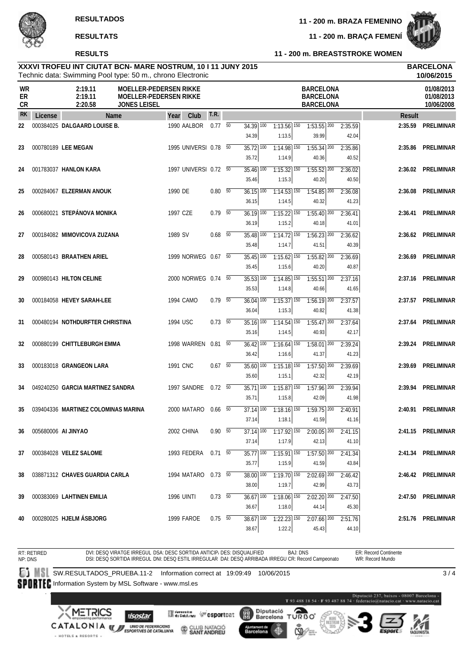### **RESULTS**

**11 - 200 m. BRAÇA FEMENÍ**



### **11 - 200 m. BREASTSTROKE WOMEN**

| XXXVI TROFEU INT CIUTAT BCN- MARE NOSTRUM, 10 I 11 JUNY 2015 | <b>BARCELONA</b> |
|--------------------------------------------------------------|------------------|
| Technic data: Swimming Pool type: 50 m., chrono Electronic   | 10/06/2015       |

|                |                     | Technic data: Swimming Pool type: 50 m., chrono Electronic |                                                                                |          |                       |                          |                          |                               |                                                          |                                  |         | 10/06/2015                             |
|----------------|---------------------|------------------------------------------------------------|--------------------------------------------------------------------------------|----------|-----------------------|--------------------------|--------------------------|-------------------------------|----------------------------------------------------------|----------------------------------|---------|----------------------------------------|
| WR<br>ER<br>CR |                     | 2:19.11<br>2:19.11<br>2:20.58                              | <b>MOELLER-PEDERSEN RIKKE</b><br>MOELLER-PEDERSEN RIKKE<br><b>JONES LEISEL</b> |          |                       |                          |                          |                               | <b>BARCELONA</b><br><b>BARCELONA</b><br><b>BARCELONA</b> |                                  |         | 01/08/2013<br>01/08/2013<br>10/06/2008 |
| <b>RK</b>      | License             | Name                                                       |                                                                                | Year     | Club                  | T.R.                     |                          |                               |                                                          |                                  | Result  |                                        |
| 22             |                     | 000384025 DALGAARD LOUISE B.                               |                                                                                |          | 1990 AALBOR           | 0.7750                   | 34.39 100                | $1:13.56$ 150                 | $1:53.55$ $200$                                          | 2:35.59                          | 2:35.59 | PRELIMINAR                             |
|                |                     |                                                            |                                                                                |          |                       |                          | 34.39                    | 1:13.5                        | 39.99                                                    | 42.04                            |         |                                        |
| 23             |                     | 000780189 LEE MEGAN                                        |                                                                                |          | 1995 UNIVERSI 0.78 50 |                          | $35.72$ 100              | $1:14.98$ 150                 | $7:55.34$ <sup>200</sup>                                 | 2:35.86                          | 2:35.86 | PRELIMINAR                             |
|                |                     |                                                            |                                                                                |          |                       |                          | 35.72                    | 1:14.9                        | 40.36                                                    | 40.52                            |         |                                        |
| 24             |                     | 001783037 HANLON KARA                                      |                                                                                |          | 1997 UNIVERSI 0.72 50 |                          | $35.46$ $\overline{100}$ | $1:15.32$ $150$               | $1:55.52$ $200$                                          | 2:36.02                          |         | 2:36.02 PRELIMINAR                     |
|                |                     |                                                            |                                                                                |          |                       |                          | 35.46                    | 1:15.3                        | 40.20                                                    | 40.50                            |         |                                        |
| 25             |                     | 000284067 ELZERMAN ANOUK                                   |                                                                                | 1990 DE  |                       | $0.80\, 50$              | $36.15$ $100$            | $1:14.53$ <sup>150</sup>      | $1:54.85$ <sup>200</sup>                                 | 2:36.08                          | 2:36.08 | PRELIMINAR                             |
|                |                     |                                                            |                                                                                |          |                       |                          | 36.15                    | 1:14.5                        | 40.32                                                    | 41.23                            |         |                                        |
| 26             |                     | 000680021 STEPÁNOVA MONIKA                                 |                                                                                | 1997 CZE |                       | $0.79$ 50                | $36.19$ $\overline{100}$ | $1:15.22$ $\overline{150}$    | $1:55.40$ $200$                                          | 2:36.41                          | 2:36.41 | PRELIMINAR                             |
|                |                     |                                                            |                                                                                |          |                       |                          | 36.19                    | 1:15.2                        | 40.18                                                    | 41.01                            |         |                                        |
| 27             |                     | 000184082 MIMOVICOVA ZUZANA                                |                                                                                | 1989 SV  |                       | $0.68$ 50                | $35.48$ $\overline{100}$ | $1:14.72$ 150                 | $1:56.23$ 200                                            | 2:36.62                          |         | 2:36.62 PRELIMINAR                     |
|                |                     |                                                            |                                                                                |          |                       |                          | 35.48                    | 1:14.7                        | 41.51                                                    | 40.39                            |         |                                        |
| 28             |                     | 000580143 BRAATHEN ARIEL                                   |                                                                                |          | 1999 NORWEG 0.67 50   |                          | 35.45 100                | $1:15.62$ <sup>150</sup>      | 1:55.82 200                                              | 2:36.69                          |         | 2:36.69 PRELIMINAR                     |
|                |                     |                                                            |                                                                                |          |                       |                          | 35.45                    | 1:15.6                        | 40.20                                                    | 40.87                            |         |                                        |
| 29             |                     | 000980143 HILTON CELINE                                    |                                                                                |          | 2000 NORWEG 0.74 50   |                          | $35.53$ $\overline{100}$ | $1:14.85$ <sup>150</sup>      | $1:55.51$ $200$                                          | 2:37.16                          | 2:37.16 | PRELIMINAR                             |
|                |                     |                                                            |                                                                                |          |                       |                          | 35.53                    | 1:14.8                        | 40.66                                                    | 41.65                            |         |                                        |
| 30             |                     | 000184058 HEVEY SARAH-LEE                                  |                                                                                |          | 1994 CAMO             | $0.79$ 50                | 36.04 100                | $1:15.37$ 150                 | $1:56.19$ 200                                            | 2:37.57                          |         | 2:37.57 PRELIMINAR                     |
|                |                     |                                                            |                                                                                |          |                       |                          | 36.04                    | 1:15.3                        | 40.82                                                    | 41.38                            |         |                                        |
| 31             |                     | 000480194 NOTHDURFTER CHRISTINA                            |                                                                                | 1994 USC |                       | $0.73\quad\overline{50}$ | $35.16$ $\overline{100}$ | $1:14.54$ <sup>150</sup>      | $1:55.47$ <sup>200</sup>                                 | 2:37.64                          | 2:37.64 | PRELIMINAR                             |
|                |                     |                                                            |                                                                                |          |                       |                          | 35.16                    | 1:14.5                        | 40.93                                                    | 42.17                            |         |                                        |
| 32             |                     | 000880199 CHITTLEBURGH EMMA                                |                                                                                |          | 1998 WARREN 0.81 50   |                          | $36.42$ $\overline{100}$ | $1:16.64$ <sup>150</sup>      | $1:58.01$ $200$                                          | 2:39.24                          | 2:39.24 | PRELIMINAR                             |
|                |                     |                                                            |                                                                                |          |                       |                          | 36.42                    | 1:16.6                        | 41.37                                                    | 41.23                            |         |                                        |
| 33             |                     | 000183018 GRANGEON LARA                                    |                                                                                | 1991 CNC |                       | $0.67 - 50$              | $35.60$ $\overline{100}$ | $1:15.18$ $150$               | $7:57.50$ 200                                            | 2:39.69                          | 2:39.69 | PRELIMINAR                             |
|                |                     |                                                            |                                                                                |          |                       |                          | 35.60                    | 1:15.1                        | 42.32                                                    | 42.19                            |         |                                        |
| 34             |                     | 049240250 GARCIA MARTINEZ SANDRA                           |                                                                                |          | 1997 SANDRE           | $0.72\t 50$              | $35.71$ 100              | $1:15.87$ <sup>150</sup>      | $1:57.96$ <sup>200</sup>                                 | 2:39.94                          |         | 2:39.94 PRELIMINAR                     |
|                |                     |                                                            |                                                                                |          |                       |                          | 35.71                    | 1:15.8                        | 42.09                                                    | 41.98                            |         |                                        |
| 35             |                     | 039404336 MARTINEZ COLOMINAS MARINA                        |                                                                                |          | 2000 MATARO 0.66 50   |                          | $37.14$ $\overline{100}$ | $1:18.16$ $150$               | $1:59.75$ <sup>200</sup>                                 | 2:40.91                          |         | 2:40.91 PRELIMINAR                     |
|                |                     |                                                            |                                                                                |          |                       |                          | 37.14                    | 1:18.1                        | 41.59                                                    | 41.16                            |         |                                        |
| 36             | 005680006 AI JINYAO |                                                            |                                                                                |          | 2002 CHINA            | $0.90\ 50$               |                          | $37.14$ $100$ $1:17.92$ $150$ |                                                          | $2:00.05$ <sup>200</sup> 2:41.15 |         | 2:41.15 PRELIMINAR                     |
|                |                     |                                                            |                                                                                |          |                       |                          | 37.14                    | 1:17.9                        | 42.13                                                    | 41.10                            |         |                                        |
| 37             |                     | 000384028 VELEZ SALOME                                     |                                                                                |          | 1993 FEDERA           | $0.71\ 50$               | $35.77$ $\overline{100}$ | $1:15.91$ 150                 | $1:57.50$ <sup>200</sup>                                 | 2:41.34                          |         | 2:41.34 PRELIMINAR                     |
|                |                     |                                                            |                                                                                |          |                       |                          | 35.77                    | 1:15.9                        | 41.59                                                    | 43.84                            |         |                                        |
| 38             |                     | 038871312 CHAVES GUARDIA CARLA                             |                                                                                |          | 1994 MATARO 0.73 50   |                          | 38.00 100                | $1:19.70$ <sup>150</sup>      | $2:02.69$ <sup>200</sup>                                 | 2:46.42                          |         | 2:46.42 PRELIMINAR                     |
|                |                     |                                                            |                                                                                |          |                       |                          | 38.00                    | 1:19.7                        | 42.99                                                    | 43.73                            |         |                                        |
| 39             |                     | 000383069 LAHTINEN EMILIA                                  |                                                                                |          | <b>1996 UINTI</b>     | 0.73 50                  | $36.67$ 100              | $1:18.06$ <sup>150</sup>      | $2:02.20$ $200$                                          | 2:47.50                          |         | 2:47.50 PRELIMINAR                     |
|                |                     |                                                            |                                                                                |          |                       |                          | 36.67                    | 1:18.0                        | 44.14                                                    | 45.30                            |         |                                        |
| 40             |                     | 000280025 HJELM ÁSBJORG                                    |                                                                                |          | 1999 FAROE            | $0.75\ 50$               | 38.67 100                | $1:22.23$ 150                 | $2:07.66$ <sup>200</sup>                                 | 2:51.76                          |         | 2:51.76 PRELIMINAR                     |
|                |                     |                                                            |                                                                                |          |                       |                          | 38.67                    | 1:22.2                        | 45.43                                                    | 44.10                            |         |                                        |

RT: RETIRED ER: Record Continente DVI: DESQ VIRATGE IRREGUL DSA: DESC SORTIDA ANTICIP، DES: DISQUALIFIED BAJ: DNS<br>DSI: DESQ SORTIDA IRREGUL DNI: DESQ ESTIL IRREGULAR DAI: DESQ ARRIBADA IRREGU CR: Record Campeonato NP: DNS WR: Record Mundo SW.RESULTADOS\_PRUEBA.11-2 Information correct at 19:09:49 10/06/2015  $\overline{3/4}$ SPORTEC Information System by MSL Software - www.msl.es - 08007 Barcelona -<br>at - www.natacio.cat 237, baixos T 93 488 18 54 - F 93 487 88 74

**CATALONIA WE UNDER FEDERACIONS** - HOTELS & RESORTS -

**XMETRICS** 

**Mineralism (Figsportcation)** CLUB NATACIÓ

**Ilsostar** 

Diputació<br>Barcelona (盟) Ajuntament de<br>Barcelona 41

 $\overline{\mathcal{O}_{RBO}}$ T



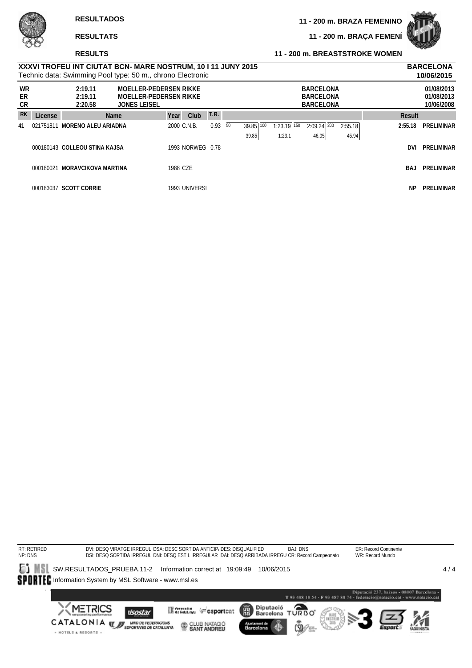**11 - 200 m. BRAÇA FEMENÍ**



### **RESULTS**

### **11 - 200 m. BREASTSTROKE WOMEN**

|                |           |                               | XXXVI TROFEU INT CIUTAT BCN- MARE NOSTRUM, 10 I 11 JUNY 2015<br>Technic data: Swimming Pool type: 50 m., chrono Electronic |             |                  |             |    |           |               |                                                          |         |           | <b>BARCELONA</b><br>10/06/2015         |
|----------------|-----------|-------------------------------|----------------------------------------------------------------------------------------------------------------------------|-------------|------------------|-------------|----|-----------|---------------|----------------------------------------------------------|---------|-----------|----------------------------------------|
| WR<br>ER<br>CR |           | 2:19.11<br>2:19.11<br>2:20.58 | <b>MOELLER-PEDERSEN RIKKE</b><br><b>MOELLER-PEDERSEN RIKKE</b><br><b>JONES LEISEL</b>                                      |             |                  |             |    |           |               | <b>BARCELONA</b><br><b>BARCELONA</b><br><b>BARCELONA</b> |         |           | 01/08/2013<br>01/08/2013<br>10/06/2008 |
| <b>RK</b>      | License   |                               | <b>Name</b>                                                                                                                | Year        | Club             | <b>T.R.</b> |    |           |               |                                                          |         | Result    |                                        |
| 41             | 021751811 | <b>MORENO ALEU ARIADNA</b>    |                                                                                                                            | 2000 C.N.B. |                  | 0.93        | 50 | 39.85 100 | $1:23.19$ 150 | $2:09.24$ 200                                            | 2:55.18 | 2:55.18   | PRELIMINAR                             |
|                |           |                               |                                                                                                                            |             |                  |             |    | 39.85     | 1:23.1        | 46.05                                                    | 45.94   |           |                                        |
|                |           | 000180143 COLLEOU STINA KAJSA |                                                                                                                            |             | 1993 NORWEG 0.78 |             |    |           |               |                                                          |         | DVI       | PRELIMINAR                             |
|                | 000180021 | <b>MORAVCIKOVA MARTINA</b>    |                                                                                                                            | 1988 CZE    |                  |             |    |           |               |                                                          |         | BAJ       | PRELIMINAR                             |
|                |           | 000183037 SCOTT CORRIE        |                                                                                                                            |             | 1993 UNIVERSI    |             |    |           |               |                                                          |         | <b>NP</b> | PRELIMINAR                             |

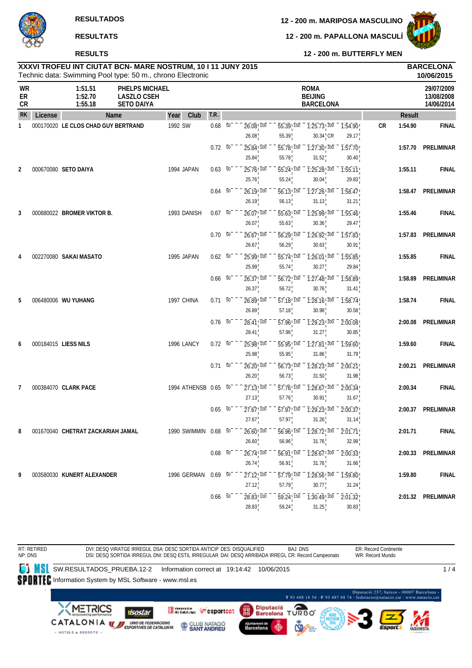**RESULTS**

**12 - 200 m. PAPALLONA MASCULÍ**

**12 - 200 m. BUTTERFLY MEN**



Technic data: Swimming Pool type: 50 m., chrono Electronic **XXXVI TROFEU INT CIUTAT BCN- MARE NOSTRUM, 10 I 11 JUNY 2015 BARCELONA**

|                |         |                                     | Technic data: Swimming Pool type: 50 m., chrono Electronic |                      |                 |                                                |                                                |             |                                                                                                                                                                                                                                                                                                                              |                                                                                                         |    |               | 10/06/2015                             |
|----------------|---------|-------------------------------------|------------------------------------------------------------|----------------------|-----------------|------------------------------------------------|------------------------------------------------|-------------|------------------------------------------------------------------------------------------------------------------------------------------------------------------------------------------------------------------------------------------------------------------------------------------------------------------------------|---------------------------------------------------------------------------------------------------------|----|---------------|----------------------------------------|
| WR<br>ER<br>CR |         | 1:51.51<br>1:52.70<br>1:55.18       | PHELPS MICHAEL<br><b>LASZLO CSEH</b><br><b>SETO DAIYA</b>  |                      |                 |                                                |                                                | <b>ROMA</b> | <b>BEIJING</b><br><b>BARCELONA</b>                                                                                                                                                                                                                                                                                           |                                                                                                         |    |               | 29/07/2009<br>13/08/2008<br>14/06/2014 |
| <b>RK</b>      | License |                                     | Name                                                       | Club<br>Year         | T.R.            |                                                |                                                |             |                                                                                                                                                                                                                                                                                                                              |                                                                                                         |    | <b>Result</b> |                                        |
| 1              |         | 000170020 LE CLOS CHAD GUY BERTRAND |                                                            | 1992 SW              | $0.68\quad 50$  | $26.08$ <sub>, <math>100</math></sub><br>26.08 | 55.39 150<br>55.39                             |             | $30.34$ <sub>,</sub> CR                                                                                                                                                                                                                                                                                                      | $\overline{1:25.73}$ , $\overline{200}$ $\overline{1:54.90}$<br>29.17                                   | CR | 1:54.90       | <b>FINAL</b>                           |
|                |         |                                     |                                                            |                      | 0.72 50         | $25.84$ <sup>1</sup> $100$<br>25.84            | 55.78 150<br>55.78                             |             | $\overline{1:27.30}$ , $\overline{200}$<br>31.52                                                                                                                                                                                                                                                                             | 1:57.70<br>30.40                                                                                        |    | 1:57.70       | PRELIMINAR                             |
| 2              |         | 000670080 SETO DAIYA                |                                                            | 1994 JAPAN           | $0.63\ 50$      | 25.76 100<br>25.76                             | 55.24 150<br>55.24                             |             | 1:25.28 200<br>30.04                                                                                                                                                                                                                                                                                                         | 1:55.11<br>29.83                                                                                        |    | 1:55.11       | <b>FINAL</b>                           |
|                |         |                                     |                                                            |                      | $0.64 - 50^{-}$ | 26.19 100<br>26.19                             | 56.13, 150<br>56.13                            |             | 1:27.26 200<br>31.13                                                                                                                                                                                                                                                                                                         | 1:58.47<br>31.21                                                                                        |    | 1:58.47       | <b>PRELIMINAR</b>                      |
| 3              |         | 000880022 BROMER VIKTOR B.          |                                                            | 1993 DANISH          | $0.67$ 50       | 26.07!100                                      | $\overline{55.63}$ $\overline{150}$            |             | $\overline{1:25.99}$ $\overline{200}$                                                                                                                                                                                                                                                                                        | 1:55.46                                                                                                 |    | 1:55.46       | <b>FINAL</b>                           |
|                |         |                                     |                                                            |                      | $0.70\ 50$      | 26.07<br>26.67 100                             | 55.63<br>56.29 150                             |             | 30.36<br>1:26.92 200                                                                                                                                                                                                                                                                                                         | 29.47<br>1:57.83                                                                                        |    | 1:57.83       | PRELIMINAR                             |
| 4              |         | 002270080 SAKAI MASATO              |                                                            | 1995 JAPAN           | $0.62\ 50$      | 26.67<br>25.99 100                             | 56.29<br>55.74 150                             |             | 30.63<br>$1:26.01$ ! $200$                                                                                                                                                                                                                                                                                                   | 30.91<br>1:55.85                                                                                        |    | 1:55.85       | <b>FINAL</b>                           |
|                |         |                                     |                                                            |                      | $0.66$ 50       | 25.99<br>$26.37$ <sup>100</sup>                | 55.74<br>$\overline{56.72}$ ! $\overline{150}$ |             | 30.27<br>$\overline{1:27.48}$ $\overline{200}$                                                                                                                                                                                                                                                                               | 29.84<br>1:58.89                                                                                        |    | 1:58.89       | <b>PRELIMINAR</b>                      |
| 5              |         | 006480006 WU YUHANG                 |                                                            | 1997 CHINA           | $0.71\ 50$      | 26.37<br>26.89 100                             | 56.72<br>57.18 150                             |             | 30.76<br>1:28.16 200                                                                                                                                                                                                                                                                                                         | 31.41<br>1:58.74                                                                                        |    | 1:58.74       | <b>FINAL</b>                           |
|                |         |                                     |                                                            |                      | $0.76$ 50       | 26.89<br>28.41 100                             | 57.18<br>57.96 150                             |             | 30.98<br>1:29.23 200                                                                                                                                                                                                                                                                                                         | 30.58<br>2:00.08                                                                                        |    | 2:00.08       | PRELIMINAR                             |
| 6              |         | 000184015 LIESS NILS                |                                                            | 1996 LANCY           | $0.72\ 50$      | 28.41<br>25.98 100                             | 57.96<br>55.95 150                             |             | 31.27<br>1:27.81 200                                                                                                                                                                                                                                                                                                         | 30.85<br>1:59.60                                                                                        |    | 1:59.60       | <b>FINAL</b>                           |
|                |         |                                     |                                                            |                      | $0.71 - 50$     | 25.98<br>26.20 100                             | 55.95<br>56.73 150                             |             | 31.86<br>1:28.23 200                                                                                                                                                                                                                                                                                                         | 31.79<br>2:00.21                                                                                        |    | 2:00.21       | PRELIMINAR                             |
| 7              |         | 000384070 CLARK PACE                |                                                            | 1994 ATHENSB 0.65 50 |                 | 26.20<br>27.13,100                             | 56.73<br>57.76 150                             |             | 31.50<br>1:28.67 200                                                                                                                                                                                                                                                                                                         | 31.98<br>2:00.34                                                                                        |    | 2:00.34       | <b>FINAL</b>                           |
|                |         |                                     |                                                            |                      | 0.65 50         | 27.13                                          | 57.76<br>57.97! 150                            |             | 30.91                                                                                                                                                                                                                                                                                                                        | 31.67                                                                                                   |    |               | <b>PRELIMINAR</b>                      |
|                |         |                                     |                                                            |                      |                 | 27.67 100<br>27.67                             | 57.97                                          |             | $\overline{1:29.23}$ $\overline{200}$<br>31.26                                                                                                                                                                                                                                                                               | 2:00.37<br>31.14                                                                                        |    | 2:00.37       |                                        |
| 8              |         | 001670040 CHETRAT ZACKARIAH JAMAL   |                                                            | 1990 SWIMMIN 0.68 50 |                 | $26.60$ <sub>,100</sub><br>26.60               | 56.96                                          |             | 31.76                                                                                                                                                                                                                                                                                                                        | $\overline{56.96}$ $\overline{150}$ $\overline{1.28.72}$ $\overline{200}$ $\overline{2.01.71}$<br>32.99 |    | 2:01.71       | <b>FINAL</b>                           |
|                |         |                                     |                                                            |                      | $0.68$ 50       | $26.74$ <sup>100</sup><br>26.74                | 56.91, 150<br>56.91                            |             | $\frac{1}{2}$ $\frac{1}{2}$ $\frac{2}{6}$ $\frac{1}{2}$ $\frac{2}{2}$ $\frac{1}{2}$ $\frac{1}{2}$ $\frac{1}{2}$ $\frac{1}{2}$ $\frac{1}{2}$ $\frac{1}{2}$ $\frac{1}{2}$ $\frac{1}{2}$ $\frac{1}{2}$ $\frac{1}{2}$ $\frac{1}{2}$ $\frac{1}{2}$ $\frac{1}{2}$ $\frac{1}{2}$ $\frac{1}{2}$ $\frac{1}{2}$ $\frac{1}{2}$<br>31.76 | 2:00.33<br>31.66                                                                                        |    | 2:00.33       | PRELIMINAR                             |
| 9              |         | 003580030 KUNERT ALEXANDER          |                                                            | 1996 GERMAN          | $0.69$ 50       | $27.12$ <sup>100</sup><br>27.12                | 57.79 150<br>57.79                             |             | $\overline{1:28.56}$ $\overline{200}$<br>30.77                                                                                                                                                                                                                                                                               | 1:59.80<br>31.24                                                                                        |    | 1:59.80       | <b>FINAL</b>                           |
|                |         |                                     |                                                            |                      | $0.66\quad 50$  | $28.83^{+100}$<br>28.83                        | 59.24 150<br>59.24                             |             | $\overline{1:30.49}$ $\overline{200}$<br>31.25                                                                                                                                                                                                                                                                               | 2:01.32<br>30.83                                                                                        |    |               | 2:01.32 PRELIMINAR                     |

BAJ: DNS ER: Record Continente RT: RETIRED NP: DNS DVI: DESQ VIRATGE IRREGUL DSA: DESC SORTIDA ANTICIP DES: DISQUALIFIED WR: Record Mundo DSI: DESQ SORTIDA IRREGUL DNI: DESQ ESTIL IRREGULAR DAI: DESQ ARRIBADA IRREGL CR: Record Campeonato **SW.RESULTADOS\_PRUEBA.12-2** Information correct at 19:14:42 10/06/2015  $1/4$ SPORTEC Information System by MSL Software - www.msl.es  $\label{eq:1} \textbf{Diputació 237, basis} \textbf{0.0007 Barcelons}-\textbf{T 93 488 18 54}\cdot \textbf{F 93 487 88 74}\cdot \textbf{federcelogantucio,cat}\cdot \textbf{www.natacio,cat}$  $T$ Diputació<br>Barcelona **METRICS** Generation ( csportcat 麗 **isostar** CATALONIA **WE UNDER TEDERACIONS** CLUB NATACIÓ Auntament de<br>Barcelona - HOTELS & RESORTS -

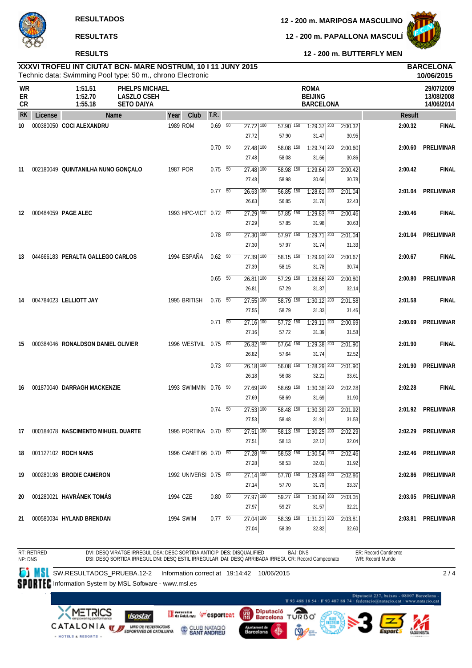# **RESULTS**

**12 - 200 m. PAPALLONA MASCULÍ**



**12 - 200 m. BUTTERFLY MEN**

| XXXVI TROFEU INT CIUTAT BCN- MARE NOSTRUM, 10 I 11 JUNY 2015 | <b>BARCELONA</b> |
|--------------------------------------------------------------|------------------|
| Technic data: Swimming Pool type: 50 m., chrono Electronic   | 10/06/2015       |
|                                                              |                  |

| <b>WR</b><br>ER<br>CR |         | 1:51.51<br>1:52.70<br>1:55.18         | <b>PHELPS MICHAEL</b><br><b>LASZLO CSEH</b><br><b>SETO DAIYA</b> |                       |                          |                                              |       |                        | <b>ROMA</b><br><b>BEIJING</b><br><b>BARCELONA</b> |                  |         | 29/07/2009<br>13/08/2008<br>14/06/2014 |
|-----------------------|---------|---------------------------------------|------------------------------------------------------------------|-----------------------|--------------------------|----------------------------------------------|-------|------------------------|---------------------------------------------------|------------------|---------|----------------------------------------|
| <b>RK</b>             | License |                                       | Name                                                             | Club<br>Year          | T.R.                     |                                              |       |                        |                                                   |                  | Result  |                                        |
| 10                    |         | 000380050 COCI ALEXANDRU              |                                                                  | 1989 ROM              | $0.69 - 50$              | $\overline{27.72}$ $\overline{100}$<br>27.72 | 57.90 | $57.90$ $150$          | $1:29.37$ <sup>200</sup><br>31.47                 | 2:00.32<br>30.95 | 2:00.32 | <b>FINAL</b>                           |
|                       |         |                                       |                                                                  |                       | $0.70\, 50$              | $\overline{27.48}$ 100<br>27.48              | 58.08 | 58.08 150              | $1:29.74$ <sup>200</sup><br>31.66                 | 2:00.60<br>30.86 | 2:00.60 | PRELIMINAR                             |
| 11                    |         | 002180049 QUINTANILHA NUNO GONÇALO    |                                                                  | 1987 POR              | 0.75 50                  | $27.48$ $\overline{100}$<br>27.48            | 58.98 | 58.98 150              | $1:29.64$ 200<br>30.66                            | 2:00.42<br>30.78 | 2:00.42 | <b>FINAL</b>                           |
|                       |         |                                       |                                                                  |                       | $0.77\quad 50$           | $26.63$ <sup>100</sup><br>26.63              | 56.85 | $56.85$ <sup>150</sup> | $1:28.61$ <sup>200</sup><br>31.76                 | 2:01.04<br>32.43 | 2:01.04 | <b>PRELIMINAR</b>                      |
| 12                    |         | 000484059 PAGE ALEC                   |                                                                  | 1993 HPC-VICT 0.72 50 |                          | $27.29$ 100<br>27.29                         | 57.85 | $57.85$ <sup>150</sup> | $1:29.83$ <sup>200</sup><br>31.98                 | 2:00.46<br>30.63 | 2:00.46 | <b>FINAL</b>                           |
|                       |         |                                       |                                                                  |                       | $0.78$ 50                | $27.30$ $100$<br>27.30                       | 57.97 | $\overline{57.97}$ 150 | $1:29.71$ <sup>200</sup><br>31.74                 | 2:01.04<br>31.33 | 2:01.04 | <b>PRELIMINAR</b>                      |
| 13                    |         | 044666183 PERALTA GALLEGO CARLOS      |                                                                  | 1994 ESPAÑA           | $0.62\quad\overline{50}$ | $27.39$ 100<br>27.39                         | 58.15 | $58.15$ <sup>150</sup> | $1:29.93$ <sup>200</sup><br>31.78                 | 2:00.67<br>30.74 | 2:00.67 | <b>FINAL</b>                           |
|                       |         |                                       |                                                                  |                       | $0.65\quad 50$           | $26.81$ 100<br>26.81                         | 57.29 | $\overline{57.29}$ 150 | $1:28.66$ <sup>200</sup><br>31.37                 | 2:00.80<br>32.14 | 2:00.80 | PRELIMINAR                             |
| 14                    |         | 004784023 LELLIOTT JAY                |                                                                  | 1995 BRITISH          | $0.76$ 50                | $27.55$ $\overline{100}$<br>27.55            | 58.79 | 58.79 150              | $1:30.12$ $200$<br>31.33                          | 2:01.58<br>31.46 | 2:01.58 | <b>FINAL</b>                           |
|                       |         |                                       |                                                                  |                       | $0.71\ 50$               | $27.16$ $100$<br>27.16                       | 57.72 | $57.72$ $150$          | $1:29.11$ 200<br>31.39                            | 2:00.69<br>31.58 | 2:00.69 | PRELIMINAR                             |
| 15                    |         | 000384046 RONALDSON DANIEL OLIVIER    |                                                                  | 1996 WESTVIL 0.75 50  |                          | $26.82$ 100<br>26.82                         | 57.64 | $\overline{57.64}$ 150 | $1:29.38$ <sup>200</sup><br>31.74                 | 2:01.90<br>32.52 | 2:01.90 | <b>FINAL</b>                           |
|                       |         |                                       |                                                                  |                       | $0.73\quad 50$           | 26.18 100<br>26.18                           | 56.08 | 56.08 150              | 1:28.29 200<br>32.21                              | 2:01.90<br>33.61 | 2:01.90 | <b>PRELIMINAR</b>                      |
| 16                    |         | 001870040 DARRAGH MACKENZIE           |                                                                  | 1993 SWIMMIN 0.76 50  |                          | $27.69$ 100<br>27.69                         | 58.69 | $58.69$ <sup>150</sup> | $1:30.38$ <sup>200</sup><br>31.69                 | 2:02.28<br>31.90 | 2:02.28 | <b>FINAL</b>                           |
|                       |         |                                       |                                                                  |                       | $0.74$ 50                | $27.53$ $\overline{100}$<br>27.53            | 58.48 | 58.48 150              | $1:30.39$ <sup>200</sup><br>31.91                 | 2:01.92<br>31.53 | 2:01.92 | PRELIMINAR                             |
|                       |         | 17 000184078 NASCIMENTO MIHUEL DUARTE |                                                                  | 1995 PORTINA 0.70 50  |                          | $27.51$ $\overline{100}$<br>27.51            | 58.13 | $58.13$ $150$          | $1:30.25$ $200$<br>32.12                          | 2:02.29<br>32.04 | 2:02.29 | <b>PRELIMINAR</b>                      |
| 18                    |         | 001127102 ROCH NANS                   |                                                                  | 1996 CANET 66 0.70 50 |                          | $27.28$ 100<br>27.28                         | 58.53 | $58.53$ <sup>150</sup> | $1:30.54$ 200<br>32.01                            | 2:02.46<br>31.92 |         | 2:02.46 PRELIMINAR                     |
| 19                    |         | 000280198 BRODIE CAMERON              |                                                                  | 1992 UNIVERSI 0.75 50 |                          | $27.14$ <sup>100</sup><br>27.14              | 57.70 | 57.70 150              | 1:29.49 200<br>31.79                              | 2:02.86<br>33.37 |         | 2:02.86 PRELIMINAR                     |
| 20                    |         | 001280021 HAVRÁNEK TOMÁS              |                                                                  | 1994 CZE              | $0.80\ 50$               | $27.97$ 100<br>27.97                         | 59.27 | 59.27 150              | $1:30.84$ <sup>200</sup><br>31.57                 | 2:03.05<br>32.21 |         | 2:03.05 PRELIMINAR                     |
| 21                    |         | 000580034 HYLAND BRENDAN              |                                                                  | 1994 SWIM             | $0.77\quad\overline{50}$ | $27.04$ $100$<br>27.04                       | 58.39 | 58.39 150              | $1:31.21$ $200$<br>32.82                          | 2:03.81<br>32.60 |         | 2:03.81 PRELIMINAR                     |

RT: RETIRED NP: DNS DVI: DESQ VIRATGE IRREGUL DSA: DESC SORTIDA ANTICIP DES: DISQUALIFIED BAJ: DNS<br>DSI: DESQ SORTIDA IRREGUL DNI: DESQ ESTIL IRREGULAR DAI: DESQ ARRIBADA IRREGL CR: Record Campeonato ER: Record Continente WR: Record Mundo  $2/4$ 

**SW.RESULTADOS\_PRUEBA.12-2** Information correct at 19:14:42 10/06/2015

SPORTEC Information System by MSL Software - www.msl.es

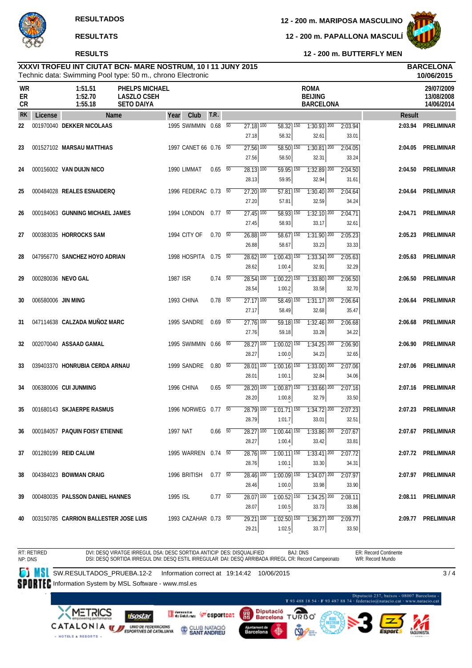### **RESULTS**

**12 - 200 m. MARIPOSA MASCULINO**

**12 - 200 m. PAPALLONA MASCULÍ**



**12 - 200 m. BUTTERFLY MEN**

### Technic data: Swimming Pool type: 50 m., chrono Electronic **XXXVI TROFEU INT CIUTAT BCN- MARE NOSTRUM, 10 I 11 JUNY 2015 BARCELONA**

|                              |                    |                                       | Technic data: Swimming Pool type: 50 m., chrono Electronic       |          |                       |                          |                                              |                                      |                                                   |                  |         | 10/06/2015                             |
|------------------------------|--------------------|---------------------------------------|------------------------------------------------------------------|----------|-----------------------|--------------------------|----------------------------------------------|--------------------------------------|---------------------------------------------------|------------------|---------|----------------------------------------|
| <b>WR</b><br>ER<br><b>CR</b> |                    | 1:51.51<br>1:52.70<br>1:55.18         | <b>PHELPS MICHAEL</b><br><b>LASZLO CSEH</b><br><b>SETO DAIYA</b> |          |                       |                          |                                              |                                      | <b>ROMA</b><br><b>BEIJING</b><br><b>BARCELONA</b> |                  |         | 29/07/2009<br>13/08/2008<br>14/06/2014 |
| <b>RK</b>                    | License            |                                       | <b>Name</b>                                                      | Year     | Club                  | T.R.                     |                                              |                                      |                                                   |                  | Result  |                                        |
| 22                           |                    | 001970040 DEKKER NICOLAAS             |                                                                  |          | 1995 SWIMMIN 0.68 50  |                          | $\overline{27.18}$ $\overline{100}$<br>27.18 | 58.32 150<br>58.32                   | $7:30.93$ <sup>200</sup><br>32.61                 | 2:03.94<br>33.01 | 2:03.94 | PRELIMINAR                             |
| 23                           |                    | 001527102 MARSAU MATTHIAS             |                                                                  |          | 1997 CANET 66 0.76 50 |                          | $27.56$ $100$<br>27.56                       | $58.50$ $150$<br>58.50               | $1:30.81$ $200$<br>32.31                          | 2:04.05<br>33.24 | 2:04.05 | <b>PRELIMINAR</b>                      |
| 24                           |                    | 000156002 VAN DUIJN NICO              |                                                                  |          | 1990 LIMMAT           | $0.65$ 50                | $28.13$ $\overline{100}$<br>28.13            | $59.95$ $\overline{150}$<br>59.95    | $1:32.89$ <sup>200</sup><br>32.94                 | 2:04.50<br>31.61 | 2:04.50 | <b>PRELIMINAR</b>                      |
| 25                           |                    | 000484028 REALES ESNAIDERQ            |                                                                  |          | 1996 FEDERAC 0.73 50  |                          | $27.20$ $\overline{100}$<br>27.20            | $57.81$ 150<br>57.81                 | $1:30.40$ $200$<br>32.59                          | 2:04.64<br>34.24 | 2:04.64 | PRELIMINAR                             |
| 26                           |                    | 000184063 GUNNING MICHAEL JAMES       |                                                                  |          | 1994 LONDON  0.77  50 |                          | $27.45$ 100<br>27.45                         | $58.93$ 150<br>58.93                 | $1:32.10$ $200$<br>33.17                          | 2:04.71<br>32.61 | 2:04.71 | PRELIMINAR                             |
| 27                           |                    | 000383035 HORROCKS SAM                |                                                                  |          | 1994 CITY OF          | $0.70\ 50$               | $26.88$ $\overline{100}$<br>26.88            | $58.67$ <sup>150</sup><br>58.67      | $1:31.90$ <sup>200</sup><br>33.23                 | 2:05.23<br>33.33 | 2:05.23 | <b>PRELIMINAR</b>                      |
| 28                           |                    | 047956770 SANCHEZ HOYO ADRIAN         |                                                                  |          | 1998 HOSPITA 0.75 50  |                          | $28.62$ 100<br>28.62                         | $1:00.43$ <sup>150</sup><br>1:00.4   | $1:33.34$ <sup>200</sup><br>32.91                 | 2:05.63<br>32.29 | 2:05.63 | PRELIMINAR                             |
| 29                           |                    | 000280036 NEVO GAL                    |                                                                  | 1987 ISR |                       | $0.74\quad 50$           | $28.54$ 100<br>28.54                         | $1:00.22$ $\overline{150}$<br>1:00.2 | $1:33.80$ $200$<br>33.58                          | 2:06.50<br>32.70 | 2:06.50 | <b>PRELIMINAR</b>                      |
| 30                           | 006580006 JIN MING |                                       |                                                                  |          | 1993 CHINA            | $0.78$ 50                | $\overline{27.17}$ 100<br>27.17              | $58.49$ 150<br>58.49                 | $1:31.17$ 200<br>32.68                            | 2:06.64<br>35.47 | 2:06.64 | PRELIMINAR                             |
| 31                           |                    | 047114638 CALZADA MUÑOZ MARC          |                                                                  |          | 1995 SANDRE           | $0.69$ 50                | $\overline{27.76}$ 100<br>27.76              | $59.18$ <sup>150</sup><br>59.18      | $1:32.46$ <sup>200</sup><br>33.28                 | 2:06.68<br>34.22 | 2:06.68 | <b>PRELIMINAR</b>                      |
| 32                           |                    | 002070040 ASSAAD GAMAL                |                                                                  |          | 1995 SWIMMIN 0.66 50  |                          | $28.27$ $\overline{100}$<br>28.27            | $1:00.02$ $\overline{150}$<br>1:00.0 | $1:34.25$ <sup>200</sup><br>34.23                 | 2:06.90<br>32.65 | 2:06.90 | <b>PRELIMINAR</b>                      |
| 33                           |                    | 039403370 HONRUBIA CERDA ARNAU        |                                                                  |          | 1999 SANDRE           | $0.80$ 50                | $28.01$ $\overline{100}$<br>28.01            | $1:00.16$ 150<br>1:00.1              | $1:33.00$ $200$<br>32.84                          | 2:07.06<br>34.06 | 2:07.06 | <b>PRELIMINAR</b>                      |
| 34                           |                    | 006380006 CUI JUNMING                 |                                                                  |          | 1996 CHINA            | $0.65\quad\overline{50}$ | $28.20$ $\overline{100}$<br>28.20            | $1:00.87$ <sup>150</sup><br>1:00.8   | $1:33.66$ <sup>200</sup><br>32.79                 | 2:07.16<br>33.50 | 2:07.16 | PRELIMINAR                             |
| 35                           |                    | 001680143 SKJAERPE RASMUS             |                                                                  |          | 1996 NORWEG 0.77 50   |                          | $28.79$ 100<br>28.79                         | $1:01.71$ 150<br>1:01.7              | $1:34.72$ 200<br>33.01                            | 2:07.23<br>32.51 | 2:07.23 | PRELIMINAR                             |
| 36                           |                    | 000184057 PAQUIN FOISY ETIENNE        |                                                                  | 1997 NAT |                       | $0.66$ 50                | 28.27 100<br>28.27                           | 1:00.4                               | $1:00.44$   $150$ $1:33.86$   200<br>33.42        | 2:07.67<br>33.81 |         | 2:07.67 PRELIMINAR                     |
| 37                           |                    | 001280199 REID CALUM                  |                                                                  |          | 1995 WARREN 0.74 50   |                          | 28.76 100<br>28.76                           | $1:00.11$ 150<br>1:00.1              | $1:33.41$ 200<br>33.30                            | 2:07.72<br>34.31 |         | 2:07.72 PRELIMINAR                     |
| 38                           |                    | 004384023 BOWMAN CRAIG                |                                                                  |          | 1996 BRITISH          | 0.7750                   | 28.46 100<br>28.46                           | $1:00.09$ 150<br>1:00.0              | $1:34.07$ 200<br>33.98                            | 2:07.97<br>33.90 |         | 2:07.97 PRELIMINAR                     |
| 39                           |                    | 000480035 PALSSON DANIEL HANNES       |                                                                  | 1995 ISL |                       | $0.77 - 50$              | $28.07$ 100<br>28.07                         | $1:00.52$ <sup>150</sup><br>1:00.5   | $1:34.25$ 200<br>33.73                            | 2:08.11<br>33.86 |         | 2:08.11 PRELIMINAR                     |
| 40                           |                    | 003150785 CARRION BALLESTER JOSE LUIS |                                                                  |          | 1993 CAZAHAR 0.73 50  |                          | 29.21 100<br>29.21                           | $1:02.50$ 150<br>1:02.5              | $1:36.27$ 200<br>33.77                            | 2:09.77<br>33.50 |         | 2:09.77 PRELIMINAR                     |

RT: RETIRED NP: DNS DVI: DESQ VIRATGE IRREGUL DSA: DESC SORTIDA ANTICIP DES: DISQUALIFIED DSI: DESQ SORTIDA IRREGUL DNI: DESQ ESTIL IRREGULAR DAI: DESQ ARRIBADA IRREGL CR: Record Campeonato BAJ: DNS ER: Record Continente WR: Record Mundo  $3/4$ 

**SW.RESULTADOS\_PRUEBA.12-2 Information correct at 19:14:42 10/06/2015** 

SPORTEC Information System by MSL Software - www.msl.es

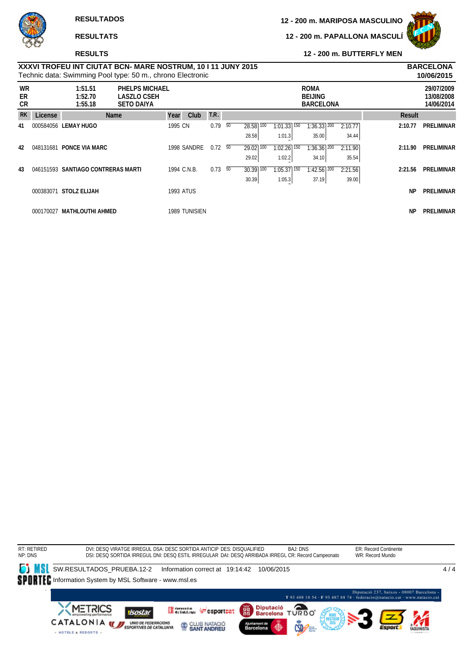# **RESULTS**

**12 - 200 m. PAPALLONA MASCULÍ**



**12 - 200 m. BUTTERFLY MEN**

# Technic data: Swimming Pool type: 50 m., chrono Electronic **XXXVI TROFEU INT CIUTAT BCN- MARE NOSTRUM, 10 I 11 JUNY 2015 BARCELONA**

|                        | 10/06/2015<br>Technic data: Swimming Pool type: 50 m., chrono Electronic |                                    |                                                                  |         |                  |            |    |              |                          |                                                   |  |         |           |                                        |
|------------------------|--------------------------------------------------------------------------|------------------------------------|------------------------------------------------------------------|---------|------------------|------------|----|--------------|--------------------------|---------------------------------------------------|--|---------|-----------|----------------------------------------|
| <b>WR</b><br>ER<br>CR. |                                                                          | 1:51.51<br>1:52.70<br>1:55.18      | <b>PHELPS MICHAEL</b><br><b>LASZLO CSEH</b><br><b>SETO DAIYA</b> |         |                  |            |    |              |                          | <b>ROMA</b><br><b>BEIJING</b><br><b>BARCELONA</b> |  |         |           | 29/07/2009<br>13/08/2008<br>14/06/2014 |
| <b>RK</b>              | License                                                                  |                                    | Name                                                             | Year    | Club             | T.R.       |    |              |                          |                                                   |  |         | Result    |                                        |
| 41                     |                                                                          | 000584056 LEMAY HUGO               |                                                                  | 1995 CN |                  | 0.79       | 50 | 28.58<br>100 | $1:01.33$ 150            | $1:36.33$ <sup>200</sup>                          |  | 2:10.77 | 2:10.77   | <b>PRELIMINAR</b>                      |
|                        |                                                                          |                                    |                                                                  |         |                  |            |    | 28.58        | 1:01.3                   | 35.00                                             |  | 34.44   |           |                                        |
| 42                     | 048131681                                                                | <b>PONCE VIA MARC</b>              |                                                                  |         | 1998 SANDRE      | $0.72\ 50$ |    | 100<br>29.02 | $1:02.26$ <sup>150</sup> | $1:36.36$ $\overline{200}$                        |  | 2:11.90 | 2:11.90   | <b>PRELIMINAR</b>                      |
|                        |                                                                          |                                    |                                                                  |         |                  |            |    | 29.02        | 1:02.2                   | 34.10                                             |  | 35.54   |           |                                        |
| 43                     |                                                                          | 046151593 SANTIAGO CONTRERAS MARTI |                                                                  |         | 1994 C.N.B.      | $0.73\ 50$ |    | 30.39<br>100 | $1:05.37$ 150            | $1:42.56$ <sup>200</sup>                          |  | 2:21.56 | 2:21.56   | <b>PRELIMINAR</b>                      |
|                        |                                                                          |                                    |                                                                  |         |                  |            |    | 30.39        | 1:05.3                   | 37.19                                             |  | 39.00   |           |                                        |
|                        |                                                                          | 000383071 STOLZ ELIJAH             |                                                                  |         | <b>1993 ATUS</b> |            |    |              |                          |                                                   |  |         | <b>NP</b> | <b>PRELIMINAR</b>                      |
|                        |                                                                          |                                    |                                                                  |         |                  |            |    |              |                          |                                                   |  |         | <b>NP</b> |                                        |
|                        | 000170027                                                                | MATHLOUTHI AHMED                   |                                                                  |         | 1989 TUNISIEN    |            |    |              |                          |                                                   |  |         |           | <b>PRELIMINAR</b>                      |

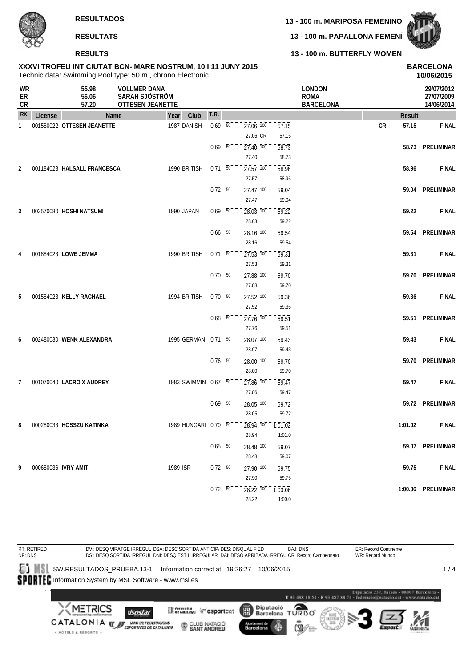**13 - 100 m. BUTTERFLY WOMEN**

**13 - 100 m. PAPALLONA FEMENÍ**



**RESULTS**

|                              |                     |                             | XXXVI TROFEU INT CIUTAT BCN- MARE NOSTRUM, 10 I 11 JUNY 2015<br>Technic data: Swimming Pool type: 50 m., chrono Electronic |                      |                |                 |                                                                    |                    |                                                  |                     | <b>BARCELONA</b><br>10/06/2015         |
|------------------------------|---------------------|-----------------------------|----------------------------------------------------------------------------------------------------------------------------|----------------------|----------------|-----------------|--------------------------------------------------------------------|--------------------|--------------------------------------------------|---------------------|----------------------------------------|
| <b>WR</b><br>ER<br><b>CR</b> |                     | 55.98<br>56.06<br>57.20     | <b>VOLLMER DANA</b><br>SARAH SJÖSTRÖM<br>OTTESEN JEANETTE                                                                  |                      |                |                 |                                                                    |                    | <b>LONDON</b><br><b>ROMA</b><br><b>BARCELONA</b> |                     | 29/07/2012<br>27/07/2009<br>14/06/2014 |
| <b>RK</b>                    | License             |                             | Name                                                                                                                       | Year<br>Club         | T.R.           |                 |                                                                    |                    |                                                  | <b>Result</b>       |                                        |
| 1                            |                     | 001580022 OTTESEN JEANETTE  |                                                                                                                            | 1987 DANISH          | $0.69 - 50$    |                 | $27.06$ <sub>, <math>100</math></sub>                              | $\overline{57.15}$ |                                                  | ${\sf CR}$<br>57.15 | <b>FINAL</b>                           |
|                              |                     |                             |                                                                                                                            |                      |                |                 | $27.06$ <sub>I</sub> CR                                            | 57.15              |                                                  |                     |                                        |
|                              |                     |                             |                                                                                                                            |                      | 0.69           | $\overline{50}$ | $27.40$ <sup>100</sup>                                             | 58.73              |                                                  | 58.73               | PRELIMINAR                             |
|                              |                     |                             |                                                                                                                            |                      |                |                 | 27.40                                                              | 58.73              |                                                  |                     |                                        |
| $\overline{2}$               |                     | 001184023 HALSALL FRANCESCA |                                                                                                                            | 1990 BRITISH         | $0.71\ 50$     |                 | $27.57$ <sup>100</sup>                                             | 58.96              |                                                  | 58.96               | <b>FINAL</b>                           |
|                              |                     |                             |                                                                                                                            |                      |                |                 | 27.57                                                              | 58.96              |                                                  |                     |                                        |
|                              |                     |                             |                                                                                                                            |                      | $0.72\ 50$     |                 | $\overline{27.47}$ <sup>100</sup>                                  | 59.04              |                                                  | 59.04               | PRELIMINAR                             |
|                              |                     |                             |                                                                                                                            |                      |                |                 | 27.47                                                              | 59.04              |                                                  |                     |                                        |
| 3                            |                     | 002570080 HOSHI NATSUMI     |                                                                                                                            | 1990 JAPAN           | $0.69 - 50$    |                 | $28.03$ , $100$                                                    | 59.22              |                                                  | 59.22               | <b>FINAL</b>                           |
|                              |                     |                             |                                                                                                                            |                      |                |                 | 28.03                                                              | 59.22              |                                                  |                     |                                        |
|                              |                     |                             |                                                                                                                            |                      | $0.66\quad 50$ |                 | $28.16$ <sup>1</sup> $100$                                         | $\overline{59.54}$ |                                                  | 59.54               | PRELIMINAR                             |
|                              |                     |                             |                                                                                                                            |                      |                |                 | 28.16                                                              | 59.54              |                                                  |                     |                                        |
| 4                            |                     | 001884023 LOWE JEMMA        |                                                                                                                            | 1990 BRITISH         | $0.71\ 50$     |                 | $\overline{27.53}$ , $\overline{100}$                              | $\overline{59.31}$ |                                                  | 59.31               | <b>FINAL</b>                           |
|                              |                     |                             |                                                                                                                            |                      |                |                 | 27.53                                                              | 59.31              |                                                  |                     |                                        |
|                              |                     |                             |                                                                                                                            |                      | $0.70\ 50$     |                 | $27.88$ <sub>,100</sub>                                            | 59.70              |                                                  |                     | 59.70 PRELIMINAR                       |
|                              |                     |                             |                                                                                                                            |                      |                |                 | 27.88                                                              | 59.70              |                                                  |                     |                                        |
| 5                            |                     | 001584023 KELLY RACHAEL     |                                                                                                                            | 1994 BRITISH         | $0.70\ 50$     |                 | $27.52$ <sub>, <math>100</math></sub>                              | 59.36              |                                                  | 59.36               | <b>FINAL</b>                           |
|                              |                     |                             |                                                                                                                            |                      |                |                 | 27.52                                                              | 59.36              |                                                  |                     |                                        |
|                              |                     |                             |                                                                                                                            |                      | $0.68$ 50      |                 | $27.76$ <sub>,100</sub>                                            | 59.51              |                                                  |                     | 59.51 PRELIMINAR                       |
|                              |                     |                             |                                                                                                                            |                      |                |                 | 27.76                                                              | 59.51              |                                                  |                     |                                        |
| 6                            |                     | 002480030 WENK ALEXANDRA    |                                                                                                                            | 1995 GERMAN 0.71 50  |                |                 | $28.07$ <sup>100</sup>                                             | 59.43              |                                                  | 59.43               | <b>FINAL</b>                           |
|                              |                     |                             |                                                                                                                            |                      |                |                 | 28.07                                                              | 59.43              |                                                  |                     |                                        |
|                              |                     |                             |                                                                                                                            |                      | $0.76\ 50$     |                 | 28.00, 100                                                         | 59.70              |                                                  |                     | 59.70 PRELIMINAR                       |
|                              |                     |                             |                                                                                                                            |                      |                |                 | 28.00                                                              | 59.70              |                                                  |                     |                                        |
| 7                            |                     | 001070040 LACROIX AUDREY    |                                                                                                                            | 1983 SWIMMIN 0.67 50 |                |                 | $27.86$ <sub>, <math>100</math></sub>                              | 59.47              |                                                  | 59.47               | <b>FINAL</b>                           |
|                              |                     |                             |                                                                                                                            |                      |                |                 | 27.86                                                              | 59.47              |                                                  |                     |                                        |
|                              |                     |                             |                                                                                                                            |                      | $0.69\ 50$     |                 | $28.05$ , $100$                                                    | $\overline{59.72}$ |                                                  |                     | 59.72 PRELIMINAR                       |
|                              |                     |                             |                                                                                                                            |                      |                |                 | 28.05                                                              | 59.72              |                                                  |                     |                                        |
| 8                            |                     | 000280033 HOSSZU KATINKA    |                                                                                                                            | 1989 HUNGARI 0.70 50 |                |                 | $\overline{28.94}$ , $\overline{100}$ – $\overline{1.01.02}$       |                    |                                                  | 1:01.02             | <b>FINAL</b>                           |
|                              |                     |                             |                                                                                                                            |                      |                |                 | 28.94                                                              | 1:01.0             |                                                  |                     |                                        |
|                              |                     |                             |                                                                                                                            |                      |                | $0.65\ 50^{-}$  | $28.48$ <sub>, <math>100</math></sub>                              | 59.07              |                                                  |                     | 59.07 PRELIMINAR                       |
|                              |                     |                             |                                                                                                                            |                      |                |                 | 28.48                                                              | 59.07              |                                                  |                     |                                        |
| 9                            | 000680036 IVRY AMIT |                             |                                                                                                                            | 1989 ISR             | $0.72\ 50^{-}$ |                 | $27.90$ <sub>,100</sub>                                            | 59.75              |                                                  | 59.75               | <b>FINAL</b>                           |
|                              |                     |                             |                                                                                                                            |                      |                |                 | 27.90                                                              | 59.75              |                                                  |                     |                                        |
|                              |                     |                             |                                                                                                                            |                      |                | $0.72\ 50^{-1}$ | $\overline{28.22}$ , $\overline{100}$ $\overline{100.06}$<br>28.22 | 1:00.0             |                                                  |                     | 1:00.06 PRELIMINAR                     |
|                              |                     |                             |                                                                                                                            |                      |                |                 |                                                                    |                    |                                                  |                     |                                        |

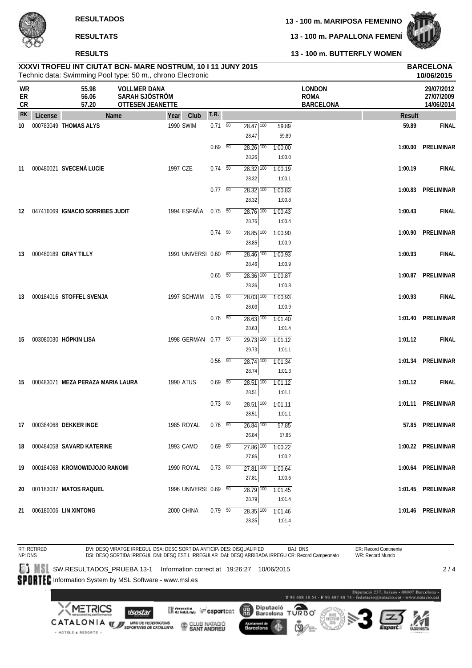**RESULTS**

**13 - 100 m. PAPALLONA FEMENÍ**



### **13 - 100 m. BUTTERFLY WOMEN**

|                |         |                                     | XXXVI TROFEU INT CIUTAT BCN- MARE NOSTRUM, 10 I 11 JUNY 2015<br>Technic data: Swimming Pool type: 50 m., chrono Electronic |                       |                          |                                              |                   |                                                  |               | <b>BARCELONA</b><br>10/06/2015         |
|----------------|---------|-------------------------------------|----------------------------------------------------------------------------------------------------------------------------|-----------------------|--------------------------|----------------------------------------------|-------------------|--------------------------------------------------|---------------|----------------------------------------|
| WR<br>ER<br>CR |         | 55.98<br>56.06<br>57.20             | <b>VOLLMER DANA</b><br>SARAH SJÖSTRÖM<br>OTTESEN JEANETTE                                                                  |                       |                          |                                              |                   | <b>LONDON</b><br><b>ROMA</b><br><b>BARCELONA</b> |               | 29/07/2012<br>27/07/2009<br>14/06/2014 |
| <b>RK</b>      | License |                                     | Name                                                                                                                       | Club<br>Year          | T.R.                     |                                              |                   |                                                  | <b>Result</b> |                                        |
| 10             |         | 000783049 THOMAS ALYS               |                                                                                                                            | 1990 SWIM             | $0.71\ 50$               | $28.47$ 100<br>28.47                         | 59.89<br>59.89    |                                                  | 59.89         | <b>FINAL</b>                           |
|                |         |                                     |                                                                                                                            |                       | $0.69$ 50                | $28.26$ 100<br>28.26                         | 1:00.00<br>1:00.0 |                                                  | 1:00.00       | PRELIMINAR                             |
| 11             |         | 000480021 SVECENÁ LUCIE             |                                                                                                                            | 1997 CZE              | $0.74\quad 50$           | $28.32$ $\overline{100}$<br>28.32            | 1:00.19<br>1:00.1 |                                                  | 1:00.19       | <b>FINAL</b>                           |
|                |         |                                     |                                                                                                                            |                       | $0.77 - 50$              | $28.32$ $\overline{100}$<br>28.32            | 1:00.83<br>1:00.8 |                                                  |               | 1:00.83 PRELIMINAR                     |
|                |         | 12 047416069 IGNACIO SORRIBES JUDIT |                                                                                                                            | 1994 ESPAÑA           | $0.75\ 50$               | $28.76$ 100                                  | 1:00.43           |                                                  | 1:00.43       | <b>FINAL</b>                           |
|                |         |                                     |                                                                                                                            |                       | $0.74 - 50$              | 28.76<br>$\overline{28.85}$ $\overline{100}$ | 1:00.4<br>1:00.90 |                                                  |               | 1:00.90 PRELIMINAR                     |
| 13             |         | 000480189 GRAY TILLY                |                                                                                                                            | 1991 UNIVERSI 0.60 50 |                          | 28.85<br>$\overline{28.46}$ 100              | 1:00.9<br>1:00.93 |                                                  | 1:00.93       | <b>FINAL</b>                           |
|                |         |                                     |                                                                                                                            |                       | $0.65\quad\overline{50}$ | 28.46<br>28.36 100                           | 1:00.9<br>1:00.87 |                                                  |               | 1:00.87 PRELIMINAR                     |
| 13             |         | 000184016 STOFFEL SVENJA            |                                                                                                                            | 1997 SCHWIM           | $0.75\ 50$               | 28.36<br>28.03 100                           | 1:00.8<br>1:00.93 |                                                  | 1:00.93       | <b>FINAL</b>                           |
|                |         |                                     |                                                                                                                            |                       | $0.76$ 50                | 28.03<br>$28.63$ $\overline{100}$            | 1:00.9<br>1:01.40 |                                                  |               | 1:01.40 PRELIMINAR                     |
| 15             |         | 003080030 HÖPKIN LISA               |                                                                                                                            | 1998 GERMAN           | $0.77 - 50$              | 28.63<br>$29.73$ 100                         | 1:01.4<br>1:01.12 |                                                  | 1:01.12       | <b>FINAL</b>                           |
|                |         |                                     |                                                                                                                            |                       | $0.56\quad 50$           | 29.73<br>$28.74$ 100                         | 1:01.1<br>1:01.34 |                                                  |               | 1:01.34 PRELIMINAR                     |
| 15             |         | 000483071 MEZA PERAZA MARIA LAURA   |                                                                                                                            | <b>1990 ATUS</b>      | $0.69$ 50                | 28.74<br>$28.51$ $\overline{100}$            | 1:01.3<br>1:01.12 |                                                  | 1:01.12       | <b>FINAL</b>                           |
|                |         |                                     |                                                                                                                            |                       | $0.73\quad 50$           | 28.51<br>$28.51$ 100                         | 1:01.1<br>1:01.11 |                                                  |               | 1:01.11 PRELIMINAR                     |
|                |         |                                     |                                                                                                                            |                       |                          | 28.51                                        | 1:01.1            |                                                  |               |                                        |
|                |         | 17 000384068 DEKKER INGE            |                                                                                                                            | 1985 ROYAL            | $0.76$ 50                | $26.84$ 100<br>26.84                         | 57.85<br>57.85    |                                                  |               | 57.85 PRELIMINAR                       |
|                |         | 18 000484058 SAVARD KATERINE        |                                                                                                                            | 1993 CAMO             | $0.69$ 50                | $27.86$ $\overline{100}$<br>27.86            | 1:00.22<br>1:00.2 |                                                  |               | 1:00.22 PRELIMINAR                     |
|                |         | 19 000184068 KROMOWIDJOJO RANOMI    |                                                                                                                            | 1990 ROYAL            | 0.73 50                  | 27.81 100<br>27.81                           | 1:00.64<br>1:00.6 |                                                  |               | 1:00.64 PRELIMINAR                     |
|                |         | 20 001183037 MATOS RAQUEL           |                                                                                                                            | 1996 UNIVERSI 0.69 50 |                          | 28.79 100<br>28.79                           | 1:01.45<br>1:01.4 |                                                  |               | 1:01.45 PRELIMINAR                     |
|                |         | 21 006180006 LIN XINTONG            |                                                                                                                            | 2000 CHINA            | $0.79 - 50$              | $28.35$ 100<br>28.35                         | 1:01.46<br>1:01.4 |                                                  |               | 1:01.46 PRELIMINAR                     |

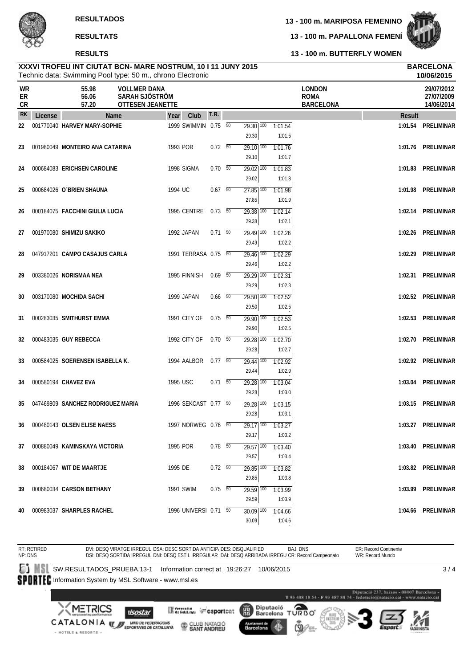# **RESULTS**

**13 - 100 m. MARIPOSA FEMENINO**

**13 - 100 m. PAPALLONA FEMENÍ**



**10/06/2015**

**13 - 100 m. BUTTERFLY WOMEN**

# Technic data: Swimming Pool type: 50 m., chrono Electronic **XXXVI TROFEU INT CIUTAT BCN- MARE NOSTRUM, 10 I 11 JUNY 2015 BARCELONA**

| WR<br>ER<br>CR |         | 55.98<br>56.06<br>57.20           | <b>VOLLMER DANA</b><br>SARAH SJÖSTRÖM<br><b>OTTESEN JEANETTE</b> |                          |                                   |                                            | <b>LONDON</b><br><b>ROMA</b><br><b>BARCELONA</b> |        | 29/07/2012<br>27/07/2009<br>14/06/2014 |
|----------------|---------|-----------------------------------|------------------------------------------------------------------|--------------------------|-----------------------------------|--------------------------------------------|--------------------------------------------------|--------|----------------------------------------|
| <b>RK</b>      | License | Name                              | Club<br>Year                                                     | T.R.                     |                                   |                                            |                                                  | Result |                                        |
| 22             |         | 001770040 HARVEY MARY-SOPHIE      | 1999 SWIMMIN 0.75 50                                             |                          | $29.30$ $\overline{100}$<br>29.30 | 1:01.54<br>1:01.5                          |                                                  |        | 1:01.54 PRELIMINAR                     |
| 23             |         | 001980049 MONTEIRO ANA CATARINA   | 1993 POR                                                         | 0.72 50                  | 29.10 100<br>29.10                | 1:01.76<br>1:01.7                          |                                                  |        | 1:01.76 PRELIMINAR                     |
| 24             |         | 000684083 ERICHSEN CAROLINE       | 1998 SIGMA                                                       | 0.70 50                  | $29.02$ $\overline{100}$<br>29.02 | 1:01.83<br>1:01.8                          |                                                  |        | 1:01.83 PRELIMINAR                     |
| 25             |         | 000684026 O'BRIEN SHAUNA          | 1994 UC                                                          | 0.67 50                  | $27.85$ $\overline{100}$<br>27.85 | 1:01.98<br>1:01.9                          |                                                  |        | 1:01.98 PRELIMINAR                     |
| 26             |         | 000184075 FACCHINI GIULIA LUCIA   | 1995 CENTRE                                                      | 0.73 50                  | $29.38$ $\overline{100}$<br>29.38 | 1:02.14<br>1:02.1                          |                                                  |        | 1:02.14 PRELIMINAR                     |
| 27             |         | 001970080 SHIMIZU SAKIKO          | 1992 JAPAN                                                       | $0.71\ 50$               | $29.49$ 100<br>29.49              | 1:02.26<br>1:02.2                          |                                                  |        | 1:02.26 PRELIMINAR                     |
| 28             |         | 047917201 CAMPO CASAJUS CARLA     | 1991 TERRASA 0.75 50                                             |                          | $29.46$ $\overline{100}$<br>29.46 | 1:02.29<br>1:02.2                          |                                                  |        | 1:02.29 PRELIMINAR                     |
| 29             |         | 003380026 NORISMAA NEA            | 1995 FINNISH                                                     | $0.69$ 50                | 29.29 100<br>29.29                | 1:02.31<br>1:02.3                          |                                                  |        | 1:02.31 PRELIMINAR                     |
| 30             |         | 003170080 MOCHIDA SACHI           | 1999 JAPAN                                                       | $0.66\quad\overline{50}$ | 29.50 100<br>29.50                | 1:02.52<br>1:02.5                          |                                                  |        | 1:02.52 PRELIMINAR                     |
| 31             |         | 000283035 SMITHURST EMMA          | 1991 CITY OF                                                     | $0.75\ 50$               | $29.90$ 100<br>29.90              | 1:02.53<br>1:02.5                          |                                                  |        | 1:02.53 PRELIMINAR                     |
| 32             |         | 000483035 GUY REBECCA             | 1992 CITY OF                                                     | 0.70 50                  | $29.28$ 100<br>29.28              | 1:02.70<br>1:02.7                          |                                                  |        | 1:02.70 PRELIMINAR                     |
| 33             |         | 000584025 SOERENSEN ISABELLA K.   | 1994 AALBOR  0.77  50                                            |                          | 29.44 100<br>29.44                | 1:02.92<br>1:02.9                          |                                                  |        | 1:02.92 PRELIMINAR                     |
| 34             |         | 000580194 CHAVEZ EVA              | 1995 USC                                                         | $0.71\ 50$               | $\overline{29.28}$ 100<br>29.28   | 1:03.04<br>1:03.0                          |                                                  |        | 1:03.04 PRELIMINAR                     |
| 35             |         | 047469809 SANCHEZ RODRIGUEZ MARIA | 1996 SEKCAST 0.77 50                                             |                          | $29.28$ 100<br>29.28              | 1:03.15<br>1:03.1                          |                                                  |        | 1:03.15 PRELIMINAR                     |
| 36             |         | 000480143 OLSEN ELISE NAESS       | 1997 NORWEG 0.76 50                                              |                          | $29.17$ 100<br>29.17              | 1:03.27<br>1:03.2                          |                                                  |        | 1:03.27 PRELIMINAR                     |
|                |         | 37 000880049 KAMINSKAYA VICTORIA  | 1995 POR                                                         | $0.78$ 50                | 29.57                             | $29.57$ $\overline{100}$ 1:03.40<br>1:03.4 |                                                  |        | 1:03.40 PRELIMINAR                     |
| 38             |         | 000184067 WIT DE MAARTJE          | 1995 DE                                                          | $0.72\t 50$              | 29.85 100<br>29.85                | 1:03.82<br>1:03.8                          |                                                  |        | 1:03.82 PRELIMINAR                     |
| 39             |         | 000680034 CARSON BETHANY          | 1991 SWIM                                                        | $0.75 - 50$              | $29.59$ $\overline{100}$<br>29.59 | 1:03.99<br>1:03.9                          |                                                  |        | 1:03.99 PRELIMINAR                     |
| 40             |         | 000983037 SHARPLES RACHEL         | 1996 UNIVERSI 0.71 50                                            |                          | $30.09$ 100<br>30.09              | 1:04.66<br>1:04.6                          |                                                  |        | 1:04.66 PRELIMINAR                     |

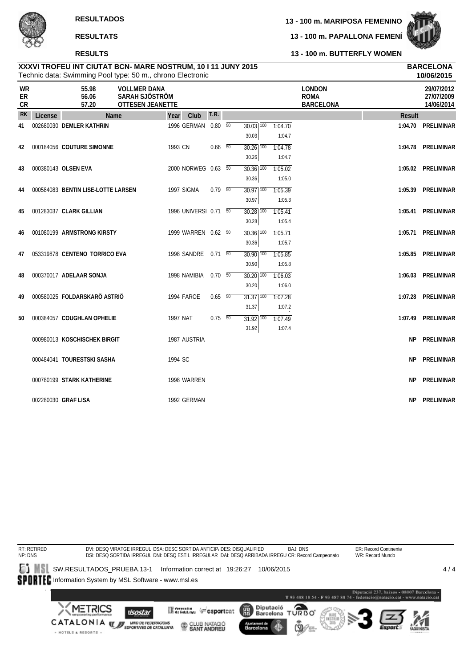# **RESULTS**

**13 - 100 m. MARIPOSA FEMENINO**

**13 - 100 m. PAPALLONA FEMENÍ**



**10/06/2015**

**13 - 100 m. BUTTERFLY WOMEN**

### Technic data: Swimming Pool type: 50 m., chrono Electronic **XXXVI TROFEU INT CIUTAT BCN- MARE NOSTRUM, 10 I 11 JUNY 2015 BARCELONA**

| WR<br>ER<br><b>CR</b> |         | 55.98<br>56.06<br>57.20            | <b>VOLLMER DANA</b><br>SARAH SJÖSTRÖM<br><b>OTTESEN JEANETTE</b> |          |                       |                |                                   |                   | <b>LONDON</b><br><b>ROMA</b><br><b>BARCELONA</b> |               | 29/07/2012<br>27/07/2009<br>14/06/2014 |
|-----------------------|---------|------------------------------------|------------------------------------------------------------------|----------|-----------------------|----------------|-----------------------------------|-------------------|--------------------------------------------------|---------------|----------------------------------------|
| <b>RK</b>             | License |                                    | <b>Name</b>                                                      | Year     | Club                  | <b>T.R.</b>    |                                   |                   |                                                  | <b>Result</b> |                                        |
| 41                    |         | 002680030 DEMLER KATHRIN           |                                                                  |          | 1996 GERMAN 0.80 50   |                | $30.03$ $\overline{100}$<br>30.03 | 1:04.70<br>1:04.7 |                                                  |               | 1:04.70 PRELIMINAR                     |
| 42                    |         | 000184056 COUTURE SIMONNE          |                                                                  | 1993 CN  |                       | $0.66\quad 50$ | 30.26 100<br>30.26                | 1:04.78<br>1:04.7 |                                                  |               | 1:04.78 PRELIMINAR                     |
| 43                    |         | 000380143 OLSEN EVA                |                                                                  |          | 2000 NORWEG 0.63 50   |                | $30.36$ $\overline{100}$<br>30.36 | 1:05.02<br>1:05.0 |                                                  |               | 1:05.02 PRELIMINAR                     |
| 44                    |         | 000584083 BENTIN LISE-LOTTE LARSEN |                                                                  |          | 1997 SIGMA            | $0.79$ 50      | $\overline{30.97}$ 100<br>30.97   | 1:05.39<br>1:05.3 |                                                  |               | 1:05.39 PRELIMINAR                     |
| 45                    |         | 001283037 CLARK GILLIAN            |                                                                  |          | 1996 UNIVERSI 0.71 50 |                | $30.28$ $\overline{100}$<br>30.28 | 1:05.41<br>1:05.4 |                                                  |               | 1:05.41 PRELIMINAR                     |
| 46                    |         | 001080199 ARMSTRONG KIRSTY         |                                                                  |          | 1999 WARREN 0.62 50   |                | $30.36$ $\overline{100}$<br>30.36 | 1:05.71<br>1:05.7 |                                                  |               | 1:05.71 PRELIMINAR                     |
| 47                    |         | 053319878 CENTENO TORRICO EVA      |                                                                  |          | 1998 SANDRE 0.71 50   |                | $30.90$ $\overline{100}$<br>30.90 | 1:05.85<br>1:05.8 |                                                  |               | 1:05.85 PRELIMINAR                     |
| 48                    |         | 000370017 ADELAAR SONJA            |                                                                  |          | 1998 NAMIBIA          | $0.70\ 50$     | $30.20$ 100<br>30.20              | 1:06.03<br>1:06.0 |                                                  |               | 1:06.03 PRELIMINAR                     |
| 49                    |         | 000580025 FOLDARSKARÖ ASTRIÖ       |                                                                  |          | 1994 FAROE            | $0.65\quad 50$ | $31.37$ $\overline{100}$<br>31.37 | 1:07.28<br>1:07.2 |                                                  |               | 1:07.28 PRELIMINAR                     |
| 50                    |         | 000384057 COUGHLAN OPHELIE         |                                                                  | 1997 NAT |                       | $0.75\ 50$     | $31.92$ $\overline{100}$<br>31.92 | 1:07.49<br>1:07.4 |                                                  |               | 1:07.49 PRELIMINAR                     |
|                       |         | 000980013 KOSCHISCHEK BIRGIT       |                                                                  |          | 1987 AUSTRIA          |                |                                   |                   |                                                  |               | NP PRELIMINAR                          |
|                       |         | 000484041 TOURESTSKI SASHA         |                                                                  | 1994 SC  |                       |                |                                   |                   |                                                  |               | NP PRELIMINAR                          |
|                       |         | 000780199 STARK KATHERINE          |                                                                  |          | 1998 WARREN           |                |                                   |                   |                                                  |               | NP PRELIMINAR                          |
|                       |         | 002280030 GRAF LISA                |                                                                  |          | 1992 GERMAN           |                |                                   |                   |                                                  |               | NP PRELIMINAR                          |

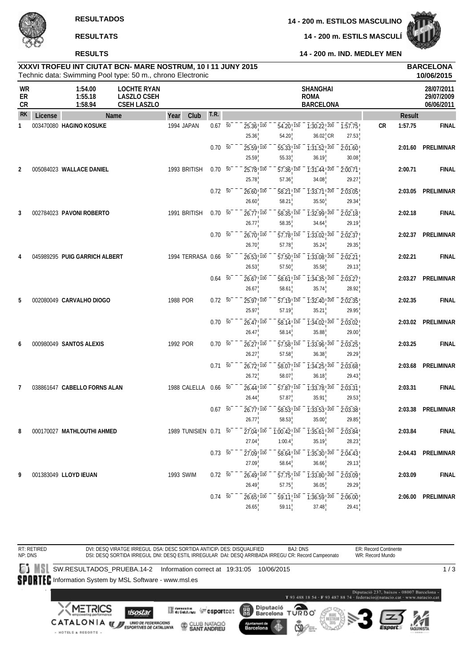**14 - 200 m. ESTILOS MASCULINO**

**14 - 200 m. ESTILS MASCULÍ**



**14 - 200 m. IND. MEDLEY MEN**

# **RESULTS RESULTATS**

| XXXVI TROFEU INT CIUTAT BCN- MARE NOSTRUM, 10 I 11 JUNY 2015 | <b>BARCELONA</b> |
|--------------------------------------------------------------|------------------|
| Technic data: Swimming Pool type: 50 m., chrono Electronic   | 10/06/2015       |

|                              |         | Technic data: Swimming Pool type: 50 m., chrono Electronic |                                                                |                       |                 |                                                |                                                |                                                    |                                                                                                             |               | 10/06/2015                             |
|------------------------------|---------|------------------------------------------------------------|----------------------------------------------------------------|-----------------------|-----------------|------------------------------------------------|------------------------------------------------|----------------------------------------------------|-------------------------------------------------------------------------------------------------------------|---------------|----------------------------------------|
| <b>WR</b><br>ER<br><b>CR</b> |         | 1:54.00<br>1:55.18<br>1:58.94                              | <b>LOCHTE RYAN</b><br><b>LASZLO CSEH</b><br><b>CSEH LASZLO</b> |                       |                 |                                                |                                                | <b>SHANGHAI</b><br><b>ROMA</b><br><b>BARCELONA</b> |                                                                                                             |               | 28/07/2011<br>29/07/2009<br>06/06/2011 |
| <b>RK</b>                    | License | Name                                                       |                                                                | Club<br>Year          | T.R.            |                                                |                                                |                                                    |                                                                                                             | <b>Result</b> |                                        |
| 1                            |         | 003470080 HAGINO KOSUKE                                    |                                                                | 1994 JAPAN            | $0.67 - 50$     | $25.36$ <sup>100</sup><br>25.36                | 54.20 150<br>54.20                             | $36.02$ <sub>I</sub> CR                            | $-7:30.22$ <sup>200</sup> $-7:57.75$<br>27.53                                                               | CR<br>1:57.75 | <b>FINAL</b>                           |
|                              |         |                                                            |                                                                |                       | $0.70\ 50$      | 25.59 100<br>25.59                             | 55.33 150<br>55.33                             | $\overline{1:31.52!}$ 200<br>36.19                 | 2:01.60<br>30.08                                                                                            | 2:01.60       | PRELIMINAR                             |
| 2                            |         | 005084023 WALLACE DANIEL                                   |                                                                | 1993 BRITISH          | 0.70 50         | 25.78 100<br>25.78                             | 57.36 150<br>57.36                             | $1:31.44$ ! 200<br>34.08                           | 2:00.71<br>29.27                                                                                            | 2:00.71       | <b>FINAL</b>                           |
|                              |         |                                                            |                                                                |                       | $0.72 - 50$     | $26.60$ ! $100$<br>26.60                       | 58.21   150<br>58.21                           | $1:33.71$ ! 200<br>35.50                           | 2:03.05<br>29.34                                                                                            |               | 2:03.05 PRELIMINAR                     |
| 3                            |         | 002784023 PAVONI ROBERTO                                   |                                                                | 1991 BRITISH          | $0.70\ 50$      | $26.77$ ! $100$<br>26.77                       | 58.35! 150<br>58.35                            | $\overline{1:32.99}$ , $\overline{200}$<br>34.64   | $\sqrt{2.02.18}$<br>29.19                                                                                   | 2:02.18       | <b>FINAL</b>                           |
|                              |         |                                                            |                                                                |                       | $0.70\ 50$      | 26.70, 100                                     | 57.78, 150                                     | $\overline{1:33.02}$ $\overline{200}$              | 2:02.37                                                                                                     | 2:02.37       | PRELIMINAR                             |
| 4                            |         | 045989295 PUIG GARRICH ALBERT                              |                                                                | 1994 TERRASA 0.66 50  |                 | 26.70<br>26.53! 100                            | 57.78<br>57.50 150                             | 35.24<br>1:33.08 200                               | 29.35<br>2:02.21                                                                                            | 2:02.21       | <b>FINAL</b>                           |
|                              |         |                                                            |                                                                |                       | $0.64\quad 50$  | 26.53<br>$26.67$ ! $100$                       | 57.50<br>58.61 150                             | 35.58<br>$1:34.35$ ! $200$                         | 29.13<br>$\overline{2:03.27}$                                                                               | 2:03.27       | PRELIMINAR                             |
| 5                            |         | 002080049 CARVALHO DIOGO                                   |                                                                | 1988 POR              | $0.72\ 50$      | 26.67<br>25.97 100                             | 58.61<br>57.19 150                             | 35.74<br>$1:32.40$ ! $200$                         | 28.92<br>2:02.35                                                                                            | 2:02.35       | <b>FINAL</b>                           |
|                              |         |                                                            |                                                                |                       | $0.70\ 50$      | 25.97<br>$26.47$ ! $100$                       | 57.19<br>58.14 150                             | 35.21<br>$\overline{1:34.02}$ $\overline{200}$     | 29.95<br>2:03.02                                                                                            |               | 2:03.02 PRELIMINAR                     |
| 6                            |         | 000980049 SANTOS ALEXIS                                    |                                                                | 1992 POR              | $0.70\ 50$      | 26.47<br>$26.27$ ! $100$                       | 58.14<br>57.58 150                             | 35.88<br>$1:33.96$ ! $200$                         | 29.00<br>2:03.25                                                                                            | 2:03.25       | <b>FINAL</b>                           |
|                              |         |                                                            |                                                                |                       | $0.71 - 50$     | 26.27<br>$26.72$ ! $100$                       | 57.58<br>58.07 150                             | 36.38<br>$\overline{1:34.25}$ , $\overline{200}$   | 29.29<br>2:03.68                                                                                            | 2:03.68       | PRELIMINAR                             |
| 7                            |         | 038861647 CABELLO FORNS ALAN                               |                                                                | 1988 CALELLA 0.66 50  |                 | 26.72<br>$26.44$ , $100$                       | 58.07<br>$\overline{57.87}$ <sup>150</sup>     | 36.18<br>$\overline{1:33.78}$ $\overline{200}$     | 29.43<br>2:03.31                                                                                            | 2:03.31       | <b>FINAL</b>                           |
|                              |         |                                                            |                                                                |                       | $0.67 - 50$     | 26.44<br>$26.77$ ! $100$                       | 57.87<br>58.53 150                             | 35.91<br>$\overline{1:33.53}$ $\overline{200}$     | 29.53<br>2:03.38                                                                                            | 2:03.38       | PRELIMINAR                             |
|                              |         |                                                            |                                                                |                       |                 | 26.77                                          | 58.53                                          | 35.00                                              | 29.85                                                                                                       | 2:03.84       | <b>FINAL</b>                           |
| 8                            |         | 000170027 MATHLOUTHI AHMED                                 |                                                                | 1989 TUNISIEN 0.71 50 |                 | 27.04                                          | 1:00.4                                         | 35.19                                              | $27.04$ <sup>100</sup> $- 1.00.42$ <sup>150</sup> $- 1.35.61$ <sup>1200</sup> $- 2.03.84$<br>28.23          |               |                                        |
|                              |         |                                                            |                                                                |                       | $0.73\ 50^{-}$  | $27.09$ <sub>, 100</sub><br>27.09              | $\overline{58.64}$ , $\overline{150}$<br>58.64 | $\overline{1:35.30}$ $\overline{200}$<br>36.66     | $\overline{2:04.43}$<br>29.13                                                                               |               | 2:04.43 PRELIMINAR                     |
| 9                            |         | 001383049 LLOYD IEUAN                                      |                                                                | 1993 SWIM             | $0.72 - 50^{-}$ | $26.49$ <sub>, <math>100</math></sub><br>26.49 | $\overline{57.75}$ , $\overline{150}$<br>57.75 | $-7:33.80$ , $200$<br>36.05                        | $-2:03.09$<br>29.29                                                                                         | 2:03.09       | <b>FINAL</b>                           |
|                              |         |                                                            |                                                                |                       | $0.74\ 50$      | $26.65$ <sup>100</sup><br>26.65                | 59.11                                          | 37.48                                              | $\overline{59.11}$ , $\overline{150}$ $\overline{1.36.59}$ , $\overline{200}$ $\overline{2.06.00}$<br>29.41 |               | 2:06.00 PRELIMINAR                     |

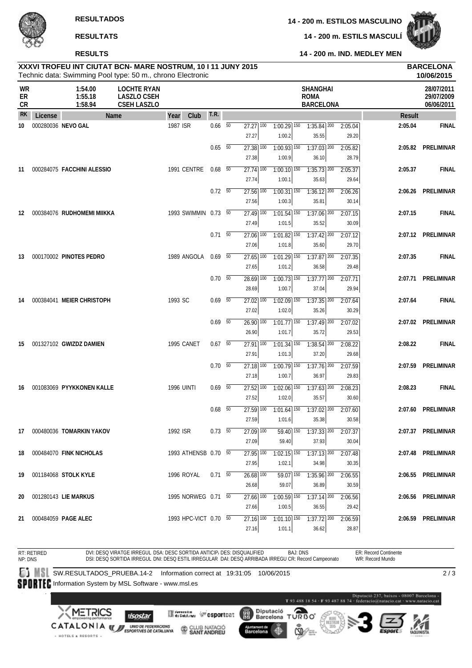+ HOTELS & RESORTS +

**14 - 200 m. ESTILS MASCULÍ**



**14 - 200 m. IND. MEDLEY MEN**

# **XXXVI TROFEU INT CIUTAT BCN- MARE NOSTRUM, 10 I 11 JUNY 2015 BARCELONA RESULTS**

|                       |         | Technic data: Swimming Pool type: 50 m., chrono Electronic |                                                                |                       |                          |                                   |                                      |                                                    |                  |               | 10/06/2015                             |
|-----------------------|---------|------------------------------------------------------------|----------------------------------------------------------------|-----------------------|--------------------------|-----------------------------------|--------------------------------------|----------------------------------------------------|------------------|---------------|----------------------------------------|
| WR<br>ER<br><b>CR</b> |         | 1:54.00<br>1:55.18<br>1:58.94                              | <b>LOCHTE RYAN</b><br><b>LASZLO CSEH</b><br><b>CSEH LASZLO</b> |                       |                          |                                   |                                      | <b>SHANGHAI</b><br><b>ROMA</b><br><b>BARCELONA</b> |                  |               | 28/07/2011<br>29/07/2009<br>06/06/2011 |
| <b>RK</b>             | License |                                                            | Name                                                           | Club<br>Year          | <b>T.R.</b>              |                                   |                                      |                                                    |                  | <b>Result</b> |                                        |
| 10                    |         | 000280036 NEVO GAL                                         |                                                                | 1987 ISR              | $0.66\quad 50$           | $27.27$ 100<br>27.27              | $1:00.29$ 150<br>1:00.2              | $1:35.84$ 200<br>35.55                             | 2:05.04<br>29.20 | 2:05.04       | <b>FINAL</b>                           |
|                       |         |                                                            |                                                                |                       | $0.65\quad 50$           | 27.38 100<br>27.38                | $1:00.93$ <sup>150</sup><br>1:00.9   | $1:37.03$ <sup>200</sup><br>36.10                  | 2:05.82<br>28.79 |               | 2:05.82 PRELIMINAR                     |
| -11                   |         | 000284075 FACCHINI ALESSIO                                 |                                                                | 1991 CENTRE           | $0.68$ 50                | $\overline{27.74}$ 100<br>27.74   | $1:00.10$ 150<br>1:00.1              | $1:35.73$ 200<br>35.63                             | 2:05.37<br>29.64 | 2:05.37       | <b>FINAL</b>                           |
|                       |         |                                                            |                                                                |                       | $0.72\ 50$               | $27.56$ 100<br>27.56              | $1:00.31$ 150<br>1:00.3              | $1:36.12$ 200<br>35.81                             | 2:06.26<br>30.14 |               | 2:06.26 PRELIMINAR                     |
| 12                    |         | 000384076 RUDHOMEMI MIIKKA                                 |                                                                | 1993 SWIMMIN 0.73 50  |                          | $27.49$ 100<br>27.49              | $1:01.54$ <sup>150</sup><br>1:01.5   | $1:37.06$ <sup>200</sup><br>35.52                  | 2:07.15<br>30.09 | 2:07.15       | <b>FINAL</b>                           |
|                       |         |                                                            |                                                                |                       | $0.71\ 50$               | $27.06$ $\overline{100}$<br>27.06 | $1:01.82$ $\overline{150}$<br>1:01.8 | $1:37.42$ <sup>200</sup><br>35.60                  | 2:07.12<br>29.70 |               | 2:07.12 PRELIMINAR                     |
| 13                    |         | 000170002 PINOTES PEDRO                                    |                                                                | 1989 ANGOLA           | 0.69 50                  | 27.65 100<br>27.65                | $1:01.29$ <sup>150</sup><br>1:01.2   | $1:37.87$ 200<br>36.58                             | 2:07.35<br>29.48 | 2:07.35       | <b>FINAL</b>                           |
|                       |         |                                                            |                                                                |                       | $0.70\quad\overline{50}$ | $28.69$ 100<br>28.69              | $1:00.73$ <sup>150</sup><br>1:00.7   | $7:37.77$ <sup>200</sup><br>37.04                  | 2:07.71<br>29.94 |               | 2:07.71 PRELIMINAR                     |
| 14                    |         | 000384041 MEIER CHRISTOPH                                  |                                                                | 1993 SC               | $0.69$ 50                | $27.02$ $\overline{100}$<br>27.02 | $1:02.09$ 150<br>1:02.0              | $1:37.35$ 200<br>35.26                             | 2:07.64<br>30.29 | 2:07.64       | <b>FINAL</b>                           |
|                       |         |                                                            |                                                                |                       | $0.69$ 50                | $26.90$ 100<br>26.90              | $1:01.77$ 150<br>1:01.7              | $1:37.49$ <sup>200</sup><br>35.72                  | 2:07.02<br>29.53 |               | 2:07.02 PRELIMINAR                     |
| 15                    |         | 001327102 GWIZDZ DAMIEN                                    |                                                                | 1995 CANET            | $0.67$ 50                | $27.91$ 100<br>27.91              | $1:01.34$ 150<br>1:01.3              | $1:38.54$ 200<br>37.20                             | 2:08.22<br>29.68 | 2:08.22       | <b>FINAL</b>                           |
|                       |         |                                                            |                                                                |                       | $0.70\ 50$               | $\overline{27.18}$ 100<br>27.18   | $1:00.79$ 150<br>1:00.7              | $1:37.76$ <sup>200</sup><br>36.97                  | 2:07.59<br>29.83 | 2:07.59       | PRELIMINAR                             |
| 16                    |         | 001083069 PYYKKONEN KALLE                                  |                                                                | <b>1996 UINTI</b>     | $0.69$ 50                | $27.52$ 100<br>27.52              | $1:02.06$ <sup>150</sup><br>1:02.0   | $1:37.63$ <sup>200</sup><br>35.57                  | 2:08.23<br>30.60 | 2:08.23       | <b>FINAL</b>                           |
|                       |         |                                                            |                                                                |                       | $0.68$ 50                | $27.59$ 100<br>27.59              | $1:01.64$ <sup>150</sup><br>1:01.6   | $1:37.02$ $200$<br>35.38                           | 2:07.60<br>30.58 |               | 2:07.60 PRELIMINAR                     |
| 17                    |         | 000480036 TOMARKIN YAKOV                                   |                                                                | 1992 ISR              | 0.73 50                  | 27.09 100<br>27.09                | 59.40                                | 59.40 150 1:37.33 200 2:07.37<br>37.93             | 30.04            |               | 2:07.37 PRELIMINAR                     |
| 18                    |         | 000484070 FINK NICHOLAS                                    |                                                                | 1993 ATHENSB 0.70 50  |                          | $27.95$ 100<br>27.95              | 1:02.1                               | $1:02.15$ $150$ $1:37.13$ $200$<br>34.98           | 2:07.48<br>30.35 |               | 2:07.48 PRELIMINAR                     |
| 19                    |         | 001184068 STOLK KYLE                                       |                                                                | 1996 ROYAL            | $0.71$ 50                | $26.68$ $\overline{100}$<br>26.68 | $59.07$ 150<br>59.07                 | $1:35.96$ 200<br>36.89                             | 2:06.55<br>30.59 |               | 2:06.55 PRELIMINAR                     |
| 20                    |         | 001280143 LIE MARKUS                                       |                                                                | 1995 NORWEG 0.71 50   |                          | 27.66 100<br>27.66                | $1:00.59$ <sup>150</sup><br>1:00.5   | $1:37.14$ 200<br>36.55                             | 2:06.56<br>29.42 |               | 2:06.56 PRELIMINAR                     |
| 21                    |         | 000484059 PAGE ALEC                                        |                                                                | 1993 HPC-VICT 0.70 50 |                          | $27.16$ $\overline{100}$<br>27.16 | $1:01.10$ 150<br>1:01.1              | $1:37.72$ 200<br>36.62                             | 2:06.59<br>28.87 |               | 2:06.59 PRELIMINAR                     |

RT: RETIRED ER: Record Continente DVI: DESQ VIRATGE IRREGUL DSA: DESC SORTIDA ANTICIP، DES: DISQUALIFIED BAJ: DNS<br>DSI: DESQ SORTIDA IRREGUL DNI: DESQ ESTIL IRREGULAR DAI: DESQ ARRIBADA IRREGU CR: Record Campeonato NP: DNS WR: Record Mundo SW.RESULTADOS\_PRUEBA.14-2 Information correct at 19:31:05 10/06/2015  $\overline{2/3}$ SPORTEC Information System by MSL Software - www.msl.es T93 488 18 54 - F93 487 88 74 **XMETRICS** Diputació<br>Barcelona **Merchine Wesportcat** (體) **I**sostar T ত ময় CATALONIA WE UNDER FEDERACIONS CLUB NATACIÓ Ajuntament de<br>Barcelona d.

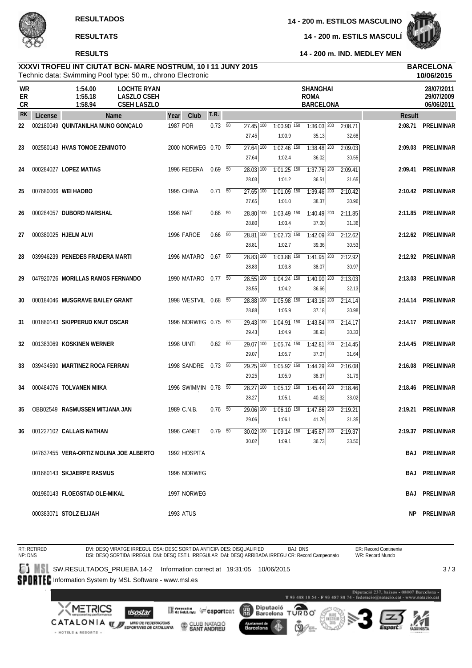**RESULTS**



**14 - 200 m. IND. MEDLEY MEN 14 - 200 m. ESTILS MASCULÍ**

# **XXXVI TROFEU INT CIUTAT BCN- MARE NOSTRUM, 10 I 11 JUNY 2015 BARCELONA**

|                |         |                                         | Technic data: Swimming Pool type: 50 m., chrono Electronic     |                      |                          |                                              |                                    |                                                    |                  |               | 10/06/2015                             |
|----------------|---------|-----------------------------------------|----------------------------------------------------------------|----------------------|--------------------------|----------------------------------------------|------------------------------------|----------------------------------------------------|------------------|---------------|----------------------------------------|
| WR<br>ER<br>CR |         | 1:54.00<br>1:55.18<br>1:58.94           | <b>LOCHTE RYAN</b><br><b>LASZLO CSEH</b><br><b>CSEH LASZLO</b> |                      |                          |                                              |                                    | <b>SHANGHAI</b><br><b>ROMA</b><br><b>BARCELONA</b> |                  |               | 28/07/2011<br>29/07/2009<br>06/06/2011 |
| <b>RK</b>      | License |                                         | <b>Name</b>                                                    | Club<br>Year         | T.R.                     |                                              |                                    |                                                    |                  | <b>Result</b> |                                        |
| 22             |         | 002180049 QUINTANILHA NUNO GONÇALO      |                                                                | 1987 POR             | $0.73\quad 50$           | $\overline{27.45}$ 100<br>27.45              | $1:00.90$ 150<br>1:00.9            | $1:36.03$ <sup>200</sup><br>35.13                  | 2:08.71<br>32.68 |               | 2:08.71 PRELIMINAR                     |
| 23             |         | 002580143 HVAS TOMOE ZENIMOTO           |                                                                | 2000 NORWEG 0.70 50  |                          | $27.64$ <sup>100</sup><br>27.64              | $1:02.46$ <sup>150</sup><br>1:02.4 | $1:38.48$ <sup>200</sup><br>36.02                  | 2:09.03<br>30.55 |               | 2:09.03 PRELIMINAR                     |
| 24             |         | 000284027 LOPEZ MATIAS                  |                                                                | 1996 FEDERA          | $0.69$ 50                | $28.03$ $\overline{100}$<br>28.03            | $1:01.25$ $150$<br>1:01.2          | $1:37.76$ <sup>200</sup><br>36.51                  | 2:09.41<br>31.65 |               | 2:09.41 PRELIMINAR                     |
| 25             |         | 007680006 WEI HAOBO                     |                                                                | 1995 CHINA           | $0.71\ 50$               | $27.65$ $100$<br>27.65                       | $1:01.09$ <sup>150</sup><br>1:01.0 | $1:39.46$ <sup>200</sup><br>38.37                  | 2:10.42<br>30.96 |               | 2:10.42 PRELIMINAR                     |
| 26             |         | 000284057 DUBORD MARSHAL                |                                                                | 1998 NAT             | $0.66\quad\overline{50}$ | $28.80$ 100<br>28.80                         | $1:03.49$ $150$<br>1:03.4          | $1:40.49$ <sup>200</sup><br>37.00                  | 2:11.85<br>31.36 |               | 2:11.85 PRELIMINAR                     |
| 27             |         | 000380025 HJELM ALVI                    |                                                                | 1996 FAROE           | $0.66$ 50                | $28.81$ 100<br>28.81                         | $1:02.73$ <sup>150</sup><br>1:02.7 | $1:42.09$ <sup>200</sup><br>39.36                  | 2:12.62<br>30.53 |               | 2:12.62 PRELIMINAR                     |
| 28             |         | 039946239 PENEDES FRADERA MARTI         |                                                                | 1996 MATARO          | $0.67\quad\overline{50}$ | 28.83 100<br>28.83                           | $1:03.88$ <sup>150</sup><br>1:03.8 | $1:41.95$ <sup>200</sup><br>38.07                  | 2:12.92<br>30.97 |               | 2:12.92 PRELIMINAR                     |
| 29             |         | 047920726 MORILLAS RAMOS FERNANDO       |                                                                | 1990 MATARO          | $0.77\quad\overline{50}$ | $28.55$ $\overline{100}$<br>28.55            | $1:04.24$ <sup>150</sup><br>1:04.2 | $1:40.90$ <sup>200</sup><br>36.66                  | 2:13.03<br>32.13 |               | 2:13.03 PRELIMINAR                     |
| 30             |         | 000184046 MUSGRAVE BAILEY GRANT         |                                                                | 1998 WESTVIL 0.68 50 |                          | 28.88 100<br>28.88                           | 1:05.98 150<br>1:05.9              | $1:43.16$ 200<br>37.18                             | 2:14.14<br>30.98 |               | 2:14.14 PRELIMINAR                     |
| 31             |         | 001880143 SKIPPERUD KNUT OSCAR          |                                                                | 1996 NORWEG 0.75 50  |                          | $\overline{29.43}$ $\overline{100}$<br>29.43 | $1:04.91$ 150<br>1:04.9            | $1:43.84$ <sup>200</sup><br>38.93                  | 2:14.17<br>30.33 |               | 2:14.17 PRELIMINAR                     |
| 32             |         | 001383069 KOSKINEN WERNER               |                                                                | <b>1998 UINTI</b>    | 0.62 50                  | $\overline{29.07}$ 100<br>29.07              | $1:05.74$ 150<br>1:05.7            | $1:42.81$ $200$<br>37.07                           | 2:14.45<br>31.64 |               | 2:14.45 PRELIMINAR                     |
| 33             |         | 039434590 MARTINEZ ROCA FERRAN          |                                                                | 1998 SANDRE          | 0.73 50                  | $29.25$ 100<br>29.25                         | $1:05.92$ 150<br>1:05.9            | $1:44.29$ 200<br>38.37                             | 2:16.08<br>31.79 | 2:16.08       | <b>PRELIMINAR</b>                      |
| 34             |         | 000484076 TOLVANEN MIIKA                |                                                                | 1996 SWIMMIN 0.78 50 |                          | 28.27 100<br>28.27                           | $1:05.12$ 150<br>1:05.1            | $1:45.44$ <sup>200</sup><br>40.32                  | 2:18.46<br>33.02 | 2:18.46       | PRELIMINAR                             |
| 35             |         | OBB02549 RASMUSSEN MITJANA JAN          |                                                                | 1989 C.N.B.          | $0.76$ 50                | 29.06 100<br>29.06                           | $1:06.10$ 150<br>1:06.1            | $1:47.86$ <sup>200</sup><br>41.76                  | 2:19.21<br>31.35 |               | 2:19.21 PRELIMINAR                     |
| 36             |         | 001227102 CALLAIS NATHAN                |                                                                | 1996 CANET           | $0.79$ 50                | 30.02                                        | 1:09.1                             | 30.02 100 1:09.14 150 1:45.87 200 2:19.37<br>36.73 | 33.50            |               | 2:19.37 PRELIMINAR                     |
|                |         | 047637455 VERA-ORTIZ MOLINA JOE ALBERTO |                                                                | 1992 HOSPITA         |                          |                                              |                                    |                                                    |                  |               | <b>BAJ PRELIMINAR</b>                  |
|                |         | 001680143 SKJAERPE RASMUS               |                                                                | 1996 NORWEG          |                          |                                              |                                    |                                                    |                  |               | <b>BAJ PRELIMINAR</b>                  |
|                |         | 001980143 FLOEGSTAD OLE-MIKAL           |                                                                | 1997 NORWEG          |                          |                                              |                                    |                                                    |                  |               | <b>BAJ PRELIMINAR</b>                  |
|                |         | 000383071 STOLZ ELIJAH                  |                                                                | 1993 ATUS            |                          |                                              |                                    |                                                    |                  |               | NP PRELIMINAR                          |

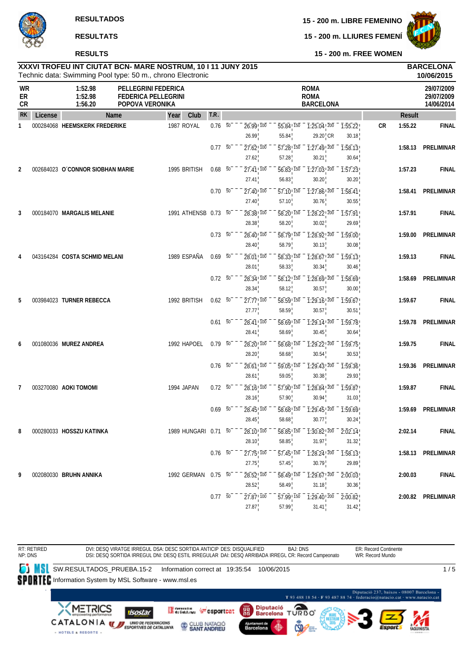# **15 - 200 m. LLIURES FEMENÍ**



**RESULTATS**

# **RESULTS**

| XXXVI TROFEU INT CIUTAT BCN- MARE NOSTRUM, 10 I 11 JUNY 2015 | <b>BARCELONA</b> |
|--------------------------------------------------------------|------------------|
| Technic data: Swimming Pool type: 50 m., chrono Electronic   | 10/06/2015       |

|                |         |                                  | Technic data: Swimming Pool type: 50 m., chrono Electronic           |                      |      |                     |    |                                                |                                                |                                                            |                                                                       |    |               | 10/06/2015         |
|----------------|---------|----------------------------------|----------------------------------------------------------------------|----------------------|------|---------------------|----|------------------------------------------------|------------------------------------------------|------------------------------------------------------------|-----------------------------------------------------------------------|----|---------------|--------------------|
| WR<br>ER<br>CR |         | 1:52.98<br>1:52.98<br>1:56.20    | PELLEGRINI FEDERICA<br><b>FEDERICA PELLEGRINI</b><br>POPOVA VERONIKA |                      |      |                     |    |                                                | <b>ROMA</b><br><b>ROMA</b><br><b>BARCELONA</b> |                                                            | 29/07/2009<br>29/07/2009<br>14/06/2014                                |    |               |                    |
| <b>RK</b>      | License |                                  | Name                                                                 | Year                 | Club | T.R.                |    |                                                |                                                |                                                            |                                                                       |    | <b>Result</b> |                    |
| $\mathbf{1}$   |         | 000284068 HEEMSKERK FREDERIKE    |                                                                      | 1987 ROYAL           |      | $0.76\ 50$          |    | $26.99$ <sup>100</sup><br>26.99                | 55.84 150<br>55.84                             | $\sqrt{1:25.04}$ , $\sqrt{200}$<br>$29.20$ <sub>,</sub> CR | $-7:55.22$<br>30.18                                                   | CR | 1:55.22       | <b>FINAL</b>       |
|                |         |                                  |                                                                      |                      |      | $0.77 - 50^{-1}$    |    | $\overline{27.62}$ , $\overline{100}$<br>27.62 | $\overline{57.28}$ , $\overline{150}$<br>57.28 | $\overline{1:}2\overline{7.49}$ $\overline{200}$<br>30.21  | 1:58.13<br>30.64                                                      |    | 1:58.13       | PRELIMINAR         |
| 2              |         | 002684023 O'CONNOR SIOBHAN MARIE |                                                                      | 1995 BRITISH         |      | $0.68$ 50           |    | $27.41$ ! $100$<br>27.41                       | $56.83$ ! $150$<br>56.83                       | 30.20                                                      | $\overline{1:27.03}$ , $\overline{200}$ $\overline{1:57.23}$<br>30.20 |    | 1:57.23       | <b>FINAL</b>       |
|                |         |                                  |                                                                      |                      |      | $0.70\ 50$          |    | $27.40$ ! $100$<br>27.40                       | $\overline{57.10}$ , $\overline{150}$<br>57.10 | 1:27.86 200<br>30.76                                       | 1:58.41<br>30.55                                                      |    | 1:58.41       | PRELIMINAR         |
| 3              |         | 000184070 MARGALIS MELANIE       |                                                                      | 1991 ATHENSB 0.73 50 |      |                     |    | $28.38$ <sup>1</sup> $100$<br>28.38            | $\overline{58.20}$ <sup>150</sup><br>58.20     | $\overline{1:28.22}$ $\overline{200}$<br>30.02             | $\overline{1:57.91}$<br>29.69                                         |    | 1:57.91       | <b>FINAL</b>       |
|                |         |                                  |                                                                      |                      |      | $0.73\ 50$          |    | 28.40 100<br>28.40                             | 58.79 150<br>58.79                             | $\overline{1:28.92}$ $\overline{200}$<br>30.13             | 1:59.00<br>30.08                                                      |    | 1:59.00       | PRELIMINAR         |
| 4              |         | 043164284 COSTA SCHMID MELANI    |                                                                      | 1989 ESPAÑA          |      | $0.69\overline{50}$ |    | $28.01$ ! $100$                                | 58.33! 150                                     | 1:28.67 200                                                | 1:59.13                                                               |    | 1:59.13       | <b>FINAL</b>       |
|                |         |                                  |                                                                      |                      |      | $0.72\ 50$          |    | 28.01<br>$28.34$ , $100$                       | 58.33<br>$\overline{58.12}$ ! $\overline{150}$ | 30.34<br>1:28.69 200                                       | 30.46<br>1:58.69                                                      |    | 1:58.69       | PRELIMINAR         |
| 5              |         | 003984023 TURNER REBECCA         |                                                                      | 1992 BRITISH         |      | $0.62\ 50$          |    | 28.34<br>27.77 100                             | 58.12<br>58.59 150                             | 30.57<br>$1:29.16$ $200$                                   | 30.00<br>1:59.67                                                      |    | 1:59.67       | <b>FINAL</b>       |
|                |         |                                  |                                                                      |                      |      | $0.61\ 50^{-}$      |    | 27.77<br>28.41, 100                            | 58.59<br>58.69 150                             | 30.57<br>$\overline{1:29.14}$ $\overline{200}$             | 30.51<br>1:59.78                                                      |    | 1:59.78       | PRELIMINAR         |
| 6              |         | 001080036 MUREZ ANDREA           |                                                                      | 1992 HAPOEL          |      | 0.79 50             |    | 28.41<br>28.20 100                             | 58.69<br>58.68! 150                            | 30.45<br>$\overline{1:29.22!}$ 200                         | 30.64<br>1:59.75                                                      |    | 1:59.75       | <b>FINAL</b>       |
|                |         |                                  |                                                                      |                      |      | $0.76$ 50           |    | 28.20<br>28.61 100                             | 58.68<br>59.05 150                             | 30.54<br>$\overline{1:29.43!}$ 200                         | 30.53<br>1:59.36                                                      |    | 1:59.36       | <b>PRELIMINAR</b>  |
| 7              |         | 003270080 AOKI TOMOMI            |                                                                      | 1994 JAPAN           |      | $0.72\ 50$          |    | 28.61<br>$28.16$ , $100$                       | 59.05<br>57.90 150                             | 30.38<br>1:28.84 200                                       | 29.93<br>1:59.87                                                      |    | 1:59.87       | <b>FINAL</b>       |
|                |         |                                  |                                                                      |                      |      | 0.69                | 50 | 28.16<br>28.45 100                             | 57.90<br>58.68! 150                            | 30.94<br>$\overline{1:29.45!}$ <sup>200</sup>              | 31.03<br>1:59.69                                                      |    | 1:59.69       | PRELIMINAR         |
| 8              |         | 000280033 HOSSZU KATINKA         |                                                                      | 1989 HUNGARI 0.71 50 |      |                     |    | 28.45<br>28.10 100                             | 58.68                                          | 30.77                                                      | 30.24<br>58.85 150 1:30.82 200 2:02.14                                |    | 2:02.14       | <b>FINAL</b>       |
|                |         |                                  |                                                                      |                      |      | $0.76\ 50^{-}$      |    | 28.10<br>$27.75$ , $100$                       | 58.85<br>57.45 150                             | 31.97<br>$\overline{1:28.24}$ , $\overline{200}$           | 31.32<br>1:58.13                                                      |    |               | 1:58.13 PRELIMINAR |
| 9              |         | 002080030 BRUHN ANNIKA           |                                                                      | 1992 GERMAN 0.75 50  |      |                     |    | 27.75<br>28.52! 100                            | 57.45<br>58.49 150                             | 30.79<br>$\overline{1:29.67}$ $\overline{200}$             | 29.89<br>2:00.03                                                      |    | 2:00.03       | <b>FINAL</b>       |
|                |         |                                  |                                                                      |                      |      |                     |    | 28.52                                          | 58.49                                          | 31.18                                                      | 30.36                                                                 |    |               |                    |
|                |         |                                  |                                                                      |                      |      | 0.7750              |    | $27.87$ <sup>100</sup><br>27.87                | $\overline{57.99}$ , $\overline{150}$<br>57.99 | $\overline{1:29.40}$ , $\overline{200}$<br>31.41           | 2:00.82<br>31.42                                                      |    |               | 2:00.82 PRELIMINAR |

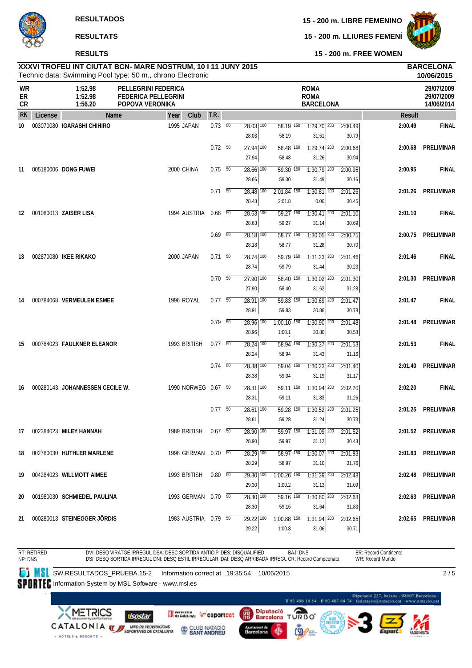**RESULTS**

**15 - 200 m. LLIURES FEMENÍ**



**15 - 200 m. FREE WOMEN**

# **XXXVI TROFEU INT CIUTAT BCN- MARE NOSTRUM, 10 I 11 JUNY 2015 BARCELONA**

|                |         |                                 | Technic data: Swimming Pool type: 50 m., chrono Electronic                  |                |                                   |                                    |                                                |                  |               | 10/06/2015                             |
|----------------|---------|---------------------------------|-----------------------------------------------------------------------------|----------------|-----------------------------------|------------------------------------|------------------------------------------------|------------------|---------------|----------------------------------------|
| WR<br>ER<br>CR |         | 1:52.98<br>1:52.98<br>1:56.20   | <b>PELLEGRINI FEDERICA</b><br><b>FEDERICA PELLEGRINI</b><br>POPOVA VERONIKA |                |                                   |                                    | <b>ROMA</b><br><b>ROMA</b><br><b>BARCELONA</b> |                  |               | 29/07/2009<br>29/07/2009<br>14/06/2014 |
| <b>RK</b>      | License | Name                            | Club<br>Year                                                                | T.R.           |                                   |                                    |                                                |                  | <b>Result</b> |                                        |
| 10             |         | 003070080 IGARASHI CHIHIRO      | 1995 JAPAN                                                                  | $0.73\ 50$     | $28.03$ $\overline{100}$<br>28.03 | $58.19$ 150<br>58.19               | $7:29.70$ <sup>200</sup><br>31.51              | 2:00.49<br>30.79 | 2:00.49       | <b>FINAL</b>                           |
|                |         |                                 |                                                                             | $0.72\ 50$     | $27.94$ 100<br>27.94              | 58.48 150<br>58.48                 | $1:29.74$ <sup>200</sup><br>31.26              | 2:00.68<br>30.94 | 2:00.68       | <b>PRELIMINAR</b>                      |
| 11             |         | 005180006 DONG FUWEI            | 2000 CHINA                                                                  | $0.75\ 50$     | $28.66$ $\overline{100}$<br>28.66 | $59.30$ <sup>150</sup><br>59.30    | $1:30.79$ <sup>200</sup><br>31.49              | 2:00.95<br>30.16 | 2:00.95       | <b>FINAL</b>                           |
|                |         |                                 |                                                                             | $0.71\ 50$     | 28.48 100<br>28.48                | $2:01.84$ <sup>150</sup><br>2:01.8 | $1:30.81$ $200$<br>0.00                        | 2:01.26<br>30.45 |               | 2:01.26 PRELIMINAR                     |
| 12             |         | 001080013 ZAISER LISA           | 1994 AUSTRIA                                                                | $0.68$ 50      | $28.63$ $\overline{100}$<br>28.63 | $59.27$ 150<br>59.27               | $1:30.41$ <sup>200</sup><br>31.14              | 2:01.10<br>30.69 | 2:01.10       | <b>FINAL</b>                           |
|                |         |                                 |                                                                             | $0.69$ 50      | $28.18$ $\overline{100}$<br>28.18 | $58.77$ 150<br>58.77               | $1:30.05$ <sup>200</sup><br>31.28              | 2:00.75<br>30.70 | 2:00.75       | PRELIMINAR                             |
| 13             |         | 002870080 IKEE RIKAKO           | 2000 JAPAN                                                                  | $0.71\ 50$     | $28.74$ 100<br>28.74              | $\overline{59.79}$ 150<br>59.79    | $1:31.23$ <sup>200</sup><br>31.44              | 2:01.46<br>30.23 | 2:01.46       | <b>FINAL</b>                           |
|                |         |                                 |                                                                             | $0.70\ 50$     | $27.90$ $100$<br>27.90            | $58.40$ $150$<br>58.40             | $1:30.02$ <sup>200</sup><br>31.62              | 2:01.30<br>31.28 | 2:01.30       | PRELIMINAR                             |
| 14             |         | 000784068 VERMEULEN ESMEE       | 1996 ROYAL                                                                  | $0.77$ 50      | $28.91$ 100<br>28.91              | 59.83 150<br>59.83                 | $1:30.69$ <sup>200</sup><br>30.86              | 2:01.47<br>30.78 | 2:01.47       | <b>FINAL</b>                           |
|                |         |                                 |                                                                             | $0.79$ 50      | $28.96$ 100<br>28.96              | $1:00.10$ $150$<br>1:00.1          | $1:30.90$ <sup>200</sup><br>30.80              | 2:01.48<br>30.58 | 2:01.48       | PRELIMINAR                             |
| 15             |         | 000784023 FAULKNER ELEANOR      | 1993 BRITISH                                                                | 0.7750         | $28.24$ 100<br>28.24              | $58.94$ 150<br>58.94               | $1:30.37$ 200<br>31.43                         | 2:01.53<br>31.16 | 2:01.53       | <b>FINAL</b>                           |
|                |         |                                 |                                                                             | $0.74\quad 50$ | $28.38$ $\overline{100}$<br>28.38 | $\overline{59.04}$ 150<br>59.04    | $1:30.23$ $200$<br>31.19                       | 2:01.40<br>31.17 | 2:01.40       | <b>PRELIMINAR</b>                      |
| 16             |         | 000280143 JOHANNESSEN CECILE W. | 1990 NORWEG 0.67 50                                                         |                | $28.31$ 100<br>28.31              | $\overline{59.11}$ 150<br>59.11    | $1:30.94$ <sup>200</sup><br>31.83              | 2:02.20<br>31.26 | 2:02.20       | <b>FINAL</b>                           |
|                |         |                                 |                                                                             | $0.77$ 50      | $28.61$ 100<br>28.61              | $59.28$ <sup>150</sup><br>59.28    | $1:30.52$ <sup>200</sup><br>31.24              | 2:01.25<br>30.73 |               | 2:01.25 PRELIMINAR                     |
| 17             |         | 002384023 MILEY HANNAH          | 1989 BRITISH 0.67 50                                                        |                | 28.90 100<br>28.90                | 59.97                              | 59.97 150 1:31.09 200 2:01.52<br>31.12         | 30.43            |               | 2:01.52 PRELIMINAR                     |
| 18             |         | 002780030 HUTHLER MARLENE       | 1998 GERMAN 0.70 50                                                         |                | $\overline{28.29}$ 100<br>28.29   | 58.97 150<br>58.97                 | $1:30.07$ 200<br>31.10                         | 2:01.83<br>31.76 |               | 2:01.83 PRELIMINAR                     |
| 19             |         | 004284023 WILLMOTT AIMEE        | 1993 BRITISH                                                                | 0.80 50        | $29.30$ $\overline{100}$<br>29.30 | $1:00.26$ <sup>150</sup><br>1:00.2 | $1:31.39$ 200<br>31.13                         | 2:02.48<br>31.09 |               | 2:02.48 PRELIMINAR                     |
| 20             |         | 001980030 SCHMIEDEL PAULINA     | 1993 GERMAN 0.70 50                                                         |                | 28.30 100<br>28.30                | 59.16 150<br>59.16                 | $1:30.80$ 200<br>31.64                         | 2:02.63<br>31.83 |               | 2:02.63 PRELIMINAR                     |
| 21             |         | 000280013 STEINEGGER JORDIS     | 1983 AUSTRIA 0.79 50                                                        |                | 29.22 100<br>29.22                | 1:00.88 150<br>1:00.8              | $1:31.94$ 200<br>31.06                         | 2:02.65<br>30.71 |               | 2:02.65 PRELIMINAR                     |

RT: RETIRED NP: DNS DVI: DESQ VIRATGE IRREGUL DSA: DESC SORTIDA ANTICIP DES: DISQUALIFIED DSI: DESQ SORTIDA IRREGUL DNI: DESQ ESTIL IRREGULAR DAI: DESQ ARRIBADA IRREGL CR: Record Campeonato BAJ: DNS ER: Record Continente WR: Record Mundo **SW.RESULTADOS\_PRUEBA.15-2** Information correct at 19:35:54 10/06/2015 SPORTEC Information System by MSL Software - www.msl.es  $2/5$ 

08007 Barcelona -<br>La muzz potecio est T93 488 18 54 - F93 487 88 74 Diputació TURBO **XMETRICS** Generator Coportcat **isostar CATALONIA W** *ESPORTIVES DE CATALONIA* CLUB NATACIÓ Ajuntament de<br>Barcelona 49

- HOTELS & RESORTS -

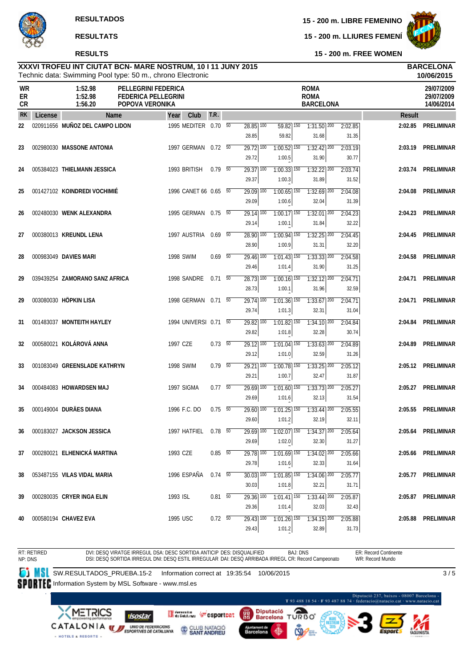**RESULTS**

**15 - 200 m. LIBRE FEMENINO**

**15 - 200 m. LLIURES FEMENÍ**



 $3/5$ 

**15 - 200 m. FREE WOMEN**

### Technic data: Swimming Pool type: 50 m., chrono Electronic **XXXVI TROFEU INT CIUTAT BCN- MARE NOSTRUM, 10 I 11 JUNY 2015 BARCELONA**

|                       |         | Technic data: Swimming Pool type: 50 m., chrono Electronic |                                                                             |                          |    |                                   |                                                                                                                                                |                                                |                  |               | 10/06/2015                             |
|-----------------------|---------|------------------------------------------------------------|-----------------------------------------------------------------------------|--------------------------|----|-----------------------------------|------------------------------------------------------------------------------------------------------------------------------------------------|------------------------------------------------|------------------|---------------|----------------------------------------|
| WR<br>ER<br><b>CR</b> |         | 1:52.98<br>1:52.98<br>1:56.20                              | <b>PELLEGRINI FEDERICA</b><br><b>FEDERICA PELLEGRINI</b><br>POPOVA VERONIKA |                          |    |                                   |                                                                                                                                                | <b>ROMA</b><br><b>ROMA</b><br><b>BARCELONA</b> |                  |               | 29/07/2009<br>29/07/2009<br>14/06/2014 |
| <b>RK</b>             | License | Name                                                       | Club<br>Year                                                                | T.R.                     |    |                                   |                                                                                                                                                |                                                |                  | <b>Result</b> |                                        |
| 22                    |         | 020911656 MUÑOZ DEL CAMPO LIDON                            | 1995 MEDITER 0.70 50                                                        |                          |    | $28.85$ $\overline{100}$<br>28.85 | $59.82$ 150<br>59.82                                                                                                                           | $1:31.50$ <sup>200</sup><br>31.68              | 2:02.85<br>31.35 | 2:02.85       | <b>PRELIMINAR</b>                      |
| 23                    |         | 002980030 MASSONE ANTONIA                                  | 1997 GERMAN 0.72 50                                                         |                          |    | $29.72$ 100<br>29.72              | $1:00.52$ <sup>150</sup><br>1:00.5                                                                                                             | $1:32.42$ $200$<br>31.90                       | 2:03.19<br>30.77 | 2:03.19       | <b>PRELIMINAR</b>                      |
| 24                    |         | 005384023 THIELMANN JESSICA                                | 1993 BRITISH                                                                | 0.79 50                  |    | $29.37$ 100<br>29.37              | $1:00.33$ $\boxed{150}$<br>1:00.3                                                                                                              | $1:32.22$ 200<br>31.89                         | 2:03.74<br>31.52 | 2:03.74       | PRELIMINAR                             |
| 25                    |         | 001427102 KOINDREDI VOCHIMIÉ                               | 1996 CANET 66 0.65 50                                                       |                          |    | $29.09$ 100<br>29.09              | $1:00.65$ <sup>150</sup><br>1:00.6                                                                                                             | $1:32.69$ <sup>200</sup><br>32.04              | 2:04.08<br>31.39 | 2:04.08       | <b>PRELIMINAR</b>                      |
| 26                    |         | 002480030 WENK ALEXANDRA                                   | 1995 GERMAN                                                                 | $0.75 - 50$              |    | 29.14 100<br>29.14                | $1:00.17$ <sup>150</sup><br>1:00.1                                                                                                             | $1:32.01$ 200<br>31.84                         | 2:04.23<br>32.22 | 2:04.23       | <b>PRELIMINAR</b>                      |
| 27                    |         | 000380013 KREUNDL LENA                                     | 1997 AUSTRIA                                                                | $0.69$ 50                |    | $28.90$ 100<br>28.90              | $1:00.94$ <sup>150</sup><br>1:00.9                                                                                                             | $1:32.25$ <sup>200</sup><br>31.31              | 2:04.45<br>32.20 | 2:04.45       | PRELIMINAR                             |
| 28                    |         | 000983049 DAVIES MARI                                      | <b>1998 SWIM</b>                                                            | $0.69$ 50                |    | $29.46$ $100$<br>29.46            | $1:01.43$ <sup>150</sup><br>1:01.4                                                                                                             | $1:33.33$ 200<br>31.90                         | 2:04.58<br>31.25 | 2:04.58       | <b>PRELIMINAR</b>                      |
| 29                    |         | 039439254 ZAMORANO SANZ AFRICA                             | 1998 SANDRE                                                                 | $0.71$ 50                |    | 28.73 100<br>28.73                | $1:00.16$ <sup>150</sup><br>1:00.1                                                                                                             | $1:32.12$ $200$<br>31.96                       | 2:04.71<br>32.59 | 2:04.71       | <b>PRELIMINAR</b>                      |
| 29                    |         | 003080030 HÖPKIN LISA                                      | 1998 GERMAN                                                                 | $0.71 - 50$              |    | $\overline{29.74}$ 100<br>29.74   | 1:01.36 150<br>1:01.3                                                                                                                          | $1:33.67$ 200<br>32.31                         | 2:04.71<br>31.04 | 2:04.71       | PRELIMINAR                             |
| 31                    |         | 001483037 MONTEITH HAYLEY                                  | 1994 UNIVERSI 0.71                                                          |                          | 50 | $29.82$ $\overline{100}$<br>29.82 | $1:01.82$ 150<br>1:01.8                                                                                                                        | $1:34.10$   200<br>32.28                       | 2:04.84<br>30.74 | 2:04.84       | <b>PRELIMINAR</b>                      |
| 32                    |         | 000580021 KOLÁROVÁ ANNA                                    | 1997 CZE                                                                    | $0.73\ 50$               |    | $29.12$ $\overline{100}$<br>29.12 | $1:01.04$ <sup>150</sup><br>1:01.0                                                                                                             | $1:33.63$ <sup>200</sup><br>32.59              | 2:04.89<br>31.26 | 2:04.89       | <b>PRELIMINAR</b>                      |
| 33                    |         | 001083049 GREENSLADE KATHRYN                               | 1998 SWIM                                                                   | $0.79 - 50$              |    | 29.21 100<br>29.21                | 1:00.78 150<br>1:00.7                                                                                                                          | $1:33.25$ 200<br>32.47                         | 2:05.12<br>31.87 | 2:05.12       | PRELIMINAR                             |
| 34                    |         | 000484083 HOWARDSEN MAJ                                    | 1997 SIGMA                                                                  | $0.77\quad\overline{50}$ |    | $29.69$ 100<br>29.69              | $1:01.60$ <sup>150</sup><br>1:01.6                                                                                                             | $1:33.73$ $200$<br>32.13                       | 2:05.27<br>31.54 | 2:05.27       | <b>PRELIMINAR</b>                      |
| 35                    |         | 000149004 DURÄES DIANA                                     | 1996 F.C. DO                                                                | $0.75 - 50$              |    | 29.60 100<br>29.60                | $1:01.25$ <sup>150</sup><br>1:01.2                                                                                                             | $1:33.44$ <sup>200</sup><br>32.19              | 2:05.55<br>32.11 | 2:05.55       | <b>PRELIMINAR</b>                      |
| 36                    |         | 000183027 JACKSON JESSICA                                  | 1997 HATFIEL 0.78 50                                                        |                          |    | 29.69                             | $\overline{29.69}$ $\overline{100}$ $\overline{1:02.07}$ $\overline{150}$ $\overline{1:34.37}$ $\overline{200}$ $\overline{2:05.64}$<br>1:02.0 | 32.30                                          | 31.27            |               | 2:05.64 PRELIMINAR                     |
| 37                    |         | 000280021 ELHENICKA MARTINA                                | 1993 CZE                                                                    | $0.85\ 50$               |    | $29.78$ 100<br>29.78              | $1:01.69$ <sup>150</sup><br>1:01.6                                                                                                             | $1:34.02$ 200<br>32.33                         | 2:05.66<br>31.64 |               | 2:05.66 PRELIMINAR                     |
| 38                    |         | 053487155 VILAS VIDAL MARIA                                | 1996 ESPAÑA                                                                 | $0.74$ 50                |    | $30.03$ 100<br>30.03              | $1:01.85$ <sup>150</sup><br>1:01.8                                                                                                             | $1:34.06$ $200$<br>32.21                       | 2:05.77<br>31.71 |               | 2:05.77 PRELIMINAR                     |
| 39                    |         | 000280035 CRYER INGA ELIN                                  | 1993 ISL                                                                    | $0.81$ 50                |    | 29.36 100<br>29.36                | $1:01.41$ 150<br>1:01.4                                                                                                                        | $1:33.44$ 200<br>32.03                         | 2:05.87<br>32.43 |               | 2:05.87 PRELIMINAR                     |
| 40                    |         | 000580194 CHAVEZ EVA                                       | 1995 USC                                                                    | $0.72\ 50$               |    | 29.43 100<br>29.43                | $1:01.26$ <sup>150</sup><br>1:01.2                                                                                                             | $1:34.15$ 200<br>32.89                         | 2:05.88<br>31.73 |               | 2:05.88 PRELIMINAR                     |

RT: RETIRED NP: DNS DVI: DESQ VIRATGE IRREGUL DSA: DESC SORTIDA ANTICIP DES: DISQUALIFIED DSI: DESQ SORTIDA IRREGUL DNI: DESQ ESTIL IRREGULAR DAI: DESQ ARRIBADA IRREGL CR: Record Campeonato BAJ: DNS ER: Record Continente WR: Record Mundo

**SW.RESULTADOS\_PRUEBA.15-2** Information correct at 19:35:54 10/06/2015

SPORTEC Information System by MSL Software - www.msl.es

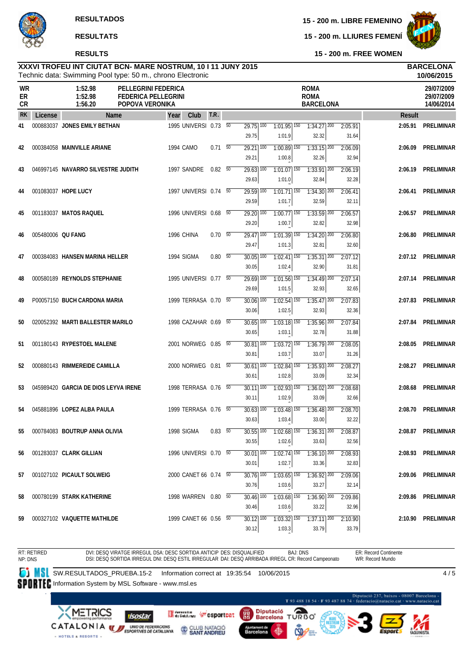# **RESULTS**

**15 - 200 m. LIBRE FEMENINO**

**15 - 200 m. LLIURES FEMENÍ**



**15 - 200 m. FREE WOMEN**

### Technic data: Swimming Pool type: 50 m., chrono Electronic **XXXVI TROFEU INT CIUTAT BCN- MARE NOSTRUM, 10 I 11 JUNY 2015 BARCELONA**

|                       |                   |                                      | Technic data: Swimming Pool type: 50 m., chrono Electronic                  |      |                       |            |                 |                                   |                                           |                                                |                  |         | 10/06/2015                             |
|-----------------------|-------------------|--------------------------------------|-----------------------------------------------------------------------------|------|-----------------------|------------|-----------------|-----------------------------------|-------------------------------------------|------------------------------------------------|------------------|---------|----------------------------------------|
| <b>WR</b><br>ER<br>CR |                   | 1:52.98<br>1:52.98<br>1:56.20        | <b>PELLEGRINI FEDERICA</b><br><b>FEDERICA PELLEGRINI</b><br>POPOVA VERONIKA |      |                       |            |                 |                                   |                                           | <b>ROMA</b><br><b>ROMA</b><br><b>BARCELONA</b> |                  |         | 29/07/2009<br>29/07/2009<br>14/06/2014 |
| <b>RK</b>             | License           |                                      | <b>Name</b>                                                                 | Year | Club                  | T.R.       |                 |                                   |                                           |                                                |                  | Result  |                                        |
| 41                    |                   | 000883037 JONES EMILY BETHAN         |                                                                             |      | 1995 UNIVERSI 0.73 50 |            |                 | $\overline{29.75}$ 100<br>29.75   | $1:01.95$ <sup>150</sup><br>1:01.9        | $1:34.27$ <sup>200</sup><br>32.32              | 2:05.91<br>31.64 | 2:05.91 | <b>PRELIMINAR</b>                      |
| 42                    |                   | 000384058 MAINVILLE ARIANE           |                                                                             |      | 1994 CAMO             | $0.71\ 50$ |                 | $29.21$ 100<br>29.21              | $1:00.89$ 150<br>1:00.8                   | $1:33.15$ <sup>200</sup><br>32.26              | 2:06.09<br>32.94 | 2:06.09 | <b>PRELIMINAR</b>                      |
| 43                    |                   | 046997145 NAVARRO SILVESTRE JUDITH   |                                                                             |      | 1997 SANDRE           | 0.82 50    |                 | $29.63$ <sup>100</sup><br>29.63   | $1:01.07$ <sup>150</sup><br>1:01.0        | $1:33.91$ 200<br>32.84                         | 2:06.19<br>32.28 | 2:06.19 | <b>PRELIMINAR</b>                      |
| 44                    |                   | 001083037 HOPE LUCY                  |                                                                             |      | 1997 UNIVERSI 0.74 50 |            |                 | $29.59$ 100<br>29.59              | $1:01.71$ 150<br>1:01.7                   | $1:34.30$ $200$<br>32.59                       | 2:06.41<br>32.11 | 2:06.41 | <b>PRELIMINAR</b>                      |
| 45                    |                   | 001183037 MATOS RAQUEL               |                                                                             |      | 1996 UNIVERSI 0.68    |            | 50              | $29.20$ 100<br>29.20              | $1:00.77$ 150<br>1:00.7                   | $1:33.59$ <sup>200</sup><br>32.82              | 2:06.57<br>32.98 | 2:06.57 | PRELIMINAR                             |
| 46                    | 005480006 QU FANG |                                      |                                                                             |      | 1996 CHINA            | $0.70\ 50$ |                 | $\overline{29.47}$ 100<br>29.47   | $1:01.39$ <sup>150</sup><br>1:01.3        | $1:34.20$ $200$<br>32.81                       | 2:06.80<br>32.60 | 2:06.80 | <b>PRELIMINAR</b>                      |
| 47                    |                   | 000384083 HANSEN MARINA HELLER       |                                                                             |      | 1994 SIGMA            | 0.80       | $\overline{50}$ | $30.05$ $\overline{100}$<br>30.05 | $1:02.41$ $\overline{150}$<br>1:02.4      | $1:35.31$ $200$<br>32.90                       | 2:07.12<br>31.81 |         | 2:07.12 PRELIMINAR                     |
| 48                    |                   | 000580189 REYNOLDS STEPHANIE         |                                                                             |      | 1995 UNIVERSI 0.77 50 |            |                 | $29.69$ <sup>100</sup><br>29.69   | $1:01.56$ <sup>150</sup><br>1:01.5        | $1:34.49$ <sup>200</sup><br>32.93              | 2:07.14<br>32.65 | 2:07.14 | <b>PRELIMINAR</b>                      |
| 49                    |                   | P00057150 BUCH CARDONA MARIA         |                                                                             |      | 1999 TERRASA 0.70 50  |            |                 | 30.06 100<br>30.06                | $1:02.54$ 150<br>1:02.5                   | $1:35.47$ 200<br>32.93                         | 2:07.83<br>32.36 | 2:07.83 | PRELIMINAR                             |
| 50                    |                   | 020052392 MARTI BALLESTER MARILO     |                                                                             |      | 1998 CAZAHAR 0.69 50  |            |                 | $30.65$ $\overline{100}$<br>30.65 | $1:03.18$ <sup>150</sup><br>1:03.1        | $1:35.96$ <sup>200</sup><br>32.78              | 2:07.84<br>31.88 | 2:07.84 | <b>PRELIMINAR</b>                      |
| 51                    |                   | 001180143 RYPESTOEL MALENE           |                                                                             |      | 2001 NORWEG 0.85 50   |            |                 | $30.81$ $\overline{100}$<br>30.81 | $1:03.72$ $150$<br>1:03.7                 | $1:36.79$ <sup>200</sup><br>33.07              | 2:08.05<br>31.26 | 2:08.05 | <b>PRELIMINAR</b>                      |
| 52                    |                   | 000880143 RIMMEREIDE CAMILLA         |                                                                             |      | 2000 NORWEG 0.81 50   |            |                 | $30.61$ 100<br>30.61              | $1:02.84$ 150<br>1:02.8                   | $1:35.93$ $200$<br>33.09                       | 2:08.27<br>32.34 | 2:08.27 | <b>PRELIMINAR</b>                      |
| 53                    |                   | 045989420 GARCIA DE DIOS LEYVA IRENE |                                                                             |      | 1998 TERRASA 0.76 50  |            |                 | $30.11$ $100$<br>30.11            | $1:02.93$ 150<br>1:02.9                   | $1:36.02$ <sup>200</sup><br>33.09              | 2:08.68<br>32.66 | 2:08.68 | <b>PRELIMINAR</b>                      |
| 54                    |                   | 045881896 LOPEZ ALBA PAULA           |                                                                             |      | 1999 TERRASA 0.76 50  |            |                 | 30.63 100<br>30.63                | $1:03.48$ <sup>150</sup><br>1:03.4        | $1:36.48$ <sup>200</sup><br>33.00              | 2:08.70<br>32.22 | 2:08.70 | <b>PRELIMINAR</b>                      |
| 55                    |                   | 000784083 BOUTRUP ANNA OLIVIA        |                                                                             |      | 1998 SIGMA            | 0.83 50    |                 | $30.55$   100<br>30.55            | $1:02.68$ $150$ $1:36.31$ $200$<br>1:02.6 | 33.63                                          | 2:08.87<br>32.56 |         | 2:08.87 PRELIMINAR                     |
| 56                    |                   | 001283037 CLARK GILLIAN              |                                                                             |      | 1996 UNIVERSI 0.70 50 |            |                 | $30.01$ 100<br>30.01              | $1:02.74$ 150<br>1:02.7                   | $1:36.10$ 200<br>33.36                         | 2:08.93<br>32.83 |         | 2:08.93 PRELIMINAR                     |
| 57                    |                   | 001027102 PICAULT SOLWEIG            |                                                                             |      | 2000 CANET 66 0.74 50 |            |                 | 30.76 100<br>30.76                | $1:03.65$ <sup>150</sup><br>1:03.6        | $1:36.92$ 200<br>33.27                         | 2:09.06<br>32.14 |         | 2:09.06 PRELIMINAR                     |
| 58                    |                   | 000780199 STARK KATHERINE            |                                                                             |      | 1998 WARREN 0.80 50   |            |                 | $30.46$ $\overline{100}$<br>30.46 | $1:03.68$ <sup>150</sup><br>1:03.6        | $1:36.90$ 200<br>33.22                         | 2:09.86<br>32.96 |         | 2:09.86 PRELIMINAR                     |
| 59                    |                   | 000327102 VAQUETTE MATHILDE          |                                                                             |      | 1999 CANET 66 0.56 50 |            |                 | $30.12$ 100<br>30.12              | $1:03.32$ 150<br>1:03.3                   | $1:37.11$ 200<br>33.79                         | 2:10.90<br>33.79 |         | 2:10.90 PRELIMINAR                     |

RT: RETIRED NP: DNS DVI: DESQ VIRATGE IRREGUL DSA: DESC SORTIDA ANTICIP DES: DISQUALIFIED DSI: DESQ SORTIDA IRREGUL DNI: DESQ ESTIL IRREGULAR DAI: DESQ ARRIBADA IRREGL CR: Record Campeonato BAJ: DNS ER: Record Continente WR: Record Mundo  $4/5$ 

**SW.RESULTADOS\_PRUEBA.15-2** Information correct at 19:35:54 10/06/2015

SPORTEC Information System by MSL Software - www.msl.es

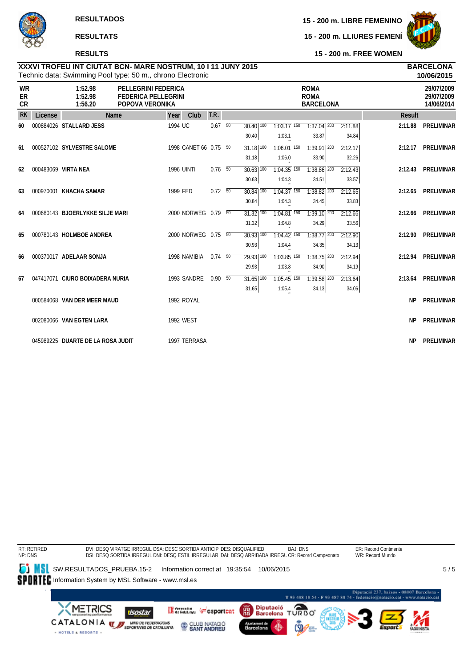# **RESULTS**

**15 - 200 m. LIBRE FEMENINO**

**15 - 200 m. LLIURES FEMENÍ**



**15 - 200 m. FREE WOMEN**

### Technic data: Swimming Pool type: 50 m., chrono Electronic **XXXVI TROFEU INT CIUTAT BCN- MARE NOSTRUM, 10 I 11 JUNY 2015 BARCELONA**

|                              |         | Technic data: Swimming Pool type: 50 m., chrono Electronic |                                                                             |                     |      |                |                 |                          |                          |                                                |         |           | 10/06/2015                             |
|------------------------------|---------|------------------------------------------------------------|-----------------------------------------------------------------------------|---------------------|------|----------------|-----------------|--------------------------|--------------------------|------------------------------------------------|---------|-----------|----------------------------------------|
| <b>WR</b><br>ER<br><b>CR</b> |         | 1:52.98<br>1:52.98<br>1:56.20                              | <b>PELLEGRINI FEDERICA</b><br><b>FEDERICA PELLEGRINI</b><br>POPOVA VERONIKA |                     |      |                |                 |                          |                          | <b>ROMA</b><br><b>ROMA</b><br><b>BARCELONA</b> |         |           | 29/07/2009<br>29/07/2009<br>14/06/2014 |
| <b>RK</b>                    | License | Name                                                       |                                                                             | Year                | Club | T.R.           |                 |                          |                          |                                                |         | Result    |                                        |
| 60                           |         | 000884026 STALLARD JESS                                    |                                                                             | 1994 UC             |      | 0.67           | $\overline{50}$ | $30.40$ $\overline{100}$ | $1:03.17$ 150            | $1:37.04$ <sup>200</sup>                       | 2:11.88 | 2:11.88   | PRELIMINAR                             |
|                              |         |                                                            |                                                                             |                     |      |                |                 | 30.40                    | 1:03.1                   | 33.87                                          | 34.84   |           |                                        |
| 61                           |         | 000527102 SYLVESTRE SALOME                                 |                                                                             | 1998 CANET 66 0.75  |      |                | $\overline{50}$ | $31.18$ $\overline{100}$ | $1:06.01$ <sup>150</sup> | $1:39.91$ 200                                  | 2:12.17 | 2:12.17   | PRELIMINAR                             |
|                              |         |                                                            |                                                                             |                     |      |                |                 | 31.18                    | 1:06.0                   | 33.90                                          | 32.26   |           |                                        |
| 62                           |         | 000483069 VIRTA NEA                                        |                                                                             | <b>1996 UINTI</b>   |      | $0.76$ 50      |                 | $30.63$ $\overline{100}$ | $1:04.35$ <sup>150</sup> | 1:38.86 200                                    | 2:12.43 |           | 2:12.43 PRELIMINAR                     |
|                              |         |                                                            |                                                                             |                     |      |                |                 | 30.63                    | 1:04.3                   | 34.51                                          | 33.57   |           |                                        |
| 63                           |         | 000970001 KHACHA SAMAR                                     |                                                                             | 1999 FED            |      | $0.72\ 50$     |                 | $30.84$ $\overline{100}$ | $1:04.37$ 150            | $1:38.82$ $200$                                | 2:12.65 | 2:12.65   | PRELIMINAR                             |
|                              |         |                                                            |                                                                             |                     |      |                |                 | 30.84                    | 1:04.3                   | 34.45                                          | 33.83   |           |                                        |
| 64                           |         | 000680143 BJOERLYKKE SILJE MARI                            |                                                                             | 2000 NORWEG 0.79 50 |      |                |                 | $31.32$ $100$            | $1:04.81$ <sup>150</sup> | $1:39.10$ $\overline{200}$                     | 2:12.66 | 2:12.66   | PRELIMINAR                             |
|                              |         |                                                            |                                                                             |                     |      |                |                 | 31.32                    | 1:04.8                   | 34.29                                          | 33.56   |           |                                        |
| 65                           |         | 000780143 HOLMBOE ANDREA                                   |                                                                             | 2000 NORWEG 0.75 50 |      |                |                 | $30.93$ $\overline{100}$ | $1:04.42$ 150            | $1:38.77$ <sup>200</sup>                       | 2:12.90 | 2:12.90   | PRELIMINAR                             |
|                              |         |                                                            |                                                                             |                     |      |                |                 | 30.93                    | 1:04.4                   | 34.35                                          | 34.13   |           |                                        |
| 66                           |         | 000370017 ADELAAR SONJA                                    |                                                                             | 1998 NAMIBIA        |      | $0.74\quad 50$ |                 | 29.93 100                | $1:03.85$ <sup>150</sup> | $1:38.75$ <sup>200</sup>                       | 2:12.94 |           | 2:12.94 PRELIMINAR                     |
|                              |         |                                                            |                                                                             |                     |      |                |                 | 29.93                    | 1:03.8                   | 34.90                                          | 34.19   |           |                                        |
| 67                           |         | 047417071 CIURO BOIXADERA NURIA                            |                                                                             | 1993 SANDRE         |      | $0.90\ 50$     |                 | $31.65$ $\overline{100}$ | $1:05.45$ <sup>150</sup> | $1:39.58$ <sup>200</sup>                       | 2:13.64 | 2:13.64   | PRELIMINAR                             |
|                              |         |                                                            |                                                                             |                     |      |                |                 | 31.65                    | 1:05.4                   | 34.13                                          | 34.06   |           |                                        |
|                              |         | 000584068 VAN DER MEER MAUD                                |                                                                             | 1992 ROYAL          |      |                |                 |                          |                          |                                                |         | <b>NP</b> | <b>PRELIMINAR</b>                      |
|                              |         |                                                            |                                                                             |                     |      |                |                 |                          |                          |                                                |         |           |                                        |
|                              |         | 002080066 VAN EGTEN LARA                                   |                                                                             | <b>1992 WEST</b>    |      |                |                 |                          |                          |                                                |         | <b>NP</b> | <b>PRELIMINAR</b>                      |
|                              |         |                                                            |                                                                             |                     |      |                |                 |                          |                          |                                                |         |           |                                        |
|                              |         | 045989225 DUARTE DE LA ROSA JUDIT                          |                                                                             | 1997 TERRASA        |      |                |                 |                          |                          |                                                |         | <b>NP</b> | <b>PRELIMINAR</b>                      |

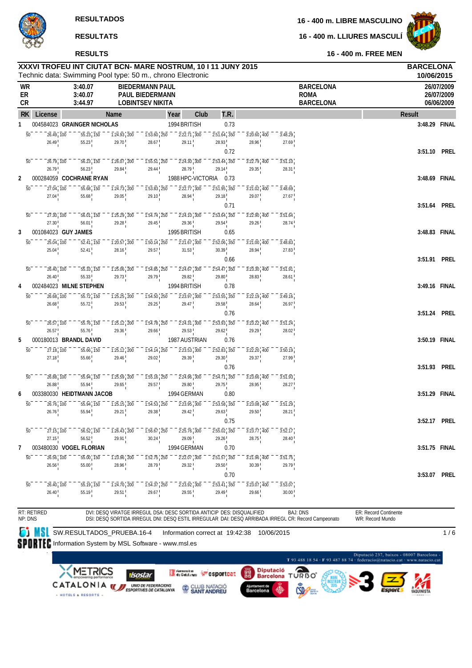**16 - 400 m. LLIURES MASCULÍ**



**RESULTS**

**16 - 400 m. FREE MEN**

|                |                                        | XXXVI TROFEU INT CIUTAT BCN- MARE NOSTRUM, 10 I 11 JUNY 2015<br>Technic data: Swimming Pool type: 50 m., chrono Electronic |                                         |                                                                        |                                                |                                                                                     |                            |                  |                                                                                                     |                       | <b>BARCELONA</b><br>10/06/2015 |                                        |
|----------------|----------------------------------------|----------------------------------------------------------------------------------------------------------------------------|-----------------------------------------|------------------------------------------------------------------------|------------------------------------------------|-------------------------------------------------------------------------------------|----------------------------|------------------|-----------------------------------------------------------------------------------------------------|-----------------------|--------------------------------|----------------------------------------|
| WR<br>ER<br>CR |                                        | 3:40.07<br>3:40.07<br>3:44.97                                                                                              |                                         | <b>BIEDERMANN PAUL</b><br>PAUL BIEDERMANN<br><b>LOBINTSEV NIKITA</b>   |                                                |                                                                                     |                            |                  | <b>BARCELONA</b><br><b>ROMA</b><br><b>BARCELONA</b>                                                 |                       |                                | 26/07/2009<br>26/07/2009<br>06/06/2009 |
| <b>RK</b>      | License                                |                                                                                                                            | Name                                    | Year                                                                   | Club                                           | T.R.                                                                                |                            |                  |                                                                                                     | Result                |                                |                                        |
| 1              |                                        | 004584023 GRAINGER NICHOLAS                                                                                                |                                         |                                                                        | 1994 BRITISH                                   | 0.73                                                                                |                            |                  |                                                                                                     |                       | 3:48.29 FINAL                  |                                        |
|                | $\overline{50}$<br>26.49, 100          | 55.23, 150                                                                                                                 | $\overline{1:24.93}$ , 200              | $\overline{1:}5\overline{3}.60$ , $\overline{250}$                     | $2:22.71$ 300                                  | $2:51.64$ , 350                                                                     | $3:20.60$ 400              | 3:48.29          |                                                                                                     |                       |                                |                                        |
|                | 26.49                                  | 55.23                                                                                                                      | 29.70                                   | 28.67                                                                  | 29.11                                          | 28.93                                                                               | 28.96                      | 27.69            |                                                                                                     |                       |                                |                                        |
|                |                                        |                                                                                                                            |                                         |                                                                        |                                                | 0.72                                                                                |                            |                  |                                                                                                     |                       | 3:51.10 PREL                   |                                        |
|                | $\overline{50}$<br>26.79, 100          | 56.23, 150                                                                                                                 | $1:26.07$ , 200                         | $1:55.51$ , 250                                                        | $2:24.30$ 300                                  | $\overline{2:}5\overline{3}.\overline{4}\overline{4}$ , $\overline{3}5\overline{0}$ | $3:22.79$ , 400            | 3:51.10          |                                                                                                     |                       |                                |                                        |
|                | 26.79                                  | 56.23                                                                                                                      | 29.84                                   | 29.44                                                                  | 28.79                                          | 29.14                                                                               | 29.35                      | 28.31            |                                                                                                     |                       |                                |                                        |
| 2              |                                        | 000284059 COCHRANE RYAN                                                                                                    |                                         |                                                                        | 1988 HPC-VICTORIA                              | 0.73                                                                                |                            |                  |                                                                                                     |                       | 3:48.69 FINAL                  |                                        |
|                | 27.04, 100<br>50                       | 55.68, 150                                                                                                                 | $\overline{1:24.73}$ , 200              | $\overline{1:}5\overline{3.83}$ , 250                                  | $2:22.77$ 300                                  | $2:51.95$ , 350                                                                     | 3:21.02 400                | 3:48.69          |                                                                                                     |                       |                                |                                        |
|                | 27.04                                  | 55.68                                                                                                                      | 29.05                                   | 29.10                                                                  | 28.94                                          | 29.18<br>0.71                                                                       | 29.07                      | 27.67            |                                                                                                     |                       | 3:51.64 PREL                   |                                        |
|                | $\overline{50}$<br>27.30, 100          | 56.01, 150                                                                                                                 | $1:25.29$ , 200                         |                                                                        |                                                |                                                                                     | $3:22.90$ , 400            | 3:51.64          |                                                                                                     |                       |                                |                                        |
|                | 27.30                                  | 56.01                                                                                                                      | 29.28                                   | $1:54.74$ , 250<br>29.45                                               | $2:24.10$ 300<br>29.36                         | $2:53.64$ , 350<br>29.54                                                            | 29.26                      | 28.74            |                                                                                                     |                       |                                |                                        |
| 3              |                                        | 001084023 GUY JAMES                                                                                                        |                                         |                                                                        | 1995 BRITISH                                   | 0.65                                                                                |                            |                  |                                                                                                     |                       | 3:48.83 FINAL                  |                                        |
|                | $\overline{50}$<br>25.04, 100          | 52.41, 150                                                                                                                 | $1:20.57$ , 200                         | $1:50.14$ <sub>1</sub> 250                                             | $\overline{2:}2\overline{1}.\overline{67}$ 300 | $2:52.06$ , $350$                                                                   | 3:21.00 400                | 3:48.83          |                                                                                                     |                       |                                |                                        |
|                | 25.04                                  | 52.41                                                                                                                      | 28.16                                   | 29.57                                                                  | 31.53                                          | 30.39                                                                               | 28.94                      | 27.83            |                                                                                                     |                       |                                |                                        |
|                |                                        |                                                                                                                            |                                         |                                                                        |                                                | 0.66                                                                                |                            |                  |                                                                                                     |                       | 3:51.91 PREL                   |                                        |
|                | $\overline{50}$<br>26.40, 100          | $55.\overline{33}$ , $\overline{150}$                                                                                      | $1:25.06$ , 200                         | $1:54.85$ , 250                                                        | $2:24.67$ 300                                  | $2:54.47$ , 350                                                                     | $3:23.30$ 400              | 3:51.91          |                                                                                                     |                       |                                |                                        |
|                | 26.40                                  | 55.33                                                                                                                      | 29.73                                   | 29.79                                                                  | 29.82                                          | 29.80                                                                               | 28.83                      | 28.61            |                                                                                                     |                       |                                |                                        |
| 4              |                                        | 002484023 MILNE STEPHEN                                                                                                    |                                         |                                                                        | 1994 BRITISH                                   | 0.78                                                                                |                            |                  |                                                                                                     |                       | 3:49.16 FINAL                  |                                        |
|                | $\overline{50}$<br>26.68, 100          | $\overline{55.72}$ , $\overline{150}$                                                                                      | $1:25.25$ , 200                         | $1:54.50$ , 250                                                        | $2:23.97$ 300                                  | $2:53.55$ , 350                                                                     | $3:22.19$ 400              | 3:49.16          |                                                                                                     |                       |                                |                                        |
|                | 26.68                                  | 55.72                                                                                                                      | 29.53 <sup>1</sup>                      | 29.25                                                                  | 29.47                                          | 29.58                                                                               | 28.64                      | 26.97            |                                                                                                     |                       |                                |                                        |
|                |                                        |                                                                                                                            |                                         |                                                                        |                                                | 0.76                                                                                |                            |                  |                                                                                                     |                       | 3:51.24 PREL                   |                                        |
|                | $\overline{50}$<br>26.57, 100          | 55.76, 150<br>55.76                                                                                                        | $1:25.12$ , 200<br>29.36                | $1:54.78$ , 250<br>29.66                                               | $2:24.31$ 300<br>29.53                         | $2:53.93$ , 350<br>29.62                                                            | $3:23.22$ 400<br>29.29     | 3:51.24<br>28.02 |                                                                                                     |                       |                                |                                        |
| 5              | 26.57                                  | 000180013 BRANDL DAVID                                                                                                     |                                         |                                                                        | 1987 AUSTRIAN                                  | 0.76                                                                                |                            |                  |                                                                                                     |                       | 3:50.19 FINAL                  |                                        |
|                | 27.18, 100<br>$\overline{50}$          | 55.66, 150                                                                                                                 | $1:25.12$ , 200                         | $\overline{1:}5\overline{4}.\overline{14}$ , $\overline{250}$          | $2:23.53$ , $300$                              | $2:52.83$ <sub>1</sub> 350                                                          | $3:22.20$ 400              | 3:50.19          |                                                                                                     |                       |                                |                                        |
|                | 27.18                                  | 55.66                                                                                                                      | 29.46                                   | 29.02                                                                  | 29.39                                          | 29.30                                                                               | 29.37                      | 27.99            |                                                                                                     |                       |                                |                                        |
|                |                                        |                                                                                                                            |                                         |                                                                        |                                                | 0.76                                                                                |                            |                  |                                                                                                     |                       | 3:51.93 PREL                   |                                        |
|                | $\overline{50}$<br>26.88, 100          | 55.94, 150                                                                                                                 | $1:25.59$ , 200                         | $\overline{1:}5\overline{5}.16$ , $\overline{250}$                     | 2:24.96 300                                    | $2:54.71$ , 350                                                                     | 3:23.66 400                | 3:51.93          |                                                                                                     |                       |                                |                                        |
|                | 26.88                                  | 55.94                                                                                                                      | 29.65                                   | 29.57                                                                  | 29.80                                          | 29.75                                                                               | 28.95                      | 28.27            |                                                                                                     |                       |                                |                                        |
| 6              |                                        | 003380030 HEIDTMANN JACOB                                                                                                  |                                         |                                                                        | 1994 GERMAN                                    | 0.80                                                                                |                            |                  |                                                                                                     |                       | 3:51.29 FINAL                  |                                        |
|                | $\overline{50}$<br>26.76, 100          | 55.94, 150                                                                                                                 | $1:25.15$ , 200                         | $\overline{1:}5\overline{4.53}$ , 250                                  | $2:23.95$ , $300$                              | $2:53.58$ , $350$                                                                   | $3:23.08$ 400              | 3:51.29          |                                                                                                     |                       |                                |                                        |
|                | 26.76                                  | 55.94                                                                                                                      | 29.21                                   | 29.38                                                                  | 29.42                                          | 29.63                                                                               | 29.50                      | 28.21            |                                                                                                     |                       |                                |                                        |
|                |                                        |                                                                                                                            |                                         |                                                                        |                                                | 0.75                                                                                |                            |                  |                                                                                                     |                       | 3:52.17 PREL                   |                                        |
|                | 50<br>$27.15$ <sub>1</sub> 100         | 56.52, 150                                                                                                                 | $\overline{1:26.43}$ , 200              | $1:56.67$ <sup>1</sup> 250                                             | $2:25.\overline{76}$ 300                       | $2:55.02$ , $350$                                                                   | $3:23.77$ 400              | 3:52.17          |                                                                                                     |                       |                                |                                        |
|                | 27.15                                  | 56.52                                                                                                                      | 29.91                                   | 30.24                                                                  | 29.09                                          | 29.26                                                                               | 28.75                      | 28.40            |                                                                                                     |                       |                                |                                        |
| 7              |                                        | 003480030 VOGEL FLORIAN                                                                                                    |                                         |                                                                        | 1994 GERMAN                                    | 0.70                                                                                |                            |                  |                                                                                                     |                       | 3:51.75 FINAL                  |                                        |
|                | 26.56, 100<br>$\overline{50}$<br>26.56 | 55.00, 150<br>$55.00^{+}$                                                                                                  | $1:23.96$ , 200<br>28.96                | $\overline{1:}5\overline{2}.\overline{75}$ , $\overline{250}$<br>28.79 | $2:22.07$ , $300$<br>29.32                     | $2:57.57$ , $350$<br>29.50                                                          | $3:21.96$ , $400$<br>30.39 | 3:51.75<br>29.79 |                                                                                                     |                       |                                |                                        |
|                |                                        |                                                                                                                            |                                         |                                                                        |                                                | 0.70                                                                                |                            |                  |                                                                                                     |                       | 3:53.07                        | PREL                                   |
|                | $\overline{50}$<br>26.40, 100          | 55.19, 150                                                                                                                 | $\overline{1:24.70}$ , $\overline{200}$ | $\overline{1:}5\overline{4.37}$ , 250                                  | $2:23.92$ , $300$                              | $\overline{2:}5\overline{3}.\overline{41}$ , $\overline{350}$                       | $3:23.07$ 400              | 3:53.07          |                                                                                                     |                       |                                |                                        |
|                | 26.40                                  | 55.19                                                                                                                      | 29.51                                   | 29.67                                                                  | 29.55                                          | 29.49                                                                               | 29.66                      | 30.00            |                                                                                                     |                       |                                |                                        |
|                |                                        |                                                                                                                            |                                         |                                                                        |                                                |                                                                                     |                            |                  |                                                                                                     |                       |                                |                                        |
|                | RT: RETIRED                            |                                                                                                                            |                                         | DVI: DESQ VIRATGE IRREGUL DSA: DESC SORTIDA ANTICIP DES: DISQUALIFIED  |                                                |                                                                                     |                            |                  | <b>BAJ: DNS</b>                                                                                     | ER: Record Continente |                                |                                        |
|                | NP: DNS                                |                                                                                                                            |                                         |                                                                        |                                                |                                                                                     |                            |                  | DSI: DESQ SORTIDA IRREGUL DNI: DESQ ESTIL IRREGULAR DAI: DESQ ARRIBADA IRREGL CR: Record Campeonato | WR: Record Mundo      |                                |                                        |

SW.RESULTADOS\_PRUEBA.16-4 Information correct at 19:42:38 10/06/2015

1 / 6

SPORTEC Information System by MSL Software - www.msl.es

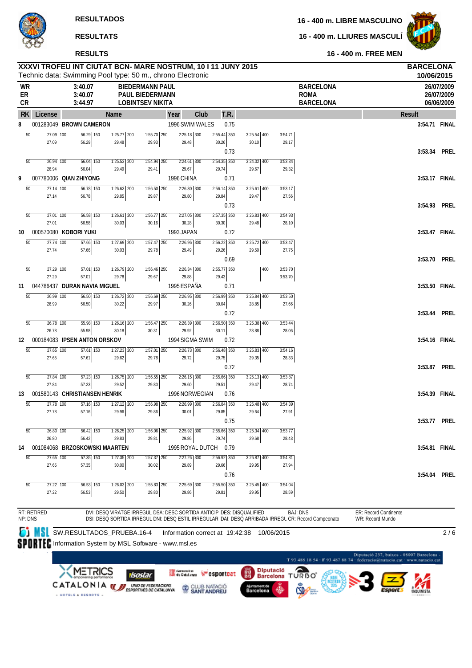**16 - 400 m. FREE MEN**

**16 - 400 m. LLIURES MASCULÍ**



**RESULTS**

|                       | XXXVI TROFEU INT CIUTAT BCN- MARE NOSTRUM, 10 I 11 JUNY 2015<br>Technic data: Swimming Pool type: 50 m., chrono Electronic |                                              |                                   |                                                                       |                        |      |                        |                  |                                 |      |                        |     |                  |                                                                                                                        |                                           | <b>BARCELONA</b><br>10/06/2015 |                                        |
|-----------------------|----------------------------------------------------------------------------------------------------------------------------|----------------------------------------------|-----------------------------------|-----------------------------------------------------------------------|------------------------|------|------------------------|------------------|---------------------------------|------|------------------------|-----|------------------|------------------------------------------------------------------------------------------------------------------------|-------------------------------------------|--------------------------------|----------------------------------------|
| WR<br>ER<br>CR        |                                                                                                                            | 3:40.07<br>3:40.07<br>3:44.97                |                                   | <b>BIEDERMANN PAUL</b><br>PAUL BIEDERMANN<br><b>LOBINTSEV NIKITA</b>  |                        |      |                        |                  |                                 |      |                        |     |                  | <b>BARCELONA</b><br><b>ROMA</b><br><b>BARCELONA</b>                                                                    |                                           |                                | 26/07/2009<br>26/07/2009<br>06/06/2009 |
| <b>RK</b>             | License                                                                                                                    |                                              | <b>Name</b>                       |                                                                       |                        | Year |                        | Club             |                                 | T.R. |                        |     |                  |                                                                                                                        | <b>Result</b>                             |                                |                                        |
| 8                     | 001283049 BROWN CAMERON                                                                                                    |                                              |                                   |                                                                       |                        |      |                        | 1996 SWIM WALES  |                                 | 0.75 |                        |     |                  |                                                                                                                        |                                           | 3:54.71 FINAL                  |                                        |
| 50                    | 27.09 100                                                                                                                  | $56.29$ 150                                  | $1:25.77$ 200                     |                                                                       | $1:55.70$ 250          |      | $2:25.18$ 300          |                  | $2:55.44$ 350                   |      | $3:25.54$ 400          |     | 3:54.71          |                                                                                                                        |                                           |                                |                                        |
|                       | 27.09                                                                                                                      | 56.29                                        | 29.48                             |                                                                       | 29.93                  |      | 29.48                  |                  | 30.26                           |      | 30.10                  |     | 29.17            |                                                                                                                        |                                           |                                |                                        |
|                       |                                                                                                                            |                                              |                                   |                                                                       |                        |      |                        |                  |                                 | 0.73 |                        |     |                  |                                                                                                                        |                                           | 3:53.34 PREL                   |                                        |
| $\overline{50}$       | $\overline{26.94}$ 100<br>26.94                                                                                            | $\overline{56.04}$ 150<br>56.04              | $7:25.53$ 200                     |                                                                       | $7:54.94$ 250<br>29.41 |      | $2:24.61$ 300          |                  | $2:54.35$ 350<br>29.74          |      | $3:24.02$ 400          |     | 3:53.34<br>29.32 |                                                                                                                        |                                           |                                |                                        |
| 9                     | 007780006 QIAN ZHIYONG                                                                                                     |                                              | 29.49                             |                                                                       |                        |      | 29.67<br>1996 CHINA    |                  |                                 | 0.71 | 29.67                  |     |                  |                                                                                                                        |                                           | 3:53.17 FINAL                  |                                        |
| $\overline{50}$       | $27.14$ 100                                                                                                                | $56.78$ 150                                  | $1:26.63$ 200                     |                                                                       | 1:56.50 250            |      | $2:26.30$ 300          |                  | 2:56.14 350                     |      | $3:25.61$ 400          |     | 3:53.17          |                                                                                                                        |                                           |                                |                                        |
|                       | 27.14                                                                                                                      | 56.78                                        | 29.85                             |                                                                       | 29.87                  |      | 29.80                  |                  | 29.84                           |      | 29.47                  |     | 27.56            |                                                                                                                        |                                           |                                |                                        |
|                       |                                                                                                                            |                                              |                                   |                                                                       |                        |      |                        |                  |                                 | 0.73 |                        |     |                  |                                                                                                                        |                                           | 3:54.93 PREL                   |                                        |
| $\overline{50}$       | $27.01$ 100                                                                                                                | $56.58$ 150                                  | $1:26.61$ 200                     |                                                                       | $1:56.77$ 250          |      | $2:27.05$ 300          |                  | $2:57.35$ 350                   |      | $3:26.83$ 400          |     | 3:54.93          |                                                                                                                        |                                           |                                |                                        |
|                       | 27.01                                                                                                                      | 56.58                                        | 30.03                             |                                                                       | 30.16                  |      | 30.28                  |                  | 30.30                           |      | 29.48                  |     | 28.10            |                                                                                                                        |                                           |                                |                                        |
| 10                    | 000570080 KOBORI YUKI                                                                                                      |                                              |                                   |                                                                       |                        |      | 1993 JAPAN             |                  |                                 | 0.72 |                        |     |                  |                                                                                                                        |                                           | 3:53.47 FINAL                  |                                        |
| $\overline{50}$       | $\overline{27.74}$ 100                                                                                                     | $57.66$ 150                                  | $1:27.69$ 200                     |                                                                       | $1:57.47$ 250          |      | $2:26.96$ 300          |                  | $2:56.22$ 350                   |      | $3:25.72$ 400          |     | 3:53.47          |                                                                                                                        |                                           |                                |                                        |
|                       | 27.74                                                                                                                      | 57.66                                        | 30.03                             |                                                                       | 29.78                  |      | 29.49                  |                  | 29.26                           |      | 29.50                  |     | 27.75            |                                                                                                                        |                                           |                                |                                        |
|                       |                                                                                                                            |                                              |                                   |                                                                       |                        |      |                        |                  |                                 | 0.69 |                        |     |                  |                                                                                                                        |                                           | 3:53.70 PREL                   |                                        |
| 50                    | 27.29 100                                                                                                                  | $57.01$ 150                                  | $1:26.79$ 200                     |                                                                       | $1:56.46$ 250          |      | $2:26.34$ 300          |                  | $2:55.77$ 350                   |      |                        | 400 | 3:53.70          |                                                                                                                        |                                           |                                |                                        |
|                       | 27.29<br>044786437 DURAN NAVIA MIGUEL                                                                                      | 57.01                                        | 29.78                             |                                                                       | 29.67                  |      | 29.88<br>1995 ESPAÑA   |                  | 29.43                           |      |                        |     | 3:53.70          |                                                                                                                        |                                           | 3:53.50 FINAL                  |                                        |
| 11<br>$\overline{50}$ | $26.99$ $\overline{100}$                                                                                                   | $56.50$ 150                                  | $1:26.72$ 200                     |                                                                       |                        |      |                        |                  |                                 | 0.71 | $3:25.84$ 400          |     |                  |                                                                                                                        |                                           |                                |                                        |
|                       | 26.99                                                                                                                      | 56.50                                        | 30.22                             |                                                                       | 1:56.69 250<br>29.97   |      | 2:26.95 300<br>30.26   |                  | 2:56.99 350<br>30.04            |      | 28.85                  |     | 3:53.50<br>27.66 |                                                                                                                        |                                           |                                |                                        |
|                       |                                                                                                                            |                                              |                                   |                                                                       |                        |      |                        |                  |                                 | 0.72 |                        |     |                  |                                                                                                                        |                                           | 3:53.44 PREL                   |                                        |
| 50                    | $26.78$ 100                                                                                                                | $55.98$ 150                                  | $1:26.16$ 200                     |                                                                       | $1:56.47$ 250          |      | $2:26.39$ 300          |                  | $2:56.50$ 350                   |      | $3:25.38$ 400          |     | 3:53.44          |                                                                                                                        |                                           |                                |                                        |
|                       | 26.78                                                                                                                      | 55.98                                        | 30.18                             |                                                                       | 30.31                  |      | 29.92                  |                  | 30.11                           |      | 28.88                  |     | 28.06            |                                                                                                                        |                                           |                                |                                        |
| 12                    | 000184083 IPSEN ANTON ORSKOV                                                                                               |                                              |                                   |                                                                       |                        |      |                        | 1994 SIGMA SWIM  |                                 | 0.72 |                        |     |                  |                                                                                                                        |                                           | 3:54.16 FINAL                  |                                        |
| $\overline{50}$       | 27.65 100                                                                                                                  | $57.61$ 150                                  | $1:27.23$ 200                     |                                                                       | $1:57.01$ 250          |      | $2:26.73$ 300          |                  | 2:56.48 350                     |      | $3:25.83$ 400          |     | 3:54.16          |                                                                                                                        |                                           |                                |                                        |
|                       | 27.65                                                                                                                      | 57.61                                        | 29.62                             |                                                                       | 29.78                  |      | 29.72                  |                  | 29.75                           |      | 29.35                  |     | 28.33            |                                                                                                                        |                                           |                                |                                        |
|                       |                                                                                                                            |                                              |                                   |                                                                       |                        |      |                        |                  |                                 | 0.72 |                        |     |                  |                                                                                                                        |                                           | 3:53.87 PREL                   |                                        |
| 50                    | 27.84 100                                                                                                                  | $57.23$ 150                                  | $1:26.75$ 200                     |                                                                       | $1:56.55$ 250          |      | $2:26.15$ 300          |                  | $2:55.66$ 350                   |      | $3:25.13$ 400          |     | 3:53.87          |                                                                                                                        |                                           |                                |                                        |
|                       | 27.84                                                                                                                      | 57.23                                        | 29.52                             |                                                                       | 29.80                  |      | 29.60                  |                  | 29.51                           |      | 29.47                  |     | 28.74            |                                                                                                                        |                                           |                                |                                        |
| 13                    | 001580143 CHRISTIANSEN HENRIK                                                                                              |                                              |                                   |                                                                       |                        |      |                        | 1996 NORWEGIAN   |                                 | 0.76 |                        |     |                  |                                                                                                                        |                                           | 3:54.39 FINAL                  |                                        |
| $\overline{50}$       | 27.78 100<br>27.78                                                                                                         | $\overline{57.16}$ $\overline{150}$<br>57.16 | $\overline{1:27.12}$ 200<br>29.96 |                                                                       | 1:56.98 250<br>29.86   |      | $2:26.99$ 300<br>30.01 |                  | $2:56.84$ 350<br>29.85          |      | $3:26.48$ 400<br>29.64 |     | 3:54.39<br>27.91 |                                                                                                                        |                                           |                                |                                        |
|                       |                                                                                                                            |                                              |                                   |                                                                       |                        |      |                        |                  |                                 | 0.75 |                        |     |                  |                                                                                                                        |                                           | 3:53.77 PREL                   |                                        |
| 50                    | 26.80 100                                                                                                                  | 56.42 150                                    | $1:26.25$ 200                     |                                                                       | 1:56.06 250            |      | 2:25.92 300            |                  | 2:55.66 350                     |      | $3:25.34$ 400          |     | 3:53.77          |                                                                                                                        |                                           |                                |                                        |
|                       | 26.80                                                                                                                      | 56.42                                        | 29.83                             |                                                                       | 29.81                  |      | 29.86                  |                  | 29.74                           |      | 29.68                  |     | 28.43            |                                                                                                                        |                                           |                                |                                        |
| 14                    | 001084068 BRZOSKOWSKI MAARTEN                                                                                              |                                              |                                   |                                                                       |                        |      |                        | 1995 ROYAL DUTCH |                                 | 0.79 |                        |     |                  |                                                                                                                        |                                           | 3:54.81 FINAL                  |                                        |
| $\overline{50}$       | $27.65$ $\overline{100}$                                                                                                   | $57.35$ $\overline{150}$                     | $1:27.35$ 200                     |                                                                       | $1:57.37$ 250          |      | $2:27.26$ 300          |                  | 2:56.92 350                     |      | $3:26.87$ 400          |     | 3:54.81          |                                                                                                                        |                                           |                                |                                        |
|                       | 27.65                                                                                                                      | 57.35                                        | 30.00                             |                                                                       | 30.02                  |      | 29.89                  |                  | 29.66                           |      | 29.95                  |     | 27.94            |                                                                                                                        |                                           |                                |                                        |
|                       |                                                                                                                            |                                              |                                   |                                                                       |                        |      |                        |                  |                                 | 0.76 |                        |     |                  |                                                                                                                        |                                           | 3:54.04 PREL                   |                                        |
| 50                    | 27.22 100                                                                                                                  | 56.53 150                                    | $1:26.03$ 200                     |                                                                       | 1:55.83 250            |      | 2:25.69 300            |                  | $2:55.50$ 350                   |      | $3:25.45$ 400          |     | 3:54.04          |                                                                                                                        |                                           |                                |                                        |
|                       | 27.22                                                                                                                      | 56.53                                        | 29.50                             |                                                                       | 29.80                  |      | 29.86                  |                  | 29.81                           |      | 29.95                  |     | 28.59            |                                                                                                                        |                                           |                                |                                        |
|                       |                                                                                                                            |                                              |                                   |                                                                       |                        |      |                        |                  |                                 |      |                        |     |                  |                                                                                                                        |                                           |                                |                                        |
| NP: DNS               | RT: RETIRED                                                                                                                |                                              |                                   | DVI: DESQ VIRATGE IRREGUL DSA: DESC SORTIDA ANTICIP DES: DISQUALIFIED |                        |      |                        |                  |                                 |      |                        |     |                  | <b>BAJ: DNS</b><br>DSI: DESQ SORTIDA IRREGUL DNI: DESQ ESTIL IRREGULAR DAI: DESQ ARRIBADA IRREGL CR: Record Campeonato | ER: Record Continente<br>WR: Record Mundo |                                |                                        |
|                       |                                                                                                                            |                                              |                                   |                                                                       |                        |      |                        |                  |                                 |      |                        |     |                  |                                                                                                                        |                                           |                                |                                        |
|                       |                                                                                                                            |                                              |                                   | SW.RESULTADOS_PRUEBA.16-4                                             |                        |      |                        |                  | Information correct at 19:42:38 |      |                        |     | 10/06/2015       |                                                                                                                        |                                           |                                | 2/6                                    |

SPORTEC Information System by MSL Software - www.msl.es

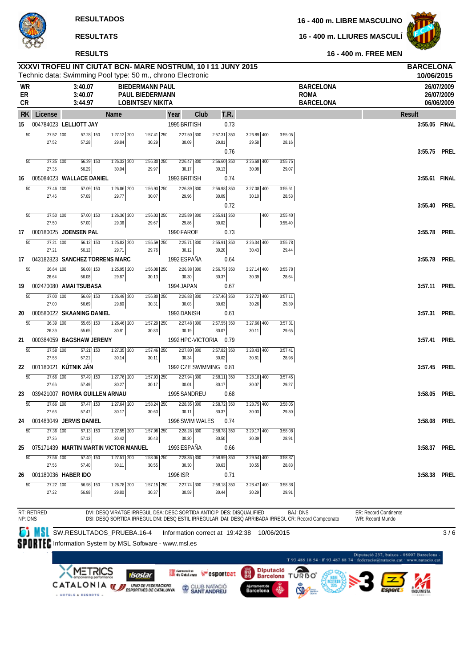**16 - 400 m. LLIURES MASCULÍ**



**RESULTS**

| WR<br>ER<br><b>CR</b> |                          | 3:40.07<br>3:40.07<br>3:44.97       |                                                      | XXXVI TROFEU INT CIUTAT BCN- MARE NOSTRUM, 10 I 11 JUNY 2015<br>Technic data: Swimming Pool type: 50 m., chrono Electronic<br><b>BIEDERMANN PAUL</b><br><b>PAUL BIEDERMANN</b><br><b>LOBINTSEV NIKITA</b> |                                 |               |                        |                        |                | <b>BARCELONA</b><br><b>ROMA</b><br><b>BARCELONA</b>                                                 |                              | <b>BARCELONA</b><br>10/06/2015<br>26/07/2009<br>26/07/2009<br>06/06/2009 |
|-----------------------|--------------------------|-------------------------------------|------------------------------------------------------|-----------------------------------------------------------------------------------------------------------------------------------------------------------------------------------------------------------|---------------------------------|---------------|------------------------|------------------------|----------------|-----------------------------------------------------------------------------------------------------|------------------------------|--------------------------------------------------------------------------|
| <b>RK</b>             | License                  |                                     | Name                                                 |                                                                                                                                                                                                           | Year                            | Club          | T.R.                   |                        |                |                                                                                                     | <b>Result</b>                |                                                                          |
| 15                    |                          | 004784023 LELLIOTT JAY              |                                                      |                                                                                                                                                                                                           | 1995 BRITISH                    |               | 0.73                   |                        |                |                                                                                                     |                              | 3:55.05 FINAL                                                            |
| 50                    | $27.52$ 100              |                                     | $57.28$ 150<br>$1:27.12$ 200                         | $1:57.41$ 250                                                                                                                                                                                             |                                 | 2:27.50 300   | $2:57.31$ 350          | $3:26.89$ 400          | 3:55.05        |                                                                                                     |                              |                                                                          |
|                       | 27.52                    | 57.28                               | 29.84                                                | 30.29                                                                                                                                                                                                     | 30.09                           |               | 29.81<br>0.76          | 29.58                  |                | 28.16                                                                                               |                              | 3:55.75 PREL                                                             |
| $\overline{50}$       | 27.35 100                |                                     | $56.29$ 150<br>$\overline{1:26.33}$ $\overline{200}$ | 1:56.30 250                                                                                                                                                                                               |                                 | $2:26.47$ 300 | 2:56.60 350            | $3:26.68$ 400          | 3:55.75        |                                                                                                     |                              |                                                                          |
|                       | 27.35                    | 56.29                               | 30.04                                                | 29.97                                                                                                                                                                                                     | 30.17                           |               | 30.13                  | 30.08                  |                | 29.07                                                                                               |                              |                                                                          |
| 16                    |                          | 005084023 WALLACE DANIEL            |                                                      |                                                                                                                                                                                                           | 1993 BRITISH                    |               | 0.74                   |                        |                |                                                                                                     |                              | 3:55.61 FINAL                                                            |
| $\overline{50}$       | 27.46 100<br>27.46       | 57.09                               | 57.09 150<br>1:26.86 200<br>29.77                    | 1:56.93 250<br>30.07                                                                                                                                                                                      | 29.96                           | 2:26.89 300   | $2:56.98$ 350<br>30.09 | 3:27.08 400<br>30.10   | 3:55.61        | 28.53                                                                                               |                              |                                                                          |
|                       |                          |                                     |                                                      |                                                                                                                                                                                                           |                                 |               | 0.72                   |                        |                |                                                                                                     |                              | 3:55.40 PREL                                                             |
| $\overline{50}$       | $27.50$ $\overline{100}$ |                                     | 57.00 150<br>$1:26.36$ 200                           | $1:56.03$ 250                                                                                                                                                                                             |                                 | 2:25.89 300   | 2:55.91 350            |                        | 400<br>3:55.40 |                                                                                                     |                              |                                                                          |
|                       | 27.50                    | 57.00                               | 29.36                                                | 29.67                                                                                                                                                                                                     | 29.86                           |               | 30.02                  |                        | 3:55.40        |                                                                                                     |                              |                                                                          |
| 17<br>50              | 27.21 100                | 000180025 JOENSEN PAL               | $56.12$ 150<br>1:25.83 200                           | 1:55.59 250                                                                                                                                                                                               | 1990 FAROE                      | $2:25.71$ 300 | 0.73<br>$2:55.91$ 350  | $3:26.34$ 400          | 3:55.78        |                                                                                                     |                              | 3:55.78 PREL                                                             |
|                       | 27.21                    | 56.12                               | 29.71                                                | 29.76                                                                                                                                                                                                     | 30.12                           |               | 30.20                  | 30.43                  |                | 29.44                                                                                               |                              |                                                                          |
| 17                    |                          |                                     | 043182823 SANCHEZ TORRENS MARC                       |                                                                                                                                                                                                           | 1992 ESPAÑA                     |               | 0.64                   |                        |                |                                                                                                     |                              | 3:55.78 PREL                                                             |
| $\overline{50}$       | $\overline{26.64}$ 100   |                                     | $56.08$ 150<br>$1:25.95$ 200                         | $1:56.08$ 250                                                                                                                                                                                             |                                 | $2:26.38$ 300 | $2:56.75$ 350          | $3:27.14$ 400          | 3:55.78        |                                                                                                     |                              |                                                                          |
| 19                    | 26.64                    | 56.08<br>002470080 AMAI TSUBASA     | 29.87                                                | 30.13                                                                                                                                                                                                     | 30.30<br>1994 JAPAN             |               | 30.37<br>0.67          | 30.39                  |                | 28.64                                                                                               |                              | 3:57.11 PREL                                                             |
| 50                    | 27.00 100                |                                     | 56.69 150<br>$1:26.49$ 200                           | 1:56.80 250                                                                                                                                                                                               |                                 | 2:26.83 300   | 2:57.46 350            | $3:27.72$ 400          | 3:57.11        |                                                                                                     |                              |                                                                          |
|                       | 27.00                    | 56.69                               | 29.80                                                | 30.31                                                                                                                                                                                                     | 30.03                           |               | 30.63                  | 30.26                  |                | 29.39                                                                                               |                              |                                                                          |
| 20                    |                          | 000580022 SKAANING DANIEL           |                                                      |                                                                                                                                                                                                           | 1993 DANISH                     |               | 0.61                   |                        |                |                                                                                                     |                              | 3:57.31 PREL                                                             |
| 50                    | 26.39 100<br>26.39       | 55.65                               | $55.65$ 150<br>$1:26.46$ 200<br>30.81                | 1:57.29 250<br>30.83                                                                                                                                                                                      | 30.19                           | 2:27.48 300   | 2:57.55 350<br>30.07   | $3:27.66$ 400<br>30.11 | 3:57.31        | 29.65                                                                                               |                              |                                                                          |
| 21                    |                          | 000384059 BAGSHAW JEREMY            |                                                      |                                                                                                                                                                                                           | 1992 HPC-VICTORIA               |               | 0.79                   |                        |                |                                                                                                     |                              | 3:57.41 PREL                                                             |
| $\overline{50}$       | 27.58 100                |                                     | $57.21$ 150<br>$1:27.35$ 200                         | 1:57.46 250                                                                                                                                                                                               |                                 | $2:27.80$ 300 | 2:57.82 350            | $3:28.43$ 400          | 3:57.41        |                                                                                                     |                              |                                                                          |
|                       | 27.58                    | 57.21                               | 30.14                                                | 30.11                                                                                                                                                                                                     | 30.34                           |               | 30.02                  | 30.61                  |                | 28.98                                                                                               |                              |                                                                          |
| 22                    | 001180021                | KÚTNIK JÁN                          |                                                      |                                                                                                                                                                                                           |                                 |               | 1992 CZE SWIMMING 0.81 |                        |                |                                                                                                     |                              | 3:57.45 PREL                                                             |
| $\overline{50}$       | 27.66 100<br>27.66       | 57.49                               | $57.49$ 150<br>$1:27.76$ 200<br>30.27                | 1:57.93 250<br>30.17                                                                                                                                                                                      | 30.01                           | 2:27.94 300   | $2:58.11$ 350<br>30.17 | 3:28.18 400<br>30.07   | 3:57.45        | 29.27                                                                                               |                              |                                                                          |
| 23                    |                          |                                     | 039421007 ROVIRA GUILLEN ARNAU                       |                                                                                                                                                                                                           | 1995 SANDREU                    |               | 0.68                   |                        |                |                                                                                                     |                              | 3:58.05 PREL                                                             |
| $\overline{50}$       | 27.66 100                |                                     | 57.47 150<br>$1:27.64$ 200                           | $1:58.24$ 250                                                                                                                                                                                             |                                 | 2:28.35 300   | 2:58.72 350            | $3:28.75$ 400          | 3:58.05        |                                                                                                     |                              |                                                                          |
|                       | 27.66                    | 57.47<br>24 001483049 JERVIS DANIEL | 30.17                                                | 30.60                                                                                                                                                                                                     | 30.11<br>1996 SWIM WALES        |               | 30.37<br>0.74          | 30.03                  |                | 29.30                                                                                               |                              | 3:58.08 PREL                                                             |
| 50                    | 27.36 100                |                                     | 57.13 150<br>1:27.55 200                             | 1:57.98                                                                                                                                                                                                   | 250                             | 2:28.28 300   | 2:58.78 350            | $3:29.17$ 400          | 3:58.08        |                                                                                                     |                              |                                                                          |
|                       | 27.36                    | 57.13                               | 30.42                                                | 30.43                                                                                                                                                                                                     | 30.30                           |               | 30.50                  | 30.39                  |                | 28.91                                                                                               |                              |                                                                          |
| 25                    |                          |                                     | 075171439 MARTIN MARTIN VICTOR MANUEL                |                                                                                                                                                                                                           | 1993 ESPAÑA                     |               | 0.66                   |                        |                |                                                                                                     | 3:58.37                      | <b>PREL</b>                                                              |
| $\overline{50}$       | 27.56 100                |                                     | $\overline{57.40}$ 150<br>$1:27.51$ 200              | 1:58.06 250                                                                                                                                                                                               |                                 | $2:28.36$ 300 | 2:58.99 350            | 3:29.54 400            | 3:58.37        |                                                                                                     |                              |                                                                          |
| 26                    | 27.56                    | 57.40<br>001180036 HABER IDO        | 30.11                                                | 30.55                                                                                                                                                                                                     | 30.30<br>1996 ISR               |               | 30.63<br>0.71          | 30.55                  |                | 28.83                                                                                               | 3:58.38                      | <b>PREL</b>                                                              |
| $\overline{50}$       | 27.22 100                |                                     | 56.98 150<br>1:26.78 200                             | 1:57.15 250                                                                                                                                                                                               |                                 | $2:27.74$ 300 | $2:58.18$ 350          | 3:28.47 400            | 3:58.38        |                                                                                                     |                              |                                                                          |
|                       | 27.22                    | 56.98                               | 29.80                                                | 30.37                                                                                                                                                                                                     | 30.59                           |               | 30.44                  | 30.29                  |                | 29.91                                                                                               |                              |                                                                          |
|                       | RT: RETIRED              |                                     |                                                      | DVI: DESQ VIRATGE IRREGUL DSA: DESC SORTIDA ANTICIP DES: DISQUALIFIED                                                                                                                                     |                                 |               |                        |                        |                | <b>BAJ: DNS</b>                                                                                     | <b>ER: Record Continente</b> |                                                                          |
| NP: DNS               |                          |                                     |                                                      |                                                                                                                                                                                                           |                                 |               |                        |                        |                | DSI: DESQ SORTIDA IRREGUL DNI: DESQ ESTIL IRREGULAR DAI: DESQ ARRIBADA IRREGL CR: Record Campeonato | WR: Record Mundo             |                                                                          |
|                       |                          |                                     | SW.RESULTADOS_PRUEBA.16-4                            |                                                                                                                                                                                                           | Information correct at 19:42:38 |               |                        |                        | 10/06/2015     |                                                                                                     |                              | 3/6                                                                      |
|                       |                          |                                     | Information System by MSL Software - www.msl.es      |                                                                                                                                                                                                           |                                 |               |                        |                        |                |                                                                                                     |                              |                                                                          |

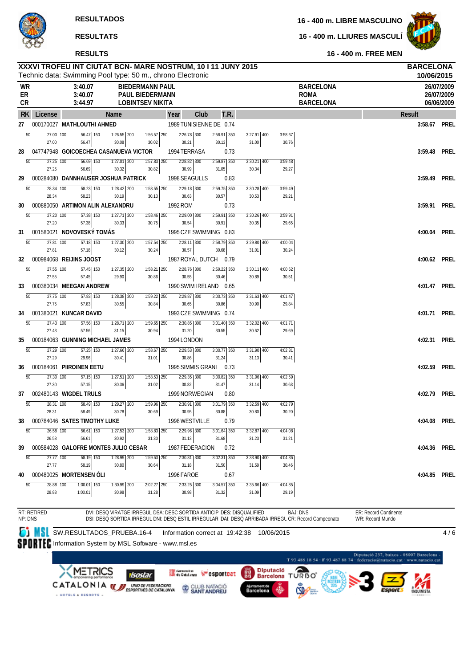**16 - 400 m. LLIURES MASCULÍ**



# **RESULTS**

|                |                                           | XXXVI TROFEU INT CIUTAT BCN- MARE NOSTRUM, 10 I 11 JUNY 2015<br>Technic data: Swimming Pool type: 50 m., chrono Electronic |                                   |                                                                             |          |                                 |                                    |      |                                   |            |                  |                                                                                                                        |                                                                           | <b>BARCELONA</b><br>10/06/2015 |                                        |
|----------------|-------------------------------------------|----------------------------------------------------------------------------------------------------------------------------|-----------------------------------|-----------------------------------------------------------------------------|----------|---------------------------------|------------------------------------|------|-----------------------------------|------------|------------------|------------------------------------------------------------------------------------------------------------------------|---------------------------------------------------------------------------|--------------------------------|----------------------------------------|
| WR<br>ER<br>CR |                                           | 3:40.07<br>3:40.07<br>3:44.97                                                                                              |                                   | <b>BIEDERMANN PAUL</b><br><b>PAUL BIEDERMANN</b><br><b>LOBINTSEV NIKITA</b> |          |                                 |                                    |      |                                   |            |                  | <b>BARCELONA</b><br><b>ROMA</b><br><b>BARCELONA</b>                                                                    |                                                                           |                                | 26/07/2009<br>26/07/2009<br>06/06/2009 |
| <b>RK</b>      | License                                   |                                                                                                                            | Name                              |                                                                             | Year     | Club                            | T.R.                               |      |                                   |            |                  |                                                                                                                        |                                                                           | <b>Result</b>                  |                                        |
| 27             |                                           | 000170027 MATHLOUTHI AHMED                                                                                                 |                                   |                                                                             |          | 1989 TUNISIENNE DE 0.74         |                                    |      |                                   |            |                  |                                                                                                                        |                                                                           | 3:58.67 PREL                   |                                        |
|                | 50<br>27.00 100                           | $56.47$ 150                                                                                                                | $1:26.55$ 200                     | 1:56.57                                                                     | 250      | $2:26.78$ 300                   | $2:56.91$ 350                      |      | $3:27.91$ 400                     |            | 3:58.67          |                                                                                                                        |                                                                           |                                |                                        |
| 28             | 27.00                                     | 56.47<br>047747948 GOICOECHEA CASANUEVA VICTOR                                                                             | 30.08                             | 30.02                                                                       |          | 30.21<br>1994 TERRASA           | 30.13                              | 0.73 | 31.00                             |            | 30.76            |                                                                                                                        |                                                                           | 3:59.48 PREL                   |                                        |
|                | $\overline{50}$<br>$\overline{27.25}$ 100 | 56.69 150                                                                                                                  | $1:27.01$ 200                     | $1:57.83$ 250                                                               |          | $2:28.82$ 300                   | $2:59.87$ 350                      |      | $3:30.21$ 400                     |            | 3:59.48          |                                                                                                                        |                                                                           |                                |                                        |
|                | 27.25                                     | 56.69                                                                                                                      | 30.32                             | 30.82                                                                       |          | 30.99                           | 31.05                              |      | 30.34                             |            | 29.27            |                                                                                                                        |                                                                           |                                |                                        |
| 29             | $\overline{50}$<br>28.34 100              | 000284080 DANNHAUSER JOSHUA PATRICK<br>58.23 150                                                                           | $1:28.42$ 200                     | $1:58.55$ 250                                                               |          | 1998 SEAGULLS<br>2:29.18 300    | $2:59.75$ 350                      | 0.83 | 3:30.28 400                       |            | 3:59.49          |                                                                                                                        |                                                                           | 3:59.49 PREL                   |                                        |
|                | 28.34                                     | 58.23                                                                                                                      | 30.19                             | 30.13                                                                       |          | 30.63                           | 30.57                              |      | 30.53                             |            | 29.21            |                                                                                                                        |                                                                           |                                |                                        |
| 30             |                                           | 000880050 ARTIMON ALIN ALEXANDRU                                                                                           |                                   |                                                                             | 1992 ROM |                                 |                                    | 0.73 |                                   |            |                  |                                                                                                                        |                                                                           | 3:59.91                        | PREL                                   |
|                | 50<br>27.20 100<br>27.20                  | 57.38 150<br>57.38                                                                                                         | $1:27.71$ 200<br>30.33            | 1:58.46 250<br>30.75                                                        |          | $2:29.00$ 300<br>30.54          | 2:59.91 350<br>30.91               |      | 3:30.26 400<br>30.35              |            | 3:59.91<br>29.65 |                                                                                                                        |                                                                           |                                |                                        |
| 31             |                                           | 001580021 NOVOVESKÝ TOMÁS                                                                                                  |                                   |                                                                             |          | 1995 CZE SWIMMING 0.83          |                                    |      |                                   |            |                  |                                                                                                                        |                                                                           | 4:00.04 PREL                   |                                        |
|                | $\overline{50}$<br>27.81 100              | 57.18 150                                                                                                                  | $1:27.30$ 200                     | 1:57.54 250                                                                 |          | 2:28.11 300                     | 2:58.79 350                        |      | $3:29.80$ 400                     |            | 4:00.04          |                                                                                                                        |                                                                           |                                |                                        |
| 32             | 27.81                                     | 57.18<br>000984068 REIJINS JOOST                                                                                           | 30.12                             | 30.24                                                                       |          | 30.57<br>1987 ROYAL DUTCH 0.79  | 30.68                              |      | 31.01                             |            | 30.24            |                                                                                                                        |                                                                           | 4:00.62 PREL                   |                                        |
|                | $\overline{50}$<br>27.55 100              | $57.45$ 150                                                                                                                | $1:27.35$ 200                     | 1:58.21 250                                                                 |          | 2:28.76 300                     | $2:59.22$ 350                      |      | $3:30.11$ 400                     |            | 4:00.62          |                                                                                                                        |                                                                           |                                |                                        |
|                | 27.55                                     | 57.45                                                                                                                      | 29.90                             | 30.86                                                                       |          | 30.55                           | 30.46                              |      | 30.89                             |            | 30.51            |                                                                                                                        |                                                                           |                                |                                        |
| 33             |                                           | 000380034 MEEGAN ANDREW                                                                                                    |                                   |                                                                             |          | 1990 SWIM IRELAND 0.65          | $3:00.73$ 350                      |      |                                   |            |                  |                                                                                                                        |                                                                           | 4:01.47 PREL                   |                                        |
|                | 50<br>27.75 100<br>27.75                  | 57.83 150<br>57.83                                                                                                         | 1:28.38 200<br>30.55              | 1:59.22 250<br>30.84                                                        |          | 2:29.87 300<br>30.65            | 30.86                              |      | $3:31.63$ 400<br>30.90            |            | 4:01.47<br>29.84 |                                                                                                                        |                                                                           |                                |                                        |
| 34             |                                           | 001380021 KUNCAR DAVID                                                                                                     |                                   |                                                                             |          | 1993 CZE SWIMMING 0.74          |                                    |      |                                   |            |                  |                                                                                                                        |                                                                           | 4:01.71 PREL                   |                                        |
|                | 50<br>$27.43$ 100<br>27.43                | $\overline{57.56}$ 150<br>57.56                                                                                            | $1:28.71$ 200<br>31.15            | $1:59.65$ 250<br>30.94                                                      |          | $2:30.85$ 300<br>31.20          | $3:01.40$ 350<br>30.55             |      | $3:32.02$ 400<br>30.62            |            | 4:01.71<br>29.69 |                                                                                                                        |                                                                           |                                |                                        |
| 35             |                                           | 000184063 GUNNING MICHAEL JAMES                                                                                            |                                   |                                                                             |          | 1994 LONDON                     |                                    |      |                                   |            |                  |                                                                                                                        |                                                                           | 4:02.31 PREL                   |                                        |
|                | $\overline{50}$<br>27.29 100              | 57.25 150                                                                                                                  | 1:27.66 200                       | $7:58.67$ 250                                                               |          | $2:29.53$ 300                   | 3:00.77 350                        |      | 3:31.90 400                       |            | 4:02.31          |                                                                                                                        |                                                                           |                                |                                        |
|                | 27.29                                     | 29.96<br>000184061 PIIROINEN EETU                                                                                          | 30.41                             | 31.01                                                                       |          | 30.86<br>1995 SIMMIS GRANI      | 31.24                              |      | 31.13                             |            | 30.41            |                                                                                                                        |                                                                           | 4:02.59                        | Prel                                   |
| 36             | 50<br>27.30 100                           | 57.15 150                                                                                                                  | $1:27.51$ 200                     | $1:58.53$ 250                                                               |          | $2:29.35$ 300                   | $3:00.82$ 350                      | 0.73 | 3:31.96 400                       |            | 4:02.59          |                                                                                                                        |                                                                           |                                |                                        |
|                | 27.30                                     | 57.15                                                                                                                      | 30.36                             | 31.02                                                                       |          | 30.82                           | 31.47                              |      | 31.14                             |            | 30.63            |                                                                                                                        |                                                                           |                                |                                        |
| 37             |                                           | 002480143 WIGDEL TRULS                                                                                                     |                                   |                                                                             |          | 1999 NORWEGIAN                  |                                    | 0.80 |                                   |            |                  |                                                                                                                        |                                                                           | 4:02.79                        | Prel                                   |
|                | $\overline{50}$<br>28.31 100<br>28.31     | 58.49 150<br>58.49                                                                                                         | $\overline{1:29.27}$ 200<br>30.78 | 1:59.96 250<br>30.69                                                        |          | $2:30.91$ 300<br>30.95          | $3:01.79$ 350<br>30.88             |      | $3:\overline{32.59}$ 400<br>30.80 |            | 4:02.79<br>30.20 |                                                                                                                        |                                                                           |                                |                                        |
| 38             |                                           | 000784046 SATES TIMOTHY LUKE                                                                                               |                                   |                                                                             |          | 1998 WESTVILLE                  |                                    | 0.79 |                                   |            |                  |                                                                                                                        |                                                                           | 4:04.08 PREL                   |                                        |
|                | 50<br>26.58 100                           | 56.61 150                                                                                                                  | 1:27.53 200                       | 1:58.83 250                                                                 |          | 2:29.96 300                     | 3:01.64 350                        |      | 3:32.87 400                       |            | 4:04.08          |                                                                                                                        |                                                                           |                                |                                        |
| 39             | 26.58                                     | 56.61<br>000584028 GALOFRE MONTES JULIO CESAR                                                                              | 30.92                             | 31.30                                                                       |          | 31.13<br>1987 FEDERACION        | 31.68                              | 0.72 | 31.23                             |            | 31.21            |                                                                                                                        |                                                                           | 4:04.36                        | Prel                                   |
|                | 50<br>27.77 100                           | 58.19 150                                                                                                                  | 1:28.99 200                       | 1:59.63                                                                     | 250      | $2:30.81$ 300                   | $3:02.31$ 350                      |      | 3:33.90 400                       |            | 4:04.36          |                                                                                                                        |                                                                           |                                |                                        |
|                | 27.77                                     | 58.19                                                                                                                      | 30.80                             | 30.64                                                                       |          | 31.18                           | 31.50                              |      | 31.59                             |            | 30.46            |                                                                                                                        |                                                                           |                                |                                        |
| 40             | 50<br>28.88                               | 000480025 MORTENSEN OLI<br>$1:00.01$ 150<br>100                                                                            | 1:30.99 200                       | $2:02.27$ 250                                                               |          | 1996 FAROE<br>$2:33.25$ 300     | $3:04.57$ 350                      | 0.67 | 3:35.66 400                       |            | 4:04.85          |                                                                                                                        |                                                                           | 4:04.85                        | <b>PREL</b>                            |
|                | 28.88                                     | 1:00.01                                                                                                                    | 30.98                             | 31.28                                                                       |          | 30.98                           | 31.32                              |      | 31.09                             |            | 29.19            |                                                                                                                        |                                                                           |                                |                                        |
|                |                                           |                                                                                                                            |                                   |                                                                             |          |                                 |                                    |      |                                   |            |                  |                                                                                                                        |                                                                           |                                |                                        |
|                | RT: RETIRED<br>NP: DNS                    |                                                                                                                            |                                   | DVI: DESQ VIRATGE IRREGUL DSA: DESC SORTIDA ANTICIP DES: DISQUALIFIED       |          |                                 |                                    |      |                                   |            |                  | <b>BAJ: DNS</b><br>DSI: DESQ SORTIDA IRREGUL DNI: DESQ ESTIL IRREGULAR DAI: DESQ ARRIBADA IRREGL CR: Record Campeonato | ER: Record Continente<br>WR: Record Mundo                                 |                                |                                        |
|                |                                           | SW.RESULTADOS_PRUEBA.16-4                                                                                                  |                                   |                                                                             |          | Information correct at 19:42:38 |                                    |      |                                   | 10/06/2015 |                  |                                                                                                                        |                                                                           |                                | 4/6                                    |
|                |                                           | <b>PIRTE</b> Information System by MSL Software - www.msl.es                                                               |                                   |                                                                             |          |                                 |                                    |      |                                   |            |                  |                                                                                                                        |                                                                           |                                |                                        |
|                |                                           |                                                                                                                            |                                   |                                                                             |          |                                 |                                    |      |                                   |            |                  |                                                                                                                        | Diputació 237, baixos - 08007 Barcelona -                                 |                                |                                        |
|                |                                           |                                                                                                                            |                                   |                                                                             |          |                                 |                                    |      |                                   |            |                  |                                                                                                                        | T 93 488 18 54 - F 93 487 88 74 - federacio@natacio.cat - www.natacio.cat |                                |                                        |
|                |                                           |                                                                                                                            |                                   | sosta                                                                       |          |                                 | esportcat                          |      | 闊                                 |            |                  | Diputació<br>Barcelona TURBO<br><b>RANGER</b>                                                                          |                                                                           |                                |                                        |
|                |                                           | CATALONIA                                                                                                                  |                                   | <b>UWO DE FEDERACIONS</b><br>ESPORTIVES DE CATALUNYA                        |          |                                 | CLUB NATACIO<br><b>SANT ANDREU</b> |      | Ajuntament de<br>Barcelona        |            |                  | CSD:                                                                                                                   |                                                                           |                                |                                        |
|                |                                           | - HOTELS & RESORTS                                                                                                         |                                   |                                                                             |          |                                 |                                    |      |                                   |            |                  |                                                                                                                        |                                                                           |                                |                                        |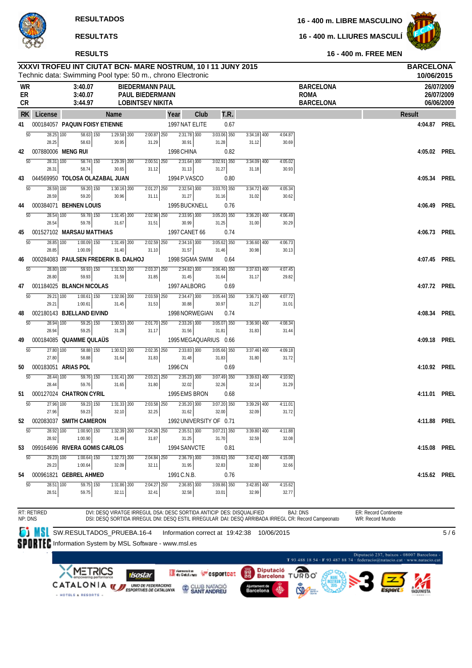**16 - 400 m. LLIURES MASCULÍ**



**RESULTS**

| <b>WR</b><br>ER<br><b>CR</b> |                        | 3:40.07<br>3:40.07<br>3:44.97                | Technic data: Swimming Pool type: 50 m., chrono Electronic | <b>BIEDERMANN PAUL</b><br><b>PAUL BIEDERMANN</b><br><b>LOBINTSEV NIKITA</b> |                                  |               |                        |      |                        |                  | <b>BARCELONA</b><br><b>ROMA</b><br><b>BARCELONA</b>                                                                     |               | 10/06/2015<br>26/07/2009<br>26/07/2009<br>06/06/2009 |
|------------------------------|------------------------|----------------------------------------------|------------------------------------------------------------|-----------------------------------------------------------------------------|----------------------------------|---------------|------------------------|------|------------------------|------------------|-------------------------------------------------------------------------------------------------------------------------|---------------|------------------------------------------------------|
| <b>RK</b>                    | License                |                                              | Name                                                       |                                                                             | Year                             | Club          | T.R.                   |      |                        |                  |                                                                                                                         | <b>Result</b> |                                                      |
| 41                           |                        | 000184057 PAQUIN FOISY ETIENNE               |                                                            |                                                                             | 1997 NAT ELITE                   |               |                        | 0.67 |                        |                  |                                                                                                                         | 4:04.87 PREL  |                                                      |
| 50                           | 28.25 100              | 58.63 150                                    | $1:29.58$ 200                                              | $2:00.87$ 250                                                               |                                  | $2:31.78$ 300 | $3:03.06$ 350          |      | $3:34.18$ 400          | 4:04.87          |                                                                                                                         |               |                                                      |
| 42                           | 28.25                  | 58.63<br>007880006 MENG RUI                  | 30.95                                                      | 31.29                                                                       | 30.91<br>1998 CHINA              |               | 31.28                  | 0.82 | 31.12                  | 30.69            |                                                                                                                         | 4:05.02 PREL  |                                                      |
| $\overline{50}$              | 28.31 100              | 58.74 150                                    | $\overline{1:29.39}$ 200                                   | $2:00.51$ 250                                                               |                                  | $2:31.64$ 300 | $3:02.91$ 350          |      | $3:34.09$ 400          | 4:05.02          |                                                                                                                         |               |                                                      |
|                              | 28.31                  | 58.74                                        | 30.65                                                      | 31.12                                                                       | 31.13                            |               | 31.27                  |      | 31.18                  | 30.93            |                                                                                                                         |               |                                                      |
| 43                           |                        | 044569950 TOLOSA OLAZABAL JUAN               |                                                            |                                                                             | 1994 P.VASCO                     |               |                        | 0.80 |                        |                  |                                                                                                                         | 4:05.34       | Prel                                                 |
| $\overline{50}$              | 28.59 100<br>28.59     | 59.20 150<br>59.20                           | 1:30.16 200<br>30.96                                       | $2:01.27$ 250<br>31.11                                                      | 31.27                            | $2:32.54$ 300 | 3:03.70 350<br>31.16   |      | 3:34.72 400<br>31.02   | 4:05.34<br>30.62 |                                                                                                                         |               |                                                      |
| 44                           |                        | 000384071 BEHNEN LOUIS                       |                                                            |                                                                             | 1995 BUCKNELL                    |               |                        | 0.76 |                        |                  |                                                                                                                         | 4:06.49       | Prel                                                 |
| $\overline{50}$              | $28.\overline{54}$ 100 | 59.78 150                                    | $1:31.45$ 200                                              | 2:02.96 250                                                                 |                                  | 2:33.95 300   | $3:05.20$ 350          |      | 3:36.20 400            | 4:06.49          |                                                                                                                         |               |                                                      |
|                              | 28.54                  | 59.78                                        | 31.67                                                      | 31.51                                                                       | 30.99                            |               | 31.25                  |      | 31.00                  | 30.29            |                                                                                                                         |               |                                                      |
| 45<br>$\overline{50}$        | 28.85 100              | 001527102 MARSAU MATTHIAS<br>$1:00.09$ $150$ | 1:31.49 200                                                | $2:02.59$ 250                                                               | 1997 CANET 66                    | $2:34.16$ 300 | 3:05.62 350            | 0.74 | $3:36.60$ 400          | 4:06.73          |                                                                                                                         | 4:06.73 PREL  |                                                      |
|                              | 28.85                  | 1:00.09                                      | 31.40                                                      | 31.10                                                                       | 31.57                            |               | 31.46                  |      | 30.98                  | 30.13            |                                                                                                                         |               |                                                      |
| 46                           |                        | 000284083 PAULSEN FREDERIK B. DALHOJ         |                                                            |                                                                             | 1998 SIGMA SWIM                  |               |                        | 0.64 |                        |                  |                                                                                                                         | 4:07.45 PREL  |                                                      |
| $\overline{50}$              | 28.80 100              | $\overline{59.93}$ 150                       | $1:31.52$ 200                                              | $2:03.37$ $250$                                                             |                                  | 2:34.82 300   | $3:06.46$ 350          |      | $3:37.63$ 400          | 4:07.45          |                                                                                                                         |               |                                                      |
| 47                           | 28.80                  | 59.93<br>001184025 BLANCH NICOLAS            | 31.59                                                      | 31.85                                                                       | 31.45<br>1997 AALBORG            |               | 31.64                  | 0.69 | 31.17                  | 29.82            |                                                                                                                         | 4:07.72 PREL  |                                                      |
| 50                           | 29.21 100              | $1:00.61$ 150                                | $1:32.06$ 200                                              | 2:03.59 250                                                                 |                                  | 2:34.47 300   | $3:05.44$ 350          |      | $3:36.71$ 400          | 4:07.72          |                                                                                                                         |               |                                                      |
|                              | 29.21                  | 1:00.61                                      | 31.45                                                      | 31.53                                                                       | 30.88                            |               | 30.97                  |      | 31.27                  | 31.01            |                                                                                                                         |               |                                                      |
| 48                           |                        | 002180143 BJELLAND EIVIND                    |                                                            |                                                                             | 1998 NORWEGIAN                   |               |                        | 0.74 |                        |                  |                                                                                                                         | 4:08.34       | Prel                                                 |
| $\overline{50}$              | 28.94 100<br>28.94     | 59.25 150<br>59.25                           | $1:30.53$ 200<br>31.28                                     | $2:01.70$ 250<br>31.17                                                      | 31.56                            | $2:33.26$ 300 | $3:05.07$ 350<br>31.81 |      | $3:36.90$ 400<br>31.83 | 4:08.34<br>31.44 |                                                                                                                         |               |                                                      |
| 49                           |                        | 000184085 QUAMME QULAÜS                      |                                                            |                                                                             | 1995 MEGAQUARIUS 0.66            |               |                        |      |                        |                  |                                                                                                                         | 4:09.18 PREL  |                                                      |
| $\overline{50}$              | 27.80 100              | 58.88 150                                    | $1:30.52$ 200                                              | $2:02.35$ $250$                                                             |                                  | $2:33.83$ 300 | 3:05.66 350            |      | 3:37.46 400            | 4:09.18          |                                                                                                                         |               |                                                      |
|                              | 27.80                  | 58.88                                        | 31.64                                                      | 31.83                                                                       | 31.48                            |               | 31.83                  |      | 31.80                  | 31.72            |                                                                                                                         |               |                                                      |
| 50<br>$\overline{50}$        | 28.44 100              | 000183051 ARIAS POL<br>59.76 150             | $1:31.41$ 200                                              | $2:03.21$ 250                                                               | 1996 CN                          | $2:35.23$ 300 | 3:07.49 350            | 0.69 | 3:39.63 400            | 4:10.92          |                                                                                                                         | 4:10.92 PREL  |                                                      |
|                              | 28.44                  | 59.76                                        | 31.65                                                      | 31.80                                                                       | 32.02                            |               | 32.26                  |      | 32.14                  | 31.29            |                                                                                                                         |               |                                                      |
| 51                           |                        | 000127024 CHATRON CYRIL                      |                                                            |                                                                             | 1995 EMS BRON                    |               |                        | 0.68 |                        |                  |                                                                                                                         | 4:11.01 PREL  |                                                      |
| $\overline{50}$              | $\overline{27.96}$ 100 | $\overline{59.23}$ $\overline{150}$          | $1:31.33$ 200                                              | $2:03.58$ $250$                                                             |                                  | 2:35.20 300   | $3:07.20$ 350          |      | $3:39.29$ 400          | 4:11.01          |                                                                                                                         |               |                                                      |
|                              | 27.96                  | 59.23<br>52 002083037 SMITH CAMERON          | 32.10                                                      | 32.25                                                                       | 31.62<br>1992 UNIVERSITY OF 0.71 |               | 32.00                  |      | 32.09                  | 31.72            |                                                                                                                         | 4:11.88 PREL  |                                                      |
| $\overline{50}$              | $28.92$ 100            | 1:00.90 150                                  | 1:32.39 200                                                | 2:04.26 250                                                                 |                                  | $2:35.51$ 300 | 3:07.21 350            |      | 3:39.80 400            | 4:11.88          |                                                                                                                         |               |                                                      |
|                              | 28.92                  | 1:00.90                                      | 31.49                                                      | 31.87                                                                       | 31.25                            |               | 31.70                  |      | 32.59                  | 32.08            |                                                                                                                         |               |                                                      |
| 53                           |                        | 099164696 RIVERA GOMIS CARLOS                |                                                            |                                                                             | 1994 SANVCTE                     |               |                        | 0.81 |                        |                  |                                                                                                                         | 4:15.08       | Prel                                                 |
| $\overline{50}$              | 29.23 100<br>29.23     | $1:00.64$ 150<br>1:00.64                     | $1:32.73$ 200<br>32.09                                     | 2:04.84 250<br>32.11                                                        | 31.95                            | $2:36.79$ 300 | $3:09.62$ 350<br>32.83 |      | $3:42.42$ 400<br>32.80 | 4:15.08<br>32.66 |                                                                                                                         |               |                                                      |
| 54                           |                        | 000961821 GEBREL AHMED                       |                                                            |                                                                             | 1991 C.N.B.                      |               |                        | 0.76 |                        |                  |                                                                                                                         | 4:15.62 PREL  |                                                      |
| $\overline{50}$              | 28.51 100              | $59.75$ 150                                  | 1:31.86 200                                                | $2:04.27$ 250                                                               |                                  | $2:36.85$ 300 | $3:09.86$ 350          |      | $3:42.85$ 400          | 4:15.62          |                                                                                                                         |               |                                                      |
|                              | 28.51                  | 59.75                                        | 32.11                                                      | 32.41                                                                       | 32.58                            |               | 33.01                  |      | 32.99                  | 32.77            |                                                                                                                         |               |                                                      |
|                              | RT: RETIRED            |                                              |                                                            | DVI: DESQ VIRATGE IRREGUL DSA: DESC SORTIDA ANTICIP DES: DISQUALIFIED       |                                  |               |                        |      |                        |                  | <b>BAJ: DNS</b><br>ER: Record Continente                                                                                |               |                                                      |
| NP: DNS                      |                        |                                              |                                                            |                                                                             |                                  |               |                        |      |                        |                  | DSI: DESQ SORTIDA IRREGUL DNI: DESQ ESTIL IRREGULAR DAI: DESQ ARRIBADA IRREGL CR: Record Campeonato<br>WR: Record Mundo |               |                                                      |
|                              |                        | SW.RESULTADOS_PRUEBA.16-4                    |                                                            |                                                                             | Information correct at 19:42:38  |               |                        |      |                        | 10/06/2015       |                                                                                                                         |               | 5/6                                                  |

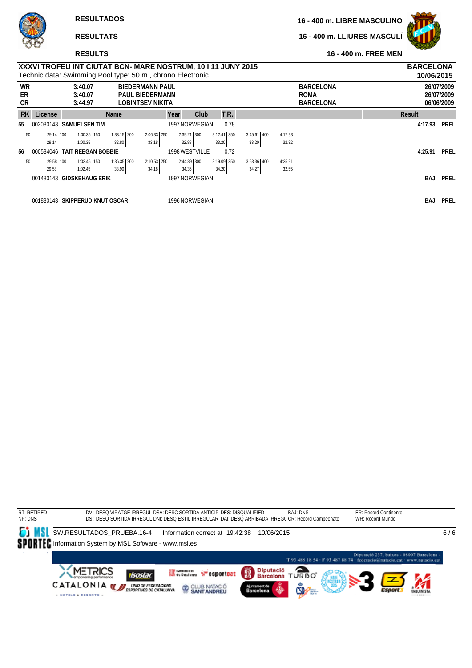**16 - 400 m. LLIURES MASCULÍ**



### **RESULTS**

|                       |           | XXXVI TROFEU INT CIUTAT BCN- MARE NOSTRUM, 10 I 11 JUNY 2015<br>Technic data: Swimming Pool type: 50 m., chrono Electronic |               |                                                                             |                |                          |                |         |                                                     | <b>BARCELONA</b><br>10/06/2015 |                                        |
|-----------------------|-----------|----------------------------------------------------------------------------------------------------------------------------|---------------|-----------------------------------------------------------------------------|----------------|--------------------------|----------------|---------|-----------------------------------------------------|--------------------------------|----------------------------------------|
| <b>WR</b><br>ER<br>CR |           | 3:40.07<br>3:40.07<br>3:44.97                                                                                              |               | <b>BIEDERMANN PAUL</b><br><b>PAUL BIEDERMANN</b><br><b>LOBINTSEV NIKITA</b> |                |                          |                |         | <b>BARCELONA</b><br><b>ROMA</b><br><b>BARCELONA</b> |                                | 26/07/2009<br>26/07/2009<br>06/06/2009 |
| <b>RK</b>             | License   |                                                                                                                            | <b>Name</b>   | Year                                                                        | Club           | T.R.                     |                |         |                                                     | Result                         |                                        |
| 55                    |           | 002080143 SAMUELSEN TIM                                                                                                    |               |                                                                             | 1997 NORWEGIAN | 0.78                     |                |         |                                                     | 4:17.93                        | <b>PREL</b>                            |
| 50                    | 29.14 100 | $1:00.35$ 150                                                                                                              | $1:33.15$ 200 | $2:06.33$ 250                                                               | $2:39.21$ 300  | $3:12.4\overline{1}$ 350 | 3:45.61<br>400 | 4:17.93 |                                                     |                                |                                        |
|                       | 29.14     | 1:00.35                                                                                                                    | 32.80         | 33.18                                                                       | 32.88          | 33.20                    | 33.20          | 32.32   |                                                     |                                |                                        |
| 56                    | 000584046 | <b>TAIT REEGAN BOBBIE</b>                                                                                                  |               |                                                                             | 1998 WESTVILLE | 0.72                     |                |         |                                                     | 4:25.91                        | <b>PREL</b>                            |
| 50                    | 29.58 100 | $1:02.45$ 150                                                                                                              | $1:36.35$ 200 | $2:10.53$ $250$                                                             | $2:44.89$ 300  | $3:19.09$ 350            | $3:53.36$ 400  | 4:25.91 |                                                     |                                |                                        |
|                       | 29.58     | 1:02.45                                                                                                                    | 33.90         | 34.18                                                                       | 34.36          | 34.20                    | 34.27          | 32.55   |                                                     |                                |                                        |
|                       |           | 001480143 GIDSKEHAUG ERIK                                                                                                  |               |                                                                             | 1997 NORWEGIAN |                          |                |         |                                                     | BAJ                            | <b>PREL</b>                            |
|                       |           |                                                                                                                            |               |                                                                             |                |                          |                |         |                                                     |                                |                                        |
|                       |           | 001880143 SKIPPERUD KNUT OSCAR                                                                                             |               |                                                                             | 1996 NORWEGIAN |                          |                |         |                                                     | <b>BAJ</b>                     | PREL                                   |

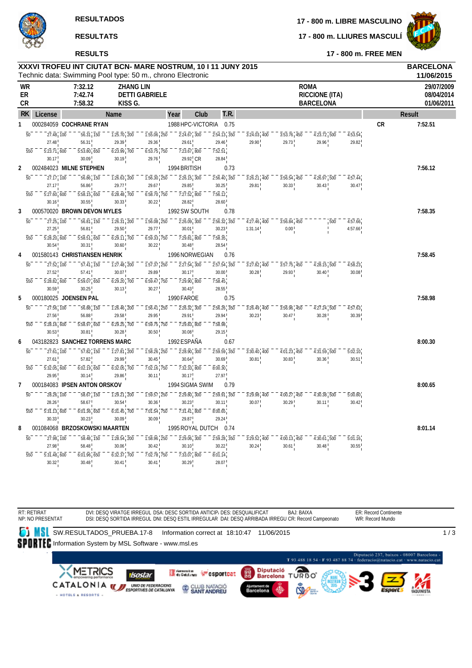

**17 - 800 m. LLIURES MASCULÍ**



**RESULTS**

RT: RETIRAT NP: NO PRESENTAT **17 - 800 m. FREE MEN**

| XXXVI TROFEU INT CIUTAT BCN- MARE NOSTRUM, 10 I 11 JUNY 2015 | <b>BARCELONA</b> |
|--------------------------------------------------------------|------------------|

|   |                  |                                                    |                                       |      |                                                                                     | Technic data: Swimming Pool type: 50 m., chrono Electronic               |                                                                                   |      |                              |      |                                                               |                                                                      |                                                                          |                      |           | 11/06/2015                             |
|---|------------------|----------------------------------------------------|---------------------------------------|------|-------------------------------------------------------------------------------------|--------------------------------------------------------------------------|-----------------------------------------------------------------------------------|------|------------------------------|------|---------------------------------------------------------------|----------------------------------------------------------------------|--------------------------------------------------------------------------|----------------------|-----------|----------------------------------------|
|   | WR<br>ER<br>СR   |                                                    | 7:32.12<br>7:42.74<br>7:58.32         |      |                                                                                     | <b>ZHANG LIN</b><br><b>DETTI GABRIELE</b><br>KISS G.                     |                                                                                   |      |                              |      |                                                               | <b>ROMA</b>                                                          | <b>RICCIONE (ITA)</b><br><b>BARCELONA</b>                                |                      |           | 29/07/2009<br>08/04/2014<br>01/06/2011 |
|   | RK.<br>License   |                                                    |                                       | Name |                                                                                     |                                                                          | Year                                                                              | Club |                              | T.R. |                                                               |                                                                      |                                                                          |                      |           | Result                                 |
| 1 |                  |                                                    | 000284059 COCHRANE RYAN               |      |                                                                                     |                                                                          | 1988 HPC-VICTORIA                                                                 |      |                              | 0.75 |                                                               |                                                                      |                                                                          |                      | <b>CR</b> | 7:52.51                                |
|   | $\overline{50}$  | $\frac{1}{27.48}$ , $\frac{1}{100}$                | 56.31, 150                            |      | $\overline{1:}2\overline{5}.\overline{70}$ , $\overline{200}$                       | $\overline{1:}5\overline{5}.\overline{0}6$ , $\overline{2}5\overline{0}$ | $\overline{2:}2\overline{4}.\overline{67}$ , 300                                  |      | 2:54.13, 350                 |      | 3:24.03, 400                                                  | $3:53.76$ , 450                                                      | $\overline{4:}2\overline{3}.\overline{7}2$ , $\overline{5}0\overline{0}$ | 4:53.54              |           |                                        |
|   |                  | 27.48                                              | 56.31                                 |      | 29.39                                                                               | 29.36                                                                    | 29.61                                                                             |      | 29.46                        |      | 29.90                                                         | 29.73                                                                | 29.96                                                                    | 29.82                |           |                                        |
|   | 550              | 5:23.71,600                                        | $5:53.80$ <sub>1</sub> 650            |      | $6:23.99$ , 700                                                                     | $6:53.75$ , 750                                                          | $7:23.67$ , 800                                                                   |      | 7:52.51                      |      |                                                               |                                                                      |                                                                          |                      |           |                                        |
|   |                  | 30.17                                              | 30.09                                 |      | 30.19                                                                               | 29.76                                                                    | $29.92$ <sub>I</sub> CR                                                           |      | 28.84                        |      |                                                               |                                                                      |                                                                          |                      |           |                                        |
| 2 |                  |                                                    | 002484023 MILNE STEPHEN               |      |                                                                                     |                                                                          | 1994 BRITISH                                                                      |      |                              | 0.73 |                                                               |                                                                      |                                                                          |                      |           | 7:56.12                                |
|   | $\overline{50}$  | 27.17, 100<br>27.17                                | 56.86, 150<br>56.86                   |      | $\overline{1:26.63}$ , 200<br>29.77                                                 | $1:56.30$ , 250<br>29.67                                                 | $\overline{2:}2\overline{6}.\overline{15}$ , $\overline{3}0\overline{0}$<br>29.85 |      | $2:56.40$ , 350<br>30.25     |      | 3:26.21, 400<br>29.81                                         | $3:56.54$ , 450<br>30.33                                             | $4:26.97$ 500<br>30.43                                                   | 4:57.44<br>30.47     |           |                                        |
|   | 550              | 5:27.60, 600                                       | 5:58.15, 650                          |      | $6:28.48$ , 700                                                                     | $6:58.70$ , 750                                                          | 7:27.52, 800                                                                      |      | 7:56.12                      |      |                                                               |                                                                      |                                                                          |                      |           |                                        |
|   |                  | 30.16                                              | 30.55                                 |      | 30.33                                                                               | 30.22                                                                    | 28.82                                                                             |      | 28.60                        |      |                                                               |                                                                      |                                                                          |                      |           |                                        |
| 3 |                  |                                                    | 000570020 BROWN DEVON MYLES           |      |                                                                                     |                                                                          | 1992 SW SOUTH                                                                     |      |                              | 0.78 |                                                               |                                                                      |                                                                          |                      |           | 7:58.35                                |
|   | $\overline{50}$  | $27.\overline{25}$ , $\overline{100}$              | 56.81, 150                            |      | $\overline{1:}2\overline{6}.\overline{3}\overline{1}$ , $\overline{2}0\overline{0}$ | $\overline{1:}5\overline{6}.\overline{0}8$ , $\overline{2}5\overline{0}$ | $\overline{2:}2\overline{6}.\overline{09}$ , $\overline{300}$                     |      | $2:56.\overline{32}$ , $350$ |      | $\overline{4:}2\overline{7}.\overline{46}$ , $\overline{400}$ | $3:56.84$ , 450                                                      | 500                                                                      | 4:57.66              |           |                                        |
|   |                  | 27.25                                              | 56.81                                 |      | 29.50                                                                               | 29.77                                                                    | 30.01                                                                             |      | 30.23                        |      | 1:31.14                                                       | $0.00$ <sup>1</sup>                                                  |                                                                          | 4:57.66              |           |                                        |
|   | 550              | $5:28.20$ , 600                                    | 5:58.51, 650                          |      | $6:29.11$ , 700                                                                     | $6:59.33$ , 750                                                          | $7:29.81$ , 800                                                                   |      | 7:58.35                      |      |                                                               |                                                                      |                                                                          |                      |           |                                        |
|   |                  | 30.54                                              | 30.31                                 |      | 30.60                                                                               | 30.22                                                                    | 30.48                                                                             |      | 28.54                        |      |                                                               |                                                                      |                                                                          |                      |           |                                        |
| 4 |                  |                                                    | 001580143 CHRISTIANSEN HENRIK         |      |                                                                                     |                                                                          | 1996 NORWEGIAN                                                                    |      |                              | 0.76 |                                                               |                                                                      |                                                                          |                      |           | 7:58.45                                |
|   | $\overline{50}$  | 27.52, 100                                         | $\overline{57.41}$ , $\overline{150}$ |      | $\overline{1:}2\overline{7}.\overline{48}$ , $\overline{200}$                       | $\overline{1:}5\overline{7}.\overline{37}$ , $\overline{250}$            | $\overline{2:}2\overline{7}.\overline{54}$ , $\overline{300}$                     |      | $2:57.54$ , $350$            |      | $3:27.82$ , 400                                               | $3:57.75$ , $450$                                                    | $4:28.15$ , 500                                                          | 4:58.23              |           |                                        |
|   | 550              | 27.52<br>$5:28.82$ , 600                           | 57.41<br>$5:59.07$ <sub>1</sub> 650   |      | 30.07<br>$6:29.20$ , 700                                                            | 29.89<br>$6:59.47$ , 750                                                 | 30.17<br>$7:29.90$ <sub>1</sub> 800                                               |      | 30.00<br>7:58.45             |      | 30.28                                                         | 29.93                                                                | 30.40                                                                    | 30.08                |           |                                        |
|   |                  | 30.59                                              | 30.25                                 |      | 30.13                                                                               | 30.27                                                                    | 30.43                                                                             |      | 28.55                        |      |                                                               |                                                                      |                                                                          |                      |           |                                        |
| 5 |                  |                                                    | 000180025 JOENSEN PAL                 |      |                                                                                     |                                                                          | 1990 FAROE                                                                        |      |                              | 0.75 |                                                               |                                                                      |                                                                          |                      |           | 7:58.98                                |
|   | $\overline{50}$  | 27.56, 100                                         | 56.88, 150                            |      | $1:26.46$ , 200                                                                     | $1:56.41$ , 250                                                          | $\overline{2:}2\overline{6}.\overline{3}2;\overline{3}0\overline{0}$              |      | $2:56.26$ , 350              |      | $3:26.49$ , 400                                               | $3:56.96$ , 450                                                      | $4:27.\overline{24}$ , 500                                               | 4:57.63              |           |                                        |
|   |                  | 27.56                                              | 56.88                                 |      | 29.58                                                                               | 29.95                                                                    | 29.91                                                                             |      | 29.94                        |      | 30.23                                                         | 30.47                                                                | 30.28                                                                    | 30.39                |           |                                        |
|   | 550              | 5:28.16, 600                                       | 5:58.97, 650                          |      | $6:29.25$ , 700                                                                     | $6:59.75$ , 750                                                          | $7:29.83$ , 800                                                                   |      | 7:58.98                      |      |                                                               |                                                                      |                                                                          |                      |           |                                        |
|   |                  | 30.53                                              | 30.81                                 |      | 30.28                                                                               | $30.50$ !                                                                | 30.08                                                                             |      | 29.15                        |      |                                                               |                                                                      |                                                                          |                      |           |                                        |
| 6 |                  |                                                    | 043182823 SANCHEZ TORRENS MARC        |      |                                                                                     |                                                                          | 1992 ESPAÑA                                                                       |      |                              | 0.67 |                                                               |                                                                      |                                                                          |                      |           | 8:00.30                                |
|   | 50               | 27.61, 100                                         | 57.82, 150                            |      | $\overline{1:}2\overline{7}.\overline{81}$ , 200                                    | $1:58.26$ , 250                                                          | $2:28.90$ , $300$                                                                 |      | $2:59.59$ , $350$            |      | $\overline{3:30.40}$ , $\overline{400}$                       | $\overline{4:}0\overline{1}.\overline{2}3\overline{1}45\overline{0}$ | $4:31.59$ 500                                                            | $\overline{5:02.10}$ |           |                                        |
|   |                  | 27.61                                              | 57.82                                 |      | 29.99                                                                               | 30.45                                                                    | 30.64                                                                             |      | 30.69                        |      | 30.81                                                         | 30.83                                                                | 30.36                                                                    | 30.51                |           |                                        |
|   | 550              | $5:32.05$ , 600                                    | 6:02.19, 650                          |      | $6:32.05$ , 700                                                                     | $\overline{7:}0\overline{2}.\overline{16}$ , $\overline{7}5\overline{0}$ | $\overline{7:32.33}$ 800                                                          |      | 8:00.30                      |      |                                                               |                                                                      |                                                                          |                      |           |                                        |
| 7 |                  | 29.95                                              | 30.14<br>000184083 IPSEN ANTON ORSKOV |      | 29.86                                                                               | $30.11$ !                                                                | 30.17<br>1994 SIGMA SWIM                                                          |      | 27.97                        |      |                                                               |                                                                      |                                                                          |                      |           | 8:00.65                                |
|   |                  |                                                    |                                       |      |                                                                                     |                                                                          |                                                                                   |      |                              | 0.79 |                                                               |                                                                      |                                                                          |                      |           |                                        |
|   | 50               | $28.26 \cdot 100$<br>28.26                         | 58.67, 150<br>58.67                   |      | $\overline{1:29.21}$ , 200<br>30.54                                                 | $1:59.57$ , 250<br>30.36                                                 | $2:29.80$ , 300<br>30.23                                                          |      | $2:59.91$ , 350<br>30.11     |      | $3:29.98$ , 400<br>30.07                                      | $4:00.27$ <sub>1</sub> 450<br>30.29                                  | $4:30.38$ 500<br>30.11                                                   | 5:00.80<br>30.42     |           |                                        |
|   | $\overline{550}$ | $\overline{5:31}.\overline{13}$ , $\overline{600}$ | $6:01.36$ , 650                       |      | $\overline{6:}3\overline{1}.\overline{45}$ , 700                                    | $\overline{7:}0\overline{1}.\overline{54}$ , $\overline{7}5\overline{0}$ | $\overline{7:31.41}$ , 800                                                        |      | 8:00.65                      |      |                                                               |                                                                      |                                                                          |                      |           |                                        |
|   |                  | 30.33                                              | 30.23                                 |      | 30.09                                                                               | 30.09                                                                    | 29.87                                                                             |      | 29.24                        |      |                                                               |                                                                      |                                                                          |                      |           |                                        |
| 8 |                  |                                                    | 001084068 BRZOSKOWSKI MAARTEN         |      |                                                                                     |                                                                          | 1995 ROYAL DUTCH                                                                  |      |                              | 0.74 |                                                               |                                                                      |                                                                          |                      |           | 8:01.14                                |
|   | $\overline{50}$  | 27.98, 100                                         | 58.48, 150                            |      | $1:28.54$ , 200                                                                     | $1:58.96$ , 250                                                          | $2:29.06$ , 300                                                                   |      | $2:59.28$ , 350              |      | $3:29.52$ , 400                                               | $4:00.13$ , 450                                                      | $4:30.61$ , 500                                                          | 5:01.16              |           |                                        |
|   |                  | 27.98                                              | 58.48                                 |      | 30.06                                                                               | 30.42                                                                    | 30.10                                                                             |      | 30.22                        |      | 30.24                                                         | 30.61                                                                | 30.48                                                                    | 30.55                |           |                                        |
|   | 550              | 5:31.48,600                                        | $6:01.96$ <sub>1</sub> 650            |      | $6:32.37$ , 700                                                                     | $\overline{7:}0\overline{2}.\overline{78}$ , $\overline{750}$            | $\overline{7:33.07}$ , 800                                                        |      | 8:01.14                      |      |                                                               |                                                                      |                                                                          |                      |           |                                        |
|   |                  | 30.32                                              | 30.48                                 |      | 30.41                                                                               | 30.41                                                                    | 30.29                                                                             |      | 28.07                        |      |                                                               |                                                                      |                                                                          |                      |           |                                        |

**SU**SW.RESULTADOS\_PRUEBA.17-8 Information correct at 18:10:47 11/06/2015 1 / 3SPORTEC Information System by MSL Software - www.msl.es Diputació 237, baixos - 08007 Barcelona -<br>T 93 488 18 54 - F 93 487 88 74 - federacio@natacio.cat - www.natacio.cat Diputació<br>Barcelona TURBO **XMETRICS** German Wesportcat 麛 **isostar** CATALONIA WE UND DE FEDERACIONS CLUB NATACIÓ - HOTELS & RESORTS

BAJ: BAIXA

ER: Record Continente WR: Record Mundo

DSI: DESQ SORTIDA IRREGUL DNI: DESQ ESTIL IRREGULAR DAI: DESQ ARRIBADA IRREGU CR: Record Campeonato

DVI: DESQ VIRATGE IRREGUL DSA: DESC SORTIDA ANTICIP, DES: DESQUALIFICAT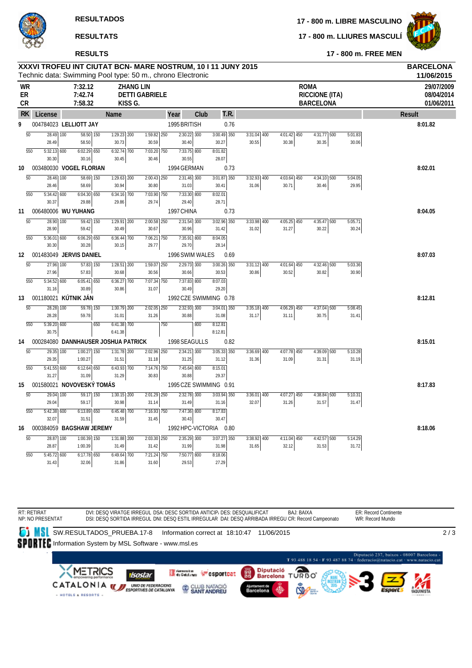**RESULTADOS**

# **RESULTATS**

# **RESULTS**

**17 - 800 m. LIBRE MASCULINO**

**17 - 800 m. LLIURES MASCULÍ**



**17 - 800 m. FREE MEN**

| XXXVI TROFEU INT CIUTAT BCN- MARE NOSTRUM, 10 I 11 JUNY 2015 | <b>BARCELONA</b> |
|--------------------------------------------------------------|------------------|
| Technic data: Swimming Pool type: 50 m., chrono Electronic   | 11/06/2015       |

| <b>WR</b><br>ER<br>CR |                                           | 7:32.12<br>7:42.74<br>7:58.32 |                        |                          | <b>ZHANG LIN</b><br><b>DETTI GABRIELE</b><br>KISS G. |            |                        |                        |               |               | <b>ROMA</b><br><b>RICCIONE (ITA)</b><br><b>BARCELONA</b> |         | 29/07/2009<br>08/04/2014<br>01/06/2011 |
|-----------------------|-------------------------------------------|-------------------------------|------------------------|--------------------------|------------------------------------------------------|------------|------------------------|------------------------|---------------|---------------|----------------------------------------------------------|---------|----------------------------------------|
| <b>RK</b>             | License                                   |                               |                        | <b>Name</b>              |                                                      | Year       | Club                   | T.R.                   |               |               |                                                          |         | Result                                 |
| 9                     | 004784023 LELLIOTT JAY                    |                               |                        |                          |                                                      |            | 1995 BRITISH           | 0.76                   |               |               |                                                          |         | 8:01.82                                |
|                       | $\overline{50}$<br>$28.49$ 100            |                               | $58.50$ 150            | $1:29.23$ 200            | $7:59.82$ 250                                        |            | $2:30.22$ 300          | $3:00.49$ 350          | $3:31.04$ 400 | $4:01.42$ 450 | 4:31.77 500                                              | 5:01.83 |                                        |
|                       | 28.49                                     | 58.50                         |                        | 30.73                    | 30.59                                                |            | 30.40                  | 30.27                  | 30.55         | 30.38         | 30.35                                                    | 30.06   |                                        |
|                       | $5:32.13$ 600<br>550                      |                               | $6:02.29$ 650          | $6:32.74$ 700<br>30.45   | 7:03.20 750                                          |            | $7:33.75$ 800          | 8:01.82<br>28.07       |               |               |                                                          |         |                                        |
| 10                    | 30.30<br>003480030 VOGEL FLORIAN          | 30.16                         |                        |                          | 30.46                                                |            | 30.55<br>1994 GERMAN   | 0.73                   |               |               |                                                          |         | 8:02.01                                |
|                       | $\overline{50}$<br>28.46 100              |                               | $58.69$ 150            | $1:29.63$ <sub>200</sub> | $2:00.43$ $250$                                      |            | $2:31.46$ 300          | $3:01.87$ 350          | $3:32.93$ 400 | $4:03.64$ 450 | $4:34.10$ 500                                            | 5:04.05 |                                        |
|                       | 28.46                                     | 58.69                         |                        | 30.94                    | 30.80                                                |            | 31.03                  | 30.41                  | 31.06         | 30.71         | 30.46                                                    | 29.95   |                                        |
|                       | 550<br>$5:34.42$ 600                      |                               | $6:04.30$ 650          | 6:34.16 700              | 7:03.90 750                                          |            | 7:33.30 800            | 8:02.01                |               |               |                                                          |         |                                        |
|                       | 30.37                                     | 29.88                         |                        | 29.86                    | 29.74                                                |            | 29.40                  | 28.71                  |               |               |                                                          |         |                                        |
| 11                    | 006480006 WU YUHANG                       |                               |                        |                          |                                                      | 1997 CHINA |                        | 0.73                   |               |               |                                                          |         | 8:04.05                                |
|                       | $\overline{50}$<br>28.90 100              |                               | $\overline{59.42}$ 150 | $7:29.91$ 200            | $2:00.58$ $250$                                      |            | $2:31.54$ 300          | $3:02.96$ 350          | $3:33.98$ 400 | $4:05.25$ 450 | $4:35.47$ 500                                            | 5:05.71 |                                        |
|                       | 28.90                                     | 59.42                         |                        | 30.49                    | 30.67                                                |            | 30.96                  | 31.42                  | 31.02         | 31.27         | 30.22                                                    | 30.24   |                                        |
|                       | 550<br>5:36.01 600<br>30.30               | 30.28                         | $6:06.29$ 650          | 6:36.44 700<br>30.15     | $7:06.21$ 750<br>29.77                               |            | $7:35.91$ 800<br>29.70 | 8:04.05<br>28.14       |               |               |                                                          |         |                                        |
| 12                    | 001483049 JERVIS DANIEL                   |                               |                        |                          |                                                      |            | 1996 SWIM WALES        | 0.69                   |               |               |                                                          |         | 8:07.03                                |
|                       | $\overline{50}$<br>27.96 100              |                               | 57.83 150              | $1:28.51$ 200            | 1:59.07 250                                          |            | $2:29.73$ 300          | $3:00.26$ 350          | $3:31.12$ 400 | $4:01.64$ 450 | 4:32.46 500                                              | 5:03.36 |                                        |
|                       | 27.96                                     | 57.83                         |                        | 30.68                    | 30.56                                                |            | 30.66                  | 30.53                  | 30.86         | 30.52         | 30.82                                                    | 30.90   |                                        |
|                       | 550<br>5:34.52 600                        |                               | $6:05.41$ 650          | 6:36.27 700              | 7:07.34 750                                          |            | 7:37.83 800            | 8:07.03                |               |               |                                                          |         |                                        |
|                       | 31.16                                     | 30.89                         |                        | 30.86                    | 31.07                                                |            | 30.49                  | 29.20                  |               |               |                                                          |         |                                        |
| 13                    | 001180021 KÚTNIK JÁN                      |                               |                        |                          |                                                      |            |                        | 1992 CZE SWIMMING 0.78 |               |               |                                                          |         | 8:12.81                                |
|                       | $\overline{50}$<br>28.28 100              |                               | 59.78 150              | 1:30.79 200              | 2:02.05 250                                          |            | 2:32.93 300            | 3:04.01 350            | $3:35.18$ 400 | $4:06.29$ 450 | 4:37.04 500                                              | 5:08.45 |                                        |
|                       | 28.28                                     | 59.78                         |                        | 31.01                    | 31.26                                                |            | 30.88                  | 31.08                  | 31.17         | 31.11         | 30.75                                                    | 31.41   |                                        |
|                       | 550<br>$5:39.20$ 600<br>30.75             |                               | 650                    | $6:41.38$ 700<br>6:41.38 |                                                      | 750        | 800                    | 8:12.81<br>8:12.81     |               |               |                                                          |         |                                        |
| 14                    | 000284080 DANNHAUSER JOSHUA PATRICK       |                               |                        |                          |                                                      |            | 1998 SEAGULLS          | 0.82                   |               |               |                                                          |         | 8:15.01                                |
|                       | $\overline{50}$<br>$\overline{29.35}$ 100 |                               | $1:00.27$ 150          | $1:31.78$ <sub>200</sub> | $2:02.96$ $250$                                      |            | $2:34.21$ 300          | $3:05.33$ 350          | $3:36.69$ 400 | $4:07.78$ 450 | $4:39.09$ 500                                            | 5:10.28 |                                        |
|                       | 29.35                                     | 1:00.27                       |                        | 31.51                    | 31.18                                                |            | 31.25                  | 31.12                  | 31.36         | 31.09         | 31.31                                                    | 31.19   |                                        |
|                       | 550<br>$5:41.55$ 600                      |                               | $6:12.64$ 650          | $6:43.93$ 700            | 7:14.76 750                                          |            | $7:45.64$ 800          | 8:15.01                |               |               |                                                          |         |                                        |
|                       | 31.27                                     | 31.09                         |                        | 31.29                    | 30.83                                                |            | 30.88                  | 29.37                  |               |               |                                                          |         |                                        |
| 15                    | 001580021 NOVOVESKÝ TOMÁS                 |                               |                        |                          |                                                      |            |                        | 1995 CZE SWIMMING 0.91 |               |               |                                                          |         | 8:17.83                                |
|                       | $\overline{50}$<br>$29.04$ 100            |                               | $59.17$ 150            | $1:30.15$ 200            | $2:01.29$ 250                                        |            | $2:32.78$ 300          | $3:03.94$ 350          | $3:36.01$ 400 | $4:07.27$ 450 | $4:38.84$ 500                                            | 5:10.31 |                                        |
|                       | 29.04                                     | 59.17                         |                        | 30.98                    | 31.14                                                |            | 31.49                  | 31.16                  | 32.07         | 31.26         | 31.57                                                    | 31.47   |                                        |
|                       | 550<br>5:42.38 600<br>32.07               | 31.51                         | 6:13.89 650            | $6:45.48$ 700<br>31.59   | 7:16.93 750<br>31.45                                 |            | 7:47.36 800<br>30.43   | 8:17.83<br>30.47       |               |               |                                                          |         |                                        |
| 16                    | 000384059 BAGSHAW JEREMY                  |                               |                        |                          |                                                      |            |                        | 1992 HPC-VICTORIA 0.80 |               |               |                                                          |         | 8:18.06                                |
|                       | 50<br>28.87                               | 100                           | 1:00.39 150            | 1:31.88 200              | 2:03.30 250                                          |            | 2:35.29 300            | 3:07.27 350            | 3:38.92 400   | 4:11.04 450   | 4:42.57 500                                              | 5:14.29 |                                        |
|                       | 28.87                                     | 1:00.39                       |                        | 31.49                    | 31.42                                                |            | 31.99                  | 31.98                  | 31.65         | 32.12         | 31.53                                                    | 31.72   |                                        |
|                       | 550<br>$5:45.72$ 600                      |                               | $6:17.78$ 650          | 6:49.64 700              | 7:21.24 750                                          |            | 7:50.77 800            | 8:18.06                |               |               |                                                          |         |                                        |
|                       | 31.43                                     | 32.06                         |                        | 31.86                    | 31.60                                                |            | 29.53                  | 27.29                  |               |               |                                                          |         |                                        |

RT: RETIRAT NP: NO PRESENTAT DVI: DESQ VIRATGE IRREGUL DSA: DESC SORTIDA ANTICIP, DES: DESQUALIFICAT DSI: DESQ SORTIDA IRREGUL DNI: DESQ ESTIL IRREGULAR DAI: DESQ ARRIBADA IRREGU CR: Record Campeonato BAJ: BAIXA

ER: Record Continente WR: Record Mundo

2 / 3

**SU**SW.RESULTADOS\_PRUEBA.17-8 Information correct at 18:10:47 11/06/2015

SPORTEC Information System by MSL Software - www.msl.es

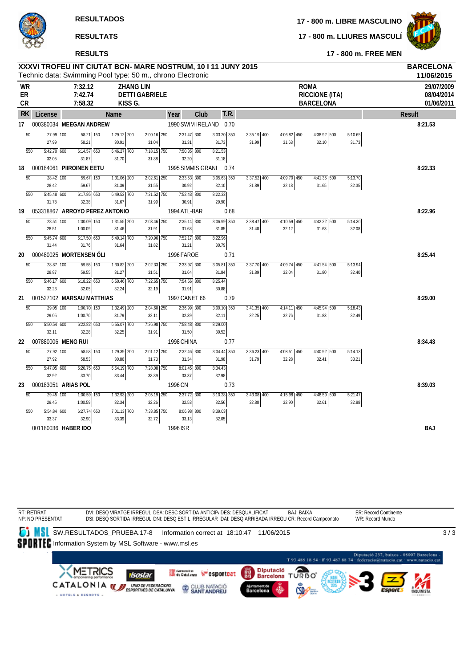**RESULTADOS**

# **RESULTATS**

# **RESULTS**

**17 - 800 m. LIBRE MASCULINO**

**17 - 800 m. LLIURES MASCULÍ**



| XXXVI TROFEU INT CIUTAT BCN- MARE NOSTRUM, 10 I 11 JUNY 2015<br><b>BARCELONA</b> |         |                                                            |  |             |            |  |  |  |  |  |
|----------------------------------------------------------------------------------|---------|------------------------------------------------------------|--|-------------|------------|--|--|--|--|--|
|                                                                                  |         | Technic data: Swimming Pool type: 50 m., chrono Electronic |  |             | 11/06/2015 |  |  |  |  |  |
| WR                                                                               | 7:32.12 | ZHANG LIN                                                  |  | <b>ROMA</b> | 29/07/200  |  |  |  |  |  |

| WR<br>ER<br>CR |                 |                                | 7:32.12<br>7:42.74<br>7:58.32   | KISS G.                                 | <b>ZHANG LIN</b><br><b>DETTI GABRIELE</b> |                        |      |                        |                        |                        | <b>ROMA</b><br><b>RICCIONE (ITA)</b><br><b>BARCELONA</b> |                  | 29/07/2009<br>08/04/2014<br>01/06/2011 |
|----------------|-----------------|--------------------------------|---------------------------------|-----------------------------------------|-------------------------------------------|------------------------|------|------------------------|------------------------|------------------------|----------------------------------------------------------|------------------|----------------------------------------|
| <b>RK</b>      |                 | License                        |                                 | <b>Name</b>                             |                                           | Year                   | Club | T.R.                   |                        |                        |                                                          |                  | <b>Result</b>                          |
| 17             |                 | 000380034 MEEGAN ANDREW        |                                 |                                         |                                           | 1990 SWIM IRELAND 0.70 |      |                        |                        |                        |                                                          |                  | 8:21.53                                |
|                | $\overline{50}$ | 27.99 100<br>27.99             | $58.21$ 150<br>58.21            | $1:29.12$ 200<br>30.91                  | $2:00.16$ 250<br>31.04                    | $2:31.47$ 300<br>31.31 |      | $3:03.20$ 350<br>31.73 | $3:35.19$ 400<br>31.99 | $4:06.82$ 450<br>31.63 | 4:38.92 500<br>32.10                                     | 5:10.65<br>31.73 |                                        |
|                | 550             | 5:42.70 600<br>32.05           | $6:14.57$ 650<br>31.87          | $6:46.27$ 700<br>31.70                  | 7:18.15 750<br>31.88                      | 7:50.35 800<br>32.20   |      | 8:21.53<br>31.18       |                        |                        |                                                          |                  |                                        |
| 18             |                 | 000184061 PIIROINEN EETU       |                                 |                                         |                                           | 1995 SIMMIS GRANI      |      | 0.74                   |                        |                        |                                                          |                  | 8:22.33                                |
|                | $\overline{50}$ | 28.42 100<br>28.42             | $59.67$ 150<br>59.67            | $1:31.06$ 200<br>31.39<br>$6:49.53$ 700 | $2:02.61$ 250<br>31.55<br>$7:21.52$ 750   | $2:33.53$ 300<br>30.92 |      | $3:05.63$ 350<br>32.10 | $3:37.52$ 400<br>31.89 | $4:09.70$ 450<br>32.18 | $4:41.35$ 500<br>31.65                                   | 5:13.70<br>32.35 |                                        |
|                | 550             | $5:45.48$ 600<br>31.78         | 6:17.86 650<br>32.38            | 31.67                                   | 31.99                                     | 7:52.43 800<br>30.91   |      | 8:22.33<br>29.90       |                        |                        |                                                          |                  |                                        |
| 19             |                 | 053318867 ARROYO PEREZ ANTONIO |                                 |                                         |                                           | 1994 ATL-BAR           |      | 0.68                   |                        |                        |                                                          |                  | 8:22.96                                |
|                | 50              | 28.51 100<br>28.51             | 1:00.09 150<br>1:00.09          | 1:31.55 200<br>31.46                    | 2:03.46 250<br>31.91                      | $2:35.14$ 300<br>31.68 |      | 3:06.99 350<br>31.85   | $3:38.47$ 400<br>31.48 | 4:10.59 450<br>32.12   | 4:42.22 500<br>31.63                                     | 5:14.30<br>32.08 |                                        |
|                | 550             | 5:45.74 600<br>31.44           | $6:17.50$ 650<br>31.76          | 6:49.14 700<br>31.64                    | 7:20.96 750<br>31.82                      | 7:52.17 800<br>31.21   |      | 8:22.96<br>30.79       |                        |                        |                                                          |                  |                                        |
| 20             |                 | 000480025 MORTENSEN OLI        |                                 |                                         |                                           | 1996 FAROE             |      | 0.71                   |                        |                        |                                                          |                  | 8:25.44                                |
|                | 50              | 28.87 100<br>28.87             | $\overline{59.55}$ 150<br>59.55 | $1:30.82$ 200<br>31.27                  | $2:02.33$ 250<br>31.51                    | 2:33.97 300<br>31.64   |      | $3:05.81$ 350<br>31.84 | $3:37.70$ 400<br>31.89 | $4:09.74$ 450<br>32.04 | $4:41.54$ 500<br>31.80                                   | 5:13.94<br>32.40 |                                        |
|                | 550             | $5:46.17$ 600<br>32.23         | $6:18.22$ 650<br>32.05          | $6:50.46$ 700<br>32.24                  | 7:22.65 750<br>32.19                      | 7:54.56 800<br>31.91   |      | 8:25.44<br>30.88       |                        |                        |                                                          |                  |                                        |
| 21             |                 | 001527102 MARSAU MATTHIAS      |                                 |                                         |                                           | 1997 CANET 66          |      | 0.79                   |                        |                        |                                                          |                  | 8:29.00                                |
|                | $\overline{50}$ | 29.05 100<br>29.05             | $1:00.70$ 150<br>1:00.70        | $1:32.49$ 200<br>31.79                  | $2:04.60$ 250<br>32.11                    | $2:36.99$ 300<br>32.39 |      | 3:09.10 350<br>32.11   | $3:41.35$ 400<br>32.25 | $4:14.11$ 450<br>32.76 | 4:45.94 500<br>31.83                                     | 5:18.43<br>32.49 |                                        |
|                | 550             | $5:50.54$ 600<br>32.11         | $6:22.82$ 650<br>32.28          | $6:55.07$ 700<br>32.25                  | 7:26.98 750<br>31.91                      | 7:58.48 800<br>31.50   |      | 8:29.00<br>30.52       |                        |                        |                                                          |                  |                                        |
| 22             |                 | 007880006 MENG RUI             |                                 |                                         |                                           | 1998 CHINA             |      | 0.77                   |                        |                        |                                                          |                  | 8:34.43                                |
|                | 50              | $27.92$ 100<br>27.92           | 58.53 150<br>58.53              | 1:29.39 200<br>30.86                    | 2:01.12 250<br>31.73                      | 2:32.46 300<br>31.34   |      | 3:04.44 350<br>31.98   | $3:36.23$ 400<br>31.79 | $4:08.51$ 450<br>32.28 | 4:40.92 500<br>32.41                                     | 5:14.13<br>33.21 |                                        |
|                | 550             | $5:47.05$ 600<br>32.92         | $6:20.75$ 650<br>33.70          | $6:54.19$ 700                           | $7:28.08$ 750<br>33.89                    | $8:01.45$ 800          |      | 8:34.43                |                        |                        |                                                          |                  |                                        |
| 23             |                 | 000183051 ARIAS POL            |                                 | 33.44                                   |                                           | 33.37<br>1996 CN       |      | 32.98<br>0.73          |                        |                        |                                                          |                  | 8:39.03                                |
|                | $\overline{50}$ | $29.45$ 100<br>29.45           | 1:00.59 150<br>1:00.59          | $1:32.93$ 200<br>32.34                  | $2:05.19$ 250<br>32.26                    | $2:37.72$ 300<br>32.53 |      | $3:10.28$ 350<br>32.56 | $3:43.08$ 400<br>32.80 | $4:15.98$ 450<br>32.90 | 4:48.59 500<br>32.61                                     | 5:21.47<br>32.88 |                                        |
|                | 550             | $5:54.84$ 600<br>33.37         | $6:27.74$ 650<br>32.90          | 7:01.13 700<br>33.39                    | 7:33.85 750<br>32.72                      | 8:06.98 800<br>33.13   |      | 8:39.03<br>32.05       |                        |                        |                                                          |                  |                                        |
|                |                 | 001180036 HABER IDO            |                                 |                                         |                                           | 1996 ISR               |      |                        |                        |                        |                                                          |                  | BAJ                                    |

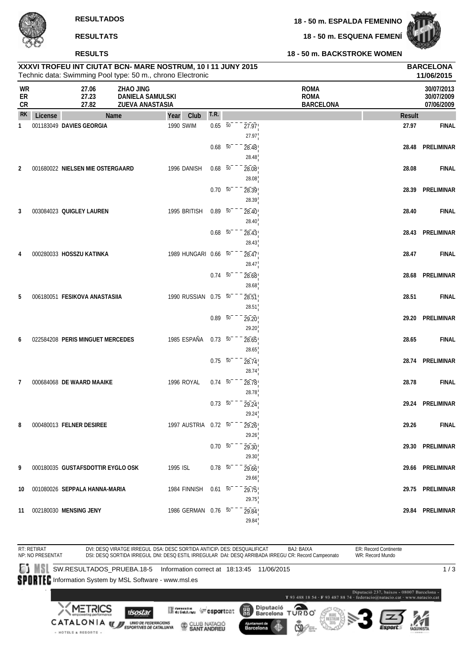**18 - 50 m. ESQUENA FEMENÍ**



### **18 - 50 m. BACKSTROKE WOMEN**

| <b>RESULIADU</b> |
|------------------|
| <b>RESULTATS</b> |
| <b>RESULTS</b>   |

|                              |         | XXXVI TROFEU INT CIUTAT BCN- MARE NOSTRUM, 10 I 11 JUNY 2015<br>Technic data: Swimming Pool type: 50 m., chrono Electronic |                                                                |                      |                     |                |                                                |               | <b>BARCELONA</b><br>11/06/2015         |
|------------------------------|---------|----------------------------------------------------------------------------------------------------------------------------|----------------------------------------------------------------|----------------------|---------------------|----------------|------------------------------------------------|---------------|----------------------------------------|
| <b>WR</b><br>ER<br><b>CR</b> |         | 27.06<br>27.23<br>27.82                                                                                                    | <b>ZHAO JING</b><br><b>DANIELA SAMULSKI</b><br>ZUEVA ANASTASIA |                      |                     |                | <b>ROMA</b><br><b>ROMA</b><br><b>BARCELONA</b> |               | 30/07/2013<br>30/07/2009<br>07/06/2009 |
| <b>RK</b>                    | License |                                                                                                                            | Name                                                           | Club<br>Year         | T.R.                |                |                                                | <b>Result</b> |                                        |
| 1                            |         | 001183049 DAVIES GEORGIA                                                                                                   |                                                                | 1990 SWIM            | $0.65 - 50^{-1}$    | 27.97<br>27.97 |                                                | 27.97         | <b>FINAL</b>                           |
|                              |         |                                                                                                                            |                                                                |                      | $0.68\quad 50$      | 28.48<br>28.48 |                                                | 28.48         | PRELIMINAR                             |
| $\overline{2}$               |         | 001680022 NIELSEN MIE OSTERGAARD                                                                                           |                                                                | 1996 DANISH          | $0.68$ 50           | 28.08<br>28.08 |                                                | 28.08         | <b>FINAL</b>                           |
|                              |         |                                                                                                                            |                                                                |                      | $0.70\ 50$          | 28.39<br>28.39 |                                                | 28.39         | PRELIMINAR                             |
| 3                            |         | 003084023 QUIGLEY LAUREN                                                                                                   |                                                                | 1995 BRITISH         | $0.89\ 50$          | 28.40<br>28.40 |                                                | 28.40         | <b>FINAL</b>                           |
|                              |         |                                                                                                                            |                                                                |                      | $0.68$ 50           | 28.43<br>28.43 |                                                | 28.43         | PRELIMINAR                             |
| 4                            |         | 000280033 HOSSZU KATINKA                                                                                                   |                                                                | 1989 HUNGARI 0.66 50 |                     | 28.47<br>28.47 |                                                | 28.47         | <b>FINAL</b>                           |
|                              |         |                                                                                                                            |                                                                |                      | $0.74\overline{50}$ | 28.68<br>28.68 |                                                | 28.68         | PRELIMINAR                             |
| 5                            |         | 006180051 FESIKOVA ANASTASIIA                                                                                              |                                                                | 1990 RUSSIAN 0.75 50 |                     | 28.51<br>28.51 |                                                | 28.51         | <b>FINAL</b>                           |
|                              |         |                                                                                                                            |                                                                |                      | $0.89 - 50^{-1}$    | 29.20<br>29.20 |                                                | 29.20         | PRELIMINAR                             |
| 6                            |         | 022584208 PERIS MINGUET MERCEDES                                                                                           |                                                                | 1985 ESPAÑA          | $0.73\ 50$          | 28.65<br>28.65 |                                                | 28.65         | <b>FINAL</b>                           |
|                              |         |                                                                                                                            |                                                                |                      | $0.75 - 50$         | 28.74<br>28.74 |                                                | 28.74         | PRELIMINAR                             |
| 7                            |         | 000684068 DE WAARD MAAIKE                                                                                                  |                                                                | 1996 ROYAL           | $0.74\ 50$          | 28.78<br>28.78 |                                                | 28.78         | <b>FINAL</b>                           |
|                              |         |                                                                                                                            |                                                                |                      | $0.73\ 50$          | 29.24<br>29.24 |                                                | 29.24         | PRELIMINAR                             |
| 8                            |         | 000480013 FELNER DESIREE                                                                                                   |                                                                | 1997 AUSTRIA 0.72 50 |                     | 29.26<br>29.26 |                                                | 29.26         | <b>FINAL</b>                           |
|                              |         |                                                                                                                            |                                                                |                      | $0.70\ 50^{-}$      | 29.30<br>29.30 |                                                |               | 29.30 PRELIMINAR                       |
| 9                            |         | 000180035 GUSTAFSDOTTIR EYGLO OSK                                                                                          |                                                                | 1995 ISL             | $0.78$ 50           | 29.66<br>29.66 |                                                |               | 29.66 PRELIMINAR                       |
| 10                           |         | 001080026 SEPPALA HANNA-MARIA                                                                                              |                                                                | 1984 FINNISH         | $0.61$ 50           | 29.75<br>29.75 |                                                |               | 29.75 PRELIMINAR                       |
|                              |         | 11 002180030 MENSING JENY                                                                                                  |                                                                | 1986 GERMAN 0.76 50  |                     | 29.84<br>29.84 |                                                |               | 29.84 PRELIMINAR                       |

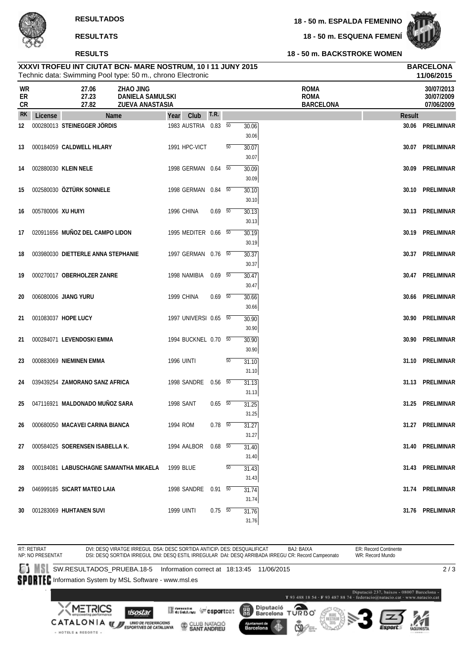# **RESULTS**

**18 - 50 m. ESQUENA FEMENÍ**



### **18 - 50 m. BACKSTROKE WOMEN**

#### Technic data: Swimming Pool type: 50 m., chrono Electronic **XXXVI TROFEU INT CIUTAT BCN- MARE NOSTRUM, 10 I 11 JUNY 2015 BARCELONA**

|                |                    | Technic data: Swimming Pool type: 50 m., chrono Electronic                                       |                       |                |    |                |                                                |               | 11/06/2015                             |
|----------------|--------------------|--------------------------------------------------------------------------------------------------|-----------------------|----------------|----|----------------|------------------------------------------------|---------------|----------------------------------------|
| WR<br>ER<br>CR |                    | 27.06<br><b>ZHAO JING</b><br>27.23<br><b>DANIELA SAMULSKI</b><br>27.82<br><b>ZUEVA ANASTASIA</b> |                       |                |    |                | <b>ROMA</b><br><b>ROMA</b><br><b>BARCELONA</b> |               | 30/07/2013<br>30/07/2009<br>07/06/2009 |
| <b>RK</b>      | License            | Name                                                                                             | Club<br>Year          | T.R.           |    |                |                                                | <b>Result</b> |                                        |
| 12             |                    | 000280013 STEINEGGER JÖRDIS                                                                      | 1983 AUSTRIA 0.83 50  |                |    | 30.06<br>30.06 |                                                |               | 30.06 PRELIMINAR                       |
| 13             |                    | 000184059 CALDWELL HILARY                                                                        | 1991 HPC-VICT         |                | 50 | 30.07          |                                                |               | 30.07 PRELIMINAR                       |
| 14             |                    | 002880030 KLEIN NELE                                                                             | 1998 GERMAN 0.64 50   |                |    | 30.07<br>30.09 |                                                |               | 30.09 PRELIMINAR                       |
| 15             |                    | 002580030 ÖZTÜRK SONNELE                                                                         | 1998 GERMAN 0.84 50   |                |    | 30.09<br>30.10 |                                                |               | 30.10 PRELIMINAR                       |
|                |                    |                                                                                                  |                       |                |    | 30.10          |                                                |               |                                        |
| 16             | 005780006 XU HUIYI |                                                                                                  | 1996 CHINA            | $0.69$ 50      |    | 30.13<br>30.13 |                                                |               | 30.13 PRELIMINAR                       |
| 17             |                    | 020911656 MUÑOZ DEL CAMPO LIDON                                                                  | 1995 MEDITER 0.66 50  |                |    | 30.19<br>30.19 |                                                |               | 30.19 PRELIMINAR                       |
| 18             |                    | 003980030 DIETTERLE ANNA STEPHANIE                                                               | 1997 GERMAN 0.76 50   |                |    | 30.37          |                                                |               | 30.37 PRELIMINAR                       |
| 19             |                    | 000270017 OBERHOLZER ZANRE                                                                       | 1998 NAMIBIA          | 0.69 50        |    | 30.37<br>30.47 |                                                |               | 30.47 PRELIMINAR                       |
| 20             |                    | 006080006 JIANG YURU                                                                             | 1999 CHINA            | $0.69$ 50      |    | 30.47<br>30.66 |                                                |               | 30.66 PRELIMINAR                       |
|                |                    |                                                                                                  |                       |                |    | 30.66          |                                                |               |                                        |
| 21             |                    | 001083037 HOPE LUCY                                                                              | 1997 UNIVERSI 0.65 50 |                |    | 30.90<br>30.90 |                                                | 30.90         | PRELIMINAR                             |
| 21             |                    | 000284071 LEVENDOSKI EMMA                                                                        | 1994 BUCKNEL 0.70 50  |                |    | 30.90          |                                                |               | 30.90 PRELIMINAR                       |
| 23             |                    | 000883069 NIEMINEN EMMA                                                                          | <b>1996 UINTI</b>     |                | 50 | 30.90<br>31.10 |                                                |               | 31.10 PRELIMINAR                       |
|                |                    |                                                                                                  |                       |                |    | 31.10          |                                                |               |                                        |
| 24             |                    | 039439254 ZAMORANO SANZ AFRICA                                                                   | 1998 SANDRE 0.56 50   |                |    | 31.13<br>31.13 |                                                |               | 31.13 PRELIMINAR                       |
| 25             |                    | 047116921 MALDONADO MUÑOZ SARA                                                                   | <b>1998 SANT</b>      | $0.65\quad 50$ |    | 31.25          |                                                |               | 31.25 PRELIMINAR                       |
|                |                    | 26 000680050 MACAVEI CARINA BIANCA                                                               | 1994 ROM              | $0.78$ 50      |    | 31.25<br>31.27 |                                                |               | 31.27 PRELIMINAR                       |
| 27             |                    | 000584025 SOERENSEN ISABELLA K.                                                                  | 1994 AALBOR  0.68  50 |                |    | 31.27<br>31.40 |                                                |               | 31.40 PRELIMINAR                       |
| 28             |                    | 000184081 LABUSCHAGNE SAMANTHA MIKAELA                                                           | 1999 BLUE             |                | 50 | 31.40<br>31.43 |                                                |               | 31.43 PRELIMINAR                       |
|                |                    |                                                                                                  |                       |                |    | 31.43          |                                                |               |                                        |
| 29             |                    | 046999185 SICART MATEO LAIA                                                                      | 1998 SANDRE 0.91 50   |                |    | 31.74<br>31.74 |                                                |               | 31.74 PRELIMINAR                       |
| 30             |                    | 001283069 HUHTANEN SUVI                                                                          | <b>1999 UINTI</b>     | $0.75 - 50$    |    | 31.76<br>31.76 |                                                |               | 31.76 PRELIMINAR                       |

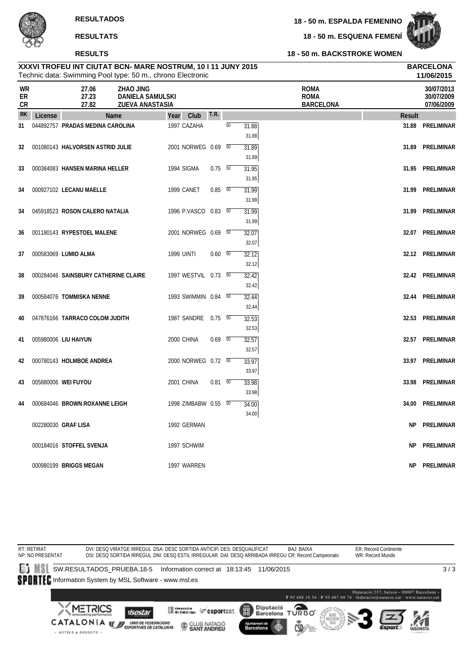**18 - 50 m. ESQUENA FEMENÍ**



# **XXXVI TROFEU INT CIUTAT BCN- MARE NOSTRUM, 10 I 11 JUNY 2015 BARCELONA RESULTS**

#### **18 - 50 m. BACKSTROKE WOMEN**

|                       |         |                                  | Technic data: Swimming Pool type: 50 m., chrono Electronic |                   |                      |                |                 |                |                                                |               | 11/06/2015                             |
|-----------------------|---------|----------------------------------|------------------------------------------------------------|-------------------|----------------------|----------------|-----------------|----------------|------------------------------------------------|---------------|----------------------------------------|
| <b>WR</b><br>ER<br>CR |         | 27.06<br>27.23<br>27.82          | ZHAO JING<br><b>DANIELA SAMULSKI</b><br>ZUEVA ANASTASIA    |                   |                      |                |                 |                | <b>ROMA</b><br><b>ROMA</b><br><b>BARCELONA</b> |               | 30/07/2013<br>30/07/2009<br>07/06/2009 |
| <b>RK</b>             | License |                                  | Name                                                       | Year              | Club                 | <b>T.R.</b>    |                 |                |                                                | <b>Result</b> |                                        |
| 31                    |         | 044892757 PRADAS MEDINA CAROLINA |                                                            |                   | 1997 CAZAHA          |                | $\overline{50}$ | 31.88<br>31.88 |                                                | 31.88         | PRELIMINAR                             |
| 32                    |         | 001080143 HALVORSEN ASTRID JULIE |                                                            |                   | 2001 NORWEG 0.69 50  |                |                 | 31.89<br>31.89 |                                                | 31.89         | PRELIMINAR                             |
| 33                    |         | 000384083 HANSEN MARINA HELLER   |                                                            |                   | 1994 SIGMA           | $0.75\ 50$     |                 | 31.95<br>31.95 |                                                |               | 31.95 PRELIMINAR                       |
| 34                    |         | 000927102 LECANU MAELLE          |                                                            |                   | 1999 CANET           | $0.85\ 50$     |                 | 31.99<br>31.99 |                                                | 31.99         | PRELIMINAR                             |
| 34                    |         | 045918523 ROSON CALERO NATALIA   |                                                            |                   | 1996 P.VASCO 0.83 50 |                |                 | 31.99<br>31.99 |                                                | 31.99         | PRELIMINAR                             |
| 36                    |         | 001180143 RYPESTOEL MALENE       |                                                            |                   | 2001 NORWEG 0.69 50  |                |                 | 32.07<br>32.07 |                                                |               | 32.07 PRELIMINAR                       |
| 37                    |         | 000583069 LUMIO ALMA             |                                                            | <b>1999 UINTI</b> |                      | $0.60\quad 50$ |                 | 32.12<br>32.12 |                                                |               | 32.12 PRELIMINAR                       |
| 38                    |         |                                  | 000284046 SAINSBURY CATHERINE CLAIRE                       |                   | 1997 WESTVIL 0.73 50 |                |                 | 32.42<br>32.42 |                                                |               | 32.42 PRELIMINAR                       |
| 39                    |         | 000584076 TOMMISKA NENNE         |                                                            |                   | 1993 SWIMMIN 0.84 50 |                |                 | 32.44<br>32.44 |                                                |               | 32.44 PRELIMINAR                       |
| 40                    |         | 047876166 TARRACO COLOM JUDITH   |                                                            |                   | 1987 SANDRE 0.75 50  |                |                 | 32.53<br>32.53 |                                                |               | 32.53 PRELIMINAR                       |
| 41                    |         | 005980006 LIU HAIYUN             |                                                            |                   | 2000 CHINA           | $0.69$ 50      |                 | 32.57<br>32.57 |                                                |               | 32.57 PRELIMINAR                       |
| 42                    |         | 000780143 HOLMBOE ANDREA         |                                                            |                   | 2000 NORWEG 0.72 50  |                |                 | 33.97<br>33.97 |                                                |               | 33.97 PRELIMINAR                       |
| 43                    |         | 005880006 WEI FUYOU              |                                                            |                   | 2001 CHINA           | $0.81\ 50$     |                 | 33.98<br>33.98 |                                                | 33.98         | PRELIMINAR                             |
| 44                    |         | 000684046 BROWN ROXANNE LEIGH    |                                                            |                   | 1998 ZIMBABW 0.55 50 |                |                 | 34.00<br>34.00 |                                                |               | 34.00 PRELIMINAR                       |
|                       |         | 002280030 GRAF LISA              |                                                            |                   | 1992 GERMAN          |                |                 |                |                                                | NP.           | PRELIMINAR                             |
|                       |         | 000184016 STOFFEL SVENJA         |                                                            |                   | 1997 SCHWIM          |                |                 |                |                                                | <b>NP</b>     | <b>PRELIMINAR</b>                      |
|                       |         | 000980199 BRIGGS MEGAN           |                                                            |                   | 1997 WARREN          |                |                 |                |                                                | <b>NP</b>     | <b>PRELIMINAR</b>                      |

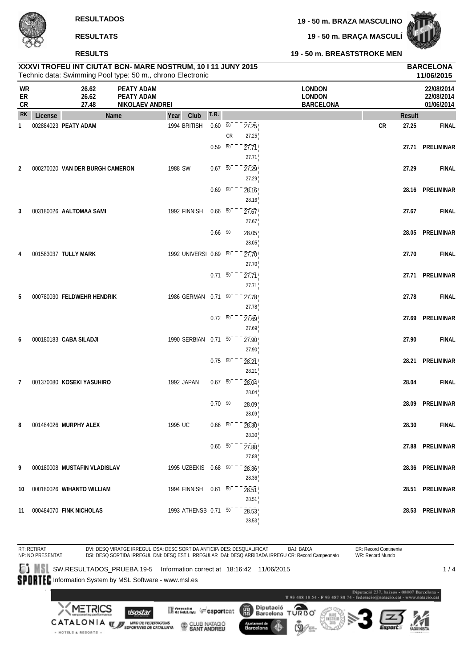**19 - 50 m. BRAZA MASCULINO**

**19 - 50 m. BRAÇA MASCULÍ**



|                               | シャー     | <b>RESULTS</b>                                                                                                             |                                                    |                       |                     |                              |                         | 19 - 50 m. BREASTSTROKE MEN                        |       |               |                                        |
|-------------------------------|---------|----------------------------------------------------------------------------------------------------------------------------|----------------------------------------------------|-----------------------|---------------------|------------------------------|-------------------------|----------------------------------------------------|-------|---------------|----------------------------------------|
|                               |         | XXXVI TROFEU INT CIUTAT BCN- MARE NOSTRUM, 10 I 11 JUNY 2015<br>Technic data: Swimming Pool type: 50 m., chrono Electronic |                                                    |                       |                     |                              |                         |                                                    |       |               | <b>BARCELONA</b><br>11/06/2015         |
| <b>WR</b><br>${\sf ER}$<br>CR |         | 26.62<br>26.62<br>27.48                                                                                                    | PEATY ADAM<br><b>PEATY ADAM</b><br>NIKOLAEV ANDREI |                       |                     |                              |                         | <b>LONDON</b><br><b>LONDON</b><br><b>BARCELONA</b> |       |               | 22/08/2014<br>22/08/2014<br>01/06/2014 |
| <b>RK</b>                     | License |                                                                                                                            | Name                                               | Year<br>Club          | T.R.                |                              |                         |                                                    |       | <b>Result</b> |                                        |
| 1                             |         | 002884023 PEATY ADAM                                                                                                       |                                                    | 1994 BRITISH          | 0.60                | $\overline{50}$<br><b>CR</b> | 27.25                   |                                                    | CR    | 27.25         | <b>FINAL</b>                           |
|                               |         |                                                                                                                            |                                                    |                       | $0.59 - 50$         |                              | 27.25<br>27.71<br>27.71 |                                                    |       | 27.71         | PRELIMINAR                             |
| 2                             |         | 000270020 VAN DER BURGH CAMERON                                                                                            |                                                    | 1988 SW               | $0.67 - 50^{-1}$    |                              | 27.29<br>27.29          |                                                    |       | 27.29         | <b>FINAL</b>                           |
|                               |         |                                                                                                                            |                                                    | $0.69 - 50^{-}$       |                     | 28.16<br>28.16               |                         |                                                    | 28.16 | PRELIMINAR    |                                        |
| 3                             |         | 003180026 AALTOMAA SAMI                                                                                                    |                                                    | 1992 FINNISH          | $0.66\quad 50$      |                              | 27.67<br>27.67          |                                                    |       | 27.67         | <b>FINAL</b>                           |
|                               |         |                                                                                                                            |                                                    |                       | $0.66\quad 50$      |                              | 28.05<br>28.05          |                                                    |       | 28.05         | PRELIMINAR                             |
| 4                             |         | 001583037 TULLY MARK                                                                                                       |                                                    | 1992 UNIVERSI 0.69 50 |                     |                              | 27.70<br>27.70          |                                                    |       | 27.70         | <b>FINAL</b>                           |
|                               |         |                                                                                                                            |                                                    |                       | $0.71\ 50$          |                              | 27.71                   |                                                    |       |               | 27.71 PRELIMINAR                       |
| 5                             |         | 000780030 FELDWEHR HENDRIK                                                                                                 |                                                    | 1986 GERMAN 0.71 50   |                     |                              | 27.71<br>27.78          |                                                    |       | 27.78         | <b>FINAL</b>                           |
|                               |         |                                                                                                                            |                                                    |                       | $0.72\overline{50}$ |                              | 27.78<br>27.69          |                                                    |       |               | 27.69 PRELIMINAR                       |
| 6                             |         | 000180183 CABA SILADJI                                                                                                     |                                                    | 1990 SERBIAN          | $0.71\ 50$          |                              | 27.69<br>27.90          |                                                    |       | 27.90         | <b>FINAL</b>                           |
|                               |         |                                                                                                                            |                                                    |                       | $0.75 - 50^{-1}$    |                              | 27.90<br>28.21          |                                                    |       |               | 28.21 PRELIMINAR                       |
| 7                             |         | 001370080 KOSEKI YASUHIRO                                                                                                  |                                                    | 1992 JAPAN            | $0.67 - 50^{-1}$    |                              | 28.21<br>28.04          |                                                    |       | 28.04         | <b>FINAL</b>                           |
|                               |         |                                                                                                                            |                                                    |                       |                     | $0.70\quad 50^{- - -}$       | 28.04<br>28.09          |                                                    |       |               | 28.09 PRELIMINAR                       |
| 8                             |         | 001484026 MURPHY ALEX                                                                                                      |                                                    | 1995 UC               | $0.66\quad 50$      |                              | 28.09<br>28.30          |                                                    |       | 28.30         | <b>FINAL</b>                           |
|                               |         |                                                                                                                            |                                                    |                       | $0.65\quad 50$      |                              | 28.30<br>27.88          |                                                    |       |               | 27.88 PRELIMINAR                       |
| 9                             |         | 000180008 MUSTAFIN VLADISLAV                                                                                               |                                                    | 1995 UZBEKIS 0.68 50  |                     |                              | 27.88<br>28.36          |                                                    |       |               | 28.36 PRELIMINAR                       |
| 10                            |         | 000180026 WIHANTO WILLIAM                                                                                                  |                                                    | 1994 FINNISH 0.61 50  |                     |                              | 28.36<br>28.51          |                                                    |       |               | 28.51 PRELIMINAR                       |

ER: Record Continente RT: RETIRAT NP: NO PRESENTAT DVI: DESQ VIRATGE IRREGUL DSA: DESC SORTIDA ANTICIP، DES: DESQUALIFICAT BAJ: BAIXA<br>DSI: DESQ SORTIDA IRREGUL DNI: DESQ ESTIL IRREGULAR DAI: DESQ ARRIBADA IRREGU CR: Record Campeonato WR: Record Mundo SW.RESULTADOS\_PRUEBA.19-5 Information correct at 18:16:42 11/06/2015  $1/4$ SPORTEC Information System by MSL Software - www.msl.es ió 237, baixos - 08007 Barcelona T 93 488 18 54 - F 93 487 88 74 - federacio@natacio.cat - www.natacio.cat **METRICS** Diputació Θ Merenta (Fesportcat 麗 **Ilsostar** Barcelona **DORD** CATALONIA WERDENING AND ARREST OF THE MAGNETIC CONSTRUCTION CONTRACTOR CLUB NATACIÓ Barcelona - HOTELS & RESORTS -

**11** 000484070 **FINK NICHOLAS** 1993 ATHENSB 0.71 <sup>50</sup> 28.53 **28.53 PRELIMINAR**

28.51

28.53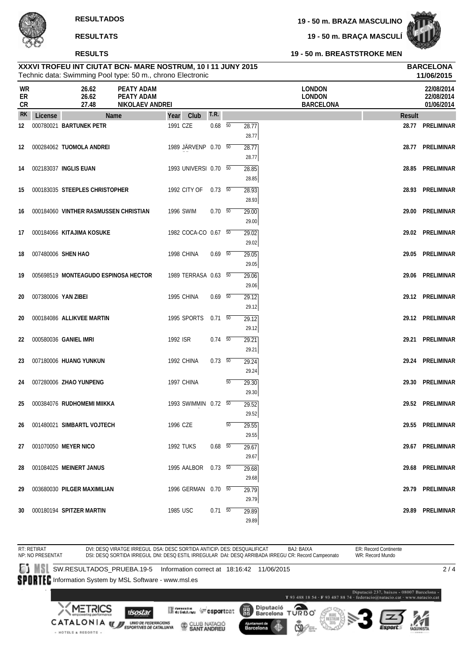**19 - 50 m. BREASTSTROKE MEN**

# **XXXVI TROFEU INT CIUTAT BCN- MARE NOSTRUM, 10 I 11 JUNY 2015 BARCELONA**

|                |                     | Technic data: Swimming Pool type: 50 m., chrono Electronic |                                                    |                  |                       |                |                 |                         |                                                    |               | 11/06/2015                             |
|----------------|---------------------|------------------------------------------------------------|----------------------------------------------------|------------------|-----------------------|----------------|-----------------|-------------------------|----------------------------------------------------|---------------|----------------------------------------|
| WR<br>ER<br>CR |                     | 26.62<br>26.62<br>27.48                                    | <b>PEATY ADAM</b><br>PEATY ADAM<br>NIKOLAEV ANDREI |                  |                       |                |                 |                         | <b>LONDON</b><br><b>LONDON</b><br><b>BARCELONA</b> |               | 22/08/2014<br>22/08/2014<br>01/06/2014 |
| <b>RK</b>      | License             | <b>Name</b>                                                |                                                    | Year             | Club                  | T.R.           |                 |                         |                                                    | <b>Result</b> |                                        |
| 12             |                     | 000780021 BARTUNEK PETR                                    |                                                    | 1991 CZE         |                       | $0.68$ 50      |                 | 28.77<br>28.77          |                                                    |               | 28.77 PRELIMINAR                       |
| 12             |                     | 000284062 TUOMOLA ANDREI                                   |                                                    |                  | 1989 JÄRVENP 0.70 50  |                |                 | 28.77<br>28.77          |                                                    |               | 28.77 PRELIMINAR                       |
| 14             |                     | 002183037 INGLIS EUAN                                      |                                                    |                  | 1993 UNIVERSI 0.70 50 |                |                 | 28.85<br>28.85          |                                                    |               | 28.85 PRELIMINAR                       |
| 15             |                     | 000183035 STEEPLES CHRISTOPHER                             |                                                    |                  | 1992 CITY OF          | 0.73 50        |                 | 28.93<br>28.93          |                                                    |               | 28.93 PRELIMINAR                       |
| 16             |                     | 000184060 VINTHER RASMUSSEN CHRISTIAN                      |                                                    | 1996 SWIM        |                       | 0.70 50        |                 | 29.00<br>29.00          |                                                    |               | 29.00 PRELIMINAR                       |
| 17             |                     | 000184066 KITAJIMA KOSUKE                                  |                                                    |                  | 1982 COCA-CO 0.67 50  |                |                 | 29.02<br>29.02          |                                                    |               | 29.02 PRELIMINAR                       |
| 18             |                     | 007480006 SHEN HAO                                         |                                                    | 1998 CHINA       |                       | $0.69$ 50      |                 | 29.05<br>29.05          |                                                    |               | 29.05 PRELIMINAR                       |
| 19             |                     | 005698519 MONTEAGUDO ESPINOSA HECTOR                       |                                                    |                  | 1989 TERRASA 0.63 50  |                |                 | 29.06                   |                                                    |               | 29.06 PRELIMINAR                       |
| 20             | 007380006 YAN ZIBEI |                                                            |                                                    | 1995 CHINA       |                       | $0.69$ 50      |                 | 29.06<br>29.12<br>29.12 |                                                    |               | 29.12 PRELIMINAR                       |
| 20             |                     | 000184086 ALLIKVEE MARTIN                                  |                                                    |                  | 1995 SPORTS           | $0.71$ 50      |                 | 29.12                   |                                                    |               | 29.12 PRELIMINAR                       |
| 22             |                     | 000580036 GANIEL IMRI                                      |                                                    | 1992 ISR         |                       | $0.74$ 50      |                 | 29.12<br>29.21          |                                                    |               | 29.21 PRELIMINAR                       |
| 23             |                     | 007180006 HUANG YUNKUN                                     |                                                    | 1992 CHINA       |                       | $0.73\quad 50$ |                 | 29.21<br>29.24<br>29.24 |                                                    |               | 29.24 PRELIMINAR                       |
| 24             |                     | 007280006 ZHAO YUNPENG                                     |                                                    | 1997 CHINA       |                       |                | $\overline{50}$ | 29.30                   |                                                    |               | 29.30 PRELIMINAR                       |
| 25             |                     | 000384076 RUDHOMEMI MIIKKA                                 |                                                    |                  | 1993 SWIMMIN 0.72 50  |                |                 | 29.30<br>29.52          |                                                    |               | 29.52 PRELIMINAR                       |
| 26             |                     | 001480021 SIMBARTL VOJTECH                                 |                                                    | 1996 CZE         |                       |                | 50              | 29.52<br>29.55          |                                                    |               | 29.55 PRELIMINAR                       |
| 27             |                     | 001070050 MEYER NICO                                       |                                                    | <b>1992 TUKS</b> |                       | $0.68$ 50      |                 | 29.55<br>29.67          |                                                    |               | 29.67 PRELIMINAR                       |
| 28             |                     | 001084025 MEINERT JANUS                                    |                                                    |                  | 1995 AALBOR  0.73  50 |                |                 | 29.67<br>29.68          |                                                    |               | 29.68 PRELIMINAR                       |
| 29             |                     | 003680030 PILGER MAXIMILIAN                                |                                                    |                  | 1996 GERMAN 0.70 50   |                |                 | 29.68<br>29.79          |                                                    |               | 29.79 PRELIMINAR                       |
| 30             |                     | 000180194 SPITZER MARTIN                                   |                                                    | 1985 USC         |                       | $0.71\ 50$     |                 | 29.79<br>29.89<br>29.89 |                                                    |               | 29.89 PRELIMINAR                       |

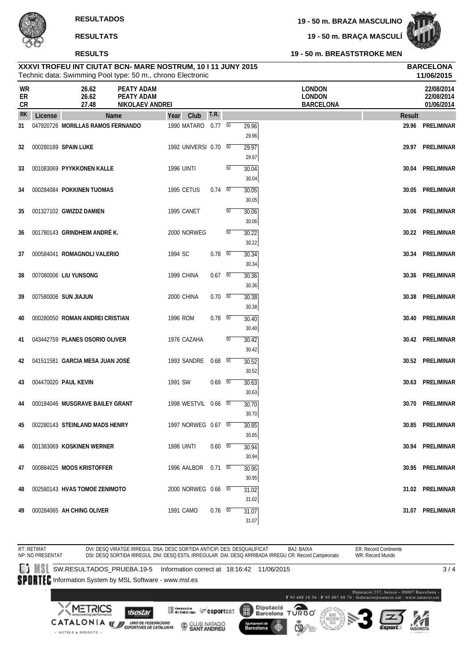**19 - 50 m. BRAÇA MASCULÍ**



**19 - 50 m. BREASTSTROKE MEN**

|                        |         | Technic data: Swimming Pool type: 50 m., chrono Electronic |                                                    |                       |                |    |                    |                                                    |               | 11/06/2015                             |
|------------------------|---------|------------------------------------------------------------|----------------------------------------------------|-----------------------|----------------|----|--------------------|----------------------------------------------------|---------------|----------------------------------------|
| WR<br>ER<br>${\sf CR}$ |         | 26.62<br>26.62<br>27.48                                    | PEATY ADAM<br><b>PEATY ADAM</b><br>NIKOLAEV ANDREI |                       |                |    |                    | <b>LONDON</b><br><b>LONDON</b><br><b>BARCELONA</b> |               | 22/08/2014<br>22/08/2014<br>01/06/2014 |
| <b>RK</b>              | License | Name                                                       |                                                    | Club<br>Year          | <b>T.R.</b>    |    |                    |                                                    | <b>Result</b> |                                        |
| 31                     |         | 047920726 MORILLAS RAMOS FERNANDO                          |                                                    | 1990 MATARO 0.77 50   |                |    | 29.96              |                                                    |               | 29.96 PRELIMINAR                       |
|                        |         |                                                            |                                                    |                       |                |    | 29.96              |                                                    |               |                                        |
| 32                     |         | 000280189 SPAIN LUKE                                       |                                                    | 1992 UNIVERSI 0.70 50 |                |    | 29.97<br>29.97     |                                                    |               | 29.97 PRELIMINAR                       |
| 33                     |         | 001083069 PYYKKONEN KALLE                                  |                                                    | <b>1996 UINTI</b>     |                | 50 | 30.04              |                                                    |               | 30.04 PRELIMINAR                       |
|                        |         |                                                            |                                                    |                       |                |    | 30.04              |                                                    |               |                                        |
| 34                     |         | 000284084 POKKINEN TUOMAS                                  |                                                    | 1995 CETUS            | $0.74\quad 50$ |    | 30.05              |                                                    |               | 30.05 PRELIMINAR                       |
|                        |         |                                                            |                                                    |                       |                |    | 30.05              |                                                    |               |                                        |
| 35                     |         | 001327102 GWIZDZ DAMIEN                                    |                                                    | 1995 CANET            |                | 50 | 30.06              |                                                    |               | 30.06 PRELIMINAR                       |
|                        |         |                                                            |                                                    |                       |                |    | 30.06              |                                                    |               |                                        |
| 36                     |         | 001780143 GRINDHEIM ANDRÉK.                                |                                                    | 2000 NORWEG           |                | 50 | 30.22<br>30.22     |                                                    |               | 30.22 PRELIMINAR                       |
| 37                     |         | 000584041 ROMAGNOLI VALERIO                                |                                                    | 1994 SC               | $0.78$ 50      |    | 30.34              |                                                    |               | 30.34 PRELIMINAR                       |
|                        |         |                                                            |                                                    |                       |                |    | 30.34              |                                                    |               |                                        |
| 38                     |         | 007080006 LIU YUNSONG                                      |                                                    | 1999 CHINA            | 0.67 50        |    | 30.36              |                                                    |               | 30.36 PRELIMINAR                       |
|                        |         |                                                            |                                                    |                       |                |    | 30.36              |                                                    |               |                                        |
| 39                     |         | 007580006 SUN JIAJUN                                       |                                                    | 2000 CHINA            | $0.70\ 50$     |    | 30.38              |                                                    | 30.38         | PRELIMINAR                             |
|                        |         |                                                            |                                                    |                       |                |    | 30.38              |                                                    |               |                                        |
| 40                     |         | 000280050 ROMAN ANDREI CRISTIAN                            |                                                    | 1996 ROM              | $0.78$ 50      |    | 30.40<br>30.40     |                                                    | 30.40         | PRELIMINAR                             |
| 41                     |         | 043442759 PLANES OSORIO OLIVER                             |                                                    | 1976 CAZAHA           |                | 50 | 30.42              |                                                    |               | 30.42 PRELIMINAR                       |
|                        |         |                                                            |                                                    |                       |                |    | 30.42              |                                                    |               |                                        |
| 42                     |         | 041511581 GARCIA MESA JUAN JOSÉ                            |                                                    | 1993 SANDRE 0.68 50   |                |    | 30.52              |                                                    |               | 30.52 PRELIMINAR                       |
|                        |         |                                                            |                                                    |                       |                |    | 30.52              |                                                    |               |                                        |
| 43                     |         | 004470020 PAUL KEVIN                                       |                                                    | 1991 SW               | $0.69$ 50      |    | 30.63              |                                                    |               | 30.63 PRELIMINAR                       |
|                        |         |                                                            |                                                    |                       |                |    | 30.63              |                                                    |               |                                        |
| 44                     |         | 000184046 MUSGRAVE BAILEY GRANT                            |                                                    | 1998 WESTVIL 0.66 50  |                |    | 30.70<br>30.70     |                                                    | 30.70         | PRELIMINAR                             |
| 45                     |         | 002280143 STEINLAND MADS HENRY                             |                                                    | 1997 NORWEG 0.67 50   |                |    | $\overline{30.85}$ |                                                    |               | 30.85 PRELIMINAR                       |
|                        |         |                                                            |                                                    |                       |                |    | 30.85              |                                                    |               |                                        |
| 46                     |         | 001383069 KOSKINEN WERNER                                  |                                                    | <b>1998 UINTI</b>     | $0.60\quad 50$ |    | 30.94              |                                                    |               | 30.94 PRELIMINAR                       |
|                        |         |                                                            |                                                    |                       |                |    | 30.94              |                                                    |               |                                        |
| 47                     |         | 000884025 MOOS KRISTOFFER                                  |                                                    | 1996 AALBOR  0.71  50 |                |    | 30.95              |                                                    |               | 30.95 PRELIMINAR                       |
|                        |         |                                                            |                                                    |                       |                |    | 30.95              |                                                    |               |                                        |
| 48                     |         | 002580143 HVAS TOMOE ZENIMOTO                              |                                                    | 2000 NORWEG 0.66 50   |                |    | 31.02              |                                                    |               | 31.02 PRELIMINAR                       |
|                        |         | 000284065 AH CHING OLIVER                                  |                                                    | 1991 CAMO             | $0.76$ 50      |    | 31.02<br>31.07     |                                                    |               | 31.07 PRELIMINAR                       |
| 49                     |         |                                                            |                                                    |                       |                |    | 31.07              |                                                    |               |                                        |

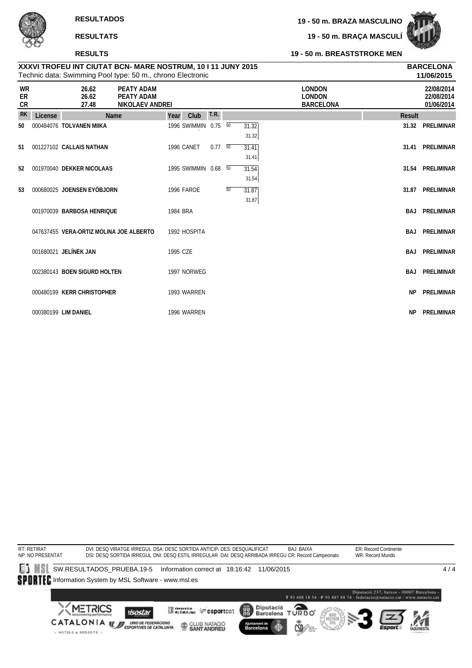· HOTELS & RESORTS ·

**19 - 50 m. BRAÇA MASCULÍ**



#### **19 - 50 m. BREASTSTROKE MEN**

# **XXXVI TROFEU INT CIUTAT BCN- MARE NOSTRUM, 10 I 11 JUNY 2015 BARCELONA**

|                       |         | Technic data: Swimming Pool type: 50 m., chrono Electronic |                                                    |          |                      |                |    |                |                                                    |               | 11/06/2015                             |
|-----------------------|---------|------------------------------------------------------------|----------------------------------------------------|----------|----------------------|----------------|----|----------------|----------------------------------------------------|---------------|----------------------------------------|
| <b>WR</b><br>ER<br>CR |         | 26.62<br>26.62<br>27.48                                    | PEATY ADAM<br>PEATY ADAM<br><b>NIKOLAEV ANDREI</b> |          |                      |                |    |                | <b>LONDON</b><br><b>LONDON</b><br><b>BARCELONA</b> |               | 22/08/2014<br>22/08/2014<br>01/06/2014 |
| <b>RK</b>             | License | <b>Name</b>                                                |                                                    | Year     | Club                 | T.R.           |    |                |                                                    | <b>Result</b> |                                        |
| 50                    |         | 000484076 TOLVANEN MIIKA                                   |                                                    |          | 1996 SWIMMIN 0.75    |                | 50 | 31.32<br>31.32 |                                                    | 31.32         | PRELIMINAR                             |
| 51                    |         | 001227102 CALLAIS NATHAN                                   |                                                    |          | 1996 CANET           | $0.77\quad 50$ |    | 31.41<br>31.41 |                                                    |               | 31.41 PRELIMINAR                       |
| 52                    |         | 001970040 DEKKER NICOLAAS                                  |                                                    |          | 1995 SWIMMIN 0.68 50 |                |    | 31.54<br>31.54 |                                                    |               | 31.54 PRELIMINAR                       |
| 53                    |         | 000680025 JOENSEN EYÖBJORN                                 |                                                    |          | <b>1996 FAROE</b>    |                | 50 | 31.87<br>31.87 |                                                    | 31.87         | PRELIMINAR                             |
|                       |         | 001970039 BARBOSA HENRIQUE                                 |                                                    | 1984 BRA |                      |                |    |                |                                                    | <b>BAJ</b>    | <b>PRELIMINAR</b>                      |
|                       |         | 047637455 VERA-ORTIZ MOLINA JOE ALBERTO                    |                                                    |          | 1992 HOSPITA         |                |    |                |                                                    | <b>BAJ</b>    | PRELIMINAR                             |
|                       |         | 001680021 JELÍNEK JAN                                      |                                                    | 1995 CZE |                      |                |    |                |                                                    | <b>BAJ</b>    | <b>PRELIMINAR</b>                      |
|                       |         | 002380143 BOEN SIGURD HOLTEN                               |                                                    |          | 1997 NORWEG          |                |    |                |                                                    | <b>BAJ</b>    | PRELIMINAR                             |
|                       |         | 000480199 KERR CHRISTOPHER                                 |                                                    |          | 1993 WARREN          |                |    |                |                                                    | <b>NP</b>     | <b>PRELIMINAR</b>                      |
|                       |         | 000380199 LIM DANIEL                                       |                                                    |          | 1996 WARREN          |                |    |                |                                                    | NP.           | PRELIMINAR                             |

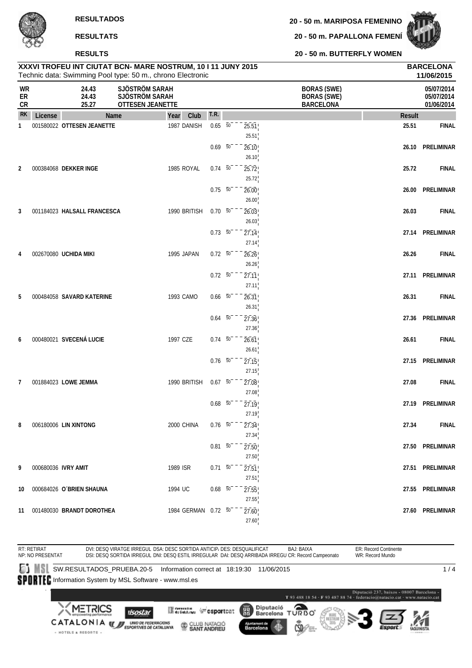#### **RESULTS**

**20 - 50 m. PAPALLONA FEMENÍ**



**20 - 50 m. BUTTERFLY WOMEN**

|                       |                     |                              | XXXVI TROFEU INT CIUTAT BCN- MARE NOSTRUM, 10 I 11 JUNY 2015<br>Technic data: Swimming Pool type: 50 m., chrono Electronic |                     |                          |                             |                                                              |        | <b>BARCELONA</b><br>11/06/2015         |
|-----------------------|---------------------|------------------------------|----------------------------------------------------------------------------------------------------------------------------|---------------------|--------------------------|-----------------------------|--------------------------------------------------------------|--------|----------------------------------------|
| WR<br>ER<br><b>CR</b> |                     | 24.43<br>24.43<br>25.27      | SJÖSTRÖM SARAH<br>SJÖSTRÖM SARAH<br><b>OTTESEN JEANETTE</b>                                                                |                     |                          |                             | <b>BORAS (SWE)</b><br><b>BORAS (SWE)</b><br><b>BARCELONA</b> |        | 05/07/2014<br>05/07/2014<br>01/06/2014 |
| <b>RK</b>             | License             |                              | Name<br>Year                                                                                                               | Club                | T.R.                     |                             |                                                              | Result |                                        |
| 1                     |                     | 001580022 OTTESEN JEANETTE   |                                                                                                                            | 1987 DANISH         | $0.65 - 50$              | 25.51<br>25.51              |                                                              | 25.51  | <b>FINAL</b>                           |
|                       |                     |                              |                                                                                                                            |                     | $0.69 - 50$              | 26.10<br>26.10              |                                                              | 26.10  | PRELIMINAR                             |
| $\overline{2}$        |                     | 000384068 DEKKER INGE        |                                                                                                                            | 1985 ROYAL          | $0.74\ 50$               | 25.72<br>25.72              |                                                              | 25.72  | <b>FINAL</b>                           |
|                       |                     |                              |                                                                                                                            |                     | $0.75\ 50$               | 26.00<br>26.00              |                                                              | 26.00  | PRELIMINAR                             |
| 3                     |                     | 001184023 HALSALL FRANCESCA  |                                                                                                                            | 1990 BRITISH        | $0.70\ 50$<br>$0.73\ 50$ | 26.03<br>26.03              |                                                              | 26.03  | <b>FINAL</b><br>27.14 PRELIMINAR       |
| 4                     |                     | 002670080 UCHIDA MIKI        |                                                                                                                            | 1995 JAPAN          | $0.72\ 50$               | 27.14<br>27.14<br>26.26     |                                                              | 26.26  | <b>FINAL</b>                           |
|                       |                     |                              |                                                                                                                            |                     | $0.72\ 50$               | 26.26<br>27.11              |                                                              | 27.11  | <b>PRELIMINAR</b>                      |
| 5                     |                     | 000484058 SAVARD KATERINE    |                                                                                                                            | 1993 CAMO           | $0.66\quad 50$           | 27.11<br>26.31              |                                                              | 26.31  | <b>FINAL</b>                           |
|                       |                     |                              |                                                                                                                            |                     | $0.64\quad 50$           | 26.31<br>27.36              |                                                              | 27.36  | PRELIMINAR                             |
| 6                     |                     | 000480021 SVECENÁ LUCIE      | 1997 CZE                                                                                                                   |                     | $0.74 - 50$              | 27.36<br>26.61              |                                                              | 26.61  | <b>FINAL</b>                           |
|                       |                     |                              |                                                                                                                            |                     | $0.76\ 50$               | 26.61<br>27.15              |                                                              |        | 27.15 PRELIMINAR                       |
| 7                     |                     | 001884023 LOWE JEMMA         |                                                                                                                            | 1990 BRITISH        | $0.67 - 50^{-1}$         | 27.15<br>27.08              |                                                              | 27.08  | <b>FINAL</b>                           |
|                       |                     |                              |                                                                                                                            |                     | $0.68$ 50                | 27.08<br>27.19              |                                                              | 27.19  | PRELIMINAR                             |
| 8                     |                     | 006180006 LIN XINTONG        |                                                                                                                            | 2000 CHINA          | $0.76$ 50                | 27.19<br>27.34<br>27.34     |                                                              | 27.34  | <b>FINAL</b>                           |
|                       |                     |                              |                                                                                                                            |                     | $0.81\ 50$               | $\overline{27.50}$<br>27.50 |                                                              |        | 27.50 PRELIMINAR                       |
| 9                     | 000680036 IVRY AMIT |                              | 1989 ISR                                                                                                                   |                     | $0.71\ 50$               | 27.51<br>27.51              |                                                              |        | 27.51 PRELIMINAR                       |
| 10                    |                     | 000684026 O'BRIEN SHAUNA     | 1994 UC                                                                                                                    |                     | $0.68$ 50                | 27.55<br>27.55              |                                                              |        | 27.55 PRELIMINAR                       |
|                       |                     | 11 001480030 BRANDT DOROTHEA |                                                                                                                            | 1984 GERMAN 0.72 50 |                          | 27.60<br>27.60              |                                                              |        | 27.60 PRELIMINAR                       |

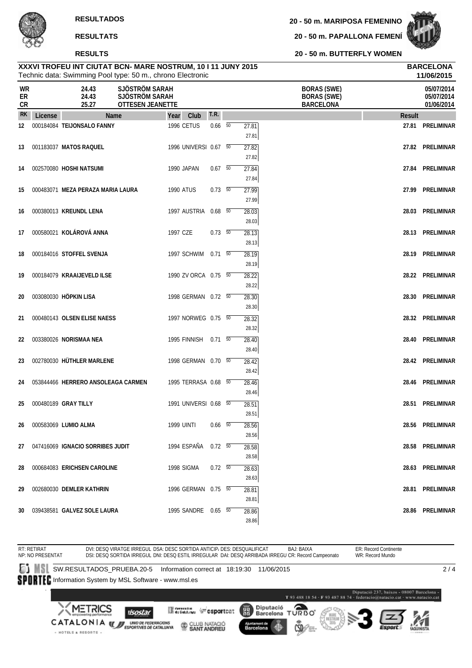**20 - 50 m. PAPALLONA FEMENÍ**



**20 - 50 m. BUTTERFLY WOMEN**

|                               |         | Technic data: Swimming Pool type: 50 m., chrono Electronic |                                                             |                       |                |                         |                                                              | 11/06/2015                             |
|-------------------------------|---------|------------------------------------------------------------|-------------------------------------------------------------|-----------------------|----------------|-------------------------|--------------------------------------------------------------|----------------------------------------|
| <b>WR</b><br>ER<br>${\sf CR}$ |         | 24.43<br>24.43<br>25.27                                    | SJÖSTRÖM SARAH<br>SJÖSTRÖM SARAH<br><b>OTTESEN JEANETTE</b> |                       |                |                         | <b>BORAS (SWE)</b><br><b>BORAS (SWE)</b><br><b>BARCELONA</b> | 05/07/2014<br>05/07/2014<br>01/06/2014 |
| <b>RK</b>                     | License | Name                                                       | Year                                                        | Club                  | T.R.           |                         | <b>Result</b>                                                |                                        |
| 12                            |         | 000184084 TEIJONSALO FANNY                                 |                                                             | 1996 CETUS            | $0.66\quad 50$ | 27.81<br>27.81          |                                                              | 27.81 PRELIMINAR                       |
| 13                            |         | 001183037 MATOS RAQUEL                                     |                                                             | 1996 UNIVERSI 0.67 50 |                | 27.82<br>27.82          | 27.82                                                        | PRELIMINAR                             |
| 14                            |         | 002570080 HOSHI NATSUMI                                    |                                                             | 1990 JAPAN            | $0.67$ 50      | 27.84<br>27.84          | 27.84                                                        | PRELIMINAR                             |
| 15                            |         | 000483071 MEZA PERAZA MARIA LAURA                          |                                                             | <b>1990 ATUS</b>      | 0.73 50        | 27.99<br>27.99          | 27.99                                                        | PRELIMINAR                             |
| 16                            |         | 000380013 KREUNDL LENA                                     |                                                             | 1997 AUSTRIA 0.68 50  |                | 28.03<br>28.03          | 28.03                                                        | PRELIMINAR                             |
| 17                            |         | 000580021 KOLÁROVÁ ANNA                                    |                                                             | 1997 CZE              | $0.73\quad 50$ | 28.13<br>28.13          |                                                              | 28.13 PRELIMINAR                       |
| 18                            |         | 000184016 STOFFEL SVENJA                                   |                                                             | 1997 SCHWIM 0.71 50   |                | 28.19<br>28.19          | 28.19                                                        | PRELIMINAR                             |
| 19                            |         | 000184079 KRAAIJEVELD ILSE                                 |                                                             | 1990 ZV ORCA 0.75 50  |                | 28.22                   |                                                              | 28.22 PRELIMINAR                       |
| 20                            |         | 003080030 HÖPKIN LISA                                      |                                                             | 1998 GERMAN 0.72 50   |                | 28.22<br>28.30          | 28.30                                                        | PRELIMINAR                             |
| 21                            |         | 000480143 OLSEN ELISE NAESS                                |                                                             | 1997 NORWEG 0.75 50   |                | 28.30<br>28.32          | 28.32                                                        | PRELIMINAR                             |
| 22                            |         | 003380026 NORISMAA NEA                                     |                                                             | 1995 FINNISH 0.71 50  |                | 28.32<br>28.40          | 28.40                                                        | PRELIMINAR                             |
| 23                            |         | 002780030 HÜTHLER MARLENE                                  |                                                             | 1998 GERMAN 0.70 50   |                | 28.40<br>28.42          |                                                              | 28.42 PRELIMINAR                       |
| 24                            |         | 053844466 HERRERO ANSOLEAGA CARMEN                         |                                                             | 1995 TERRASA 0.68 50  |                | 28.42<br>28.46          | 28.46                                                        | PRELIMINAR                             |
| 25                            |         | 000480189 GRAY TILLY                                       |                                                             | 1991 UNIVERSI 0.68 50 |                | 28.46<br>28.51          | 28.51                                                        | PRELIMINAR                             |
| 26                            |         | 000583069 LUMIO ALMA                                       |                                                             | <b>1999 UINTI</b>     | $0.66\quad 50$ | 28.51<br>28.56          |                                                              | 28.56 PRELIMINAR                       |
| 27                            |         | 047416069 IGNACIO SORRIBES JUDIT                           |                                                             | 1994 ESPAÑA 0.72 50   |                | 28.56<br>28.58          |                                                              | 28.58 PRELIMINAR                       |
| 28                            |         | 000684083 ERICHSEN CAROLINE                                |                                                             | 1998 SIGMA            | $0.72\t 50$    | 28.58<br>28.63          |                                                              | 28.63 PRELIMINAR                       |
| 29                            |         | 002680030 DEMLER KATHRIN                                   |                                                             | 1996 GERMAN 0.75 50   |                | 28.63<br>28.81          |                                                              | 28.81 PRELIMINAR                       |
| 30                            |         | 039438581 GALVEZ SOLE LAURA                                |                                                             | 1995 SANDRE 0.65 50   |                | 28.81<br>28.86<br>28.86 |                                                              | 28.86 PRELIMINAR                       |

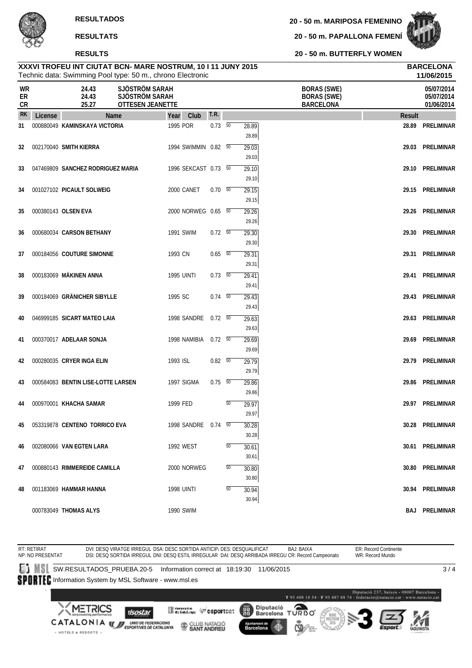**20 - 50 m. PAPALLONA FEMENÍ**



**20 - 50 m. BUTTERFLY WOMEN**

|                |         | Technic data: Swimming Pool type: 50 m., chrono Electronic |                                                             |                      |                |        |                |                                                              |               | 11/06/2015                             |
|----------------|---------|------------------------------------------------------------|-------------------------------------------------------------|----------------------|----------------|--------|----------------|--------------------------------------------------------------|---------------|----------------------------------------|
| WR<br>ER<br>CR |         | 24.43<br>24.43<br>25.27                                    | SJÖSTRÖM SARAH<br>SJÖSTRÖM SARAH<br><b>OTTESEN JEANETTE</b> |                      |                |        |                | <b>BORAS (SWE)</b><br><b>BORAS (SWE)</b><br><b>BARCELONA</b> |               | 05/07/2014<br>05/07/2014<br>01/06/2014 |
| <b>RK</b>      | License | Name                                                       |                                                             | Club<br>Year         | T.R.           |        |                |                                                              | <b>Result</b> |                                        |
| 31             |         | 000880049 KAMINSKAYA VICTORIA                              |                                                             | 1995 POR             | $0.73\ 50$     |        | 28.89<br>28.89 |                                                              | 28.89         | PRELIMINAR                             |
| 32             |         | 002170040 SMITH KIERRA                                     |                                                             | 1994 SWIMMIN 0.82 50 |                |        | 29.03<br>29.03 |                                                              | 29.03         | PRELIMINAR                             |
| 33             |         | 047469809 SANCHEZ RODRIGUEZ MARIA                          |                                                             | 1996 SEKCAST 0.73 50 |                |        | 29.10<br>29.10 |                                                              |               | 29.10 PRELIMINAR                       |
| 34             |         | 001027102 PICAULT SOLWEIG                                  |                                                             | 2000 CANET           | 0.70 50        |        | 29.15<br>29.15 |                                                              |               | 29.15 PRELIMINAR                       |
| 35             |         | 000380143 OLSEN EVA                                        |                                                             | 2000 NORWEG 0.65 50  |                |        | 29.26<br>29.26 |                                                              |               | 29.26 PRELIMINAR                       |
| 36             |         | 000680034 CARSON BETHANY                                   |                                                             | 1991 SWIM            | $0.72\ 50$     |        | 29.30          |                                                              | 29.30         | PRELIMINAR                             |
| 37             |         | 000184056 COUTURE SIMONNE                                  |                                                             | 1993 CN              | $0.65 - 50$    |        | 29.30<br>29.31 |                                                              |               | 29.31 PRELIMINAR                       |
| 38             |         | 000183069 MÄKINEN ANNA                                     |                                                             | <b>1995 UINTI</b>    | $0.73$ 50      |        | 29.31<br>29.41 |                                                              |               | 29.41 PRELIMINAR                       |
| 39             |         | 000184069 GRÄNICHER SIBYLLE                                |                                                             | 1995 SC              | $0.74 - 50$    |        | 29.41<br>29.43 |                                                              |               | 29.43 PRELIMINAR                       |
| 40             |         | 046999185 SICART MATEO LAIA                                |                                                             | 1998 SANDRE          | $0.72\ 50$     |        | 29.43<br>29.63 |                                                              | 29.63         | PRELIMINAR                             |
| 41             |         | 000370017 ADELAAR SONJA                                    |                                                             | 1998 NAMIBIA 0.72 50 |                |        | 29.63<br>29.69 |                                                              | 29.69         | PRELIMINAR                             |
| 42             |         | 000280035 CRYER INGA ELIN                                  |                                                             | 1993 ISL             | $0.82\quad 50$ |        | 29.69<br>29.79 |                                                              | 29.79         | PRELIMINAR                             |
| 43             |         | 000584083 BENTIN LISE-LOTTE LARSEN                         |                                                             | 1997 SIGMA           | $0.75\ 50$     |        | 29.79<br>29.86 |                                                              | 29.86         | PRELIMINAR                             |
| 44             |         | 000970001 KHACHA SAMAR                                     |                                                             | 1999 FED             |                | 50     | 29.86<br>29.97 |                                                              | 29.97         | PRELIMINAR                             |
| 45             |         | 053319878 CENTENO TORRICO EVA                              |                                                             | 1998 SANDRE 0.74 50  |                |        | 29.97<br>30.28 |                                                              |               | 30.28 PRELIMINAR                       |
| 46             |         | 002080066 VAN EGTEN LARA                                   |                                                             | 1992 WEST            |                | 50     | 30.28<br>30.61 |                                                              |               | 30.61 PRELIMINAR                       |
| 47             |         | 000880143 RIMMEREIDE CAMILLA                               |                                                             | 2000 NORWEG          |                | 50     | 30.61<br>30.80 |                                                              |               | 30.80 PRELIMINAR                       |
| 48             |         | 001183069 HAMMAR HANNA                                     |                                                             | <b>1998 UINTI</b>    |                | $50\,$ | 30.80<br>30.94 |                                                              |               | 30.94 PRELIMINAR                       |
|                |         |                                                            |                                                             |                      |                |        | 30.94          |                                                              |               |                                        |
|                |         | 000783049 THOMAS ALYS                                      |                                                             | 1990 SWIM            |                |        |                |                                                              |               | <b>BAJ PRELIMINAR</b>                  |

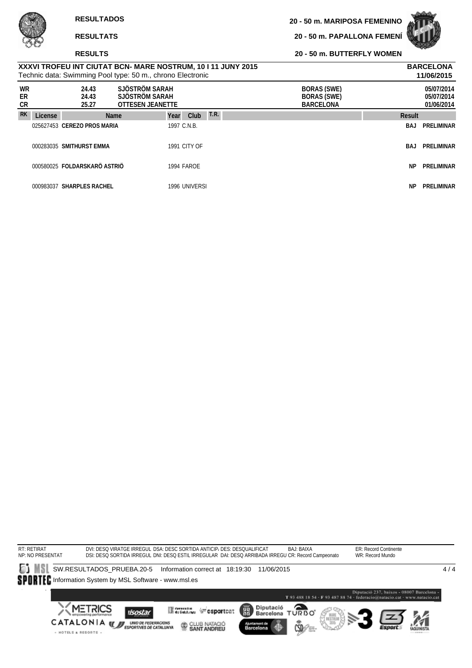**RESULTS**

· HOTELS & RESORTS ·

**20 - 50 m. PAPALLONA FEMENÍ**



**20 - 50 m. BUTTERFLY WOMEN**

| Technic data: Swimming Pool type: 50 m., chrono Electronic   | 11/06/2015       |
|--------------------------------------------------------------|------------------|
| XXXVI TROFEU INT CIUTAT BCN- MARE NOSTRUM, 10   11 JUNY 2015 | <b>BARCELONA</b> |
|                                                              |                  |

| <b>WR</b><br>ER<br>CR |         | 24.43<br>24.43<br>25.27      | SJÖSTRÖM SARAH<br>SJÖSTRÖM SARAH<br><b>OTTESEN JEANETTE</b> | <b>BORAS (SWE)</b><br><b>BORAS (SWE)</b><br><b>BARCELONA</b> | 05/07/2014<br>05/07/2014<br>01/06/2014 |
|-----------------------|---------|------------------------------|-------------------------------------------------------------|--------------------------------------------------------------|----------------------------------------|
| <b>RK</b>             | License | <b>Name</b>                  | Year                                                        | <b>T.R.</b><br>Club<br>Result                                |                                        |
|                       |         | 025627453 CEREZO PROS MARIA  | 1997 C.N.B.                                                 | BAJ                                                          | PRELIMINAR                             |
|                       |         | 000283035 SMITHURST EMMA     | <b>1991 CITY OF</b>                                         | BAJ                                                          | PRELIMINAR                             |
|                       |         | 000580025 FOLDARSKARÖ ASTRIÖ | 1994 FAROE                                                  | NP                                                           | PRELIMINAR                             |
|                       |         | 000983037 SHARPLES RACHEL    | 1996 UNIVERSI                                               | NP.                                                          | PRELIMINAR                             |

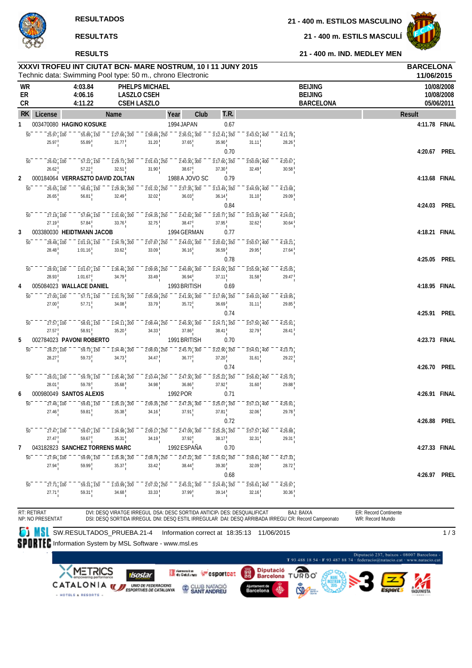#### **RESULTS**

**21 - 400 m. ESTILOS MASCULINO**

**21 - 400 m. ESTILS MASCULÍ**



**21 - 400 m. IND. MEDLEY MEN**

|           |                                                                 | XXXVI TROFEU INT CIUTAT BCN- MARE NOSTRUM, 10 I 11 JUNY 2015<br>Technic data: Swimming Pool type: 50 m., chrono Electronic |                                                                        |                                                                        |                                                                                        |                                         |                          |                                                     |                                  | <b>BARCELONA</b>      | 11/06/2015               |
|-----------|-----------------------------------------------------------------|----------------------------------------------------------------------------------------------------------------------------|------------------------------------------------------------------------|------------------------------------------------------------------------|----------------------------------------------------------------------------------------|-----------------------------------------|--------------------------|-----------------------------------------------------|----------------------------------|-----------------------|--------------------------|
| WR<br>ER  |                                                                 | 4:03.84<br>4:06.16                                                                                                         |                                                                        | PHELPS MICHAEL<br><b>LASZLO CSEH</b>                                   |                                                                                        |                                         |                          |                                                     | <b>BEIJING</b><br><b>BEIJING</b> |                       | 10/08/2008<br>10/08/2008 |
| CR        |                                                                 | 4:11.22                                                                                                                    |                                                                        | <b>CSEH LASZLO</b>                                                     |                                                                                        |                                         |                          |                                                     | <b>BARCELONA</b>                 |                       | 05/06/2011               |
| <b>RK</b> | License                                                         |                                                                                                                            | Name                                                                   |                                                                        | Club<br>Year                                                                           | t.r.                                    |                          |                                                     |                                  | Result                |                          |
| 1         | 25.97, 100<br>$\overline{50}$                                   | 003470080 HAGINO KOSUKE<br>55.89, 150                                                                                      | $\overline{1:}2\overline{7}.\overline{66}$ , $\overline{200}$          | $\overline{1:}5\overline{8.86}$ , $\overline{250}$                     | 1994 JAPAN<br>$\overline{2:}3\overline{6}.\overline{51}$ , $\overline{3}0\overline{0}$ | 0.67<br>$3:12.\overline{41}$ , $350$    |                          | 4:11.78                                             |                                  |                       | 4:11.78 FINAL            |
|           | 25.97                                                           | 55.89                                                                                                                      | 31.77                                                                  | 31.20                                                                  | 37.65                                                                                  | 35.90                                   | $3:43.52$ , 400<br>31.11 | 28.26                                               |                                  |                       |                          |
|           |                                                                 |                                                                                                                            |                                                                        |                                                                        |                                                                                        | 0.70                                    |                          |                                                     |                                  |                       | 4:20.67 PREL             |
|           | $\overline{50}$<br>$26.62 \overline{\smash{)}\,100}$            | 57.22, 150                                                                                                                 | $\frac{1}{29.73}$ , 200                                                | $\overline{2:}0\overline{1}.\overline{63}$ , $\overline{250}$          | $\overline{2:}4\overline{0}.\overline{30}$ , $\overline{300}$                          | $3:17.60$ , 350                         | 3:50.09, 400             | 4:20.67                                             |                                  |                       |                          |
|           | 26.62                                                           | 57.22                                                                                                                      | 32.51                                                                  | 31.90                                                                  | 38.67                                                                                  | 37.30                                   | 32.49                    | 30.58                                               |                                  |                       |                          |
| 2         |                                                                 | 000184064 VERRASZTO DAVID ZOLTAN                                                                                           |                                                                        |                                                                        | 1988 A JOVO SC                                                                         | 0.79                                    |                          |                                                     |                                  |                       | 4:13.68 FINAL            |
|           | $\overline{50}$<br>$26.65$ , 100                                | 56.81, 150                                                                                                                 | $1:29.30$ <sub>1</sub> 200                                             | $2:01.32$ , 250                                                        | $2:37.35$ , 300                                                                        | $3:13.49$ <sup>1</sup> 350              | $3:44.59$ , 400          | 4:13.68                                             |                                  |                       |                          |
|           | 26.65                                                           | 56.81                                                                                                                      | 32.49                                                                  | 32.02                                                                  | 36.03                                                                                  | 36.14                                   | $31.10^{+}$              | 29.09                                               |                                  |                       |                          |
|           |                                                                 |                                                                                                                            |                                                                        |                                                                        |                                                                                        | 0.84                                    |                          |                                                     |                                  |                       | 4:24.03 PREL             |
|           | $\overline{50}$<br>27.19, 100                                   | $57.84 \overline{\smash{)}150}$                                                                                            | $-7.31.60, 200$                                                        | $\overline{2:}0\overline{4}.\overline{35}$ , $\overline{250}$          | $\overline{2:}4\overline{2.82}$ , 300                                                  | $\overline{3:20.77}$ , $\overline{350}$ | $3:53.39$ , 400          | $\overline{4:}2\overline{4}.\overline{0}3$          |                                  |                       |                          |
| 3         | 27.19                                                           | 57.84<br>003380030 HEIDTMANN JACOB                                                                                         | 33.76                                                                  | 32.75                                                                  | 38.47<br>1994 GERMAN                                                                   | 37.95<br>0.77                           | 32.62                    | 30.64                                               |                                  |                       | 4:18.21 FINAL            |
|           | 50<br>28.48, 100                                                | $1:01.16$ <sup>1</sup> 150                                                                                                 | $\overline{1:34.78}$ , 200                                             | $2:07.87$ <sub>1</sub> 250                                             | $2:44.03$ , 300                                                                        | $3:20.62$ <sub>1</sub> 350              | $3:50.57$ , 400          | 4:18.21                                             |                                  |                       |                          |
|           | 28.48                                                           | 1:01.16                                                                                                                    | 33.62                                                                  | 33.09                                                                  | 36.16                                                                                  | $36.59$ <sub>1</sub>                    | 29.95                    | 27.64                                               |                                  |                       |                          |
|           |                                                                 |                                                                                                                            |                                                                        |                                                                        |                                                                                        | 0.78                                    |                          |                                                     |                                  |                       | 4:25.05 PREL             |
|           | $\overline{50}$<br>$28.93 \cdot 100$                            | $\overline{1:}0\overline{1}.\overline{67}$ , $\overline{150}$                                                              | $1:36.46$ , 200                                                        | $2:09.95$ , $250$                                                      | $2:46.89$ , 300                                                                        | $3:24.00$ , $350$                       | $3:55.58$ , 400          | 4:25.05                                             |                                  |                       |                          |
|           | 28.93                                                           | 1:01.67                                                                                                                    | 34.79                                                                  | $33.49$ <sup>1</sup>                                                   | 36.94                                                                                  | 37.11                                   | 31.58                    | 29.47                                               |                                  |                       |                          |
| 4         |                                                                 | 005084023 WALLACE DANIEL                                                                                                   |                                                                        |                                                                        | 1993 BRITISH                                                                           | 0.69                                    |                          |                                                     |                                  |                       | 4:18.95 FINAL            |
|           | $\overline{50}$<br>27.00, 100                                   | 57.71, 150                                                                                                                 | $\overline{1:31.79}$ , 200                                             | $2:05.58$ , 250                                                        | $\overline{2:}4\overline{1}.\overline{30}$ , $\overline{300}$                          | $3:17.99$ , $350$                       | 3:49.10, 400             | 4:18.95                                             |                                  |                       |                          |
|           | 27.00                                                           | 57.71                                                                                                                      | 34.08                                                                  | 33.79                                                                  | 35.72                                                                                  | $36.69$ <sup>1</sup>                    | 31.11                    | 29.85                                               |                                  |                       |                          |
|           |                                                                 |                                                                                                                            |                                                                        |                                                                        |                                                                                        | 0.74                                    |                          |                                                     |                                  |                       | 4:25.91 PREL             |
|           | 50<br>27.57, 100                                                | 58.91, 150                                                                                                                 | $-7.34.11$ , 200                                                       | $2:08.44$ <sub>1</sub> 250                                             | 2:46.30, 300                                                                           | $3:24.71$ , $350$                       | $3:57.50$ , 400          | 4:25.91                                             |                                  |                       |                          |
|           | 27.57                                                           | 58.91                                                                                                                      | 35.20                                                                  | 34.33                                                                  | 37.86                                                                                  | 38.41                                   | 32.79                    | 28.41                                               |                                  |                       |                          |
| 5         |                                                                 | 002784023 PAVONI ROBERTO                                                                                                   |                                                                        |                                                                        | 1991 BRITISH                                                                           | 0.70                                    |                          |                                                     |                                  |                       | 4:23.73 FINAL            |
|           | $\overline{50}$<br>28.27, 100<br>28.27                          | $\overline{59.73}$ , $\overline{150}$<br>59.73                                                                             | $1:34.46$ <sub>1</sub> 200<br>34.73                                    | $2:08.93$ , 250<br>34.47                                               | $2:45.70$ , 300<br>$36.77^{+}$                                                         | $3:22.90$ , 350<br>$37.20^{+}_{-}$      | $3:54.51$ , 400<br>31.61 | 4:23.73<br>29.22                                    |                                  |                       |                          |
|           |                                                                 |                                                                                                                            |                                                                        |                                                                        |                                                                                        | 0.74                                    |                          |                                                     |                                  |                       | 4:26.70 PREL             |
|           | $\overline{50}$<br>28.01, 100                                   | 59.78, 150                                                                                                                 | $1:35.46$ , 200                                                        | $2:10.44$ , 250                                                        | $2:47.30$ , 300                                                                        | $3:25.22$ , $350$                       | $3:56.82$ , 400          | 4:26.70                                             |                                  |                       |                          |
|           | 28.01                                                           | 59.78                                                                                                                      | 35.68                                                                  | 34.98                                                                  | 36.86                                                                                  | 37.92                                   | 31.60                    | 29.88                                               |                                  |                       |                          |
| 6         |                                                                 | 000980049 SANTOS ALEXIS                                                                                                    |                                                                        |                                                                        | 1992 POR                                                                               | 0.71                                    |                          |                                                     |                                  |                       | 4:26.91 FINAL            |
|           | $\overline{50}$<br>$27.46 \overline{\smash{)}100}$              | 59.81, 150                                                                                                                 | $\overline{1:35.19}$ , 200                                             | $2:09.35$ , $250$                                                      | $2:47.26$ , 300                                                                        | $3:25.07$ <sub>1</sub> 350              | $3:57.13$ , 400          | 4:26.91                                             |                                  |                       |                          |
|           | 27.46                                                           | 59.81                                                                                                                      | 35.38                                                                  | 34.16                                                                  | 37.91                                                                                  | 37.81                                   | 32.06                    | 29.78                                               |                                  |                       |                          |
|           |                                                                 |                                                                                                                            |                                                                        |                                                                        |                                                                                        | 0.72                                    |                          |                                                     |                                  |                       | 4:26.88 PREL             |
|           | $\overline{50}$<br>$27.47$ , $100$                              | $\overline{59.67}$ , $\overline{150}$                                                                                      | $\overline{1:}3\overline{4.98}$ , 200                                  | $2:09.17$ , $250$                                                      | $2:47.09$ , 300                                                                        | $3:25.26$ , $350$                       | $3:57.57$ , 400          | 4:26.88                                             |                                  |                       |                          |
|           | 27.47                                                           | 59.67                                                                                                                      | 35.31                                                                  | $34.19$ <sup>1</sup>                                                   | 37.92                                                                                  | $38.17^{+}_{-}$                         | 32.31                    | 29.31                                               |                                  |                       |                          |
| 7         |                                                                 | 043182823 SANCHEZ TORRENS MARC                                                                                             |                                                                        |                                                                        | 1992 ESPAÑA                                                                            | 0.70                                    |                          |                                                     |                                  |                       | 4:27.33 FINAL            |
|           | $\frac{1}{27.94}$ , $\frac{1}{100}$<br>$\overline{50}$<br>27.94 | 59.99, 150<br>59.99 <sup>1</sup>                                                                                           | $\overline{1:}3\overline{5}.\overline{36}$ , $\overline{200}$<br>35.37 | $\overline{2:}0\overline{8}.\overline{78}$ , $\overline{250}$<br>33.42 | $\overline{2:}4\overline{7}.\overline{22}^{\prime}$ 300<br>38.44                       | $3:26.52$ , $350$<br>39.30 <sup>1</sup> | $3:58.61$ , 400<br>32.09 | $\overline{4:}2\overline{7}.\overline{33}$<br>28.72 |                                  |                       |                          |
|           |                                                                 |                                                                                                                            |                                                                        |                                                                        |                                                                                        | 0.68                                    |                          |                                                     |                                  |                       | 4:26.97 PREL             |
|           | 27.71, 100<br>50                                                | $59.31 \, 150$                                                                                                             | $\overline{1:33.99}$ , 200                                             | $2:07.32$ <sub>1</sub> 250                                             | $2:45.\overline{31}$ , $300$                                                           | $3:24.45$ <sup>1</sup> 350              | $3:56.61$ 400            | 4:26.97                                             |                                  |                       |                          |
|           | 27.71                                                           | 59.31                                                                                                                      | 34.68                                                                  | 33.33                                                                  | 37.99                                                                                  | 39.14                                   | 32.16                    | 30.36                                               |                                  |                       |                          |
|           |                                                                 |                                                                                                                            |                                                                        |                                                                        |                                                                                        |                                         |                          |                                                     |                                  |                       |                          |
|           | RT: RETIRAT                                                     |                                                                                                                            |                                                                        |                                                                        | DVI: DESQ VIRATGE IRREGUL DSA: DESC SORTIDA ANTICIP/ DES: DESQUALIFICAT                |                                         |                          |                                                     | <b>BAJ: BAIXA</b>                | ER: Record Continente |                          |

RT: RETIRAT NP: NO PRESENTAT

DVI: DESQ VIRATGE IRREGUL DSA: DESC SORTIDA ANTICIP, DES: DESQUALIFICAT DSI: DESQ SORTIDA IRREGUL DNI: DESQ ESTIL IRREGULAR DAI: DESQ ARRIBADA IRREGU CR: Record Campeonato ER: Record Continente WR: Record Mundo

**SU**SW.RESULTADOS\_PRUEBA.21-4 Information correct at 18:35:13 11/06/2015

1 / 3

SPORTEC Information System by MSL Software - www.msl.es

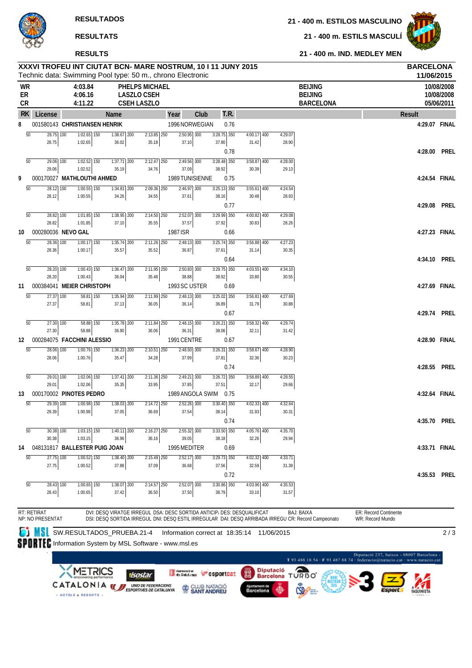**RESULTADOS**

**RESULTATS**

**21 - 400 m. ESTILS MASCULÍ**

**21 - 400 m. IND. MEDLEY MEN**



### **RESULTS**

|                              |                                 |             | XXXVI TROFEU INT CIUTAT BCN- MARE NOSTRUM, 10 I 11 JUNY 2015<br>Technic data: Swimming Pool type: 50 m., chrono Electronic |                        |                                                                   |                        |                                                                         |      |                        |      |                        |                  |                                                                                                                          |                                           | <b>BARCELONA</b><br>11/06/2015 |                                        |
|------------------------------|---------------------------------|-------------|----------------------------------------------------------------------------------------------------------------------------|------------------------|-------------------------------------------------------------------|------------------------|-------------------------------------------------------------------------|------|------------------------|------|------------------------|------------------|--------------------------------------------------------------------------------------------------------------------------|-------------------------------------------|--------------------------------|----------------------------------------|
| <b>WR</b><br>ER<br><b>CR</b> |                                 |             | 4:03.84<br>4:06.16<br>4:11.22                                                                                              |                        | <b>PHELPS MICHAEL</b><br><b>LASZLO CSEH</b><br><b>CSEH LASZLO</b> |                        |                                                                         |      |                        |      |                        |                  | <b>BEIJING</b><br><b>BEIJING</b><br><b>BARCELONA</b>                                                                     |                                           |                                | 10/08/2008<br>10/08/2008<br>05/06/2011 |
| <b>RK</b>                    | License                         |             |                                                                                                                            | Name                   |                                                                   |                        | Year                                                                    | Club |                        | T.R. |                        |                  |                                                                                                                          | Result                                    |                                |                                        |
| 8                            |                                 |             | 001580143 CHRISTIANSEN HENRIK                                                                                              |                        |                                                                   |                        | 1996 NORWEGIAN                                                          |      |                        | 0.76 |                        |                  |                                                                                                                          |                                           | 4:29.07 FINAL                  |                                        |
|                              | $\overline{50}$                 | $28.75$ 100 | $1:02.65$ 150                                                                                                              | $1:38.67$ 200          |                                                                   | $2:13.85$ 250          | $2:50.95$ 300                                                           |      | $3:28.75$ 350          |      | $4:00.17$ 400          | 4:29.07          |                                                                                                                          |                                           |                                |                                        |
|                              | 28.75                           |             | 1:02.65                                                                                                                    | 36.02                  |                                                                   | 35.18                  | 37.10                                                                   |      | 37.80                  |      | 31.42                  | 28.90            |                                                                                                                          |                                           |                                |                                        |
|                              | $\overline{50}$                 | 29.06 100   | $1:02.52$ 150                                                                                                              | $1:37.71$ 200          |                                                                   | 2:12.47 250            | 2:49.56 300                                                             |      | $3:28.48$ 350          | 0.78 | 3:58.87 400            | 4:28.00          |                                                                                                                          |                                           | 4:28.00 PREL                   |                                        |
|                              | 29.06                           |             | 1:02.52                                                                                                                    | 35.19                  |                                                                   | 34.76                  | 37.09                                                                   |      | 38.92                  |      | 30.39                  | 29.13            |                                                                                                                          |                                           |                                |                                        |
| 9                            |                                 |             | 000170027 MATHLOUTHI AHMED                                                                                                 |                        |                                                                   |                        | 1989 TUNISIENNE                                                         |      |                        | 0.75 |                        |                  |                                                                                                                          |                                           | 4:24.54 FINAL                  |                                        |
|                              | 50                              | 28.12 100   | $1:00.55$ $\overline{150}$                                                                                                 | 1:34.81 200            |                                                                   | 2:09.36 250            | $2:46.97$ 300                                                           |      | $3:25.13$ 350          |      | 3:55.61 400            | 4:24.54          |                                                                                                                          |                                           |                                |                                        |
|                              | 28.12                           |             | 1:00.55                                                                                                                    | 34.26                  |                                                                   | 34.55                  | 37.61                                                                   |      | 38.16                  | 0.77 | 30.48                  | 28.93            |                                                                                                                          |                                           | 4:29.08                        | Prel                                   |
|                              | $\overline{50}$                 | 28.82 100   | $1:01.85$ 150                                                                                                              | 1:38.95 200            |                                                                   | $2:14.50$ 250          | 2:52.07 300                                                             |      | 3:29.99 350            |      | $4:00.82$ 400          | 4:29.08          |                                                                                                                          |                                           |                                |                                        |
|                              | 28.82                           |             | 1:01.85                                                                                                                    | 37.10                  |                                                                   | 35.55                  | 37.57                                                                   |      | 37.92                  |      | 30.83                  | 28.26            |                                                                                                                          |                                           |                                |                                        |
| 10                           |                                 |             | 000280036 NEVO GAL                                                                                                         |                        |                                                                   |                        | 1987 ISR                                                                |      |                        | 0.66 |                        |                  |                                                                                                                          |                                           | 4:27.23 FINAL                  |                                        |
|                              | $\overline{50}$                 | 28.36 100   | 1:00.17 150                                                                                                                | 1:35.74 200            |                                                                   | $2:11.26$ 250          | 2:48.13 300                                                             |      | $3:25.74$ 350          |      | 3:56.88 400            | 4:27.23          |                                                                                                                          |                                           |                                |                                        |
|                              | 28.36                           |             | 1:00.17                                                                                                                    | 35.57                  |                                                                   | 35.52                  | 36.87                                                                   |      | 37.61                  | 0.64 | 31.14                  | 30.35            |                                                                                                                          |                                           | 4:34.10 PREL                   |                                        |
|                              | $\overline{50}$                 | 28.20 100   | $1:00.43$ $\overline{150}$                                                                                                 | $1:36.47$ 200          |                                                                   | 2:11.95 250            | $2:50.83$ 300                                                           |      | $3:29.75$ 350          |      | $4:03.55$ 400          | 4:34.10          |                                                                                                                          |                                           |                                |                                        |
|                              | 28.20                           |             | 1:00.43                                                                                                                    | 36.04                  |                                                                   | 35.48                  | 38.88                                                                   |      | 38.92                  |      | 33.80                  | 30.55            |                                                                                                                          |                                           |                                |                                        |
| 11                           |                                 |             | 000384041 MEIER CHRISTOPH                                                                                                  |                        |                                                                   |                        | 1993 SC USTER                                                           |      |                        | 0.69 |                        |                  |                                                                                                                          |                                           | 4:27.69 FINAL                  |                                        |
|                              | $\overline{50}$<br>27.37        | 27.37 100   | 58.81 150<br>58.81                                                                                                         | $1:35.94$ 200<br>37.13 |                                                                   | 2:11.99 250<br>36.05   | $2:48.13$ 300<br>36.14                                                  |      | 3:25.02 350<br>36.89   |      | $3:56.81$ 400<br>31.79 | 4:27.69<br>30.88 |                                                                                                                          |                                           |                                |                                        |
|                              |                                 |             |                                                                                                                            |                        |                                                                   |                        |                                                                         |      |                        | 0.67 |                        |                  |                                                                                                                          |                                           | 4:29.74 PREL                   |                                        |
|                              | $\overline{50}$                 | 27.30 100   | $58.88$ 150                                                                                                                | $1:35.78$ 200          |                                                                   | $2:11.84$ 250          | $2:48.15$ 300                                                           |      | $3:26.21$ 350          |      | $3:58.32$ 400          | 4:29.74          |                                                                                                                          |                                           |                                |                                        |
|                              | 27.30                           |             | 58.88                                                                                                                      | 36.90                  |                                                                   | 36.06                  | 36.31                                                                   |      | 38.06                  |      | 32.11                  | 31.42            |                                                                                                                          |                                           |                                |                                        |
| 12                           |                                 |             | 000284075 FACCHINI ALESSIO                                                                                                 |                        |                                                                   |                        | 1991 CENTRE                                                             |      |                        | 0.67 |                        |                  |                                                                                                                          |                                           | 4:28.90 FINAL                  |                                        |
|                              | $\overline{50}$<br>28.06        | 28.06 100   | 1:00.76 150<br>1:00.76                                                                                                     | 1:36.23 200<br>35.47   |                                                                   | 2:10.51 250<br>34.28   | 2:48.50 300<br>37.99                                                    |      | $3:26.31$ 350<br>37.81 |      | 3:58.67 400<br>32.36   | 4:28.90<br>30.23 |                                                                                                                          |                                           |                                |                                        |
|                              |                                 |             |                                                                                                                            |                        |                                                                   |                        |                                                                         |      |                        | 0.74 |                        |                  |                                                                                                                          |                                           | 4:28.55                        | Prel                                   |
|                              | 50                              | 29.01 100   | $1:02.06$ 150                                                                                                              | $1:37.41$ 200          |                                                                   | $2:11.36$ 250          | $2:49.21$ 300                                                           |      | $3:26.72$ 350          |      | $3:58.89$ 400          | 4:28.55          |                                                                                                                          |                                           |                                |                                        |
|                              | 29.01                           |             | 1:02.06                                                                                                                    | 35.35                  |                                                                   | 33.95                  | 37.85                                                                   |      | 37.51                  |      | 32.17                  | 29.66            |                                                                                                                          |                                           |                                |                                        |
| 13                           |                                 |             | 000170002 PINOTES PEDRO                                                                                                    |                        |                                                                   |                        | 1989 ANGOLA SWIM                                                        |      |                        | 0.75 |                        |                  |                                                                                                                          |                                           | 4:32.64 FINAL                  |                                        |
|                              | $\overline{50}$<br>29.39        | 29.39 100   | 1:00.98 150<br>1:00.98                                                                                                     | 1:38.03 200<br>37.05   |                                                                   | 2:14.72 250<br>36.69   | $2:52.26$ 300<br>37.54                                                  |      | $3:30.40$ 350<br>38.14 |      | $4:02.33$ 400<br>31.93 | 4:32.64<br>30.31 |                                                                                                                          |                                           |                                |                                        |
|                              |                                 |             |                                                                                                                            |                        |                                                                   |                        |                                                                         |      |                        | 0.74 |                        |                  |                                                                                                                          |                                           | 4:35.70 PREL                   |                                        |
|                              | 50                              | 30.38 100   | $1:03.15$ 150                                                                                                              | 1:40.11 200            |                                                                   | 2:16.27 250            | $2:55.32$ 300                                                           |      | $3:33.50$ 350          |      | $4:05.76$ 400          | 4:35.70          |                                                                                                                          |                                           |                                |                                        |
|                              | 30.38                           |             | 1:03.15                                                                                                                    | 36.96                  |                                                                   | 36.16                  | 39.05                                                                   |      | 38.18                  |      | 32.26                  | 29.94            |                                                                                                                          |                                           |                                |                                        |
| 14                           |                                 |             | 048131817 BALLESTER PUIG JOAN                                                                                              |                        |                                                                   |                        | 1995 MEDITER                                                            |      |                        | 0.69 |                        |                  |                                                                                                                          |                                           | 4:33.71 FINAL                  |                                        |
|                              | $\overline{50}$<br>27.75        | 27.75 100   | $1:00.52$ $\overline{150}$<br>1:00.52                                                                                      | $1:38.40$ 200<br>37.88 |                                                                   | $2:15.49$ 250<br>37.09 | $2:52.17$ 300<br>36.68                                                  |      | 3:29.73 350<br>37.56   |      | 4:02.32 400<br>32.59   | 4:33.71<br>31.39 |                                                                                                                          |                                           |                                |                                        |
|                              |                                 |             |                                                                                                                            |                        |                                                                   |                        |                                                                         |      |                        | 0.72 |                        |                  |                                                                                                                          |                                           | 4:35.53 PREL                   |                                        |
|                              | $\overline{50}$                 | 28.43 100   | 1:00.65 150                                                                                                                | $1:38.07$ 200          |                                                                   | $2:14.57$ 250          | $2:52.07$ 300                                                           |      | $3:30.86$ 350          |      | $4:03.96$ 400          | 4:35.53          |                                                                                                                          |                                           |                                |                                        |
|                              | 28.43                           |             | 1:00.65                                                                                                                    | 37.42                  |                                                                   | 36.50                  | 37.50                                                                   |      | 38.79                  |      | 33.10                  | 31.57            |                                                                                                                          |                                           |                                |                                        |
|                              | RT: RETIRAT<br>NP: NO PRESENTAT |             |                                                                                                                            |                        |                                                                   |                        | DVI: DESQ VIRATGE IRREGUL DSA: DESC SORTIDA ANTICIP/ DES: DESQUALIFICAT |      |                        |      |                        |                  | <b>BAJ: BAIXA</b><br>DSI: DESQ SORTIDA IRREGUL DNI: DESQ ESTIL IRREGULAR DAI: DESQ ARRIBADA IRREGU CR: Record Campeonato | ER: Record Continente<br>WR: Record Mundo |                                |                                        |

SW.RESULTADOS\_PRUEBA.21-4 Information correct at 18:35:14 11/06/2015

2 / 3

SPORTEC Information System by MSL Software - www.msl.es

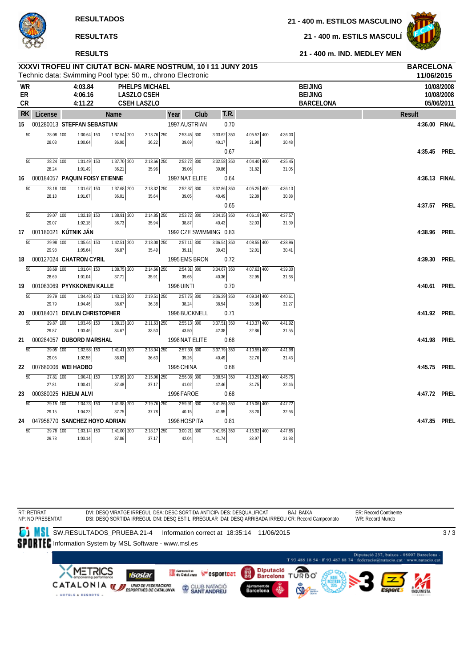#### **RESULTS**

**21 - 400 m. ESTILOS MASCULINO**

**21 - 400 m. ESTILS MASCULÍ**



#### **21 - 400 m. IND. MEDLEY MEN**

|                       | XXXVI TROFEU INT CIUTAT BCN- MARE NOSTRUM, 10 I 11 JUNY 2015<br>Technic data: Swimming Pool type: 50 m., chrono Electronic |                  |                               |             |                          |                                                                   |                         |      |                        |      |                        |                  |                                                      | <b>BARCELONA</b><br>11/06/2015 |                                        |
|-----------------------|----------------------------------------------------------------------------------------------------------------------------|------------------|-------------------------------|-------------|--------------------------|-------------------------------------------------------------------|-------------------------|------|------------------------|------|------------------------|------------------|------------------------------------------------------|--------------------------------|----------------------------------------|
| <b>WR</b><br>ER<br>CR |                                                                                                                            |                  | 4:03.84<br>4:06.16<br>4:11.22 |             |                          | <b>PHELPS MICHAEL</b><br><b>LASZLO CSEH</b><br><b>CSEH LASZLO</b> |                         |      |                        |      |                        |                  | <b>BEIJING</b><br><b>BEIJING</b><br><b>BARCELONA</b> |                                | 10/08/2008<br>10/08/2008<br>05/06/2011 |
| RK.                   | License                                                                                                                    |                  |                               | <b>Name</b> |                          |                                                                   | Year                    | Club |                        | T.R. |                        |                  |                                                      | <b>Result</b>                  |                                        |
|                       | 15 001280013 STEFFAN SEBASTIAN                                                                                             |                  |                               |             |                          |                                                                   | 1997 AUSTRIAN           |      |                        | 0.70 |                        |                  |                                                      | 4:36.00 FINAL                  |                                        |
|                       | $\overline{50}$<br>$\overline{28.08}$ 100                                                                                  |                  | $1:00.64$ 150                 |             | $1:37.54$ 200            | $2:13.76$ 250                                                     | $2:53.45$ 300           |      | $3:33.62$ 350          |      | $4:05.52$ 400          | 4:36.00          |                                                      |                                |                                        |
|                       | 28.08                                                                                                                      |                  | 1:00.64                       |             | 36.90                    | 36.22                                                             | 39.69                   |      | 40.17                  |      | 31.90                  | 30.48            |                                                      |                                |                                        |
|                       | $\overline{50}$<br>$28.24$ 100                                                                                             |                  | $1:01.49$ 150                 |             | $1:37.70$ 200            | $2:13.66$ 250                                                     | $2:52.72$ 300           |      | $3:32.58$ 350          | 0.67 | $4:04.40$ 400          | 4:35.45          |                                                      | 4:35.45 PREL                   |                                        |
|                       | 28.24                                                                                                                      |                  | 1:01.49                       |             | 36.21                    | 35.96                                                             | 39.06                   |      | 39.86                  |      | 31.82                  | 31.05            |                                                      |                                |                                        |
| 16                    | 000184057 PAQUIN FOISY ETIENNE                                                                                             |                  |                               |             |                          |                                                                   | 1997 NAT ELITE          |      |                        | 0.64 |                        |                  |                                                      | 4:36.13 FINAL                  |                                        |
|                       | $\overline{50}$<br>28.18 100                                                                                               |                  | $1:01.67$ 150                 |             | 1:37.68 200              | $2:13.32$ 250                                                     | 2:52.37 300             |      | 3:32.86 350            |      | $4:05.25$ 400          | 4:36.13          |                                                      |                                |                                        |
|                       | 28.18                                                                                                                      |                  | 1:01.67                       |             | 36.01                    | 35.64                                                             | 39.05                   |      | 40.49                  |      | 32.39                  | 30.88            |                                                      |                                |                                        |
|                       |                                                                                                                            |                  |                               |             |                          |                                                                   |                         |      |                        | 0.65 |                        |                  |                                                      | 4:37.57 PREL                   |                                        |
|                       | $\overline{50}$<br>$\overline{29.07}$ 100                                                                                  |                  | $1:02.18$ 150                 |             | $7:38.91$ 200            | $2:14.85$ 250                                                     | $2:53.72$ 300           |      | $3:34.15$ 350          |      | $4:06.18$ 400          | 4:37.57          |                                                      |                                |                                        |
|                       | 29.07                                                                                                                      |                  | 1:02.18                       |             | 36.73                    | 35.94                                                             | 38.87                   |      | 40.43                  |      | 32.03                  | 31.39            |                                                      |                                |                                        |
| 17                    | 001180021 KÚTNIK JÁN                                                                                                       |                  |                               |             |                          |                                                                   | 1992 CZE SWIMMING 0.83  |      |                        |      |                        |                  |                                                      | 4:38.96 PREL                   |                                        |
|                       | $\overline{50}$<br>29.98<br>29.98                                                                                          | $\overline{100}$ | $1:05.64$ 150<br>1:05.64      |             | $1:42.51$ 200<br>36.87   | $2:18.00$ 250<br>35.49                                            | $2:57.11$ 300<br>39.11  |      | $3:36.54$ 350<br>39.43 |      | $4:08.55$ 400<br>32.01 | 4:38.96<br>30.41 |                                                      |                                |                                        |
| 18                    | 000127024 CHATRON CYRIL                                                                                                    |                  |                               |             |                          |                                                                   | 1995 EMS BRON           |      |                        | 0.72 |                        |                  |                                                      | 4:39.30 PREL                   |                                        |
|                       | $\overline{50}$<br>$\overline{28.69}$ 100                                                                                  |                  | $1:01.04$ 150                 |             | $7:38.75$ <sub>200</sub> | $2:14.66$ 250                                                     | $2:54.31$ 300           |      | $3:34.67$ 350          |      | $4:07.62$ 400          | 4:39.30          |                                                      |                                |                                        |
|                       | 28.69                                                                                                                      |                  | 1:01.04                       |             | 37.71                    | 35.91                                                             | 39.65                   |      | 40.36                  |      | 32.95                  | 31.68            |                                                      |                                |                                        |
| 19                    | 001083069 PYYKKONEN KALLE                                                                                                  |                  |                               |             |                          |                                                                   | <b>1996 UINTI</b>       |      |                        | 0.70 |                        |                  |                                                      | 4:40.61 PREL                   |                                        |
|                       | $\overline{50}$<br>$\overline{29.79}$ 100                                                                                  |                  | $1:04.46$ 150                 |             | $1:43.13$ 200            | $2:19.51$ 250                                                     | $2:57.75$ 300           |      | $3:36.29$ 350          |      | $4:09.34$ 400          | 4:40.61          |                                                      |                                |                                        |
|                       | 29.79                                                                                                                      |                  | 1:04.46                       |             | 38.67                    | 36.38                                                             | 38.24                   |      | 38.54                  |      | 33.05                  | 31.27            |                                                      |                                |                                        |
| 20                    | 000184071 DEVLIN CHRISTOPHER                                                                                               |                  |                               |             |                          |                                                                   | 1996 BUCKNELL           |      |                        | 0.71 |                        |                  |                                                      | 4:41.92 PREL                   |                                        |
|                       | 50<br>$29.87$ 100<br>29.87                                                                                                 |                  | $1:03.46$ 150                 |             | $1:38.13$ 200            | $2:11.63$ 250                                                     | $2:55.13$ 300           |      | $3:37.51$ 350          |      | $4:10.37$ 400          | 4:41.92          |                                                      |                                |                                        |
| 21                    | 000284057 DUBORD MARSHAL                                                                                                   |                  | 1:03.46                       |             | 34.67                    | 33.50                                                             | 43.50<br>1998 NAT ELITE |      | 42.38                  | 0.68 | 32.86                  | 31.55            |                                                      | 4:41.98 PREL                   |                                        |
|                       | $\overline{50}$<br>$29.05$ 100                                                                                             |                  | $1:02.58$ 150                 |             | $1:41.41$ 200            | $2:18.04$ 250                                                     | $2:57.30$ 300           |      | $3:37.79$ 350          |      | $4:10.55$ 400          | 4:41.98          |                                                      |                                |                                        |
|                       | 29.05                                                                                                                      |                  | 1:02.58                       |             | 38.83                    | 36.63                                                             | 39.26                   |      | 40.49                  |      | 32.76                  | 31.43            |                                                      |                                |                                        |
| 22                    | 007680006 WEI HAOBO                                                                                                        |                  |                               |             |                          |                                                                   | 1995 CHINA              |      |                        | 0.68 |                        |                  |                                                      | 4:45.75 PREL                   |                                        |
|                       | $\overline{50}$<br>27.81                                                                                                   | 100              | $1:00.41$ 150                 |             | $1:37.89$ 200            | $2:15.06$ 250                                                     | $2:56.08$ 300           |      | $3:38.54$ 350          |      | $4:13.29$ 400          | 4:45.75          |                                                      |                                |                                        |
|                       | 27.81                                                                                                                      |                  | 1:00.41                       |             | 37.48                    | 37.17                                                             | 41.02                   |      | 42.46                  |      | 34.75                  | 32.46            |                                                      |                                |                                        |
| 23                    | 000380025 HJELM ALVI                                                                                                       |                  |                               |             |                          |                                                                   | 1996 FAROE              |      |                        | 0.68 |                        |                  |                                                      | 4:47.72 PREL                   |                                        |
|                       | $\overline{50}$<br>$29.15$ $100$                                                                                           |                  | $1:04.23$ 150                 |             | $1:41.98$ 200            | $2:19.76$ 250                                                     | $2:59.91$ 300           |      | $3:41.86$ 350          |      | $4:15.06$ 400          | 4:47.72          |                                                      |                                |                                        |
|                       | 29.15                                                                                                                      |                  | 1:04.23                       |             | 37.75                    | 37.78                                                             | 40.15                   |      | 41.95                  |      | 33.20                  | 32.66            |                                                      |                                |                                        |
| 24                    | 047956770 SANCHEZ HOYO ADRIAN                                                                                              |                  |                               |             |                          |                                                                   | 1998 HOSPITA            |      |                        | 0.81 |                        |                  |                                                      | 4:47.85 PREL                   |                                        |
|                       | 50<br>29.78 100<br>29.78                                                                                                   |                  | $1:03.14$ 150<br>1:03.14      |             | $1:41.00$ 200<br>37.86   | $2:18.17$ 250<br>37.17                                            | $3:00.21$ 300<br>42.04  |      | $3:41.95$ 350<br>41.74 |      | $4:15.92$ 400<br>33.97 | 4:47.85<br>31.93 |                                                      |                                |                                        |

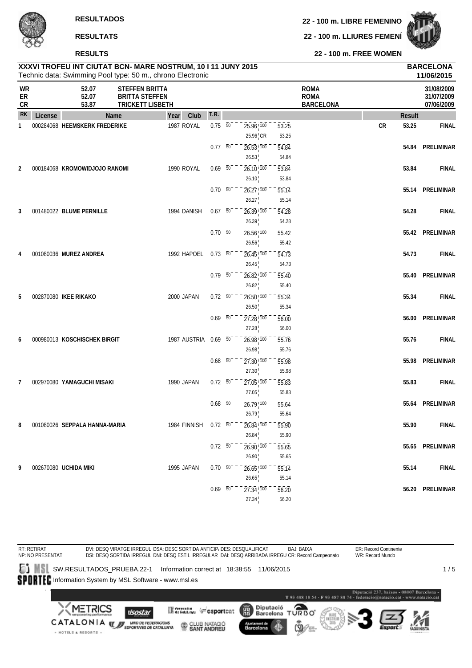**22 - 100 m. LIBRE FEMENINO**

**22 - 100 m. LLIURES FEMENÍ**



**22 - 100 m. FREE WOMEN**

|                |         |                               |                                                                           | XXXVI TROFEU INT CIUTAT BCN- MARE NOSTRUM, 10 I 11 JUNY 2015<br>Technic data: Swimming Pool type: 50 m., chrono Electronic |                  |                                                     |                             |                                                |           |               | <b>BARCELONA</b><br>11/06/2015         |
|----------------|---------|-------------------------------|---------------------------------------------------------------------------|----------------------------------------------------------------------------------------------------------------------------|------------------|-----------------------------------------------------|-----------------------------|------------------------------------------------|-----------|---------------|----------------------------------------|
| WR<br>ER<br>CR |         | 52.07<br>52.07<br>53.87       | <b>STEFFEN BRITTA</b><br><b>BRITTA STEFFEN</b><br><b>TRICKETT LISBETH</b> |                                                                                                                            |                  |                                                     |                             | <b>ROMA</b><br><b>ROMA</b><br><b>BARCELONA</b> |           |               | 31/08/2009<br>31/07/2009<br>07/06/2009 |
| <b>RK</b>      | License |                               | Name                                                                      | Club<br>Year                                                                                                               | T.R.             |                                                     |                             |                                                |           | <b>Result</b> |                                        |
| 1              |         | 000284068 HEEMSKERK FREDERIKE |                                                                           | 1987 ROYAL                                                                                                                 | $0.75\ 50$       | $25.96$ <sub>, 100</sub><br>$25.96$ <sub>I</sub> CR | 53.25<br>53.25              |                                                | <b>CR</b> | 53.25         | <b>FINAL</b>                           |
|                |         |                               |                                                                           |                                                                                                                            | $0.77 - 50$      | $26.53$ <sup>100</sup><br>26.53                     | 54.84<br>54.84              |                                                |           | 54.84         | PRELIMINAR                             |
| 2              |         | 000184068 KROMOWIDJOJO RANOMI |                                                                           | 1990 ROYAL                                                                                                                 | $0.69\ 50$       | 26.10!100<br>26.10                                  | 53.84<br>53.84              |                                                |           | 53.84         | <b>FINAL</b>                           |
|                |         |                               |                                                                           |                                                                                                                            | $0.70\ 50$       | $26.27$ <sup>100</sup><br>26.27                     | 55.14<br>55.14              |                                                |           | 55.14         | PRELIMINAR                             |
| 3              |         | 001480022 BLUME PERNILLE      |                                                                           | 1994 DANISH                                                                                                                | $0.67$ 50        | $26.39$ <sup>100</sup><br>26.39                     | 54.28<br>54.28              |                                                |           | 54.28         | <b>FINAL</b>                           |
|                |         |                               |                                                                           |                                                                                                                            | $0.70\ 50$       | $26.56$ <sup>1</sup> $100$<br>26.56                 | 55.42<br>55.42              |                                                |           |               | 55.42 PRELIMINAR                       |
| 4              |         | 001080036 MUREZ ANDREA        |                                                                           | 1992 HAPOEL                                                                                                                | $0.73\ 50$       | $26.45$ <sup>100</sup><br>26.45                     | 54.73<br>54.73              |                                                |           | 54.73         | <b>FINAL</b>                           |
|                |         |                               |                                                                           |                                                                                                                            | $0.79\ 50$       | $26.82$ <sub>,100</sub><br>26.82                    | 55.40<br>55.40              |                                                |           | 55.40         | PRELIMINAR                             |
| 5              |         | 002870080 IKEE RIKAKO         |                                                                           | 2000 JAPAN                                                                                                                 | $0.72$ 50        | 26.50 100<br>26.50                                  | 55.34<br>55.34              |                                                |           | 55.34         | <b>FINAL</b>                           |
|                |         |                               |                                                                           |                                                                                                                            | $0.69 - 50^{-1}$ | $27.28$ <sub>,100</sub><br>27.28                    | 56.00<br>56.00              |                                                |           | 56.00         | PRELIMINAR                             |
| 6              |         | 000980013 KOSCHISCHEK BIRGIT  |                                                                           | 1987 AUSTRIA                                                                                                               | $0.69$ 50        | 26.98 100<br>26.98                                  | 55.76<br>55.76              |                                                |           | 55.76         | <b>FINAL</b>                           |
|                |         |                               |                                                                           |                                                                                                                            | $0.68$ 50        | $27.30$ <sub>,100</sub><br>27.30                    | 55.98<br>55.98              |                                                |           | 55.98         | PRELIMINAR                             |
| 7              |         | 002970080 YAMAGUCHI MISAKI    |                                                                           | 1990 JAPAN                                                                                                                 | $0.72\ 50$       | $27.05$ <sup>100</sup><br>27.05                     | 55.83<br>55.83              |                                                |           | 55.83         | <b>FINAL</b>                           |
|                |         |                               |                                                                           |                                                                                                                            | $0.68$ 50        | $26.79$ ! $100$<br>26.79                            | 55.64<br>55.64              |                                                |           | 55.64         | PRELIMINAR                             |
| 8              |         | 001080026 SEPPALA HANNA-MARIA |                                                                           | 1984 FINNISH 0.72 50                                                                                                       |                  | $26.84^{+100}$<br>26.84                             | 55.90                       |                                                |           | 55.90         | <b>FINAL</b>                           |
|                |         |                               |                                                                           |                                                                                                                            | $0.72\ 50$       | 26.90, 100                                          | 55.90<br>55.65              |                                                |           |               | 55.65 PRELIMINAR                       |
| 9              |         | 002670080 UCHIDA MIKI         |                                                                           | 1995 JAPAN                                                                                                                 | $0.70\ 50^{-}$   | 26.90<br>$26.65$ , $100$                            | 55.65<br>$\overline{55.14}$ |                                                |           | 55.14         | <b>FINAL</b>                           |
|                |         |                               |                                                                           |                                                                                                                            | $0.69$ 50        | 26.65<br>$27.34$ <sup>100</sup><br>27.34            | 55.14<br>56.20<br>56.20     |                                                |           |               | 56.20 PRELIMINAR                       |
|                |         |                               |                                                                           |                                                                                                                            |                  |                                                     |                             |                                                |           |               |                                        |

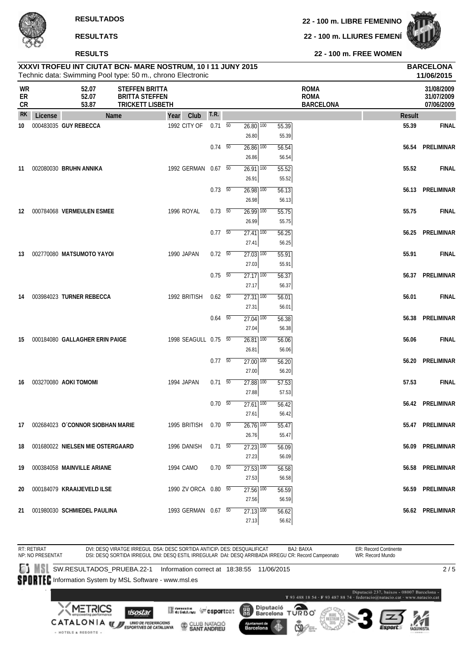**22 - 100 m. LIBRE FEMENINO**

**22 - 100 m. LLIURES FEMENÍ**



**22 - 100 m. FREE WOMEN**

### Technic data: Swimming Pool type: 50 m., chrono Electronic **XXXVI TROFEU INT CIUTAT BCN- MARE NOSTRUM, 10 I 11 JUNY 2015 BARCELONA**

|                |         |                                     | Technic data: Swimming Pool type: 50 m., chrono Electronic                |                |                                     |       |                                                |               | 11/06/2015                             |
|----------------|---------|-------------------------------------|---------------------------------------------------------------------------|----------------|-------------------------------------|-------|------------------------------------------------|---------------|----------------------------------------|
| WR<br>ER<br>CR |         | 52.07<br>52.07<br>53.87             | <b>STEFFEN BRITTA</b><br><b>BRITTA STEFFEN</b><br><b>TRICKETT LISBETH</b> |                |                                     |       | <b>ROMA</b><br><b>ROMA</b><br><b>BARCELONA</b> |               | 31/08/2009<br>31/07/2009<br>07/06/2009 |
| <b>RK</b>      | License | Name                                | Club<br>Year                                                              | T.R.           |                                     |       |                                                | <b>Result</b> |                                        |
| 10             |         | 000483035 GUY REBECCA               | 1992 CITY OF                                                              | $0.71\quad 50$ | $26.80$ $\overline{100}$            | 55.39 |                                                | 55.39         | <b>FINAL</b>                           |
|                |         |                                     |                                                                           |                | 26.80                               | 55.39 |                                                |               |                                        |
|                |         |                                     |                                                                           | $0.74 - 50$    | $26.86$ $\overline{100}$            | 56.54 |                                                | 56.54         | PRELIMINAR                             |
|                |         |                                     |                                                                           |                | 26.86                               | 56.54 |                                                |               |                                        |
| 11             |         | 002080030 BRUHN ANNIKA              | 1992 GERMAN 0.67 50                                                       |                | $26.91$ 100                         | 55.52 |                                                | 55.52         | <b>FINAL</b>                           |
|                |         |                                     |                                                                           |                | 26.91                               | 55.52 |                                                |               |                                        |
|                |         |                                     |                                                                           | $0.73\ 50$     | $26.98$ $\overline{100}$            | 56.13 |                                                |               | 56.13 PRELIMINAR                       |
|                |         |                                     |                                                                           |                | 26.98                               | 56.13 |                                                |               |                                        |
| 12             |         | 000784068 VERMEULEN ESMEE           | 1996 ROYAL                                                                | $0.73\ 50$     | $26.99$ 100                         | 55.75 |                                                | 55.75         | <b>FINAL</b>                           |
|                |         |                                     |                                                                           |                | 26.99                               | 55.75 |                                                |               |                                        |
|                |         |                                     |                                                                           | $0.77 - 50$    | $27.41$ 100                         | 56.25 |                                                | 56.25         | PRELIMINAR                             |
|                |         |                                     |                                                                           |                | 27.41                               | 56.25 |                                                |               |                                        |
| 13             |         | 002770080 MATSUMOTO YAYOI           | 1990 JAPAN                                                                | $0.72\ 50$     | $\overline{27.03}$ $\overline{100}$ | 55.91 |                                                | 55.91         | <b>FINAL</b>                           |
|                |         |                                     |                                                                           |                | 27.03                               | 55.91 |                                                |               |                                        |
|                |         |                                     |                                                                           | $0.75\ 50$     | $27.17$ $100$                       | 56.37 |                                                |               | 56.37 PRELIMINAR                       |
|                |         |                                     |                                                                           |                | 27.17                               | 56.37 |                                                |               |                                        |
| 14             |         | 003984023 TURNER REBECCA            | 1992 BRITISH                                                              | $0.62\quad 50$ | $27.31$ $\overline{100}$            | 56.01 |                                                | 56.01         | <b>FINAL</b>                           |
|                |         |                                     |                                                                           |                | 27.31                               | 56.01 |                                                |               |                                        |
|                |         |                                     |                                                                           | $0.64$ 50      | $27.04$ 100                         | 56.38 |                                                | 56.38         | PRELIMINAR                             |
|                |         |                                     |                                                                           |                | 27.04                               | 56.38 |                                                |               |                                        |
| 15             |         | 000184080 GALLAGHER ERIN PAIGE      | 1998 SEAGULL 0.75 50                                                      |                | $26.81$ 100                         | 56.06 |                                                | 56.06         | <b>FINAL</b>                           |
|                |         |                                     |                                                                           |                | 26.81                               | 56.06 |                                                |               |                                        |
|                |         |                                     |                                                                           | $0.77 - 50$    | $27.00$ $100$                       | 56.20 |                                                | 56.20         | PRELIMINAR                             |
|                |         |                                     |                                                                           |                | 27.00                               | 56.20 |                                                |               |                                        |
| 16             |         | 003270080 AOKI TOMOMI               | 1994 JAPAN                                                                | $0.71\ 50$     | $\overline{27.88}$ $\overline{100}$ | 57.53 |                                                | 57.53         | <b>FINAL</b>                           |
|                |         |                                     |                                                                           |                | 27.88                               | 57.53 |                                                |               |                                        |
|                |         |                                     |                                                                           | $0.70\ 50$     | $27.61$ 100                         | 56.42 |                                                |               | 56.42 PRELIMINAR                       |
|                |         |                                     |                                                                           |                | 27.61                               | 56.42 |                                                |               |                                        |
|                |         | 17 002684023 O'CONNOR SIOBHAN MARIE | 1995 BRITISH 0.70 50                                                      |                | $26.76$ $\overline{100}$            | 55.47 |                                                |               | 55.47 PRELIMINAR                       |
|                |         |                                     |                                                                           |                | 26.76                               | 55.47 |                                                |               |                                        |
| 18             |         | 001680022 NIELSEN MIE OSTERGAARD    | 1996 DANISH                                                               | $0.71\ 50$     | $27.23$ $\overline{100}$            | 56.09 |                                                |               | 56.09 PRELIMINAR                       |
|                |         |                                     |                                                                           |                | 27.23                               | 56.09 |                                                |               |                                        |
| 19             |         | 000384058 MAINVILLE ARIANE          | 1994 CAMO                                                                 | $0.70\ 50$     | $27.53$ $\overline{100}$            | 56.58 |                                                |               | 56.58 PRELIMINAR                       |
|                |         |                                     |                                                                           |                | 27.53                               | 56.58 |                                                |               |                                        |
| 20             |         | 000184079 KRAAIJEVELD ILSE          | 1990 ZV ORCA 0.80 50                                                      |                | 27.56 100                           | 56.59 |                                                |               | 56.59 PRELIMINAR                       |
|                |         |                                     |                                                                           |                | 27.56                               | 56.59 |                                                |               |                                        |
| 21             |         | 001980030 SCHMIEDEL PAULINA         | 1993 GERMAN 0.67 50                                                       |                | $27.13$ $\overline{100}$            | 56.62 |                                                |               | 56.62 PRELIMINAR                       |
|                |         |                                     |                                                                           |                | 27.13                               | 56.62 |                                                |               |                                        |

RT: RETIRAT NP: NO PRESENTAT DVI: DESQ VIRATGE IRREGUL DSA: DESC SORTIDA ANTICIP، DES: DESQUALIFICAT BAJ: BAIXA<br>DSI: DESQ SORTIDA IRREGUL DNI: DESQ ESTIL IRREGULAR DAI: DESQ ARRIBADA IRREGU CR: Record Campeonato ER: Record Continente WR: Record Mundo SW.RESULTADOS\_PRUEBA.22-1 Information correct at 18:38:55 11/06/2015  $2/5$ SPORTEC Information System by MSL Software - www.msl.es  $\label{eq:1} \textbf{Diputació 237, basis 48807 Barcelons}\textbf{-T 93 488 18 54 - F 93 487 88 74 - federació@matucio, cat - www.matacio, cat.}$ Diputació<br>Barcelona TURBO **METRICS Mercedian Construct** 麗 **I**sostar MARE<br>Dostelin CATALONIA **WE UNDER TEDERACIONS** CLUB NATACIÓ Barcelona · HOTELS & RESORTS .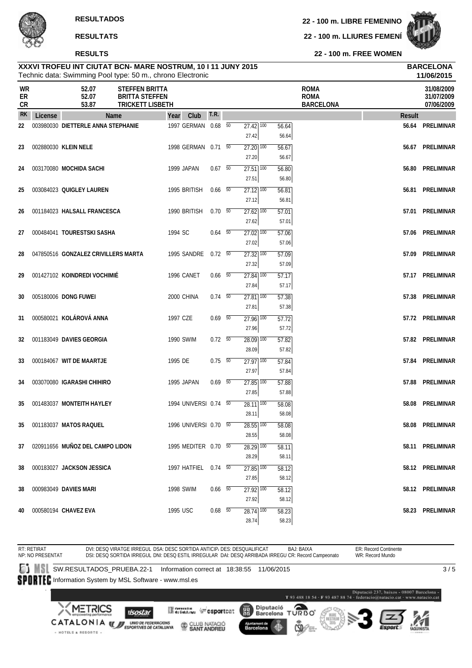RT: RETIRAT

**22 - 100 m. LLIURES FEMENÍ**



**22 - 100 m. FREE WOMEN**

ER: Record Continente WR: Record Mundo

|                |         | Technic data: Swimming Pool type: 50 m., chrono Electronic |                                                                           |            |                       |                          |                                     |                | 11/06/2015                                     |                                        |
|----------------|---------|------------------------------------------------------------|---------------------------------------------------------------------------|------------|-----------------------|--------------------------|-------------------------------------|----------------|------------------------------------------------|----------------------------------------|
| WR<br>ER<br>CR |         | 52.07<br>52.07<br>53.87                                    | <b>STEFFEN BRITTA</b><br><b>BRITTA STEFFEN</b><br><b>TRICKETT LISBETH</b> |            |                       |                          |                                     |                | <b>ROMA</b><br><b>ROMA</b><br><b>BARCELONA</b> | 31/08/2009<br>31/07/2009<br>07/06/2009 |
| <b>RK</b>      | License | Name                                                       |                                                                           | Year       | Club                  | <b>T.R.</b>              |                                     |                | <b>Result</b>                                  |                                        |
| 22             |         | 003980030 DIETTERLE ANNA STEPHANIE                         |                                                                           |            | 1997 GERMAN 0.68 50   |                          | $27.42$ $\overline{100}$            | 56.64          |                                                | 56.64 PRELIMINAR                       |
|                |         |                                                            |                                                                           |            |                       |                          | 27.42                               | 56.64          |                                                |                                        |
| 23             |         | 002880030 KLEIN NELE                                       |                                                                           |            | 1998 GERMAN 0.71 50   |                          | $27.20$ $100$                       | 56.67          |                                                | 56.67 PRELIMINAR                       |
|                |         |                                                            |                                                                           |            |                       |                          | 27.20                               | 56.67          |                                                |                                        |
| 24             |         | 003170080 MOCHIDA SACHI                                    |                                                                           | 1999 JAPAN |                       | $0.67$ 50                | $27.51$ 100<br>27.51                | 56.80<br>56.80 |                                                | 56.80 PRELIMINAR                       |
| 25             |         | 003084023 QUIGLEY LAUREN                                   |                                                                           |            | 1995 BRITISH          | $0.66\quad\overline{50}$ | $27.12$ $100$                       | 56.81          |                                                | 56.81 PRELIMINAR                       |
|                |         |                                                            |                                                                           |            |                       |                          | 27.12                               | 56.81          |                                                |                                        |
| 26             |         | 001184023 HALSALL FRANCESCA                                |                                                                           |            | 1990 BRITISH          | $0.70\ 50$               | $27.62$ $100$                       | 57.01          |                                                | 57.01 PRELIMINAR                       |
|                |         |                                                            |                                                                           |            |                       |                          | 27.62                               | 57.01          |                                                |                                        |
| 27             |         | 000484041 TOURESTSKI SASHA                                 |                                                                           | 1994 SC    |                       | $0.64$ 50                | $27.02$ $100$                       | 57.06          |                                                | 57.06 PRELIMINAR                       |
|                |         |                                                            |                                                                           |            |                       |                          | 27.02                               | 57.06          |                                                |                                        |
| 28             |         | 047850516 GONZALEZ CRIVILLERS MARTA                        |                                                                           |            | 1995 SANDRE           | $0.72\ 50$               | $\overline{27.32}$ $\overline{100}$ | 57.09          |                                                | 57.09 PRELIMINAR                       |
|                |         |                                                            |                                                                           |            |                       |                          | 27.32                               | 57.09          |                                                |                                        |
| 29             |         | 001427102 KOINDREDI VOCHIMIÉ                               |                                                                           | 1996 CANET |                       | $0.66$ 50                | $27.84$ 100                         | 57.17          |                                                | 57.17 PRELIMINAR                       |
|                |         |                                                            |                                                                           |            |                       |                          | 27.84                               | 57.17          |                                                |                                        |
| 30             |         | 005180006 DONG FUWEI                                       |                                                                           | 2000 CHINA |                       | $0.74\quad 50$           | $27.81$ 100                         | 57.38          |                                                | 57.38 PRELIMINAR                       |
|                |         |                                                            |                                                                           |            |                       |                          | 27.81                               | 57.38          |                                                |                                        |
| 31             |         | 000580021 KOLÁROVÁ ANNA                                    |                                                                           | 1997 CZE   |                       | $0.69$ 50                | $27.96$ 100                         | 57.72          |                                                | 57.72 PRELIMINAR                       |
|                |         |                                                            |                                                                           |            |                       |                          | 27.96                               | 57.72          |                                                |                                        |
| 32             |         | 001183049 DAVIES GEORGIA                                   |                                                                           | 1990 SWIM  |                       | $0.72\ 50$               | $28.09$ 100                         | 57.82          |                                                | 57.82 PRELIMINAR                       |
|                |         |                                                            |                                                                           |            |                       |                          | 28.09                               | 57.82          |                                                |                                        |
| 33             |         | 000184067 WIT DE MAARTJE                                   |                                                                           | 1995 DE    |                       | $0.75 - 50$              | $27.97$ 100                         | 57.84          | 57.84                                          | PRELIMINAR                             |
|                |         |                                                            |                                                                           |            |                       |                          | 27.97                               | 57.84          |                                                |                                        |
| 34             |         | 003070080 IGARASHI CHIHIRO                                 |                                                                           | 1995 JAPAN |                       | $0.69$ 50                | $27.85$ $\overline{100}$<br>27.85   | 57.88<br>57.88 | 57.88                                          | PRELIMINAR                             |
| 35             |         | 001483037 MONTEITH HAYLEY                                  |                                                                           |            | 1994 UNIVERSI 0.74 50 |                          | $28.11$ $\overline{100}$            | 58.08          | 58.08                                          | PRELIMINAR                             |
|                |         |                                                            |                                                                           |            |                       |                          | 28.11                               | 58.08          |                                                |                                        |
| 35             |         | 001183037 MATOS RAQUEL                                     |                                                                           |            | 1996 UNIVERSI 0.70 50 |                          | $28.55$ $\overline{100}$            | 58.08          | 58.08                                          | PRELIMINAR                             |
|                |         |                                                            |                                                                           |            |                       |                          | 28.55                               | 58.08          |                                                |                                        |
| 37             |         | 020911656 MUÑOZ DEL CAMPO LIDON                            |                                                                           |            | 1995 MEDITER 0.70 50  |                          | 28.29 100                           | 58.11          |                                                | 58.11 PRELIMINAR                       |
|                |         |                                                            |                                                                           |            |                       |                          | 28.29                               | 58.11          |                                                |                                        |
| 38             |         | 000183027 JACKSON JESSICA                                  |                                                                           |            | 1997 HATFIEL 0.74 50  |                          | $27.85$ 100                         | 58.12          |                                                | 58.12 PRELIMINAR                       |
|                |         |                                                            |                                                                           |            |                       |                          | 27.85                               | 58.12          |                                                |                                        |
| 38             |         | 000983049 DAVIES MARI                                      |                                                                           | 1998 SWIM  |                       | $0.66$ 50                | 27.92 100                           | 58.12          |                                                | 58.12 PRELIMINAR                       |
|                |         |                                                            |                                                                           |            |                       |                          | 27.92                               | 58.12          |                                                |                                        |
| 40             |         | 000580194 CHAVEZ EVA                                       |                                                                           | 1995 USC   |                       | $0.68$ 50                | $28.74$ $100$                       | 58.23          |                                                | 58.23 PRELIMINAR                       |
|                |         |                                                            |                                                                           |            |                       |                          | 28.74                               | 58.23          |                                                |                                        |

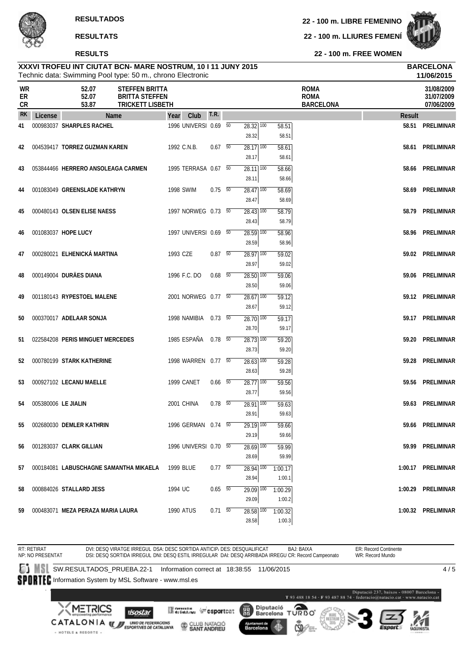**22 - 100 m. LLIURES FEMENÍ**



**22 - 100 m. FREE WOMEN**

#### Technic data: Swimming Pool type: 50 m., chrono Electronic **XXXVI TROFEU INT CIUTAT BCN- MARE NOSTRUM, 10 I 11 JUNY 2015 BARCELONA**

|                |                     | Technic data: Swimming Pool type: 50 m., chrono Electronic                                           |             |                       |                          |                                     |         |                                                |        | 11/06/2015                             |
|----------------|---------------------|------------------------------------------------------------------------------------------------------|-------------|-----------------------|--------------------------|-------------------------------------|---------|------------------------------------------------|--------|----------------------------------------|
| WR<br>ER<br>CR |                     | 52.07<br><b>STEFFEN BRITTA</b><br>52.07<br><b>BRITTA STEFFEN</b><br><b>TRICKETT LISBETH</b><br>53.87 |             |                       |                          |                                     |         | <b>ROMA</b><br><b>ROMA</b><br><b>BARCELONA</b> |        | 31/08/2009<br>31/07/2009<br>07/06/2009 |
| <b>RK</b>      | License             | Name                                                                                                 | Year        | Club                  | T.R.                     |                                     |         |                                                | Result |                                        |
| 41             |                     | 000983037 SHARPLES RACHEL                                                                            |             | 1996 UNIVERSI 0.69 50 |                          | $28.32$ $\overline{100}$            | 58.51   |                                                | 58.51  | PRELIMINAR                             |
|                |                     |                                                                                                      |             |                       |                          | 28.32                               | 58.51   |                                                |        |                                        |
| 42             |                     | 004539417 TORREZ GUZMAN KAREN                                                                        | 1992 C.N.B. |                       | $0.67$ 50                | 28.17 100                           | 58.61   |                                                | 58.61  | PRELIMINAR                             |
|                |                     |                                                                                                      |             |                       |                          | 28.17                               | 58.61   |                                                |        |                                        |
| 43             |                     | 053844466 HERRERO ANSOLEAGA CARMEN                                                                   |             | 1995 TERRASA 0.67 50  |                          | $28.11$ $\overline{100}$            | 58.66   |                                                |        | 58.66 PRELIMINAR                       |
|                |                     |                                                                                                      |             |                       |                          | 28.11                               | 58.66   |                                                |        |                                        |
| 44             |                     | 001083049 GREENSLADE KATHRYN                                                                         | 1998 SWIM   |                       | $0.75 - 50$              | $28.47$ 100                         | 58.69   |                                                |        | 58.69 PRELIMINAR                       |
|                |                     |                                                                                                      |             |                       |                          | 28.47                               | 58.69   |                                                |        |                                        |
| 45             |                     | 000480143 OLSEN ELISE NAESS                                                                          |             | 1997 NORWEG 0.73 50   |                          | $28.43$ 100                         | 58.79   |                                                | 58.79  | PRELIMINAR                             |
|                |                     |                                                                                                      |             |                       |                          | 28.43                               | 58.79   |                                                |        |                                        |
| 46             |                     | 001083037 HOPE LUCY                                                                                  |             | 1997 UNIVERSI 0.69 50 |                          | $28.59$ 100                         | 58.96   |                                                |        | 58.96 PRELIMINAR                       |
|                |                     |                                                                                                      |             |                       |                          | 28.59                               | 58.96   |                                                |        |                                        |
| 47             |                     | 000280021 ELHENICKÁ MARTINA                                                                          | 1993 CZE    |                       | 0.87 50                  | $28.97$ 100                         | 59.02   |                                                |        | 59.02 PRELIMINAR                       |
|                |                     |                                                                                                      |             |                       |                          | 28.97                               | 59.02   |                                                |        |                                        |
| 48             |                     | 000149004 DURÄES DIANA                                                                               |             | 1996 F.C. DO          | $0.68$ 50                | 28.50 100                           | 59.06   |                                                |        | 59.06 PRELIMINAR                       |
|                |                     |                                                                                                      |             |                       |                          | 28.50                               | 59.06   |                                                |        |                                        |
| 49             |                     | 001180143 RYPESTOEL MALENE                                                                           |             | 2001 NORWEG 0.77 50   |                          | $28.67$ $\overline{100}$            | 59.12   |                                                |        | 59.12 PRELIMINAR                       |
|                |                     |                                                                                                      |             |                       |                          | 28.67                               | 59.12   |                                                |        |                                        |
| 50             |                     | 000370017 ADELAAR SONJA                                                                              |             | 1998 NAMIBIA 0.73 50  |                          | 28.70 100                           | 59.17   |                                                |        | 59.17 PRELIMINAR                       |
|                |                     |                                                                                                      |             |                       |                          | 28.70                               | 59.17   |                                                |        |                                        |
| 51             |                     | 022584208 PERIS MINGUET MERCEDES                                                                     |             | 1985 ESPAÑA 0.78 50   |                          | $28.73$ 100                         | 59.20   |                                                |        | 59.20 PRELIMINAR                       |
|                |                     |                                                                                                      |             |                       |                          | 28.73                               | 59.20   |                                                |        |                                        |
| 52             |                     | 000780199 STARK KATHERINE                                                                            |             | 1998 WARREN 0.77 50   |                          | $28.63$ $\overline{100}$            | 59.28   |                                                |        | 59.28 PRELIMINAR                       |
|                |                     |                                                                                                      |             |                       |                          | 28.63                               | 59.28   |                                                |        |                                        |
| 53             |                     | 000927102 LECANU MAELLE                                                                              |             | 1999 CANET            | $0.66\quad\overline{50}$ | $28.77$ 100                         | 59.56   |                                                |        | 59.56 PRELIMINAR                       |
|                |                     |                                                                                                      |             |                       |                          | 28.77                               | 59.56   |                                                |        |                                        |
| 54             | 005380006 LE JIALIN |                                                                                                      |             | 2001 CHINA            | $0.78$ 50                | 28.91 100                           | 59.63   |                                                | 59.63  | PRELIMINAR                             |
|                |                     |                                                                                                      |             |                       |                          | 28.91                               | 59.63   |                                                |        |                                        |
| 55             |                     | 002680030 DEMLER KATHRIN                                                                             |             | 1996 GERMAN 0.74 50   |                          | $\overline{29.19}$ $\overline{100}$ | 59.66   |                                                |        | 59.66 PRELIMINAR                       |
|                |                     |                                                                                                      |             |                       |                          | 29.19                               | 59.66   |                                                |        |                                        |
| 56             |                     | 001283037 CLARK GILLIAN                                                                              |             | 1996 UNIVERSI 0.70 50 |                          | 28.69 100                           | 59.99   |                                                |        | 59.99 PRELIMINAR                       |
|                |                     |                                                                                                      |             |                       |                          | 28.69                               | 59.99   |                                                |        |                                        |
| 57             |                     | 000184081 LABUSCHAGNE SAMANTHA MIKAELA                                                               | 1999 BLUE   |                       | 0.7750                   | 28.94 100                           | 1:00.17 |                                                |        | 1:00.17 PRELIMINAR                     |
|                |                     |                                                                                                      |             |                       |                          | 28.94                               | 1:00.1  |                                                |        |                                        |
| 58             |                     | 000884026 STALLARD JESS                                                                              | 1994 UC     |                       | $0.65$ 50                | 29.09 100                           | 1:00.29 |                                                |        | 1:00.29 PRELIMINAR                     |
|                |                     |                                                                                                      |             |                       |                          | 29.09                               | 1:00.2  |                                                |        |                                        |
| 59             |                     | 000483071 MEZA PERAZA MARIA LAURA                                                                    | 1990 ATUS   |                       | $0.71 - 50$              | 28.58 100                           | 1:00.32 |                                                |        | 1:00.32 PRELIMINAR                     |
|                |                     |                                                                                                      |             |                       |                          | 28.58                               | 1:00.3  |                                                |        |                                        |

RT: RETIRAT NP: NO PRESENTAT DVI: DESQ VIRATGE IRREGUL DSA: DESC SORTIDA ANTICIP، DES: DESQUALIFICAT BAJ: BAIXA<br>DSI: DESQ SORTIDA IRREGUL DNI: DESQ ESTIL IRREGULAR DAI: DESQ ARRIBADA IRREGU CR: Record Campeonato ER: Record Continente WR: Record Mundo SW.RESULTADOS\_PRUEBA.22-1 Information correct at 18:38:55 11/06/2015  $4/5$ SPORTEC Information System by MSL Software - www.msl.es  $\label{eq:1} \textbf{Diputació 237, basis 48807 Barcelons}\textbf{-T 93 488 18 54 - F 93 487 88 74 - federació@matucio, cat - www.matacio, cat.}$ Diputació<br>Barcelona  $0.990T$ **METRICS Mercedian Construct** 麗 **I**sostar CATALONIA **WE UNDER TEDERACIONS** CLUB NATACIÓ Barcelona · HOTELS & RESORTS ·

2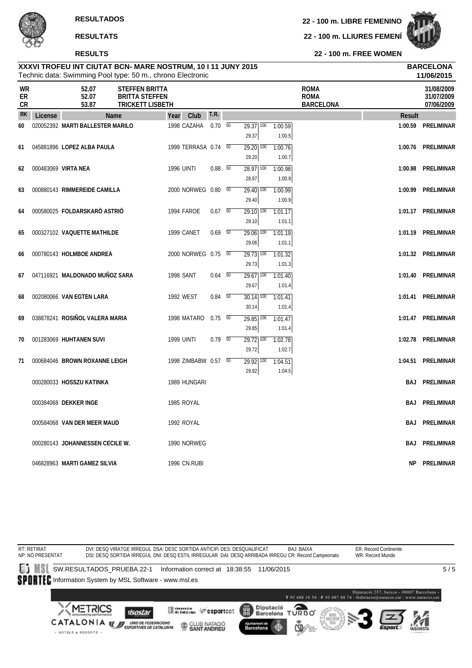#### **RESULTS**

**22 - 100 m. LIBRE FEMENINO**

**22 - 100 m. LLIURES FEMENÍ**



**22 - 100 m. FREE WOMEN**

|                        |         | Technic data: Swimming Pool type: 50 m., chrono Electronic |                                                                    |                      |                |                                 |                   |                                                |            | 11/06/2015                             |
|------------------------|---------|------------------------------------------------------------|--------------------------------------------------------------------|----------------------|----------------|---------------------------------|-------------------|------------------------------------------------|------------|----------------------------------------|
| WR<br>ER<br>${\sf CR}$ |         | 52.07<br>52.07<br>53.87                                    | STEFFEN BRITTA<br><b>BRITTA STEFFEN</b><br><b>TRICKETT LISBETH</b> |                      |                |                                 |                   | <b>ROMA</b><br><b>ROMA</b><br><b>BARCELONA</b> |            | 31/08/2009<br>31/07/2009<br>07/06/2009 |
| <b>RK</b>              | License | Name                                                       |                                                                    | Club<br>Year         | T.R.           |                                 |                   |                                                | Result     |                                        |
| 60                     |         | 020052392 MARTI BALLESTER MARILO                           |                                                                    | 1998 CAZAHA          | $0.70\ 50$     | 29.37 100<br>29.37              | 1:00.59<br>1:00.5 |                                                |            | 1:00.59 PRELIMINAR                     |
| 61                     |         | 045881896 LOPEZ ALBA PAULA                                 |                                                                    | 1999 TERRASA 0.74 50 |                | 29.20 100<br>29.20              | 1:00.76<br>1:00.7 |                                                |            | 1:00.76 PRELIMINAR                     |
| 62                     |         | 000483069 VIRTA NEA                                        |                                                                    | <b>1996 UINTI</b>    | $0.88\quad 50$ | $28.97$ <sup>100</sup><br>28.97 | 1:00.98<br>1:00.9 |                                                | 1:00.98    | PRELIMINAR                             |
| 63                     |         | 000880143 RIMMEREIDE CAMILLA                               |                                                                    | 2000 NORWEG 0.80 50  |                | $29.40$ 100<br>29.40            | 1:00.99<br>1:00.9 |                                                | 1:00.99    | PRELIMINAR                             |
| 64                     |         | 000580025 FOLDARSKARÖ ASTRIÖ                               |                                                                    | 1994 FAROE           | $0.67$ 50      | 29.10 100<br>29.10              | 1:01.17<br>1:01.1 |                                                |            | 1:01.17 PRELIMINAR                     |
| 65                     |         | 000327102 VAQUETTE MATHILDE                                |                                                                    | 1999 CANET           | $0.69$ 50      | 29.06 100<br>29.06              | 1:01.19<br>1:01.1 |                                                |            | 1:01.19 PRELIMINAR                     |
| 66                     |         | 000780143 HOLMBOE ANDREA                                   |                                                                    | 2000 NORWEG 0.75 50  |                | 29.73 100<br>29.73              | 1:01.32<br>1:01.3 |                                                |            | 1:01.32 PRELIMINAR                     |
| 67                     |         | 047116921 MALDONADO MUÑOZ SARA                             |                                                                    | <b>1998 SANT</b>     | $0.64\quad 50$ | $29.67$ <sup>100</sup><br>29.67 | 1:01.40<br>1:01.4 |                                                |            | 1:01.40 PRELIMINAR                     |
| 68                     |         | 002080066 VAN EGTEN LARA                                   |                                                                    | 1992 WEST            | $0.84\quad 50$ | 30.14 100<br>30.14              | 1:01.41<br>1:01.4 |                                                |            | 1:01.41 PRELIMINAR                     |
| 69                     |         | 038878241 ROSIÑOL VALERA MARIA                             |                                                                    | 1998 MATARO          | $0.75\ 50$     | 29.85 100<br>29.85              | 1:01.47<br>1:01.4 |                                                |            | 1:01.47 PRELIMINAR                     |
| 70                     |         | 001283069 HUHTANEN SUVI                                    |                                                                    | <b>1999 UINTI</b>    | $0.79 - 50$    | 29.72 100<br>29.72              | 1:02.78<br>1:02.7 |                                                |            | 1:02.78 PRELIMINAR                     |
| 71                     |         | 000684046 BROWN ROXANNE LEIGH                              |                                                                    | 1998 ZIMBABW 0.57 50 |                | 29.92 100<br>29.92              | 1:04.51<br>1:04.5 |                                                |            | 1:04.51 PRELIMINAR                     |
|                        |         | 000280033 HOSSZU KATINKA                                   |                                                                    | 1989 HUNGARI         |                |                                 |                   |                                                | <b>BAJ</b> | PRELIMINAR                             |
|                        |         | 000384068 DEKKER INGE                                      |                                                                    | 1985 ROYAL           |                |                                 |                   |                                                | <b>BAJ</b> | PRELIMINAR                             |
|                        |         | 000584068 VAN DER MEER MAUD                                |                                                                    | 1992 ROYAL           |                |                                 |                   |                                                | BAJ        | PRELIMINAR                             |
|                        |         | 000280143 JOHANNESSEN CECILE W.                            |                                                                    | 1990 NORWEG          |                |                                 |                   |                                                | BAJ        | PRELIMINAR                             |
|                        |         | 046828963 MARTI GAMEZ SILVIA                               |                                                                    | 1996 CN.RUBI         |                |                                 |                   |                                                | NP.        | PRELIMINAR                             |

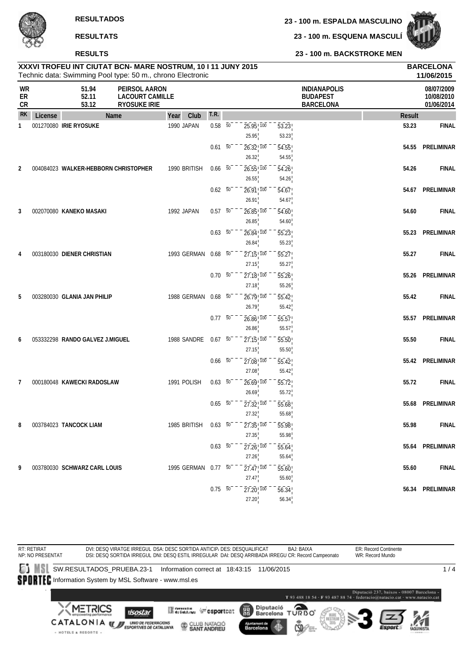**23 - 100 m. ESQUENA MASCULÍ**



**23 - 100 m. BACKSTROKE MEN**

# **RESULTATS**

#### **RESULTS**

|                |         | Technic data: Swimming Pool type: 50 m., chrono Electronic |                                                                |                     |                     |                                                |                             |                                                            |               | 11/06/2015                             |
|----------------|---------|------------------------------------------------------------|----------------------------------------------------------------|---------------------|---------------------|------------------------------------------------|-----------------------------|------------------------------------------------------------|---------------|----------------------------------------|
| WR<br>ER<br>CR |         | 51.94<br>52.11<br>53.12                                    | PEIRSOL AARON<br><b>LACOURT CAMILLE</b><br><b>RYOSUKE IRIE</b> |                     |                     |                                                |                             | <b>INDIANAPOLIS</b><br><b>BUDAPEST</b><br><b>BARCELONA</b> |               | 08/07/2009<br>10/08/2010<br>01/06/2014 |
| <b>RK</b>      | License | Name                                                       |                                                                | Club<br>Year        | T.R.                |                                                |                             |                                                            | <b>Result</b> |                                        |
| 1              |         | 001270080 IRIE RYOSUKE                                     |                                                                | 1990 JAPAN          | $0.58 - 50$         | 25.95, 100<br>25.95                            | 53.23<br>53.23              |                                                            | 53.23         | <b>FINAL</b>                           |
|                |         |                                                            |                                                                |                     | $0.61 - 50$         | 26.32, 100<br>26.32                            | 54.55<br>54.55              |                                                            | 54.55         | PRELIMINAR                             |
| 2              |         | 004084023 WALKER-HEBBORN CHRISTOPHER                       |                                                                | 1990 BRITISH        | $0.66\quad 50$      | $26.55$ <sup>1</sup> $100$<br>26.55            | $\overline{54.26}$<br>54.26 |                                                            | 54.26         | <b>FINAL</b>                           |
|                |         |                                                            |                                                                |                     | $0.62\ 50$          | $26.91$ ! $100$                                | 54.67                       |                                                            | 54.67         | PRELIMINAR                             |
| 3              |         | 002070080 KANEKO MASAKI                                    |                                                                | 1992 JAPAN          | $0.57 - 50^{-1}$    | 26.91<br>$26.85$ <sup>1</sup> $100$            | 54.67<br>54.60              |                                                            | 54.60         | <b>FINAL</b>                           |
|                |         |                                                            |                                                                |                     | $0.63\ 50$          | 26.85<br>$26.84$ <sup>1</sup> $100$            | 54.60<br>$\overline{55.23}$ |                                                            | 55.23         | PRELIMINAR                             |
| 4              |         | 003180030 DIENER CHRISTIAN                                 |                                                                | 1993 GERMAN         | $0.68$ 50           | 26.84<br>$27.15$ ! $100$                       | 55.23<br>55.27              |                                                            | 55.27         | <b>FINAL</b>                           |
|                |         |                                                            |                                                                |                     | $0.70\ 50$          | 27.15<br>$27.18$ <sub>,100</sub>               | 55.27<br>55.26              |                                                            | 55.26         | PRELIMINAR                             |
|                |         |                                                            |                                                                |                     |                     | 27.18                                          | 55.26                       |                                                            |               |                                        |
| 5              |         | 003280030 GLANIA JAN PHILIP                                |                                                                | 1988 GERMAN 0.68 50 |                     | 26.79 100<br>26.79                             | 55.42<br>55.42              |                                                            | 55.42         | <b>FINAL</b>                           |
|                |         |                                                            |                                                                |                     | $0.77\ 50$          | 26.86 100<br>26.86                             | 55.57<br>55.57              |                                                            | 55.57         | PRELIMINAR                             |
| 6              |         | 053332298 RANDO GALVEZ J.MIGUEL                            |                                                                | 1988 SANDRE         | $0.67 - 50$         | 27.15!100<br>27.15                             | 55.50<br>55.50              |                                                            | 55.50         | <b>FINAL</b>                           |
|                |         |                                                            |                                                                |                     | $0.66\quad 50$      | $27.08$ <sub>,100</sub><br>27.08               | 55.42<br>55.42              |                                                            | 55.42         | PRELIMINAR                             |
| 7              |         | 000180048 KAWECKI RADOSLAW                                 |                                                                | 1991 POLISH         | $0.63\ 50$          | $26.69$ ! $100$<br>26.69                       | 55.72<br>55.72              |                                                            | 55.72         | <b>FINAL</b>                           |
|                |         |                                                            |                                                                |                     | $0.65\quad 50$      | $\overline{27.32}$ , $\overline{100}$<br>27.32 | 55.68<br>55.68              |                                                            | 55.68         | PRELIMINAR                             |
| 8              |         | 003784023 TANCOCK LIAM                                     |                                                                | 1985 BRITISH        | 0.63 50             | $27.35$ ! $100$                                | 55.98                       |                                                            | 55.98         | <b>FINAL</b>                           |
|                |         |                                                            |                                                                |                     | $0.63\overline{50}$ | 27.35<br>$27.26$ <sub>,100</sub>               | 55.98<br>55.64              |                                                            |               | 55.64 PRELIMINAR                       |
| 9              |         | 003780030 SCHWARZ CARL LOUIS                               |                                                                | 1995 GERMAN 0.77 50 |                     | 27.26<br>$27.47$ ! $100$                       | 55.64<br>55.60              |                                                            | 55.60         | <b>FINAL</b>                           |
|                |         |                                                            |                                                                |                     | $0.75\ 50$          | 27.47<br>$27.20$ <sub>1</sub> $100$            | 55.60<br>$\overline{56.34}$ |                                                            | 56.34         | PRELIMINAR                             |
|                |         |                                                            |                                                                |                     |                     | 27.20                                          | 56.34                       |                                                            |               |                                        |

**XXXVI TROFEU INT CIUTAT BCN- MARE NOSTRUM, 10 I 11 JUNY 2015 BARCELONA**

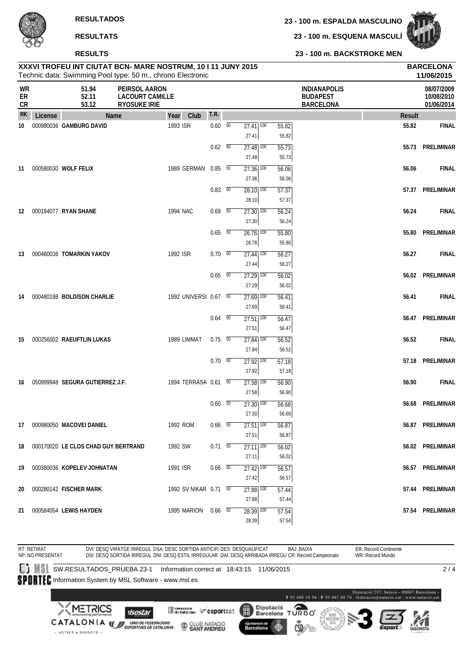**23 - 100 m. ESQUENA MASCULÍ**



**23 - 100 m. BACKSTROKE MEN**

### **XXXVI TROFEU INT CIUTAT BCN- MARE NOSTRUM, 10 I 11 JUNY 2015 BARCELONA RESULTS**

|                |         | Technic data: Swimming Pool type: 50 m., chrono Electronic |                                                                |          |                       |                          |                                     |       |                                                            |        | 11/06/2015                             |
|----------------|---------|------------------------------------------------------------|----------------------------------------------------------------|----------|-----------------------|--------------------------|-------------------------------------|-------|------------------------------------------------------------|--------|----------------------------------------|
| WR<br>ER<br>CR |         | 51.94<br>52.11<br>53.12                                    | PEIRSOL AARON<br><b>LACOURT CAMILLE</b><br><b>RYOSUKE IRIE</b> |          |                       |                          |                                     |       | <b>INDIANAPOLIS</b><br><b>BUDAPEST</b><br><b>BARCELONA</b> |        | 08/07/2009<br>10/08/2010<br>01/06/2014 |
| <b>RK</b>      | License |                                                            | <b>Name</b>                                                    | Year     | Club                  | T.R.                     |                                     |       |                                                            | Result |                                        |
| 10             |         | 000980036 GAMBURG DAVID                                    |                                                                | 1993 ISR |                       | $0.60\quad 50$           | $27.41$ 100                         | 55.82 |                                                            | 55.82  | <b>FINAL</b>                           |
|                |         |                                                            |                                                                |          |                       |                          | 27.41                               | 55.82 |                                                            |        |                                        |
|                |         |                                                            |                                                                |          |                       | $0.62\quad 50$           | 27.48 100                           | 55.73 |                                                            |        | 55.73 PRELIMINAR                       |
|                |         |                                                            |                                                                |          |                       |                          | 27.48                               | 55.73 |                                                            |        |                                        |
| 11             |         | 000580030 WOLF FELIX                                       |                                                                |          | 1989 GERMAN 0.85 50   |                          | $27.36$ $100$                       | 56.06 |                                                            | 56.06  | <b>FINAL</b>                           |
|                |         |                                                            |                                                                |          |                       |                          | 27.36                               | 56.06 |                                                            |        |                                        |
|                |         |                                                            |                                                                |          |                       | $0.83\quad 50$           | $28.10$ $\overline{100}$            | 57.37 |                                                            |        | 57.37 PRELIMINAR                       |
|                |         |                                                            |                                                                |          |                       |                          | 28.10                               | 57.37 |                                                            |        |                                        |
| 12             |         | 000184077 RYAN SHANE                                       |                                                                | 1994 NAC |                       | $0.69$ 50                | $27.30$ $100$                       | 56.24 |                                                            | 56.24  | <b>FINAL</b>                           |
|                |         |                                                            |                                                                |          |                       |                          | 27.30                               | 56.24 |                                                            |        |                                        |
|                |         |                                                            |                                                                |          |                       | $0.65\quad\overline{50}$ | $26.76$ <sup>100</sup>              | 55.80 |                                                            |        | 55.80 PRELIMINAR                       |
|                |         |                                                            |                                                                |          |                       |                          | 26.76                               | 55.80 |                                                            |        |                                        |
| 13             |         | 000480036 TOMARKIN YAKOV                                   |                                                                | 1992 ISR |                       | $0.70\ 50$               | $27.44$ 100                         | 56.27 |                                                            | 56.27  | <b>FINAL</b>                           |
|                |         |                                                            |                                                                |          |                       |                          | 27.44                               | 56.27 |                                                            |        |                                        |
|                |         |                                                            |                                                                |          |                       | $0.65\quad\overline{50}$ | $27.29$ 100                         | 56.02 |                                                            |        | 56.02 PRELIMINAR                       |
|                |         |                                                            |                                                                |          |                       |                          | 27.29                               | 56.02 |                                                            |        |                                        |
| 14             |         | 000480198 BOLDISON CHARLIE                                 |                                                                |          | 1992 UNIVERSI 0.67 50 |                          | $\overline{27.69}$ 100              | 56.41 |                                                            | 56.41  | <b>FINAL</b>                           |
|                |         |                                                            |                                                                |          |                       |                          | 27.69                               | 56.41 |                                                            |        |                                        |
|                |         |                                                            |                                                                |          |                       | $0.64$ 50                | $27.51$ 100                         | 56.47 |                                                            |        | 56.47 PRELIMINAR                       |
|                |         |                                                            |                                                                |          |                       |                          | 27.51                               | 56.47 |                                                            |        |                                        |
| 15             |         | 000256002 RAEUFTLIN LUKAS                                  |                                                                |          | 1989 LIMMAT           | $0.75 - 50$              | $27.84$ 100                         | 56.52 |                                                            | 56.52  | <b>FINAL</b>                           |
|                |         |                                                            |                                                                |          |                       |                          | 27.84                               | 56.52 |                                                            |        |                                        |
|                |         |                                                            |                                                                |          |                       | $0.70\ 50$               | $27.92$ 100                         | 57.18 |                                                            |        | 57.18 PRELIMINAR                       |
|                |         |                                                            |                                                                |          |                       |                          | 27.92                               | 57.18 |                                                            |        |                                        |
| 16             |         | 050999948 SEGURA GUTIERREZ J.F.                            |                                                                |          | 1994 TERRASA 0.61 50  |                          | $\overline{27.58}$ $\overline{100}$ | 56.90 |                                                            | 56.90  | <b>FINAL</b>                           |
|                |         |                                                            |                                                                |          |                       |                          | 27.58                               | 56.90 |                                                            |        |                                        |
|                |         |                                                            |                                                                |          |                       | $0.60\quad\overline{50}$ | $\overline{27.30}$ $\overline{100}$ | 56.68 |                                                            |        | 56.68 PRELIMINAR                       |
|                |         |                                                            |                                                                |          |                       |                          | 27.30                               | 56.68 |                                                            |        |                                        |
| 17             |         | 000980050 MACOVEI DANIEL                                   |                                                                | 1992 ROM |                       | $0.66\quad\overline{50}$ | $\overline{27.51}$ $\overline{100}$ | 56.87 |                                                            | 56.87  | PRELIMINAR                             |
|                |         |                                                            |                                                                |          |                       |                          | 27.51                               | 56.87 |                                                            |        |                                        |
| 18             |         | 000170020 LE CLOS CHAD GUY BERTRAND                        |                                                                | 1992 SW  |                       | $0.71\ 50$               | $27.11$ 100                         | 56.02 |                                                            |        | 56.02 PRELIMINAR                       |
|                |         |                                                            |                                                                |          |                       |                          | 27.11                               | 56.02 |                                                            |        |                                        |
| 19             |         | 000380036 KOPELEV JOHNATAN                                 |                                                                | 1991 ISR |                       | $0.66$ 50                | $27.42$ 100                         | 56.57 |                                                            |        | 56.57 PRELIMINAR                       |
|                |         |                                                            |                                                                |          |                       |                          | 27.42                               | 56.57 |                                                            |        |                                        |
| 20             |         | 000280142 FISCHER MARK                                     |                                                                |          | 1992 SV NIKAR 0.71 50 |                          | $27.88$ $\overline{100}$            | 57.44 |                                                            |        | 57.44 PRELIMINAR                       |
|                |         |                                                            |                                                                |          |                       |                          | 27.88                               | 57.44 |                                                            |        |                                        |
| 21             |         | 000584054 LEWIS HAYDEN                                     |                                                                |          | 1995 MARION 0.66 50   |                          | 28.39 100                           | 57.54 |                                                            |        | 57.54 PRELIMINAR                       |
|                |         |                                                            |                                                                |          |                       |                          | 28.39                               | 57.54 |                                                            |        |                                        |

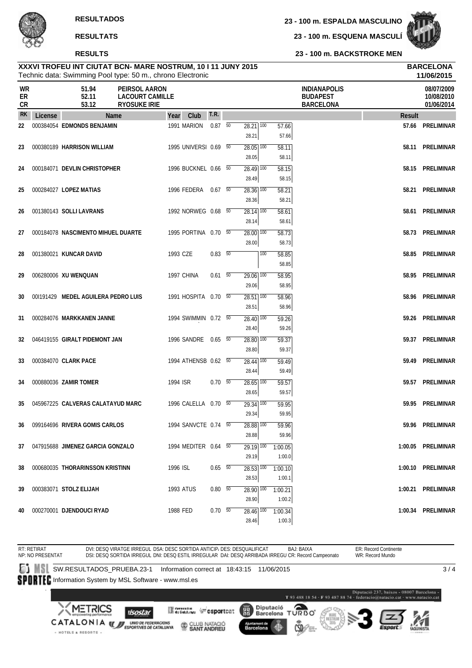**23 - 100 m. ESPALDA MASCULINO**

**23 - 100 m. ESQUENA MASCULÍ**



**23 - 100 m. BACKSTROKE MEN**

#### Technic data: Swimming Pool type: 50 m., chrono Electronic **XXXVI TROFEU INT CIUTAT BCN- MARE NOSTRUM, 10 I 11 JUNY 2015 BARCELONA**

|                |         |                                     | Technic data: Swimming Pool type: 50 m., chrono Electronic     |           |                       |                |                                   |                  |                |                                                            | 11/06/2015                             |
|----------------|---------|-------------------------------------|----------------------------------------------------------------|-----------|-----------------------|----------------|-----------------------------------|------------------|----------------|------------------------------------------------------------|----------------------------------------|
| WR<br>ER<br>CR |         | 51.94<br>52.11<br>53.12             | PEIRSOL AARON<br><b>LACOURT CAMILLE</b><br><b>RYOSUKE IRIE</b> |           |                       |                |                                   |                  |                | <b>INDIANAPOLIS</b><br><b>BUDAPEST</b><br><b>BARCELONA</b> | 08/07/2009<br>10/08/2010<br>01/06/2014 |
| <b>RK</b>      | License |                                     | Name                                                           | Year      | Club                  | T.R.           |                                   |                  |                | <b>Result</b>                                              |                                        |
| 22             |         | 000384054 EDMONDS BENJAMIN          |                                                                |           | 1991 MARION           | $0.87\quad 50$ | $28.21$ $\overline{100}$          |                  | 57.66          |                                                            | 57.66 PRELIMINAR                       |
|                |         |                                     |                                                                |           |                       |                | 28.21                             |                  | 57.66          |                                                            |                                        |
| 23             |         | 000380189 HARRISON WILLIAM          |                                                                |           | 1995 UNIVERSI 0.69 50 |                | $28.05$ $\overline{100}$          |                  | 58.11          |                                                            | 58.11 PRELIMINAR                       |
|                |         |                                     |                                                                |           |                       |                | 28.05                             |                  | 58.11          |                                                            |                                        |
| 24             |         | 000184071 DEVLIN CHRISTOPHER        |                                                                |           | 1996 BUCKNEL 0.66 50  |                | $28.49$ 100                       |                  | 58.15          |                                                            | 58.15 PRELIMINAR                       |
|                |         |                                     |                                                                |           |                       |                | 28.49                             |                  | 58.15          |                                                            |                                        |
| 25             |         | 000284027 LOPEZ MATIAS              |                                                                |           | 1996 FEDERA 0.67 50   |                | $28.36$ $\overline{100}$          |                  | 58.21          |                                                            | 58.21 PRELIMINAR                       |
|                |         |                                     |                                                                |           |                       |                | 28.36                             |                  | 58.21          |                                                            |                                        |
| 26             |         | 001380143 SOLLI LAVRANS             |                                                                |           | 1992 NORWEG 0.68 50   |                | $28.14$ $\overline{100}$          |                  | 58.61          |                                                            | 58.61 PRELIMINAR                       |
|                |         |                                     |                                                                |           |                       |                | 28.14                             |                  | 58.61          |                                                            |                                        |
| 27             |         | 000184078 NASCIMENTO MIHUEL DUARTE  |                                                                |           | 1995 PORTINA 0.70 50  |                | $28.00$ $\overline{100}$<br>28.00 |                  | 58.73<br>58.73 |                                                            | 58.73 PRELIMINAR                       |
|                |         | 001380021 KUNCAR DAVID              |                                                                | 1993 CZE  |                       | 0.83 50        |                                   | $\overline{100}$ |                |                                                            | 58.85 PRELIMINAR                       |
| 28             |         |                                     |                                                                |           |                       |                |                                   |                  | 58.85<br>58.85 |                                                            |                                        |
| 29             |         | 006280006 XU WENQUAN                |                                                                |           | 1997 CHINA            | $0.61$ 50      | $29.06$ 100                       |                  | 58.95          |                                                            | 58.95 PRELIMINAR                       |
|                |         |                                     |                                                                |           |                       |                | 29.06                             |                  | 58.95          |                                                            |                                        |
| 30             |         | 001191429 MEDEL AGUILERA PEDRO LUIS |                                                                |           | 1991 HOSPITA 0.70 50  |                | $28.51$ 100                       |                  | 58.96          |                                                            | 58.96 PRELIMINAR                       |
|                |         |                                     |                                                                |           |                       |                | 28.51                             |                  | 58.96          |                                                            |                                        |
| 31             |         | 000284076 MARKKANEN JANNE           |                                                                |           | 1994 SWIMMIN 0.72 50  |                | $28.40$ 100                       |                  | 59.26          |                                                            | 59.26 PRELIMINAR                       |
|                |         |                                     |                                                                |           |                       |                | 28.40                             |                  | 59.26          |                                                            |                                        |
| 32             |         | 046419155 GIRALT PIDEMONT JAN       |                                                                |           | 1996 SANDRE 0.65 50   |                | $28.80$ $\overline{100}$          |                  | 59.37          |                                                            | 59.37 PRELIMINAR                       |
|                |         |                                     |                                                                |           |                       |                | 28.80                             |                  | 59.37          |                                                            |                                        |
| 33             |         | 000384070 CLARK PACE                |                                                                |           | 1994 ATHENSB 0.62 50  |                | 28.44 100                         |                  | 59.49          | 59.49                                                      | PRELIMINAR                             |
|                |         |                                     |                                                                |           |                       |                | 28.44                             |                  | 59.49          |                                                            |                                        |
| 34             |         | 000880036 ZAMIR TOMER               |                                                                | 1994 ISR  |                       | $0.70\ 50$     | $\overline{28.65}$ 100            |                  | 59.57          |                                                            | 59.57 PRELIMINAR                       |
|                |         |                                     |                                                                |           |                       |                | 28.65                             |                  | 59.57          |                                                            |                                        |
| 35             |         | 045967225 CALVERAS CALATAYUD MARC   |                                                                |           | 1996 CALELLA 0.70 50  |                | $29.34$ $\overline{100}$          |                  | 59.95          | 59.95                                                      | PRELIMINAR                             |
|                |         |                                     |                                                                |           |                       |                | 29.34                             |                  | 59.95          |                                                            |                                        |
| 36             |         | 099164696 RIVERA GOMIS CARLOS       |                                                                |           | 1994 SANVCTE 0.74 50  |                | $28.88$ $\overline{100}$          |                  | 59.96          |                                                            | 59.96 PRELIMINAR                       |
|                |         |                                     |                                                                |           |                       |                | 28.88                             |                  | 59.96          |                                                            |                                        |
| 37             |         | 047915688 JIMENEZ GARCIA GONZALO    |                                                                |           | 1994 MEDITER 0.64 50  |                | 29.19 100                         |                  | 1:00.05        |                                                            | 1:00.05 PRELIMINAR                     |
|                |         |                                     |                                                                |           |                       |                | 29.19                             |                  | 1:00.0         |                                                            |                                        |
| 38             |         | 000680035 THORARINSSON KRISTINN     |                                                                | 1996 ISL  |                       | $0.65$ 50      | 28.53 100                         |                  | 1:00.10        |                                                            | 1:00.10 PRELIMINAR                     |
|                |         |                                     |                                                                |           |                       |                | 28.53                             |                  | 1:00.1         |                                                            |                                        |
| 39             |         | 000383071 STOLZ ELIJAH              |                                                                | 1993 ATUS |                       | $0.80\ 50$     | 28.90 100                         |                  | 1:00.21        |                                                            | 1:00.21 PRELIMINAR                     |
|                |         |                                     |                                                                |           |                       |                | 28.90                             |                  | 1:00.2         |                                                            |                                        |
| 40             |         | 000270001 DJENDOUCI RYAD            |                                                                | 1988 FED  |                       | $0.70\ 50$     | 28.46 100                         |                  | 1:00.34        |                                                            | 1:00.34 PRELIMINAR                     |
|                |         |                                     |                                                                |           |                       |                | 28.46                             |                  | 1:00.3         |                                                            |                                        |

RT: RETIRAT DVI: DESQ VIRATGE IRREGUL DSA: DESC SORTIDA ANTICIP، DES: DESQUALIFICAT BAJ: BAIXA<br>DSI: DESQ SORTIDA IRREGUL DNI: DESQ ESTIL IRREGULAR DAI: DESQ ARRIBADA IRREGU CR: Record Campeonato ER: Record Continente WR: Record Mundo NP: NO PRESENTAT SW.RESULTADOS\_PRUEBA.23-1 Information correct at 18:43:15 11/06/2015  $3/4$ SPORTEC Information System by MSL Software - www.msl.es  $\label{eq:1} \textbf{Diputació 237, basis 48807 Barcelons}\textbf{-T 93 488 18 54 - F 93 487 88 74 - federació@matucio, cat - www.matacio, cat.}$ Diputació<br>Barcelona TURBO <u>METRICS</u> **Mercedian Construct** 麗 **Isostar** CATALONIA **WE UNDER TEDERACIONS** CLUB NATACIÓ Barcelona · HOTELS & RESORTS .

4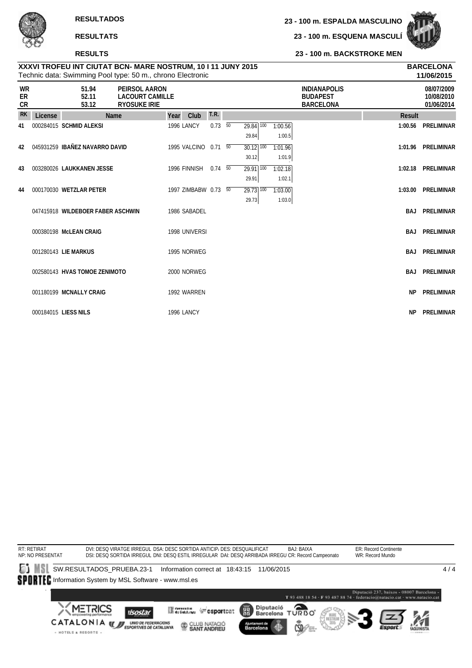**RESULTS**

· HOTELS & RESORTS .

**23 - 100 m. ESQUENA MASCULÍ**

**23 - 100 m. BACKSTROKE MEN**



| XXXVI TROFEU INT CIUTAT BCN- MARE NOSTRUM, 10 I 11 JUNY 2015 | <b>BARCELONA</b> |
|--------------------------------------------------------------|------------------|
| Technic data: Swimming Pool type: 50 m., chrono Electronic   | 11/06/2015       |

|                |         |                                   | Technic data: Swimming Pool type: 50 m., chrono Electronic     |      |                      |                |                          |         |                                                            |               | 11/06/2015                             |
|----------------|---------|-----------------------------------|----------------------------------------------------------------|------|----------------------|----------------|--------------------------|---------|------------------------------------------------------------|---------------|----------------------------------------|
| WR<br>ER<br>CR |         | 51.94<br>52.11<br>53.12           | PEIRSOL AARON<br><b>LACOURT CAMILLE</b><br><b>RYOSUKE IRIE</b> |      |                      |                |                          |         | <b>INDIANAPOLIS</b><br><b>BUDAPEST</b><br><b>BARCELONA</b> |               | 08/07/2009<br>10/08/2010<br>01/06/2014 |
| <b>RK</b>      | License |                                   | <b>Name</b>                                                    | Year | Club                 | T.R.           |                          |         |                                                            | <b>Result</b> |                                        |
| 41             |         | 000284015 SCHMID ALEKSI           |                                                                |      | <b>1996 LANCY</b>    | $0.73\quad 50$ | $\overline{29.84}$ 100   | 1:00.56 |                                                            |               | 1:00.56 PRELIMINAR                     |
|                |         |                                   |                                                                |      |                      |                | 29.84                    | 1:00.5  |                                                            |               |                                        |
| 42             |         | 045931259 IBAÑEZ NAVARRO DAVID    |                                                                |      | 1995 VALCINO 0.71 50 |                | $30.12$ 100              | 1:01.96 |                                                            |               | 1:01.96 PRELIMINAR                     |
|                |         |                                   |                                                                |      |                      |                | 30.12                    | 1:01.9  |                                                            |               |                                        |
| 43             |         | 003280026 LAUKKANEN JESSE         |                                                                |      | 1996 FINNISH 0.74 50 |                | 29.91<br>100             | 1:02.18 |                                                            |               | 1:02.18 PRELIMINAR                     |
|                |         |                                   |                                                                |      |                      |                | 29.91                    | 1:02.1  |                                                            |               |                                        |
| 44             |         | 000170030 WETZLAR PETER           |                                                                |      | 1997 ZIMBABW 0.73 50 |                | $29.73$ $\overline{100}$ | 1:03.00 |                                                            | 1:03.00       | PRELIMINAR                             |
|                |         |                                   |                                                                |      |                      |                | 29.73                    | 1:03.0  |                                                            |               |                                        |
|                |         | 047415918 WILDEBOER FABER ASCHWIN |                                                                |      | 1986 SABADEL         |                |                          |         |                                                            |               | <b>BAJ PRELIMINAR</b>                  |
|                |         |                                   |                                                                |      |                      |                |                          |         |                                                            |               |                                        |
|                |         | 000380198 McLEAN CRAIG            |                                                                |      | 1998 UNIVERSI        |                |                          |         |                                                            |               | <b>BAJ PRELIMINAR</b>                  |
|                |         |                                   |                                                                |      |                      |                |                          |         |                                                            |               |                                        |
|                |         | 001280143 LIE MARKUS              |                                                                |      | 1995 NORWEG          |                |                          |         |                                                            |               | <b>BAJ PRELIMINAR</b>                  |
|                |         | 002580143 HVAS TOMOE ZENIMOTO     |                                                                |      | 2000 NORWEG          |                |                          |         |                                                            | BAJ           | PRELIMINAR                             |
|                |         |                                   |                                                                |      |                      |                |                          |         |                                                            |               |                                        |
|                |         | 001180199 MCNALLY CRAIG           |                                                                |      | 1992 WARREN          |                |                          |         |                                                            | <b>NP</b>     | PRELIMINAR                             |
|                |         |                                   |                                                                |      |                      |                |                          |         |                                                            |               |                                        |
|                |         | 000184015 LIESS NILS              |                                                                |      | 1996 LANCY           |                |                          |         |                                                            | <b>NP</b>     | <b>PRELIMINAR</b>                      |

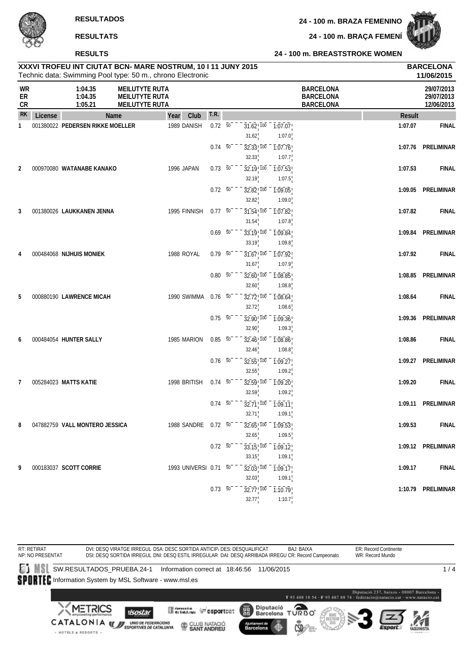**24 - 100 m. BRAÇA FEMENÍ**



**RESULTS**

#### **24 - 100 m. BREASTSTROKE WOMEN**

| XXXVI TROFEU INT CIUTAT BCN- MARE NOSTRUM, 10 I 11 JUNY 2015<br><b>BARCELONA</b><br>Technic data: Swimming Pool type: 50 m., chrono Electronic<br><b>WR</b><br>1:04.35<br><b>MEILUTYTE RUTA</b><br><b>BARCELONA</b> |         |                                  |                                                |                       |                  |                |                                 | 11/06/2015                               |                                      |               |                                        |
|---------------------------------------------------------------------------------------------------------------------------------------------------------------------------------------------------------------------|---------|----------------------------------|------------------------------------------------|-----------------------|------------------|----------------|---------------------------------|------------------------------------------|--------------------------------------|---------------|----------------------------------------|
| ER<br>CR                                                                                                                                                                                                            |         | 1:04.35<br>1:05.21               | <b>MEILUTYTE RUTA</b><br><b>MEILUTYTE RUTA</b> |                       |                  |                |                                 |                                          | <b>BARCELONA</b><br><b>BARCELONA</b> |               | 29/07/2013<br>29/07/2013<br>12/06/2013 |
| <b>RK</b>                                                                                                                                                                                                           | License |                                  | Name                                           | Club<br>Year          | T.R.             |                |                                 |                                          |                                      | <b>Result</b> |                                        |
| 1                                                                                                                                                                                                                   |         | 001380022 PEDERSEN RIKKE MOELLER |                                                | 1989 DANISH           | $0.72 - 50$      |                | $31.62$ ! $100$<br>31.62        | $-7:07.07$<br>1:07.0                     |                                      | 1:07.07       | <b>FINAL</b>                           |
|                                                                                                                                                                                                                     |         |                                  |                                                |                       | $0.74\quad 50$   |                | 32.33, 100                      | 1:07.76                                  |                                      | 1:07.76       | PRELIMINAR                             |
| 2                                                                                                                                                                                                                   |         | 000970080 WATANABE KANAKO        |                                                | 1996 JAPAN            | $0.73\ 50$       |                | 32.33<br>$32.19$ <sup>100</sup> | 1:07.7<br>1:07.53                        |                                      | 1:07.53       | <b>FINAL</b>                           |
|                                                                                                                                                                                                                     |         |                                  |                                                |                       | $0.72\ 50$       |                | 32.19<br>$32.82$ , $100$        | 1:07.5<br>1:09.05                        |                                      | 1:09.05       | PRELIMINAR                             |
|                                                                                                                                                                                                                     |         |                                  |                                                |                       |                  |                | 32.82                           | 1:09.0                                   |                                      |               |                                        |
| 3                                                                                                                                                                                                                   |         | 001380026 LAUKKANEN JENNA        |                                                | 1995 FINNISH          | 0.7750           |                | $31.54$ <sup>100</sup><br>31.54 | 1:07.82<br>1:07.8                        |                                      | 1:07.82       | <b>FINAL</b>                           |
|                                                                                                                                                                                                                     |         |                                  |                                                |                       | $0.69\ 50$       |                | $33.19$ ! $100$<br>33.19        | 1:09.84<br>1:09.8                        |                                      | 1:09.84       | PRELIMINAR                             |
| 4                                                                                                                                                                                                                   |         | 000484068 NIJHUIS MONIEK         |                                                | 1988 ROYAL            | $0.79 - 50$      |                | $31.67$ <sup>100</sup>          | 1:07.92                                  |                                      | 1:07.92       | <b>FINAL</b>                           |
|                                                                                                                                                                                                                     |         |                                  |                                                |                       | $0.80\ 50$       |                | 31.67<br>$32.60^{+100}$         | 1:07.9<br>1:08.85                        |                                      | 1:08.85       | PRELIMINAR                             |
|                                                                                                                                                                                                                     |         |                                  |                                                |                       |                  |                | 32.60                           | 1:08.8                                   |                                      |               |                                        |
| 5                                                                                                                                                                                                                   |         | 000880190 LAWRENCE MICAH         |                                                | 1990 SWIMMA           | $0.76\ 50$       |                | $32.72$ , $100$<br>32.72        | 1:08.64<br>1:08.6                        |                                      | 1:08.64       | <b>FINAL</b>                           |
|                                                                                                                                                                                                                     |         |                                  |                                                |                       | $0.75\ 50$       |                | 32.90, 100<br>32.90             | 1:09.36<br>1:09.3                        |                                      | 1:09.36       | PRELIMINAR                             |
| 6                                                                                                                                                                                                                   |         | 000484054 HUNTER SALLY           |                                                | 1985 MARION           | $0.85\ 50$       |                | 32.46, 100<br>32.46             | 1:08.86<br>1:08.8                        |                                      | 1:08.86       | <b>FINAL</b>                           |
|                                                                                                                                                                                                                     |         |                                  |                                                |                       | $0.76$ 50        |                | 32.55 100                       | 1:09.27                                  |                                      |               | 1:09.27 PRELIMINAR                     |
|                                                                                                                                                                                                                     |         |                                  |                                                |                       |                  |                | 32.55                           | 1:09.2                                   |                                      |               |                                        |
| $\overline{7}$                                                                                                                                                                                                      |         | 005284023 MATTS KATIE            |                                                | 1998 BRITISH          | $0.74 - 50^{-1}$ |                | $32.59$ ! $100$<br>32.59        | 1:09.20<br>1:09.2                        |                                      | 1:09.20       | <b>FINAL</b>                           |
|                                                                                                                                                                                                                     |         |                                  |                                                |                       | $0.74\ 50$       |                | $32.71$ ! 100<br>32.71          | 1:09.11<br>1:09.1                        |                                      | 1:09.11       | PRELIMINAR                             |
| 8                                                                                                                                                                                                                   |         | 047882759 VALL MONTERO JESSICA   |                                                | 1988 SANDRE 0.72 50   |                  |                |                                 | $32.65$ , $100 - 1.09.53$                |                                      | 1:09.53       | <b>FINAL</b>                           |
|                                                                                                                                                                                                                     |         |                                  |                                                |                       |                  | $0.72\ 50^{-}$ | 32.65                           | 1:09.5<br>$33.15$ , $100 - 1.09.12$      |                                      |               | 1:09.12 PRELIMINAR                     |
|                                                                                                                                                                                                                     |         |                                  |                                                |                       |                  |                | $33.15^{1}$                     | 1:09.1                                   |                                      |               |                                        |
| 9                                                                                                                                                                                                                   |         | 000183037 SCOTT CORRIE           |                                                | 1993 UNIVERSI 0.71 50 |                  |                | 32.03                           | $32.03$ , $100 - 1.09.17$<br>1:09.1      |                                      | 1:09.17       | <b>FINAL</b>                           |
|                                                                                                                                                                                                                     |         |                                  |                                                |                       | $0.73\ 50^{-}$   |                | 32.77                           | $32.77$ <sup>100</sup> 1:10.79<br>1:10.7 |                                      |               | 1:10.79 PRELIMINAR                     |

RT: RETIRAT NP: NO PRESENTAT DVI: DESQ VIRATGE IRREGUL DSA: DESC SORTIDA ANTICIP، DES: DESQUALIFICAT BAJ: BAIXA<br>DSI: DESQ SORTIDA IRREGUL DNI: DESQ ESTIL IRREGULAR DAI: DESQ ARRIBADA IRREGU CR: Record Campeonato ER: Record Continente WR: Record Mundo SW.RESULTADOS\_PRUEBA.24-1 Information correct at 18:46:56 11/06/2015  $1/4$ SPORTEC Information System by MSL Software - www.msl.es - Diputació 237, baixos - 08007 Barcelona<br>T<br/> 93 488 18 54 - F $93$ 487 88 74 - federacio@natacio.cat - www.n<br/>atacio.cat Diputació<br>Barcelona **METRICS** Θ **Constitution** (a sportcat 麗 **I**sostar T **URBO** CATALONIA **WE UNDER TEDERACIONS** CLUB NATACIÓ Barcelona · HOTELS & RESORTS ·

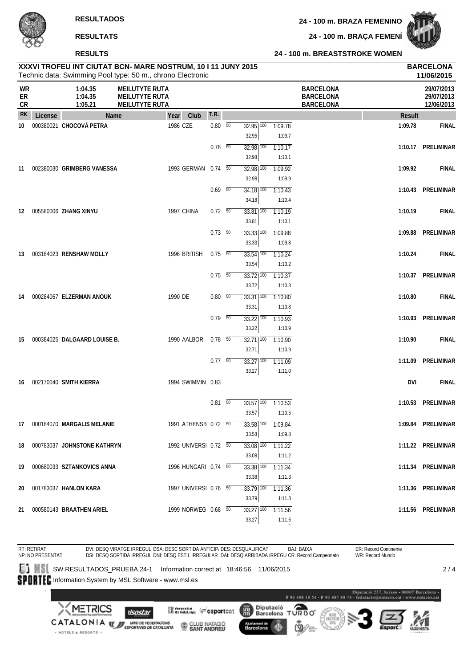**24 - 100 m. BRAÇA FEMENÍ**



#### **RESULTS**

#### **24 - 100 m. BREASTSTROKE WOMEN**

|                               |         |                                | XXXVI TROFEU INT CIUTAT BCN- MARE NOSTRUM, 10 I 11 JUNY 2015<br>Technic data: Swimming Pool type: 50 m., chrono Electronic |                       |                          |                                   |     |                   |                                                          |               | <b>BARCELONA</b><br>11/06/2015         |
|-------------------------------|---------|--------------------------------|----------------------------------------------------------------------------------------------------------------------------|-----------------------|--------------------------|-----------------------------------|-----|-------------------|----------------------------------------------------------|---------------|----------------------------------------|
| <b>WR</b><br>ER<br>${\sf CR}$ |         | 1:04.35<br>1:04.35<br>1:05.21  | <b>MEILUTYTE RUTA</b><br><b>MEILUTYTE RUTA</b><br><b>MEILUTYTE RUTA</b>                                                    |                       |                          |                                   |     |                   | <b>BARCELONA</b><br><b>BARCELONA</b><br><b>BARCELONA</b> |               | 29/07/2013<br>29/07/2013<br>12/06/2013 |
| <b>RK</b>                     | License | Name                           |                                                                                                                            | Club<br>Year          | T.R.                     |                                   |     |                   |                                                          | <b>Result</b> |                                        |
| 10                            |         | 000380021 CHOCOVÁ PETRA        |                                                                                                                            | 1986 CZE              | $0.80\quad 50$           | $32.95$ $\overline{100}$          |     | 1:09.78           |                                                          | 1:09.78       | <b>FINAL</b>                           |
|                               |         |                                |                                                                                                                            |                       |                          | 32.95                             |     | 1:09.7            |                                                          |               |                                        |
|                               |         |                                |                                                                                                                            |                       | $0.78$ 50                | $32.98$ $\overline{100}$          |     | 1:10.17           |                                                          |               | 1:10.17 PRELIMINAR                     |
|                               |         |                                |                                                                                                                            |                       |                          | 32.98                             |     | 1:10.1            |                                                          |               |                                        |
| 11                            |         | 002380030 GRIMBERG VANESSA     |                                                                                                                            | 1993 GERMAN 0.74 50   |                          | $32.98$ $\overline{100}$          |     | 1:09.92           |                                                          | 1:09.92       | <b>FINAL</b>                           |
|                               |         |                                |                                                                                                                            |                       |                          | 32.98                             |     | 1:09.9            |                                                          |               |                                        |
|                               |         |                                |                                                                                                                            |                       | $0.69$ 50                | $34.18$ $\overline{100}$          |     | 1:10.43           |                                                          |               | 1:10.43 PRELIMINAR                     |
|                               |         |                                |                                                                                                                            |                       |                          | 34.18                             |     | 1:10.4            |                                                          |               |                                        |
| 12                            |         | 005580006 ZHANG XINYU          |                                                                                                                            | 1997 CHINA            | $0.72\ 50$               | $33.81$ $\overline{100}$          |     | 1:10.19           |                                                          | 1:10.19       | <b>FINAL</b>                           |
|                               |         |                                |                                                                                                                            |                       |                          | 33.81                             |     | 1:10.1            |                                                          |               |                                        |
|                               |         |                                |                                                                                                                            |                       | $0.73\quad\overline{50}$ | $33.33$ $\overline{100}$          |     | 1:09.88           |                                                          | 1:09.88       | PRELIMINAR                             |
|                               |         |                                |                                                                                                                            |                       |                          | 33.33                             |     | 1:09.8            |                                                          |               |                                        |
| 13                            |         | 003184023 RENSHAW MOLLY        |                                                                                                                            | 1996 BRITISH          | $0.75\ 50$               | $33.54$ $\overline{100}$          |     | 1:10.24           |                                                          | 1:10.24       | <b>FINAL</b>                           |
|                               |         |                                |                                                                                                                            |                       |                          | 33.54                             |     | 1:10.2            |                                                          |               |                                        |
|                               |         |                                |                                                                                                                            |                       | $0.75\ 50$               | $33.72$ $\overline{100}$          |     | 1:10.37           |                                                          |               | 1:10.37 PRELIMINAR                     |
|                               |         |                                |                                                                                                                            |                       |                          | 33.72                             |     | 1:10.3            |                                                          |               |                                        |
| 14                            |         | 000284067 ELZERMAN ANOUK       |                                                                                                                            | 1990 DE               | $0.80\, 50$              | 33.31 100<br>33.31                |     | 1:10.80           |                                                          | 1:10.80       | <b>FINAL</b>                           |
|                               |         |                                |                                                                                                                            |                       | $0.79\ 50$               |                                   |     | 1:10.8            |                                                          |               | 1:10.93 PRELIMINAR                     |
|                               |         |                                |                                                                                                                            |                       |                          | $33.22$ $\overline{100}$<br>33.22 |     | 1:10.93<br>1:10.9 |                                                          |               |                                        |
| 15                            |         | 000384025 DALGAARD LOUISE B.   |                                                                                                                            | 1990 AALBOR           | $0.78$ 50                | $32.71$ $100$                     |     | 1:10.90           |                                                          | 1:10.90       | <b>FINAL</b>                           |
|                               |         |                                |                                                                                                                            |                       |                          | 32.71                             |     | 1:10.9            |                                                          |               |                                        |
|                               |         |                                |                                                                                                                            |                       | $0.77 - 50$              | $33.27$ $\overline{100}$          |     | 1:11.09           |                                                          |               | 1:11.09 PRELIMINAR                     |
|                               |         |                                |                                                                                                                            |                       |                          | 33.27                             |     | 1:11.0            |                                                          |               |                                        |
| 16                            |         | 002170040 SMITH KIERRA         |                                                                                                                            | 1994 SWIMMIN 0.83     |                          |                                   |     |                   |                                                          | <b>DVI</b>    | <b>FINAL</b>                           |
|                               |         |                                |                                                                                                                            |                       |                          |                                   |     |                   |                                                          |               |                                        |
|                               |         |                                |                                                                                                                            |                       | $0.81$ 50                | 33.57                             | 100 | 1:10.53           |                                                          |               | 1:10.53 PRELIMINAR                     |
|                               |         |                                |                                                                                                                            |                       |                          | 33.57                             |     | 1:10.5            |                                                          |               |                                        |
|                               |         | 17 000184070 MARGALIS MELANIE  |                                                                                                                            | 1991 ATHENSB 0.72 50  |                          |                                   |     | 33.58 100 1:09.84 |                                                          |               | 1:09.84 PRELIMINAR                     |
|                               |         |                                |                                                                                                                            |                       |                          | 33.58                             |     | 1:09.8            |                                                          |               |                                        |
|                               |         | 18 000783037 JOHNSTONE KATHRYN |                                                                                                                            | 1992 UNIVERSI 0.72 50 |                          | $33.08$ $\overline{100}$          |     | 1:11.22           |                                                          |               | 1:11.22 PRELIMINAR                     |
|                               |         |                                |                                                                                                                            |                       |                          | 33.08                             |     | 1:11.2            |                                                          |               |                                        |
|                               |         | 19 000680033 SZTANKOVICS ANNA  |                                                                                                                            | 1996 HUNGARI 0.74 50  |                          | 33.38 100                         |     | 1:11.34           |                                                          |               | 1:11.34 PRELIMINAR                     |
|                               |         |                                |                                                                                                                            |                       |                          | 33.38                             |     | 1:11.3            |                                                          |               |                                        |
| 20                            |         | 001783037 HANLON KARA          |                                                                                                                            | 1997 UNIVERSI 0.76 50 |                          | $33.79$ $\overline{100}$          |     | 1:11.36           |                                                          |               | 1:11.36 PRELIMINAR                     |
|                               |         |                                |                                                                                                                            |                       |                          | 33.79                             |     | 1:11.3            |                                                          |               |                                        |
|                               |         | 21 000580143 BRAATHEN ARIEL    |                                                                                                                            | 1999 NORWEG 0.68 50   |                          | $33.27$ 100                       |     | 1:11.56           |                                                          |               | 1:11.56 PRELIMINAR                     |
|                               |         |                                |                                                                                                                            |                       |                          | 33.27                             |     | 1:11.5            |                                                          |               |                                        |

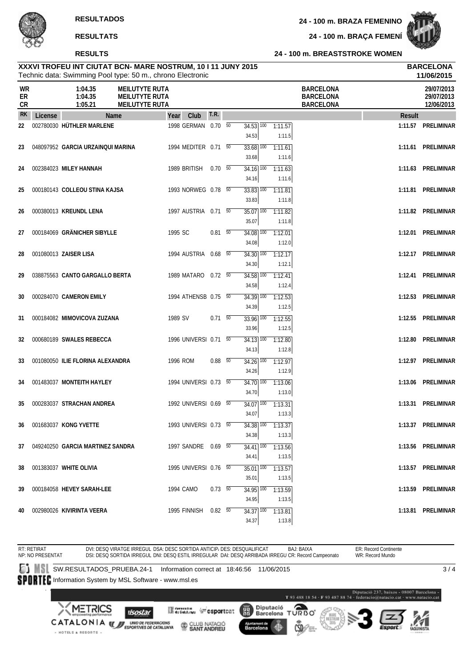#### **RESULTS**

**24 - 100 m. BRAÇA FEMENÍ**



#### **24 - 100 m. BREASTSTROKE WOMEN**

|                               |         | XXXVI TROFEU INT CIUTAT BCN- MARE NOSTRUM, 10 I 11 JUNY 2015<br>Technic data: Swimming Pool type: 50 m., chrono Electronic |                                                                         |                      |                |                                   |                   |                                                          |         | <b>BARCELONA</b><br>11/06/2015         |
|-------------------------------|---------|----------------------------------------------------------------------------------------------------------------------------|-------------------------------------------------------------------------|----------------------|----------------|-----------------------------------|-------------------|----------------------------------------------------------|---------|----------------------------------------|
| <b>WR</b><br>ER<br>${\sf CR}$ |         | 1:04.35<br>1:04.35<br>1:05.21                                                                                              | <b>MEILUTYTE RUTA</b><br><b>MEILUTYTE RUTA</b><br><b>MEILUTYTE RUTA</b> |                      |                |                                   |                   | <b>BARCELONA</b><br><b>BARCELONA</b><br><b>BARCELONA</b> |         | 29/07/2013<br>29/07/2013<br>12/06/2013 |
| <b>RK</b>                     | License | <b>Name</b>                                                                                                                |                                                                         | Club<br>Year         | <b>T.R.</b>    |                                   |                   |                                                          | Result  |                                        |
| 22                            |         | 002780030 HÜTHLER MARLENE                                                                                                  |                                                                         | 1998 GERMAN 0.70 50  |                | $34.53$ $\overline{100}$<br>34.53 | 1:11.57<br>1:11.5 |                                                          | 1:11.57 | PRELIMINAR                             |
| 23                            |         | 048097952 GARCIA URZAINQUI MARINA                                                                                          |                                                                         | 1994 MEDITER 0.71 50 |                | $33.68$ $\overline{100}$<br>33.68 | 1:11.61<br>1:11.6 |                                                          |         | 1:11.61 PRELIMINAR                     |
| 24                            |         | 002384023 MILEY HANNAH                                                                                                     |                                                                         | 1989 BRITISH         | $0.70\ 50$     | $34.16$ 100<br>34.16              | 1:11.63<br>1:11.6 |                                                          | 1:11.63 | PRELIMINAR                             |
| 25                            |         | 000180143 COLLEOU STINA KAJSA                                                                                              |                                                                         | 1993 NORWEG 0.78 50  |                | $33.83$ $\overline{100}$<br>33.83 | 1:11.81<br>1:11.8 |                                                          |         | 1:11.81 PRELIMINAR                     |
| 26                            |         | 000380013 KREUNDL LENA                                                                                                     |                                                                         | 1997 AUSTRIA 0.71 50 |                | 35.07<br>100<br>35.07             | 1:11.82<br>1:11.8 |                                                          |         | 1:11.82 PRELIMINAR                     |
| 27                            |         | 000184069 GRÄNICHER SIBYLLE                                                                                                |                                                                         | 1995 SC              | $0.81\ 50$     | $34.08$ $\overline{100}$<br>34.08 | 1:12.01<br>1:12.0 |                                                          |         | 1:12.01 PRELIMINAR                     |
| 28                            |         | 001080013 ZAISER LISA                                                                                                      |                                                                         | 1994 AUSTRIA 0.68 50 |                | 34.30 100<br>34.30                | 1:12.17<br>1:12.1 |                                                          |         | 1:12.17 PRELIMINAR                     |
| 29                            |         | 038875563 CANTO GARGALLO BERTA                                                                                             |                                                                         | 1989 MATARO          | $0.72\ 50$     | 34.58 100<br>34.58                | 1:12.41<br>1:12.4 |                                                          | 1:12.41 | PRELIMINAR                             |
| 30                            |         | 000284070 CAMERON EMILY                                                                                                    |                                                                         | 1994 ATHENSB 0.75 50 |                | 34.39 100<br>34.39                | 1:12.53<br>1:12.5 |                                                          | 1:12.53 | PRELIMINAR                             |
| 31                            |         | 000184082 MIMOVICOVA ZUZANA                                                                                                |                                                                         | 1989 SV              | $0.71\quad 50$ | 33.96<br>100<br>33.96             | 1:12.55<br>1:12.5 |                                                          | 1:12.55 | PRELIMINAR                             |
|                               |         |                                                                                                                            |                                                                         |                      |                |                                   |                   |                                                          |         |                                        |

| 32 | 000680189 SWALES REBECCA         | 1996 UNIVERSI 0.71 50 |            |    | $34.13$ 100  | 1:12.80 | 1:12.80 | PRELIMINAR         |
|----|----------------------------------|-----------------------|------------|----|--------------|---------|---------|--------------------|
|    |                                  |                       |            |    | 34.13        | 1:12.8  |         |                    |
| 33 | 001080050 ILIE FLORINA ALEXANDRA | 1996 ROM              | $0.88\ 50$ |    | 34.26<br>100 | 1:12.97 | 1:12.97 | PRELIMINAR         |
|    |                                  |                       |            |    | 34.26        | 1:12.9  |         |                    |
| 34 | 001483037 MONTEITH HAYLEY        | 1994 UNIVERSI 0.73 50 |            |    | 34.70 100    | 1:13.06 |         | 1:13.06 PRELIMINAR |
|    |                                  |                       |            |    | 34.70        | 1:13.0  |         |                    |
| 35 | 000283037 STRACHAN ANDREA        | 1992 UNIVERSI 0.69 50 |            |    | $34.07$ 100  | 1:13.31 |         | 1:13.31 PRELIMINAR |
|    |                                  |                       |            |    | 34.07        | 1:13.3  |         |                    |
| 36 | 001683037 KONG YVETTE            | 1993 UNIVERSI 0.73 50 |            |    | 34.38 100    | 1:13.37 | 1:13.37 | PRELIMINAR         |
|    |                                  |                       |            |    | 34.38        | 1:13.3  |         |                    |
| 37 | 049240250 GARCIA MARTINEZ SANDRA | 1997 SANDRE 0.69      |            | 50 | $34.41$ 100  | 1:13.56 |         | 1:13.56 PRELIMINAR |
|    |                                  |                       |            |    | 34.41        | 1:13.5  |         |                    |
| 38 | 001383037 WHITE OLIVIA           | 1995 UNIVERSI 0.76 50 |            |    | $35.01$ 100  | 1:13.57 |         | 1:13.57 PRELIMINAR |
|    |                                  |                       |            |    | 35.01        | 1:13.5  |         |                    |
| 39 | 000184058 HEVEY SARAH-LEE        | 1994 CAMO             | $0.73$ 50  |    | $34.95$ 100  | 1:13.59 |         | 1:13.59 PRELIMINAR |
|    |                                  |                       |            |    | 34.95        | 1:13.5  |         |                    |
| 40 | 002980026 KIVIRINTA VEERA        | 1995 FINNISH          | $0.82\ 50$ |    | $34.37$ 100  | 1:13.81 | 1:13.81 | <b>PRELIMINAR</b>  |
|    |                                  |                       |            |    | 34.37        | 1:13.8  |         |                    |
|    |                                  |                       |            |    |              |         |         |                    |



1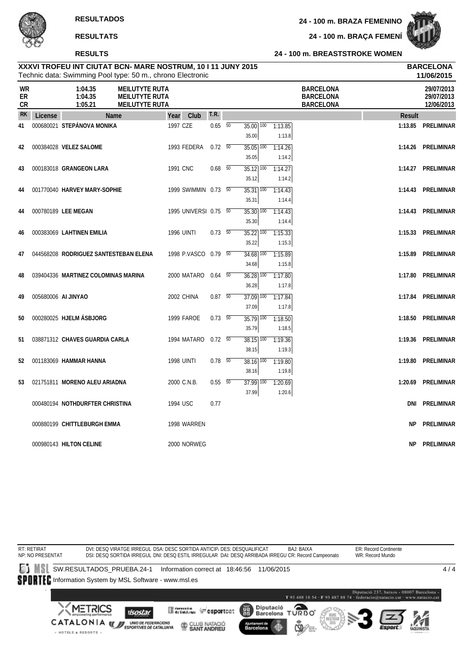**RESULTS**

#### **24 - 100 m. BREASTSTROKE WOMEN**

|                              |                     | Technic data: Swimming Pool type: 50 m., chrono Electronic                                               |                       |                          |                                   |                   |                                                          |           | 11/06/2015                             |
|------------------------------|---------------------|----------------------------------------------------------------------------------------------------------|-----------------------|--------------------------|-----------------------------------|-------------------|----------------------------------------------------------|-----------|----------------------------------------|
| <b>WR</b><br>ER<br><b>CR</b> |                     | 1:04.35<br><b>MEILUTYTE RUTA</b><br>1:04.35<br><b>MEILUTYTE RUTA</b><br>1:05.21<br><b>MEILUTYTE RUTA</b> |                       |                          |                                   |                   | <b>BARCELONA</b><br><b>BARCELONA</b><br><b>BARCELONA</b> |           | 29/07/2013<br>29/07/2013<br>12/06/2013 |
| <b>RK</b>                    | License             | <b>Name</b>                                                                                              | Club<br>Year          | T.R.                     |                                   |                   |                                                          | Result    |                                        |
| 41                           |                     | 000680021 STEPÁNOVA MONIKA                                                                               | 1997 CZE              | $0.65\quad 50$           | $35.00$ $\overline{100}$<br>35.00 | 1:13.85<br>1:13.8 |                                                          |           | 1:13.85 PRELIMINAR                     |
| 42                           |                     | 000384028 VELEZ SALOME                                                                                   | 1993 FEDERA           | $0.72 - 50$              | $35.05$ $\overline{100}$<br>35.05 | 1:14.26<br>1:14.2 |                                                          |           | 1:14.26 PRELIMINAR                     |
| 43                           |                     | 000183018 GRANGEON LARA                                                                                  | 1991 CNC              | $0.68$ 50                | 35.12 100<br>35.12                | 1:14.27<br>1:14.2 |                                                          |           | 1:14.27 PRELIMINAR                     |
| 44                           |                     | 001770040 HARVEY MARY-SOPHIE                                                                             | 1999 SWIMMIN 0.73 50  |                          | $35.31$ $\overline{100}$<br>35.31 | 1:14.43<br>1:14.4 |                                                          |           | 1:14.43 PRELIMINAR                     |
| 44                           |                     | 000780189 LEE MEGAN                                                                                      | 1995 UNIVERSI 0.75 50 |                          | $35.30$ $\overline{100}$<br>35.30 | 1:14.43<br>1:14.4 |                                                          |           | 1:14.43 PRELIMINAR                     |
| 46                           |                     | 000383069 LAHTINEN EMILIA                                                                                | <b>1996 UINTI</b>     | $0.73\quad\overline{50}$ | $35.22$ $\overline{100}$<br>35.22 | 1:15.33<br>1:15.3 |                                                          |           | 1:15.33 PRELIMINAR                     |
| 47                           |                     | 044568208 RODRIGUEZ SANTESTEBAN ELENA                                                                    | 1998 P.VASCO 0.79 50  |                          | $34.68$ $\overline{100}$<br>34.68 | 1:15.89<br>1:15.8 |                                                          | 1:15.89   | PRELIMINAR                             |
| 48                           |                     | 039404336 MARTINEZ COLOMINAS MARINA                                                                      | 2000 MATARO           | $0.64\quad 50$           | $36.28$ 100<br>36.28              | 1:17.80<br>1:17.8 |                                                          | 1:17.80   | PRELIMINAR                             |
| 49                           | 005680006 AI JINYAO |                                                                                                          | 2002 CHINA            | $0.87$ 50                | $37.09$ 100<br>37.09              | 1:17.84<br>1:17.8 |                                                          |           | 1:17.84 PRELIMINAR                     |
| 50                           |                     | 000280025 HJELM ÁSBJORG                                                                                  | 1999 FAROE            | $0.73\quad 50$           | $35.79$ $100$                     | 1:18.50           |                                                          | 1:18.50   | PRELIMINAR                             |
| 51                           |                     | 038871312 CHAVES GUARDIA CARLA                                                                           | 1994 MATARO           | $0.72\ 50$               | 35.79<br>$38.15$ $\overline{100}$ | 1:18.5<br>1:19.36 |                                                          | 1:19.36   | PRELIMINAR                             |
| 52                           |                     | 001183069 HAMMAR HANNA                                                                                   | <b>1998 UINTI</b>     | $0.78$ 50                | 38.15<br>$38.16$ $\overline{100}$ | 1:19.3<br>1:19.80 |                                                          | 1:19.80   | PRELIMINAR                             |
| 53                           |                     | 021751811 MORENO ALEU ARIADNA                                                                            | 2000 C.N.B.           | $0.55\quad 50$           | 38.16<br>$37.99$ $100$            | 1:19.8<br>1:20.69 |                                                          |           | 1:20.69 PRELIMINAR                     |
|                              |                     | 000480194 NOTHDURFTER CHRISTINA                                                                          | 1994 USC              | 0.77                     | 37.99                             | 1:20.6            |                                                          | DNI       | PRELIMINAR                             |
|                              |                     | 000880199 CHITTLEBURGH EMMA                                                                              | 1998 WARREN           |                          |                                   |                   |                                                          | <b>NP</b> | PRELIMINAR                             |
|                              |                     | 000980143 HILTON CELINE                                                                                  | 2000 NORWEG           |                          |                                   |                   |                                                          | NΡ        | PRELIMINAR                             |
|                              |                     |                                                                                                          |                       |                          |                                   |                   |                                                          |           |                                        |

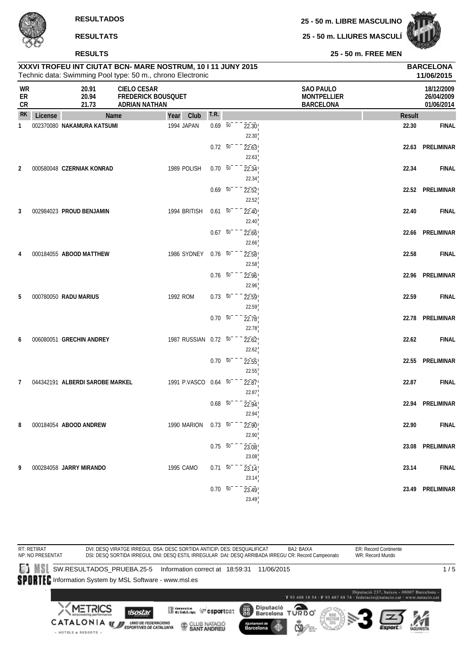**25 - 50 m. LIBRE MASCULINO**



|                        |         | <b>RESULTATS</b>                |                                                                                                                            |                          |                | 25 - 50 m. LLIURES MASCULI                                 |               |                                        |
|------------------------|---------|---------------------------------|----------------------------------------------------------------------------------------------------------------------------|--------------------------|----------------|------------------------------------------------------------|---------------|----------------------------------------|
|                        |         | <b>RESULTS</b>                  |                                                                                                                            |                          |                | 25 - 50 m. FREE MEN                                        |               |                                        |
|                        |         |                                 | XXXVI TROFEU INT CIUTAT BCN- MARE NOSTRUM, 10 I 11 JUNY 2015<br>Technic data: Swimming Pool type: 50 m., chrono Electronic |                          |                |                                                            |               | <b>BARCELONA</b><br>11/06/2015         |
| WR<br>ER<br>${\sf CR}$ |         | 20.91<br>20.94<br>21.73         | <b>CIELO CESAR</b><br><b>FREDERICK BOUSQUET</b><br><b>ADRIAN NATHAN</b>                                                    |                          |                | <b>SAO PAULO</b><br><b>MONTPELLIER</b><br><b>BARCELONA</b> |               | 18/12/2009<br>26/04/2009<br>01/06/2014 |
| <b>RK</b>              | License | Name                            | Club<br>Year                                                                                                               | T.R.                     |                |                                                            | <b>Result</b> |                                        |
| 1                      |         | 002370080 NAKAMURA KATSUMI      | 1994 JAPAN                                                                                                                 | $0.69 - 50$              | 22.30          |                                                            | 22.30         | <b>FINAL</b>                           |
|                        |         |                                 |                                                                                                                            | $0.72\ 50$               | 22.30<br>22.63 |                                                            | 22.63         | PRELIMINAR                             |
| 2                      |         | 000580048 CZERNIAK KONRAD       | 1989 POLISH                                                                                                                | $0.70\ 50$               | 22.63<br>22.34 |                                                            | 22.34         | <b>FINAL</b>                           |
|                        |         |                                 |                                                                                                                            |                          | 22.34          |                                                            |               |                                        |
|                        |         |                                 |                                                                                                                            | $0.69\ 50$               | 22.52<br>22.52 |                                                            |               | 22.52 PRELIMINAR                       |
| 3                      |         | 002984023 PROUD BENJAMIN        | 1994 BRITISH                                                                                                               | $0.61\ 50$               | 22.40<br>22.40 |                                                            | 22.40         | <b>FINAL</b>                           |
|                        |         |                                 |                                                                                                                            | $0.67\quad\overline{50}$ | 22.66          |                                                            | 22.66         | PRELIMINAR                             |
| 4                      |         | 000184055 ABOOD MATTHEW         | 1986 SYDNEY                                                                                                                | $0.76$ 50                | 22.66<br>22.58 |                                                            | 22.58         | <b>FINAL</b>                           |
|                        |         |                                 |                                                                                                                            |                          | 22.58          |                                                            |               |                                        |
|                        |         |                                 |                                                                                                                            | $0.76\ 50$               | 22.96<br>22.96 |                                                            |               | 22.96 PRELIMINAR                       |
| 5                      |         | 000780050 RADU MARIUS           | 1992 ROM                                                                                                                   | $0.73\ 50$               | 22.59          |                                                            | 22.59         | <b>FINAL</b>                           |
|                        |         |                                 |                                                                                                                            | $0.70\ 50$               | 22.59<br>22.78 |                                                            | 22.78         | PRELIMINAR                             |
|                        |         |                                 |                                                                                                                            |                          | 22.78          |                                                            |               |                                        |
| 6                      |         | 006080051 GRECHIN ANDREY        | 1987 RUSSIAN 0.72 50                                                                                                       |                          | 22.62          |                                                            | 22.62         | <b>FINAL</b>                           |
|                        |         |                                 |                                                                                                                            | $0.70\ 50$               | 22.62<br>22.55 |                                                            |               | 22.55 PRELIMINAR                       |
|                        |         |                                 |                                                                                                                            |                          | 22.55          |                                                            |               |                                        |
| 7                      |         | 044342191 ALBERDI SAROBE MARKEL | 1991 P.VASCO 0.64 50                                                                                                       |                          | 22.87<br>22.87 |                                                            | 22.87         | <b>FINAL</b>                           |
|                        |         |                                 |                                                                                                                            | $0.68\overline{50}^{-}$  | 22.94          |                                                            |               | 22.94 PRELIMINAR                       |
| 8                      |         | 000184054 ABOOD ANDREW          | 1990 MARION                                                                                                                | $0.73\ 50$               | 22.94<br>22.90 |                                                            | 22.90         | <b>FINAL</b>                           |
|                        |         |                                 |                                                                                                                            |                          | 22.90          |                                                            |               |                                        |
|                        |         |                                 |                                                                                                                            | $0.75\ 50^{-}$           | 23.08          |                                                            |               | 23.08 PRELIMINAR                       |

**9** 000284058 **JARRY MIRANDO** 1995 CAMO 0.71 <sup>50</sup> 23.14 **23.14 FINAL**



23.08

23.14

23.49

0.70 <sup>50</sup> 23.49 **23.49 PRELIMINAR**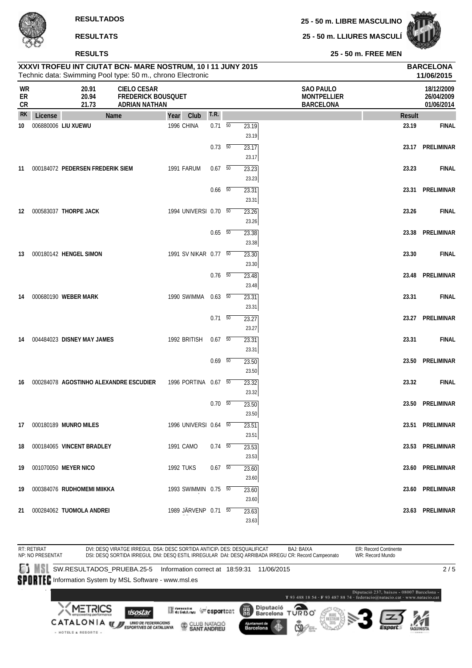**25 - 50 m. LLIURES MASCULÍ**



**25 - 50 m. FREE MEN**

|                       |         | <b>NESULIS</b>                                                                                                           |                                                                         |                       |                          |                |                                                            | <b>SUILL FREE MENT</b> |                                        |
|-----------------------|---------|--------------------------------------------------------------------------------------------------------------------------|-------------------------------------------------------------------------|-----------------------|--------------------------|----------------|------------------------------------------------------------|------------------------|----------------------------------------|
|                       |         | XXXVI TROFEU INT CIUTAT BCN- MARE NOSTRUM, 10111 JUNY 2015<br>Technic data: Swimming Pool type: 50 m., chrono Electronic |                                                                         |                       |                          |                |                                                            |                        | <b>BARCELONA</b><br>11/06/2015         |
| <b>WR</b><br>ER<br>CR |         | 20.91<br>20.94<br>21.73                                                                                                  | <b>CIELO CESAR</b><br><b>FREDERICK BOUSQUET</b><br><b>ADRIAN NATHAN</b> |                       |                          |                | <b>SAO PAULO</b><br><b>MONTPELLIER</b><br><b>BARCELONA</b> |                        | 18/12/2009<br>26/04/2009<br>01/06/2014 |
| <b>RK</b>             | License | Name                                                                                                                     |                                                                         | Year<br>Club          | T.R.                     |                |                                                            | <b>Result</b>          |                                        |
| 10                    |         | 006880006 LIU XUEWU                                                                                                      |                                                                         | 1996 CHINA            | $0.71\ 50$               | 23.19<br>23.19 |                                                            | 23.19                  | <b>FINAL</b>                           |
|                       |         |                                                                                                                          |                                                                         |                       | $0.73\quad 50$           | 23.17<br>23.17 |                                                            |                        | 23.17 PRELIMINAR                       |
| 11                    |         | 000184072 PEDERSEN FREDERIK SIEM                                                                                         |                                                                         | 1991 FARUM            | $0.67$ 50                | 23.23<br>23.23 |                                                            | 23.23                  | <b>FINAL</b>                           |
|                       |         |                                                                                                                          |                                                                         |                       | $0.66\quad\overline{50}$ | 23.31<br>23.31 |                                                            |                        | 23.31 PRELIMINAR                       |
| 12                    |         | 000583037 THORPE JACK                                                                                                    |                                                                         | 1994 UNIVERSI 0.70 50 |                          | 23.26<br>23.26 |                                                            | 23.26                  | <b>FINAL</b>                           |
|                       |         |                                                                                                                          |                                                                         |                       | $0.65\quad\overline{50}$ | 23.38<br>23.38 |                                                            | 23.38                  | <b>PRELIMINAR</b>                      |
| 13                    |         | 000180142 HENGEL SIMON                                                                                                   |                                                                         | 1991 SV NIKAR 0.77 50 |                          | 23.30<br>23.30 |                                                            | 23.30                  | <b>FINAL</b>                           |
|                       |         |                                                                                                                          |                                                                         |                       | $0.76\quad\overline{50}$ | 23.48<br>23.48 |                                                            | 23.48                  | PRELIMINAR                             |
| 14                    |         | 000680190 WEBER MARK                                                                                                     |                                                                         | 1990 SWIMMA           | $0.63\quad\overline{50}$ | 23.31<br>23.31 |                                                            | 23.31                  | <b>FINAL</b>                           |
|                       |         |                                                                                                                          |                                                                         |                       | $0.71 \overline{50}$     | 23.27<br>23.27 |                                                            |                        | 23.27 PRELIMINAR                       |
| 14                    |         | 004484023 DISNEY MAY JAMES                                                                                               |                                                                         | 1992 BRITISH          | $0.67$ 50                | 23.31<br>23.31 |                                                            | 23.31                  | <b>FINAL</b>                           |
|                       |         |                                                                                                                          |                                                                         |                       | $0.69$ 50                | 23.50<br>23.50 |                                                            |                        | 23.50 PRELIMINAR                       |
| 16                    |         | 000284078 AGOSTINHO ALEXANDRE ESCUDIER                                                                                   |                                                                         | 1996 PORTINA 0.67 50  |                          | 23.32<br>23.32 |                                                            | 23.32                  | <b>FINAL</b>                           |
|                       |         |                                                                                                                          |                                                                         |                       | $0.70\quad\overline{50}$ | 23.50<br>23.50 |                                                            |                        | 23.50 PRELIMINAR                       |
|                       |         | 17 000180189 MUNRO MILES                                                                                                 |                                                                         | 1996 UNIVERSI 0.64 50 |                          | 23.51<br>23.51 |                                                            |                        | 23.51 PRELIMINAR                       |
|                       |         | 18 000184065 VINCENT BRADLEY                                                                                             |                                                                         | 1991 CAMO             | $0.74\quad\overline{50}$ | 23.53<br>23.53 |                                                            |                        | 23.53 PRELIMINAR                       |
|                       |         | 19 001070050 MEYER NICO                                                                                                  |                                                                         | 1992 TUKS             | $0.67$ 50                | 23.60<br>23.60 |                                                            |                        | 23.60 PRELIMINAR                       |
|                       |         | 19 000384076 RUDHOMEMI MIIKKA                                                                                            |                                                                         | 1993 SWIMMIN 0.75 50  |                          | 23.60<br>23.60 |                                                            |                        | 23.60 PRELIMINAR                       |
|                       |         | 21 000284062 TUOMOLA ANDREI                                                                                              |                                                                         | 1989 JÄRVENP 0.71 50  |                          | 23.63          |                                                            |                        | 23.63 PRELIMINAR                       |



23.63

ÄÄ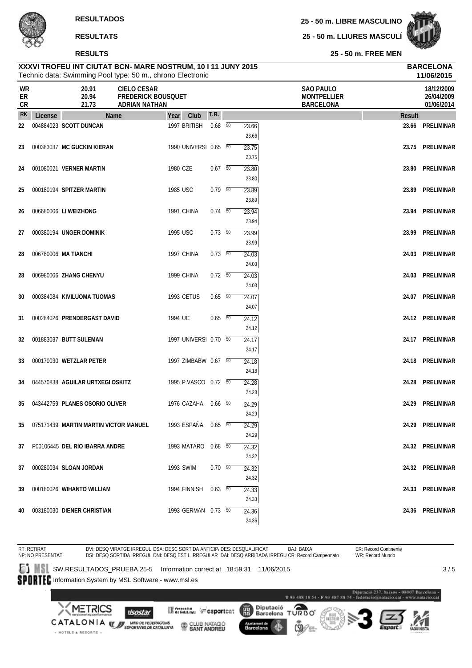#### **RESULTS**

**25 - 50 m. LIBRE MASCULINO**

**25 - 50 m. LLIURES MASCULÍ**



**11/06/2015**

**25 - 50 m. FREE MEN**

# Technic data: Swimming Pool type: 50 m., chrono Electronic **XXXVI TROFEU INT CIUTAT BCN- MARE NOSTRUM, 10 I 11 JUNY 2015 BARCELONA WR 20.91 CIELO CESAR SAO PAULO 18/12/2009**

| <b>VVIV</b><br>ER<br>CR |         | ZV. 7 I<br>20.94<br>21.73             | <b>UILLU ULJAR</b><br><b>FREDERICK BOUSQUET</b><br>ADRIAN NATHAN |                       |                |                         | <b>JAU FAULU</b><br><b>MONTPELLIER</b><br><b>BARCELONA</b> |        | 1011212007<br>26/04/2009<br>01/06/2014 |
|-------------------------|---------|---------------------------------------|------------------------------------------------------------------|-----------------------|----------------|-------------------------|------------------------------------------------------------|--------|----------------------------------------|
| <b>RK</b>               | License | Name                                  |                                                                  | Year Club             | T.R.           |                         |                                                            | Result |                                        |
| 22                      |         | 004884023 SCOTT DUNCAN                |                                                                  | 1997 BRITISH          | $0.68$ 50      | 23.66<br>23.66          |                                                            |        | 23.66 PRELIMINAR                       |
| 23                      |         | 000383037 MC GUCKIN KIERAN            |                                                                  | 1990 UNIVERSI 0.65 50 |                | 23.75<br>23.75          |                                                            |        | 23.75 PRELIMINAR                       |
| 24                      |         | 001080021 VERNER MARTIN               | 1980 CZE                                                         |                       | $0.67$ 50      | 23.80<br>23.80          |                                                            |        | 23.80 PRELIMINAR                       |
| 25                      |         | 000180194 SPITZER MARTIN              | 1985 USC                                                         |                       | 0.79 50        | 23.89<br>23.89          |                                                            |        | 23.89 PRELIMINAR                       |
| 26                      |         | 006680006 LI WEIZHONG                 |                                                                  | 1991 CHINA            | $0.74$ 50      | 23.94<br>23.94          |                                                            |        | 23.94 PRELIMINAR                       |
| 27                      |         | 000380194 UNGER DOMINIK               | 1995 USC                                                         |                       | 0.73 50        | 23.99<br>23.99          |                                                            |        | 23.99 PRELIMINAR                       |
| 28                      |         | 006780006 MA TIANCHI                  |                                                                  | 1997 CHINA            | 0.73 50        | 24.03<br>24.03          |                                                            |        | 24.03 PRELIMINAR                       |
| 28                      |         | 006980006 ZHANG CHENYU                |                                                                  | 1999 CHINA            | 0.72 50        | 24.03<br>24.03          |                                                            |        | 24.03 PRELIMINAR                       |
| 30                      |         | 000384084 KIVILUOMA TUOMAS            |                                                                  | <b>1993 CETUS</b>     | $0.65$ 50      | 24.07<br>24.07          |                                                            |        | 24.07 PRELIMINAR                       |
| 31                      |         | 000284026 PRENDERGAST DAVID           | 1994 UC                                                          |                       | $0.65\quad 50$ | 24.12<br>24.12          |                                                            |        | 24.12 PRELIMINAR                       |
| 32                      |         | 001883037 BUTT SULEMAN                |                                                                  | 1997 UNIVERSI 0.70 50 |                | 24.17<br>24.17          |                                                            |        | 24.17 PRELIMINAR                       |
| 33                      |         | 000170030 WETZLAR PETER               |                                                                  | 1997 ZIMBABW 0.67 50  |                | 24.18<br>24.18          |                                                            |        | 24.18 PRELIMINAR                       |
| 34                      |         | 044570838 AGUILAR URTXEGI OSKITZ      |                                                                  | 1995 P.VASCO 0.72 50  |                | 24.28<br>24.28          |                                                            |        | 24.28 PRELIMINAR                       |
| 35                      |         | 043442759 PLANES OSORIO OLIVER        |                                                                  | 1976 CAZAHA 0.66 50   |                | 24.29<br>24.29          |                                                            |        | 24.29 PRELIMINAR                       |
| 35                      |         | 075171439 MARTIN MARTIN VICTOR MANUEL |                                                                  | 1993 ESPAÑA 0.65 50   |                | 24.29<br>24.29          |                                                            |        | 24.29 PRELIMINAR                       |
|                         |         | 37 P00106445 DEL RIO IBARRA ANDRE     |                                                                  | 1993 MATARO 0.68 50   |                | $\overline{24.32}$      |                                                            |        | 24.32 PRELIMINAR                       |
| 37                      |         | 000280034 SLOAN JORDAN                |                                                                  | 1993 SWIM             | 0.70 50        | 24.32<br>24.32          |                                                            |        | 24.32 PRELIMINAR                       |
| 39                      |         | 000180026 WIHANTO WILLIAM             |                                                                  | 1994 FINNISH 0.63 50  |                | 24.32<br>24.33          |                                                            |        | 24.33 PRELIMINAR                       |
| 40                      |         | 003180030 DIENER CHRISTIAN            |                                                                  | 1993 GERMAN 0.73 50   |                | 24.33<br>24.36<br>24.36 |                                                            |        | 24.36 PRELIMINAR                       |

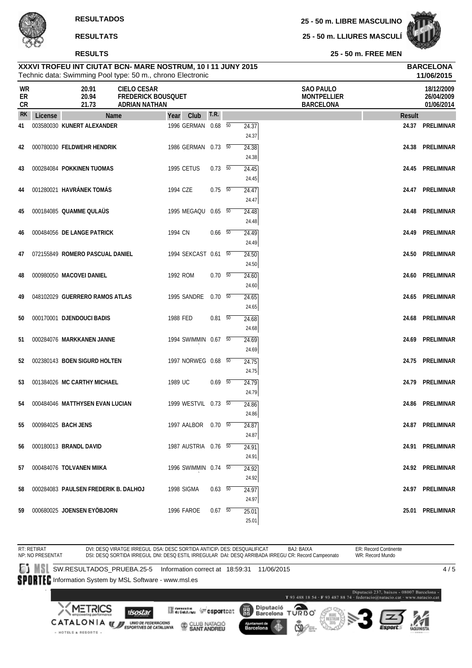#### **RESULTS**

**25 - 50 m. LIBRE MASCULINO**

**25 - 50 m. LLIURES MASCULÍ**



**11/06/2015**

**25 - 50 m. FREE MEN**

| WR<br>ER<br>CR |         | 20.91<br>20.94<br>21.73              | <b>CIELO CESAR</b><br><b>FREDERICK BOUSQUET</b><br><b>ADRIAN NATHAN</b> |            |                      |            |                | <b>SAO PAULO</b><br><b>MONTPELLIER</b><br><b>BARCELONA</b> | 18/12/2009<br>26/04/2009<br>01/06/2014 |
|----------------|---------|--------------------------------------|-------------------------------------------------------------------------|------------|----------------------|------------|----------------|------------------------------------------------------------|----------------------------------------|
| <b>RK</b>      | License | Name                                 |                                                                         | Year       | Club                 | T.R.       |                | <b>Result</b>                                              |                                        |
| 41             |         | 003580030 KUNERT ALEXANDER           |                                                                         |            | 1996 GERMAN 0.68 50  |            | 24.37<br>24.37 |                                                            | 24.37 PRELIMINAR                       |
| 42             |         | 000780030 FELDWEHR HENDRIK           |                                                                         |            | 1986 GERMAN 0.73 50  |            | 24.38<br>24.38 | 24.38                                                      | PRELIMINAR                             |
| 43             |         | 000284084 POKKINEN TUOMAS            |                                                                         | 1995 CETUS |                      | 0.73 50    | 24.45<br>24.45 |                                                            | 24.45 PRELIMINAR                       |
| 44             |         | 001280021 HAVRÁNEK TOMÁS             |                                                                         | 1994 CZE   |                      | $0.75\ 50$ | 24.47<br>24.47 |                                                            | 24.47 PRELIMINAR                       |
| 45             |         | 000184085 QUAMME QULAÜS              |                                                                         |            | 1995 MEGAQU 0.65 50  |            | 24.48<br>24.48 |                                                            | 24.48 PRELIMINAR                       |
| 46             |         | 000484056 DE LANGE PATRICK           |                                                                         | 1994 CN    |                      | $0.66$ 50  | 24.49<br>24.49 |                                                            | 24.49 PRELIMINAR                       |
| 47             |         | 072155849 ROMERO PASCUAL DANIEL      |                                                                         |            | 1994 SEKCAST 0.61 50 |            | 24.50<br>24.50 | 24.50                                                      | PRELIMINAR                             |
| 48             |         | 000980050 MACOVEI DANIEL             |                                                                         | 1992 ROM   |                      | 0.70 50    | 24.60<br>24.60 | 24.60                                                      | PRELIMINAR                             |
| 49             |         | 048102029 GUERRERO RAMOS ATLAS       |                                                                         |            | 1995 SANDRE 0.70 50  |            | 24.65<br>24.65 |                                                            | 24.65 PRELIMINAR                       |
| 50             |         | 000170001 DJENDOUCI BADIS            |                                                                         | 1988 FED   |                      | $0.81\ 50$ | 24.68<br>24.68 |                                                            | 24.68 PRELIMINAR                       |
| 51             |         | 000284076 MARKKANEN JANNE            |                                                                         |            | 1994 SWIMMIN 0.67 50 |            | 24.69<br>24.69 | 24.69                                                      | PRELIMINAR                             |
| 52             |         | 002380143 BOEN SIGURD HOLTEN         |                                                                         |            | 1997 NORWEG 0.68 50  |            | 24.75<br>24.75 |                                                            | 24.75 PRELIMINAR                       |
| 53             |         | 001384026 MC CARTHY MICHAEL          |                                                                         | 1989 UC    |                      | $0.69$ 50  | 24.79<br>24.79 |                                                            | 24.79 PRELIMINAR                       |
| 54             |         | 000484046 MATTHYSEN EVAN LUCIAN      |                                                                         |            | 1999 WESTVIL 0.73 50 |            | 24.86<br>24.86 | 24.86                                                      | PRELIMINAR                             |
| 55             |         | 000984025 BACH JENS                  |                                                                         |            | 1997 AALBOR          | $0.70\ 50$ | 24.87<br>24.87 |                                                            | 24.87 PRELIMINAR                       |
|                |         | 56 000180013 BRANDL DAVID            |                                                                         |            | 1987 AUSTRIA 0.76 50 |            | 24.91<br>24.91 |                                                            | 24.91 PRELIMINAR                       |
| 57             |         | 000484076 TOLVANEN MIIKA             |                                                                         |            | 1996 SWIMMIN 0.74 50 |            | 24.92<br>24.92 |                                                            | 24.92 PRELIMINAR                       |
| 58             |         | 000284083 PAULSEN FREDERIK B. DALHOJ |                                                                         |            | 1998 SIGMA           | 0.63 50    | 24.97<br>24.97 |                                                            | 24.97 PRELIMINAR                       |
|                |         | 59 000680025 JOENSEN EYÖBJORN        |                                                                         |            | 1996 FAROE           | $0.67$ 50  | 25.01<br>25.01 |                                                            | 25.01 PRELIMINAR                       |

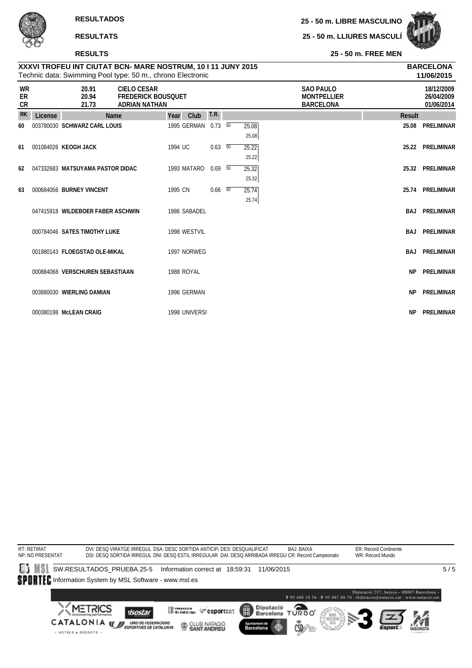#### **RESULTS**

· HOTELS & RESORTS ·

**25 - 50 m. LIBRE MASCULINO**

**25 - 50 m. LLIURES MASCULÍ**



**11/06/2015**

**25 - 50 m. FREE MEN**

| WR<br>ER<br><b>CR</b> |         | 20.91<br>20.94<br>21.73           | <b>CIELO CESAR</b><br><b>FREDERICK BOUSQUET</b><br><b>ADRIAN NATHAN</b> |         |               |                          |                | <b>SAO PAULO</b><br><b>MONTPELLIER</b><br><b>BARCELONA</b> |           | 18/12/2009<br>26/04/2009<br>01/06/2014 |
|-----------------------|---------|-----------------------------------|-------------------------------------------------------------------------|---------|---------------|--------------------------|----------------|------------------------------------------------------------|-----------|----------------------------------------|
| <b>RK</b>             | License | <b>Name</b>                       |                                                                         | Year    | Club          | <b>T.R.</b>              |                |                                                            | Result    |                                        |
| 60                    |         | 003780030 SCHWARZ CARL LOUIS      |                                                                         |         | 1995 GERMAN   | $0.73\ 50$               | 25.08<br>25.08 |                                                            | 25.08     | PRELIMINAR                             |
| 61                    |         | 001084026 KEOGH JACK              |                                                                         | 1994 UC |               | $0.63\quad 50$           | 25.22<br>25.22 |                                                            |           | 25.22 PRELIMINAR                       |
| 62                    |         | 047332683 MATSUYAMA PASTOR DIDAC  |                                                                         |         | 1993 MATARO   | $0.69$ 50                | 25.32<br>25.32 |                                                            |           | 25.32 PRELIMINAR                       |
| 63                    |         | 000684056 BURNEY VINCENT          |                                                                         | 1995 CN |               | $0.66\quad\overline{50}$ | 25.74<br>25.74 |                                                            | 25.74     | <b>PRELIMINAR</b>                      |
|                       |         | 047415918 WILDEBOER FABER ASCHWIN |                                                                         |         | 1986 SABADEL  |                          |                |                                                            |           | <b>BAJ PRELIMINAR</b>                  |
|                       |         | 000784046 SATES TIMOTHY LUKE      |                                                                         |         | 1998 WESTVIL  |                          |                |                                                            |           | <b>BAJ PRELIMINAR</b>                  |
|                       |         | 001980143 FLOEGSTAD OLE-MIKAL     |                                                                         |         | 1997 NORWEG   |                          |                |                                                            | BAJ       | PRELIMINAR                             |
|                       |         | 000884068 VERSCHUREN SEBASTIAAN   |                                                                         |         | 1988 ROYAL    |                          |                |                                                            | <b>NP</b> | <b>PRELIMINAR</b>                      |
|                       |         | 003880030 WIERLING DAMIAN         |                                                                         |         | 1996 GERMAN   |                          |                |                                                            | <b>NP</b> | PRELIMINAR                             |
|                       |         | 000380198 McLEAN CRAIG            |                                                                         |         | 1998 UNIVERSI |                          |                |                                                            | NP.       | PRELIMINAR                             |

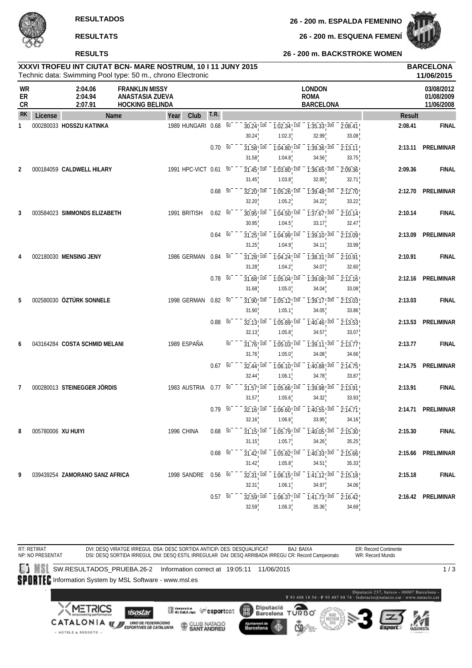**RESULTS**

**26 - 200 m. ESQUENA FEMENÍ**

#### **26 - 200 m. BACKSTROKE WOMEN**

# **XXXVI TROFEU INT CIUTAT BCN- MARE NOSTRUM, 10 I 11 JUNY 2015 BARCELONA**

|                |                    |                                | Technic data: Swimming Pool type: 50 m., chrono Electronic         |                       |                |                 |                                                         |                                                             |                                                                                                |                               |               | 11/06/2015                             |
|----------------|--------------------|--------------------------------|--------------------------------------------------------------------|-----------------------|----------------|-----------------|---------------------------------------------------------|-------------------------------------------------------------|------------------------------------------------------------------------------------------------|-------------------------------|---------------|----------------------------------------|
| WR<br>ER<br>CR |                    | 2:04.06<br>2:04.94<br>2:07.91  | <b>FRANKLIN MISSY</b><br>ANASTASIA ZUEVA<br><b>HOCKING BELINDA</b> |                       |                |                 |                                                         |                                                             | <b>LONDON</b><br><b>ROMA</b><br><b>BARCELONA</b>                                               |                               |               | 03/08/2012<br>01/08/2009<br>11/06/2008 |
| <b>RK</b>      | License            | Name                           | Year                                                               | Club                  | T.R.           |                 |                                                         |                                                             |                                                                                                |                               | <b>Result</b> |                                        |
| $\mathbf{1}$   |                    | 000280033 HOSSZU KATINKA       |                                                                    | 1989 HUNGARI 0.68 50  |                |                 | $30.24\overline{)100}$<br>30.24                         | $-7:02.34$ $150$<br>1:02.3                                  | $-7:35.33$ , $200 - 2:08.47$<br>32.99                                                          | 33.08                         | 2:08.41       | <b>FINAL</b>                           |
|                |                    |                                |                                                                    |                       | $0.70\ 50$     |                 | $31.58$ ! $100$<br>31.58                                | $1:04.80$ ! $150$<br>1:04.8                                 | $1:39.36$ <sup>200</sup><br>34.56                                                              | 2:13.11<br>33.75              |               | 2:13.11 PRELIMINAR                     |
| 2              |                    | 000184059 CALDWELL HILARY      |                                                                    | 1991 HPC-VICT 0.61 50 |                |                 | $31.45$ <sub>100</sub><br>31.45                         | $1:03.80$ ! $150$<br>1:03.8                                 | $1:36.65$ ! 200<br>32.85                                                                       | 2:09.36<br>32.71              | 2:09.36       | <b>FINAL</b>                           |
|                |                    |                                |                                                                    |                       | 0.68           | 50              | 32.20 100<br>32.20                                      | $1:05.26$ , 150<br>1:05.2                                   | 1:39.48 200<br>34.22                                                                           | 2:12.70<br>33.22              |               | 2:12.70 PRELIMINAR                     |
| 3              |                    | 003584023 SIMMONDS ELIZABETH   |                                                                    | 1991 BRITISH          | 0.62 50        |                 | $30.95$ ! $100$<br>30.95                                | $1:04.50$ ! $150$<br>1:04.5                                 | $\overline{1:37.67}$ $\overline{200}$<br>33.17                                                 | 2:10.14<br>32.47              | 2:10.14       | <b>FINAL</b>                           |
|                |                    |                                |                                                                    |                       | 0.64           | $\overline{50}$ | $31.25$ ! $100$<br>31.25                                | $1:04.99$ ! $150$<br>1:04.9                                 | $\overline{1:39.10}$ $\overline{200}$<br>34.11                                                 | 2:13.09<br>33.99              | 2:13.09       | PRELIMINAR                             |
| 4              |                    | 002180030 MENSING JENY         |                                                                    | 1986 GERMAN           | $0.84\ 50$     |                 | $31.28$ , $100$<br>31.28                                | 1:04.24 150<br>1:04.2                                       | 1:38.31 200<br>34.07                                                                           | 2:10.91<br>32.60              | 2:10.91       | <b>FINAL</b>                           |
|                |                    |                                |                                                                    |                       | $0.78\ 50$     |                 | $31.68$ ! $100$<br>31.68                                | $1:05.04$ ! $150$<br>1:05.0                                 | $1:39.08$ ! $200$<br>34.04                                                                     | 2:12.16<br>33.08              |               | 2:12.16 PRELIMINAR                     |
| 5              |                    | 002580030 ÖZTÜRK SONNELE       |                                                                    | 1998 GERMAN           | $0.82$ 50      |                 | 31.90 100<br>31.90                                      | $1:05.12$ ! 150<br>1:05.1                                   | $1:39.17$ ! $200$<br>34.05                                                                     | 2:13.03<br>33.86              | 2:13.03       | <b>FINAL</b>                           |
|                |                    |                                |                                                                    |                       | $0.88\quad 50$ |                 | 32.13!100<br>32.13                                      | $1:05.89$ <sup>150</sup><br>1:05.8                          | $1:40.46$ ! 200<br>34.57                                                                       | 2:13.53<br>33.07              | 2:13.53       | PRELIMINAR                             |
| 6              |                    | 043164284 COSTA SCHMID MELANI  |                                                                    | 1989 ESPAÑA           |                | 50              | $31.76$ ! $100$                                         | $\overline{1:05.03}$ 150                                    | $1:39.11$ ! $200$                                                                              | 2:13.77                       | 2:13.77       | <b>FINAL</b>                           |
|                |                    |                                |                                                                    |                       | $0.67$ 50      |                 | 31.76<br>$32.44 \cdot 100$<br>32.44'                    | 1:05.0<br>$\overline{1:06.10}$ ! $\overline{150}$<br>1:06.1 | 34.08<br>$1:40.88$ ! 200<br>34.78                                                              | 34.66<br>2:14.75<br>33.87     | 2:14.75       | PRELIMINAR                             |
| 7              |                    | 000280013 STEINEGGER JÖRDIS    |                                                                    | 1983 AUSTRIA 0.77 50  |                |                 | $31.57$ ! $100$<br>31.57                                | $1:05.66$ <sup>150</sup><br>1:05.6                          | 1:39.98 200<br>34.32                                                                           | 2:13.91<br>33.93              | 2:13.91       | <b>FINAL</b>                           |
|                |                    |                                |                                                                    |                       | $0.79\ 50^{-}$ |                 | $32.16$ <sup>100</sup><br>32.16                         | $1:06.60$ ! $150$<br>1:06.6                                 | $1:40.55$ ! $200$<br>33.95                                                                     | $\overline{2:}14.71$<br>34.16 |               | 2:14.71 PRELIMINAR                     |
| 8              | 005780006 XU HUIYI |                                |                                                                    | 1996 CHINA            | $0.68\ 50$     |                 |                                                         |                                                             | $31.15^{+100}_{+}$ 1:05.79 $^{150}_{+}$ 1:40.05 $^{1200}_{+}$ 2:15.30 $^{1}_{-}$               |                               | 2:15.30       | <b>FINAL</b>                           |
|                |                    |                                |                                                                    |                       | $0.68$ 50      |                 | $31.15$ <sup>1</sup>                                    | 1:05.7                                                      | 34.26<br>$31.42$ <sup>100</sup> $-7.05.82$ <sup>150</sup> $-7.40.33$ <sup>200</sup> $-2.15.66$ | 35.25                         |               | 2:15.66 PRELIMINAR                     |
| 9              |                    | 039439254 ZAMORANO SANZ AFRICA |                                                                    | 1998 SANDRE           | $0.56\quad 50$ |                 | 31.42<br>$32.31$   $100$                                | 1:05.8<br>$\overline{1:06.15}$ $\overline{150}$             | 34.51<br>$\overline{1:41.12}$ , $\overline{200}$ $\overline{2:15.18}$                          | 35.33                         | 2:15.18       | <b>FINAL</b>                           |
|                |                    |                                |                                                                    |                       | $0.57 - 50$    |                 | 32.31<br>$32.59$ <sub>, <math>100</math></sub><br>32.59 | 1:06.1<br>$\overline{1:06.37}$ <sup>150</sup><br>1:06.3     | 34.97<br>$\overline{1:}4\overline{1.73}$ $\overline{200}$<br>35.36                             | 34.06<br>$-2:16.42$<br>34.69  |               | 2:16.42 PRELIMINAR                     |

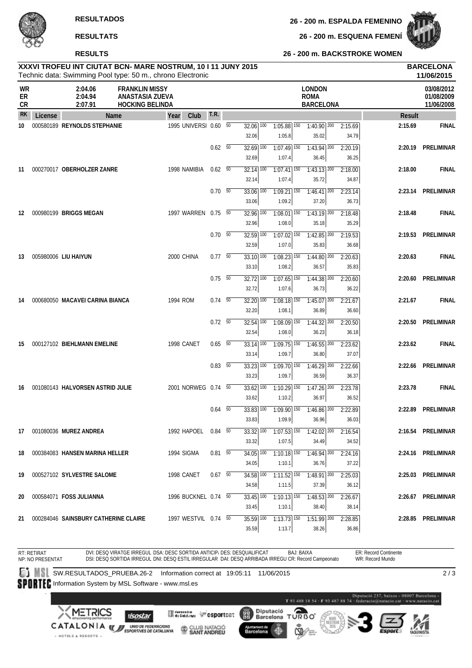**RESULTS**

+ HOTELS & RESORTS +

**26 - 200 m. ESQUENA FEMENÍ**

**26 - 200 m. BACKSTROKE WOMEN**



| XXXVI TROFEU INT CIUTAT BCN- MARE NOSTRUM, 10 I 11 JUNY 2015 | <b>BARCELONA</b> |
|--------------------------------------------------------------|------------------|
| Technic data: Swimming Pool type: 50 m - chrono Electronic   | 11/06/2015       |

|                       |         |                                      | Technic data: Swimming Pool type: 50 m., chrono Electronic         |                       |                |                                   |                                                   |                                                  |                  |               | 11/06/2015                             |
|-----------------------|---------|--------------------------------------|--------------------------------------------------------------------|-----------------------|----------------|-----------------------------------|---------------------------------------------------|--------------------------------------------------|------------------|---------------|----------------------------------------|
| WR<br>ER<br><b>CR</b> |         | 2:04.06<br>2:04.94<br>2:07.91        | <b>FRANKLIN MISSY</b><br>ANASTASIA ZUEVA<br><b>HOCKING BELINDA</b> |                       |                |                                   |                                                   | <b>LONDON</b><br><b>ROMA</b><br><b>BARCELONA</b> |                  |               | 03/08/2012<br>01/08/2009<br>11/06/2008 |
| <b>RK</b>             | License |                                      | Name                                                               | Club<br>Year          | T.R.           |                                   |                                                   |                                                  |                  | <b>Result</b> |                                        |
| 10                    |         | 000580189 REYNOLDS STEPHANIE         |                                                                    | 1995 UNIVERSI 0.60 50 |                | $32.06$ $\overline{100}$<br>32.06 | $1:05.88$ 150<br>1:05.8                           | $1:40.90$ 200<br>35.02                           | 2:15.69<br>34.79 | 2:15.69       | <b>FINAL</b>                           |
|                       |         |                                      |                                                                    |                       | $0.62\quad 50$ | $32.69$ 100<br>32.69              | $1:07.49$ 150<br>1:07.4                           | $1:43.94$ <sup>200</sup><br>36.45                | 2:20.19<br>36.25 |               | 2:20.19 PRELIMINAR                     |
| 11                    |         | 000270017 OBERHOLZER ZANRE           |                                                                    | 1998 NAMIBIA          | 0.62 50        | $32.14$ $\overline{100}$<br>32.14 | $1:07.41$ 150<br>1:07.4                           | $1:43.13$ 200<br>35.72                           | 2:18.00<br>34.87 | 2:18.00       | <b>FINAL</b>                           |
|                       |         |                                      |                                                                    |                       | $0.70\ 50$     | $33.06$ $\overline{100}$<br>33.06 | $1:09.21$ 150<br>1:09.2                           | $1:46.41$ 200<br>37.20                           | 2:23.14<br>36.73 |               | 2:23.14 PRELIMINAR                     |
| 12                    |         | 000980199 BRIGGS MEGAN               |                                                                    | 1997 WARREN 0.75 50   |                | $32.96$ 100<br>32.96              | $1:08.01$ 150<br>1:08.0                           | $1:43.19$ 200<br>35.18                           | 2:18.48<br>35.29 | 2:18.48       | <b>FINAL</b>                           |
|                       |         |                                      |                                                                    |                       | $0.70\ 50$     | $32.59$ $\overline{100}$<br>32.59 | $1:07.02$ $\overline{150}$<br>1:07.0              | $1:42.85$ <sup>200</sup><br>35.83                | 2:19.53<br>36.68 | 2:19.53       | PRELIMINAR                             |
| 13                    |         | 005980006 LIU HAIYUN                 |                                                                    | 2000 CHINA            | $0.77\quad 50$ | $33.10$ 100<br>33.10              | $1:08.23$ <sup>150</sup><br>1:08.2                | $1:44.80$ <sup>200</sup><br>36.57                | 2:20.63<br>35.83 | 2:20.63       | <b>FINAL</b>                           |
|                       |         |                                      |                                                                    |                       | $0.75\ 50$     | $32.72$ $\overline{100}$<br>32.72 | $1:07.65$ <sup>150</sup><br>1:07.6                | $1:44.38$ <sup>200</sup><br>36.73                | 2:20.60<br>36.22 |               | 2:20.60 PRELIMINAR                     |
| 14                    |         | 000680050 MACAVEI CARINA BIANCA      |                                                                    | 1994 ROM              | $0.74$ 50      | 32.20 100<br>32.20                | $1:08.18$ <sup>150</sup><br>1:08.1                | $1:45.07$ 200<br>36.89                           | 2:21.67<br>36.60 | 2:21.67       | <b>FINAL</b>                           |
|                       |         |                                      |                                                                    |                       | $0.72\quad 50$ | $32.54$ 100                       | $1:08.09$ 150                                     | $1:44.32$ <sup>200</sup>                         | 2:20.50          | 2:20.50       | PRELIMINAR                             |
| 15                    |         | 000127102 BIEHLMANN EMELINE          |                                                                    | 1998 CANET            | 0.65 50        | 32.54<br>$33.14$ $\overline{100}$ | 1:08.0<br>$1:09.75$ <sup>150</sup>                | 36.23<br>$1:46.55$ 200                           | 36.18<br>2:23.62 | 2:23.62       | <b>FINAL</b>                           |
|                       |         |                                      |                                                                    |                       | $0.83\quad 50$ | 33.14<br>$33.23$ $\overline{100}$ | 1:09.7<br>$1:09.70$ 150                           | 36.80<br>$1:46.29$ <sup>200</sup>                | 37.07<br>2:22.66 | 2:22.66       | PRELIMINAR                             |
| 16                    |         | 001080143 HALVORSEN ASTRID JULIE     |                                                                    | 2001 NORWEG 0.74 50   |                | 33.23<br>$33.62$ 100              | 1:09.7<br>$1:10.29$ <sup>150</sup>                | 36.59<br>$1:47.26$ <sup>200</sup>                | 36.37<br>2:23.78 | 2:23.78       | <b>FINAL</b>                           |
|                       |         |                                      |                                                                    |                       | $0.64$ 50      | 33.62<br>$33.83$ $\overline{100}$ | 1:10.2<br>$1:09.90$ 150                           | 36.97<br>$1:46.86$ 200                           | 36.52<br>2:22.89 |               | 2:22.89 PRELIMINAR                     |
| 17                    |         | 001080036 MUREZ ANDREA               |                                                                    | 1992 HAPOEL 0.84 50   |                | 33.83                             | 1:09.9<br>$33.32 100$ $1:07.53 150$ $1:42.02 200$ | 36.96                                            | 36.03<br>2:16.54 |               | 2:16.54 PRELIMINAR                     |
| 18                    |         | 000384083 HANSEN MARINA HELLER       |                                                                    | 1994 SIGMA            | $0.81\ 50$     | 33.32<br>34.05 100                | 1:07.5<br>$1:10.18$ <sup>150</sup>                | 34.49<br>$1:46.94$ 200                           | 34.52<br>2:24.16 |               | 2:24.16 PRELIMINAR                     |
| 19                    |         | 000527102 SYLVESTRE SALOME           |                                                                    | 1998 CANET            | $0.67$ 50      | 34.05<br>34.58 100                | 1:10.1<br>$1:11.52$ $150$                         | 36.76<br>$1:48.91$ 200                           | 37.22<br>2:25.03 |               | 2:25.03 PRELIMINAR                     |
| 20                    |         | 000584071 FOSS JULIANNA              |                                                                    | 1996 BUCKNEL 0.74 50  |                | 34.58<br>33.45 100                | 1:11.5<br>$1:10.13$ 150                           | 37.39<br>$1:48.53$ 200                           | 36.12<br>2:26.67 |               | 2:26.67 PRELIMINAR                     |
| 21                    |         | 000284046 SAINSBURY CATHERINE CLAIRE |                                                                    | 1997 WESTVIL 0.74 50  |                | 33.45<br>35.59 100                | 1:10.1<br>$1:13.73$ 150                           | 38.40<br>$1:51.99$ 200                           | 38.14<br>2:28.85 |               | 2:28.85 PRELIMINAR                     |
|                       |         |                                      |                                                                    |                       |                | 35.59                             | 1:13.7                                            | 38.26                                            | 36.86            |               |                                        |

RT: RETIRAT ER: Record Continente DVI: DESQ VIRATGE IRREGUL DSA: DESC SORTIDA ANTICIP، DES: DESQUALIFICAT BAJ: BAIXA<br>DSI: DESQ SORTIDA IRREGUL DNI: DESQ ESTIL IRREGULAR DAI: DESQ ARRIBADA IRREGU CR: Record Campeonato WR: Record Mundo NP: NO PRESENTAT **SW.RESULTADOS\_PRUEBA.26-2 Information correct at 19:05:11 11/06/2015**  $\overline{2/3}$ SPORTEC Information System by MSL Software - www.msl.es -<br>Marcelona<br>Matacio.cat T93 488 18 54 - F93 487 88 74 **XMETRICS** Diputació<br>Barcelona **ORBO Mineralism (Figsportcation)** (體) **ISOstar** T CATALONIA WE UNDER PEDERACIONS CLUB NATACIÓ Ajuntament de<br>Barcelona 4

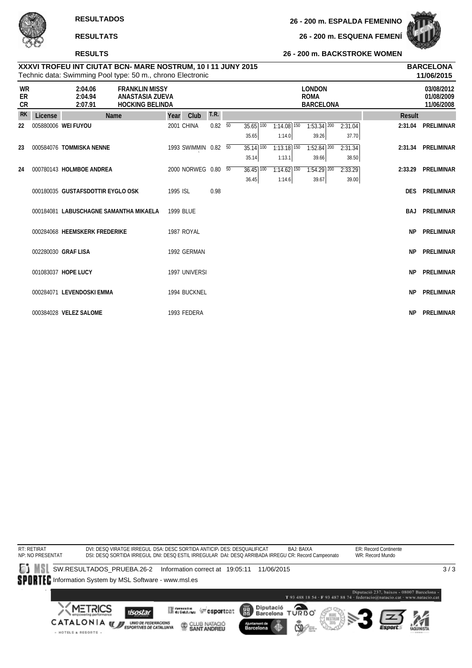**26 - 200 m. ESQUENA FEMENÍ**



#### **RESULTS**

#### **26 - 200 m. BACKSTROKE WOMEN**

| XXXVI TROFEU INT CIUTAT BCN- MARE NOSTRUM, 10 I 11 JUNY 2015 | <b>BARCELONA</b> |
|--------------------------------------------------------------|------------------|
| Technic data: Swimming Pool type: 50 m., chrono Electronic   | 11/06/2015       |

|                       |         | Technic data: Swimming Pool type: 50 m., chrono Electronic |                                           |      |    |                          |                          |                                                  |         |               | 11/06/2015                             |
|-----------------------|---------|------------------------------------------------------------|-------------------------------------------|------|----|--------------------------|--------------------------|--------------------------------------------------|---------|---------------|----------------------------------------|
| <b>WR</b><br>ER<br>CR |         | 2:04.06<br><b>FRANKLIN MISSY</b><br>2:04.94<br>2:07.91     | ANASTASIA ZUEVA<br><b>HOCKING BELINDA</b> |      |    |                          |                          | <b>LONDON</b><br><b>ROMA</b><br><b>BARCELONA</b> |         |               | 03/08/2012<br>01/08/2009<br>11/06/2008 |
| <b>RK</b>             | License | Name                                                       | Club<br>Year                              | T.R. |    |                          |                          |                                                  |         | <b>Result</b> |                                        |
| 22                    |         | 005880006 WEI FUYOU                                        | 2001 CHINA                                | 0.82 | 50 | 35.65 100                | $1:14.08$ 150            | $1:53.34$ 200                                    | 2:31.04 | 2:31.04       | PRELIMINAR                             |
|                       |         |                                                            |                                           |      |    | 35.65                    | 1:14.0                   | 39.26                                            | 37.70   |               |                                        |
| 23                    |         | 000584076 TOMMISKA NENNE                                   | 1993 SWIMMIN 0.82 50                      |      |    | $35.14$ $\overline{100}$ | $1:13.18$ <sup>150</sup> | $1:52.84$ <sup>200</sup>                         | 2:31.34 |               | 2:31.34 PRELIMINAR                     |
|                       |         |                                                            |                                           |      |    | 35.14                    | 1:13.1                   | 39.66                                            | 38.50   |               |                                        |
| 24                    |         | 000780143 HOLMBOE ANDREA                                   | 2000 NORWEG 0.80 50                       |      |    | $36.45$ 100              | $1:14.62$ 150            | $1:54.29$ 200                                    | 2:33.29 | 2:33.29       | PRELIMINAR                             |
|                       |         |                                                            |                                           |      |    | 36.45                    | 1:14.6                   | 39.67                                            | 39.00   |               |                                        |
|                       |         | 000180035 GUSTAFSDOTTIR EYGLO OSK                          | 1995 ISL                                  | 0.98 |    |                          |                          |                                                  |         | <b>DES</b>    | PRELIMINAR                             |
|                       |         | 000184081 LABUSCHAGNE SAMANTHA MIKAELA                     | 1999 BLUE                                 |      |    |                          |                          |                                                  |         | BAJ           | PRELIMINAR                             |
|                       |         |                                                            |                                           |      |    |                          |                          |                                                  |         |               |                                        |
|                       |         | 000284068 HEEMSKERK FREDERIKE                              | 1987 ROYAL                                |      |    |                          |                          |                                                  |         | <b>NP</b>     | PRELIMINAR                             |
|                       |         |                                                            |                                           |      |    |                          |                          |                                                  |         |               |                                        |
|                       |         | 002280030 GRAF LISA                                        | 1992 GERMAN                               |      |    |                          |                          |                                                  |         | <b>NP</b>     | PRELIMINAR                             |
|                       |         |                                                            |                                           |      |    |                          |                          |                                                  |         |               |                                        |
|                       |         | 001083037 HOPE LUCY                                        | 1997 UNIVERSI                             |      |    |                          |                          |                                                  |         | <b>NP</b>     | PRELIMINAR                             |
|                       |         | 000284071 LEVENDOSKI EMMA                                  | 1994 BUCKNEL                              |      |    |                          |                          |                                                  |         | <b>NP</b>     | PRELIMINAR                             |
|                       |         |                                                            |                                           |      |    |                          |                          |                                                  |         |               |                                        |
|                       |         | 000384028 VELEZ SALOME                                     | 1993 FEDERA                               |      |    |                          |                          |                                                  |         | <b>NP</b>     | PRELIMINAR                             |

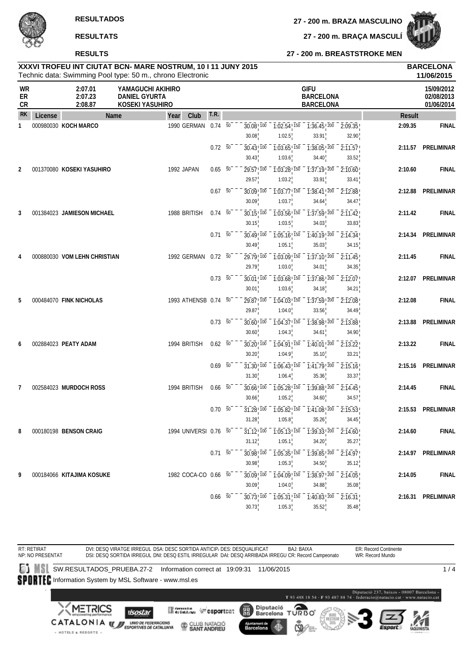**RESULTS**

**27 - 200 m. BRAZA MASCULINO**

**27 - 200 m. BRAÇA MASCULÍ**

#### **27 - 200 m. BREASTSTROKE MEN**

| XXXVI TROFEU INT CIUTAT BCN- MARE NOSTRUM, 10 I 11 JUNY 2015 | <b>BARCELONA</b> |
|--------------------------------------------------------------|------------------|
| Technic data: Swimming Pool type: 50 m., chrono Electronic   | 11/06/2015       |

|                |         |                               | Technic data: Swimming Pool type: 50 m., chrono Electronic   |                       |                  |    |                                  |                                                 |                                                                                                          |                                |               | 11/06/2015                             |
|----------------|---------|-------------------------------|--------------------------------------------------------------|-----------------------|------------------|----|----------------------------------|-------------------------------------------------|----------------------------------------------------------------------------------------------------------|--------------------------------|---------------|----------------------------------------|
| WR<br>ER<br>CR |         | 2:07.01<br>2:07.23<br>2:08.87 | YAMAGUCHI AKIHIRO<br><b>DANIEL GYURTA</b><br>KOSEKI YASUHIRO |                       |                  |    |                                  |                                                 | <b>GIFU</b><br><b>BARCELONA</b><br><b>BARCELONA</b>                                                      |                                |               | 15/09/2012<br>02/08/2013<br>01/06/2014 |
| <b>RK</b>      | License | Name                          | Year                                                         | Club                  | T.R.             |    |                                  |                                                 |                                                                                                          |                                | <b>Result</b> |                                        |
| $\mathbf{1}$   |         | 000980030 KOCH MARCO          |                                                              | 1990 GERMAN           | 0.74             | 50 | $30.08$ <sub>,100</sub><br>30.08 | $\overline{1:02.54}$ $\overline{150}$<br>1:02.5 | $1:36.45$ , $200 - 2:09.35$<br>33.91                                                                     | 32.90                          | 2:09.35       | <b>FINAL</b>                           |
|                |         |                               |                                                              |                       | $0.72\ 50$       |    | $30.43$ <sup>100</sup><br>30.43  | $1:03.65$ <sup>150</sup><br>1:03.6              | $\overline{1:38.05}$ $\overline{200}$<br>34.40                                                           | 2:11.57<br>33.52               |               | 2:11.57 PRELIMINAR                     |
| 2              |         | 001370080 KOSEKI YASUHIRO     |                                                              | 1992 JAPAN            | $0.65$ 50        |    | 29.57 100<br>29.57               | $1:03.28$ <sup>150</sup><br>1:03.2              | 1:37.19!200<br>33.91                                                                                     | 2:10.60<br>33.41               | 2:10.60       | <b>FINAL</b>                           |
|                |         |                               |                                                              |                       | $0.67 - 50^{-1}$ |    | $30.09$ ! $100$<br>30.09         | $1:03.77$ ! 150<br>1:03.7                       | $1:38.41$ ! $200$<br>34.64                                                                               | 2:12.88<br>34.47               | 2:12.88       | PRELIMINAR                             |
| 3              |         | 001384023 JAMIESON MICHAEL    |                                                              | 1988 BRITISH          | $0.74\quad 50$   |    | $30.15$ ! $100$                  | $\overline{1:03.56}$ $\overline{150}$           | $1:37.59$ ! $200$                                                                                        | $\overline{2:}11.42$           | 2:11.42       | <b>FINAL</b>                           |
|                |         |                               |                                                              |                       | $0.71 - 50$      |    | 30.15<br>30.49 100<br>30.49      | 1:03.5<br>$1:05.16$ <sup>150</sup><br>1:05.1    | 34.03<br>$\overline{1:40.19}$ , $\overline{200}$ $\overline{2:14.34}$<br>35.03                           | 33.83<br>34.15                 |               | 2:14.34 PRELIMINAR                     |
|                |         | 000880030 VOM LEHN CHRISTIAN  |                                                              | 1992 GERMAN 0.72 50   |                  |    | 29.79 100<br>29.79               | 1:03.09 150<br>1:03.0                           | $1:37.10$ ! $200$<br>34.01                                                                               | 2:11.45<br>34.35               | 2:11.45       | <b>FINAL</b>                           |
|                |         |                               |                                                              |                       | $0.73\ 50$       |    | $30.01$ ! $100$<br>30.01         | $1:03.68$ <sup>150</sup><br>1:03.6              | $1:37.86$ <sup>200</sup><br>34.18                                                                        | $\sqrt{2.12.07}$<br>34.21      |               | 2:12.07 PRELIMINAR                     |
| 5              |         | 000484070 FINK NICHOLAS       |                                                              | 1993 ATHENSB 0.74 50  |                  |    | 29.87 100<br>29.87               | $1:04.03$ <sup>150</sup><br>1:04.0              | 1:37.59 200<br>33.56                                                                                     | 2:12.08<br>34.49               | 2:12.08       | <b>FINAL</b>                           |
|                |         |                               |                                                              |                       | $0.73\ 50$       |    | $30.60$ ! $100$<br>30.60         | $1:04.37$ <sup>150</sup><br>1:04.3              | 1:38.98 200<br>34.61                                                                                     | 2:13.88<br>34.90               | 2:13.88       | PRELIMINAR                             |
| 6              |         | 002884023 PEATY ADAM          |                                                              | 1994 BRITISH          | $0.62\ 50$       |    | $30.20$ ! $100$<br>30.20         | $1:04.91$ ! $150$<br>1:04.9                     | $1:40.01$ ! $200$<br>35.10                                                                               | $-\overline{2:}13.22$<br>33.21 | 2:13.22       | <b>FINAL</b>                           |
|                |         |                               |                                                              |                       | $0.69$ 50        |    | $31.30$ ! $100$<br>31.30         | $\overline{1:06.43}$ $\overline{150}$<br>1:06.4 | $1:41.79$ ! 200<br>35.36                                                                                 | 2:15.16<br>33.37               |               | 2:15.16 PRELIMINAR                     |
| 7              |         | 002584023 MURDOCH ROSS        |                                                              | 1994 BRITISH          | $0.66$ 50        |    | $30.66$ , $100$<br>30.66         | $1:05.28$ <sup>150</sup><br>1:05.2              | $\overline{1:39.88}$ $\overline{200}$<br>34.60                                                           | 2:14.45<br>34.57               | 2:14.45       | <b>FINAL</b>                           |
|                |         |                               |                                                              |                       | $0.70\ 50$       |    | $31.28$ , $100$<br>31.28         | $1:05.82$ ! $150$<br>1:05.8                     | $1:41.08$ $200$<br>35.26                                                                                 | 2:15.53<br>34.45               |               | 2:15.53 PRELIMINAR                     |
| 8              |         | 000180198 BENSON CRAIG        |                                                              | 1994 UNIVERSI 0.76 50 |                  |    | 31.12                            | 1:05.1                                          | $31.12$ <sup>100</sup> $1.05.13$ <sup>150</sup> $1.39.33$ <sup>200</sup> $2.14.60$ <sup>1</sup><br>34.20 | 35.27                          | 2:14.60       | <b>FINAL</b>                           |
|                |         |                               |                                                              |                       | $0.71\ 50^{-}$   |    | 30.98                            | 1:05.3                                          | $30.98$ <sup>1</sup> $100 - 1.05.35$ <sup>1</sup> $150 - 1.39.85$ <sup>1</sup> $200 - 2.14.97$<br>34.50  | 35.12                          |               | 2:14.97 PRELIMINAR                     |
| 9              |         | 000184066 KITAJIMA KOSUKE     |                                                              | 1982 COCA-CO 0.66 50  |                  |    | $30.09$ ! $100$<br>30.09         | $1:04.09$ $150$<br>1:04.0                       | $\overline{1:38.97}$ $\overline{200}$ $\overline{2:14.05}$<br>34.88                                      | 35.08                          | 2:14.05       | <b>FINAL</b>                           |
|                |         |                               |                                                              |                       | $0.66$ 50        |    | $30.73^{+100}$<br>30.73          | $-7.05.31$ $150$<br>1:05.3                      | $1:40.83$ , $200 - 2:16.31$<br>35.52                                                                     | 35.48                          |               | 2:16.31 PRELIMINAR                     |

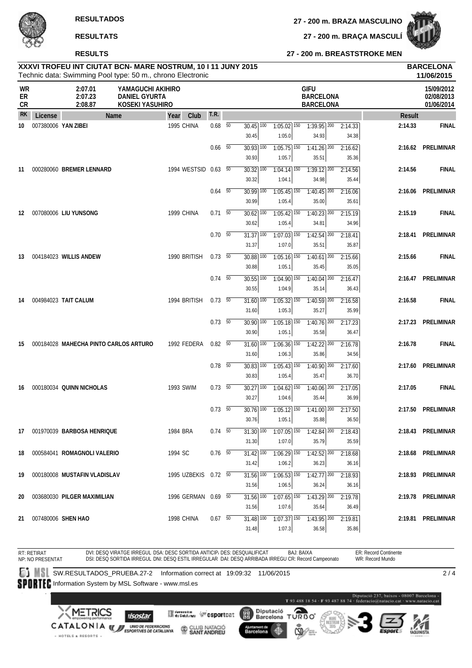**RESULTS**

**27 - 200 m. BRAZA MASCULINO**

### **27 - 200 m. BREASTSTROKE MEN 27 - 200 m. BRAÇA MASCULÍ**

# **XXXVI TROFEU INT CIUTAT BCN- MARE NOSTRUM, 10 I 11 JUNY 2015 BARCELONA**

|                       |         |                                       | Technic data: Swimming Pool type: 50 m., chrono Electronic   |                      |                          |                                     |                                                   |                                                     |                  |               | 11/06/2015                             |
|-----------------------|---------|---------------------------------------|--------------------------------------------------------------|----------------------|--------------------------|-------------------------------------|---------------------------------------------------|-----------------------------------------------------|------------------|---------------|----------------------------------------|
| <b>WR</b><br>ER<br>CR |         | 2:07.01<br>2:07.23<br>2:08.87         | YAMAGUCHI AKIHIRO<br><b>DANIEL GYURTA</b><br>KOSEKI YASUHIRO |                      |                          |                                     |                                                   | <b>GIFU</b><br><b>BARCELONA</b><br><b>BARCELONA</b> |                  |               | 15/09/2012<br>02/08/2013<br>01/06/2014 |
| <b>RK</b>             | License | Name                                  | Year                                                         | Club                 | T.R.                     |                                     |                                                   |                                                     |                  | <b>Result</b> |                                        |
| 10                    |         | 007380006 YAN ZIBEI                   |                                                              | 1995 CHINA           | $0.68$ 50                | $30.45$ $\overline{100}$<br>30.45   | $1:05.02$ 150<br>1:05.0                           | $1:39.95$ <sup>200</sup><br>34.93                   | 2:14.33<br>34.38 | 2:14.33       | <b>FINAL</b>                           |
|                       |         |                                       |                                                              |                      | $0.66$ 50                | $30.93$ $\overline{100}$<br>30.93   | $1:05.75$ <sup>150</sup><br>1:05.7                | $1:41.26$ <sup>200</sup><br>35.51                   | 2:16.62<br>35.36 |               | 2:16.62 PRELIMINAR                     |
| 11                    |         | 000280060 BREMER LENNARD              |                                                              | 1994 WESTSID 0.63 50 |                          | $30.32$ $\overline{100}$<br>30.32   | $1:04.14$ 150<br>1:04.1                           | $7:39.12$ 200<br>34.98                              | 2:14.56<br>35.44 | 2:14.56       | <b>FINAL</b>                           |
|                       |         |                                       |                                                              |                      | $0.64\quad\overline{50}$ | 30.99 100<br>30.99                  | $1:05.45$ <sup>150</sup><br>1:05.4                | $1:40.45$ <sup>200</sup><br>35.00                   | 2:16.06<br>35.61 |               | 2:16.06 PRELIMINAR                     |
| 12                    |         | 007080006 LIU YUNSONG                 |                                                              | 1999 CHINA           | $0.71\ 50$               | $30.62$ $\overline{100}$<br>30.62   | $1:05.42$ $\overline{150}$<br>1:05.4              | $1:40.23$ <sup>200</sup><br>34.81                   | 2:15.19<br>34.96 | 2:15.19       | <b>FINAL</b>                           |
|                       |         |                                       |                                                              |                      | $0.70\ 50$               | $31.37$ $\overline{100}$<br>31.37   | $1:07.03$ $\overline{150}$<br>1:07.0              | $1:42.54$ <sup>200</sup><br>35.51                   | 2:18.41<br>35.87 | 2:18.41       | PRELIMINAR                             |
| 13                    |         | 004184023 WILLIS ANDEW                |                                                              | 1990 BRITISH         | $0.73\quad 50$           | 30.88 100<br>30.88                  | $1:05.16$ <sup>150</sup><br>1:05.1                | $1:40.61$ <sup>200</sup><br>35.45                   | 2:15.66<br>35.05 | 2:15.66       | <b>FINAL</b>                           |
|                       |         |                                       |                                                              |                      | $0.74\quad 50$           | $30.55$ $\overline{100}$<br>30.55   | $1:04.90$ 150<br>1:04.9                           | $1:40.04$ <sup>200</sup><br>35.14                   | 2:16.47<br>36.43 |               | 2:16.47 PRELIMINAR                     |
| 14                    |         | 004984023 TAIT CALUM                  |                                                              | 1994 BRITISH         | $0.73$ 50                | $\overline{31.60}$ $\overline{100}$ | $1:05.32$ 150                                     | $1:40.59$ 200                                       | 2:16.58          | 2:16.58       | <b>FINAL</b>                           |
|                       |         |                                       |                                                              |                      | $0.73\quad\overline{50}$ | 31.60<br>$30.90$ $\overline{100}$   | 1:05.3<br>$1:05.18$ <sup>150</sup>                | 35.27<br>$1:40.76$ <sup>200</sup>                   | 35.99<br>2:17.23 | 2:17.23       | PRELIMINAR                             |
| 15                    |         | 000184028 MAHECHA PINTO CARLOS ARTURO |                                                              | 1992 FEDERA          | $0.82\quad 50$           | 30.90<br>$31.60$ $\overline{100}$   | 1:05.1<br>$1:06.36$ <sup>150</sup>                | 35.58<br>$1:42.22$ $200$<br>35.86                   | 36.47<br>2:16.78 | 2:16.78       | <b>FINAL</b>                           |
|                       |         |                                       |                                                              |                      | $0.78$ 50                | 31.60<br>$30.83$ $\overline{100}$   | 1:06.3<br>$1:05.43$ $\overline{150}$              | $1:40.90$ 200                                       | 34.56<br>2:17.60 | 2:17.60       | PRELIMINAR                             |
| 16                    |         | 000180034 QUINN NICHOLAS              |                                                              | 1993 SWIM            | $0.73\quad 50$           | 30.83<br>$30.27$ $\overline{100}$   | 1:05.4<br>$1:04.62$ <sup>150</sup>                | 35.47<br>$1:40.06$ <sup>200</sup>                   | 36.70<br>2:17.05 | 2:17.05       | <b>FINAL</b>                           |
|                       |         |                                       |                                                              |                      | $0.73\quad\overline{50}$ | 30.27<br>$30.76$ $\overline{100}$   | 1:04.6<br>$1:05.12$ $\overline{150}$              | 35.44<br>$1:41.00$ $200$                            | 36.99<br>2:17.50 |               | 2:17.50 PRELIMINAR                     |
| 17                    |         | 001970039 BARBOSA HENRIQUE            |                                                              | 1984 BRA             | $0.74\quad 50$           | 30.76                               | 1:05.1<br>$31.30 100$ $1:07.05 150$ $1:42.84 200$ | 35.88                                               | 36.50<br>2:18.43 |               | 2:18.43 PRELIMINAR                     |
| 18                    |         | 000584041 ROMAGNOLI VALERIO           |                                                              | 1994 SC              | $0.76$ 50                | 31.30<br>$31.42$ $\overline{100}$   | 1:07.0<br>$1:06.29$ 150                           | 35.79<br>$1:42.52$ <sup>200</sup>                   | 35.59<br>2:18.68 |               | 2:18.68 PRELIMINAR                     |
| 19                    |         | 000180008 MUSTAFIN VLADISLAV          |                                                              | 1995 UZBEKIS 0.72 50 |                          | 31.42<br>$31.56$ $\overline{100}$   | 1:06.2<br>$1:06.53$ <sup>150</sup>                | 36.23<br>$1:42.77$ <sup>200</sup>                   | 36.16<br>2:18.93 |               | 2:18.93 PRELIMINAR                     |
| 20                    |         | 003680030 PILGER MAXIMILIAN           |                                                              | 1996 GERMAN 0.69 50  |                          | 31.56<br>31.56 100                  | 1:06.5<br>$1:07.65$ <sup>150</sup>                | 36.24<br>$1:43.29$ 200                              | 36.16<br>2:19.78 |               | 2:19.78 PRELIMINAR                     |
| 21                    |         | 007480006 SHEN HAO                    |                                                              | 1998 CHINA           | $0.67$ 50                | 31.56<br>31.48 100                  | 1:07.6<br>$1:07.37$ 150                           | 35.64<br>$1:43.95$ 200                              | 36.49<br>2:19.81 |               | 2:19.81 PRELIMINAR                     |
|                       |         |                                       |                                                              |                      |                          | 31.48                               | 1:07.3                                            | 36.58                                               | 35.86            |               |                                        |

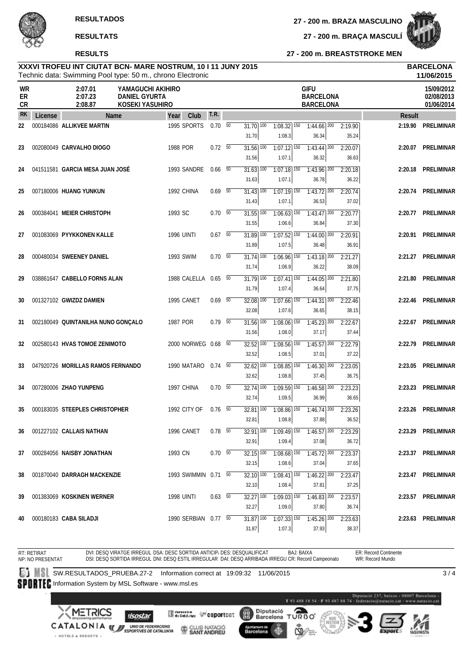**27 - 200 m. BRAZA MASCULINO**

**27 - 200 m. BRAÇA MASCULÍ**



**27 - 200 m. BREASTSTROKE MEN**

#### Technic data: Swimming Pool type: 50 m., chrono Electronic **XXXVI TROFEU INT CIUTAT BCN- MARE NOSTRUM, 10 I 11 JUNY 2015 BARCELONA**

|                |         | Technic data: Swimming Pool type: 50 m., chrono Electronic                                                                                           |      |                      | 11/06/2015     |  |                                   |                                      |                                                    |                  |               |                                        |
|----------------|---------|------------------------------------------------------------------------------------------------------------------------------------------------------|------|----------------------|----------------|--|-----------------------------------|--------------------------------------|----------------------------------------------------|------------------|---------------|----------------------------------------|
| WR<br>ER<br>CR |         | <b>GIFU</b><br>2:07.01<br>YAMAGUCHI AKIHIRO<br>2:07.23<br><b>DANIEL GYURTA</b><br><b>BARCELONA</b><br>2:08.87<br>KOSEKI YASUHIRO<br><b>BARCELONA</b> |      |                      |                |  |                                   |                                      |                                                    |                  |               | 15/09/2012<br>02/08/2013<br>01/06/2014 |
| <b>RK</b>      | License |                                                                                                                                                      | Name | Club<br>Year         | <b>T.R.</b>    |  |                                   |                                      |                                                    |                  | <b>Result</b> |                                        |
| 22             |         | 000184086 ALLIKVEE MARTIN                                                                                                                            |      | 1995 SPORTS          | $0.70\ 50$     |  | $31.70$ $\overline{100}$<br>31.70 | $1:08.32$ 150<br>1:08.3              | $1:44.66$ <sup>200</sup><br>36.34                  | 2:19.90<br>35.24 | 2:19.90       | PRELIMINAR                             |
| 23             |         | 002080049 CARVALHO DIOGO                                                                                                                             |      | 1988 POR             | $0.72\ 50$     |  | $31.56$ $\overline{100}$<br>31.56 | $1:07.12$ <sup>150</sup><br>1:07.1   | $1:43.44$ <sup>200</sup><br>36.32                  | 2:20.07<br>36.63 |               | 2:20.07 PRELIMINAR                     |
| 24             |         | 041511581 GARCIA MESA JUAN JOSÉ                                                                                                                      |      | 1993 SANDRE          | $0.66\quad 50$ |  | 31.63 100<br>31.63                | $1:07.18$ $\overline{150}$<br>1:07.1 | 1:43.96 200<br>36.78                               | 2:20.18<br>36.22 | 2:20.18       | PRELIMINAR                             |
| 25             |         | 007180006 HUANG YUNKUN                                                                                                                               |      | 1992 CHINA           | $0.69$ 50      |  | $31.43$ $\overline{100}$<br>31.43 | $1:07.19$ <sup>150</sup><br>1:07.1   | $1:43.72$ <sup>200</sup><br>36.53                  | 2:20.74<br>37.02 | 2:20.74       | PRELIMINAR                             |
| 26             |         | 000384041 MEIER CHRISTOPH                                                                                                                            |      | 1993 SC              | 0.70 50        |  | $31.55$ $\overline{100}$<br>31.55 | $1:06.63$ <sup>150</sup><br>1:06.6   | $1:43.47$ <sup>200</sup><br>36.84                  | 2:20.77<br>37.30 | 2:20.77       | PRELIMINAR                             |
| 27             |         | 001083069 PYYKKONEN KALLE                                                                                                                            |      | <b>1996 UINTI</b>    | $0.67$ 50      |  | 31.89 100<br>31.89                | $1:07.52$ $\overline{150}$<br>1:07.5 | $1:44.00$ $200$<br>36.48                           | 2:20.91<br>36.91 | 2:20.91       | PRELIMINAR                             |
| 28             |         | 000480034 SWEENEY DANIEL                                                                                                                             |      | <b>1993 SWIM</b>     | $0.70\ 50$     |  | 31.74 100<br>31.74                | $1:06.96$ <sup>150</sup><br>1:06.9   | $1:43.18$ <sup>200</sup><br>36.22                  | 2:21.27<br>38.09 | 2:21.27       | PRELIMINAR                             |
| 29             |         | 038861647 CABELLO FORNS ALAN                                                                                                                         |      | 1988 CALELLA         | $0.65$ 50      |  | $31.79$ 100<br>31.79              | $1:07.41$ 150<br>1:07.4              | $1:44.05$ <sup>200</sup><br>36.64                  | 2:21.80<br>37.75 | 2:21.80       | PRELIMINAR                             |
| 30             |         | 001327102 GWIZDZ DAMIEN                                                                                                                              |      | 1995 CANET           | $0.69$ 50      |  | 32.08 100<br>32.08                | $1:07.66$ <sup>150</sup><br>1:07.6   | $1:44.31$ 200<br>36.65                             | 2:22.46<br>38.15 | 2:22.46       | PRELIMINAR                             |
| 31             |         | 002180049 QUINTANILHA NUNO GONÇALO                                                                                                                   |      | 1987 POR             | $0.79$ 50      |  | $31.56$ $\overline{100}$<br>31.56 | $1:08.06$ $\overline{150}$<br>1:08.0 | $1:45.23$ 200<br>37.17                             | 2:22.67<br>37.44 | 2:22.67       | PRELIMINAR                             |
| 32             |         | 002580143 HVAS TOMOE ZENIMOTO                                                                                                                        |      | 2000 NORWEG 0.68 50  |                |  | $32.52$ $\overline{100}$<br>32.52 | $1:08.56$ <sup>150</sup><br>1:08.5   | $1:45.57$ <sup>200</sup><br>37.01                  | 2:22.79<br>37.22 | 2:22.79       | PRELIMINAR                             |
| 33             |         | 047920726 MORILLAS RAMOS FERNANDO                                                                                                                    |      | 1990 MATARO          | $0.74$ 50      |  | $32.62$ $\overline{100}$<br>32.62 | $1:08.85$ 150<br>1:08.8              | $1:46.30$ <sup>200</sup><br>37.45                  | 2:23.05<br>36.75 | 2:23.05       | PRELIMINAR                             |
| 34             |         | 007280006 ZHAO YUNPENG                                                                                                                               |      | 1997 CHINA           | $0.70\quad 50$ |  | $32.74$ $\overline{100}$<br>32.74 | $1:09.59$ 150<br>1:09.5              | $1:46.58$ <sup>200</sup><br>36.99                  | 2:23.23<br>36.65 | 2:23.23       | PRELIMINAR                             |
| 35             |         | 000183035 STEEPLES CHRISTOPHER                                                                                                                       |      | 1992 CITY OF         | $0.76$ 50      |  | $32.81$ 100<br>32.81              | $1:08.86$ <sup>150</sup><br>1:08.8   | $1:46.74$ <sup>200</sup><br>37.88                  | 2:23.26<br>36.52 | 2:23.26       | PRELIMINAR                             |
| 36             |         | 001227102 CALLAIS NATHAN                                                                                                                             |      | 1996 CANET           | $0.78$ 50      |  | 32.91                             | 1:09.4                               | 32.91 100 1:09.49 150 1:46.57 200 2:23.29<br>37.08 | 36.72            |               | 2:23.29 PRELIMINAR                     |
| 37             |         | 000284056 NAISBY JONATHAN                                                                                                                            |      | 1993 CN              | 0.70 50        |  | $32.15$ $\overline{100}$<br>32.15 | $1:08.68$ <sup>150</sup><br>1:08.6   | $1:45.72$ <sup>200</sup><br>37.04                  | 2:23.37<br>37.65 |               | 2:23.37 PRELIMINAR                     |
| 38             |         | 001870040 DARRAGH MACKENZIE                                                                                                                          |      | 1993 SWIMMIN 0.71 50 |                |  | $32.10$ $\overline{100}$<br>32.10 | $1:08.41$ 150<br>1:08.4              | $1:46.22$ 200<br>37.81                             | 2:23.47<br>37.25 |               | 2:23.47 PRELIMINAR                     |
| 39             |         | 001383069 KOSKINEN WERNER                                                                                                                            |      | <b>1998 UINTI</b>    | $0.63$ 50      |  | 32.27 100<br>32.27                | $1:09.03$ 150<br>1:09.0              | $1:46.83$ 200<br>37.80                             | 2:23.57<br>36.74 |               | 2:23.57 PRELIMINAR                     |
| 40             |         | 000180183 CABA SILADJI                                                                                                                               |      | 1990 SERBIAN 0.77 50 |                |  | $31.87$ 100<br>31.87              | $1:07.33$ $\overline{150}$<br>1:07.3 | $1:45.26$ 200<br>37.93                             | 2:23.63<br>38.37 |               | 2:23.63 PRELIMINAR                     |

RT: RETIRAT NP: NO PRESENTAT DVI: DESQ VIRATGE IRREGUL DSA: DESC SORTIDA ANTICIP/ DES: DESQUALIFICAT DSI: DESQ SORTIDA IRREGUL DNI: DESQ ESTIL IRREGULAR DAI: DESQ ARRIBADA IRREGU CR: Record Campeonato BAJ: BAIXA ER: Record Continente WR: Record Mundo SW.RESULTADOS\_PRUEBA.27-2 Information correct at 19:09:32 11/06/2015 SPORTEC Information System by MSL Software - www.msl.es  $\overline{3/4}$ 

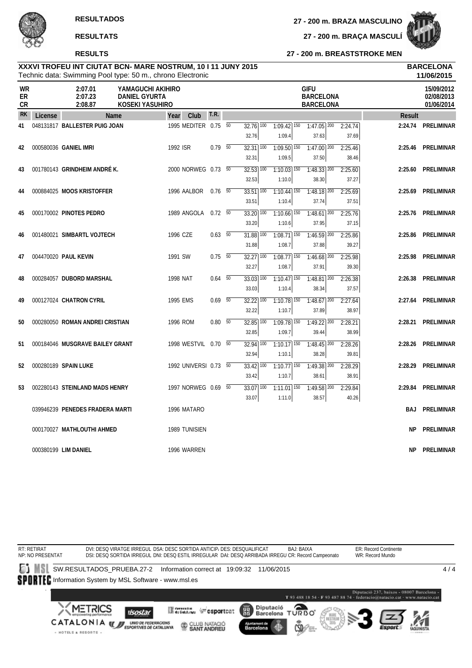**27 - 200 m. BRAZA MASCULINO**

**27 - 200 m. BRAÇA MASCULÍ**

**27 - 200 m. BREASTSTROKE MEN**

|                |         |                                 | Technic data: Swimming Pool type: 50 m., chrono Electronic   |                |    |                                   |                                    |                                                     |                  |               | 11/06/2015                             |
|----------------|---------|---------------------------------|--------------------------------------------------------------|----------------|----|-----------------------------------|------------------------------------|-----------------------------------------------------|------------------|---------------|----------------------------------------|
| WR<br>ER<br>CR |         | 2:07.01<br>2:07.23<br>2:08.87   | YAMAGUCHI AKIHIRO<br><b>DANIEL GYURTA</b><br>KOSEKI YASUHIRO |                |    |                                   |                                    | <b>GIFU</b><br><b>BARCELONA</b><br><b>BARCELONA</b> |                  |               | 15/09/2012<br>02/08/2013<br>01/06/2014 |
| <b>RK</b>      | License | Name                            | Club<br>Year                                                 | T.R.           |    |                                   |                                    |                                                     |                  | <b>Result</b> |                                        |
| 41             |         | 048131817 BALLESTER PUIG JOAN   | 1995 MEDITER 0.75                                            |                | 50 | $32.76$ 100<br>32.76              | $1:09.42$ 150<br>1:09.4            | $1:47.05$ 200<br>37.63                              | 2:24.74<br>37.69 | 2:24.74       | PRELIMINAR                             |
| 42             |         | 000580036 GANIEL IMRI           | 1992 ISR                                                     | $0.79$ 50      |    | $32.31$ $\overline{100}$<br>32.31 | $1:09.50$ <sup>150</sup><br>1:09.5 | $1:47.00$ <sup>200</sup><br>37.50                   | 2:25.46<br>38.46 | 2:25.46       | <b>PRELIMINAR</b>                      |
| 43             |         | 001780143 GRINDHEIM ANDRÉK.     | 2000 NORWEG 0.73 50                                          |                |    | $32.53$ $\overline{100}$<br>32.53 | $1:10.03$ 150<br>1:10.0            | $1:48.33$ 200<br>38.30                              | 2:25.60<br>37.27 | 2:25.60       | PRELIMINAR                             |
| 44             |         | 000884025 MOOS KRISTOFFER       | 1996 AALBOR                                                  | $0.76\quad 50$ |    | $33.51$ 100<br>33.51              | $1:10.44$ <sup>150</sup><br>1:10.4 | $1:48.18$ <sup>200</sup><br>37.74                   | 2:25.69<br>37.51 | 2:25.69       | PRELIMINAR                             |
| 45             |         | 000170002 PINOTES PEDRO         | 1989 ANGOLA                                                  | $0.72\ 50$     |    | $33.20$ $\overline{100}$<br>33.20 | $1:10.66$ <sup>150</sup><br>1:10.6 | $1:48.61$ 200<br>37.95                              | 2:25.76<br>37.15 |               | 2:25.76 PRELIMINAR                     |
| 46             |         | 001480021 SIMBARTL VOJTECH      | 1996 CZE                                                     | $0.63$ 50      |    | 31.88 100<br>31.88                | $1:08.71$ 150<br>1:08.7            | $1:46.59$ 200<br>37.88                              | 2:25.86<br>39.27 | 2:25.86       | PRELIMINAR                             |
| 47             |         | 004470020 PAUL KEVIN            | 1991 SW                                                      | $0.75\ 50$     |    | $32.27$ $\overline{100}$<br>32.27 | $1:08.77$ 150<br>1:08.7            | $1:46.68$ <sup>200</sup><br>37.91                   | 2:25.98<br>39.30 | 2:25.98       | PRELIMINAR                             |
| 48             |         | 000284057 DUBORD MARSHAL        | <b>1998 NAT</b>                                              | 0.64           | 50 | 33.03 100<br>33.03                | $1:10.47$ 150<br>1:10.4            | $1:48.81$ $200$<br>38.34                            | 2:26.38<br>37.57 | 2:26.38       | PRELIMINAR                             |
| 49             |         | 000127024 CHATRON CYRIL         | 1995 EMS                                                     | $0.69$ 50      |    | 32.22 100<br>32.22                | $1:10.78$ 150<br>1:10.7            | $1:48.67$ 200<br>37.89                              | 2:27.64<br>38.97 | 2:27.64       | PRELIMINAR                             |
| 50             |         | 000280050 ROMAN ANDREI CRISTIAN | 1996 ROM                                                     | $0.80\quad 50$ |    | $32.85$ $\overline{100}$<br>32.85 | $1:09.78$ 150<br>1:09.7            | $1:49.22$ <sup>200</sup><br>39.44                   | 2:28.21<br>38.99 |               | 2:28.21 PRELIMINAR                     |
| 51             |         | 000184046 MUSGRAVE BAILEY GRANT | 1998 WESTVIL 0.70 50                                         |                |    | $32.94$ $\overline{100}$<br>32.94 | $1:10.17$ 150<br>1:10.1            | $1:48.45$ <sup>200</sup><br>38.28                   | 2:28.26<br>39.81 | 2:28.26       | PRELIMINAR                             |
| 52             |         | 000280189 SPAIN LUKE            | 1992 UNIVERSI 0.73 50                                        |                |    | 33.42 100<br>33.42                | $1:10.77$ 150<br>1:10.7            | 1:49.38 200<br>38.61                                | 2:28.29<br>38.91 | 2:28.29       | PRELIMINAR                             |
| 53             |         | 002280143 STEINLAND MADS HENRY  | 1997 NORWEG 0.69 50                                          |                |    | $33.07$ $\overline{100}$<br>33.07 | $1:11.01$ 150<br>1:11.0            | $1:49.58$ <sup>200</sup><br>38.57                   | 2:29.84<br>40.26 | 2:29.84       | PRELIMINAR                             |
|                |         | 039946239 PENEDES FRADERA MARTI | 1996 MATARO                                                  |                |    |                                   |                                    |                                                     |                  | <b>BAJ</b>    | PRELIMINAR                             |
|                |         | 000170027 MATHLOUTHI AHMED      | 1989 TUNISIEN                                                |                |    |                                   |                                    |                                                     |                  | NΡ            | PRELIMINAR                             |
|                |         | 000380199 LIM DANIEL            | 1996 WARREN                                                  |                |    |                                   |                                    |                                                     |                  | ΝP            | PRELIMINAR                             |

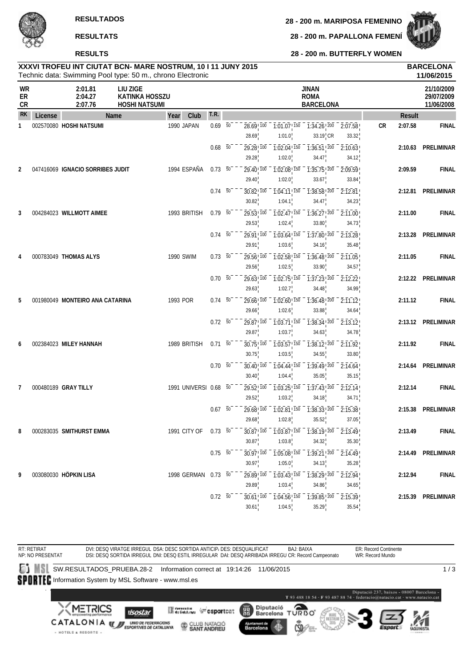**RESULTADOS**

**28 - 200 m. MARIPOSA FEMENINO**

**RESULTATS**

#### **RESULTS**

**28 - 200 m. PAPALLONA FEMENÍ**

**28 - 200 m. BUTTERFLY WOMEN**



**XXXVI TROFEU INT CIUTAT BCN- MARE NOSTRUM, 10 I 11 JUNY 2015 BARCELONA**

|                       |         |                                  | Technic data: Swimming Pool type: 50 m., chrono Electronic |            |                                    |                     |                                                                                                   |                                                   |                             |                                                |                                            |           |               | 11/06/2015                             |
|-----------------------|---------|----------------------------------|------------------------------------------------------------|------------|------------------------------------|---------------------|---------------------------------------------------------------------------------------------------|---------------------------------------------------|-----------------------------|------------------------------------------------|--------------------------------------------|-----------|---------------|----------------------------------------|
| <b>WR</b><br>ER<br>CR |         | 2:01.81<br>2:04.27<br>2:07.76    | LIU ZIGE<br><b>KATINKA HOSSZU</b><br><b>HOSHI NATSUMI</b>  |            |                                    |                     |                                                                                                   |                                                   | <b>JINAN</b><br><b>ROMA</b> | <b>BARCELONA</b>                               |                                            |           |               | 21/10/2009<br>29/07/2009<br>11/06/2008 |
| <b>RK</b>             | License |                                  | Name                                                       | Year       | Club                               | T.R.                |                                                                                                   |                                                   |                             |                                                |                                            |           | <b>Result</b> |                                        |
| 1                     |         | 002570080 HOSHI NATSUMI          |                                                            | 1990 JAPAN |                                    | $0.69\overline{50}$ | 28.69 100<br>28.69                                                                                | $-7:01.07$ ! $150$<br>1:01.0                      |                             | $33.19$ <sub>, CR</sub>                        | $-7:34.26$ $\sqrt{200} - 2:07.58$<br>33.32 | <b>CR</b> | 2:07.58       | <b>FINAL</b>                           |
|                       |         |                                  |                                                            |            |                                    | $0.68$ 50           | 29.28 100<br>29.28                                                                                | $1:02.04$ ! $150$<br>1:02.0                       |                             | $1:36.51$ <sup>200</sup><br>34.47              | 2:10.63<br>34.12                           |           | 2:10.63       | PRELIMINAR                             |
| 2                     |         | 047416069 IGNACIO SORRIBES JUDIT |                                                            |            | 1994 ESPAÑA                        | $0.73$ 50           | 29.40 100<br>29.40                                                                                | $1:02.08$ ! 150<br>1:02.0                         |                             | $\overline{1:35.75}$ 200<br>33.67              | 2:09.59<br>33.84                           |           | 2:09.59       | <b>FINAL</b>                           |
|                       |         |                                  |                                                            |            |                                    | $0.74\quad 50$      | 30.82!100<br>30.82                                                                                | $1:04.11$ ! 150<br>1:04.1                         |                             | 1:38.58!200<br>34.47                           | 2:12.81<br>34.23                           |           |               | 2:12.81 PRELIMINAR                     |
| 3                     |         | 004284023 WILLMOTT AIMEE         |                                                            |            | 1993 BRITISH                       | $0.79\ 50$          | $29.53$ <sup>100</sup><br>29.53                                                                   | $1:02.47$ <sup>150</sup><br>1:02.4                |                             | $1:36.27$ ! 200<br>33.80                       | 2:11.00<br>34.73                           |           | 2:11.00       | <b>FINAL</b>                           |
|                       |         |                                  |                                                            |            |                                    | $0.74\ 50$          | 29.91 100<br>29.91                                                                                | $\overline{1:03.64}$ $\overline{150}$<br>1:03.6   |                             | $\overline{1:37.80}$ $\overline{200}$<br>34.16 | 2:13.28<br>35.48                           |           | 2:13.28       | PRELIMINAR                             |
| 4                     |         | 000783049 THOMAS ALYS            |                                                            | 1990 SWIM  |                                    | 0.73 50             | 29.56 100<br>29.56                                                                                | $1:02.58$ , $150$<br>1:02.5                       |                             | $1:36.48$ <sup>200</sup><br>33.90              | 2:11.05<br>34.57                           |           | 2:11.05       | <b>FINAL</b>                           |
|                       |         |                                  |                                                            |            |                                    | $0.70\ 50$          | $29.63$ ! $100$                                                                                   | $1:02.75$ ! $150$                                 |                             | $\overline{1:37.23}$ $\overline{200}$          | $\overline{2:}12.22$                       |           |               | 2:12.22 PRELIMINAR                     |
| 5                     |         | 001980049 MONTEIRO ANA CATARINA  |                                                            | 1993 POR   |                                    | $0.74 - 50$         | 29.63<br>29.66 100                                                                                | 1:02.7<br>$1:02.60$ ! 150                         |                             | 34.48<br>1:36.48 200                           | 34.99<br>2:11.12                           |           | 2:11.12       | <b>FINAL</b>                           |
|                       |         |                                  |                                                            |            |                                    | $0.72\ 50$          | 29.66<br>29.87 100                                                                                | 1:02.6<br>$1:03.71$ , 150                         |                             | 33.88<br>1:38.34 200                           | 34.64<br>2:13.12                           |           |               | 2:13.12 PRELIMINAR                     |
| 6                     |         | 002384023 MILEY HANNAH           |                                                            |            | 1989 BRITISH                       | $0.71 - 50$         | 29.87<br>$30.75$ ! $100$                                                                          | 1:03.7<br>$1:03.57$ ! $150$                       |                             | 34.63<br>$\overline{1:38.12!}$ 200             | 34.78<br>2:11.92                           |           | 2:11.92       | <b>FINAL</b>                           |
|                       |         |                                  |                                                            |            |                                    | $0.70\ 50$          | 30.75<br>$30.40$ ! $100$                                                                          | 1:03.5<br>$1:04.44$ ! $150$                       |                             | 34.55<br>1:39.49 200                           | 33.80<br>2:14.64                           |           | 2:14.64       | PRELIMINAR                             |
| 7                     |         | 000480189 GRAY TILLY             |                                                            |            | 1991 UNIVERSI 0.68 50              |                     | 30.40<br>29.52! 100                                                                               | 1:04.4<br>$\overline{1:03.25}$ , $\overline{150}$ |                             | 35.05<br>1:37.43 200                           | 35.15<br>2:12.14                           |           | 2:12.14       | <b>FINAL</b>                           |
|                       |         |                                  |                                                            |            |                                    | $0.67\ 50$          | 29.52<br>$29.68$ ! $100$                                                                          | 1:03.2<br>$1:02.81$ ! $150$                       |                             | 34.18<br>$\overline{1:38.33}$ $\overline{200}$ | 34.71<br>$\sqrt{2.15.38}$                  |           | 2:15.38       | PRELIMINAR                             |
| 8                     |         | 000283035 SMITHURST EMMA         |                                                            |            | 1991 CITY OF 0.73 50 <sup>--</sup> |                     | 29.68<br>$30.87^{+100}_{1}$ 1:03.87 $^{+150}_{1}$ 1:38.19 $^{+200}_{1}$ 2:13.49 $^{+1}_{1}$       | 1:02.8                                            |                             | 35.52                                          | 37.05                                      |           | 2:13.49       | <b>FINAL</b>                           |
|                       |         |                                  |                                                            |            |                                    | $0.75\ 50$          | 30.87<br>$30.97$ <sup>100</sup> $- 1.05.08$ <sup>150</sup> $- 1.39.21$ <sup>200</sup> $- 2.14.49$ | 1:03.8                                            |                             | 34.32                                          | 35.30                                      |           |               | 2:14.49 PRELIMINAR                     |
| 9                     |         | 003080030 HÖPKIN LISA            |                                                            |            | 1998 GERMAN 0.73 50                |                     | 30.97 <sup>1</sup><br>$29.89$ <sub>, <math>100</math></sub>                                       | 1:05.0<br>$-7.03.43$ , $150$                      |                             | 34.13                                          | 35.28<br>$1:38.29$ $200$ $2:12.94$         |           | 2:12.94       | <b>FINAL</b>                           |
|                       |         |                                  |                                                            |            |                                    |                     | 29.89                                                                                             | 1:03.4                                            |                             | 34.86                                          | 34.65                                      |           |               |                                        |
|                       |         |                                  |                                                            |            |                                    | $0.72\ 50$          | $30.61$ ! $100$<br>30.61                                                                          | $1:04.56$ <sup>150</sup><br>1:04.5                |                             | $1:39.85$ <sup>200</sup><br>35.29              | 2:15.39<br>35.54                           |           |               | 2:15.39 PRELIMINAR                     |

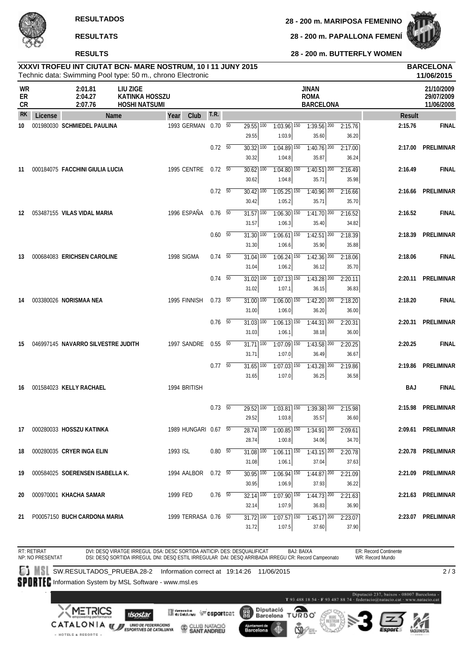**28 - 200 m. MARIPOSA FEMENINO**

**RESULTATS**

#### **RESULTS**

**28 - 200 m. PAPALLONA FEMENÍ**



**28 - 200 m. BUTTERFLY WOMEN**

# **XXXVI TROFEU INT CIUTAT BCN- MARE NOSTRUM, 10 I 11 JUNY 2015 BARCELONA**

|                              |         |                                    | Technic data: Swimming Pool type: 50 m., chrono Electronic |                      |                |                                              |                                      |                                                                                                           |                  |               | 11/06/2015                             |
|------------------------------|---------|------------------------------------|------------------------------------------------------------|----------------------|----------------|----------------------------------------------|--------------------------------------|-----------------------------------------------------------------------------------------------------------|------------------|---------------|----------------------------------------|
| <b>WR</b><br>ER<br><b>CR</b> |         | 2:01.81<br>2:04.27<br>2:07.76      | LIU ZIGE<br><b>KATINKA HOSSZU</b><br><b>HOSHI NATSUMI</b>  |                      |                |                                              |                                      | <b>JINAN</b><br><b>ROMA</b><br><b>BARCELONA</b>                                                           |                  |               | 21/10/2009<br>29/07/2009<br>11/06/2008 |
| <b>RK</b>                    | License |                                    | Name                                                       | Club<br>Year         | T.R.           |                                              |                                      |                                                                                                           |                  | <b>Result</b> |                                        |
| 10                           |         | 001980030 SCHMIEDEL PAULINA        |                                                            | 1993 GERMAN 0.70 50  |                | $29.55$ $\overline{100}$<br>29.55            | $1:03.96$ 150<br>1:03.9              | $1:39.56$ <sup>200</sup><br>35.60                                                                         | 2:15.76<br>36.20 | 2:15.76       | <b>FINAL</b>                           |
|                              |         |                                    |                                                            |                      | $0.72\ 50$     | $30.32$ $\overline{100}$<br>30.32            | $1:04.89$ 150<br>1:04.8              | $1:40.76$ <sup>200</sup><br>35.87                                                                         | 2:17.00<br>36.24 |               | 2:17.00 PRELIMINAR                     |
| 11                           |         | 000184075 FACCHINI GIULIA LUCIA    |                                                            | 1995 CENTRE          | 0.72 50        | $30.62$ $\overline{100}$<br>30.62            | $1:04.80$ 150<br>1:04.8              | $1:40.51$ 200<br>35.71                                                                                    | 2:16.49<br>35.98 | 2:16.49       | <b>FINAL</b>                           |
|                              |         |                                    |                                                            |                      | $0.72\ 50$     | $30.42$ 100<br>30.42                         | $1:05.25$ <sup>150</sup><br>1:05.2   | $1:40.96$ <sup>200</sup><br>35.71                                                                         | 2:16.66<br>35.70 |               | 2:16.66 PRELIMINAR                     |
| 12                           |         | 053487155 VILAS VIDAL MARIA        |                                                            | 1996 ESPAÑA          | $0.76$ 50      | $31.57$ $\overline{100}$<br>31.57            | $1:06.30$ $\overline{150}$<br>1:06.3 | $1:41.70$ <sup>200</sup><br>35.40                                                                         | 2:16.52<br>34.82 | 2:16.52       | <b>FINAL</b>                           |
|                              |         |                                    |                                                            |                      | $0.60\quad 50$ | $31.30\overline{)100}$<br>31.30              | $1:06.61$ <sup>150</sup><br>1:06.6   | $1:42.51$ $200$<br>35.90                                                                                  | 2:18.39<br>35.88 | 2:18.39       | PRELIMINAR                             |
| 13                           |         | 000684083 ERICHSEN CAROLINE        |                                                            | 1998 SIGMA           | $0.74\quad 50$ | $31.04$ 100<br>31.04                         | $1:06.24$ 150<br>1:06.2              | $1:42.36$ <sup>200</sup><br>36.12                                                                         | 2:18.06<br>35.70 | 2:18.06       | <b>FINAL</b>                           |
|                              |         |                                    |                                                            |                      | $0.74\quad 50$ | $31.02$ $\overline{100}$<br>31.02            | $1:07.13$ $150$<br>1:07.1            | $1:43.28$ <sup>200</sup><br>36.15                                                                         | 2:20.11<br>36.83 |               | 2:20.11 PRELIMINAR                     |
| 14                           |         | 003380026 NORISMAA NEA             |                                                            | 1995 FINNISH         | $0.73$ 50      | 31.00 100<br>31.00                           | $1:06.00$ 150<br>1:06.0              | $1:42.20$ 200<br>36.20                                                                                    | 2:18.20<br>36.00 | 2:18.20       | <b>FINAL</b>                           |
|                              |         |                                    |                                                            |                      | $0.76$ 50      | $31.03$ $\overline{100}$<br>31.03            | $1:06.13$ <sup>150</sup><br>1:06.1   | $1:44.31$ $200$<br>38.18                                                                                  | 2:20.31<br>36.00 |               | 2:20.31 PRELIMINAR                     |
| 15                           |         | 046997145 NAVARRO SILVESTRE JUDITH |                                                            | 1997 SANDRE          | 0.55550        | $31.71$ $\overline{100}$<br>31.71            | $1:07.09$ 150<br>1:07.0              | $1:43.58$ <sup>200</sup><br>36.49                                                                         | 2:20.25<br>36.67 | 2:20.25       | <b>FINAL</b>                           |
|                              |         |                                    |                                                            |                      | $0.77\quad 50$ | $31.65$ $\overline{100}$<br>31.65            | $1:07.03$ 150<br>1:07.0              | $1:43.28$ 200<br>36.25                                                                                    | 2:19.86<br>36.58 | 2:19.86       | PRELIMINAR                             |
| 16                           |         | 001584023 KELLY RACHAEL            |                                                            | 1994 BRITISH         |                |                                              |                                      |                                                                                                           |                  | BAJ           | <b>FINAL</b>                           |
|                              |         |                                    |                                                            |                      | $0.73 - 50$    | $\overline{29.52}$ $\overline{100}$<br>29.52 | $1:03.81$ $150$<br>1:03.8            | $7:39.38$ <sup>200</sup><br>35.57                                                                         | 2:15.98<br>36.60 | 2:15.98       | PRELIMINAR                             |
| 17                           |         | 000280033 HOSSZU KATINKA           |                                                            | 1989 HUNGARI 0.67 50 |                | $\overline{28.74}$ $\overline{100}$<br>28.74 | 1:00.8                               | $\overline{1:00.85}$ $\overline{150}$ $\overline{1:34.91}$ $\overline{200}$ $\overline{2:09.61}$<br>34.06 | 34.70            |               | 2:09.61 PRELIMINAR                     |
| 18                           |         | 000280035 CRYER INGA ELIN          |                                                            | 1993 ISL             | $0.80\, 50$    | $31.08$ $\overline{100}$<br>31.08            | $1:06.11$ 150<br>1:06.1              | $1:43.15$ 200<br>37.04                                                                                    | 2:20.78<br>37.63 |               | 2:20.78 PRELIMINAR                     |
| 19                           |         | 000584025 SOERENSEN ISABELLA K.    |                                                            | 1994 AALBOR          | $0.72\t 50$    | $30.95$ $\overline{100}$<br>30.95            | $1:06.94$ 150<br>1:06.9              | $1:44.87$ 200<br>37.93                                                                                    | 2:21.09<br>36.22 |               | 2:21.09 PRELIMINAR                     |
| 20                           |         | 000970001 KHACHA SAMAR             |                                                            | 1999 FED             | $0.76$ 50      | $32.14$ $\overline{100}$<br>32.14            | $1:07.90$ 150<br>1:07.9              | $1:44.73$ <sup>200</sup><br>36.83                                                                         | 2:21.63<br>36.90 |               | 2:21.63 PRELIMINAR                     |
| 21                           |         | P00057150 BUCH CARDONA MARIA       |                                                            | 1999 TERRASA 0.76 50 |                | $31.72$ $\overline{100}$<br>31.72            | $1:07.57$ 150<br>1:07.5              | $1:45.17$ <sup>200</sup><br>37.60                                                                         | 2:23.07<br>37.90 |               | 2:23.07 PRELIMINAR                     |
|                              |         |                                    |                                                            |                      |                |                                              |                                      |                                                                                                           |                  |               |                                        |

RT: RETIRAT NP: NO PRESENTAT DVI: DESQ VIRATGE IRREGUL DSA: DESC SORTIDA ANTICIP, DES: DESQUALIFICAT DSI: DESQ SORTIDA IRREGUL DNI: DESQ ESTIL IRREGULAR DAI: DESQ ARRIBADA IRREGU CR: Record Campeonato BAJ: BAIXA ER: Record Continente WR: Record Mundo SW.RESULTADOS\_PRUEBA.28-2 Information correct at 19:14:26 11/06/2015 SPORTEC Information System by MSL Software - www.msl.es

**Mercantel George Contract** 

CLUB NATACIÓ

2 / 3

METRICS **ISostar** CATALONIA WE ENGINEERING ON

+ HOTELS & RESORTS +

願 Ajuntament de<br>Barcelona Æ

Diputació<br>Barcelona TURBO cso.



T 93 488 18 54 - F 93 487 88 74 - federacio@natacio.cnt

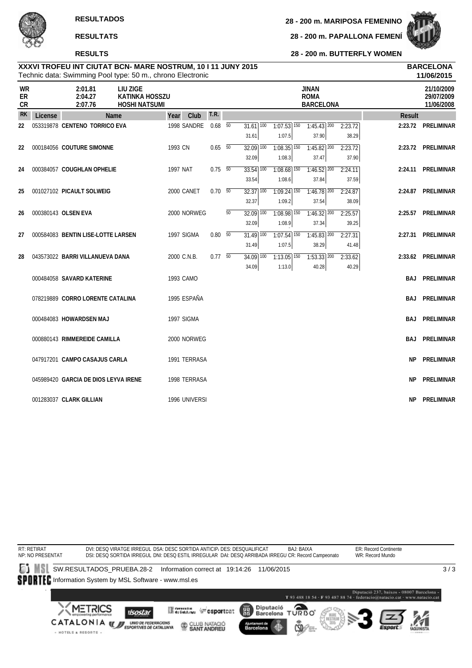**RESULTS**

**28 - 200 m. PAPALLONA FEMENÍ**



**28 - 200 m. BUTTERFLY WOMEN**

|                       |         | Technic data: Swimming Pool type: 50 m., chrono Electronic |                                                           |          |               |                |                 |                                   |                                              |                                                 |                           |            | 11/06/2015                             |
|-----------------------|---------|------------------------------------------------------------|-----------------------------------------------------------|----------|---------------|----------------|-----------------|-----------------------------------|----------------------------------------------|-------------------------------------------------|---------------------------|------------|----------------------------------------|
| <b>WR</b><br>ER<br>CR |         | 2:01.81<br>2:04.27<br>2:07.76                              | LIU ZIGE<br><b>KATINKA HOSSZU</b><br><b>HOSHI NATSUMI</b> |          |               |                |                 |                                   |                                              | <b>JINAN</b><br><b>ROMA</b><br><b>BARCELONA</b> |                           |            | 21/10/2009<br>29/07/2009<br>11/06/2008 |
| <b>RK</b>             | License | Name                                                       |                                                           | Year     | Club          | T.R.           |                 |                                   |                                              |                                                 |                           | Result     |                                        |
| 22                    |         | 053319878 CENTENO TORRICO EVA                              |                                                           |          | 1998 SANDRE   | 0.68           | 50              | $31.61$ $\overline{100}$<br>31.61 | $1:07.53$ 150<br>1:07.5                      | $1:45.43$ <sup>200</sup><br>37.90               | 2:23.72<br>38.29          |            | 2:23.72 PRELIMINAR                     |
| 22                    |         | 000184056 COUTURE SIMONNE                                  |                                                           | 1993 CN  |               | $0.65\quad 50$ |                 | $32.09$ $\overline{100}$<br>32.09 | $1:08.35$ <sup>150</sup><br>1:08.3           | $1:45.82$ <sup>200</sup><br>37.47               | 2:23.72<br>37.90          |            | 2:23.72 PRELIMINAR                     |
| 24                    |         | 000384057 COUGHLAN OPHELIE                                 |                                                           | 1997 NAT |               | $0.75 - 50$    |                 | $33.54$ $\overline{100}$<br>33.54 | $1:08.68$ 150<br>1:08.6                      | $1:46.52$ <sup>200</sup><br>37.84               | 2:24.11<br>37.59          | 2:24.11    | PRELIMINAR                             |
| 25                    |         | 001027102 PICAULT SOLWEIG                                  |                                                           |          | 2000 CANET    | $0.70\ 50$     |                 | $32.37$ 100<br>32.37              | $1:09.24$ <sup>150</sup><br>1:09.2           | $1:46.78$ <sup>200</sup><br>37.54               | 2:24.87<br>38.09          |            | 2:24.87 PRELIMINAR                     |
| 26                    |         | 000380143 OLSEN EVA                                        |                                                           |          | 2000 NORWEG   |                | $\overline{50}$ | $32.09$ $\overline{100}$<br>32.09 | $1:08.98$ 150<br>1:08.9                      | $1:46.32$ <sup>200</sup><br>37.34               | 2:25.57<br>39.25          | 2:25.57    | PRELIMINAR                             |
| 27                    |         | 000584083 BENTIN LISE-LOTTE LARSEN                         |                                                           |          | 1997 SIGMA    | $0.80\quad 50$ |                 | $31.49$ $\overline{100}$          | $1:07.54$ <sup>150</sup>                     | $1:45.83$ <sup>200</sup>                        | 2:27.31                   |            | 2:27.31 PRELIMINAR                     |
| 28                    |         | 043573022 BARRI VILLANUEVA DANA                            |                                                           |          | 2000 C.N.B.   | $0.77\quad 50$ |                 | 31.49<br>$34.09$ $100$<br>34.09   | 1:07.5<br>$1:13.05$ <sup>150</sup><br>1:13.0 | 38.29<br>$1:53.33$ <sup>200</sup><br>40.28      | 41.48<br>2:33.62<br>40.29 |            | 2:33.62 PRELIMINAR                     |
|                       |         | 000484058 SAVARD KATERINE                                  |                                                           |          | 1993 CAMO     |                |                 |                                   |                                              |                                                 |                           |            | <b>BAJ PRELIMINAR</b>                  |
|                       |         | 078219889 CORRO LORENTE CATALINA                           |                                                           |          | 1995 ESPAÑA   |                |                 |                                   |                                              |                                                 |                           | BAJ        | PRELIMINAR                             |
|                       |         | 000484083 HOWARDSEN MAJ                                    |                                                           |          | 1997 SIGMA    |                |                 |                                   |                                              |                                                 |                           | <b>BAJ</b> | PRELIMINAR                             |
|                       |         | 000880143 RIMMEREIDE CAMILLA                               |                                                           |          | 2000 NORWEG   |                |                 |                                   |                                              |                                                 |                           |            | <b>BAJ PRELIMINAR</b>                  |
|                       |         | 047917201 CAMPO CASAJUS CARLA                              |                                                           |          | 1991 TERRASA  |                |                 |                                   |                                              |                                                 |                           | NP.        | PRELIMINAR                             |
|                       |         | 045989420 GARCIA DE DIOS LEYVA IRENE                       |                                                           |          | 1998 TERRASA  |                |                 |                                   |                                              |                                                 |                           | <b>NP</b>  | PRELIMINAR                             |
|                       |         | 001283037 CLARK GILLIAN                                    |                                                           |          | 1996 UNIVERSI |                |                 |                                   |                                              |                                                 |                           | <b>NP</b>  | PRELIMINAR                             |

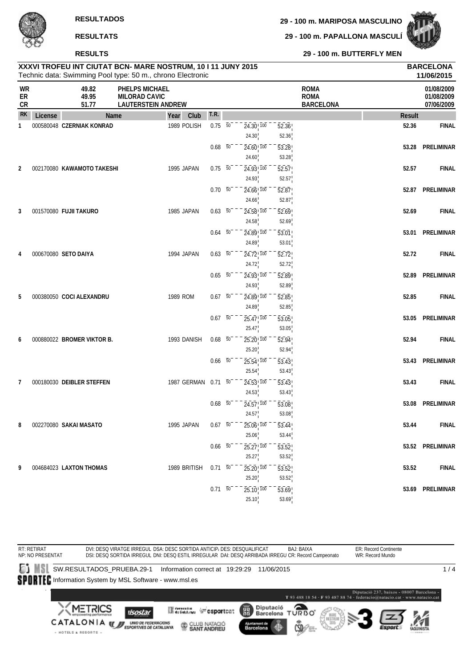**29 - 100 m. PAPALLONA MASCULÍ**



**RESULTS**

**29 - 100 m. BUTTERFLY MEN**

|                          |         |                            | Technic data: Swimming Pool type: 50 m., chrono Electronic          |                     |                              |                 |                                                |                             |                                                |               | 11/06/2015                             |
|--------------------------|---------|----------------------------|---------------------------------------------------------------------|---------------------|------------------------------|-----------------|------------------------------------------------|-----------------------------|------------------------------------------------|---------------|----------------------------------------|
| <b>WR</b><br>ER<br>$C$ R |         | 49.82<br>49.95<br>51.77    | PHELPS MICHAEL<br><b>MILORAD CAVIC</b><br><b>LAUTERSTEIN ANDREW</b> |                     |                              |                 |                                                |                             | <b>ROMA</b><br><b>ROMA</b><br><b>BARCELONA</b> |               | 01/08/2009<br>01/08/2009<br>07/06/2009 |
| <b>RK</b>                | License | Name                       | Year                                                                | T.R.<br>Club        |                              |                 |                                                |                             |                                                | <b>Result</b> |                                        |
| 1                        |         | 000580048 CZERNIAK KONRAD  | 1989 POLISH                                                         |                     | $0.75 - 50$                  |                 | $24.30$ <sub>, <math>100</math></sub><br>24.30 | 52.36<br>52.36              |                                                | 52.36         | <b>FINAL</b>                           |
|                          |         |                            |                                                                     |                     | $0.68$ 50                    |                 | $24.60$ ! $100$<br>24.60                       | 53.28<br>53.28              |                                                | 53.28         | PRELIMINAR                             |
| 2                        |         | 002170080 KAWAMOTO TAKESHI | 1995 JAPAN                                                          |                     | $0.75\ 50$                   |                 | $24.93$ <sup>100</sup><br>24.93                | 52.57                       |                                                | 52.57         | <b>FINAL</b>                           |
|                          |         |                            |                                                                     |                     | $0.70\ 50$                   |                 | $24.66$ <sup>1</sup> $100$                     | 52.57<br>52.87              |                                                |               | 52.87 PRELIMINAR                       |
|                          |         |                            |                                                                     |                     |                              |                 | 24.66                                          | 52.87                       |                                                |               |                                        |
| 3                        |         | 001570080 FUJII TAKURO     | 1985 JAPAN                                                          |                     | $0.63\ 50$                   |                 | $24.58$ <sub>, <math>100</math></sub><br>24.58 | 52.69<br>52.69              |                                                | 52.69         | <b>FINAL</b>                           |
|                          |         |                            |                                                                     |                     | 0.64                         | $\overline{50}$ | $\overline{24.89}$ , $\overline{100}$          | $\overline{53.01}$          |                                                | 53.01         | PRELIMINAR                             |
|                          |         |                            |                                                                     |                     |                              |                 | 24.89                                          | 53.01                       |                                                |               |                                        |
| 4                        |         | 000670080 SETO DAIYA       | 1994 JAPAN                                                          |                     | $0.63\ 50$                   |                 | $\overline{24.72}$ , $\overline{100}$<br>24.72 | $\overline{52.72}$<br>52.72 |                                                | 52.72         | <b>FINAL</b>                           |
|                          |         |                            |                                                                     |                     | $0.65 - 50^{-1}$             |                 | 24.93, 100                                     | 52.89                       |                                                | 52.89         | PRELIMINAR                             |
|                          |         |                            |                                                                     |                     |                              |                 | 24.93                                          | 52.89                       |                                                |               |                                        |
| 5                        |         | 000380050 COCI ALEXANDRU   | 1989 ROM                                                            |                     | $0.67 - 50^{-1}$             |                 | 24.89 100                                      | 52.85                       |                                                | 52.85         | <b>FINAL</b>                           |
|                          |         |                            |                                                                     |                     |                              |                 | 24.89                                          | 52.85                       |                                                |               |                                        |
|                          |         |                            |                                                                     |                     | $0.67 - 50^{-1}$             |                 | $25.47$ ! $100$                                | $\overline{53.05}$          |                                                | 53.05         | PRELIMINAR                             |
|                          |         |                            |                                                                     |                     |                              |                 | 25.47                                          | 53.05                       |                                                |               |                                        |
| 6                        |         | 000880022 BROMER VIKTOR B. | 1993 DANISH                                                         |                     | $0.68$ 50                    |                 | $25.20$ ! $100$                                | 52.94                       |                                                | 52.94         | <b>FINAL</b>                           |
|                          |         |                            |                                                                     |                     | $0.66\quad 50$               |                 | 25.20                                          | 52.94                       |                                                |               | 53.43 PRELIMINAR                       |
|                          |         |                            |                                                                     |                     |                              |                 | $25.54$ <sup>100</sup><br>25.54                | 53.43<br>53.43              |                                                |               |                                        |
| 7                        |         | 000180030 DEIBLER STEFFEN  |                                                                     | 1987 GERMAN 0.71 50 |                              |                 | $24.53$ <sup>1</sup> $100$                     | 53.43                       |                                                | 53.43         | <b>FINAL</b>                           |
|                          |         |                            |                                                                     |                     |                              |                 | 24.53                                          | 53.43                       |                                                |               |                                        |
|                          |         |                            |                                                                     |                     | 0.68                         | $\overline{50}$ | $24.57$ ! $100$                                | 53.08                       |                                                | 53.08         | PRELIMINAR                             |
|                          |         |                            |                                                                     |                     |                              |                 | 24.57                                          | 53.08                       |                                                |               |                                        |
| 8                        |         | 002270080 SAKAI MASATO     | 1995 JAPAN                                                          |                     | $0.67\overline{50}$          |                 | $25.06\frac{1}{1}$ $100$                       | $\overline{53.44}$          |                                                | 53.44         | <b>FINAL</b>                           |
|                          |         |                            |                                                                     |                     |                              |                 | 25.06                                          | 53.44                       |                                                |               |                                        |
|                          |         |                            |                                                                     |                     | $0.66\quad\overline{50}^{-}$ |                 | $25.27$ <sup>1</sup> $100$                     | $\overline{53.52}$          |                                                |               | 53.52 PRELIMINAR                       |
|                          |         |                            |                                                                     |                     |                              |                 | 25.27                                          | 53.52                       |                                                |               |                                        |
| 9                        |         | 004684023 LAXTON THOMAS    | 1989 BRITISH                                                        |                     | $0.71\ 50$                   |                 | 25.20, 100                                     | $\overline{53.52}$          |                                                | 53.52         | <b>FINAL</b>                           |
|                          |         |                            |                                                                     |                     | $0.71\ 50$                   |                 | 25.20                                          | 53.52                       |                                                |               |                                        |
|                          |         |                            |                                                                     |                     |                              |                 | 25.10, 100<br>25.10                            | $\overline{53.69}$<br>53.69 |                                                |               | 53.69 PRELIMINAR                       |
|                          |         |                            |                                                                     |                     |                              |                 |                                                |                             |                                                |               |                                        |

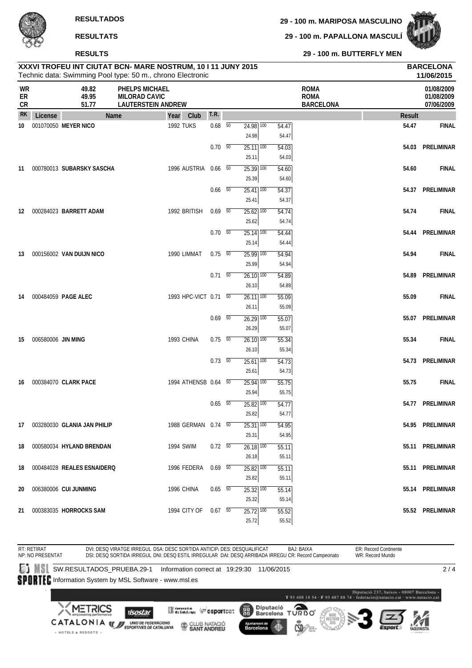**29 - 100 m. PAPALLONA MASCULÍ**



**RESULTS**

**29 - 100 m. BUTTERFLY MEN**

|                              |                    |                                | XXXVI TROFEU INT CIUTAT BCN- MARE NOSTRUM, 10 I 11 JUNY 2015<br>Technic data: Swimming Pool type: 50 m., chrono Electronic |                       |                          |                                              |                |                                                |               | <b>BARCELONA</b><br>11/06/2015         |
|------------------------------|--------------------|--------------------------------|----------------------------------------------------------------------------------------------------------------------------|-----------------------|--------------------------|----------------------------------------------|----------------|------------------------------------------------|---------------|----------------------------------------|
| <b>WR</b><br>ER<br><b>CR</b> |                    | 49.82<br>49.95<br>51.77        | PHELPS MICHAEL<br><b>MILORAD CAVIC</b><br><b>LAUTERSTEIN ANDREW</b>                                                        |                       |                          |                                              |                | <b>ROMA</b><br><b>ROMA</b><br><b>BARCELONA</b> |               | 01/08/2009<br>01/08/2009<br>07/06/2009 |
| <b>RK</b>                    | License            |                                | Name                                                                                                                       | Club<br>Year          | T.R.                     |                                              |                |                                                | <b>Result</b> |                                        |
| 10                           |                    | 001070050 MEYER NICO           |                                                                                                                            | <b>1992 TUKS</b>      | $0.68$ 50                | $24.98$ 100<br>24.98                         | 54.47<br>54.47 |                                                | 54.47         | <b>FINAL</b>                           |
|                              |                    |                                |                                                                                                                            |                       | 0.70 50                  | $25.11$ $\overline{100}$<br>25.11            | 54.03<br>54.03 |                                                |               | 54.03 PRELIMINAR                       |
| 11                           |                    | 000780013 SUBARSKY SASCHA      |                                                                                                                            | 1996 AUSTRIA 0.66 50  |                          | $25.39$ 100<br>25.39                         | 54.60<br>54.60 |                                                | 54.60         | <b>FINAL</b>                           |
|                              |                    |                                |                                                                                                                            |                       | $0.66\quad 50$           | $25.41$ 100<br>25.41                         | 54.37<br>54.37 |                                                |               | 54.37 PRELIMINAR                       |
| 12                           |                    | 000284023 BARRETT ADAM         |                                                                                                                            | 1992 BRITISH          | 0.69 50                  | $25.62$ 100<br>25.62                         | 54.74<br>54.74 |                                                | 54.74         | <b>FINAL</b>                           |
|                              |                    |                                |                                                                                                                            |                       | $0.70\quad\overline{50}$ | $25.14$ $\overline{100}$                     | 54.44          |                                                |               | 54.44 PRELIMINAR                       |
| 13                           |                    | 000156002 VAN DUIJN NICO       |                                                                                                                            | 1990 LIMMAT           | $0.75\ 50$               | 25.14<br>$25.99$ $\overline{100}$            | 54.44<br>54.94 |                                                | 54.94         | <b>FINAL</b>                           |
|                              |                    |                                |                                                                                                                            |                       | $0.71\quad\overline{50}$ | 25.99<br>$26.10$ $100$                       | 54.94<br>54.89 |                                                |               | 54.89 PRELIMINAR                       |
| 14                           |                    | 000484059 PAGE ALEC            |                                                                                                                            | 1993 HPC-VICT 0.71 50 |                          | 26.10<br>$26.11$ 100                         | 54.89<br>55.09 |                                                | 55.09         | <b>FINAL</b>                           |
|                              |                    |                                |                                                                                                                            |                       | $0.69$ 50                | 26.11<br>$26.29$ 100                         | 55.09<br>55.07 |                                                |               | 55.07 PRELIMINAR                       |
| 15                           | 006580006 JIN MING |                                |                                                                                                                            | 1993 CHINA            | $0.75\ 50$               | 26.29<br>$26.10$ 100                         | 55.07<br>55.34 |                                                | 55.34         | <b>FINAL</b>                           |
|                              |                    |                                |                                                                                                                            |                       | $0.73\quad 50$           | 26.10<br>$25.61$ 100                         | 55.34<br>54.73 |                                                |               | 54.73 PRELIMINAR                       |
|                              |                    | 000384070 CLARK PACE           |                                                                                                                            |                       |                          | 25.61                                        | 54.73          |                                                |               |                                        |
| 16                           |                    |                                |                                                                                                                            | 1994 ATHENSB 0.64 50  |                          | $\overline{25.94}$ 100<br>25.94              | 55.75<br>55.75 |                                                | 55.75         | <b>FINAL</b>                           |
|                              |                    |                                |                                                                                                                            |                       | $0.65 - 50$              | $25.82$ 100<br>25.82                         | 54.77<br>54.77 |                                                |               | 54.77 PRELIMINAR                       |
|                              |                    | 17 003280030 GLANIA JAN PHILIP |                                                                                                                            | 1988 GERMAN 0.74 50   |                          | $25.31$ $\overline{100}$<br>25.31            | 54.95<br>54.95 |                                                |               | 54.95 PRELIMINAR                       |
| 18                           |                    | 000580034 HYLAND BRENDAN       |                                                                                                                            | 1994 SWIM             | $0.72\ 50$               | $\overline{26.18}$ $\overline{100}$<br>26.18 | 55.11<br>55.11 |                                                |               | 55.11 PRELIMINAR                       |
| 18                           |                    | 000484028 REALES ESNAIDERQ     |                                                                                                                            | 1996 FEDERA 0.69 50   |                          | $25.82$ 100<br>25.82                         | 55.11<br>55.11 |                                                |               | 55.11 PRELIMINAR                       |
| 20                           |                    | 006380006 CUI JUNMING          |                                                                                                                            | 1996 CHINA            | $0.65$ 50                | $25.32$ $\overline{100}$<br>25.32            | 55.14<br>55.14 |                                                |               | 55.14 PRELIMINAR                       |
|                              |                    | 21 000383035 HORROCKS SAM      |                                                                                                                            | 1994 CITY OF 0.67 50  |                          | $25.72$ $100$<br>25.72                       | 55.52<br>55.52 |                                                |               | 55.52 PRELIMINAR                       |

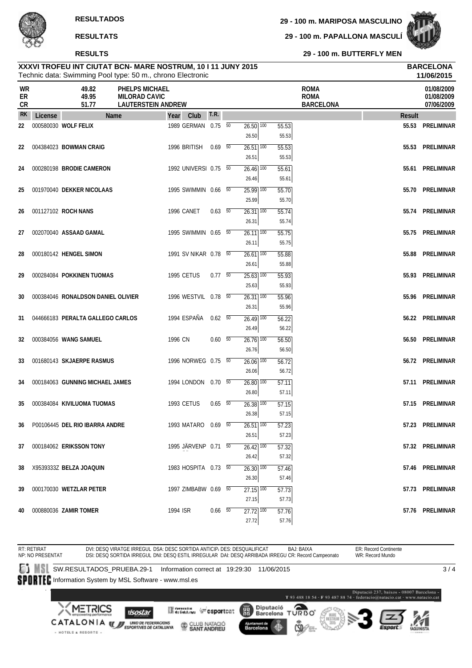#### **RESULTS**

**29 - 100 m. MARIPOSA MASCULINO**

**29 - 100 m. PAPALLONA MASCULÍ**



**29 - 100 m. BUTTERFLY MEN**

#### Technic data: Swimming Pool type: 50 m., chrono Electronic **XXXVI TROFEU INT CIUTAT BCN- MARE NOSTRUM, 10 I 11 JUNY 2015 BARCELONA**

|                |         |                                    | Technic data: Swimming Pool type: 50 m., chrono Electronic          |          |                       |                          |                                     |                |                                                | 11/06/2015                             |
|----------------|---------|------------------------------------|---------------------------------------------------------------------|----------|-----------------------|--------------------------|-------------------------------------|----------------|------------------------------------------------|----------------------------------------|
| WR<br>ER<br>CR |         | 49.82<br>49.95<br>51.77            | PHELPS MICHAEL<br><b>MILORAD CAVIC</b><br><b>LAUTERSTEIN ANDREW</b> |          |                       |                          |                                     |                | <b>ROMA</b><br><b>ROMA</b><br><b>BARCELONA</b> | 01/08/2009<br>01/08/2009<br>07/06/2009 |
| <b>RK</b>      | License |                                    | Name                                                                | Year     | Club                  | T.R.                     |                                     |                | <b>Result</b>                                  |                                        |
| 22             |         | 000580030 WOLF FELIX               |                                                                     |          | 1989 GERMAN 0.75 50   |                          | $26.50$ $\overline{100}$            | 55.53          | 55.53                                          | PRELIMINAR                             |
| 22             |         | 004384023 BOWMAN CRAIG             |                                                                     |          | 1996 BRITISH          | $0.69$ 50                | 26.50<br>$26.51$ 100                | 55.53<br>55.53 | 55.53                                          | PRELIMINAR                             |
|                |         |                                    |                                                                     |          |                       |                          | 26.51                               | 55.53          |                                                |                                        |
| 24             |         | 000280198 BRODIE CAMERON           |                                                                     |          | 1992 UNIVERSI 0.75 50 |                          | $26.46$ $\overline{100}$            | 55.61          | 55.61                                          | PRELIMINAR                             |
|                |         |                                    |                                                                     |          |                       |                          | 26.46                               | 55.61          |                                                |                                        |
| 25             |         | 001970040 DEKKER NICOLAAS          |                                                                     |          | 1995 SWIMMIN 0.66 50  |                          | $25.99$ 100                         | 55.70          |                                                | 55.70 PRELIMINAR                       |
|                |         |                                    |                                                                     |          |                       |                          | 25.99                               | 55.70          |                                                |                                        |
| 26             |         | 001127102 ROCH NANS                |                                                                     |          | 1996 CANET            | $0.63\quad\overline{50}$ | $26.31$ $\overline{100}$            | 55.74          | 55.74                                          | PRELIMINAR                             |
|                |         |                                    |                                                                     |          |                       |                          | 26.31                               | 55.74          |                                                |                                        |
| 27             |         | 002070040 ASSAAD GAMAL             |                                                                     |          | 1995 SWIMMIN 0.65 50  |                          | $26.11$ $\overline{100}$            | 55.75          | 55.75                                          | PRELIMINAR                             |
|                |         |                                    |                                                                     |          |                       |                          | 26.11                               | 55.75          |                                                |                                        |
| 28             |         | 000180142 HENGEL SIMON             |                                                                     |          | 1991 SV NIKAR 0.78 50 |                          | $\overline{26.61}$ $\overline{100}$ | 55.88          | 55.88                                          | PRELIMINAR                             |
|                |         |                                    |                                                                     |          |                       |                          | 26.61                               | 55.88          |                                                |                                        |
| 29             |         | 000284084 POKKINEN TUOMAS          |                                                                     |          | 1995 CETUS            | $0.77\quad 50$           | $25.63$ $\overline{100}$            | 55.93          | 55.93                                          | PRELIMINAR                             |
|                |         |                                    |                                                                     |          |                       |                          | 25.63                               | 55.93          |                                                |                                        |
| 30             |         | 000384046 RONALDSON DANIEL OLIVIER |                                                                     |          | 1996 WESTVIL 0.78 50  |                          | $26.31$ 100                         | 55.96          | 55.96                                          | PRELIMINAR                             |
|                |         |                                    |                                                                     |          |                       |                          | 26.31                               | 55.96          |                                                |                                        |
| 31             |         | 044666183 PERALTA GALLEGO CARLOS   |                                                                     |          | 1994 ESPAÑA           | $0.62\quad 50$           | $26.49$ 100                         | 56.22          | 56.22                                          | PRELIMINAR                             |
|                |         |                                    |                                                                     |          |                       |                          | 26.49                               | 56.22          |                                                |                                        |
| 32             |         | 000384056 WANG SAMUEL              |                                                                     | 1996 CN  |                       | 0.60 50                  | $26.76$ 100                         | 56.50          | 56.50                                          | PRELIMINAR                             |
|                |         |                                    |                                                                     |          |                       |                          | 26.76                               | 56.50          |                                                |                                        |
| 33             |         | 001680143 SKJAERPE RASMUS          |                                                                     |          | 1996 NORWEG 0.75 50   |                          | $26.06$ $\overline{100}$            | 56.72          |                                                | 56.72 PRELIMINAR                       |
|                |         |                                    |                                                                     |          |                       |                          | 26.06                               | 56.72          |                                                |                                        |
| 34             |         | 000184063 GUNNING MICHAEL JAMES    |                                                                     |          | 1994 LONDON  0.70  50 |                          | $26.80$ $\overline{100}$            | 57.11          | 57.11                                          | PRELIMINAR                             |
|                |         |                                    |                                                                     |          |                       |                          | 26.80                               | 57.11          |                                                |                                        |
| 35             |         | 000384084 KIVILUOMA TUOMAS         |                                                                     |          | 1993 CETUS            | $0.65\quad 50$           | $26.38$ $\overline{100}$            | 57.15          |                                                | 57.15 PRELIMINAR                       |
|                |         |                                    |                                                                     |          |                       |                          | 26.38                               | 57.15          |                                                |                                        |
| 36             |         | P00106445 DEL RIO IBARRA ANDRE     |                                                                     |          | 1993 MATARO 0.69 50   |                          | $26.51$ $\overline{100}$<br>26.51   | 57.23          |                                                | 57.23 PRELIMINAR                       |
|                |         |                                    |                                                                     |          |                       |                          |                                     | 57.23          |                                                | 57.32 PRELIMINAR                       |
| 37             |         | 000184062 ERIKSSON TONY            |                                                                     |          | 1995 JÄRVENP 0.71 50  |                          | $26.42$ 100<br>26.42                | 57.32<br>57.32 |                                                |                                        |
|                |         |                                    |                                                                     |          | 1983 HOSPITA 0.73 50  |                          |                                     |                |                                                | 57.46 PRELIMINAR                       |
| 38             |         | X9539333Z BELZA JOAQUIN            |                                                                     |          |                       |                          | 26.30 100<br>26.30                  | 57.46<br>57.46 |                                                |                                        |
| 39             |         | 000170030 WETZLAR PETER            |                                                                     |          | 1997 ZIMBABW 0.69 50  |                          | 27.15 100                           | 57.73          |                                                | 57.73 PRELIMINAR                       |
|                |         |                                    |                                                                     |          |                       |                          | 27.15                               | 57.73          |                                                |                                        |
| 40             |         | 000880036 ZAMIR TOMER              |                                                                     | 1994 ISR |                       | $0.66$ 50                | 27.72 100                           | 57.76          |                                                | 57.76 PRELIMINAR                       |
|                |         |                                    |                                                                     |          |                       |                          | 27.72                               | 57.76          |                                                |                                        |

RT: RETIRAT ER: Record Continente DVI: DESQ VIRATGE IRREGUL DSA: DESC SORTIDA ANTICIP، DES: DESQUALIFICAT BAJ: BAIXA<br>DSI: DESQ SORTIDA IRREGUL DNI: DESQ ESTIL IRREGULAR DAI: DESQ ARRIBADA IRREGU CR: Record Campeonato NP: NO PRESENTAT WR: Record Mundo SW.RESULTADOS\_PRUEBA.29-1 Information correct at 19:29:30 11/06/2015  $3/4$ SPORTEC Information System by MSL Software - www.msl.es  $\label{eq:1} \textbf{Diputació 237, basis 48807 Barcelons}\textbf{-T 93 488 18 54 - F 93 487 88 74 - federació@matucio, cat - www.matacio, cat.}$ Diputació<br>Barcelona TURBO **METRICS Mercedian Construct** 麗 **Isostar** CATALONIA **WE UNDER TEDERACIONS** CLUB NATACIÓ Barcelona · HOTELS & RESORTS .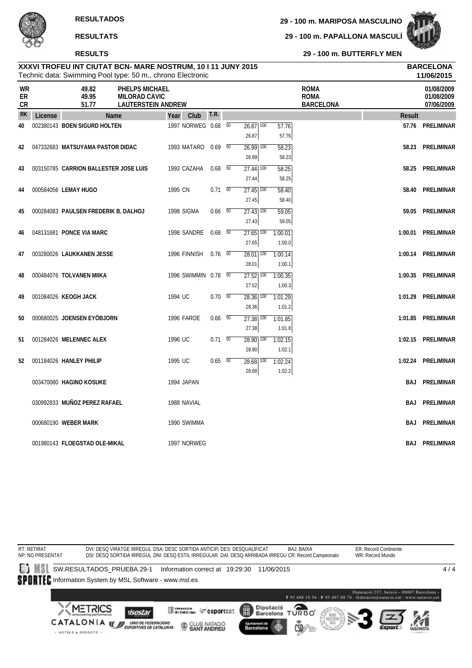**29 - 100 m. PAPALLONA MASCULÍ**



**29 - 100 m. BUTTERFLY MEN**

|                       |         |                                       | Technic data: Swimming Pool type: 50 m., chrono Electronic          |            |                      |                          |    |                                              |                   |                                                |               | 11/06/2015                             |
|-----------------------|---------|---------------------------------------|---------------------------------------------------------------------|------------|----------------------|--------------------------|----|----------------------------------------------|-------------------|------------------------------------------------|---------------|----------------------------------------|
| <b>WR</b><br>ER<br>CR |         | 49.82<br>49.95<br>51.77               | PHELPS MICHAEL<br><b>MILORAD CAVIC</b><br><b>LAUTERSTEIN ANDREW</b> |            |                      |                          |    |                                              |                   | <b>ROMA</b><br><b>ROMA</b><br><b>BARCELONA</b> |               | 01/08/2009<br>01/08/2009<br>07/06/2009 |
| <b>RK</b>             | License |                                       | Name                                                                |            | Year Club            | T.R.                     |    |                                              |                   |                                                | <b>Result</b> |                                        |
| 40                    |         | 002380143 BOEN SIGURD HOLTEN          |                                                                     |            | 1997 NORWEG 0.68     |                          | 50 | $26.87$ 100<br>26.87                         | 57.76<br>57.76    |                                                |               | 57.76 PRELIMINAR                       |
| 42                    |         | 047332683 MATSUYAMA PASTOR DIDAC      |                                                                     |            | 1993 MATARO          | $0.69$ 50                |    | $26.99$ 100<br>26.99                         | 58.23<br>58.23    |                                                | 58.23         | PRELIMINAR                             |
| 43                    |         | 003150785 CARRION BALLESTER JOSE LUIS |                                                                     |            | 1993 CAZAHA          | $0.68$ 50                |    | $27.44$ $100$<br>27.44                       | 58.25<br>58.25    |                                                |               | 58.25 PRELIMINAR                       |
| 44                    |         | 000584056 LEMAY HUGO                  |                                                                     | 1995 CN    |                      | $0.71\ 50$               |    | $27.45$ $\overline{100}$<br>27.45            | 58.40<br>58.40    |                                                |               | 58.40 PRELIMINAR                       |
| 45                    |         | 000284083 PAULSEN FREDERIK B. DALHOJ  |                                                                     | 1998 SIGMA |                      | $0.66\quad 50$           |    | $27.43$ $\overline{100}$<br>27.43            | 59.05<br>59.05    |                                                |               | 59.05 PRELIMINAR                       |
| 46                    |         | 048131681 PONCE VIA MARC              |                                                                     |            | 1998 SANDRE 0.68 50  |                          |    | $\overline{27.65}$ $\overline{100}$<br>27.65 | 1:00.01<br>1:00.0 |                                                | 1:00.01       | PRELIMINAR                             |
| 47                    |         | 003280026 LAUKKANEN JESSE             |                                                                     |            | 1996 FINNISH         | $0.76\quad\overline{50}$ |    | 28.01 100<br>28.01                           | 1:00.14<br>1:00.1 |                                                |               | 1:00.14 PRELIMINAR                     |
| 48                    |         | 000484076 TOLVANEN MIIKA              |                                                                     |            | 1996 SWIMMIN 0.78 50 |                          |    | $27.52$ $\overline{100}$<br>27.52            | 1:00.35<br>1:00.3 |                                                | 1:00.35       | PRELIMINAR                             |
| 49                    |         | 001084026 KEOGH JACK                  |                                                                     | 1994 UC    |                      | $0.70\ 50$               |    | $28.36$ 100<br>28.36                         | 1:01.29<br>1:01.2 |                                                | 1:01.29       | PRELIMINAR                             |
| 50                    |         | 000680025 JOENSEN EYÖBJORN            |                                                                     |            | <b>1996 FAROE</b>    | $0.66\quad 50$           |    | $27.38$ $\overline{100}$<br>27.38            | 1:01.85<br>1:01.8 |                                                | 1:01.85       | PRELIMINAR                             |
| 51                    |         | 001284026 MELENNEC ALEX               |                                                                     | 1996 UC    |                      | $0.71\ 50$               |    | $28.90$ 100<br>28.90                         | 1:02.15<br>1:02.1 |                                                |               | 1:02.15 PRELIMINAR                     |
| 52                    |         | 001184026 HANLEY PHILIP               |                                                                     | 1995 UC    |                      | $0.65\quad 50$           |    | 28.68 100<br>28.68                           | 1:02.24<br>1:02.2 |                                                |               | 1:02.24 PRELIMINAR                     |
|                       |         | 003470080 HAGINO KOSUKE               |                                                                     | 1994 JAPAN |                      |                          |    |                                              |                   |                                                |               | <b>BAJ PRELIMINAR</b>                  |
|                       |         | 030992833 MUÑOZ PEREZ RAFAEL          |                                                                     |            | 1988 NAVIAL          |                          |    |                                              |                   |                                                | BAJ           | PRELIMINAR                             |
|                       |         | 000680190 WEBER MARK                  |                                                                     |            | 1990 SWIMMA          |                          |    |                                              |                   |                                                | BAJ.          | PRELIMINAR                             |
|                       |         | 001980143 FLOEGSTAD OLE-MIKAL         |                                                                     |            | 1997 NORWEG          |                          |    |                                              |                   |                                                |               | <b>BAJ PRELIMINAR</b>                  |

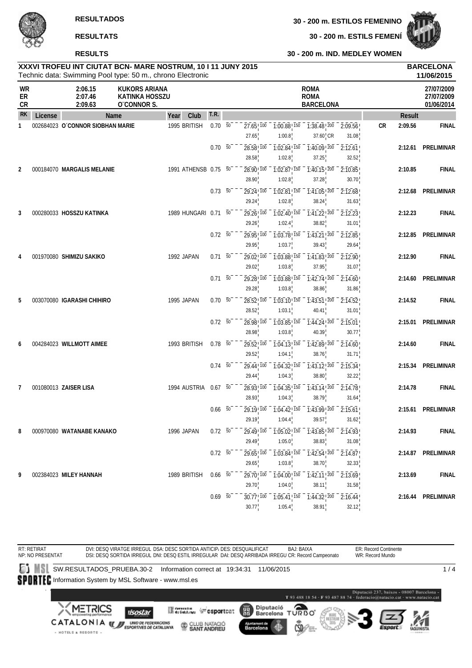

**30 - 200 m. ESTILS FEMENÍ**

**30 - 200 m. IND. MEDLEY WOMEN**

## **RESULTATS**

#### **RESULTS**

|               |                    | XXXVI TROFEU INT CIUTAT BCN- MARE NOSTRUM, 10   11 JUNY 2015<br>Technic data: Swimming Pool type: 50 m., chrono Electronic |                            | <b>BARCELONA</b><br>11/06/2015 |
|---------------|--------------------|----------------------------------------------------------------------------------------------------------------------------|----------------------------|--------------------------------|
| WR<br>ER      | 2:06.15<br>2:07.46 | KUKORS ARIANA<br>KATINKA HOSSZU                                                                                            | <b>ROMA</b><br><b>ROMA</b> | 27/07/2009<br>27/07/2009       |
| $\sim$ $\sim$ | $- - - - -$        |                                                                                                                            | ---------                  | ---------                      |

| ER<br>CR  |         | 2:07.46<br>2:09.63               | <b>KATINKA HOSSZU</b><br>O'CONNOR S. |                      |             |                                 |                                               | <b>ROMA</b><br><b>BARCELONA</b>                                                                   |                  |           |               | 27/07/2009<br>01/06/2014 |
|-----------|---------|----------------------------------|--------------------------------------|----------------------|-------------|---------------------------------|-----------------------------------------------|---------------------------------------------------------------------------------------------------|------------------|-----------|---------------|--------------------------|
| <b>RK</b> | License |                                  | Name                                 | Club<br>Year         | T.R.        |                                 |                                               |                                                                                                   |                  |           | <b>Result</b> |                          |
| 1         |         | 002684023 O'CONNOR SIOBHAN MARIE |                                      | 1995 BRITISH         | $0.70\ 50$  | $27.65$ ! $100$<br>27.65        | 1:00.8                                        | $1:00.88$ <sup>150</sup> $1:38.48$ <sup>200</sup> $2:09.56$<br>$37.60$ <sub>,</sub> CR            | 31.08            | <b>CR</b> | 2:09.56       | <b>FINAL</b>             |
|           |         |                                  |                                      |                      | $0.70\, 50$ | 28.58! 100<br>28.58             | $1:02.84$ ! $150$<br>1:02.8                   | $1:40.09$ ! $200$<br>37.25                                                                        | 2:12.61<br>32.52 |           |               | 2:12.61 PRELIMINAR       |
| 2         |         | 000184070 MARGALIS MELANIE       |                                      | 1991 ATHENSB 0.75 50 |             | 28.90 100<br>28.90              | $\overline{1:02.87}$ 150<br>1:02.8            | $1:40.15$ <sup>200</sup><br>37.28                                                                 | 2:10.85<br>30.70 |           | 2:10.85       | <b>FINAL</b>             |
|           |         |                                  |                                      |                      | 0.73 50     | 29.24 100<br>29.24              | $1:02.81$ ! $150$<br>1:02.8                   | $1:41.05$ , $200$<br>38.24                                                                        | 2:12.68<br>31.63 |           | 2:12.68       | <b>PRELIMINAR</b>        |
| 3         |         | 000280033 HOSSZU KATINKA         |                                      | 1989 HUNGARI 0.71 50 |             | 29.26 100<br>29.26              | 1:02.4                                        | $\overline{1:02.40}$ , $\overline{150}$ $\overline{1:41.22}$ , $\overline{200}$<br>38.82          | 2:12.23<br>31.01 |           | 2:12.23       | <b>FINAL</b>             |
|           |         |                                  |                                      |                      | 0.72 50     | 29.95! 100<br>29.95             | 1:03.7                                        | $\overline{1:03.78}$ , $\overline{150}$ $\overline{1:43.21}$ , $\overline{200}$<br>39.43          | 2:12.85<br>29.64 |           | 2:12.85       | PRELIMINAR               |
| 4         |         | 001970080 SHIMIZU SAKIKO         |                                      | 1992 JAPAN           | $0.71 - 50$ | 29.02 100<br>29.02              | 1:03.88 150<br>1:03.8                         | $1:41.83$ <sup>200</sup><br>37.95                                                                 | 2:12.90<br>31.07 |           | 2:12.90       | <b>FINAL</b>             |
|           |         |                                  |                                      |                      | $0.71\ 50$  | 29.28 100<br>29.28              | 1:03.8                                        | $1:03.88$ <sup>150</sup> $-1:42.74$ <sup>200</sup><br>38.86                                       | 2:14.60<br>31.86 |           |               | 2:14.60 PRELIMINAR       |
| 5         |         | 003070080 IGARASHI CHIHIRO       |                                      | 1995 JAPAN           | $0.70 - 50$ | 28.52 100<br>28.52              | $1:03.10$ ! 150<br>1:03.1                     | $1:43.51$ ! 200<br>40.41                                                                          | 2:14.52<br>31.01 |           | 2:14.52       | <b>FINAL</b>             |
|           |         |                                  |                                      |                      | $0.72\ 50$  | 28.98!100<br>28.98              | $1:03.85$ ! 150<br>1:03.8                     | 1:44.24 200<br>40.39                                                                              | 2:15.01<br>30.77 |           | 2:15.01       | <b>PRELIMINAR</b>        |
| 6         |         | 004284023 WILLMOTT AIMEE         |                                      | 1993 BRITISH         | $0.78$ 50   | 29.52, 100<br>29.52             | 1:04.1                                        | $1:04.13$ $150 - 1:42.89$ $200 -$<br>38.76                                                        | 2:14.60<br>31.71 |           | 2:14.60       | <b>FINAL</b>             |
|           |         |                                  |                                      |                      | $0.74 - 50$ | 29.44 100<br>29.44              | $1:04.32$ ! $150$<br>1:04.3                   | 1:43.12!200<br>38.80                                                                              | 2:15.34<br>32.22 |           | 2:15.34       | PRELIMINAR               |
| 7         |         | 001080013 ZAISER LISA            |                                      | 1994 AUSTRIA         | 0.67 50     | 28.93! 100<br>28.93             | $1:04.35^{+150}$<br>1:04.3                    | $1:43.14$ ! 200<br>38.79                                                                          | 2:14.78<br>31.64 |           | 2:14.78       | <b>FINAL</b>             |
|           |         |                                  |                                      |                      | $0.66$ 50   | 29.19!100<br>29.19              | $\overline{1}:\overline{0}4.42$ 150<br>1:04.4 | $\overline{1:}43.99$ $\overline{2}00$<br>39.57                                                    | 2:15.61<br>31.62 |           |               | 2:15.61 PRELIMINAR       |
| 8         |         | 000970080 WATANABE KANAKO        |                                      | 1996 JAPAN           | $0.72 - 50$ | 29.49 100<br>29.49              | $1:05.02$ ! $150$<br>1:05.0                   | $1:43.85$ <sup>200</sup><br>38.83                                                                 | 2:14.93<br>31.08 |           | 2:14.93       | <b>FINAL</b>             |
|           |         |                                  |                                      |                      | 0.72 50     | 29.65                           | 1:03.8                                        | 29.65 <sup>100</sup> 1:03.84 <sup>150</sup> 1:42.54 <sup>1200</sup> 2:14.87 <sup>1</sup><br>38.70 | 32.33            |           |               | 2:14.87 PRELIMINAR       |
| 9         |         | 002384023 MILEY HANNAH           |                                      | 1989 BRITISH         | $0.66\ 50$  | $29.70$ <sup>100</sup><br>29.70 | 1:04.0                                        | $\frac{1}{1.04.00}$ , $\frac{150}{150}$ $\frac{1}{1.42.11}$ , $\frac{200}{200}$<br>38.11          | 2:13.69<br>31.58 |           | 2:13.69       | <b>FINAL</b>             |
|           |         |                                  |                                      |                      | $0.69\ 50$  | $30.77$ <sup>100</sup><br>30.77 | 1:05.4                                        | $1:05.41$ <sup>150</sup> 1:44.32 <sup>200</sup><br>38.91                                          | 2:16.44<br>32.12 |           |               | 2:16.44 PRELIMINAR       |

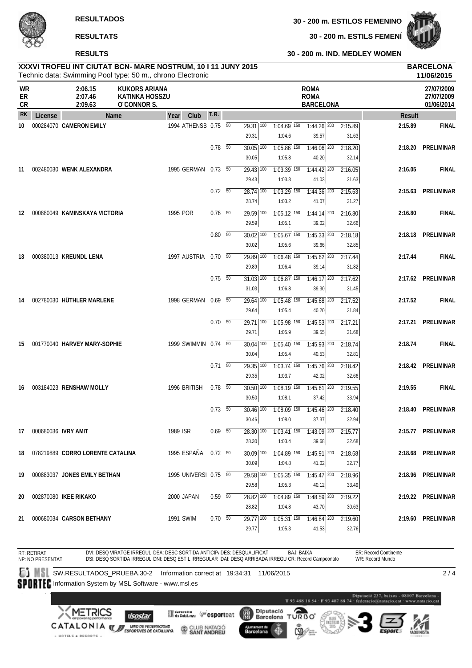

#### **RESULTS**

**30 - 200 m. ESTILS FEMENÍ**



**30 - 200 m. IND. MEDLEY WOMEN**

|                |                        | Technic data: Swimming Pool type: 50 m., chrono Electronic |                                                              |                       |                          |                                     |                                                                                    |                                                |         |               | 11/06/2015                             |
|----------------|------------------------|------------------------------------------------------------|--------------------------------------------------------------|-----------------------|--------------------------|-------------------------------------|------------------------------------------------------------------------------------|------------------------------------------------|---------|---------------|----------------------------------------|
| WR<br>ER<br>CR |                        | 2:06.15<br>2:07.46<br>2:09.63                              | <b>KUKORS ARIANA</b><br><b>KATINKA HOSSZU</b><br>O'CONNOR S. |                       |                          |                                     |                                                                                    | <b>ROMA</b><br><b>ROMA</b><br><b>BARCELONA</b> |         |               | 27/07/2009<br>27/07/2009<br>01/06/2014 |
| <b>RK</b>      | License                | Name                                                       |                                                              | Club<br>Year          | T.R.                     |                                     |                                                                                    |                                                |         | <b>Result</b> |                                        |
| 10             |                        | 000284070 CAMERON EMILY                                    |                                                              | 1994 ATHENSB 0.75 50  |                          | $29.31$ $\overline{100}$            | $1:04.69$ 150                                                                      | $1:44.26$ 200                                  | 2:15.89 | 2:15.89       | <b>FINAL</b>                           |
|                |                        |                                                            |                                                              |                       |                          | 29.31                               | 1:04.6                                                                             | 39.57                                          | 31.63   |               |                                        |
|                |                        |                                                            |                                                              |                       | $0.78$ 50                | $30.05$ $\overline{100}$            | $1:05.86$ <sup>150</sup>                                                           | $1:46.06$ <sup>200</sup>                       | 2:18.20 | 2:18.20       | PRELIMINAR                             |
|                |                        |                                                            |                                                              |                       |                          | 30.05                               | 1:05.8                                                                             | 40.20                                          | 32.14   |               |                                        |
| 11             |                        | 002480030 WENK ALEXANDRA                                   |                                                              | 1995 GERMAN 0.73 50   |                          | $29.43$ 100                         | $1:03.39$ 150                                                                      | $1:44.42$ 200                                  | 2:16.05 | 2:16.05       | <b>FINAL</b>                           |
|                |                        |                                                            |                                                              |                       |                          | 29.43                               | 1:03.3                                                                             | 41.03                                          | 31.63   |               |                                        |
|                |                        |                                                            |                                                              |                       | $0.72\ 50$               | $28.74$ 100                         | $1:03.29$ 150                                                                      | $1:44.36$ <sup>200</sup>                       | 2:15.63 | 2:15.63       | PRELIMINAR                             |
|                |                        |                                                            |                                                              |                       |                          | 28.74                               | 1:03.2                                                                             | 41.07                                          | 31.27   |               |                                        |
| 12             |                        | 000880049 KAMINSKAYA VICTORIA                              |                                                              | 1995 POR              | $0.76\quad\overline{50}$ | $29.59$ 100                         | $1:05.12$ $150$                                                                    | $1:44.14$ 200                                  | 2:16.80 | 2:16.80       | <b>FINAL</b>                           |
|                |                        |                                                            |                                                              |                       |                          | 29.59                               | 1:05.1                                                                             | 39.02                                          | 32.66   |               |                                        |
|                |                        |                                                            |                                                              |                       | $0.80\ 50$               | $30.02$ $\overline{100}$            | $1:05.67$ <sup>150</sup>                                                           | $1:45.33$ <sup>200</sup>                       | 2:18.18 | 2:18.18       | PRELIMINAR                             |
|                |                        |                                                            |                                                              |                       |                          | 30.02                               | 1:05.6                                                                             | 39.66                                          | 32.85   |               |                                        |
| 13             |                        | 000380013 KREUNDL LENA                                     |                                                              | 1997 AUSTRIA 0.70 50  |                          | 29.89 100                           | $1:06.48$ <sup>150</sup>                                                           | $1:45.62$ 200                                  | 2:17.44 | 2:17.44       | <b>FINAL</b>                           |
|                |                        |                                                            |                                                              |                       |                          | 29.89                               | 1:06.4                                                                             | 39.14                                          | 31.82   |               |                                        |
|                |                        |                                                            |                                                              |                       | $0.75 - 50$              | $31.03$ $\overline{100}$            | $1:06.87$ <sup>150</sup>                                                           | $1:46.17$ <sup>200</sup>                       | 2:17.62 |               | 2:17.62 PRELIMINAR                     |
|                |                        |                                                            |                                                              |                       |                          | 31.03                               | 1:06.8                                                                             | 39.30                                          | 31.45   |               |                                        |
| 14             |                        | 002780030 HÜTHLER MARLENE                                  |                                                              | 1998 GERMAN 0.69 50   |                          | $\overline{29.64}$ $\overline{100}$ | $1:05.48$ 150                                                                      | $1:45.68$ 200                                  | 2:17.52 | 2:17.52       | <b>FINAL</b>                           |
|                |                        |                                                            |                                                              |                       |                          | 29.64                               | 1:05.4                                                                             | 40.20                                          | 31.84   |               |                                        |
|                |                        |                                                            |                                                              |                       | $0.70\ 50$               | $29.71$ 100                         | $1:05.98$ <sup>150</sup>                                                           | $1:45.53$ <sup>200</sup>                       | 2:17.21 |               | 2:17.21 PRELIMINAR                     |
|                |                        |                                                            |                                                              |                       |                          | 29.71                               | 1:05.9                                                                             | 39.55                                          | 31.68   |               |                                        |
| 15             |                        | 001770040 HARVEY MARY-SOPHIE                               |                                                              | 1999 SWIMMIN 0.74 50  |                          | $30.04$ $\overline{100}$            | $1:05.40$ $150$                                                                    | $1:45.93$ <sup>200</sup>                       | 2:18.74 | 2:18.74       | <b>FINAL</b>                           |
|                |                        |                                                            |                                                              |                       |                          | 30.04                               | 1:05.4                                                                             | 40.53                                          | 32.81   |               |                                        |
|                |                        |                                                            |                                                              |                       | $0.71 - 50$              | 29.35 100                           | $1:03.74$ 150                                                                      | $1:45.76$ <sup>200</sup>                       | 2:18.42 |               | 2:18.42 PRELIMINAR                     |
|                |                        |                                                            |                                                              |                       |                          | 29.35                               | 1:03.7                                                                             | 42.02                                          | 32.66   |               |                                        |
| 16             |                        | 003184023 RENSHAW MOLLY                                    |                                                              | 1996 BRITISH          | $0.78$ 50                | $30.50$ $\overline{100}$            | $1:08.19$ 150                                                                      | $1:45.61$ <sup>200</sup>                       | 2:19.55 | 2:19.55       | <b>FINAL</b>                           |
|                |                        |                                                            |                                                              |                       |                          | 30.50                               | 1:08.1                                                                             | 37.42                                          | 33.94   |               |                                        |
|                |                        |                                                            |                                                              |                       | $0.73\ 50$               | $30.46$ $\overline{100}$            | $1:08.09$ 150                                                                      | $1:45.46$ <sup>200</sup>                       | 2:18.40 | 2:18.40       | PRELIMINAR                             |
|                |                        |                                                            |                                                              |                       |                          | 30.46                               | 1:08.0                                                                             | 37.37                                          | 32.94   |               |                                        |
|                | 17 000680036 IVRY AMIT |                                                            |                                                              | 1989 ISR              | $0.69\quad 50$           |                                     | $28.30\overline{)100}$ $1:03.41\overline{)150}$ $1:43.09\overline{)200}$ $2:15.77$ |                                                |         |               | 2:15.77 PRELIMINAR                     |
|                |                        |                                                            |                                                              |                       |                          | 28.30                               | 1:03.4                                                                             | 39.68                                          | 32.68   |               |                                        |
|                |                        | 18 078219889 CORRO LORENTE CATALINA                        |                                                              | 1995 ESPAÑA 0.72 50   |                          | $30.09$ $\overline{100}$            | $1:04.89$ <sup>150</sup>                                                           | $1:45.91$ 200                                  | 2:18.68 |               | 2:18.68 PRELIMINAR                     |
|                |                        |                                                            |                                                              |                       |                          | 30.09                               | 1:04.8                                                                             | 41.02                                          | 32.77   |               |                                        |
| 19             |                        | 000883037 JONES EMILY BETHAN                               |                                                              | 1995 UNIVERSI 0.75 50 |                          | $29.58$ $\overline{100}$            | $1:05.35$ <sup>150</sup>                                                           | $1:45.47$ 200                                  | 2:18.96 |               | 2:18.96 PRELIMINAR                     |
|                |                        |                                                            |                                                              |                       |                          | 29.58                               | 1:05.3                                                                             | 40.12                                          | 33.49   |               |                                        |
| 20             |                        | 002870080 IKEE RIKAKO                                      |                                                              | 2000 JAPAN            | $0.59 - 50$              | 28.82 100                           | $1:04.89$ <sup>150</sup>                                                           | $1:48.59$ 200                                  | 2:19.22 |               | 2:19.22 PRELIMINAR                     |
|                |                        |                                                            |                                                              |                       |                          | 28.82                               | 1:04.8                                                                             | 43.70                                          | 30.63   |               |                                        |
|                |                        | 21 000680034 CARSON BETHANY                                |                                                              | 1991 SWIM             | 0.70 50                  | $29.77$ $\overline{100}$            | $1:05.31$ 150                                                                      | $1:46.84$ 200                                  | 2:19.60 |               | 2:19.60 PRELIMINAR                     |
|                |                        |                                                            |                                                              |                       |                          | 29.77                               | 1:05.3                                                                             | 41.53                                          | 32.76   |               |                                        |

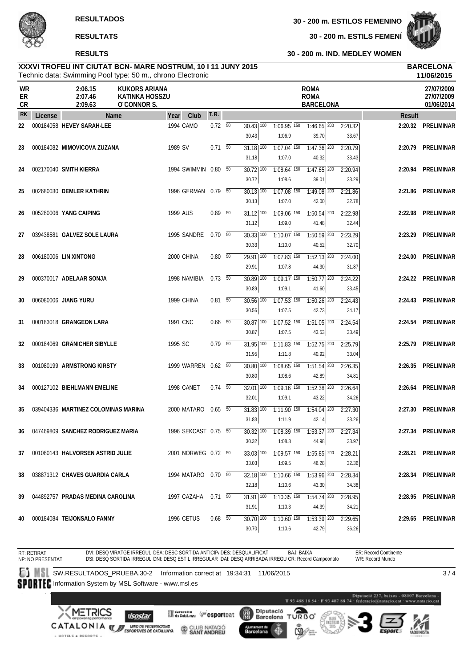

#### **RESULTS**

**30 - 200 m. ESTILS FEMENÍ**



**30 - 200 m. IND. MEDLEY WOMEN**

#### Technic data: Swimming Pool type: 50 m., chrono Electronic **XXXVI TROFEU INT CIUTAT BCN- MARE NOSTRUM, 10 I 11 JUNY 2015 BARCELONA**

|                              |         |                                      | Technic data: Swimming Pool type: 50 m., chrono Electronic   |          |                      |                          |                                              |                                                     |                                                |                  |               | 11/06/2015                             |
|------------------------------|---------|--------------------------------------|--------------------------------------------------------------|----------|----------------------|--------------------------|----------------------------------------------|-----------------------------------------------------|------------------------------------------------|------------------|---------------|----------------------------------------|
| <b>WR</b><br>ER<br><b>CR</b> |         | 2:06.15<br>2:07.46<br>2:09.63        | <b>KUKORS ARIANA</b><br><b>KATINKA HOSSZU</b><br>O'CONNOR S. |          |                      |                          |                                              |                                                     | <b>ROMA</b><br><b>ROMA</b><br><b>BARCELONA</b> |                  |               | 27/07/2009<br>27/07/2009<br>01/06/2014 |
| <b>RK</b>                    | License |                                      | Name                                                         | Year     | Club                 | T.R.                     |                                              |                                                     |                                                |                  | <b>Result</b> |                                        |
| 22                           |         | 000184058 HEVEY SARAH-LEE            |                                                              |          | 1994 CAMO            | $0.72\sqrt{50}$          | $30.43$ $\overline{100}$<br>30.43            | $1:06.95$ 150<br>1:06.9                             | $1:46.65$ <sup>200</sup><br>39.70              | 2:20.32<br>33.67 | 2:20.32       | PRELIMINAR                             |
| 23                           |         | 000184082 MIMOVICOVA ZUZANA          |                                                              | 1989 SV  |                      | $0.71\ 50$               | $31.18$ $\overline{100}$<br>31.18            | $1:07.04$ 150<br>1:07.0                             | $1:47.36$ <sup>200</sup><br>40.32              | 2:20.79<br>33.43 | 2:20.79       | PRELIMINAR                             |
| 24                           |         | 002170040 SMITH KIERRA               |                                                              |          | 1994 SWIMMIN 0.80 50 |                          | $30.72$ $\overline{100}$<br>30.72            | $1:08.64$ 150<br>1:08.6                             | $1:47.65$ <sup>200</sup><br>39.01              | 2:20.94<br>33.29 | 2:20.94       | PRELIMINAR                             |
| 25                           |         | 002680030 DEMLER KATHRIN             |                                                              |          | 1996 GERMAN 0.79 50  |                          | $30.13$ $\overline{100}$                     | $1:07.08$ 150                                       | $1:49.08$ <sup>200</sup>                       | 2:21.86          | 2:21.86       | PRELIMINAR                             |
| 26                           |         | 005280006 YANG CAIPING               |                                                              | 1999 AUS |                      | $0.89$ 50                | 30.13<br>$31.12$ $\overline{100}$            | 1:07.0<br>$1:09.06$ <sup>150</sup>                  | 42.00<br>$1:50.54$ <sup>200</sup>              | 32.78<br>2:22.98 | 2:22.98       | PRELIMINAR                             |
| 27                           |         | 039438581 GALVEZ SOLE LAURA          |                                                              |          | 1995 SANDRE          | $0.70\ 50$               | 31.12<br>$30.33$ $\overline{100}$            | 1:09.0<br>$1:10.07$ $150$                           | 41.48<br>$1:50.59$ <sup>200</sup>              | 32.44<br>2:23.29 | 2:23.29       | PRELIMINAR                             |
| 28                           |         | 006180006 LIN XINTONG                |                                                              |          | 2000 CHINA           | $0.80\quad 50$           | 30.33<br>$\overline{29.91}$ $\overline{100}$ | 1:10.0<br>$1:07.83$ <sup>150</sup>                  | 40.52<br>$1:52.13$ <sup>200</sup>              | 32.70<br>2:24.00 | 2:24.00       | PRELIMINAR                             |
|                              |         |                                      |                                                              |          |                      |                          | 29.91                                        | 1:07.8                                              | 44.30                                          | 31.87            |               |                                        |
| 29                           |         | 000370017 ADELAAR SONJA              |                                                              |          | 1998 NAMIBIA         | $0.73\quad 50$           | $30.89$ 100<br>30.89                         | $1:09.17$ 150<br>1:09.1                             | $1:50.77$ <sup>200</sup><br>41.60              | 2:24.22<br>33.45 |               | 2:24.22 PRELIMINAR                     |
| 30                           |         | 006080006 JIANG YURU                 |                                                              |          | 1999 CHINA           | $0.81$ 50                | $30.56$ $\overline{100}$<br>30.56            | $1:07.53$ $\overline{150}$<br>1:07.5                | $1:50.26$ 200<br>42.73                         | 2:24.43<br>34.17 | 2:24.43       | <b>PRELIMINAR</b>                      |
| 31                           |         | 000183018 GRANGEON LARA              |                                                              | 1991 CNC |                      | $0.66\quad\overline{50}$ | $30.87$ $\overline{100}$<br>30.87            | $1:07.52$ 150<br>1:07.5                             | $1:51.05$ <sup>200</sup><br>43.53              | 2:24.54<br>33.49 |               | 2:24.54 PRELIMINAR                     |
| 32                           |         | 000184069 GRÄNICHER SIBYLLE          |                                                              | 1995 SC  |                      | $0.79$ 50                | $31.95$ $\overline{100}$<br>31.95            | $1:11.83$ $\overline{150}$<br>1:11.8                | $1:52.75$ <sup>200</sup><br>40.92              | 2:25.79<br>33.04 |               | 2:25.79 PRELIMINAR                     |
| 33                           |         | 001080199 ARMSTRONG KIRSTY           |                                                              |          | 1999 WARREN 0.62 50  |                          | $30.80$ $\overline{100}$                     | $1:08.65$ 150                                       | $1:51.54$ 200                                  | 2:26.35          | 2:26.35       | PRELIMINAR                             |
| 34                           |         | 000127102 BIEHLMANN EMELINE          |                                                              |          | 1998 CANET           | $0.74\quad\overline{50}$ | 30.80<br>$32.01$ $\overline{100}$            | 1:08.6<br>$1:09.16$ <sup>150</sup>                  | 42.89<br>$7:52.38$ <sup>200</sup>              | 34.81<br>2:26.64 |               | 2:26.64 PRELIMINAR                     |
| 35                           |         | 039404336 MARTINEZ COLOMINAS MARINA  |                                                              |          | 2000 MATARO          | $0.65\quad\overline{50}$ | 32.01<br>$31.83$ $\overline{100}$            | 1:09.1<br>$1:11.90$ $150$                           | 43.22<br>$1:54.04$ <sup>200</sup>              | 34.26<br>2:27.30 | 2:27.30       | PRELIMINAR                             |
|                              |         | 36 047469809 SANCHEZ RODRIGUEZ MARIA |                                                              |          | 1996 SEKCAST 0.75 50 |                          | 31.83                                        | 1:11.9<br>30.32 100 1:08.39 150 1:53.37 200 2:27.34 | 42.14                                          | 33.26            |               | 2:27.34 PRELIMINAR                     |
|                              |         |                                      |                                                              |          | 2001 NORWEG 0.72 50  |                          | 30.32<br>$33.03$ $\overline{100}$            | 1:08.3                                              | 44.98<br>$1:55.85$ <sup>200</sup>              | 33.97            |               |                                        |
| 37                           |         | 001080143 HALVORSEN ASTRID JULIE     |                                                              |          |                      |                          | 33.03                                        | $1:09.57$ 150<br>1:09.5                             | 46.28                                          | 2:28.21<br>32.36 |               | 2:28.21 PRELIMINAR                     |
| 38                           |         | 038871312 CHAVES GUARDIA CARLA       |                                                              |          | 1994 MATARO 0.70 50  |                          | $32.18$ 100<br>32.18                         | $1:10.66$ <sup>150</sup><br>1:10.6                  | $1:53.96$ 200<br>43.30                         | 2:28.34<br>34.38 |               | 2:28.34 PRELIMINAR                     |
| 39                           |         | 044892757 PRADAS MEDINA CAROLINA     |                                                              |          | 1997 CAZAHA 0.71 50  |                          | 31.91 100<br>31.91                           | $1:10.35$ 150<br>1:10.3                             | $1:54.74$ 200<br>44.39                         | 2:28.95<br>34.21 |               | 2:28.95 PRELIMINAR                     |
| 40                           |         | 000184084 TEIJONSALO FANNY           |                                                              |          | <b>1996 CETUS</b>    | $0.68$ 50                | $30.70$ 100<br>30.70                         | $1:10.60$ <sup>150</sup><br>1:10.6                  | $1:53.39$ 200<br>42.79                         | 2:29.65<br>36.26 |               | 2:29.65 PRELIMINAR                     |

RT: RETIRAT BAJ: BAIXA ER: Record Continente DVI: DESQ VIRATGE IRREGUL DSA: DESC SORTIDA ANTICIP/ DES: DESQUALIFICAT WR: Record Mundo NP: NO PRESENTAT DSI: DESQ SORTIDA IRREGUL DNI: DESQ ESTIL IRREGULAR DAI: DESQ ARRIBADA IRREGU CR: Record Campeonato **SW.RESULTADOS\_PRUEBA.30-2** Information correct at 19:34:31 11/06/2015  $\overline{3/4}$ SPORTEC Information System by MSL Software - www.msl.es - 08007 Barcelona -<br>at - www.natacio.cat T93 488 18 54 - F93 487 88 74

【篇】

Ajuntament de<br>Barcelona

Diputació<br>Barcelona

41

 $\sum_{\text{on } \circ \circ}$ 

T



**XMETRICS** 

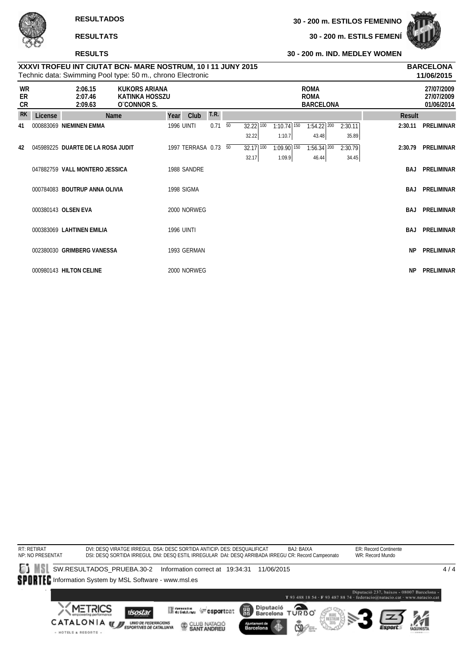

#### **RESULTS**

**30 - 200 m. ESTILS FEMENÍ**



#### **30 - 200 m. IND. MEDLEY WOMEN**

|                       |         |                                   | Technic data: Swimming Pool type: 50 m., chrono Electronic |      |                      |             |                    |                                    |                                                |                  |               | 11/06/2015                             |
|-----------------------|---------|-----------------------------------|------------------------------------------------------------|------|----------------------|-------------|--------------------|------------------------------------|------------------------------------------------|------------------|---------------|----------------------------------------|
| <b>WR</b><br>ER<br>CR |         | 2:06.15<br>2:07.46<br>2:09.63     | KUKORS ARIANA<br><b>KATINKA HOSSZU</b><br>O CONNOR S.      |      |                      |             |                    |                                    | <b>ROMA</b><br><b>ROMA</b><br><b>BARCELONA</b> |                  |               | 27/07/2009<br>27/07/2009<br>01/06/2014 |
| <b>RK</b>             | License |                                   | Name                                                       | Year | Club                 | <b>T.R.</b> |                    |                                    |                                                |                  | <b>Result</b> |                                        |
| 41                    |         | 000883069 NIEMINEN EMMA           |                                                            |      | <b>1996 UINTI</b>    | $0.71\ 50$  | 32.22 100<br>32.22 | $1:10.74$ 150<br>1:10.7            | $1:54.22$ $200$<br>43.48                       | 2:30.11<br>35.89 | 2:30.11       | <b>PRELIMINAR</b>                      |
| 42                    |         | 045989225 DUARTE DE LA ROSA JUDIT |                                                            |      | 1997 TERRASA 0.73 50 |             | 32.17 100<br>32.17 | $1:09.90$ <sup>150</sup><br>1:09.9 | $1:56.34$ 200<br>46.44                         | 2:30.79<br>34.45 | 2:30.79       | <b>PRELIMINAR</b>                      |
|                       |         | 047882759 VALL MONTERO JESSICA    |                                                            |      | 1988 SANDRE          |             |                    |                                    |                                                |                  | <b>BAJ</b>    | <b>PRELIMINAR</b>                      |
|                       |         | 000784083 BOUTRUP ANNA OLIVIA     |                                                            |      | 1998 SIGMA           |             |                    |                                    |                                                |                  | BAJ           | <b>PRELIMINAR</b>                      |
|                       |         | 000380143 OLSEN EVA               |                                                            |      | 2000 NORWEG          |             |                    |                                    |                                                |                  | <b>BAJ</b>    | <b>PRELIMINAR</b>                      |
|                       |         | 000383069 LAHTINEN EMILIA         |                                                            |      | <b>1996 UINTI</b>    |             |                    |                                    |                                                |                  | <b>BAJ</b>    | <b>PRELIMINAR</b>                      |
|                       |         | 002380030 GRIMBERG VANESSA        |                                                            |      | 1993 GERMAN          |             |                    |                                    |                                                |                  | <b>NP</b>     | <b>PRELIMINAR</b>                      |
|                       |         | 000980143 HILTON CELINE           |                                                            |      | 2000 NORWEG          |             |                    |                                    |                                                |                  | <b>NP</b>     | <b>PRELIMINAR</b>                      |

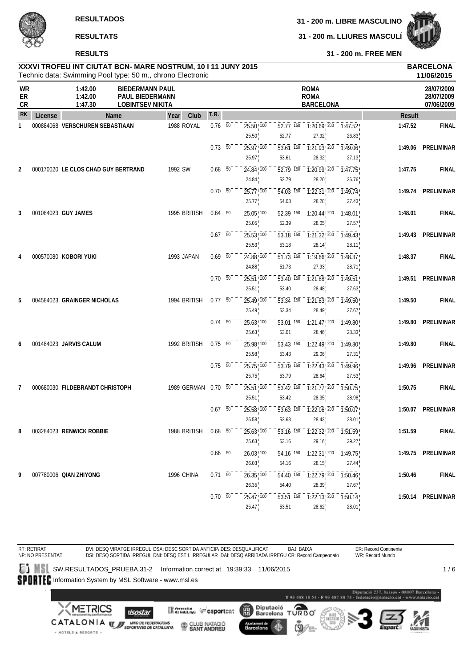**31 - 200 m. LLIURES MASCULÍ**



**31 - 200 m. FREE MEN**

## **XXXVI TROFEU INT CIUTAT BCN- MARE NOSTRUM, 10 I 11 JUNY 2015 BARCELONA RESULTS**

|                |         |                                     | Technic data: Swimming Pool type: 50 m., chrono Electronic                  |                      |                          |                 |                                                |                                                |                                                                       |                                          |               | 11/06/2015                             |
|----------------|---------|-------------------------------------|-----------------------------------------------------------------------------|----------------------|--------------------------|-----------------|------------------------------------------------|------------------------------------------------|-----------------------------------------------------------------------|------------------------------------------|---------------|----------------------------------------|
| WR<br>ER<br>CR |         | 1:42.00<br>1:42.00<br>1:47.30       | <b>BIEDERMANN PAUL</b><br><b>PAUL BIEDERMANN</b><br><b>LOBINTSEV NIKITA</b> |                      |                          |                 |                                                |                                                | <b>ROMA</b><br><b>ROMA</b><br><b>BARCELONA</b>                        |                                          |               | 28/07/2009<br>28/07/2009<br>07/06/2009 |
| <b>RK</b>      | License |                                     | Name                                                                        | Club<br>Year         | <b>T.R.</b>              |                 |                                                |                                                |                                                                       |                                          | <b>Result</b> |                                        |
| $\mathbf{1}$   |         | 000884068 VERSCHUREN SEBASTIAAN     |                                                                             | 1988 ROYAL           | $0.76\quad\overline{50}$ |                 | $25.50$ <sub>, <math>100</math></sub><br>25.50 | $52.77$ ! $150$<br>52.77                       | $1:20.69$ $200$ $1:47.52$<br>27.92                                    | 26.83                                    | 1:47.52       | <b>FINAL</b>                           |
|                |         |                                     |                                                                             |                      | $0.73\ 50$               |                 | 25.97! 100<br>25.97                            | 53.61 150<br>53.61                             | $1:21.93$ <sup>200</sup><br>28.32                                     | 1:49.06<br>27.13                         | 1:49.06       | PRELIMINAR                             |
| 2              |         | 000170020 LE CLOS CHAD GUY BERTRAND |                                                                             | 1992 SW              | $0.68$ 50                |                 | 24.84 100<br>24.84                             | 52.79 150<br>52.79                             | $1:20.99$ ! 200<br>28.20                                              | 1:47.75<br>26.76                         | 1:47.75       | <b>FINAL</b>                           |
|                |         |                                     |                                                                             |                      | $0.70\ 50$               |                 | 25.77! 100<br>25.77                            | 54.03 150<br>54.03                             | $1:22.31$ , $200$<br>28.28                                            | 1:49.74<br>27.43                         |               | 1:49.74 PRELIMINAR                     |
| 3              |         | 001084023 GUY JAMES                 |                                                                             | 1995 BRITISH         | $0.64$ 50                |                 | $25.05$ , $100$<br>25.05                       | $\overline{52.39}$ , $\overline{150}$<br>52.39 | $1:20.44$ ! $200$<br>28.05                                            | 1:48.01<br>27.57                         | 1:48.01       | <b>FINAL</b>                           |
|                |         |                                     |                                                                             |                      | 0.67                     | $\overline{50}$ | 25.53 100<br>25.53                             | 53.18! 150<br>53.18                            | $\overline{1:21.32!}$ $\overline{200}$<br>28.14                       | $-7:49.43$<br>28.11                      | 1:49.43       | PRELIMINAR                             |
| 4              |         | 000570080 KOBORI YUKI               |                                                                             | 1993 JAPAN           | $0.69$ 50                |                 | 24.88 100<br>24.88                             | 51.73!150<br>51.73                             | $1:19.66$ ! 200<br>27.93                                              | 1:48.37<br>28.71                         | 1:48.37       | <b>FINAL</b>                           |
|                |         |                                     |                                                                             |                      | $0.70\ 50$               |                 | $25.51$ ! $100$<br>25.51                       | $\overline{53.40}$ ! $\overline{150}$<br>53.40 | $1:21.88$ ! $200$<br>28.48                                            | $\overline{1:}49.\overline{51}$<br>27.63 |               | 1:49.51 PRELIMINAR                     |
| 5              |         | 004584023 GRAINGER NICHOLAS         |                                                                             | 1994 BRITISH         | $0.77 - 50$              |                 | 25.49 100<br>25.49                             | 53.34 150<br>53.34                             | 1:21.83 200<br>28.49                                                  | 1:49.50<br>27.67                         | 1:49.50       | <b>FINAL</b>                           |
|                |         |                                     |                                                                             |                      | $0.74\quad 50$           |                 | $25.63$ ! $100$<br>25.63                       | 53.01 150<br>53.01                             | $\overline{1:}2\overline{1.47}$ , $\overline{200}$<br>28.46           | 1:49.80<br>28.33                         | 1:49.80       | PRELIMINAR                             |
| 6              |         | 001484023 JARVIS CALUM              |                                                                             | 1992 BRITISH         | $0.75 - 50$              |                 | $25.98$ <sub>, <math>100</math></sub><br>25.98 | $\overline{53.43}$ , $\overline{150}$<br>53.43 | $1:22.49$ ! $200$<br>29.06                                            | 1:49.80<br>27.31                         | 1:49.80       | <b>FINAL</b>                           |
|                |         |                                     |                                                                             |                      | $0.75 - 50$              |                 | 25.75 100<br>25.75                             | 53.79 150<br>53.79                             | $\overline{1:22.43!}$ 200<br>28.64                                    | 1:49.96<br>27.53                         | 1:49.96       | PRELIMINAR                             |
| 7              |         | 000680030 FILDEBRANDT CHRISTOPH     |                                                                             | 1989 GERMAN          | $0.70\ 50$               |                 | 25.51 100<br>25.51                             | $\overline{53.42}$ , $\overline{150}$<br>53.42 | $\overline{1:}2\overline{1.77}$ , $\overline{200}$<br>28.35           | 1:50.75<br>28.98                         | 1:50.75       | <b>FINAL</b>                           |
|                |         |                                     |                                                                             |                      | $0.67\quad\overline{50}$ |                 | $25.58$ <sub>, <math>100</math></sub><br>25.58 | $53.63$ ! $150$<br>53.63                       | $\overline{1:22.06}$ $\overline{200}$<br>28.43                        | $-7:50.07$<br>28.01                      |               | 1:50.07 PRELIMINAR                     |
| 8              |         | 003284023 RENWICK ROBBIE            |                                                                             | 1988 BRITISH 0.68 50 |                          |                 | $25.63^{+100}$<br>25.63                        |                                                | $53.16^{+150}_{+}$ 1:22.32 $^{1200}_{+}$ 1:51.59 $^{1}_{-}$           |                                          | 1:51.59       | <b>FINAL</b>                           |
|                |         |                                     |                                                                             |                      | $0.66\quad 50^-$         |                 | $26.03$ <sup>1</sup> $100$                     | 53.16<br>$\overline{54.16}$ , $\overline{150}$ | 29.16<br>$\overline{1:22.31}$ , $\overline{200}$ $\overline{1:49.75}$ | 29.27                                    |               | 1:49.75 PRELIMINAR                     |
| 9              |         | 007780006 QIAN ZHIYONG              |                                                                             | 1996 CHINA           | $0.71\ 50$               |                 | 26.03<br>$26.35$ <sup>100</sup>                | 54.16<br>54.40 150                             | 28.15<br>$\overline{1:}22.\overline{79}$ , $\overline{200}$           | 27.44<br>$-7:50.46$                      | 1:50.46       | <b>FINAL</b>                           |
|                |         |                                     |                                                                             |                      | $0.70\ 50$               |                 | 26.35<br>$25.47$ <sub>, 100</sub><br>25.47     | 54.40<br>$53.51$ <sup>150</sup><br>53.51       | 28.39<br>$\overline{1:22.13}$ , $\overline{200}$<br>28.62             | 27.67<br>1:50.14<br>28.01                |               | 1:50.14 PRELIMINAR                     |

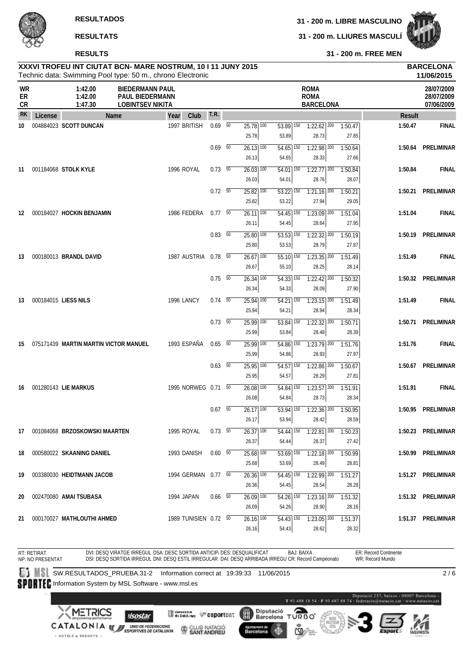**RESULTADOS**

**RESULTATS**

**RESULTS**

+ HOTELS & RESORTS +

**31 - 200 m. LIBRE MASCULINO**

**31 - 200 m. LLIURES MASCULÍ**



**31 - 200 m. FREE MEN**

# **XXXVI TROFEU INT CIUTAT BCN- MARE NOSTRUM, 10 I 11 JUNY 2015 BARCELONA**

|                |         |                                       | Technic data: Swimming Pool type: 50 m., chrono Electronic           |                       | 11/06/2015               |  |                                              |                                              |                                                |                                                                                                         |               |                                        |  |  |
|----------------|---------|---------------------------------------|----------------------------------------------------------------------|-----------------------|--------------------------|--|----------------------------------------------|----------------------------------------------|------------------------------------------------|---------------------------------------------------------------------------------------------------------|---------------|----------------------------------------|--|--|
| WR<br>ER<br>CR |         | 1:42.00<br>1:42.00<br>1:47.30         | <b>BIEDERMANN PAUL</b><br>PAUL BIEDERMANN<br><b>LOBINTSEV NIKITA</b> |                       |                          |  |                                              |                                              | <b>ROMA</b><br><b>ROMA</b><br><b>BARCELONA</b> |                                                                                                         |               | 28/07/2009<br>28/07/2009<br>07/06/2009 |  |  |
| <b>RK</b>      | License | Name                                  |                                                                      | Club<br>Year          | <b>T.R.</b>              |  |                                              |                                              |                                                |                                                                                                         | <b>Result</b> |                                        |  |  |
| 10             |         | 004884023 SCOTT DUNCAN                |                                                                      | 1997 BRITISH          | $0.69$ 50                |  | $25.78$ $\overline{100}$<br>25.78            | 53.89 150<br>53.89                           | $1:22.62$ $200$<br>28.73                       | 1:50.47<br>27.85                                                                                        | 1:50.47       | <b>FINAL</b>                           |  |  |
|                |         |                                       |                                                                      |                       | $0.69$ 50                |  | $26.13$ 100<br>26.13                         | $54.65$ <sup>150</sup><br>54.65              | $1:22.98$ <sup>200</sup><br>28.33              | 1:50.64<br>27.66                                                                                        |               | 1:50.64 PRELIMINAR                     |  |  |
| 11             |         | 001184068 STOLK KYLE                  |                                                                      | 1996 ROYAL            | $0.73\quad 50$           |  | $26.03$ $\overline{100}$<br>26.03            | $54.01$ 150<br>54.01                         | $1:22.77$ <sup>200</sup><br>28.76              | 1:50.84<br>28.07                                                                                        | 1:50.84       | <b>FINAL</b>                           |  |  |
|                |         |                                       |                                                                      |                       | $0.72\ 50$               |  | $25.82$ $\overline{100}$<br>25.82            | $\overline{53.22}$ $\overline{150}$<br>53.22 | $1:21.16$ <sup>200</sup><br>27.94              | 1:50.21<br>29.05                                                                                        |               | 1:50.21 PRELIMINAR                     |  |  |
| 12             |         | 000184027 HOCKIN BENJAMIN             |                                                                      | 1986 FEDERA           | 0.7750                   |  | $26.11$ 100<br>26.11                         | $54.45$ <sup>150</sup><br>54.45              | $1:23.09$ <sup>200</sup><br>28.64              | 1:51.04<br>27.95                                                                                        | 1:51.04       | <b>FINAL</b>                           |  |  |
|                |         |                                       |                                                                      |                       | $0.83\ 50$               |  | $25.80$ $\overline{100}$<br>25.80            | $53.53$ $\overline{150}$<br>53.53            | $1:22.32$ <sup>200</sup><br>28.79              | 1:50.19<br>27.87                                                                                        |               | 1:50.19 PRELIMINAR                     |  |  |
| 13             |         | 000180013 BRANDL DAVID                |                                                                      | 1987 AUSTRIA 0.78 50  |                          |  | $26.67$ <sup>100</sup><br>26.67              | $55.10$ 150<br>55.10                         | $1:23.35$ $200$<br>28.25                       | 1:51.49<br>28.14                                                                                        | 1:51.49       | <b>FINAL</b>                           |  |  |
|                |         |                                       |                                                                      |                       | $0.75\quad\overline{50}$ |  | $26.34$ 100<br>26.34                         | $\overline{54.33}$ 150<br>54.33              | $7:22.42$ <sup>200</sup><br>28.09              | 1:50.32<br>27.90                                                                                        |               | 1:50.32 PRELIMINAR                     |  |  |
| 13             |         | 000184015 LIESS NILS                  |                                                                      | 1996 LANCY            | $0.74$ 50                |  | $25.94$ 100<br>25.94                         | 54.21 150<br>54.21                           | $1:23.15$ 200<br>28.94                         | 1:51.49<br>28.34                                                                                        | 1:51.49       | <b>FINAL</b>                           |  |  |
|                |         |                                       |                                                                      |                       | $0.73\quad 50$           |  | $25.99$ 100<br>25.99                         | $\overline{53.84}$ $\overline{150}$<br>53.84 | $1:22.32$ <sup>200</sup><br>28.48              | 1:50.71<br>28.39                                                                                        |               | 1:50.71 PRELIMINAR                     |  |  |
| 15             |         | 075171439 MARTIN MARTIN VICTOR MANUEL |                                                                      | 1993 ESPAÑA           | 0.65 50                  |  | $25.99$ 100<br>25.99                         | $54.86$ $150$<br>54.86                       | $1:23.79$ <sup>200</sup><br>28.93              | 1:51.76<br>27.97                                                                                        | 1:51.76       | <b>FINAL</b>                           |  |  |
|                |         |                                       |                                                                      |                       | $0.63$ 50                |  | $25.95$ 100<br>25.95                         | $54.57$ 150<br>54.57                         | $1:22.86$ <sup>200</sup><br>28.29              | 1:50.67<br>27.81                                                                                        |               | 1:50.67 PRELIMINAR                     |  |  |
| 16             |         | 001280143 LIE MARKUS                  |                                                                      | 1995 NORWEG 0.71 50   |                          |  | $26.08$ $100$<br>26.08                       | 54.84 150<br>54.84                           | $1:23.57$ <sup>200</sup><br>28.73              | 1:51.91<br>28.34                                                                                        | 1:51.91       | <b>FINAL</b>                           |  |  |
|                |         |                                       |                                                                      |                       | $0.67$ 50                |  | $26.17$ 100<br>26.17                         | $53.94$ 150<br>53.94                         | $1:22.36$ <sup>200</sup><br>28.42              | 1:50.95<br>28.59                                                                                        |               | 1:50.95 PRELIMINAR                     |  |  |
| 17             |         | 001084068 BRZOSKOWSKI MAARTEN         |                                                                      | 1995 ROYAL            | $0.73\quad 50$           |  | $26.37$ $\overline{100}$<br>26.37            | 54.44                                        | 28.37                                          | $\overline{54.44}$ $\overline{150}$ $\overline{1:22.81}$ $\overline{200}$ $\overline{1:50.23}$<br>27.42 |               | 1:50.23 PRELIMINAR                     |  |  |
| 18             |         | 000580022 SKAANING DANIEL             |                                                                      | 1993 DANISH           | 0.60 50                  |  | $\overline{25.68}$ $\overline{100}$<br>25.68 | $\overline{53.69}$ 150<br>53.69              | $1:22.18$ $200$<br>28.49                       | 1:50.99<br>28.81                                                                                        |               | 1:50.99 PRELIMINAR                     |  |  |
| 19             |         | 003380030 HEIDTMANN JACOB             |                                                                      | 1994 GERMAN 0.77 50   |                          |  | $26.36$ <sup>100</sup>                       | 54.45 150                                    | $1:22.99$ <sup>200</sup>                       | 1:51.27                                                                                                 |               | 1:51.27 PRELIMINAR                     |  |  |
| 20             |         | 002470080 AMAI TSUBASA                |                                                                      | 1994 JAPAN            | $0.66$ 50                |  | 26.36<br>26.09 100                           | 54.45<br>54.26 150                           | 28.54<br>$1:23.16$ 200                         | 28.28<br>1:51.32                                                                                        |               | 1:51.32 PRELIMINAR                     |  |  |
| 21             |         | 000170027 MATHLOUTHI AHMED            |                                                                      | 1989 TUNISIEN 0.72 50 |                          |  | 26.09<br>$26.16$ $100$<br>26.16              | 54.26<br>54.43 150<br>54.43                  | 28.90<br>$1:23.05$ $200$<br>28.62              | 28.16<br>1:51.37<br>28.32                                                                               |               | 1:51.37 PRELIMINAR                     |  |  |

RT: RETIRAT BAJ: BAIXA ER: Record Continente DVI: DESQ VIRATGE IRREGUL DSA: DESC SORTIDA ANTICIP/ DES: DESQUALIFICAT WR: Record Mundo NP: NO PRESENTAT DSI: DESQ SORTIDA IRREGUL DNI: DESQ ESTIL IRREGULAR DAI: DESQ ARRIBADA IRREGU CR: Record Campeonato **SUBILITADOS\_PRUEBA.31-2** Information correct at 19:39:33 11/06/2015 SPORTEC Information System by MSL Software - www.msl.es Barcelona -<br>v.natacio.cat T93 488 18 54 - F93 487 88 74 **XMETRICS** Diputació<br>Barcelona **ORBO Merchine Wesportcat** (體) **ISostar** T **CATALONIA WE UNDER FEDERACIONS** CLUB NATACIÓ

Ajuntament de<br>Barcelona

41



 $\overline{2/6}$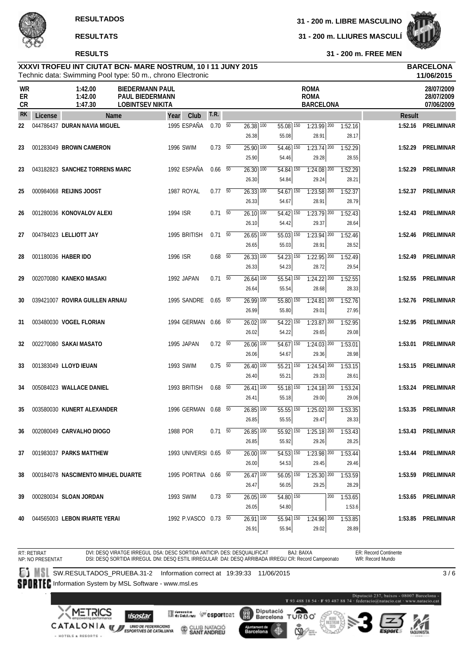

**31 - 200 m. FREE MEN**

#### Technic data: Swimming Pool type: 50 m., chrono Electronic **XXXVI TROFEU INT CIUTAT BCN- MARE NOSTRUM, 10 I 11 JUNY 2015 BARCELONA**

|                |         |                                    | Technic data: Swimming Pool type: 50 m., chrono Electronic                  |                       |                |                                              |                                   |                                                                                                         |     |                   |               | 11/06/2015                             |
|----------------|---------|------------------------------------|-----------------------------------------------------------------------------|-----------------------|----------------|----------------------------------------------|-----------------------------------|---------------------------------------------------------------------------------------------------------|-----|-------------------|---------------|----------------------------------------|
| WR<br>ER<br>CR |         | 1:42.00<br>1:42.00<br>1:47.30      | <b>BIEDERMANN PAUL</b><br><b>PAUL BIEDERMANN</b><br><b>LOBINTSEV NIKITA</b> |                       |                |                                              |                                   | <b>ROMA</b><br><b>ROMA</b><br><b>BARCELONA</b>                                                          |     |                   |               | 28/07/2009<br>28/07/2009<br>07/06/2009 |
| <b>RK</b>      | License |                                    | Name                                                                        | Club<br>Year          | <b>T.R.</b>    |                                              |                                   |                                                                                                         |     |                   | <b>Result</b> |                                        |
| 22             |         | 044786437 DURAN NAVIA MIGUEL       |                                                                             | 1995 ESPAÑA           | $0.70\ 50$     | $26.38$ $\overline{100}$<br>26.38            | $55.08$ 150<br>55.08              | $1:23.99$ 200<br>28.91                                                                                  |     | 1:52.16<br>28.17  | 1:52.16       | <b>PRELIMINAR</b>                      |
| 23             |         | 001283049 BROWN CAMERON            |                                                                             | <b>1996 SWIM</b>      | $0.73\ 50$     | $25.90$ 100<br>25.90                         | $54.46$ 150<br>54.46              | $1:23.74$ <sup>200</sup><br>29.28                                                                       |     | 1:52.29<br>28.55  | 1:52.29       | PRELIMINAR                             |
| 23             |         | 043182823 SANCHEZ TORRENS MARC     |                                                                             | 1992 ESPAÑA           | $0.66$ 50      | 26.30 100<br>26.30                           | 54.84 150<br>54.84                | $1:24.08$ 200<br>29.24                                                                                  |     | 1:52.29<br>28.21  | 1:52.29       | PRELIMINAR                             |
| 25             |         | 000984068 REIJINS JOOST            |                                                                             | 1987 ROYAL            | $0.77\quad 50$ | $\overline{26.33}$ $\overline{100}$<br>26.33 | $54.67$ $\overline{150}$<br>54.67 | $1:23.58$ <sup>200</sup><br>28.91                                                                       |     | 1:52.37<br>28.79  | 1:52.37       | PRELIMINAR                             |
| 26             |         | 001280036 KONOVALOV ALEXI          |                                                                             | 1994 ISR              | $0.71\ 50$     | $26.10$ $\overline{100}$<br>26.10            | $\overline{54.42}$ 150<br>54.42   | $1:23.79$ <sup>200</sup><br>29.37                                                                       |     | 1:52.43<br>28.64  | 1:52.43       | PRELIMINAR                             |
| 27             |         | 004784023 LELLIOTT JAY             |                                                                             | 1995 BRITISH          | $0.71\ 50$     | $26.65$ <sup>100</sup><br>26.65              | $55.03$ $\overline{150}$<br>55.03 | $1:23.94$ <sup>200</sup><br>28.91                                                                       |     | 1:52.46<br>28.52  | 1:52.46       | PRELIMINAR                             |
| 28             |         | 001180036 HABER IDO                |                                                                             | 1996 ISR              | $0.68$ 50      | 26.33   100<br>26.33                         | 54.23 150<br>54.23                | 1:22.95 200<br>28.72                                                                                    |     | 1:52.49<br>29.54  | 1:52.49       | PRELIMINAR                             |
| 29             |         | 002070080 KANEKO MASAKI            |                                                                             | 1992 JAPAN            | $0.71\ 50$     | $26.64$ <sup>100</sup><br>26.64              | $55.54$ <sup>150</sup><br>55.54   | $1:24.22$ $200$<br>28.68                                                                                |     | 1:52.55<br>28.33  | 1:52.55       | PRELIMINAR                             |
| 30             |         | 039421007 ROVIRA GUILLEN ARNAU     |                                                                             | 1995 SANDRE           | $0.65$ 50      | 26.99 100<br>26.99                           | 55.80 150<br>55.80                | $1:24.81$ <sup>200</sup><br>29.01                                                                       |     | 1:52.76<br>27.95  | 1:52.76       | PRELIMINAR                             |
| 31             |         | 003480030 VOGEL FLORIAN            |                                                                             | 1994 GERMAN           | $0.66$ 50      | $26.02$ $100$<br>26.02                       | $54.22$ 150<br>54.22              | $1:23.87$ 200<br>29.65                                                                                  |     | 1:52.95<br>29.08  | 1:52.95       | PRELIMINAR                             |
| 32             |         | 002270080 SAKAI MASATO             |                                                                             | 1995 JAPAN            | $0.72\ 50$     | $26.06$ $\overline{100}$<br>26.06            | $54.67$ <sup>150</sup><br>54.67   | $1:24.03$ <sup>200</sup><br>29.36                                                                       |     | 1:53.01<br>28.98  | 1:53.01       | <b>PRELIMINAR</b>                      |
| 33             |         | 001383049 LLOYD IEUAN              |                                                                             | 1993 SWIM             | $0.75 - 50$    | 26.40 100<br>26.40                           | 55.21 150<br>55.21                | $1:24.54$ 200<br>29.33                                                                                  |     | 1:53.15<br>28.61  | 1:53.15       | PRELIMINAR                             |
| 34             |         | 005084023 WALLACE DANIEL           |                                                                             | 1993 BRITISH          | $0.68\quad 50$ | $26.41$ $100$<br>26.41                       | $55.18$ <sup>150</sup><br>55.18   | $1:24.18$ <sup>200</sup><br>29.00                                                                       |     | 1:53.24<br>29.06  |               | 1:53.24 PRELIMINAR                     |
| 35             |         | 003580030 KUNERT ALEXANDER         |                                                                             | 1996 GERMAN 0.68 50   |                | $26.85$ 100<br>26.85                         | $55.55$ $150$<br>55.55            | $7:25.02$ <sup>200</sup><br>29.47                                                                       |     | 1:53.35<br>28.33  | 1:53.35       | PRELIMINAR                             |
| 36             |         | 002080049 CARVALHO DIOGO           |                                                                             | 1988 POR              | $0.71\ 50$     | 26.85 100<br>26.85                           | 55.92                             | $\overline{55.92}$ $\overline{150}$ $\overline{1:25.18}$ $\overline{200}$ $\overline{1:53.43}$<br>29.26 |     | 28.25             |               | 1:53.43 PRELIMINAR                     |
| 37             |         | 001983037 PARKS MATTHEW            |                                                                             | 1993 UNIVERSI 0.65 50 |                | $26.00$ $\overline{100}$<br>26.00            | $54.53$ <sup>150</sup><br>54.53   | $1:23.98$ <sup>200</sup><br>29.45                                                                       |     | 1:53.44<br>29.46  |               | 1:53.44 PRELIMINAR                     |
| 38             |         | 000184078 NASCIMENTO MIHUEL DUARTE |                                                                             | 1995 PORTINA 0.66 50  |                | $26.47$ 100<br>26.47                         | $56.05$ 150<br>56.05              | $1:25.30$ 200<br>29.25                                                                                  |     | 1:53.59<br>28.29  |               | 1:53.59 PRELIMINAR                     |
| 39             |         | 000280034 SLOAN JORDAN             |                                                                             | 1993 SWIM             | 0.73 50        | $26.05$ 100<br>26.05                         | 54.80 150<br>54.80                |                                                                                                         | 200 | 1:53.65<br>1:53.6 |               | 1:53.65 PRELIMINAR                     |
| 40             |         | 044565003 LEBON IRIARTE YERAI      |                                                                             | 1992 P.VASCO 0.73 50  |                | $26.91$ 100<br>26.91                         | $55.94$ 150<br>55.94              | $1:24.96$ 200<br>29.02                                                                                  |     | 1:53.85<br>28.89  |               | 1:53.85 PRELIMINAR                     |

RT: RETIRAT BAJ: BAIXA ER: Record Continente DVI: DESQ VIRATGE IRREGUL DSA: DESC SORTIDA ANTICIP/ DES: DESQUALIFICAT WR: Record Mundo NP: NO PRESENTAT DSI: DESQ SORTIDA IRREGUL DNI: DESQ ESTIL IRREGULAR DAI: DESQ ARRIBADA IRREGU CR: Record Campeonato **SW.RESULTADOS\_PRUEBA.31-2** Information correct at 19:39:33 11/06/2015  $\overline{3/6}$ SPORTEC Information System by MSL Software - www.msl.es 237, baixos - 08007 Barcelona -<br>o@natacio.cat - www.natacio.cat T93 488 18 54 - F93 487 88 74 orputas<br>- federa









- HOTELS & RESORTS -

**XMETRICS** 

**ISostar**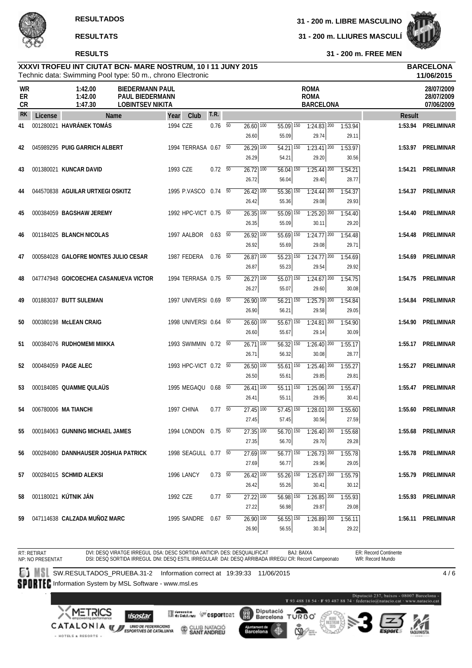**31 - 200 m. FREE MEN**

#### Technic data: Swimming Pool type: 50 m., chrono Electronic **XXXVI TROFEU INT CIUTAT BCN- MARE NOSTRUM, 10 I 11 JUNY 2015 BARCELONA**

|                |         | Technic data: Swimming Pool type: 50 m., chrono Electronic |                                                                             |          |                       |                          |                                   |                                              |                                                |                  |         | 11/06/2015                             |
|----------------|---------|------------------------------------------------------------|-----------------------------------------------------------------------------|----------|-----------------------|--------------------------|-----------------------------------|----------------------------------------------|------------------------------------------------|------------------|---------|----------------------------------------|
| WR<br>ER<br>CR |         | 1:42.00<br>1:42.00<br>1:47.30                              | <b>BIEDERMANN PAUL</b><br><b>PAUL BIEDERMANN</b><br><b>LOBINTSEV NIKITA</b> |          |                       |                          |                                   |                                              | <b>ROMA</b><br><b>ROMA</b><br><b>BARCELONA</b> |                  |         | 28/07/2009<br>28/07/2009<br>07/06/2009 |
| <b>RK</b>      | License | <b>Name</b>                                                |                                                                             | Year     | Club                  | <b>T.R.</b>              |                                   |                                              |                                                |                  | Result  |                                        |
| 41             |         | 001280021 HAVRÁNEK TOMÁS                                   |                                                                             | 1994 CZE |                       | $0.76\quad\overline{50}$ | $26.60$ $\overline{100}$<br>26.60 | $55.09$ 150<br>55.09                         | $1:24.83$ <sup>200</sup><br>29.74              | 1:53.94<br>29.11 | 1:53.94 | PRELIMINAR                             |
| 42             |         | 045989295 PUIG GARRICH ALBERT                              |                                                                             |          | 1994 TERRASA 0.67 50  |                          | $26.29$ 100<br>26.29              | $\overline{54.21}$ $\overline{150}$<br>54.21 | $1:23.41$ $200$<br>29.20                       | 1:53.97<br>30.56 |         | 1:53.97 PRELIMINAR                     |
| 43             |         | 001380021 KUNCAR DAVID                                     |                                                                             | 1993 CZE |                       | $0.72\ 50$               | $26.72$ 100<br>26.72              | $56.04$ 150<br>56.04                         | $1:25.44$ 200<br>29.40                         | 1:54.21<br>28.77 |         | 1:54.21 PRELIMINAR                     |
| 44             |         | 044570838 AGUILAR URTXEGI OSKITZ                           |                                                                             |          | 1995 P.VASCO 0.74 50  |                          | $26.42$ $100$<br>26.42            | 55.36 150<br>55.36                           | $1:24.44$ <sup>200</sup><br>29.08              | 1:54.37<br>29.93 | 1:54.37 | PRELIMINAR                             |
| 45             |         | 000384059 BAGSHAW JEREMY                                   |                                                                             |          | 1992 HPC-VICT 0.75 50 |                          | $26.35$ $\overline{100}$<br>26.35 | $55.09$ 150<br>55.09                         | $1:25.20$ 200<br>30.11                         | 1:54.40<br>29.20 | 1:54.40 | PRELIMINAR                             |
| 46             |         | 001184025 BLANCH NICOLAS                                   |                                                                             |          | 1997 AALBOR           | 0.63 50                  | $26.92$ 100<br>26.92              | $55.69$ <sup>150</sup><br>55.69              | $1:24.77$ <sup>200</sup><br>29.08              | 1:54.48<br>29.71 | 1:54.48 | <b>PRELIMINAR</b>                      |
| 47             |         | 000584028 GALOFRE MONTES JULIO CESAR                       |                                                                             |          | 1987 FEDERA           | $0.76$ 50                | $26.87$ 100<br>26.87              | 55.23 150<br>55.23                           | $1:24.77$ 200<br>29.54                         | 1:54.69<br>29.92 | 1:54.69 | PRELIMINAR                             |
| 48             |         | 047747948 GOICOECHEA CASANUEVA VICTOR                      |                                                                             |          | 1994 TERRASA 0.75 50  |                          | $26.27$ 100<br>26.27              | $55.07$ <sup>150</sup><br>55.07              | $1:24.67$ <sup>200</sup><br>29.60              | 1:54.75<br>30.08 | 1:54.75 | PRELIMINAR                             |
| 49             |         | 001883037 BUTT SULEMAN                                     |                                                                             |          | 1997 UNIVERSI 0.69 50 |                          | 26.90 100<br>26.90                | $56.21$ <sup>150</sup><br>56.21              | $1:25.79$ 200<br>29.58                         | 1:54.84<br>29.05 | 1:54.84 | PRELIMINAR                             |
| 50             |         | 000380198 McLEAN CRAIG                                     |                                                                             |          | 1998 UNIVERSI 0.64 50 |                          | $26.60$ $100$<br>26.60            | $55.67$ <sup>150</sup><br>55.67              | $1:24.81$ 200<br>29.14                         | 1:54.90<br>30.09 | 1:54.90 | PRELIMINAR                             |
| 51             |         | 000384076 RUDHOMEMI MIIKKA                                 |                                                                             |          | 1993 SWIMMIN 0.72 50  |                          | $26.71$ 100<br>26.71              | $\overline{56.32}$ 150<br>56.32              | $1:26.40$ <sup>200</sup><br>30.08              | 1:55.17<br>28.77 | 1:55.17 | PRELIMINAR                             |
| 52             |         | 000484059 PAGE ALEC                                        |                                                                             |          | 1993 HPC-VICT 0.72 50 |                          | 26.50 100<br>26.50                | 55.61 150<br>55.61                           | $1:25.46$ <sup>200</sup><br>29.85              | 1:55.27<br>29.81 | 1:55.27 | PRELIMINAR                             |
| 53             |         | 000184085 QUAMME QULAUS                                    |                                                                             |          | 1995 MEGAQU 0.68 50   |                          | $26.41$ $100$<br>26.41            | $55.11$ 150<br>55.11                         | $1:25.06$ <sup>200</sup><br>29.95              | 1:55.47<br>30.41 |         | 1:55.47 PRELIMINAR                     |
| 54             |         | 006780006 MA TIANCHI                                       |                                                                             |          | 1997 CHINA            | $0.77\quad\overline{50}$ | $\overline{27.45}$ 100<br>27.45   | $57.45$ 150<br>57.45                         | $7:28.01$ <sup>200</sup><br>30.56              | 1:55.60<br>27.59 | 1:55.60 | PRELIMINAR                             |
| 55             |         | 000184063 GUNNING MICHAEL JAMES                            |                                                                             |          | 1994 LONDON 0.75 50   |                          | $27.35$ $\overline{100}$<br>27.35 | 56.70                                        | 56.70 150 1:26.40 200 1:55.68<br>29.70         | 29.28            |         | 1:55.68 PRELIMINAR                     |
| 56             |         | 000284080 DANNHAUSER JOSHUA PATRICK                        |                                                                             |          | 1998 SEAGULL 0.77 50  |                          | $\overline{27.69}$ 100<br>27.69   | $56.77$ 150<br>56.77                         | $1:26.73$ <sup>200</sup><br>29.96              | 1:55.78<br>29.05 |         | 1:55.78 PRELIMINAR                     |
| 57             |         | 000284015 SCHMID ALEKSI                                    |                                                                             |          | 1996 LANCY            | $0.73\ 50$               | $26.42$ 100<br>26.42              | 55.26 150<br>55.26                           | $1:25.67$ 200<br>30.41                         | 1:55.79<br>30.12 |         | 1:55.79 PRELIMINAR                     |
| 58             |         | 001180021 KÚTNIK JÁN                                       |                                                                             | 1992 CZE |                       | 0.7750                   | 27.22 100                         | 56.98 150<br>56.98                           | $1:26.85$ 200                                  | 1:55.93<br>29.08 |         | 1:55.93 PRELIMINAR                     |
| 59             |         | 047114638 CALZADA MUNOZ MARC                               |                                                                             |          | 1995 SANDRE 0.67 50   |                          | 27.22<br>$26.90$ 100<br>26.90     | $56.55$ 150<br>56.55                         | 29.87<br>$1:26.89$ 200<br>30.34                | 1:56.11<br>29.22 |         | 1:56.11 PRELIMINAR                     |

RT: RETIRAT NP: NO PRESENTAT DVI: DESQ VIRATGE IRREGUL DSA: DESC SORTIDA ANTICIP/ DES: DESQUALIFICAT DSI: DESQ SORTIDA IRREGUL DNI: DESQ ESTIL IRREGULAR DAI: DESQ ARRIBADA IRREGU CR: Record Campeonato BAJ: BAIXA ER: Record Continente WR: Record Mundo **SW.RESULTADOS\_PRUEBA.31-2** Information correct at 19:39:33 11/06/2015  $4/6$ 

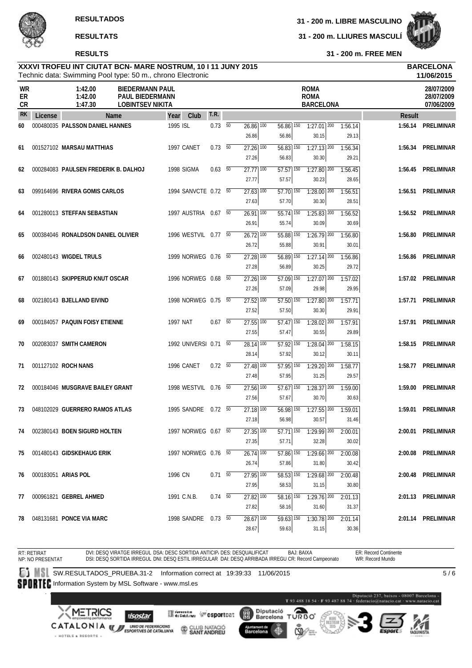

**31 - 200 m. FREE MEN**

#### Technic data: Swimming Pool type: 50 m., chrono Electronic **XXXVI TROFEU INT CIUTAT BCN- MARE NOSTRUM, 10 I 11 JUNY 2015 BARCELONA**

|                       |         |                                      | Technic data: Swimming Pool type: 50 m., chrono Electronic           |                       |                |                                              |                                 |                                                                                                         |                  |               | 11/06/2015                             |
|-----------------------|---------|--------------------------------------|----------------------------------------------------------------------|-----------------------|----------------|----------------------------------------------|---------------------------------|---------------------------------------------------------------------------------------------------------|------------------|---------------|----------------------------------------|
| WR<br>ER<br><b>CR</b> |         | 1:42.00<br>1:42.00<br>1:47.30        | <b>BIEDERMANN PAUL</b><br>PAUL BIEDERMANN<br><b>LOBINTSEV NIKITA</b> |                       |                |                                              |                                 | <b>ROMA</b><br><b>ROMA</b><br><b>BARCELONA</b>                                                          |                  |               | 28/07/2009<br>28/07/2009<br>07/06/2009 |
| <b>RK</b>             | License |                                      | <b>Name</b>                                                          | Club<br>Year          | <b>T.R.</b>    |                                              |                                 |                                                                                                         |                  | <b>Result</b> |                                        |
| 60                    |         | 000480035 PALSSON DANIEL HANNES      |                                                                      | 1995 ISL              | $0.73\quad 50$ | $26.86$ $\overline{100}$<br>26.86            | 56.86 150<br>56.86              | $1:27.01$ $200$<br>30.15                                                                                | 1:56.14<br>29.13 |               | 1:56.14 PRELIMINAR                     |
| 61                    |         | 001527102 MARSAU MATTHIAS            |                                                                      | 1997 CANET            | $0.73\quad 50$ | $27.26$ 100<br>27.26                         | $56.83$ <sup>150</sup><br>56.83 | $1:27.13$ <sup>200</sup><br>30.30                                                                       | 1:56.34<br>29.21 |               | 1:56.34 PRELIMINAR                     |
| 62                    |         | 000284083 PAULSEN FREDERIK B. DALHOJ |                                                                      | 1998 SIGMA            | $0.63$ 50      | $27.77$ 100<br>27.77                         | $57.57$ 150<br>57.57            | $1:27.80$ $200$<br>30.23                                                                                | 1:56.45<br>28.65 | 1:56.45       | PRELIMINAR                             |
| 63                    |         | 099164696 RIVERA GOMIS CARLOS        |                                                                      | 1994 SANVCTE 0.72 50  |                | $27.63$ 100<br>27.63                         | $57.70$ 150<br>57.70            | $1:28.00$ $200$<br>30.30                                                                                | 1:56.51<br>28.51 |               | 1:56.51 PRELIMINAR                     |
| 64                    |         | 001280013 STEFFAN SEBASTIAN          |                                                                      | 1997 AUSTRIA 0.67 50  |                | $\overline{26.91}$ $\overline{100}$<br>26.91 | $\overline{55.74}$ 150<br>55.74 | $1:25.83$ <sup>200</sup><br>30.09                                                                       | 1:56.52<br>30.69 |               | 1:56.52 PRELIMINAR                     |
| 65                    |         | 000384046 RONALDSON DANIEL OLIVIER   |                                                                      | 1996 WESTVIL 0.77 50  |                | $26.72$ 100<br>26.72                         | $55.88$ $150$<br>55.88          | $1:26.79$ <sup>200</sup><br>30.91                                                                       | 1:56.80<br>30.01 | 1:56.80       | PRELIMINAR                             |
| 66                    |         | 002480143 WIGDEL TRULS               |                                                                      | 1999 NORWEG 0.76 50   |                | 27.28 100<br>27.28                           | 56.89 150<br>56.89              | $1:27.14$ <sup>200</sup><br>30.25                                                                       | 1:56.86<br>29.72 | 1:56.86       | PRELIMINAR                             |
| 67                    |         | 001880143 SKIPPERUD KNUT OSCAR       |                                                                      | 1996 NORWEG 0.68 50   |                | $\overline{27.26}$ 100<br>27.26              | $\overline{57.09}$ 150<br>57.09 | $1:27.07$ <sup>200</sup><br>29.98                                                                       | 1:57.02<br>29.95 |               | 1:57.02 PRELIMINAR                     |
| 68                    |         | 002180143 BJELLAND EIVIND            |                                                                      | 1998 NORWEG 0.75 50   |                | 27.52 100<br>27.52                           | 57.50 150<br>57.50              | $1:27.80$ 200<br>30.30                                                                                  | 1:57.71<br>29.91 |               | 1:57.71 PRELIMINAR                     |
| 69                    |         | 000184057 PAQUIN FOISY ETIENNE       |                                                                      | <b>1997 NAT</b>       | $0.67$ 50      | $\overline{27.55}$ $\overline{100}$<br>27.55 | $\overline{57.47}$ 150<br>57.47 | $1:28.02$ <sup>200</sup><br>30.55                                                                       | 1:57.91<br>29.89 |               | 1:57.91 PRELIMINAR                     |
| 70                    |         | 002083037 SMITH CAMERON              |                                                                      | 1992 UNIVERSI 0.71 50 |                | $\overline{28.14}$ 100<br>28.14              | $\overline{57.92}$ 150<br>57.92 | $1:28.04$ $200$<br>30.12                                                                                | 1:58.15<br>30.11 |               | 1:58.15 PRELIMINAR                     |
| 71                    |         | 001127102 ROCH NANS                  |                                                                      | 1996 CANET            | $0.72\ 50$     | $27.48$ $\overline{100}$<br>27.48            | $\overline{57.95}$ 150<br>57.95 | $1:29.20$ 200<br>31.25                                                                                  | 1:58.77<br>29.57 | 1:58.77       | PRELIMINAR                             |
| 72                    |         | 000184046 MUSGRAVE BAILEY GRANT      |                                                                      | 1998 WESTVIL 0.76 50  |                | $27.56$ <sup>100</sup><br>27.56              | $57.67$ <sup>150</sup><br>57.67 | $7:28.37$ <sup>200</sup><br>30.70                                                                       | 1:59.00<br>30.63 | 1:59.00       | PRELIMINAR                             |
| 73                    |         | 048102029 GUERRERO RAMOS ATLAS       |                                                                      | 1995 SANDRE 0.72 50   |                | $\overline{27.18}$ 100<br>27.18              | $56.98$ 150<br>56.98            | $1:27.55$ <sup>200</sup><br>30.57                                                                       | 1:59.01<br>31.46 |               | 1:59.01 PRELIMINAR                     |
| 74                    |         | 002380143 BOEN SIGURD HOLTEN         |                                                                      | 1997 NORWEG 0.67 50   |                | 27.35 100<br>27.35                           | 57.71                           | $\overline{57.71}$ $\overline{150}$ $\overline{1:29.99}$ $\overline{200}$ $\overline{2:00.01}$<br>32.28 | 30.02            |               | 2:00.01 PRELIMINAR                     |
| 75                    |         | 001480143 GIDSKEHAUG ERIK            |                                                                      | 1997 NORWEG 0.76 50   |                | $26.74$ <sup>100</sup><br>26.74              | 57.86                           | 57.86 150 1:29.66 200 2:00.08<br>31.80                                                                  | 30.42            |               | 2:00.08 PRELIMINAR                     |
| 76                    |         | 000183051 ARIAS POL                  |                                                                      | 1996 CN               | $0.71 - 50$    | $27.95$ 100<br>27.95                         | 58.53 150<br>58.53              | $1:29.68$ $200$<br>31.15                                                                                | 2:00.48<br>30.80 |               | 2:00.48 PRELIMINAR                     |
| 77                    |         | 000961821 GEBREL AHMED               |                                                                      | 1991 C.N.B.           | $0.74$ 50      | 27.82 100<br>27.82                           | 58.16 150<br>58.16              | $1:29.76$ 200<br>31.60                                                                                  | 2:01.13<br>31.37 |               | 2:01.13 PRELIMINAR                     |
| 78                    |         | 048131681 PONCE VIA MARC             |                                                                      | 1998 SANDRE 0.73 50   |                | $28.67$ <sup>100</sup><br>28.67              | $\overline{59.63}$ 150<br>59.63 | $1:30.78$ $200$<br>31.15                                                                                | 2:01.14<br>30.36 |               | 2:01.14 PRELIMINAR                     |

RT: RETIRAT NP: NO PRESENTAT DVI: DESQ VIRATGE IRREGUL DSA: DESC SORTIDA ANTICIP/ DES: DESQUALIFICAT DSI: DESQ SORTIDA IRREGUL DNI: DESQ ESTIL IRREGULAR DAI: DESQ ARRIBADA IRREGU CR: Record Campeonato BAJ: BAIXA ER: Record Continente WR: Record Mundo **SW.RESULTADOS\_PRUEBA.31-2** Information correct at 19:39:33 11/06/2015  $\overline{5/6}$ 

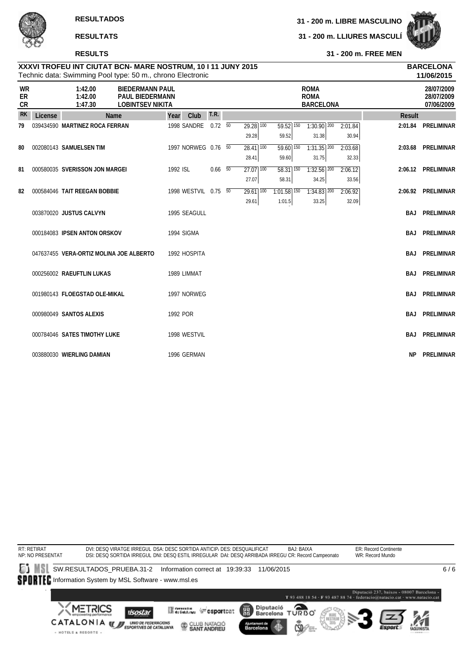**31 - 200 m. LLIURES MASCULÍ**



**RESULTS**

**31 - 200 m. FREE MEN**

|                       |         | Technic data: Swimming Pool type: 50 m., chrono Electronic |                                                                             |          |                      |             |                          |                          |                                                |         |               | 11/06/2015                             |
|-----------------------|---------|------------------------------------------------------------|-----------------------------------------------------------------------------|----------|----------------------|-------------|--------------------------|--------------------------|------------------------------------------------|---------|---------------|----------------------------------------|
| <b>WR</b><br>ER<br>CR |         | 1:42.00<br>1:42.00<br>1:47.30                              | <b>BIEDERMANN PAUL</b><br><b>PAUL BIEDERMANN</b><br><b>LOBINTSEV NIKITA</b> |          |                      |             |                          |                          | <b>ROMA</b><br><b>ROMA</b><br><b>BARCELONA</b> |         |               | 28/07/2009<br>28/07/2009<br>07/06/2009 |
| <b>RK</b>             | License | <b>Name</b>                                                |                                                                             | Year     | Club                 | <b>T.R.</b> |                          |                          |                                                |         | <b>Result</b> |                                        |
| 79                    |         | 039434590 MARTINEZ ROCA FERRAN                             |                                                                             |          | 1998 SANDRE          | $0.72\ 50$  | $\overline{29.28}$ 100   | $\overline{59.52}$ 150   | $1:30.90$ 200                                  | 2:01.84 | 2:01.84       | PRELIMINAR                             |
|                       |         |                                                            |                                                                             |          |                      |             | 29.28                    | 59.52                    | 31.38                                          | 30.94   |               |                                        |
| 80                    |         | 002080143 SAMUELSEN TIM                                    |                                                                             |          | 1997 NORWEG 0.76 50  |             | $28.41$ $\overline{100}$ | $\overline{59.60}$ 150   | $\overline{1:31.35}$ $\overline{200}$          | 2:03.68 |               | 2:03.68 PRELIMINAR                     |
|                       |         |                                                            |                                                                             |          |                      |             | 28.41                    | 59.60                    | 31.75                                          | 32.33   |               |                                        |
| 81                    |         | 000580035 SVERISSON JON MARGEI                             |                                                                             | 1992 ISL |                      | $0.66$ 50   | $27.07$ 100              | $58.31$ $\overline{150}$ | $1:32.56$ <sup>200</sup>                       | 2:06.12 |               | 2:06.12 PRELIMINAR                     |
|                       |         |                                                            |                                                                             |          |                      |             | 27.07                    | 58.31                    | 34.25                                          | 33.56   |               |                                        |
| 82                    |         | 000584046 TAIT REEGAN BOBBIE                               |                                                                             |          | 1998 WESTVIL 0.75 50 |             | $29.61$ 100              | $1:01.58$ <sup>150</sup> | $1:34.83$ <sup>200</sup>                       | 2:06.92 |               | 2:06.92 PRELIMINAR                     |
|                       |         |                                                            |                                                                             |          |                      |             | 29.61                    | 1:01.5                   | 33.25                                          | 32.09   |               |                                        |
|                       |         | 003870020 JUSTUS CALVYN                                    |                                                                             |          | 1995 SEAGULL         |             |                          |                          |                                                |         | BAJ           | PRELIMINAR                             |
|                       |         | 000184083 IPSEN ANTON ORSKOV                               |                                                                             |          | 1994 SIGMA           |             |                          |                          |                                                |         | <b>BAJ</b>    | PRELIMINAR                             |
|                       |         | 047637455 VERA-ORTIZ MOLINA JOE ALBERTO                    |                                                                             |          | 1992 HOSPITA         |             |                          |                          |                                                |         | BAJ           | PRELIMINAR                             |
|                       |         |                                                            |                                                                             |          |                      |             |                          |                          |                                                |         |               |                                        |
|                       |         | 000256002 RAEUFTLIN LUKAS                                  |                                                                             |          | 1989 LIMMAT          |             |                          |                          |                                                |         | <b>BAJ</b>    | PRELIMINAR                             |
|                       |         | 001980143 FLOEGSTAD OLE-MIKAL                              |                                                                             |          | 1997 NORWEG          |             |                          |                          |                                                |         | <b>BAJ</b>    | PRELIMINAR                             |
|                       |         |                                                            |                                                                             |          |                      |             |                          |                          |                                                |         |               |                                        |
|                       |         | 000980049 SANTOS ALEXIS                                    |                                                                             | 1992 POR |                      |             |                          |                          |                                                |         | BAJ           | PRELIMINAR                             |
|                       |         |                                                            |                                                                             |          |                      |             |                          |                          |                                                |         |               |                                        |
|                       |         | 000784046 SATES TIMOTHY LUKE                               |                                                                             |          | 1998 WESTVIL         |             |                          |                          |                                                |         | <b>BAJ</b>    | PRELIMINAR                             |
|                       |         | 003880030 WIERLING DAMIAN                                  |                                                                             |          | 1996 GERMAN          |             |                          |                          |                                                |         | <b>NP</b>     | PRELIMINAR                             |
|                       |         |                                                            |                                                                             |          |                      |             |                          |                          |                                                |         |               |                                        |

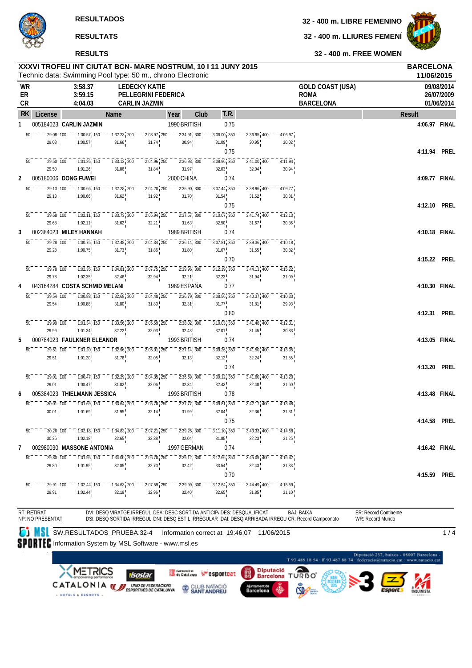**32 - 400 m. LIBRE FEMENINO**

**32 - 400 m. LLIURES FEMENÍ**



**32 - 400 m. FREE WOMEN**

|          | XXXVI TROFEU INT CIUTAT BCN- MARE NOSTRUM, 10 I 11 JUNY 2015<br>Technic data: Swimming Pool type: 50 m., chrono Electronic | <b>BARCELONA</b><br>11/06/2015                                           |                                                                          |                                                                        |                                                                            |                                     |                                                               |                  |                                                                                                                                       |                       |                                        |
|----------|----------------------------------------------------------------------------------------------------------------------------|--------------------------------------------------------------------------|--------------------------------------------------------------------------|------------------------------------------------------------------------|----------------------------------------------------------------------------|-------------------------------------|---------------------------------------------------------------|------------------|---------------------------------------------------------------------------------------------------------------------------------------|-----------------------|----------------------------------------|
| ER<br>CR | WR                                                                                                                         | 3:58.37<br>3:59.15<br>4:04.03                                            |                                                                          | <b>LEDECKY KATIE</b><br>PELLEGRINI FEDERICA<br><b>CARLIN JAZMIN</b>    |                                                                            |                                     |                                                               |                  | <b>GOLD COAST (USA)</b><br><b>ROMA</b><br><b>BARCELONA</b>                                                                            |                       | 09/08/2014<br>26/07/2009<br>01/06/2014 |
|          | <b>RK</b><br>License                                                                                                       |                                                                          | Name                                                                     |                                                                        | Club<br>Year                                                               | T.R.                                |                                                               |                  |                                                                                                                                       | <b>Result</b>         |                                        |
| 1        |                                                                                                                            | 005184023 CARLIN JAZMIN                                                  |                                                                          |                                                                        | 1990 BRITISH                                                               | 0.75                                |                                                               |                  |                                                                                                                                       | 4:06.97 FINAL         |                                        |
|          | 29.08, 100<br>$\overline{50}$                                                                                              | $\overline{1:}0\overline{0}.\overline{57}$ , $\overline{150}$            | $1:32.23$ , 200                                                          | $2:03.97$ , 250                                                        | $\overline{2:34.91}$ , $\overline{300}$                                    | $3:06.00$ , $350$                   | $3:36.95$ , 400                                               | 4:06.97          |                                                                                                                                       |                       |                                        |
|          | 29.08                                                                                                                      | 1:00.57                                                                  | 31.66                                                                    | 31.74                                                                  | 30.94                                                                      | 31.09                               | 30.95                                                         | 30.02            |                                                                                                                                       |                       |                                        |
|          |                                                                                                                            |                                                                          |                                                                          |                                                                        |                                                                            | 0.75                                |                                                               |                  |                                                                                                                                       | 4:11.94 PREL          |                                        |
|          | $\overline{50}$<br>29.50, 100                                                                                              | $1:01.26$ , 150                                                          | $\overline{1:}3\overline{3}\cdot\overline{12}$ , 200                     | $2:04.96$ <sub>1</sub> $250$                                           | $2:36.93$ , 300                                                            | $3:08.96$ <sup>1</sup> 350          | $3:41.00$ <sub>1</sub> 400                                    | 4:11.94          |                                                                                                                                       |                       |                                        |
|          | 29.50                                                                                                                      | 1:01.26                                                                  | 31.86                                                                    | 31.84                                                                  | 31.97 <sup>1</sup>                                                         | 32.03                               | 32.04                                                         | 30.94            |                                                                                                                                       |                       |                                        |
| 2        |                                                                                                                            | 005180006 DONG FUWEI                                                     |                                                                          |                                                                        | 2000 CHINA                                                                 | 0.74                                |                                                               |                  |                                                                                                                                       | 4:09.77 FINAL         |                                        |
|          | 50<br>$29.13$ , 100<br>29.13                                                                                               | $1:00.66$ , 150<br>1:00.66                                               | $\overline{1:}3\overline{2}.28$ , $\overline{2}0\overline{0}$<br>31.62   | $2:04.20$ <sub>1</sub> 250<br>31.92                                    | $2:35.90$ , 300<br>31.70                                                   | $3:07.44$ <sup>1</sup> 350<br>31.54 | $3:38.96$ , 400<br>31.52                                      | 4:09.77<br>30.81 |                                                                                                                                       |                       |                                        |
|          |                                                                                                                            |                                                                          |                                                                          |                                                                        |                                                                            | 0.75                                |                                                               |                  |                                                                                                                                       | 4:12.10 PREL          |                                        |
|          | $\overline{50}$<br>29.68, 100                                                                                              | 1:02.11, 150                                                             | $\overline{1:33.73}$ , 200                                               | $2:05.94$ , 250                                                        | $\overline{2:}3\overline{7}.\overline{57}$ , $\overline{300}$              | $3:10.07$ , 350                     | $\overline{3:}4\overline{1}.\overline{7}4$ , $\overline{400}$ | 4:12.10          |                                                                                                                                       |                       |                                        |
|          | 29.68                                                                                                                      | 1:02.11                                                                  | 31.62                                                                    | 32.21                                                                  | 31.63                                                                      | $32.50$ !                           | 31.67                                                         | 30.36            |                                                                                                                                       |                       |                                        |
| 3        |                                                                                                                            | 002384023 MILEY HANNAH                                                   |                                                                          |                                                                        | 1989 BRITISH                                                               | 0.74                                |                                                               |                  |                                                                                                                                       | 4:10.18 FINAL         |                                        |
|          | 50<br>29.28 100                                                                                                            | $1:00.75$ , 150                                                          | $\overline{1:32.48}$ , 200                                               | $2:04.34$ <sub>1</sub> 250                                             | $2:36.14$ , 300                                                            | 3:07.81 350                         | $3:39.36$ <sub>1</sub> 400                                    | 4:10.18          |                                                                                                                                       |                       |                                        |
|          | 29.28                                                                                                                      | 1:00.75                                                                  | 31.73                                                                    | 31.86                                                                  | $31.80^{+}$                                                                | $31.67$ <sub>1</sub>                | 31.55                                                         | 30.82            |                                                                                                                                       |                       |                                        |
|          |                                                                                                                            |                                                                          |                                                                          |                                                                        |                                                                            | 0.70                                |                                                               |                  |                                                                                                                                       | 4:15.22 PREL          |                                        |
|          | $\overline{50}$<br>$\frac{1}{29.78}$ , $\frac{1}{100}$                                                                     | $\overline{1:}0\overline{2}.\overline{35}$ , $\overline{150}$            | $\overline{1:34.81}$ , 200<br>32.46                                      | $\overline{2:}0\overline{7}.\overline{75}$ , $\overline{250}$<br>32.94 | $2:39.96$ , 300<br>32.21 <sup>1</sup>                                      | $3:12.19$ <sub>1</sub> 350          | 3:44.13,400<br>31.94                                          | 4:15.22          |                                                                                                                                       |                       |                                        |
| 4        | 29.78                                                                                                                      | 1:02.35<br>043164284 COSTA SCHMID MELANI                                 |                                                                          |                                                                        | 1989 ESPAÑA                                                                | 32.23<br>0.77                       |                                                               | 31.09            |                                                                                                                                       | 4:10.30 FINAL         |                                        |
|          | $\overline{50}$<br>29.54, 100                                                                                              | $1:00.88$ , 150                                                          | $1:32.68$ , 200                                                          | $2:04.48$ <sub>1</sub> 250                                             | $2:36.79$ , $300$                                                          | $3:08.56$ , $350$                   | $3:40.37$ , 400                                               | 4:10.30          |                                                                                                                                       |                       |                                        |
|          | 29.54                                                                                                                      | 1:00.88                                                                  | 31.80                                                                    | $31.80$ !                                                              | 32.31                                                                      | 31.77                               | 31.81                                                         | 29.93            |                                                                                                                                       |                       |                                        |
|          |                                                                                                                            |                                                                          |                                                                          |                                                                        |                                                                            | 0.80                                |                                                               |                  |                                                                                                                                       | 4:12.31 PREL          |                                        |
|          | $\overline{50}$<br>29.99, 100                                                                                              | $\overline{1:01.34}$ , $\overline{150}$                                  | $\overline{1:}33.56$ , 200                                               | $2:05.59$ , $250$                                                      | $2:38.02$ , 300                                                            | $3:10.03$ , $350$                   | $3:41.48$ , 400                                               | 4:12.31          |                                                                                                                                       |                       |                                        |
|          | 29.99                                                                                                                      | 1:01.34                                                                  | 32.22                                                                    | 32.03                                                                  | 32.43                                                                      | 32.01                               | 31.45                                                         | 30.83            |                                                                                                                                       |                       |                                        |
| 5        |                                                                                                                            | 000784023 FAULKNER ELEANOR                                               |                                                                          |                                                                        | 1993 BRITISH                                                               | 0.74                                |                                                               |                  |                                                                                                                                       | 4:13.05 FINAL         |                                        |
|          | 50 <sup>°</sup><br>29.51, 100                                                                                              | $\overline{1:01.20}$ , $\overline{150}$                                  | $\overline{1:}3\overline{2}.\overline{96}$ , $\overline{200}$            | $2:05.01$ , 250                                                        | $2:37.14$ , 300                                                            | $3:09.26$ , 350                     | $3:41.50$ , 400                                               | 4:13.05          |                                                                                                                                       |                       |                                        |
|          | 29.51                                                                                                                      | 1:01.20                                                                  | 31.76                                                                    | 32.05                                                                  | 32.13                                                                      | 32.12                               | 32.24                                                         | 31.55            |                                                                                                                                       |                       |                                        |
|          |                                                                                                                            |                                                                          |                                                                          |                                                                        |                                                                            | 0.74                                |                                                               |                  |                                                                                                                                       | 4:13.20 PREL          |                                        |
|          | $\overline{50}$<br>29.01, 100<br>29.01                                                                                     | $1:00.47$ , $150$<br>1:00.47                                             | $1:32.29$ , 200<br>31.82                                                 | $2:04.35$ , $250$<br>32.06                                             | $2:36.69$ , 300<br>32.34                                                   | $3:09.12$ , $350$<br>32.43          | $3:41.60$ , 400<br>32.48                                      | 4:13.20<br>31.60 |                                                                                                                                       |                       |                                        |
| 6        |                                                                                                                            | 005384023 THIELMANN JESSICA                                              |                                                                          |                                                                        | 1993 BRITISH                                                               | 0.78                                |                                                               |                  |                                                                                                                                       | 4:13.48 FINAL         |                                        |
|          | $\overline{50}$<br>30.01, 100                                                                                              | $1:01.69$ , 150                                                          | $\overline{1:}3\overline{3.64}$ , $\overline{200}$                       | $2:05.78$ , 250                                                        | $\overline{2:}3\overline{7}.\overline{77}$ , $\overline{300}$              | $3:09.81$ , $350$                   | $3:42.17$ , 400                                               | 4:13.48          |                                                                                                                                       |                       |                                        |
|          | 30.01                                                                                                                      | 1:01.69                                                                  | 31.95                                                                    | $32.14$ !                                                              | 31.99                                                                      | $32.04$ !                           | 32.36                                                         | 31.31            |                                                                                                                                       |                       |                                        |
|          |                                                                                                                            |                                                                          |                                                                          |                                                                        |                                                                            | 0.75                                |                                                               |                  |                                                                                                                                       | 4:14.58 PREL          |                                        |
|          | 50<br>$30.26$ , 100                                                                                                        | $1:02.18$ <sub>1</sub> 150                                               | $\overline{1:34.83}$ , 200                                               | $2:07.21$ , 250                                                        | $2:39.25$ , 300                                                            | $3:11.10$ <sub>1</sub> 350          | $3:43.33$ , 400                                               | 4:14.58          |                                                                                                                                       |                       |                                        |
|          | 30.26                                                                                                                      | 1:02.18                                                                  | 32.65                                                                    | 32.38                                                                  | 32.04                                                                      | 31.85                               | 32.23                                                         | 31.25            |                                                                                                                                       |                       |                                        |
| 7        |                                                                                                                            | 002980030 MASSONE ANTONIA                                                |                                                                          |                                                                        | 1997 GERMAN                                                                | 0.74                                |                                                               |                  |                                                                                                                                       | 4:16.42 FINAL         |                                        |
|          | 29.80, 100<br>$\overline{50}$<br>29.80                                                                                     | $\overline{1:}0\overline{1}.\overline{95}$ , $\overline{150}$<br>1:01.95 | $\overline{1:}3\overline{4}.\overline{00}$ , $\overline{2}0\overline{0}$ | $2:06.70$ <sub>1</sub> 250<br>32.70                                    | $\overline{2:}3\overline{9}.\overline{12}^\prime_1\overline{300}$<br>32.42 | $3:12.66$ <sub>1</sub> 350          | $3:45.09$ , 400<br>32.43                                      | 4:16.42<br>31.33 |                                                                                                                                       |                       |                                        |
|          |                                                                                                                            |                                                                          | 32.05                                                                    |                                                                        |                                                                            | 33.54<br>0.70                       |                                                               |                  |                                                                                                                                       | 4:15.59 PREL          |                                        |
|          | $\overline{50}$<br>29.91, 100                                                                                              | $1:02.44$ , $150$                                                        | $\overline{1:34.63}$ , 200                                               | $2:07.59$ <sub>1</sub> 250                                             | $2:39.99$ , 300                                                            | $3:12.64$ <sup>1</sup> 350          | $3:44.49$ <sub>1</sub> 400                                    | 4:15.59          |                                                                                                                                       |                       |                                        |
|          | 29.91                                                                                                                      | 1:02.44                                                                  | 32.19                                                                    | 32.96                                                                  | 32.40                                                                      | 32.65                               | 31.85                                                         | 31.10            |                                                                                                                                       |                       |                                        |
|          |                                                                                                                            |                                                                          |                                                                          |                                                                        |                                                                            |                                     |                                                               |                  |                                                                                                                                       |                       |                                        |
|          | RT: RETIRAT<br>NP: NO PRESENTAT                                                                                            |                                                                          |                                                                          |                                                                        | DVI: DESQ VIRATGE IRREGUL DSA: DESC SORTIDA ANTICIP/ DES: DESQUALIFICAT    |                                     |                                                               |                  | BAJ: BAIXA<br>DSI: DESQ SORTIDA IRREGUL DNI: DESQ ESTIL IRREGULAR DAI: DESQ ARRIBADA IRREGU CR: Record Campeonato<br>WR: Record Mundo | ER: Record Continente |                                        |

DVI: DESQ VIRATGE IRREGUL DSA: DESC SORTIDA ANTICIP، DES: DESQUALIFICAT BAJ: BAIXA<br>DSI: DESQ SORTIDA IRREGUL DNI: DESQ ESTIL IRREGULAR DAI: DESQ ARRIBADA IRREGU CR: Record Campeonato

SW.RESULTADOS\_PRUEBA.32-4 Information correct at 19:46:07 11/06/2015

 $1/4$ 

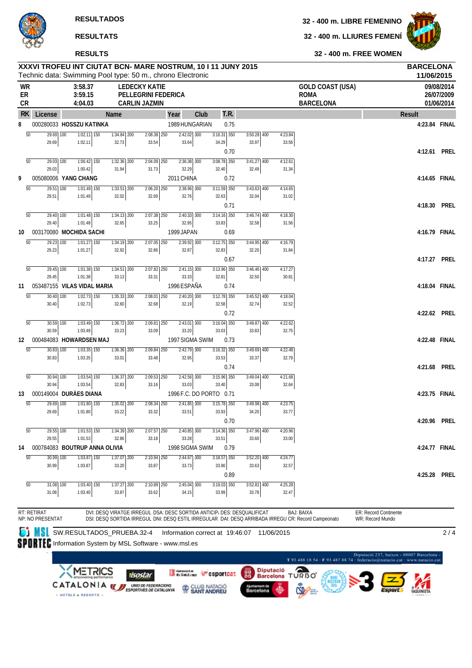**RESULTADOS**

**RESULTATS**



## **RESULTS**

## **32 - 400 m. LIBRE FEMENINO**

**32 - 400 m. LLIURES FEMENÍ**



**32 - 400 m. FREE WOMEN**

| <b>WR</b><br>ER<br>CR |                               | 3:58.37<br>3:59.15<br>4:04.03 |                 |                        | <b>LEDECKY KATIE</b><br><b>PELLEGRINI FEDERICA</b><br><b>CARLIN JAZMIN</b> |               |                         |      |                        |      |                        |                  | <b>GOLD COAST (USA)</b><br><b>ROMA</b><br><b>BARCELONA</b> |               | 09/08/2014<br>26/07/2009<br>01/06/2014 |
|-----------------------|-------------------------------|-------------------------------|-----------------|------------------------|----------------------------------------------------------------------------|---------------|-------------------------|------|------------------------|------|------------------------|------------------|------------------------------------------------------------|---------------|----------------------------------------|
| <b>RK</b>             | License                       |                               |                 | Name                   |                                                                            |               | Year                    | Club |                        | t.r. |                        |                  |                                                            | <b>Result</b> |                                        |
| 8                     |                               | 000280033 HOSSZU KATINKA      |                 |                        |                                                                            |               | 1989 HUNGARIAN          |      |                        | 0.75 |                        |                  |                                                            | 4:23.84 FINAL |                                        |
| $\overline{50}$       | 29.69 100                     |                               | $1:02.11$ 150   | $1:34.84$ 200          |                                                                            | 2:08.38 250   | 2:42.02 300             |      | $3:16.31$ 350          |      | $3:50.28$ 400          | 4:23.84          |                                                            |               |                                        |
|                       | 29.69                         | 1:02.11                       |                 | 32.73                  | 33.54                                                                      |               | 33.64                   |      | 34.29                  |      | 33.97                  | 33.56            |                                                            |               |                                        |
| $\overline{50}$       | 29.03 100                     |                               | $1:00.42$ 150   | $1:32.36$ 200          |                                                                            | 2:04.09 250   | 2:36.38 300             |      | $3:08.78$ 350          | 0.70 | $3:41.27$ 400          | 4:12.61          |                                                            | 4:12.61       | <b>PREL</b>                            |
|                       | 29.03                         | 1:00.42                       |                 | 31.94                  | 31.73                                                                      |               | 32.29                   |      | 32.40                  |      | 32.49                  | 31.34            |                                                            |               |                                        |
| 9                     |                               | 005080006 YANG CHANG          |                 |                        |                                                                            |               | 2011 CHINA              |      |                        | 0.72 |                        |                  |                                                            | 4:14.65 FINAL |                                        |
| 50                    | 29.51 100                     |                               | 1:01.49 150     | $1:33.51$ 200          |                                                                            | $2:06.20$ 250 | $2:38.96$ 300           |      | $3:11.59$ 350          |      | $3:43.63$ 400          | 4:14.65          |                                                            |               |                                        |
|                       | 29.51                         | 1:01.49                       |                 | 32.02                  | 32.69                                                                      |               | 32.76                   |      | 32.63                  |      | 32.04                  | 31.02            |                                                            |               |                                        |
|                       |                               |                               |                 |                        |                                                                            |               |                         |      |                        | 0.71 |                        |                  |                                                            | 4:18.30       | <b>PREL</b>                            |
| $\overline{50}$       | 29.40 100<br>29.40            | 1:01.48                       | $1:01.48$ 150   | 1:34.13 200<br>32.65   | 33.25                                                                      | 2:07.38 250   | $2:40.33$ 300<br>32.95  |      | $3:14.16$ 350<br>33.83 |      | $3:46.74$ 400<br>32.58 | 4:18.30<br>31.56 |                                                            |               |                                        |
| 10                    | 003170080 MOCHIDA SACHI       |                               |                 |                        |                                                                            |               | 1999 JAPAN              |      |                        | 0.69 |                        |                  |                                                            | 4:16.79 FINAL |                                        |
| $\overline{50}$       | $29.23$ 100                   |                               | $1:01.27$ 150   | 1:34.19 200            |                                                                            | $2:07.05$ 250 | $2:39.92$ 300           |      | $3:12.75$ 350          |      | 3:44.95 400            | 4:16.79          |                                                            |               |                                        |
|                       | 29.23                         | 1:01.27                       |                 | 32.92                  | 32.86                                                                      |               | 32.87                   |      | 32.83                  |      | 32.20                  | 31.84            |                                                            |               |                                        |
|                       |                               |                               |                 |                        |                                                                            |               |                         |      |                        | 0.67 |                        |                  |                                                            | 4:17.27       | <b>PREL</b>                            |
| $\overline{50}$       | 29.45 100                     |                               | $1:01.38$ 150   | $1:34.51$ 200          |                                                                            | 2:07.82 250   | $2:41.15$ 300           |      | $3:13.96$ 350          |      | $3:46.46$ 400          | 4:17.27          |                                                            |               |                                        |
|                       | 29.45                         | 1:01.38                       |                 | 33.13                  | 33.31                                                                      |               | 33.33                   |      | 32.81                  |      | 32.50                  | 30.81            |                                                            |               |                                        |
| 11                    | 053487155 VILAS VIDAL MARIA   |                               |                 |                        |                                                                            |               | 1996 ESPAÑA             |      |                        | 0.74 |                        |                  |                                                            | 4:18.04 FINAL |                                        |
| $\overline{50}$       | $30.40$ 100<br>30.40          | 1:02.73                       | $1:02.73$ 150   | $1:35.33$ 200<br>32.60 | 32.68                                                                      | 2:08.01 250   | 2:40.20 300<br>32.19    |      | $3:12.78$ 350<br>32.58 |      | $3:45.52$ 400<br>32.74 | 4:18.04<br>32.52 |                                                            |               |                                        |
|                       |                               |                               |                 |                        |                                                                            |               |                         |      |                        | 0.72 |                        |                  |                                                            | 4:22.62 PREL  |                                        |
| $\overline{50}$       | $30.59$ 100                   |                               | $1:03.49$ 150   | $1:36.72$ 200          |                                                                            | $2:09.81$ 250 | $2:43.01$ 300           |      | $3:16.04$ 350          |      | $3:49.87$ 400          | 4:22.62          |                                                            |               |                                        |
|                       | 30.59                         | 1:03.49                       |                 | 33.23                  | 33.09                                                                      |               | 33.20                   |      | 33.03                  |      | 33.83                  | 32.75            |                                                            |               |                                        |
| 12                    |                               | 000484083 HOWARDSEN MAJ       |                 |                        |                                                                            |               | 1997 SIGMA SWIM         |      |                        | 0.73 |                        |                  |                                                            | 4:22.48 FINAL |                                        |
| $\overline{50}$       | 30.83 100                     |                               | $1:03.35$ $150$ | 1:36.36 200            |                                                                            | 2:09.84 250   | $2:42.79$ 300           |      | $3:16.32$ 350          |      | 3:49.69 400            | 4:22.48          |                                                            |               |                                        |
|                       | 30.83                         | 1:03.35                       |                 | 33.01                  | 33.48                                                                      |               | 32.95                   |      | 33.53                  | 0.74 | 33.37                  | 32.79            |                                                            | 4:21.68       | <b>PREL</b>                            |
| $\overline{50}$       | 30.94 100                     |                               | $1:03.54$ 150   | $1:36.37$ 200          |                                                                            | 2:09.53 250   | $2:42.56$ 300           |      | $3:15.96$ 350          |      | $3:49.04$ 400          | 4:21.68          |                                                            |               |                                        |
|                       | 30.94                         | 1:03.54                       |                 | 32.83                  | 33.16                                                                      |               | 33.03                   |      | 33.40                  |      | 33.08                  | 32.64            |                                                            |               |                                        |
| 13                    | 000149004 DURAES DIANA        |                               |                 |                        |                                                                            |               | 1996 F.C. DO PORTO 0.71 |      |                        |      |                        |                  |                                                            | 4:23.75 FINAL |                                        |
| $\overline{50}$       | 29.69 100                     |                               | $1:01.80$ 150   | 1:35.02 200            |                                                                            | $2:08.34$ 250 | $2:41.85$ 300           |      | $3:15.78$ 350          |      | $3:49.98$ 400          | 4:23.75          |                                                            |               |                                        |
|                       | 29.69                         | 1:01.80                       |                 | 33.22                  | 33.32                                                                      |               | 33.51                   |      | 33.93                  |      | 34.20                  | 33.77            |                                                            |               |                                        |
|                       |                               |                               |                 |                        |                                                                            |               |                         |      |                        | 0.70 |                        |                  |                                                            | 4:20.96 PREL  |                                        |
| 50                    | 29.55 100<br>29.55            | 1:01.53                       | $1:01.53$ 150   | 1:34.39 200<br>32.86   | 33.18                                                                      | $2:07.57$ 250 | $2:40.85$ 300<br>33.28  |      | $3:14.36$ 350<br>33.51 |      | $3:47.96$ 400<br>33.60 | 4:20.96<br>33.00 |                                                            |               |                                        |
| 14                    | 000784083 BOUTRUP ANNA OLIVIA |                               |                 |                        |                                                                            |               | 1998 SIGMA SWIM         |      |                        | 0.79 |                        |                  |                                                            | 4:24.77 FINAL |                                        |
| $\overline{50}$       | $30.99$ $\overline{100}$      |                               | $1:03.87$ 150   | $1:37.07$ 200          |                                                                            | 2:10.94 250   | $2:44.67$ 300           |      | $3:18.57$ 350          |      | $3:52.20$ 400          | 4:24.77          |                                                            |               |                                        |
|                       | 30.99                         | 1:03.87                       |                 | 33.20                  | 33.87                                                                      |               | 33.73                   |      | 33.90                  |      | 33.63                  | 32.57            |                                                            |               |                                        |
|                       |                               |                               |                 |                        |                                                                            |               |                         |      |                        | 0.89 |                        |                  |                                                            | 4:25.28       | <b>PREL</b>                            |
| $\overline{50}$       | 31.08 100                     |                               | $1:03.40$ 150   | $1:37.27$ 200          |                                                                            | $2:10.89$ 250 | 2:45.04 300             |      | $3:19.03$ 350          |      | $3:52.81$ 400          | 4:25.28          |                                                            |               |                                        |
|                       | 31.08                         | 1:03.40                       |                 | 33.87                  | 33.62                                                                      |               | 34.15                   |      | 33.99                  |      | 33.78                  | 32.47            |                                                            |               |                                        |

SW.RESULTADOS\_PRUEBA.32-4 Information correct at 19:46:07 11/06/2015

 $2/4$ 

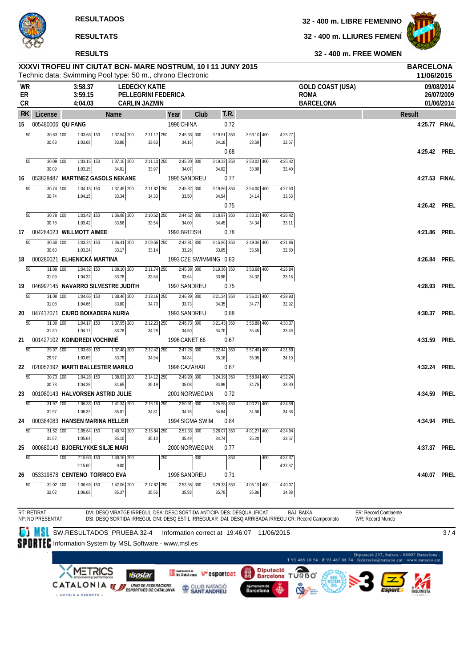#### **RESULTS**

#### **32 - 400 m. LIBRE FEMENINO**

**32 - 400 m. LLIURES FEMENÍ**



**32 - 400 m. FREE WOMEN**

|                       |                                                      |                                     |                                                   | XXXVI TROFEU INT CIUTAT BCN- MARE NOSTRUM, 10 I 11 JUNY 2015<br>Technic data: Swimming Pool type: 50 m., chrono Electronic                                                     |                  |                        |                                            |                    |                                                            |                                                                           | <b>BARCELONA</b><br>11/06/2015 |                                        |
|-----------------------|------------------------------------------------------|-------------------------------------|---------------------------------------------------|--------------------------------------------------------------------------------------------------------------------------------------------------------------------------------|------------------|------------------------|--------------------------------------------|--------------------|------------------------------------------------------------|---------------------------------------------------------------------------|--------------------------------|----------------------------------------|
| <b>WR</b><br>ER<br>CR |                                                      | 3:58.37<br>3:59.15<br>4:04.03       |                                                   | <b>LEDECKY KATIE</b><br>PELLEGRINI FEDERICA<br><b>CARLIN JAZMIN</b>                                                                                                            |                  |                        |                                            |                    | <b>GOLD COAST (USA)</b><br><b>ROMA</b><br><b>BARCELONA</b> |                                                                           |                                | 09/08/2014<br>26/07/2009<br>01/06/2014 |
| RK.                   | License                                              |                                     | Name                                              | Year                                                                                                                                                                           | Club             | T.R.                   |                                            |                    |                                                            | <b>Result</b>                                                             |                                |                                        |
| 15                    | 005480006 QU FANG                                    |                                     |                                                   | 1996 CHINA                                                                                                                                                                     |                  | 0.72                   |                                            |                    |                                                            |                                                                           | 4:25.77 FINAL                  |                                        |
|                       | $\overline{50}$<br>$30.63$ $\overline{100}$<br>30.63 | $1:03.68$ 150<br>1:03.68            | $1:37.54$ 200<br>33.86                            | $2:11.17$ 250<br>33.63<br>34.16                                                                                                                                                | $2:45.33$ 300    | $3:19.51$ 350          | $3:53.10$ 400<br>33.59                     | 4:25.77            |                                                            |                                                                           |                                |                                        |
|                       |                                                      |                                     |                                                   |                                                                                                                                                                                |                  | 34.18<br>0.68          |                                            | 32.67              |                                                            |                                                                           | 4:25.42 PREL                   |                                        |
|                       | $\overline{50}$<br>30.09 100                         | $1:03.15$ 150                       | $1:37.16$ 200                                     | $2:11.13$ $250$                                                                                                                                                                | $2:45.20$ 300    | $3:19.22$ 350          | $3:53.02$ 400                              | 4:25.42            |                                                            |                                                                           |                                |                                        |
|                       | 30.09                                                | 1:03.15                             | 34.01                                             | 33.97<br>34.07                                                                                                                                                                 |                  | 34.02                  | 33.80                                      | 32.40              |                                                            |                                                                           |                                |                                        |
| 16                    |                                                      |                                     | 053828487 MARTINEZ GASOLS NEKANE                  | 1995 SANDREU                                                                                                                                                                   |                  | 0.77                   |                                            |                    |                                                            |                                                                           | 4:27.53 FINAL                  |                                        |
|                       | 50<br>30.74 100<br>30.74                             | $1:04.15$ 150<br>1:04.15            | 1:37.49 200<br>33.34                              | 2:11.82 250<br>33.50<br>34.33                                                                                                                                                  | 2:45.32 300      | $3:19.86$ 350<br>34.54 | 3:54.00 400<br>34.14                       | 4:27.53<br>33.53   |                                                            |                                                                           |                                |                                        |
|                       |                                                      |                                     |                                                   |                                                                                                                                                                                |                  | 0.75                   |                                            |                    |                                                            |                                                                           | 4:26.42 PREL                   |                                        |
|                       | $\overline{50}$<br>30.78 100                         | $1:03.42$ 150                       | $1:36.98$ 200                                     | $2:10.52$ 250                                                                                                                                                                  | $2:44.52$ 300    | 3:18.97 350            | $3:53.31$ 400                              | 4:26.42            |                                                            |                                                                           |                                |                                        |
|                       | 30.78                                                | 1:03.42<br>004284023 WILLMOTT AIMEE | 33.56                                             | 33.54<br>34.00<br>1993 BRITISH                                                                                                                                                 |                  | 34.45                  | 34.34                                      | 33.11              |                                                            |                                                                           | 4:21.86 PREL                   |                                        |
| 17                    | $\overline{50}$<br>30.60                             | $1:03.24$ 150<br>100                | $1:36.41$ 200                                     | $2:09.55$ 250                                                                                                                                                                  | $2:42.81$ 300    | 0.78<br>$3:15.86$ 350  | 3:49.36 400                                | 4:21.86            |                                                            |                                                                           |                                |                                        |
|                       | 30.60                                                | 1:03.24                             | 33.17                                             | 33.26<br>33.14                                                                                                                                                                 |                  | 33.05                  | 33.50                                      | 32.50              |                                                            |                                                                           |                                |                                        |
| 18                    |                                                      | 000280021 ELHENICKÁ MARTINA         |                                                   |                                                                                                                                                                                |                  | 1993 CZE SWIMMING 0.83 |                                            |                    |                                                            |                                                                           | 4:26.84 PREL                   |                                        |
|                       | $\overline{50}$<br>31.09                             | $1:04.32$ 150<br>100                | $1:38.10$ 200                                     | $2:11.74$ 250                                                                                                                                                                  | $2:45.38$ 300    | $3:19.36$ 350          | $3:53.68$ 400                              | 4:26.84            |                                                            |                                                                           |                                |                                        |
| 19                    | 31.09                                                | 1:04.32                             | 33.78<br>046997145 NAVARRO SILVESTRE JUDITH       | 33.64<br>33.64<br>1997 SANDREU                                                                                                                                                 |                  | 33.98<br>0.75          | 34.32                                      | 33.16              |                                                            |                                                                           | 4:28.93 PREL                   |                                        |
|                       | $\overline{50}$<br>31.08 100                         | $1:04.66$ 150                       | $1:38.46$ 200                                     | $2:13.16$ $250$                                                                                                                                                                | $2:46.89$ 300    | $3:21.24$ 350          | $3:56.01$ 400                              | 4:28.93            |                                                            |                                                                           |                                |                                        |
|                       | 31.08                                                | 1:04.66                             | 33.80                                             | 34.70<br>33.73                                                                                                                                                                 |                  | 34.35                  | 34.77                                      | 32.92              |                                                            |                                                                           |                                |                                        |
| 20                    |                                                      |                                     | 047417071 CIURO BOIXADERA NURIA                   | 1993 SANDREU                                                                                                                                                                   |                  | 0.88                   |                                            |                    |                                                            |                                                                           | 4:30.37 PREL                   |                                        |
|                       | 50<br>$31.30$ $100$<br>31.30                         | $1:04.17$ 150<br>1:04.17            | $1:37.95$ 200<br>33.78                            | $2:12.23$ 250<br>34.28<br>34.50                                                                                                                                                | $2:46.73$ 300    | $3:21.43$ 350<br>34.70 | $3:56.88$ 400<br>35.45                     | 4:30.37<br>33.49   |                                                            |                                                                           |                                |                                        |
| 21                    |                                                      | 001427102 KOINDREDI VOCHIMIÉ        |                                                   | 1996 CANET 66                                                                                                                                                                  |                  | 0.67                   |                                            |                    |                                                            |                                                                           | 4:31.59 PREL                   |                                        |
|                       | 50<br>29.97 100                                      | $1:03.69$ 150                       | 1:37.48 200                                       | 2:12.42 250                                                                                                                                                                    | $2:47.26$ 300    | $3:22.44$ 350          | 3:57.49 400                                | 4:31.59            |                                                            |                                                                           |                                |                                        |
|                       | 29.97                                                | 1:03.69                             | 33.79                                             | 34.94<br>34.84                                                                                                                                                                 |                  | 35.18                  | 35.05                                      | 34.10              |                                                            |                                                                           |                                |                                        |
| 22                    | $\overline{50}$<br>$30.73$ 100                       | $1:04.28$ 150                       | 020052392 MARTI BALLESTER MARILO<br>$1:38.93$ 200 | 1998 CAZAHAR<br>$2:14.12$ 250                                                                                                                                                  | $2:49.20$ 300    | 0.67<br>$3:24.19$ 350  | $3:58.94$ 400                              | 4:32.24            |                                                            |                                                                           | 4:32.24 PREL                   |                                        |
|                       | 30.73                                                | 1:04.28                             | 34.65                                             | 35.19<br>35.08                                                                                                                                                                 |                  | 34.99                  | 34.75                                      | 33.30              |                                                            |                                                                           |                                |                                        |
| 23                    |                                                      |                                     | 001080143 HALVORSEN ASTRID JULIE                  | 2001 NORWEGIAN                                                                                                                                                                 |                  | 0.72                   |                                            |                    |                                                            |                                                                           | 4:34.59 PREL                   |                                        |
|                       | 50<br>31.97 100                                      | $1:06.33$ 150                       | $1:41.34$ 200                                     | $2:16.15$ 250                                                                                                                                                                  | $2:50.91$ 300    | $3:25.55$ 350          | $4:00.21$ 400                              | 4:34.59            |                                                            |                                                                           |                                |                                        |
| 24                    | 31.97                                                | 1:06.33                             | 35.01<br>000384083 HANSEN MARINA HELLER           | 34.81<br>34.76<br>1994 SIGMA SWIM                                                                                                                                              |                  | 34.64<br>0.84          | 34.66                                      | 34.38              |                                                            |                                                                           | 4:34.94 PREL                   |                                        |
|                       | 50<br>31.52 100                                      | $1:05.64$ 150                       | $1:40.74$ 200                                     | 2:15.84 250                                                                                                                                                                    | 2:51.33 300      | $3:26.07$ 350          | 4:01.27 400                                | 4:34.94            |                                                            |                                                                           |                                |                                        |
|                       | 31.52                                                | 1:05.64                             | 35.10                                             | 35.49<br>35.10                                                                                                                                                                 |                  | 34.74                  | 35.20                                      | 33.67              |                                                            |                                                                           |                                |                                        |
| 25                    |                                                      |                                     | 000680143 BJOERLYKKE SILJE MARI                   | 2000 NORWEGIAN                                                                                                                                                                 |                  | 0.77                   |                                            |                    |                                                            |                                                                           | 4:37.37 PREL                   |                                        |
|                       | 50                                                   | $2:15.60$ 150<br>100<br>2:15.60     | $1:\overline{40.16}$ 200<br>0.00                  | 250                                                                                                                                                                            | $\overline{300}$ | 350                    | 400                                        | 4:37.37<br>4:37.37 |                                                            |                                                                           |                                |                                        |
| 26                    |                                                      |                                     | 053319878 CENTENO TORRICO EVA                     | 1998 SANDREU                                                                                                                                                                   |                  | 0.71                   |                                            |                    |                                                            |                                                                           | 4:40.07                        | PREL                                   |
|                       | 50<br>32.02 100                                      | 1:06.69 150                         | 1:42.06 200                                       | 2:17.62 250                                                                                                                                                                    | $2:53.55$ 300    | 3:29.33 350            | 4:05.19 400                                | 4:40.07            |                                                            |                                                                           |                                |                                        |
|                       | 32.02                                                | 1:06.69                             | 35.37                                             | 35.56<br>35.93                                                                                                                                                                 |                  | 35.78                  | 35.86                                      | 34.88              |                                                            |                                                                           |                                |                                        |
|                       | RT: RETIRAT<br>NP: NO PRESENTAT                      |                                     |                                                   | DVI: DESQ VIRATGE IRREGUL DSA: DESC SORTIDA ANTICIP/ DES: DESQUALIFICAT<br>DSI: DESQ SORTIDA IRREGUL DNI: DESQ ESTIL IRREGULAR DAI: DESQ ARRIBADA IRREGU CR: Record Campeonato |                  |                        |                                            |                    | <b>BAJ: BAIXA</b>                                          | ER: Record Continente<br>WR: Record Mundo                                 |                                |                                        |
|                       | <b>ot MSL</b>                                        |                                     | SW.RESULTADOS_PRUEBA.32-4                         |                                                                                                                                                                                |                  |                        | Information correct at 19:46:07 11/06/2015 |                    |                                                            |                                                                           |                                | 3/4                                    |
|                       |                                                      |                                     |                                                   | <b>SPIRTE:</b> Information System by MSL Software - www.msl.es                                                                                                                 |                  |                        |                                            |                    |                                                            |                                                                           |                                |                                        |
|                       |                                                      |                                     |                                                   |                                                                                                                                                                                |                  |                        |                                            |                    |                                                            | Diputació 237, baixos - 08007 Barcelona -                                 |                                |                                        |
|                       |                                                      |                                     |                                                   |                                                                                                                                                                                |                  |                        |                                            |                    |                                                            | T 93 488 18 54 - F 93 487 88 74 - federacio@natacio.cat - www.natacio.cat |                                |                                        |
|                       |                                                      | <b>METRICS</b>                      | <b><i>Charles Committee</i></b>                   | <b>Constant</b>                                                                                                                                                                |                  |                        | <b>Diputació</b><br><b>Bu</b>              |                    | ≏                                                          |                                                                           |                                |                                        |